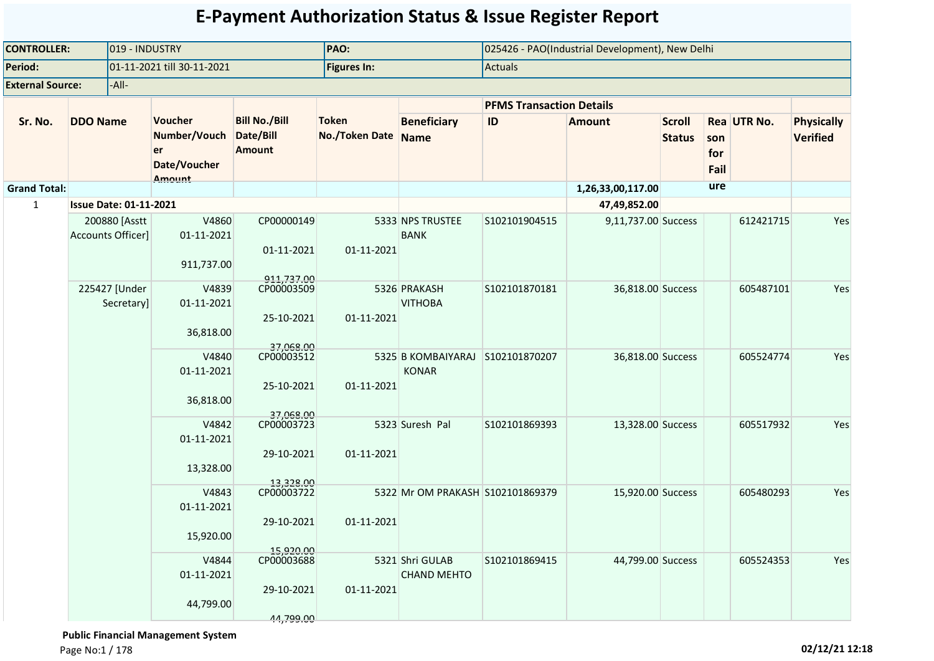| <b>CONTROLLER:</b>      |                               | 019 - INDUSTRY              |                                                         |                                                    | PAO:                           |                                                  |                                 | 025426 - PAO(Industrial Development), New Delhi |                                |                    |             |                                      |
|-------------------------|-------------------------------|-----------------------------|---------------------------------------------------------|----------------------------------------------------|--------------------------------|--------------------------------------------------|---------------------------------|-------------------------------------------------|--------------------------------|--------------------|-------------|--------------------------------------|
| Period:                 |                               |                             | 01-11-2021 till 30-11-2021                              |                                                    | <b>Figures In:</b>             |                                                  | Actuals                         |                                                 |                                |                    |             |                                      |
| <b>External Source:</b> |                               | -All-                       |                                                         |                                                    |                                |                                                  |                                 |                                                 |                                |                    |             |                                      |
|                         |                               |                             |                                                         |                                                    |                                |                                                  | <b>PFMS Transaction Details</b> |                                                 |                                |                    |             |                                      |
| Sr. No.                 | <b>DDO Name</b>               |                             | Voucher<br>Number/Vouch<br>er<br>Date/Voucher<br>Amount | <b>Bill No./Bill</b><br>Date/Bill<br><b>Amount</b> | <b>Token</b><br>No./Token Date | <b>Beneficiary</b><br>Name                       | ID                              | <b>Amount</b>                                   | <b>Scroll</b><br><b>Status</b> | son<br>for<br>Fail | Rea UTR No. | <b>Physically</b><br><b>Verified</b> |
| <b>Grand Total:</b>     |                               |                             |                                                         |                                                    |                                |                                                  |                                 | 1,26,33,00,117.00                               |                                | ure                |             |                                      |
| 1                       | <b>Issue Date: 01-11-2021</b> |                             |                                                         |                                                    |                                |                                                  |                                 | 47,49,852.00                                    |                                |                    |             |                                      |
|                         | <b>Accounts Officer]</b>      | 200880 [Asstt               | V4860<br>01-11-2021<br>911,737.00                       | CP00000149<br>01-11-2021<br>911,737.00             | 01-11-2021                     | 5333 NPS TRUSTEE<br><b>BANK</b>                  | S102101904515                   | 9,11,737.00 Success                             |                                |                    | 612421715   | Yes                                  |
|                         |                               | 225427 [Under<br>Secretary] | V4839<br>01-11-2021<br>36,818.00                        | CP00003509<br>25-10-2021<br>37,068.00              | 01-11-2021                     | 5326 PRAKASH<br><b>VITHOBA</b>                   | S102101870181                   | 36,818.00 Success                               |                                |                    | 605487101   | Yes                                  |
|                         |                               |                             | V4840<br>01-11-2021<br>36,818.00                        | CP00003512<br>25-10-2021                           | 01-11-2021                     | 5325 B KOMBAIYARAJ S102101870207<br><b>KONAR</b> |                                 | 36,818.00 Success                               |                                |                    | 605524774   | Yes                                  |
|                         |                               |                             | V4842<br>01-11-2021<br>13,328.00                        | 37.068.00<br>CP00003723<br>29-10-2021<br>13,328.00 | 01-11-2021                     | 5323 Suresh Pal                                  | S102101869393                   | 13,328.00 Success                               |                                |                    | 605517932   | Yes                                  |
|                         |                               |                             | V4843<br>01-11-2021<br>15,920.00                        | CP00003722<br>29-10-2021                           | 01-11-2021                     | 5322 Mr OM PRAKASH S102101869379                 |                                 | 15,920.00 Success                               |                                |                    | 605480293   | Yes                                  |
|                         |                               |                             | V4844<br>01-11-2021<br>44,799.00                        | 15,920.00<br>CP00003688<br>29-10-2021<br>44,799.00 | 01-11-2021                     | 5321 Shri GULAB<br><b>CHAND MEHTO</b>            | S102101869415                   | 44,799.00 Success                               |                                |                    | 605524353   | Yes                                  |

 **Public Financial Management System**  Page No:1 / 178 **02/12/21 12:18**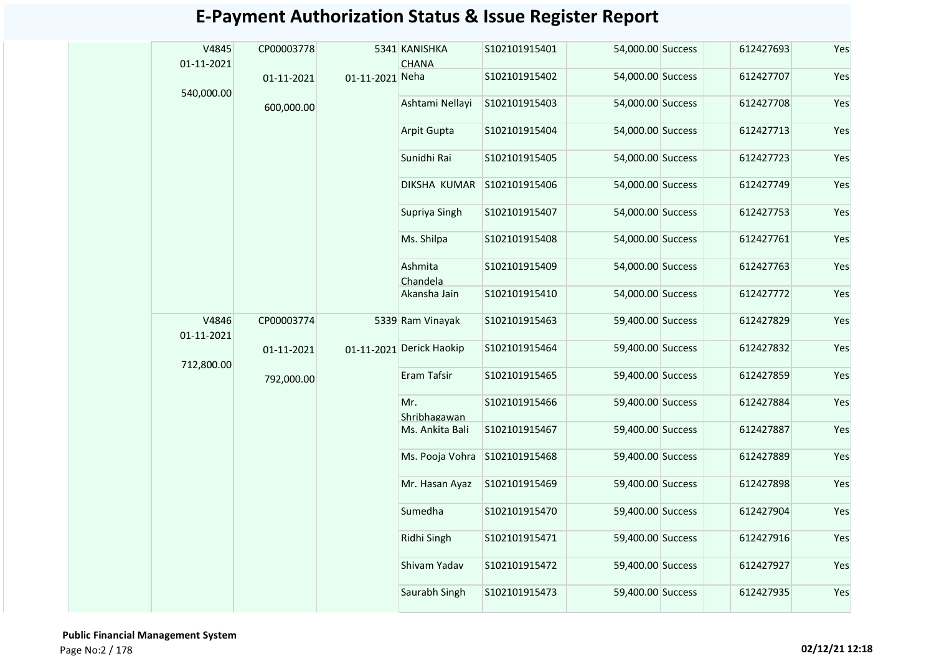| V4845<br>01-11-2021 | CP00003778 |                 | 5341 KANISHKA<br><b>CHANA</b> | S102101915401 | 54,000.00 Success | 612427693 | Yes |
|---------------------|------------|-----------------|-------------------------------|---------------|-------------------|-----------|-----|
| 540,000.00          | 01-11-2021 | 01-11-2021 Neha |                               | S102101915402 | 54,000.00 Success | 612427707 | Yes |
|                     | 600,000.00 |                 | Ashtami Nellayi               | S102101915403 | 54,000.00 Success | 612427708 | Yes |
|                     |            |                 | Arpit Gupta                   | S102101915404 | 54,000.00 Success | 612427713 | Yes |
|                     |            |                 | Sunidhi Rai                   | S102101915405 | 54,000.00 Success | 612427723 | Yes |
|                     |            |                 | DIKSHA KUMAR                  | S102101915406 | 54,000.00 Success | 612427749 | Yes |
|                     |            |                 | Supriya Singh                 | S102101915407 | 54,000.00 Success | 612427753 | Yes |
|                     |            |                 | Ms. Shilpa                    | S102101915408 | 54,000.00 Success | 612427761 | Yes |
|                     |            |                 | Ashmita<br>Chandela           | S102101915409 | 54,000.00 Success | 612427763 | Yes |
|                     |            |                 | Akansha Jain                  | S102101915410 | 54,000.00 Success | 612427772 | Yes |
| V4846<br>01-11-2021 | CP00003774 |                 | 5339 Ram Vinayak              | S102101915463 | 59,400.00 Success | 612427829 | Yes |
| 712,800.00          | 01-11-2021 |                 | 01-11-2021 Derick Haokip      | S102101915464 | 59,400.00 Success | 612427832 | Yes |
|                     | 792,000.00 |                 | Eram Tafsir                   | S102101915465 | 59,400.00 Success | 612427859 | Yes |
|                     |            |                 | Mr.<br>Shribhagawan           | S102101915466 | 59,400.00 Success | 612427884 | Yes |
|                     |            |                 | Ms. Ankita Bali               | S102101915467 | 59,400.00 Success | 612427887 | Yes |
|                     |            |                 | Ms. Pooja Vohra               | S102101915468 | 59,400.00 Success | 612427889 | Yes |
|                     |            |                 | Mr. Hasan Ayaz                | S102101915469 | 59,400.00 Success | 612427898 | Yes |
|                     |            |                 | Sumedha                       | S102101915470 | 59,400.00 Success | 612427904 | Yes |
|                     |            |                 | Ridhi Singh                   | S102101915471 | 59,400.00 Success | 612427916 | Yes |
|                     |            |                 | Shivam Yadav                  | S102101915472 | 59,400.00 Success | 612427927 | Yes |
|                     |            |                 | Saurabh Singh                 | S102101915473 | 59,400.00 Success | 612427935 | Yes |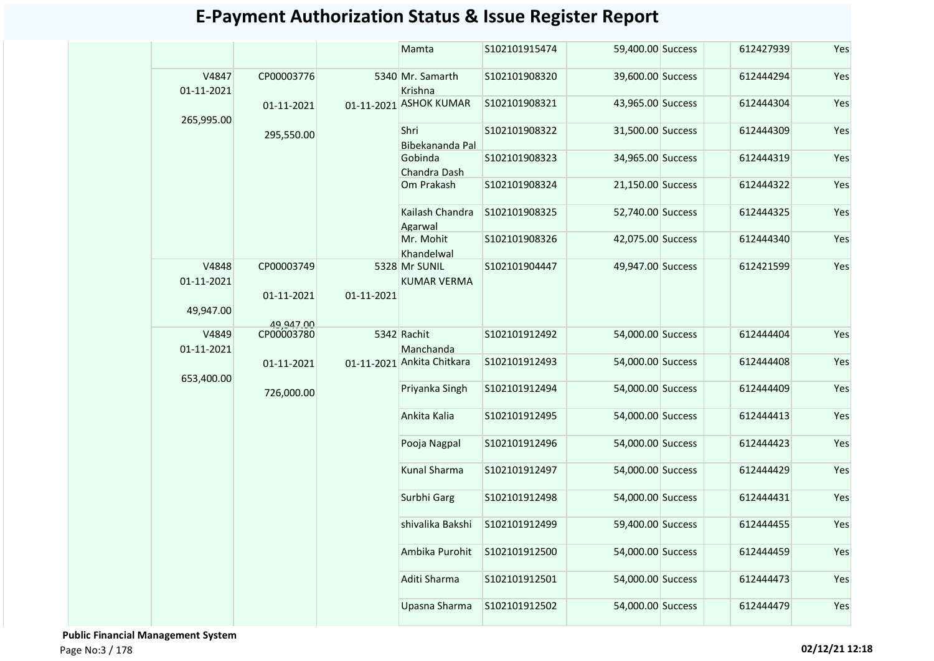|                     |                         |            | Mamta                               | S102101915474 | 59,400.00 Success | 612427939 | Yes |
|---------------------|-------------------------|------------|-------------------------------------|---------------|-------------------|-----------|-----|
| V4847<br>01-11-2021 | CP00003776              |            | 5340 Mr. Samarth<br>Krishna         | S102101908320 | 39,600.00 Success | 612444294 | Yes |
|                     | 01-11-2021              |            | 01-11-2021 ASHOK KUMAR              | S102101908321 | 43,965.00 Success | 612444304 | Yes |
| 265,995.00          | 295,550.00              |            | Shri<br>Bibekananda Pal             | S102101908322 | 31,500.00 Success | 612444309 | Yes |
|                     |                         |            | Gobinda<br>Chandra Dash             | S102101908323 | 34,965.00 Success | 612444319 | Yes |
|                     |                         |            | Om Prakash                          | S102101908324 | 21,150.00 Success | 612444322 | Yes |
|                     |                         |            | Kailash Chandra<br>Agarwal          | S102101908325 | 52,740.00 Success | 612444325 | Yes |
|                     |                         |            | Mr. Mohit<br>Khandelwal             | S102101908326 | 42,075.00 Success | 612444340 | Yes |
| V4848<br>01-11-2021 | CP00003749              |            | 5328 Mr SUNIL<br><b>KUMAR VERMA</b> | S102101904447 | 49,947.00 Success | 612421599 | Yes |
| 49,947.00           | 01-11-2021              | 01-11-2021 |                                     |               |                   |           |     |
| V4849               | 49,947.00<br>CP00003780 |            | 5342 Rachit                         | S102101912492 | 54,000.00 Success | 612444404 | Yes |
| 01-11-2021          |                         |            | Manchanda                           |               |                   |           |     |
| 653,400.00          | 01-11-2021              |            | 01-11-2021 Ankita Chitkara          | S102101912493 | 54,000.00 Success | 612444408 | Yes |
|                     | 726,000.00              |            | Priyanka Singh                      | S102101912494 | 54,000.00 Success | 612444409 | Yes |
|                     |                         |            | Ankita Kalia                        | S102101912495 | 54,000.00 Success | 612444413 | Yes |
|                     |                         |            | Pooja Nagpal                        | S102101912496 | 54,000.00 Success | 612444423 | Yes |
|                     |                         |            | Kunal Sharma                        | S102101912497 | 54,000.00 Success | 612444429 | Yes |
|                     |                         |            | Surbhi Garg                         | S102101912498 | 54,000.00 Success | 612444431 | Yes |
|                     |                         |            | shivalika Bakshi                    | S102101912499 | 59,400.00 Success | 612444455 | Yes |
|                     |                         |            | Ambika Purohit                      | S102101912500 | 54,000.00 Success | 612444459 | Yes |
|                     |                         |            | Aditi Sharma                        | S102101912501 | 54,000.00 Success | 612444473 | Yes |
|                     |                         |            | Upasna Sharma                       | S102101912502 | 54,000.00 Success | 612444479 | Yes |

 **Public Financial Management System**  Page No:3 / 178 **02/12/21 12:18**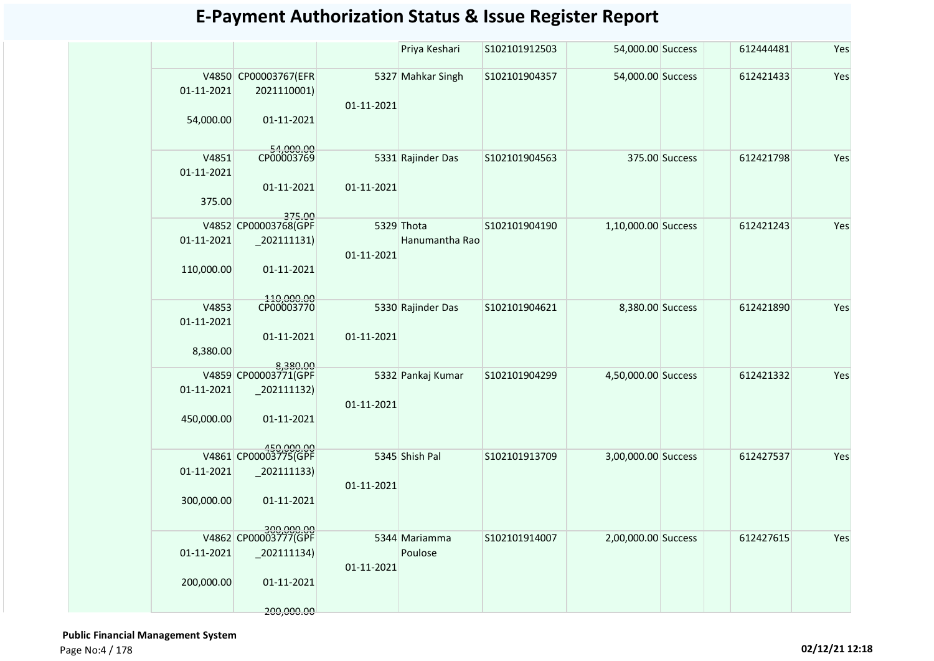|                                 |                                                                                 |            | Priya Keshari                | S102101912503 | 54,000.00 Success   |                | 612444481 | Yes |
|---------------------------------|---------------------------------------------------------------------------------|------------|------------------------------|---------------|---------------------|----------------|-----------|-----|
| 01-11-2021<br>54,000.00         | V4850 CP00003767(EFR<br>2021110001)<br>01-11-2021                               | 01-11-2021 | 5327 Mahkar Singh            | S102101904357 | 54,000.00 Success   |                | 612421433 | Yes |
| V4851<br>01-11-2021<br>375.00   | 54,000.00<br>CP00003769<br>01-11-2021<br>375.00                                 | 01-11-2021 | 5331 Rajinder Das            | S102101904563 |                     | 375.00 Success | 612421798 | Yes |
| 01-11-2021<br>110,000.00        | V4852 CP00003768(GPF<br>$_202111131)$<br>01-11-2021                             | 01-11-2021 | 5329 Thota<br>Hanumantha Rao | S102101904190 | 1,10,000.00 Success |                | 612421243 | Yes |
| V4853<br>01-11-2021<br>8,380.00 | 110,000.00<br>CP00003770<br>01-11-2021                                          | 01-11-2021 | 5330 Rajinder Das            | S102101904621 | 8,380.00 Success    |                | 612421890 | Yes |
| 01-11-2021<br>450,000.00        | 8,380.00<br>V4859 CP00003771(GPF<br>$-202111132)$<br>01-11-2021<br>450.000.00   | 01-11-2021 | 5332 Pankaj Kumar            | S102101904299 | 4,50,000.00 Success |                | 612421332 | Yes |
| 01-11-2021<br>300,000.00        | V4861 CP00003775(GPF<br>$-202111133$<br>01-11-2021                              | 01-11-2021 | 5345 Shish Pal               | S102101913709 | 3,00,000.00 Success |                | 612427537 | Yes |
| 01-11-2021<br>200,000.00        | 300,000.00<br>V4862 CP00003777(GPF<br>$-202111134)$<br>01-11-2021<br>200,000.00 | 01-11-2021 | 5344 Mariamma<br>Poulose     | S102101914007 | 2,00,000.00 Success |                | 612427615 | Yes |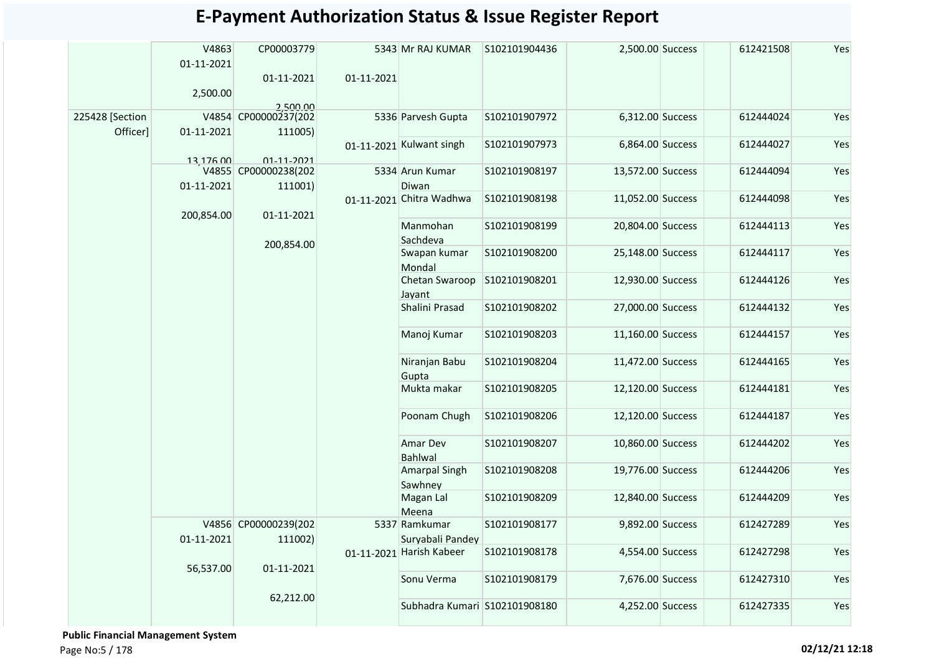|                             | V4863<br>01-11-2021<br>2,500.00 | CP00003779<br>01-11-2021<br>2,500,00     | 01-11-2021 | 5343 Mr RAJ KUMAR                 | S102101904436 | 2,500.00 Success  | 612421508 | Yes |
|-----------------------------|---------------------------------|------------------------------------------|------------|-----------------------------------|---------------|-------------------|-----------|-----|
| 225428 [Section<br>Officer] | 01-11-2021                      | V4854 CP00000237(202<br>111005)          |            | 5336 Parvesh Gupta                | S102101907972 | 6,312.00 Success  | 612444024 | Yes |
|                             |                                 |                                          |            | 01-11-2021 Kulwant singh          | S102101907973 | 6,864.00 Success  | 612444027 | Yes |
|                             | 13,176.00                       | $01 - 11 - 2021$<br>V4855 CP00000238(202 |            | 5334 Arun Kumar                   | S102101908197 | 13,572.00 Success | 612444094 | Yes |
|                             | 01-11-2021                      | 111001)                                  |            | Diwan                             |               |                   |           |     |
|                             | 200,854.00                      | 01-11-2021                               |            | 01-11-2021 Chitra Wadhwa          | S102101908198 | 11,052.00 Success | 612444098 | Yes |
|                             |                                 |                                          |            | Manmohan<br>Sachdeva              | S102101908199 | 20,804.00 Success | 612444113 | Yes |
|                             |                                 | 200,854.00                               |            | Swapan kumar<br>Mondal            | S102101908200 | 25,148.00 Success | 612444117 | Yes |
|                             |                                 |                                          |            | Chetan Swaroop<br>Jayant          | S102101908201 | 12,930.00 Success | 612444126 | Yes |
|                             |                                 |                                          |            | Shalini Prasad                    | S102101908202 | 27,000.00 Success | 612444132 | Yes |
|                             |                                 |                                          |            | Manoj Kumar                       | S102101908203 | 11,160.00 Success | 612444157 | Yes |
|                             |                                 |                                          |            | Niranjan Babu<br>Gupta            | S102101908204 | 11,472.00 Success | 612444165 | Yes |
|                             |                                 |                                          |            | Mukta makar                       | S102101908205 | 12,120.00 Success | 612444181 | Yes |
|                             |                                 |                                          |            | Poonam Chugh                      | S102101908206 | 12,120.00 Success | 612444187 | Yes |
|                             |                                 |                                          |            | Amar Dev<br>Bahlwal               | S102101908207 | 10,860.00 Success | 612444202 | Yes |
|                             |                                 |                                          |            | <b>Amarpal Singh</b><br>Sawhney   | S102101908208 | 19,776.00 Success | 612444206 | Yes |
|                             |                                 |                                          |            | Magan Lal<br>Meena                | S102101908209 | 12,840.00 Success | 612444209 | Yes |
|                             | 01-11-2021                      | V4856 CP00000239(202<br>111002)          |            | 5337 Ramkumar<br>Suryabali Pandey | S102101908177 | 9,892.00 Success  | 612427289 | Yes |
|                             | 56,537.00                       | 01-11-2021                               |            | 01-11-2021 Harish Kabeer          | S102101908178 | 4,554.00 Success  | 612427298 | Yes |
|                             |                                 |                                          |            | Sonu Verma                        | S102101908179 | 7,676.00 Success  | 612427310 | Yes |
|                             |                                 | 62,212.00                                |            | Subhadra Kumari S102101908180     |               | 4,252.00 Success  | 612427335 | Yes |

 **Public Financial Management System**  Page No:5 / 178 **02/12/21 12:18**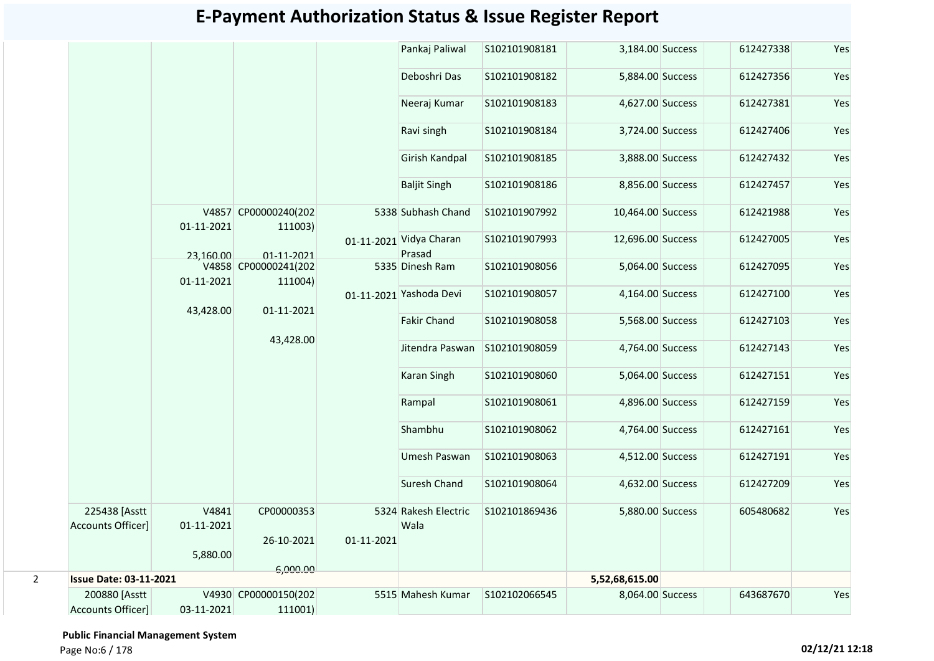|                |                                    |                     |                                 |            | Pankaj Paliwal                    | S102101908181  | 3,184.00 Success  | 612427338 | Yes |
|----------------|------------------------------------|---------------------|---------------------------------|------------|-----------------------------------|----------------|-------------------|-----------|-----|
|                |                                    |                     |                                 |            | Deboshri Das                      | S102101908182  | 5,884.00 Success  | 612427356 | Yes |
|                |                                    |                     |                                 |            | Neeraj Kumar                      | S102101908183  | 4,627.00 Success  | 612427381 | Yes |
|                |                                    |                     |                                 |            | Ravi singh                        | \$102101908184 | 3,724.00 Success  | 612427406 | Yes |
|                |                                    |                     |                                 |            | Girish Kandpal                    | S102101908185  | 3,888.00 Success  | 612427432 | Yes |
|                |                                    |                     |                                 |            | <b>Baljit Singh</b>               | S102101908186  | 8,856.00 Success  | 612427457 | Yes |
|                |                                    | 01-11-2021          | V4857 CP00000240(202<br>111003) |            | 5338 Subhash Chand                | S102101907992  | 10,464.00 Success | 612421988 | Yes |
|                |                                    | 23,160,00           | 01-11-2021                      |            | 01-11-2021 Vidya Charan<br>Prasad | S102101907993  | 12,696.00 Success | 612427005 | Yes |
|                |                                    | 01-11-2021          | V4858 CP00000241(202<br>111004) |            | 5335 Dinesh Ram                   | S102101908056  | 5,064.00 Success  | 612427095 | Yes |
|                |                                    | 43,428.00           | 01-11-2021                      |            | 01-11-2021 Yashoda Devi           | S102101908057  | 4,164.00 Success  | 612427100 | Yes |
|                |                                    |                     |                                 |            | <b>Fakir Chand</b>                | S102101908058  | 5,568.00 Success  | 612427103 | Yes |
|                |                                    |                     | 43,428.00                       |            | Jitendra Paswan                   | S102101908059  | 4,764.00 Success  | 612427143 | Yes |
|                |                                    |                     |                                 |            | <b>Karan Singh</b>                | S102101908060  | 5,064.00 Success  | 612427151 | Yes |
|                |                                    |                     |                                 |            | Rampal                            | S102101908061  | 4,896.00 Success  | 612427159 | Yes |
|                |                                    |                     |                                 |            | Shambhu                           | S102101908062  | 4,764.00 Success  | 612427161 | Yes |
|                |                                    |                     |                                 |            | Umesh Paswan                      | S102101908063  | 4,512.00 Success  | 612427191 | Yes |
|                |                                    |                     |                                 |            | <b>Suresh Chand</b>               | S102101908064  | 4,632.00 Success  | 612427209 | Yes |
|                | 225438 [Asstt<br>Accounts Officer] | V4841<br>01-11-2021 | CP00000353                      |            | 5324 Rakesh Electric<br>Wala      | S102101869436  | 5,880.00 Success  | 605480682 | Yes |
|                |                                    | 5,880.00            | 26-10-2021                      | 01-11-2021 |                                   |                |                   |           |     |
| $\overline{2}$ | <b>Issue Date: 03-11-2021</b>      |                     | 6,000.00                        |            |                                   |                |                   |           |     |
|                |                                    |                     |                                 |            |                                   |                | 5,52,68,615.00    |           |     |
|                | 200880 [Asstt                      |                     | V4930 CP00000150(202            |            | 5515 Mahesh Kumar                 | S102102066545  | 8,064.00 Success  | 643687670 | Yes |
|                | Accounts Officer]                  | 03-11-2021          | 111001)                         |            |                                   |                |                   |           |     |

 **Public Financial Management System**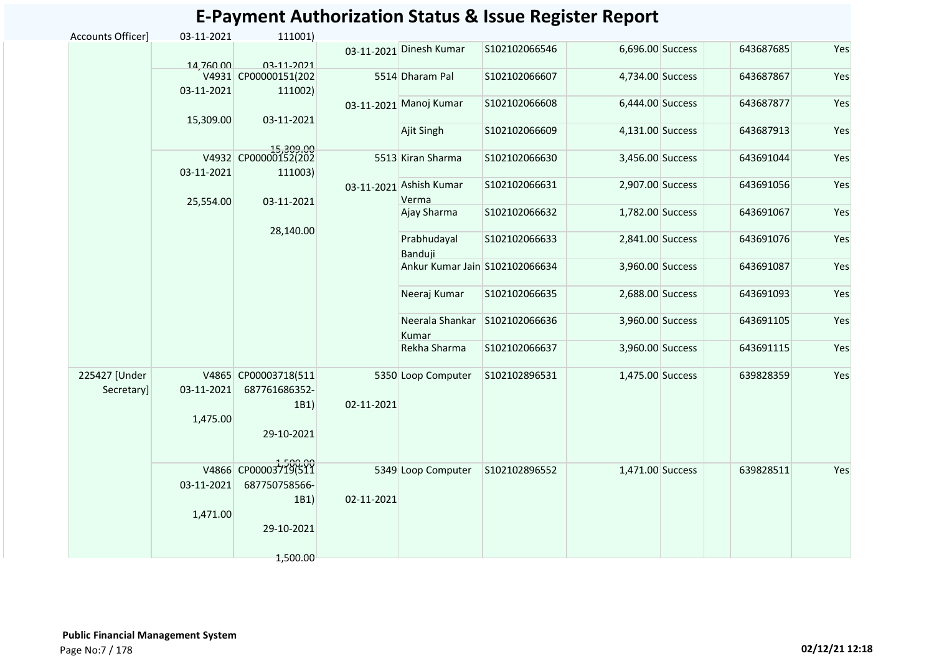|                             |            |                                               |            |                                  | E-Payment Authorization Status & ISSUE Register Report |                  |           |     |
|-----------------------------|------------|-----------------------------------------------|------------|----------------------------------|--------------------------------------------------------|------------------|-----------|-----|
| Accounts Officer]           | 03-11-2021 | 111001)                                       |            |                                  |                                                        |                  |           |     |
|                             | 14,760.00  | 03-11-2021                                    |            | 03-11-2021 Dinesh Kumar          | S102102066546                                          | 6,696.00 Success | 643687685 | Yes |
|                             | 03-11-2021 | V4931 CP00000151(202<br>111002)               |            | 5514 Dharam Pal                  | S102102066607                                          | 4,734.00 Success | 643687867 | Yes |
|                             |            |                                               |            | 03-11-2021 Manoj Kumar           | S102102066608                                          | 6,444.00 Success | 643687877 | Yes |
|                             | 15,309.00  | 03-11-2021                                    |            | Ajit Singh                       | S102102066609                                          | 4,131.00 Success | 643687913 | Yes |
|                             | 03-11-2021 | 15,309.00<br>V4932 CP00000152(202<br>111003)  |            | 5513 Kiran Sharma                | S102102066630                                          | 3,456.00 Success | 643691044 | Yes |
|                             | 25,554.00  | 03-11-2021                                    |            | 03-11-2021 Ashish Kumar<br>Verma | S102102066631                                          | 2,907.00 Success | 643691056 | Yes |
|                             |            |                                               |            | Ajay Sharma                      | S102102066632                                          | 1,782.00 Success | 643691067 | Yes |
|                             |            | 28,140.00                                     |            | Prabhudayal<br>Banduji           | S102102066633                                          | 2,841.00 Success | 643691076 | Yes |
|                             |            |                                               |            | Ankur Kumar Jain S102102066634   |                                                        | 3,960.00 Success | 643691087 | Yes |
|                             |            |                                               |            | Neeraj Kumar                     | S102102066635                                          | 2,688.00 Success | 643691093 | Yes |
|                             |            |                                               |            | Neerala Shankar<br>Kumar         | S102102066636                                          | 3,960.00 Success | 643691105 | Yes |
|                             |            |                                               |            | Rekha Sharma                     | S102102066637                                          | 3,960.00 Success | 643691115 | Yes |
| 225427 [Under<br>Secretary] | 03-11-2021 | V4865 CP00003718(511<br>687761686352-<br>1B1) | 02-11-2021 | 5350 Loop Computer               | S102102896531                                          | 1,475.00 Success | 639828359 | Yes |
|                             | 1,475.00   | 29-10-2021                                    |            |                                  |                                                        |                  |           |     |
|                             | 03-11-2021 | V4866 CP00003719(511<br>687750758566-         |            | 5349 Loop Computer               | S102102896552                                          | 1,471.00 Success | 639828511 | Yes |
|                             | 1,471.00   | 1B1)<br>29-10-2021                            | 02-11-2021 |                                  |                                                        |                  |           |     |
|                             |            | 1,500.00                                      |            |                                  |                                                        |                  |           |     |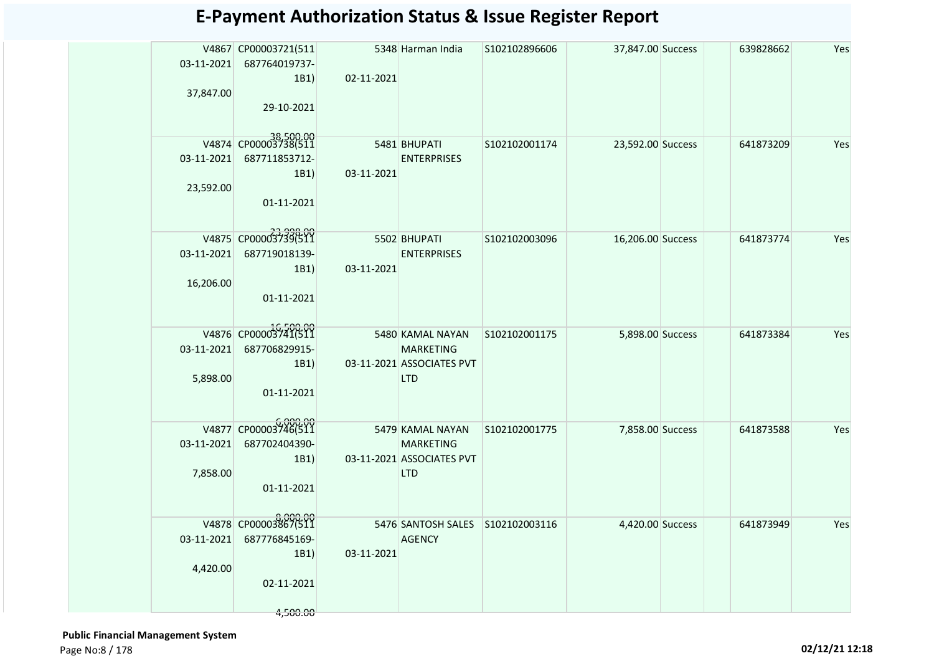|            | V4867 CP00003721(511                  |            | 5348 Harman India                             | S102102896606 | 37,847.00 Success | 639828662 | Yes |
|------------|---------------------------------------|------------|-----------------------------------------------|---------------|-------------------|-----------|-----|
| 03-11-2021 | 687764019737-                         |            |                                               |               |                   |           |     |
| 37,847.00  | 1B1)                                  | 02-11-2021 |                                               |               |                   |           |     |
|            | 29-10-2021                            |            |                                               |               |                   |           |     |
|            |                                       |            |                                               |               |                   |           |     |
|            | V4874 CP00003738(511                  |            | 5481 BHUPATI                                  | S102102001174 | 23,592.00 Success | 641873209 | Yes |
| 03-11-2021 | 687711853712-                         |            | <b>ENTERPRISES</b>                            |               |                   |           |     |
|            | 1B1)                                  | 03-11-2021 |                                               |               |                   |           |     |
| 23,592.00  | 01-11-2021                            |            |                                               |               |                   |           |     |
|            |                                       |            |                                               |               |                   |           |     |
|            | V4875 CP000037396500                  |            | 5502 BHUPATI                                  | S102102003096 | 16,206.00 Success | 641873774 | Yes |
| 03-11-2021 | 687719018139-                         |            | <b>ENTERPRISES</b>                            |               |                   |           |     |
|            | 1B1)                                  | 03-11-2021 |                                               |               |                   |           |     |
| 16,206.00  |                                       |            |                                               |               |                   |           |     |
|            | 01-11-2021                            |            |                                               |               |                   |           |     |
|            |                                       |            |                                               |               |                   |           |     |
| 03-11-2021 | V4876 CP00003741(511<br>687706829915- |            | 5480 KAMAL NAYAN                              | S102102001175 | 5,898.00 Success  | 641873384 | Yes |
|            | 1B1)                                  |            | <b>MARKETING</b><br>03-11-2021 ASSOCIATES PVT |               |                   |           |     |
| 5,898.00   |                                       |            | <b>LTD</b>                                    |               |                   |           |     |
|            | 01-11-2021                            |            |                                               |               |                   |           |     |
|            |                                       |            |                                               |               |                   |           |     |
|            | V4877 CP00003746(511                  |            | 5479 KAMAL NAYAN                              | S102102001775 | 7,858.00 Success  | 641873588 | Yes |
| 03-11-2021 | 687702404390-<br>1B1)                 |            | <b>MARKETING</b><br>03-11-2021 ASSOCIATES PVT |               |                   |           |     |
| 7,858.00   |                                       |            | LTD                                           |               |                   |           |     |
|            | 01-11-2021                            |            |                                               |               |                   |           |     |
|            |                                       |            |                                               |               |                   |           |     |
|            | 000.00<br>V4878 CP00003867(511        |            | 5476 SANTOSH SALES S102102003116              |               | 4,420.00 Success  | 641873949 | Yes |
| 03-11-2021 | 687776845169-<br>1B1)                 | 03-11-2021 | <b>AGENCY</b>                                 |               |                   |           |     |
| 4,420.00   |                                       |            |                                               |               |                   |           |     |
|            | 02-11-2021                            |            |                                               |               |                   |           |     |
|            |                                       |            |                                               |               |                   |           |     |
|            | 4,500.00                              |            |                                               |               |                   |           |     |

 **Public Financial Management System**  Page No:8 / 178 **02/12/21 12:18**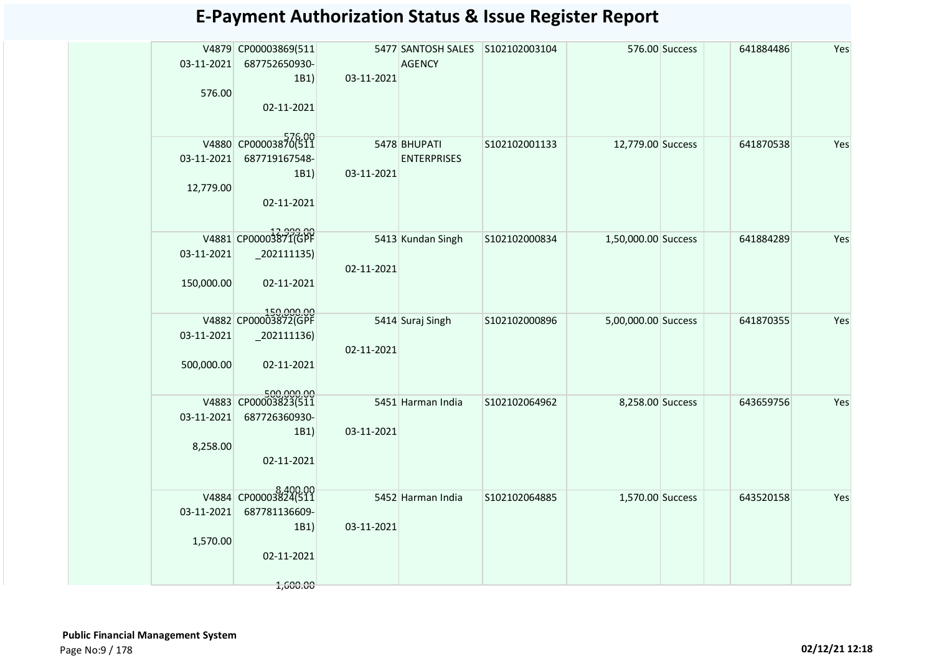| 03-11-2021<br>576.00     | V4879 CP00003869(511<br>687752650930-<br>1B1)<br>02-11-2021               | 03-11-2021 | 5477 SANTOSH SALES<br><b>AGENCY</b> | S102102003104 |                     | 576.00 Success | 641884486 | Yes |
|--------------------------|---------------------------------------------------------------------------|------------|-------------------------------------|---------------|---------------------|----------------|-----------|-----|
| 03-11-2021<br>12,779.00  | V4880 CP00003870(511<br>687719167548-<br>1B1)<br>02-11-2021               | 03-11-2021 | 5478 BHUPATI<br><b>ENTERPRISES</b>  | S102102001133 | 12,779.00 Success   |                | 641870538 | Yes |
| 03-11-2021<br>150,000.00 | V4881 CP00003871(GPF<br>$_2$ 02111135)<br>02-11-2021                      | 02-11-2021 | 5413 Kundan Singh                   | S102102000834 | 1,50,000.00 Success |                | 641884289 | Yes |
| 03-11-2021<br>500,000.00 | 150,000.00<br>V4882 CP00003872(GPF<br>$_2$ 02111136)<br>02-11-2021        | 02-11-2021 | 5414 Suraj Singh                    | S102102000896 | 5,00,000.00 Success |                | 641870355 | Yes |
| 03-11-2021<br>8,258.00   | 500,000.00<br>V4883 CP00003823(511<br>687726360930-<br>1B1)<br>02-11-2021 | 03-11-2021 | 5451 Harman India                   | S102102064962 | 8,258.00 Success    |                | 643659756 | Yes |
| 03-11-2021<br>1,570.00   | V4884 CP00003824(511<br>687781136609-<br>1B1)<br>02-11-2021               | 03-11-2021 | 5452 Harman India                   | S102102064885 | 1,570.00 Success    |                | 643520158 | Yes |
|                          | 1,600.00                                                                  |            |                                     |               |                     |                |           |     |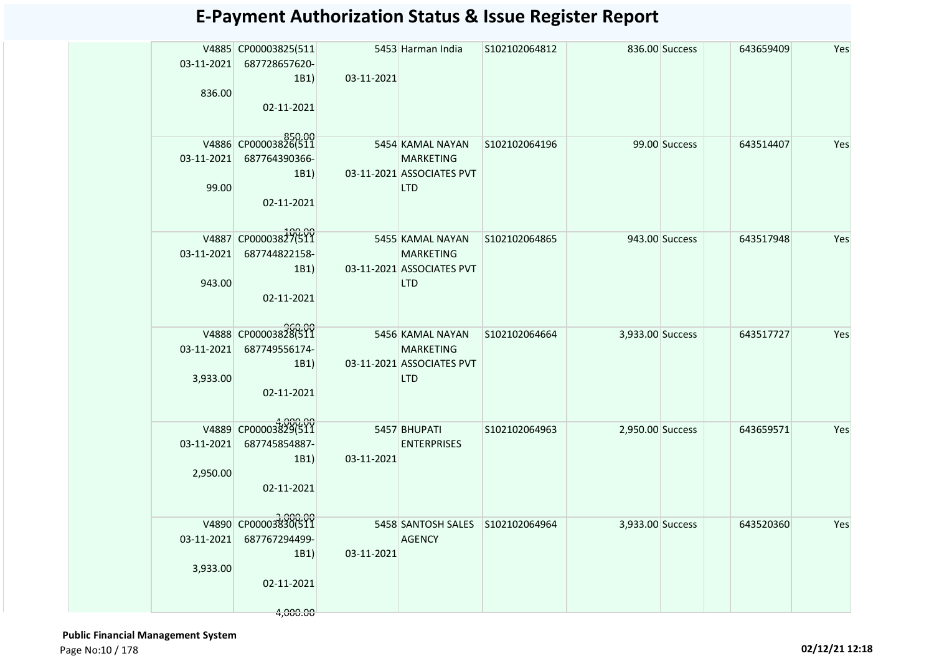| 03-11-2021<br>836.00   | V4885 CP00003825(511<br>687728657620-<br>1B1)<br>02-11-2021             | 03-11-2021                 | 5453 Harman India                                                                             | S102102064812 |                  | 836.00 Success | 643659409 | Yes |
|------------------------|-------------------------------------------------------------------------|----------------------------|-----------------------------------------------------------------------------------------------|---------------|------------------|----------------|-----------|-----|
| 99.00                  | V4886 CP00003826(511<br>03-11-2021 687764390366-<br>1B1)<br>02-11-2021  |                            | 5454 KAMAL NAYAN S102102064196<br><b>MARKETING</b><br>03-11-2021 ASSOCIATES PVT<br><b>LTD</b> |               |                  | 99.00 Success  | 643514407 | Yes |
| 943.00                 | V4887 CP00003827(511<br>03-11-2021 687744822158-<br>1B1)<br>02-11-2021  |                            | 5455 KAMAL NAYAN<br><b>MARKETING</b><br>03-11-2021 ASSOCIATES PVT<br><b>LTD</b>               | S102102064865 |                  | 943.00 Success | 643517948 | Yes |
| 03-11-2021<br>3,933.00 | V4888 CP00003828(511<br>687749556174-<br>1B1)<br>02-11-2021             |                            | 5456 KAMAL NAYAN<br><b>MARKETING</b><br>03-11-2021 ASSOCIATES PVT<br><b>LTD</b>               | S102102064664 | 3,933.00 Success |                | 643517727 | Yes |
| 03-11-2021<br>2,950.00 | V4889 CP00003829(511<br>687745854887-<br>1B1)<br>02-11-2021             | 5457 BHUPATI<br>03-11-2021 | <b>ENTERPRISES</b>                                                                            | S102102064963 | 2,950.00 Success |                | 643659571 | Yes |
| 03-11-2021<br>3,933.00 | V4890 CP00003830(511<br>687767294499-<br>1B1)<br>02-11-2021<br>4,000.00 | 03-11-2021                 | 5458 SANTOSH SALES S102102064964<br><b>AGENCY</b>                                             |               | 3,933.00 Success |                | 643520360 | Yes |

 **Public Financial Management System**  Page No:10 / 178 **02/12/21 12:18**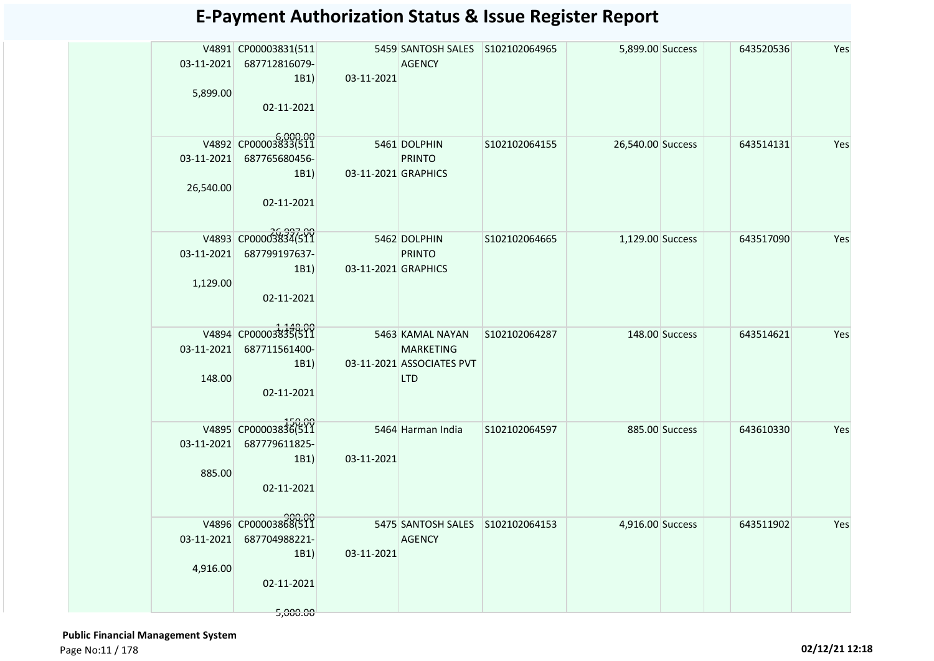| 5,899.00             | V4891 CP00003831(511<br>03-11-2021 687712816079-<br>1B1)<br>02-11-2021             | 03-11-2021                          | 5459 SANTOSH SALES S102102064965<br>AGENCY                                      |               | 5,899.00 Success  |                | 643520536 | Yes |
|----------------------|------------------------------------------------------------------------------------|-------------------------------------|---------------------------------------------------------------------------------|---------------|-------------------|----------------|-----------|-----|
| 26,540.00            | V4892 CP00003833(511<br>03-11-2021 687765680456-<br>1B1)<br>02-11-2021             | 03-11-2021 GRAPHICS                 | 5461 DOLPHIN<br><b>PRINTO</b>                                                   | S102102064155 | 26,540.00 Success |                | 643514131 | Yes |
| 1,129.00             | V4893 CP00003834(511<br>03-11-2021 687799197637-<br>1B1)<br>02-11-2021             | 5462 DOLPHIN<br>03-11-2021 GRAPHICS | PRINTO                                                                          | S102102064665 | 1,129.00 Success  |                | 643517090 | Yes |
| 03-11-2021<br>148.00 | V4894 CP00003835(511<br>687711561400-<br>1B1)<br>02-11-2021                        |                                     | 5463 KAMAL NAYAN<br><b>MARKETING</b><br>03-11-2021 ASSOCIATES PVT<br><b>LTD</b> | S102102064287 |                   | 148.00 Success | 643514621 | Yes |
| 03-11-2021<br>885.00 | V4895 CP00003836(511<br>687779611825-<br>1B1)<br>02-11-2021                        | 03-11-2021                          | 5464 Harman India                                                               | S102102064597 |                   | 885.00 Success | 643610330 | Yes |
| 4,916.00             | V4896 CP00003868(511<br>03-11-2021 687704988221-<br>1B1)<br>02-11-2021<br>5,000.00 | 03-11-2021                          | 5475 SANTOSH SALES S102102064153<br><b>AGENCY</b>                               |               | 4,916.00 Success  |                | 643511902 | Yes |

 **Public Financial Management System**  Page No:11 / 178 **02/12/21 12:18**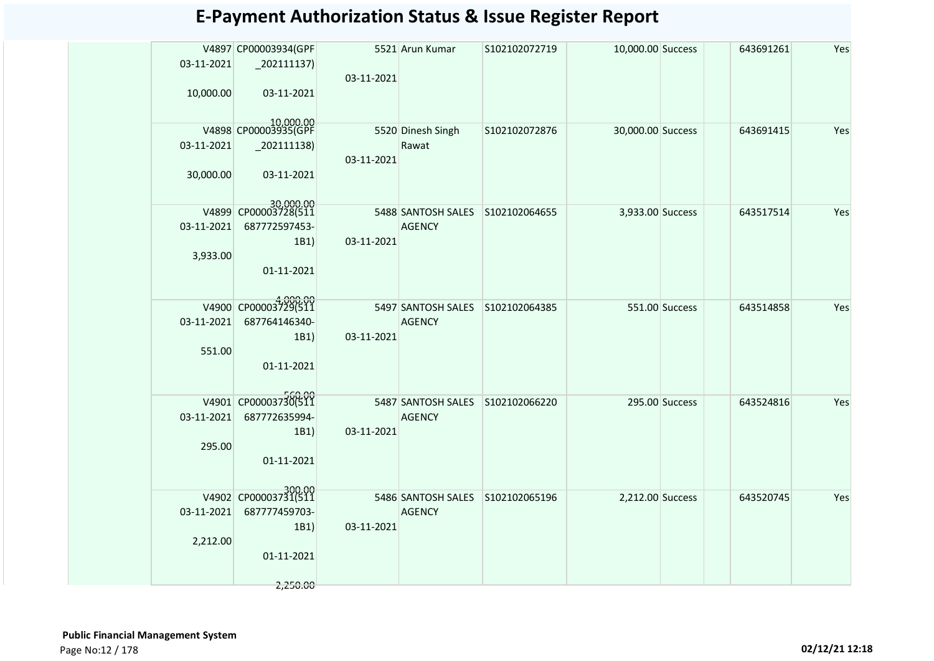| 03-11-2021 | V4897 CP00003934(GPF<br>$\left  \frac{202111137}{200111137} \right $ |            | 5521 Arun Kumar                  | S102102072719 | 10,000.00 Success |                | 643691261 | Yes |
|------------|----------------------------------------------------------------------|------------|----------------------------------|---------------|-------------------|----------------|-----------|-----|
|            |                                                                      | 03-11-2021 |                                  |               |                   |                |           |     |
| 10,000.00  | 03-11-2021                                                           |            |                                  |               |                   |                |           |     |
|            | 10,000.00<br>V4898 CP00003935(GPF                                    |            | 5520 Dinesh Singh                | S102102072876 | 30,000.00 Success |                | 643691415 | Yes |
| 03-11-2021 |                                                                      | 03-11-2021 | Rawat                            |               |                   |                |           |     |
| 30,000.00  | 03-11-2021                                                           |            |                                  |               |                   |                |           |     |
|            | 30,000.00<br>V4899 CP00003728(511                                    |            | 5488 SANTOSH SALES S102102064655 |               | 3,933.00 Success  |                | 643517514 | Yes |
| 03-11-2021 | 687772597453-<br>1B1                                                 | 03-11-2021 | <b>AGENCY</b>                    |               |                   |                |           |     |
| 3,933.00   | 01-11-2021                                                           |            |                                  |               |                   |                |           |     |
|            |                                                                      |            |                                  |               |                   |                |           |     |
| 03-11-2021 | V4900 CP00003729(511                                                 |            | 5497 SANTOSH SALES S102102064385 |               |                   | 551.00 Success | 643514858 | Yes |
|            | 687764146340-<br>1B1                                                 | 03-11-2021 | <b>AGENCY</b>                    |               |                   |                |           |     |
| 551.00     | 01-11-2021                                                           |            |                                  |               |                   |                |           |     |
|            |                                                                      |            |                                  |               |                   |                |           |     |
|            | V4901 CP00003730(511                                                 |            | 5487 SANTOSH SALES S102102066220 |               |                   | 295.00 Success | 643524816 | Yes |
| 03-11-2021 | 687772635994-<br>1B1)                                                | 03-11-2021 | <b>AGENCY</b>                    |               |                   |                |           |     |
| 295.00     | 01-11-2021                                                           |            |                                  |               |                   |                |           |     |
|            |                                                                      |            |                                  |               |                   |                |           |     |
|            | V4902 CP00003731(511                                                 |            | 5486 SANTOSH SALES S102102065196 |               | 2,212.00 Success  |                | 643520745 | Yes |
| 03-11-2021 | 687777459703-<br>1B1)                                                | 03-11-2021 | <b>AGENCY</b>                    |               |                   |                |           |     |
| 2,212.00   | 01-11-2021                                                           |            |                                  |               |                   |                |           |     |
|            |                                                                      |            |                                  |               |                   |                |           |     |
|            | 2,250.00                                                             |            |                                  |               |                   |                |           |     |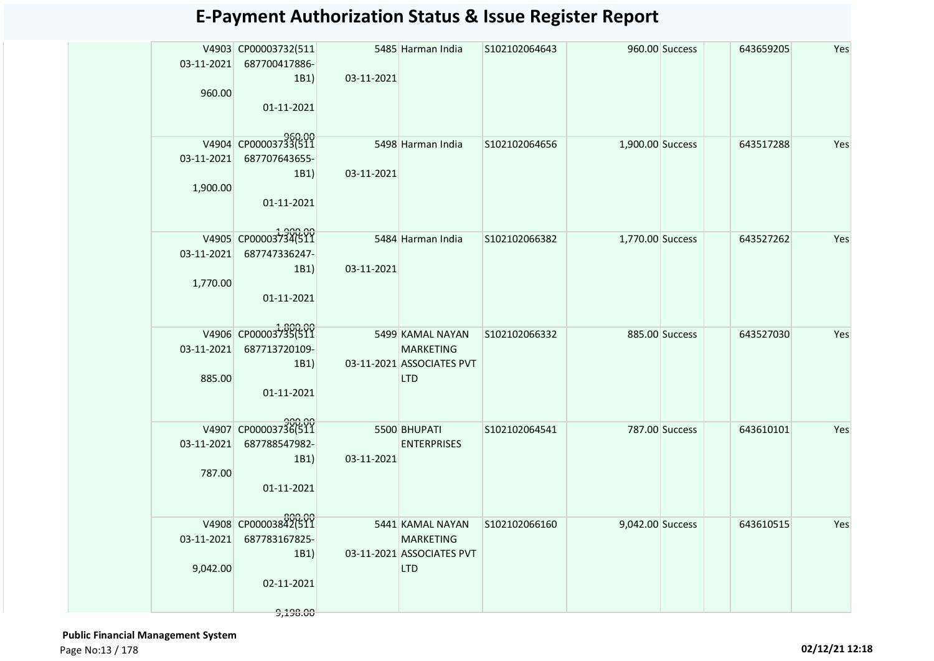| 5485 Harman India<br>V4903 CP00003732(511<br>S102102064643<br>960.00 Success<br>03-11-2021<br>687700417886-<br>03-11-2021<br>1B1) | 643659205<br>Yes |
|-----------------------------------------------------------------------------------------------------------------------------------|------------------|
|                                                                                                                                   |                  |
|                                                                                                                                   |                  |
|                                                                                                                                   |                  |
| 960.00                                                                                                                            |                  |
| 01-11-2021                                                                                                                        |                  |
|                                                                                                                                   |                  |
| V4904 CP00003733(511                                                                                                              |                  |
| 5498 Harman India<br>S102102064656<br>1,900.00 Success                                                                            | 643517288<br>Yes |
| 03-11-2021 687707643655-                                                                                                          |                  |
| 03-11-2021<br>1B1)                                                                                                                |                  |
| 1,900.00                                                                                                                          |                  |
| 01-11-2021                                                                                                                        |                  |
|                                                                                                                                   |                  |
| V4905 CP00003734(511<br>5484 Harman India<br>1,770.00 Success<br>S102102066382                                                    | 643527262<br>Yes |
| 03-11-2021 687747336247-                                                                                                          |                  |
| 03-11-2021<br>1B1)                                                                                                                |                  |
| 1,770.00                                                                                                                          |                  |
| 01-11-2021                                                                                                                        |                  |
|                                                                                                                                   |                  |
|                                                                                                                                   |                  |
| V4906 CP00003735(511<br>5499 KAMAL NAYAN<br>S102102066332<br>885.00 Success                                                       | 643527030<br>Yes |
| 03-11-2021<br>687713720109-<br><b>MARKETING</b>                                                                                   |                  |
| 03-11-2021 ASSOCIATES PVT<br>1B1                                                                                                  |                  |
| 885.00<br><b>LTD</b>                                                                                                              |                  |
| 01-11-2021                                                                                                                        |                  |
|                                                                                                                                   |                  |
| V4907 CP00003736(511                                                                                                              |                  |
| 5500 BHUPATI<br>S102102064541<br>787.00 Success                                                                                   | Yes<br>643610101 |
| 03-11-2021<br>687788547982-<br><b>ENTERPRISES</b>                                                                                 |                  |
| 03-11-2021<br>1B1                                                                                                                 |                  |
| 787.00                                                                                                                            |                  |
| 01-11-2021                                                                                                                        |                  |
|                                                                                                                                   |                  |
| 800.00<br>V4908 CP00003842(511<br>5441 KAMAL NAYAN<br>9,042.00 Success<br>S102102066160                                           | 643610515<br>Yes |
| 03-11-2021 687783167825-<br><b>MARKETING</b>                                                                                      |                  |
| 1B1<br>03-11-2021 ASSOCIATES PVT                                                                                                  |                  |
| 9,042.00<br><b>LTD</b>                                                                                                            |                  |
| 02-11-2021                                                                                                                        |                  |
|                                                                                                                                   |                  |
| 9,198.00                                                                                                                          |                  |

 **Public Financial Management System**  Page No:13 / 178 **02/12/21 12:18**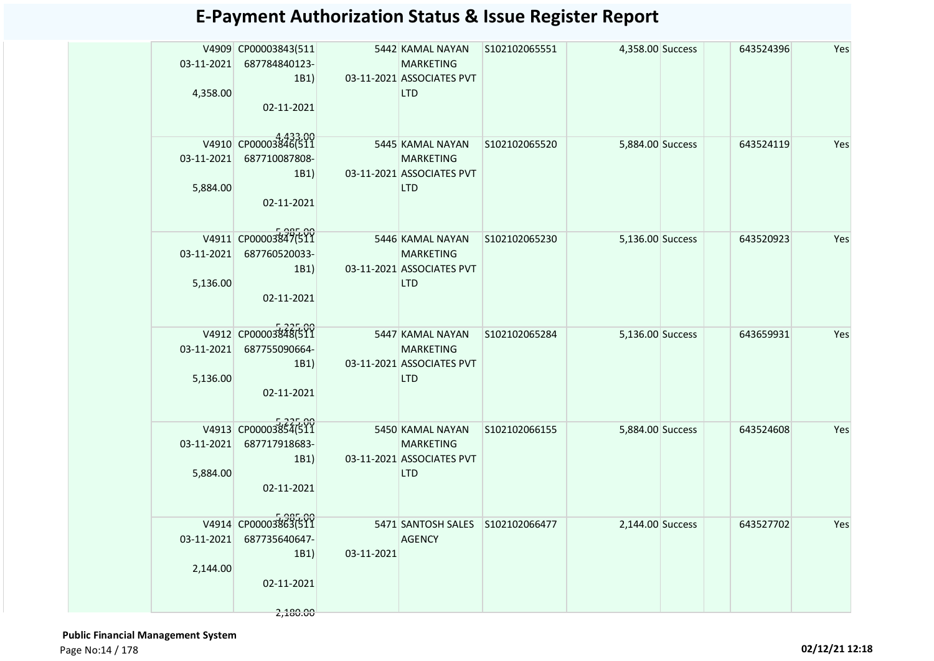|                  | V4909 CP00003843(511<br>03-11-2021 687784840123-<br>1B1)<br>4,358.00<br>02-11-2021             |            | 5442 KAMAL NAYAN S102102065551<br><b>MARKETING</b><br>03-11-2021 ASSOCIATES PVT<br><b>LTD</b> |               | 4,358.00 Success | 643524396 | Yes |
|------------------|------------------------------------------------------------------------------------------------|------------|-----------------------------------------------------------------------------------------------|---------------|------------------|-----------|-----|
|                  | V4910 CP00003846(511<br>03-11-2021 687710087808-<br>1B1)<br>5,884.00<br>02-11-2021             |            | 5445 KAMAL NAYAN<br><b>MARKETING</b><br>03-11-2021 ASSOCIATES PVT<br><b>LTD</b>               | S102102065520 | 5,884.00 Success | 643524119 | Yes |
| $03 - 11 - 2021$ | V4911 CP00003847(511<br>687760520033-<br>1B1)<br>5,136.00<br>02-11-2021                        |            | 5446 KAMAL NAYAN<br><b>MARKETING</b><br>03-11-2021 ASSOCIATES PVT<br><b>LTD</b>               | S102102065230 | 5,136.00 Success | 643520923 | Yes |
| 03-11-2021       | V4912 CP00003848(511<br>687755090664-<br>1B1)<br>5,136.00<br>02-11-2021                        |            | 5447 KAMAL NAYAN<br><b>MARKETING</b><br>03-11-2021 ASSOCIATES PVT<br><b>LTD</b>               | S102102065284 | 5,136.00 Success | 643659931 | Yes |
| $03 - 11 - 2021$ | V4913 CP00003854(511<br>687717918683-<br>1B1)<br>5,884.00<br>02-11-2021                        |            | 5450 KAMAL NAYAN<br><b>MARKETING</b><br>03-11-2021 ASSOCIATES PVT<br><b>LTD</b>               | S102102066155 | 5,884.00 Success | 643524608 | Yes |
|                  | V4914 CP00003863(511<br>03-11-2021 687735640647-<br>1B1)<br>2,144.00<br>02-11-2021<br>2,180.00 | 03-11-2021 | 5471 SANTOSH SALES S102102066477<br><b>AGENCY</b>                                             |               | 2,144.00 Success | 643527702 | Yes |

 **Public Financial Management System**  Page No:14 / 178 **02/12/21 12:18**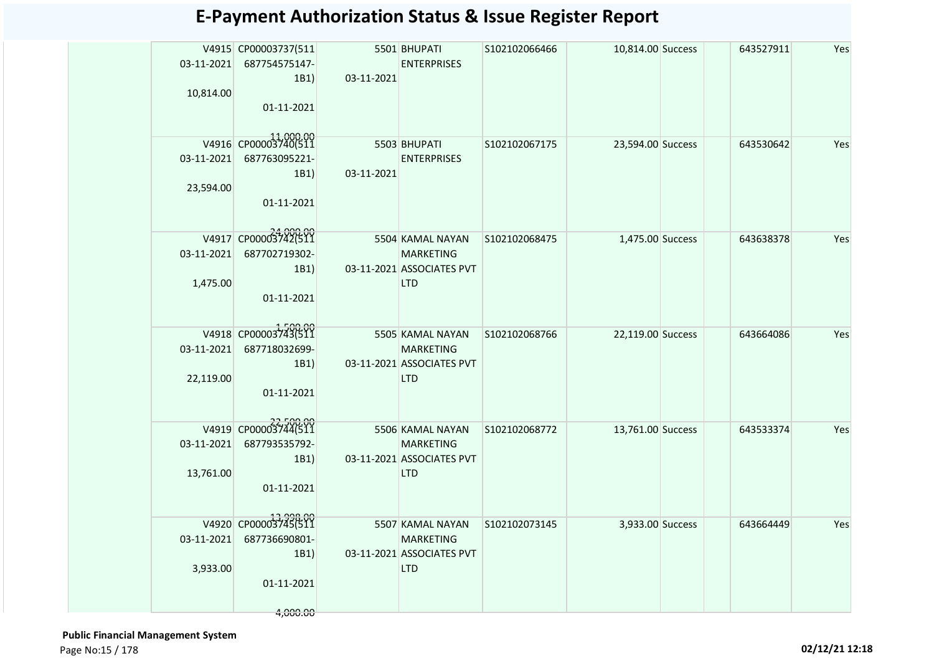| 03-11-2021<br>10,814.00 | V4915 CP00003737(511<br>687754575147-<br>1B1 | 03-11-2021 | 5501 BHUPATI<br><b>ENTERPRISES</b>            | S102102066466 | 10,814.00 Success | 643527911 | Yes |
|-------------------------|----------------------------------------------|------------|-----------------------------------------------|---------------|-------------------|-----------|-----|
|                         | 01-11-2021                                   |            |                                               |               |                   |           |     |
|                         | V4916 CP00003740(511                         |            | 5503 BHUPATI                                  | S102102067175 | 23,594.00 Success | 643530642 | Yes |
| 03-11-2021              | 687763095221-                                |            | <b>ENTERPRISES</b>                            |               |                   |           |     |
|                         | 1B1)                                         | 03-11-2021 |                                               |               |                   |           |     |
| 23,594.00               |                                              |            |                                               |               |                   |           |     |
|                         | 01-11-2021                                   |            |                                               |               |                   |           |     |
|                         | V4917 CP00003742(511                         |            | 5504 KAMAL NAYAN                              | S102102068475 | 1,475.00 Success  | 643638378 | Yes |
| 03-11-2021              | 687702719302-                                |            | <b>MARKETING</b>                              |               |                   |           |     |
|                         | 1B1)                                         |            | 03-11-2021 ASSOCIATES PVT                     |               |                   |           |     |
| 1,475.00                |                                              |            | <b>LTD</b>                                    |               |                   |           |     |
|                         | 01-11-2021                                   |            |                                               |               |                   |           |     |
|                         |                                              |            |                                               |               |                   |           |     |
|                         | V4918 CP00003743(511                         |            | 5505 KAMAL NAYAN                              | S102102068766 | 22,119.00 Success | 643664086 | Yes |
| 03-11-2021              | 687718032699-<br>1B1)                        |            | <b>MARKETING</b><br>03-11-2021 ASSOCIATES PVT |               |                   |           |     |
| 22,119.00               |                                              |            | <b>LTD</b>                                    |               |                   |           |     |
|                         | 01-11-2021                                   |            |                                               |               |                   |           |     |
|                         |                                              |            |                                               |               |                   |           |     |
|                         | V4919 CP00003744(511                         |            | 5506 KAMAL NAYAN                              | S102102068772 | 13,761.00 Success | 643533374 | Yes |
| 03-11-2021              | 687793535792-                                |            | <b>MARKETING</b>                              |               |                   |           |     |
|                         | 1B1                                          |            | 03-11-2021 ASSOCIATES PVT                     |               |                   |           |     |
| 13,761.00               | 01-11-2021                                   |            | <b>LTD</b>                                    |               |                   |           |     |
|                         |                                              |            |                                               |               |                   |           |     |
|                         | V4920 CP00003745(511                         |            | 5507 KAMAL NAYAN                              | S102102073145 | 3,933.00 Success  | 643664449 | Yes |
| 03-11-2021              | 687736690801-                                |            | <b>MARKETING</b>                              |               |                   |           |     |
|                         | 1B1)                                         |            | 03-11-2021 ASSOCIATES PVT                     |               |                   |           |     |
| 3,933.00                |                                              |            | <b>LTD</b>                                    |               |                   |           |     |
|                         | 01-11-2021                                   |            |                                               |               |                   |           |     |
|                         | 4,000.00                                     |            |                                               |               |                   |           |     |
|                         |                                              |            |                                               |               |                   |           |     |

 **Public Financial Management System**  Page No:15 / 178 **02/12/21 12:18**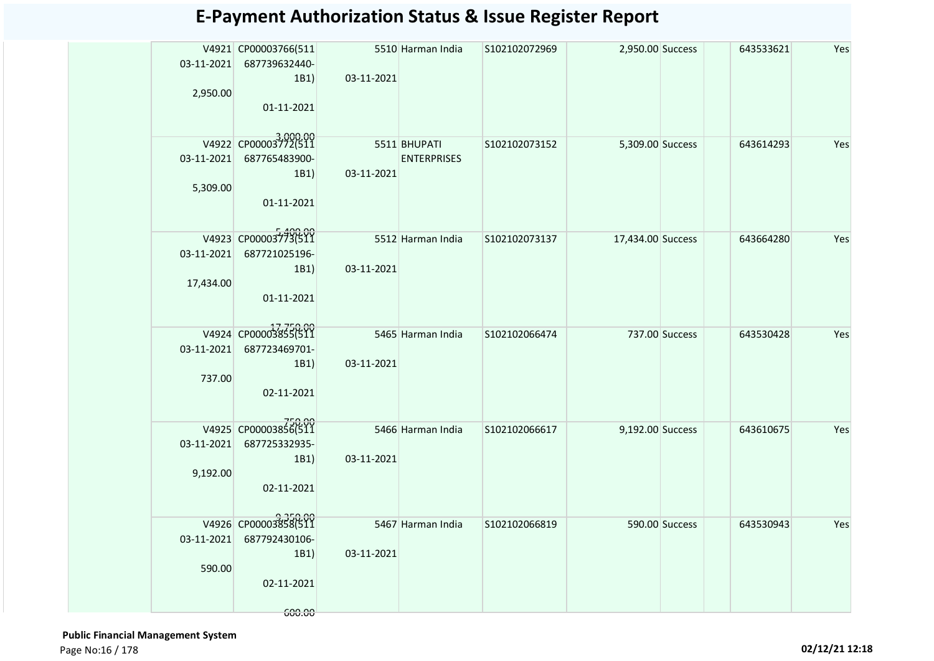|            | V4921 CP00003766(511             |                   | 5510 Harman India  | S102102072969 | 2,950.00 Success  |                | 643533621 | Yes |
|------------|----------------------------------|-------------------|--------------------|---------------|-------------------|----------------|-----------|-----|
|            | 03-11-2021 687739632440-         |                   |                    |               |                   |                |           |     |
|            | 1B1)                             | 03-11-2021        |                    |               |                   |                |           |     |
| 2,950.00   | 01-11-2021                       |                   |                    |               |                   |                |           |     |
|            |                                  |                   |                    |               |                   |                |           |     |
|            | V4922 CP00003772(511             |                   |                    |               |                   |                |           |     |
|            |                                  |                   | 5511 BHUPATI       | S102102073152 | 5,309.00 Success  |                | 643614293 | Yes |
|            | 03-11-2021 687765483900-<br>1B1) | 03-11-2021        | <b>ENTERPRISES</b> |               |                   |                |           |     |
| 5,309.00   |                                  |                   |                    |               |                   |                |           |     |
|            | 01-11-2021                       |                   |                    |               |                   |                |           |     |
|            |                                  |                   |                    |               |                   |                |           |     |
|            | V4923 CP00003773(511             |                   | 5512 Harman India  | S102102073137 | 17,434.00 Success |                | 643664280 | Yes |
|            | 03-11-2021 687721025196-         |                   |                    |               |                   |                |           |     |
|            | 1B1)                             | 03-11-2021        |                    |               |                   |                |           |     |
| 17,434.00  |                                  |                   |                    |               |                   |                |           |     |
|            | 01-11-2021                       |                   |                    |               |                   |                |           |     |
|            |                                  |                   |                    |               |                   |                |           |     |
|            | V4924 CP00003855(511             | 5465 Harman India |                    | S102102066474 |                   | 737.00 Success | 643530428 | Yes |
| 03-11-2021 | 687723469701-                    |                   |                    |               |                   |                |           |     |
|            | 1B1)                             | 03-11-2021        |                    |               |                   |                |           |     |
| 737.00     |                                  |                   |                    |               |                   |                |           |     |
|            | 02-11-2021                       |                   |                    |               |                   |                |           |     |
|            |                                  |                   |                    |               |                   |                |           |     |
|            | V4925 CP00003856(511             |                   | 5466 Harman India  | S102102066617 | 9,192.00 Success  |                | 643610675 | Yes |
| 03-11-2021 | 687725332935-                    | 03-11-2021        |                    |               |                   |                |           |     |
| 9,192.00   | 1B1)                             |                   |                    |               |                   |                |           |     |
|            | 02-11-2021                       |                   |                    |               |                   |                |           |     |
|            |                                  |                   |                    |               |                   |                |           |     |
|            | V4926 CP00003858(511             |                   | 5467 Harman India  | S102102066819 |                   | 590.00 Success | 643530943 | Yes |
| 03-11-2021 | 687792430106-                    |                   |                    |               |                   |                |           |     |
|            | 1B1)                             | 03-11-2021        |                    |               |                   |                |           |     |
| 590.00     |                                  |                   |                    |               |                   |                |           |     |
|            | 02-11-2021                       |                   |                    |               |                   |                |           |     |
|            |                                  |                   |                    |               |                   |                |           |     |
|            | 600.00                           |                   |                    |               |                   |                |           |     |

 **Public Financial Management System**  Page No:16 / 178 **02/12/21 12:18**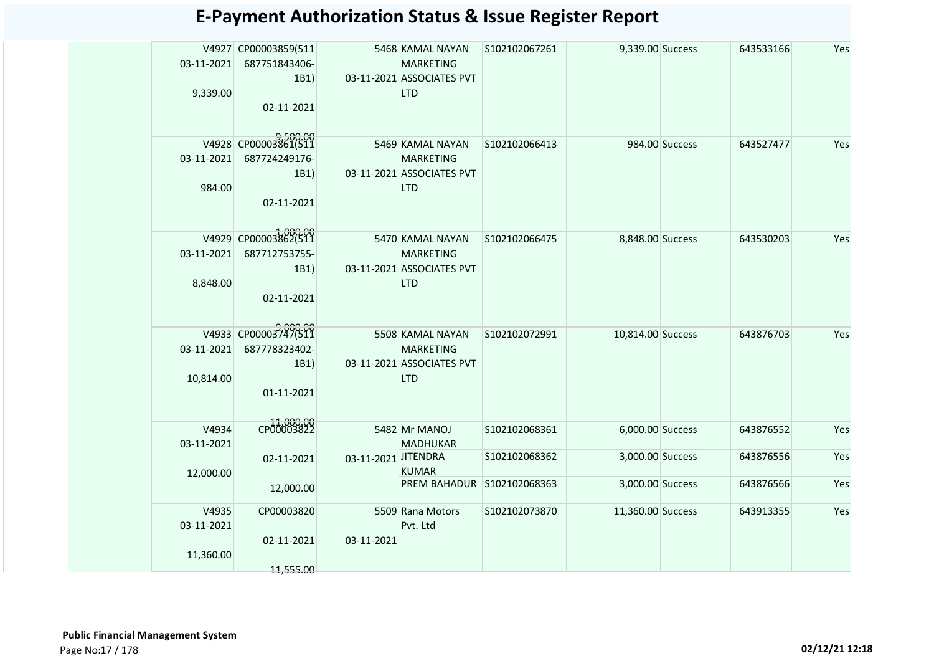| 03-11-2021<br>9,339.00           | V4927 CP00003859(511<br>687751843406-<br>1B1)<br>02-11-2021 |                     | 5468 KAMAL NAYAN<br><b>MARKETING</b><br>03-11-2021 ASSOCIATES PVT<br><b>LTD</b> | S102102067261                  | 9,339.00 Success                     |                | 643533166              | Yes        |
|----------------------------------|-------------------------------------------------------------|---------------------|---------------------------------------------------------------------------------|--------------------------------|--------------------------------------|----------------|------------------------|------------|
| 03-11-2021<br>984.00             | V4928 CP00003861(511<br>687724249176-<br>1B1)<br>02-11-2021 |                     | 5469 KAMAL NAYAN<br><b>MARKETING</b><br>03-11-2021 ASSOCIATES PVT<br><b>LTD</b> | S102102066413                  |                                      | 984.00 Success | 643527477              | Yes        |
| 03-11-2021<br>8,848.00           | V4929 CP00003862(511<br>687712753755-<br>1B1)<br>02-11-2021 |                     | 5470 KAMAL NAYAN<br><b>MARKETING</b><br>03-11-2021 ASSOCIATES PVT<br><b>LTD</b> | S102102066475                  | 8,848.00 Success                     |                | 643530203              | Yes        |
| 03-11-2021<br>10,814.00          | V4933 CP00003747(511<br>687778323402-<br>1B1)<br>01-11-2021 |                     | 5508 KAMAL NAYAN<br><b>MARKETING</b><br>03-11-2021 ASSOCIATES PVT<br><b>LTD</b> | S102102072991                  | 10,814.00 Success                    |                | 643876703              | Yes        |
| V4934<br>03-11-2021              | CP00003822                                                  |                     | 5482 Mr MANOJ<br><b>MADHUKAR</b>                                                | S102102068361                  | 6,000.00 Success                     |                | 643876552              | Yes        |
| 12,000.00                        | 02-11-2021                                                  | 03-11-2021 JITENDRA | <b>KUMAR</b><br>PREM BAHADUR                                                    | S102102068362<br>S102102068363 | 3,000.00 Success<br>3,000.00 Success |                | 643876556<br>643876566 | Yes<br>Yes |
|                                  | 12,000.00                                                   |                     |                                                                                 |                                |                                      |                |                        |            |
| V4935<br>03-11-2021<br>11,360.00 | CP00003820<br>02-11-2021                                    | 03-11-2021          | 5509 Rana Motors<br>Pvt. Ltd                                                    | S102102073870                  | 11,360.00 Success                    |                | 643913355              | Yes        |
|                                  | 11,555.00                                                   |                     |                                                                                 |                                |                                      |                |                        |            |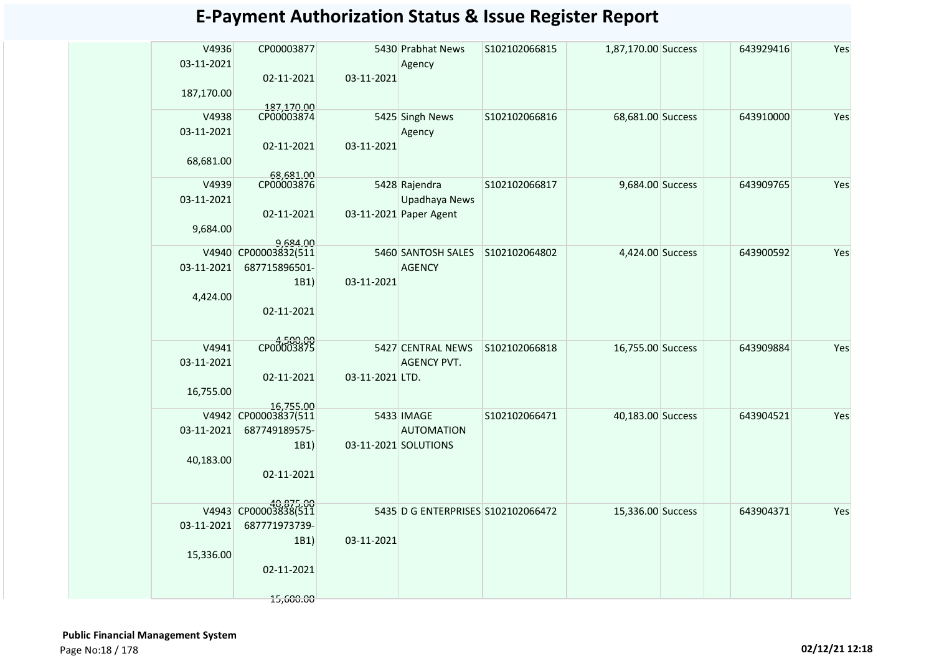| V4936<br>03-11-2021 | CP00003877                        |                 | 5430 Prabhat News<br>Agency        | S102102066815 | 1,87,170.00 Success | 643929416 | Yes |
|---------------------|-----------------------------------|-----------------|------------------------------------|---------------|---------------------|-----------|-----|
|                     | 02-11-2021                        | 03-11-2021      |                                    |               |                     |           |     |
| 187,170.00          |                                   |                 |                                    |               |                     |           |     |
|                     | 187,170.00                        |                 |                                    |               |                     |           |     |
| V4938               | CP00003874                        |                 | 5425 Singh News                    | S102102066816 | 68,681.00 Success   | 643910000 | Yes |
| 03-11-2021          |                                   |                 | Agency                             |               |                     |           |     |
|                     | 02-11-2021                        | 03-11-2021      |                                    |               |                     |           |     |
| 68,681.00           | 68,681.00                         |                 |                                    |               |                     |           |     |
| V4939               | CP00003876                        |                 | 5428 Rajendra                      | S102102066817 | 9,684.00 Success    | 643909765 | Yes |
| 03-11-2021          |                                   |                 | Upadhaya News                      |               |                     |           |     |
|                     | 02-11-2021                        |                 | 03-11-2021 Paper Agent             |               |                     |           |     |
| 9,684.00            |                                   |                 |                                    |               |                     |           |     |
|                     | 9.684.00                          |                 |                                    |               |                     |           |     |
| V4940               | CP00003832(511                    |                 | 5460 SANTOSH SALES                 | S102102064802 | 4,424.00 Success    | 643900592 | Yes |
| 03-11-2021          | 687715896501-                     | 03-11-2021      | <b>AGENCY</b>                      |               |                     |           |     |
| 4,424.00            | 1B1)                              |                 |                                    |               |                     |           |     |
|                     | 02-11-2021                        |                 |                                    |               |                     |           |     |
|                     |                                   |                 |                                    |               |                     |           |     |
|                     |                                   |                 |                                    |               |                     |           |     |
| V4941               | CP00003875                        |                 | 5427 CENTRAL NEWS                  | S102102066818 | 16,755.00 Success   | 643909884 | Yes |
| 03-11-2021          |                                   |                 | <b>AGENCY PVT.</b>                 |               |                     |           |     |
|                     | 02-11-2021                        | 03-11-2021 LTD. |                                    |               |                     |           |     |
| 16,755.00           |                                   |                 |                                    |               |                     |           |     |
|                     | 16,755.00<br>V4942 CP00003837(511 |                 | 5433 IMAGE                         | S102102066471 | 40,183.00 Success   | 643904521 | Yes |
| 03-11-2021          | 687749189575-                     |                 | <b>AUTOMATION</b>                  |               |                     |           |     |
|                     | 1B1)                              |                 | 03-11-2021 SOLUTIONS               |               |                     |           |     |
| 40,183.00           |                                   |                 |                                    |               |                     |           |     |
|                     | 02-11-2021                        |                 |                                    |               |                     |           |     |
|                     |                                   |                 |                                    |               |                     |           |     |
|                     | V4943 CP00003838(511              |                 | 5435 D G ENTERPRISES S102102066472 |               | 15,336.00 Success   | 643904371 | Yes |
| 03-11-2021          | 687771973739-                     |                 |                                    |               |                     |           |     |
|                     | 1B1)                              | 03-11-2021      |                                    |               |                     |           |     |
| 15,336.00           |                                   |                 |                                    |               |                     |           |     |
|                     | 02-11-2021                        |                 |                                    |               |                     |           |     |
|                     |                                   |                 |                                    |               |                     |           |     |
|                     | 15,600.00                         |                 |                                    |               |                     |           |     |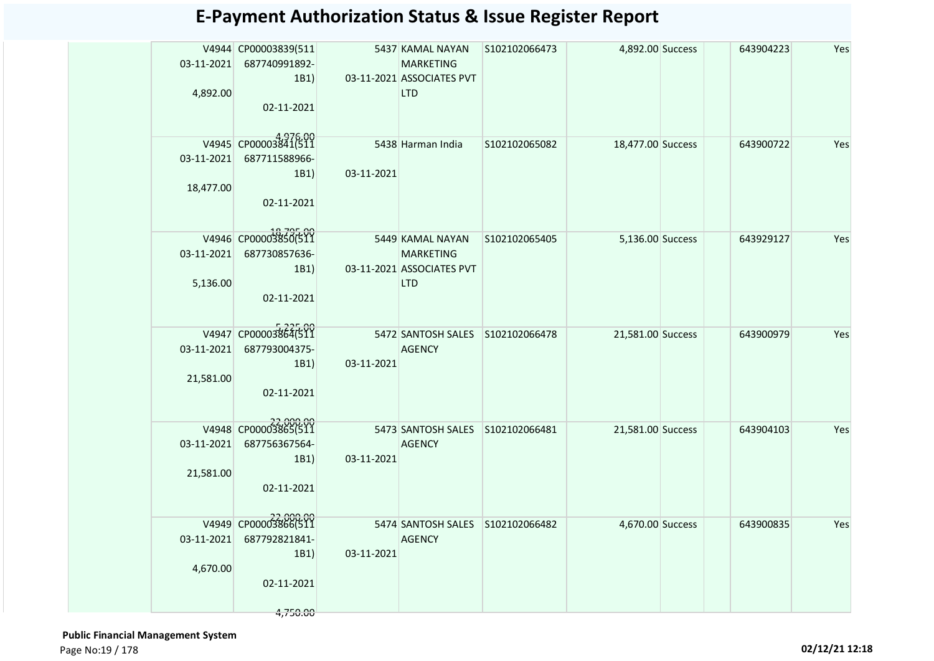| 4,892.00                | V4944 CP00003839(511<br>03-11-2021 687740991892-<br>1B1<br>02-11-2021   |            | 5437 KAMAL NAYAN<br><b>MARKETING</b><br>03-11-2021 ASSOCIATES PVT<br><b>LTD</b> | S102102066473 | 4,892.00 Success  | 643904223 | Yes |
|-------------------------|-------------------------------------------------------------------------|------------|---------------------------------------------------------------------------------|---------------|-------------------|-----------|-----|
| 03-11-2021<br>18,477.00 | V4945 CP00003841(511<br>687711588966-<br>1B1)<br>02-11-2021             | 03-11-2021 | 5438 Harman India                                                               | S102102065082 | 18,477.00 Success | 643900722 | Yes |
| 5,136.00                | V4946 CP00003850(511<br>03-11-2021 687730857636-<br>1B1<br>02-11-2021   |            | 5449 KAMAL NAYAN<br><b>MARKETING</b><br>03-11-2021 ASSOCIATES PVT<br><b>LTD</b> | S102102065405 | 5,136.00 Success  | 643929127 | Yes |
| 03-11-2021<br>21,581.00 | V4947 CP00003864(511<br>687793004375-<br>1B1)<br>02-11-2021             | 03-11-2021 | 5472 SANTOSH SALES S102102066478<br><b>AGENCY</b>                               |               | 21,581.00 Success | 643900979 | Yes |
| 03-11-2021<br>21,581.00 | V4948 CP00003865(511<br>687756367564-<br>1B1)<br>02-11-2021             | 03-11-2021 | 5473 SANTOSH SALES S102102066481<br><b>AGENCY</b>                               |               | 21,581.00 Success | 643904103 | Yes |
| 03-11-2021<br>4,670.00  | V4949 CP00003866(511<br>687792821841-<br>1B1)<br>02-11-2021<br>4,750.00 | 03-11-2021 | 5474 SANTOSH SALES S102102066482<br><b>AGENCY</b>                               |               | 4,670.00 Success  | 643900835 | Yes |

 **Public Financial Management System**  Page No:19 / 178 **02/12/21 12:18**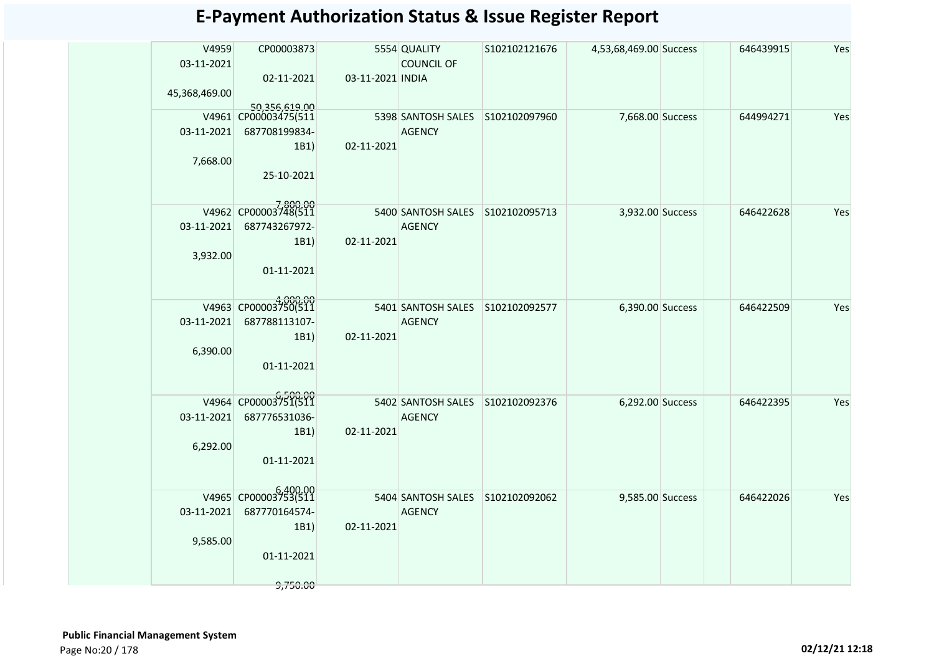| V4959<br>CP00003873<br>5554 QUALITY<br>S102102121676<br>4,53,68,469.00 Success<br>646439915<br>03-11-2021<br><b>COUNCIL OF</b><br>02-11-2021<br>03-11-2021 INDIA<br>45,368,469.00 | Yes<br>Yes |
|-----------------------------------------------------------------------------------------------------------------------------------------------------------------------------------|------------|
|                                                                                                                                                                                   |            |
|                                                                                                                                                                                   |            |
| 50,356,619.00<br>V4961 CP00003475(511<br>5398 SANTOSH SALES<br>S102102097960<br>7,668.00 Success<br>644994271                                                                     |            |
| 03-11-2021<br>687708199834-<br><b>AGENCY</b>                                                                                                                                      |            |
| 02-11-2021<br>1B1)                                                                                                                                                                |            |
| 7,668.00<br>25-10-2021                                                                                                                                                            |            |
| V4962 CP00003748(511<br>5400 SANTOSH SALES S102102095713<br>3,932.00 Success<br>646422628                                                                                         | Yes        |
| 03-11-2021<br>687743267972-<br><b>AGENCY</b>                                                                                                                                      |            |
| 1B1)<br>02-11-2021                                                                                                                                                                |            |
| 3,932.00                                                                                                                                                                          |            |
| 01-11-2021                                                                                                                                                                        |            |
| V4963 CP00003750(511                                                                                                                                                              |            |
| 5401 SANTOSH SALES S102102092577<br>6,390.00 Success<br>646422509<br>03-11-2021<br>687788113107-<br><b>AGENCY</b>                                                                 | Yes        |
| 02-11-2021<br>1B1)                                                                                                                                                                |            |
| 6,390.00                                                                                                                                                                          |            |
| 01-11-2021                                                                                                                                                                        |            |
|                                                                                                                                                                                   |            |
| V4964 CP00003751(511<br>5402 SANTOSH SALES S102102092376<br>6,292.00 Success<br>646422395                                                                                         | Yes        |
| 03-11-2021<br>687776531036-<br><b>AGENCY</b>                                                                                                                                      |            |
| 02-11-2021<br>1B1)                                                                                                                                                                |            |
| 6,292.00                                                                                                                                                                          |            |
| 01-11-2021                                                                                                                                                                        |            |
|                                                                                                                                                                                   |            |
| V4965 CP00003753(511<br>5404 SANTOSH SALES S102102092062<br>9,585.00 Success<br>646422026                                                                                         | Yes        |
| 03-11-2021<br>687770164574-<br><b>AGENCY</b>                                                                                                                                      |            |
| 02-11-2021<br>1B1)                                                                                                                                                                |            |
| 9,585.00                                                                                                                                                                          |            |
| 01-11-2021                                                                                                                                                                        |            |
| 9,750.00                                                                                                                                                                          |            |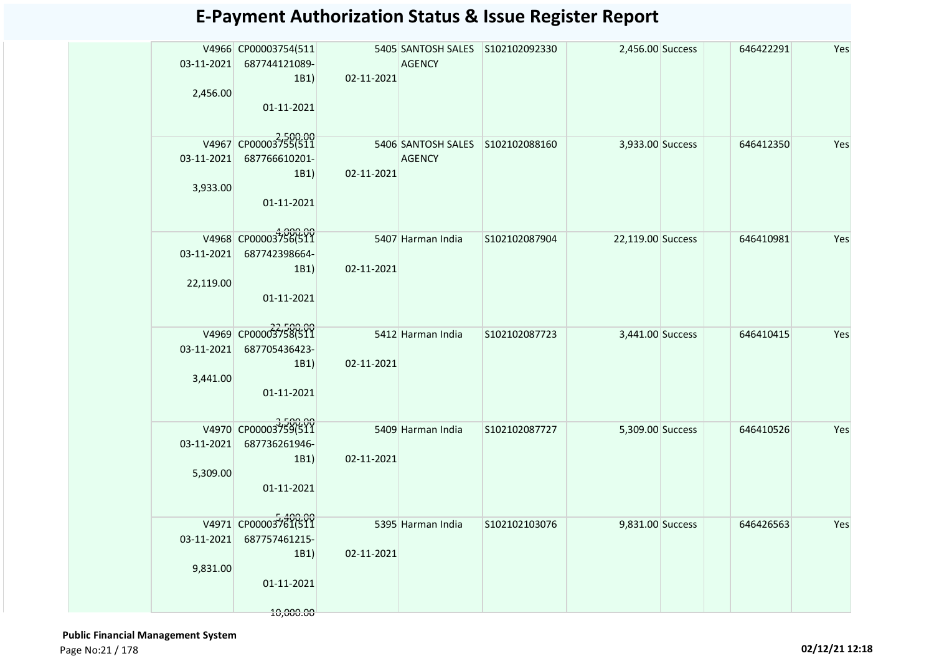| 2,456.00                 | V4966 CP00003754(511<br>03-11-2021 687744121089-<br>1B1)<br>01-11-2021              | 02-11-2021                      | 5405 SANTOSH SALES S102102092330<br>AGENCY        |               | 2,456.00 Success  | 646422291 | Yes |
|--------------------------|-------------------------------------------------------------------------------------|---------------------------------|---------------------------------------------------|---------------|-------------------|-----------|-----|
| 3,933.00                 | V4967 CP00003755(511<br>03-11-2021 687766610201-<br>1B1)<br>01-11-2021              | 02-11-2021                      | 5406 SANTOSH SALES S102102088160<br><b>AGENCY</b> |               | 3,933.00 Success  | 646412350 | Yes |
| 22,119.00                | V4968 CP00003756(511<br>03-11-2021 687742398664-<br>1B1)<br>01-11-2021              | 5407 Harman India<br>02-11-2021 |                                                   | S102102087904 | 22,119.00 Success | 646410981 | Yes |
| $03-11-2021$<br>3,441.00 | V4969 CP00003758(511<br>687705436423-<br>1B1)<br>01-11-2021                         | 02-11-2021                      | 5412 Harman India                                 | S102102087723 | 3,441.00 Success  | 646410415 | Yes |
| $03-11-2021$<br>5,309.00 | V4970 CP00003759(511<br>687736261946-<br>1B1)<br>01-11-2021                         | 02-11-2021                      | 5409 Harman India                                 | S102102087727 | 5,309.00 Success  | 646410526 | Yes |
| 9,831.00                 | V4971 CP00003761(511<br>03-11-2021 687757461215-<br>1B1)<br>01-11-2021<br>10,000.00 | 02-11-2021                      | 5395 Harman India                                 | S102102103076 | 9,831.00 Success  | 646426563 | Yes |

 **Public Financial Management System**  Page No:21 / 178 **02/12/21 12:18**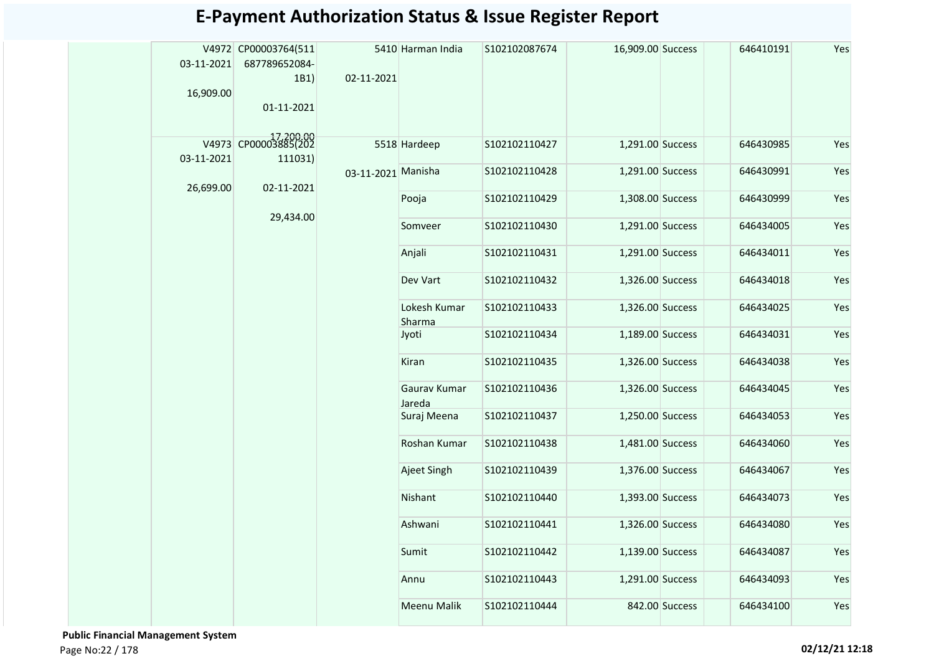| 03-11-2021<br>16,909.00 | V4972 CP00003764(511<br>687789652084-<br>1B1)<br>01-11-2021 | 02-11-2021         | 5410 Harman India      | S102102087674  | 16,909.00 Success |                | 646410191 | Yes |
|-------------------------|-------------------------------------------------------------|--------------------|------------------------|----------------|-------------------|----------------|-----------|-----|
|                         | V4973 CP00003885(202                                        |                    | 5518 Hardeep           | S102102110427  | 1,291.00 Success  |                | 646430985 | Yes |
| 03-11-2021              | 111031)                                                     |                    |                        |                |                   |                |           |     |
| 26,699.00               | 02-11-2021                                                  | 03-11-2021 Manisha |                        | S102102110428  | 1,291.00 Success  |                | 646430991 | Yes |
|                         |                                                             |                    | Pooja                  | S102102110429  | 1,308.00 Success  |                | 646430999 | Yes |
|                         | 29,434.00                                                   |                    | Somveer                | S102102110430  | 1,291.00 Success  |                | 646434005 | Yes |
|                         |                                                             |                    | Anjali                 | S102102110431  | 1,291.00 Success  |                | 646434011 | Yes |
|                         |                                                             |                    | Dev Vart               | S102102110432  | 1,326.00 Success  |                | 646434018 | Yes |
|                         |                                                             |                    | Lokesh Kumar<br>Sharma | S102102110433  | 1,326.00 Success  |                | 646434025 | Yes |
|                         |                                                             |                    | Jyoti                  | \$102102110434 | 1,189.00 Success  |                | 646434031 | Yes |
|                         |                                                             |                    | Kiran                  | S102102110435  | 1,326.00 Success  |                | 646434038 | Yes |
|                         |                                                             |                    | Gaurav Kumar<br>Jareda | S102102110436  | 1,326.00 Success  |                | 646434045 | Yes |
|                         |                                                             |                    | Suraj Meena            | S102102110437  | 1,250.00 Success  |                | 646434053 | Yes |
|                         |                                                             |                    | Roshan Kumar           | S102102110438  | 1,481.00 Success  |                | 646434060 | Yes |
|                         |                                                             |                    | Ajeet Singh            | S102102110439  | 1,376.00 Success  |                | 646434067 | Yes |
|                         |                                                             |                    | Nishant                | S102102110440  | 1,393.00 Success  |                | 646434073 | Yes |
|                         |                                                             |                    | Ashwani                | S102102110441  | 1,326.00 Success  |                | 646434080 | Yes |
|                         |                                                             |                    | Sumit                  | S102102110442  | 1,139.00 Success  |                | 646434087 | Yes |
|                         |                                                             |                    | Annu                   | S102102110443  | 1,291.00 Success  |                | 646434093 | Yes |
|                         |                                                             |                    | Meenu Malik            | S102102110444  |                   | 842.00 Success | 646434100 | Yes |

 **Public Financial Management System**  Page No:22 / 178 **02/12/21 12:18**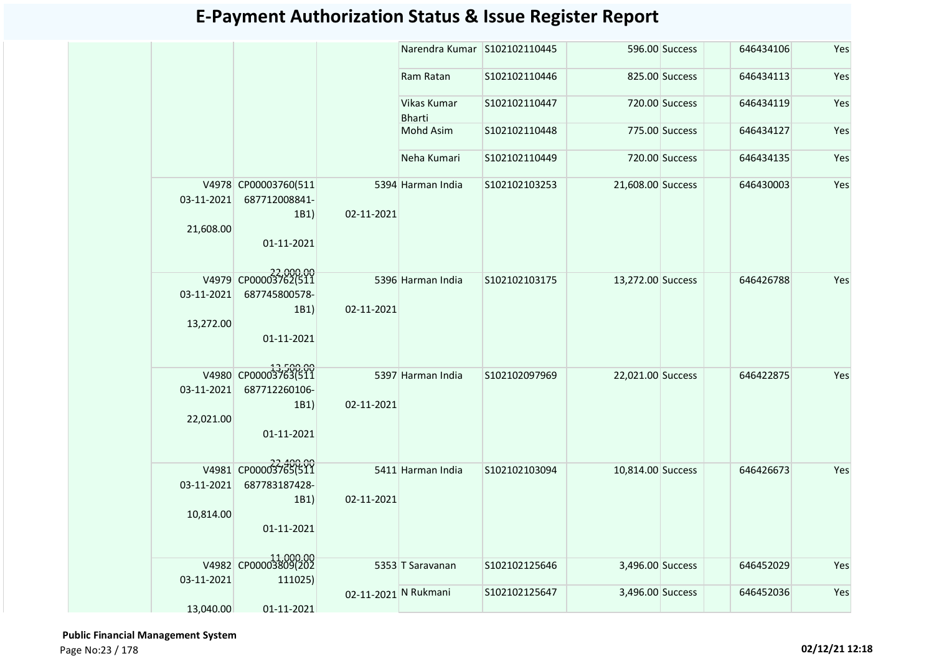|                         |                                               |                      | Narendra Kumar S102102110445 |               |                   | 596.00 Success | 646434106 | Yes |
|-------------------------|-----------------------------------------------|----------------------|------------------------------|---------------|-------------------|----------------|-----------|-----|
|                         |                                               |                      | Ram Ratan                    | S102102110446 |                   | 825.00 Success | 646434113 | Yes |
|                         |                                               |                      | Vikas Kumar<br><b>Bharti</b> | S102102110447 |                   | 720.00 Success | 646434119 | Yes |
|                         |                                               |                      | <b>Mohd Asim</b>             | S102102110448 |                   | 775.00 Success | 646434127 | Yes |
|                         |                                               |                      | Neha Kumari                  | S102102110449 |                   | 720.00 Success | 646434135 | Yes |
| 03-11-2021<br>21,608.00 | V4978 CP00003760(511<br>687712008841-<br>1B1) | 02-11-2021           | 5394 Harman India            | S102102103253 | 21,608.00 Success |                | 646430003 | Yes |
|                         | 01-11-2021                                    |                      |                              |               |                   |                |           |     |
| 03-11-2021              | V4979 CP00003762(511<br>687745800578-         |                      | 5396 Harman India            | S102102103175 | 13,272.00 Success |                | 646426788 | Yes |
| 13,272.00               | 1B1)<br>01-11-2021                            | 02-11-2021           |                              |               |                   |                |           |     |
|                         | V4980 CP00003763(511                          |                      | 5397 Harman India            | S102102097969 | 22,021.00 Success |                | 646422875 | Yes |
| 03-11-2021              | 687712260106-<br>1B1)                         | 02-11-2021           |                              |               |                   |                |           |     |
| 22,021.00               | 01-11-2021                                    |                      |                              |               |                   |                |           |     |
|                         | V4981 CP00003765(511                          |                      | 5411 Harman India            | S102102103094 | 10,814.00 Success |                | 646426673 | Yes |
| 03-11-2021              | 687783187428-<br>1B1)                         | 02-11-2021           |                              |               |                   |                |           |     |
| 10,814.00               | 01-11-2021                                    |                      |                              |               |                   |                |           |     |
|                         | V4982 CP00003809(202                          |                      | 5353 T Saravanan             | S102102125646 | 3,496.00 Success  |                | 646452029 | Yes |
| 03-11-2021              | 111025)                                       | 02-11-2021 N Rukmani |                              | S102102125647 | 3,496.00 Success  |                | 646452036 | Yes |
| 13,040.00               | 01-11-2021                                    |                      |                              |               |                   |                |           |     |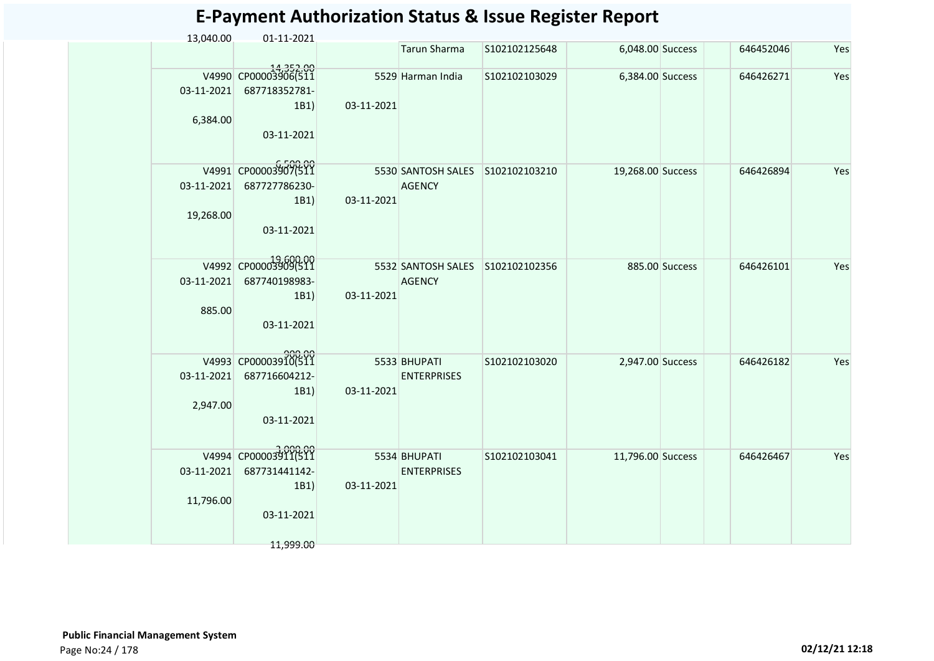| 13,040.00               | 01-11-2021                                                               |            |                                                   |               |                   |                  |           |     |
|-------------------------|--------------------------------------------------------------------------|------------|---------------------------------------------------|---------------|-------------------|------------------|-----------|-----|
|                         |                                                                          |            | <b>Tarun Sharma</b>                               | S102102125648 |                   | 6,048.00 Success | 646452046 | Yes |
| 03-11-2021<br>6,384.00  | 14,352.00<br>V4990 CP00003906(511<br>687718352781-<br>1B1)<br>03-11-2021 | 03-11-2021 | 5529 Harman India                                 | S102102103029 | 6,384.00 Success  |                  | 646426271 | Yes |
| 03-11-2021<br>19,268.00 | V4991 CP00003907(511<br>687727786230-<br>1B1)<br>03-11-2021              | 03-11-2021 | 5530 SANTOSH SALES<br><b>AGENCY</b>               | S102102103210 | 19,268.00 Success |                  | 646426894 | Yes |
| 03-11-2021<br>885.00    | V4992 CP00003909(511<br>687740198983-<br>1B1)<br>03-11-2021              | 03-11-2021 | 5532 SANTOSH SALES S102102102356<br><b>AGENCY</b> |               |                   | 885.00 Success   | 646426101 | Yes |
| 03-11-2021<br>2,947.00  | V4993 CP00003910(511<br>687716604212-<br>1B1)<br>03-11-2021              | 03-11-2021 | 5533 BHUPATI<br><b>ENTERPRISES</b>                | S102102103020 | 2,947.00 Success  |                  | 646426182 | Yes |
| 03-11-2021<br>11,796.00 | V4994 CP00003911(511<br>687731441142-<br>1B1)<br>03-11-2021<br>11,999.00 | 03-11-2021 | 5534 BHUPATI<br><b>ENTERPRISES</b>                | S102102103041 | 11,796.00 Success |                  | 646426467 | Yes |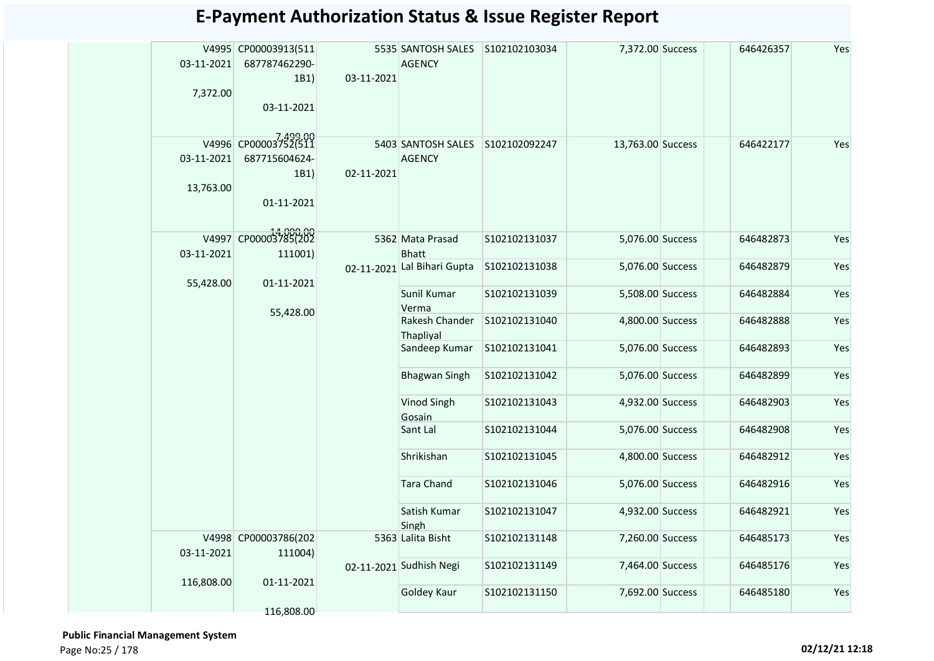|            | V4995 CP00003913(511 |            | 5535 SANTOSH SALES S102102103034 |                | 7,372.00 Success  | 646426357 | Yes |
|------------|----------------------|------------|----------------------------------|----------------|-------------------|-----------|-----|
| 03-11-2021 | 687787462290-        |            | <b>AGENCY</b>                    |                |                   |           |     |
|            | 1B1)                 | 03-11-2021 |                                  |                |                   |           |     |
| 7,372.00   |                      |            |                                  |                |                   |           |     |
|            | 03-11-2021           |            |                                  |                |                   |           |     |
|            |                      |            |                                  |                |                   |           |     |
|            | V4996 CP00003752(511 |            |                                  |                |                   |           |     |
|            |                      |            | 5403 SANTOSH SALES S102102092247 |                | 13,763.00 Success | 646422177 | Yes |
| 03-11-2021 | 687715604624-        |            | <b>AGENCY</b>                    |                |                   |           |     |
|            | 1B1)                 | 02-11-2021 |                                  |                |                   |           |     |
| 13,763.00  |                      |            |                                  |                |                   |           |     |
|            | 01-11-2021           |            |                                  |                |                   |           |     |
|            |                      |            |                                  |                |                   |           |     |
|            | V4997 CP00003785(202 |            | 5362 Mata Prasad                 | S102102131037  | 5,076.00 Success  | 646482873 | Yes |
| 03-11-2021 | 111001)              |            | <b>Bhatt</b>                     |                |                   |           |     |
|            |                      |            | 02-11-2021 Lal Bihari Gupta      | S102102131038  | 5,076.00 Success  | 646482879 | Yes |
| 55,428.00  | 01-11-2021           |            |                                  |                |                   |           |     |
|            |                      |            | Sunil Kumar                      | S102102131039  | 5,508.00 Success  | 646482884 | Yes |
|            | 55,428.00            |            | Verma                            |                |                   |           |     |
|            |                      |            | Rakesh Chander                   | S102102131040  | 4,800.00 Success  | 646482888 | Yes |
|            |                      |            | Thapliyal                        |                |                   |           |     |
|            |                      |            | Sandeep Kumar                    | S102102131041  | 5,076.00 Success  | 646482893 | Yes |
|            |                      |            |                                  |                |                   |           |     |
|            |                      |            | <b>Bhagwan Singh</b>             | S102102131042  | 5,076.00 Success  | 646482899 | Yes |
|            |                      |            |                                  |                |                   |           |     |
|            |                      |            | Vinod Singh                      | \$102102131043 | 4,932.00 Success  | 646482903 | Yes |
|            |                      |            | Gosain                           | S102102131044  |                   | 646482908 |     |
|            |                      |            | Sant Lal                         |                | 5,076.00 Success  |           | Yes |
|            |                      |            | Shrikishan                       | S102102131045  | 4,800.00 Success  | 646482912 | Yes |
|            |                      |            |                                  |                |                   |           |     |
|            |                      |            | <b>Tara Chand</b>                | S102102131046  | 5,076.00 Success  | 646482916 | Yes |
|            |                      |            |                                  |                |                   |           |     |
|            |                      |            | Satish Kumar                     | S102102131047  | 4,932.00 Success  | 646482921 | Yes |
|            |                      |            | Singh                            |                |                   |           |     |
|            | V4998 CP00003786(202 |            | 5363 Lalita Bisht                | S102102131148  | 7,260.00 Success  | 646485173 | Yes |
| 03-11-2021 | 111004)              |            |                                  |                |                   |           |     |
|            |                      |            | 02-11-2021 Sudhish Negi          | S102102131149  | 7,464.00 Success  | 646485176 | Yes |
| 116,808.00 | 01-11-2021           |            |                                  |                |                   |           |     |
|            |                      |            | Goldey Kaur                      | S102102131150  | 7,692.00 Success  | 646485180 | Yes |
|            | 116,808.00           |            |                                  |                |                   |           |     |

 **Public Financial Management System**  Page No:25 / 178 **02/12/21 12:18**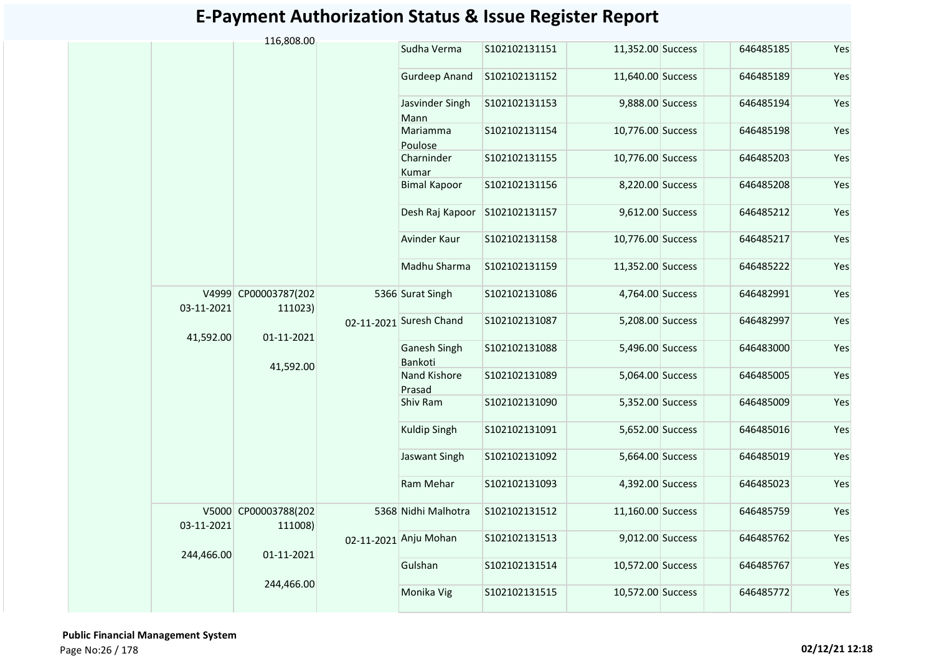|            | 116,808.00                      |                         |               |                   |           |     |
|------------|---------------------------------|-------------------------|---------------|-------------------|-----------|-----|
|            |                                 | Sudha Verma             | S102102131151 | 11,352.00 Success | 646485185 | Yes |
|            |                                 | <b>Gurdeep Anand</b>    | S102102131152 | 11,640.00 Success | 646485189 | Yes |
|            |                                 | Jasvinder Singh<br>Mann | S102102131153 | 9,888.00 Success  | 646485194 | Yes |
|            |                                 | Mariamma<br>Poulose     | S102102131154 | 10,776.00 Success | 646485198 | Yes |
|            |                                 | Charninder<br>Kumar     | S102102131155 | 10,776.00 Success | 646485203 | Yes |
|            |                                 | <b>Bimal Kapoor</b>     | S102102131156 | 8,220.00 Success  | 646485208 | Yes |
|            |                                 | Desh Raj Kapoor         | S102102131157 | 9,612.00 Success  | 646485212 | Yes |
|            |                                 | Avinder Kaur            | S102102131158 | 10,776.00 Success | 646485217 | Yes |
|            |                                 | Madhu Sharma            | S102102131159 | 11,352.00 Success | 646485222 | Yes |
| 03-11-2021 | V4999 CP00003787(202<br>111023) | 5366 Surat Singh        | S102102131086 | 4,764.00 Success  | 646482991 | Yes |
| 41,592.00  | 01-11-2021                      | 02-11-2021 Suresh Chand | S102102131087 | 5,208.00 Success  | 646482997 | Yes |
|            |                                 | Ganesh Singh<br>Bankoti | S102102131088 | 5,496.00 Success  | 646483000 | Yes |
|            | 41,592.00                       | Nand Kishore<br>Prasad  | S102102131089 | 5,064.00 Success  | 646485005 | Yes |
|            |                                 | Shiv Ram                | S102102131090 | 5,352.00 Success  | 646485009 | Yes |
|            |                                 | Kuldip Singh            | S102102131091 | 5,652.00 Success  | 646485016 | Yes |
|            |                                 | Jaswant Singh           | S102102131092 | 5,664.00 Success  | 646485019 | Yes |
|            |                                 | Ram Mehar               | S102102131093 | 4,392.00 Success  | 646485023 | Yes |
| 03-11-2021 | V5000 CP00003788(202<br>111008) | 5368 Nidhi Malhotra     | S102102131512 | 11,160.00 Success | 646485759 | Yes |
| 244,466.00 | 01-11-2021                      | 02-11-2021 Anju Mohan   | S102102131513 | 9,012.00 Success  | 646485762 | Yes |
|            |                                 | Gulshan                 | S102102131514 | 10,572.00 Success | 646485767 | Yes |
|            | 244,466.00                      | Monika Vig              | S102102131515 | 10,572.00 Success | 646485772 | Yes |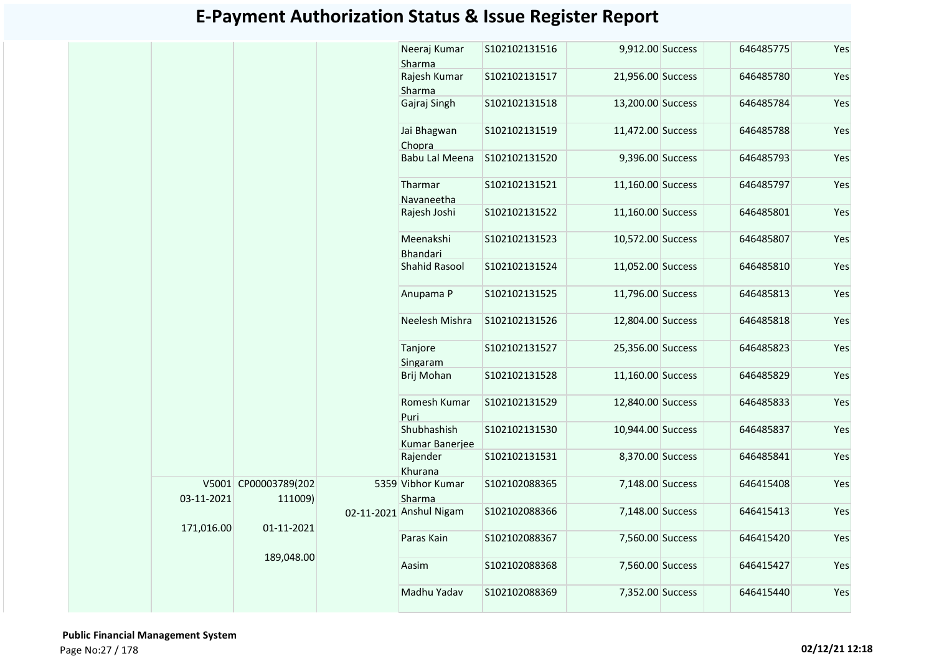|            |                                 | Neeraj Kumar<br>Sharma        | S102102131516 | 9,912.00 Success  | 646485775 | Yes |
|------------|---------------------------------|-------------------------------|---------------|-------------------|-----------|-----|
|            |                                 | Rajesh Kumar                  | S102102131517 | 21,956.00 Success | 646485780 | Yes |
|            |                                 | Sharma                        |               |                   |           |     |
|            |                                 | Gajraj Singh                  | S102102131518 | 13,200.00 Success | 646485784 | Yes |
|            |                                 | Jai Bhagwan<br>Chopra         | S102102131519 | 11,472.00 Success | 646485788 | Yes |
|            |                                 | Babu Lal Meena                | S102102131520 | 9,396.00 Success  | 646485793 | Yes |
|            |                                 | Tharmar<br>Navaneetha         | S102102131521 | 11,160.00 Success | 646485797 | Yes |
|            |                                 | Rajesh Joshi                  | S102102131522 | 11,160.00 Success | 646485801 | Yes |
|            |                                 | Meenakshi<br>Bhandari         | S102102131523 | 10,572.00 Success | 646485807 | Yes |
|            |                                 | Shahid Rasool                 | S102102131524 | 11,052.00 Success | 646485810 | Yes |
|            |                                 | Anupama P                     | S102102131525 | 11,796.00 Success | 646485813 | Yes |
|            |                                 | Neelesh Mishra                | S102102131526 | 12,804.00 Success | 646485818 | Yes |
|            |                                 | Tanjore<br>Singaram           | S102102131527 | 25,356.00 Success | 646485823 | Yes |
|            |                                 | Brij Mohan                    | S102102131528 | 11,160.00 Success | 646485829 | Yes |
|            |                                 | Romesh Kumar<br>Puri          | S102102131529 | 12,840.00 Success | 646485833 | Yes |
|            |                                 | Shubhashish<br>Kumar Banerjee | S102102131530 | 10,944.00 Success | 646485837 | Yes |
|            |                                 | Rajender<br>Khurana           | S102102131531 | 8,370.00 Success  | 646485841 | Yes |
| 03-11-2021 | V5001 CP00003789(202<br>111009) | 5359 Vibhor Kumar<br>Sharma   | S102102088365 | 7,148.00 Success  | 646415408 | Yes |
| 171,016.00 | 01-11-2021                      | 02-11-2021 Anshul Nigam       | S102102088366 | 7,148.00 Success  | 646415413 | Yes |
|            | 189,048.00                      | Paras Kain                    | S102102088367 | 7,560.00 Success  | 646415420 | Yes |
|            |                                 | Aasim                         | S102102088368 | 7,560.00 Success  | 646415427 | Yes |
|            |                                 | Madhu Yadav                   | S102102088369 | 7,352.00 Success  | 646415440 | Yes |

 **Public Financial Management System**  Page No:27 / 178 **02/12/21 12:18**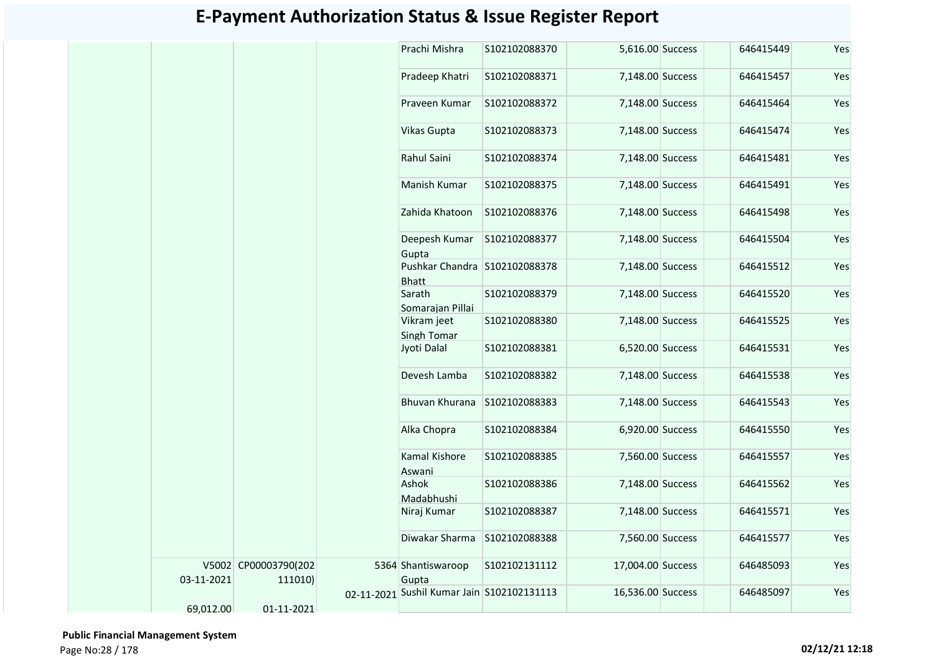|            |                                 | Prachi Mishra                                 | S102102088370 | 5,616.00 Success  | 646415449 | Yes |
|------------|---------------------------------|-----------------------------------------------|---------------|-------------------|-----------|-----|
|            |                                 | Pradeep Khatri                                | S102102088371 | 7,148.00 Success  | 646415457 | Yes |
|            |                                 | Praveen Kumar                                 | S102102088372 | 7,148.00 Success  | 646415464 | Yes |
|            |                                 | <b>Vikas Gupta</b>                            | S102102088373 | 7,148.00 Success  | 646415474 | Yes |
|            |                                 | Rahul Saini                                   | S102102088374 | 7,148.00 Success  | 646415481 | Yes |
|            |                                 | Manish Kumar                                  | S102102088375 | 7,148.00 Success  | 646415491 | Yes |
|            |                                 | Zahida Khatoon                                | S102102088376 | 7,148.00 Success  | 646415498 | Yes |
|            |                                 | Deepesh Kumar<br>Gupta                        | S102102088377 | 7,148.00 Success  | 646415504 | Yes |
|            |                                 | Pushkar Chandra S102102088378<br><b>Bhatt</b> |               | 7,148.00 Success  | 646415512 | Yes |
|            |                                 | Sarath<br>Somarajan Pillai                    | S102102088379 | 7,148.00 Success  | 646415520 | Yes |
|            |                                 | Vikram jeet<br>Singh Tomar                    | S102102088380 | 7,148.00 Success  | 646415525 | Yes |
|            |                                 | Jyoti Dalal                                   | S102102088381 | 6,520.00 Success  | 646415531 | Yes |
|            |                                 | Devesh Lamba                                  | S102102088382 | 7,148.00 Success  | 646415538 | Yes |
|            |                                 | Bhuvan Khurana                                | S102102088383 | 7,148.00 Success  | 646415543 | Yes |
|            |                                 | Alka Chopra                                   | S102102088384 | 6,920.00 Success  | 646415550 | Yes |
|            |                                 | Kamal Kishore<br>Aswani                       | S102102088385 | 7,560.00 Success  | 646415557 | Yes |
|            |                                 | Ashok<br>Madabhushi                           | S102102088386 | 7,148.00 Success  | 646415562 | Yes |
|            |                                 | Niraj Kumar                                   | S102102088387 | 7,148.00 Success  | 646415571 | Yes |
|            |                                 | Diwakar Sharma                                | S102102088388 | 7,560.00 Success  | 646415577 | Yes |
| 03-11-2021 | V5002 CP00003790(202<br>111010) | 5364 Shantiswaroop<br>Gupta                   | S102102131112 | 17,004.00 Success | 646485093 | Yes |
|            |                                 | 02-11-2021 Sushil Kumar Jain S102102131113    |               | 16,536.00 Success | 646485097 | Yes |
| 69,012.00  | 01-11-2021                      |                                               |               |                   |           |     |

 **Public Financial Management System**  Page No:28 / 178 **02/12/21 12:18**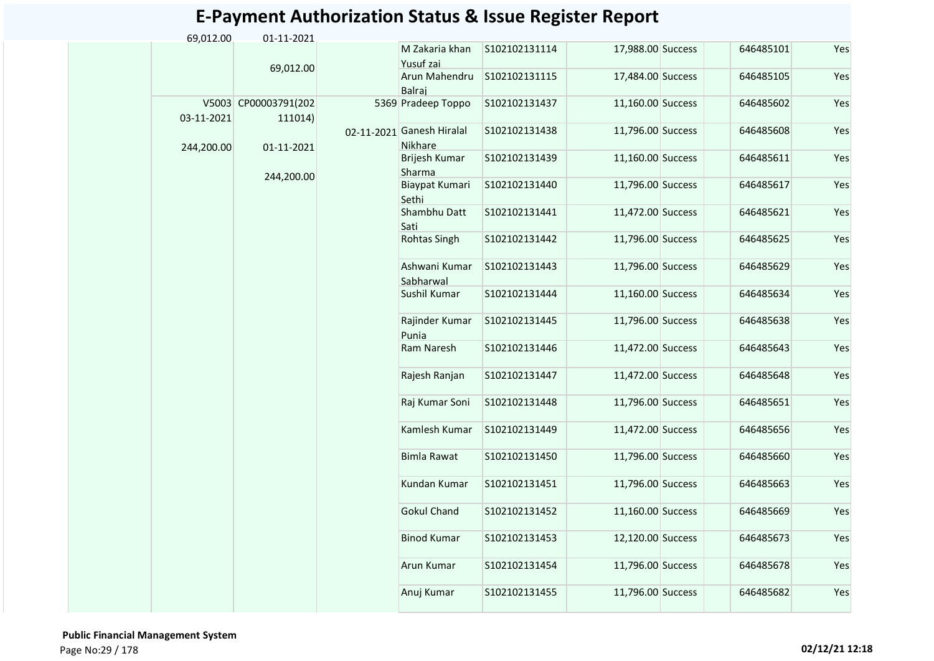| 69,012.00  | 01-11-2021           |                            |                |                   |           |     |
|------------|----------------------|----------------------------|----------------|-------------------|-----------|-----|
|            |                      | M Zakaria khan             | S102102131114  | 17,988.00 Success | 646485101 | Yes |
|            | 69,012.00            | Yusuf zai                  |                |                   |           |     |
|            |                      | Arun Mahendru<br>Balraj    | S102102131115  | 17,484.00 Success | 646485105 | Yes |
|            | V5003 CP00003791(202 | 5369 Pradeep Toppo         | S102102131437  | 11,160.00 Success | 646485602 | Yes |
| 03-11-2021 | 111014)              | 02-11-2021 Ganesh Hiralal  | S102102131438  | 11,796.00 Success | 646485608 | Yes |
| 244,200.00 | 01-11-2021           | <b>Nikhare</b>             |                |                   |           |     |
|            | 244,200.00           | Brijesh Kumar<br>Sharma    | \$102102131439 | 11,160.00 Success | 646485611 | Yes |
|            |                      | Biaypat Kumari<br>Sethi    | S102102131440  | 11,796.00 Success | 646485617 | Yes |
|            |                      | Shambhu Datt<br>Sati       | S102102131441  | 11,472.00 Success | 646485621 | Yes |
|            |                      | Rohtas Singh               | S102102131442  | 11,796.00 Success | 646485625 | Yes |
|            |                      | Ashwani Kumar<br>Sabharwal | S102102131443  | 11,796.00 Success | 646485629 | Yes |
|            |                      | Sushil Kumar               | S102102131444  | 11,160.00 Success | 646485634 | Yes |
|            |                      | Rajinder Kumar<br>Punia    | S102102131445  | 11,796.00 Success | 646485638 | Yes |
|            |                      | Ram Naresh                 | S102102131446  | 11,472.00 Success | 646485643 | Yes |
|            |                      | Rajesh Ranjan              | S102102131447  | 11,472.00 Success | 646485648 | Yes |
|            |                      | Raj Kumar Soni             | S102102131448  | 11,796.00 Success | 646485651 | Yes |
|            |                      | Kamlesh Kumar              | S102102131449  | 11,472.00 Success | 646485656 | Yes |
|            |                      | Bimla Rawat                | S102102131450  | 11,796.00 Success | 646485660 | Yes |
|            |                      | Kundan Kumar               | S102102131451  | 11,796.00 Success | 646485663 | Yes |
|            |                      | <b>Gokul Chand</b>         | S102102131452  | 11,160.00 Success | 646485669 | Yes |
|            |                      | <b>Binod Kumar</b>         | S102102131453  | 12,120.00 Success | 646485673 | Yes |
|            |                      | Arun Kumar                 | S102102131454  | 11,796.00 Success | 646485678 | Yes |
|            |                      | Anuj Kumar                 | S102102131455  | 11,796.00 Success | 646485682 | Yes |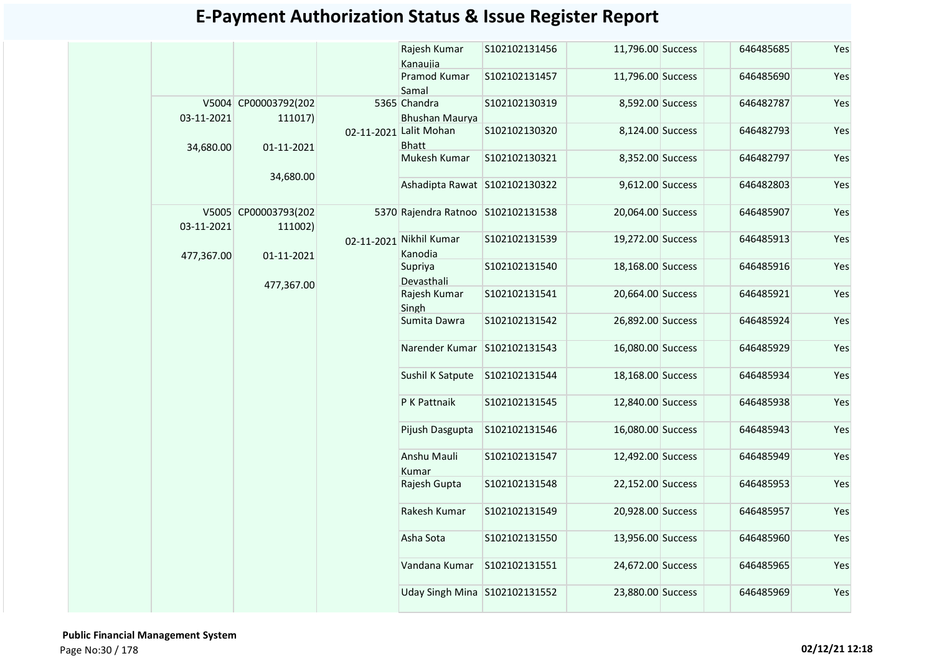|            |                                 | Rajesh Kumar<br>Kanaujia               | S102102131456  | 11,796.00 Success | 646485685 | Yes |
|------------|---------------------------------|----------------------------------------|----------------|-------------------|-----------|-----|
|            |                                 | Pramod Kumar<br>Samal                  | S102102131457  | 11,796.00 Success | 646485690 | Yes |
| 03-11-2021 | V5004 CP00003792(202<br>111017) | 5365 Chandra<br><b>Bhushan Maurva</b>  | S102102130319  | 8,592.00 Success  | 646482787 | Yes |
| 34,680.00  | 01-11-2021                      | 02-11-2021 Lalit Mohan<br><b>Bhatt</b> | S102102130320  | 8,124.00 Success  | 646482793 | Yes |
|            | 34,680.00                       | Mukesh Kumar                           | \$102102130321 | 8,352.00 Success  | 646482797 | Yes |
|            |                                 | Ashadipta Rawat S102102130322          |                | 9,612.00 Success  | 646482803 | Yes |
| 03-11-2021 | V5005 CP00003793(202<br>111002) | 5370 Rajendra Ratnoo S102102131538     |                | 20,064.00 Success | 646485907 | Yes |
| 477,367.00 | 01-11-2021                      | 02-11-2021 Nikhil Kumar<br>Kanodia     | S102102131539  | 19,272.00 Success | 646485913 | Yes |
|            | 477,367.00                      | Supriya<br>Devasthali                  | S102102131540  | 18,168.00 Success | 646485916 | Yes |
|            |                                 | Rajesh Kumar<br>Singh                  | S102102131541  | 20,664.00 Success | 646485921 | Yes |
|            |                                 | Sumita Dawra                           | S102102131542  | 26,892.00 Success | 646485924 | Yes |
|            |                                 | Narender Kumar                         | S102102131543  | 16,080.00 Success | 646485929 | Yes |
|            |                                 | Sushil K Satpute                       | S102102131544  | 18,168.00 Success | 646485934 | Yes |
|            |                                 | P K Pattnaik                           | S102102131545  | 12,840.00 Success | 646485938 | Yes |
|            |                                 | Pijush Dasgupta                        | S102102131546  | 16,080.00 Success | 646485943 | Yes |
|            |                                 | Anshu Mauli<br>Kumar                   | S102102131547  | 12,492.00 Success | 646485949 | Yes |
|            |                                 | Rajesh Gupta                           | S102102131548  | 22,152.00 Success | 646485953 | Yes |
|            |                                 | Rakesh Kumar                           | S102102131549  | 20,928.00 Success | 646485957 | Yes |
|            |                                 | Asha Sota                              | S102102131550  | 13,956.00 Success | 646485960 | Yes |
|            |                                 | Vandana Kumar                          | S102102131551  | 24,672.00 Success | 646485965 | Yes |
|            |                                 | Uday Singh Mina S102102131552          |                | 23,880.00 Success | 646485969 | Yes |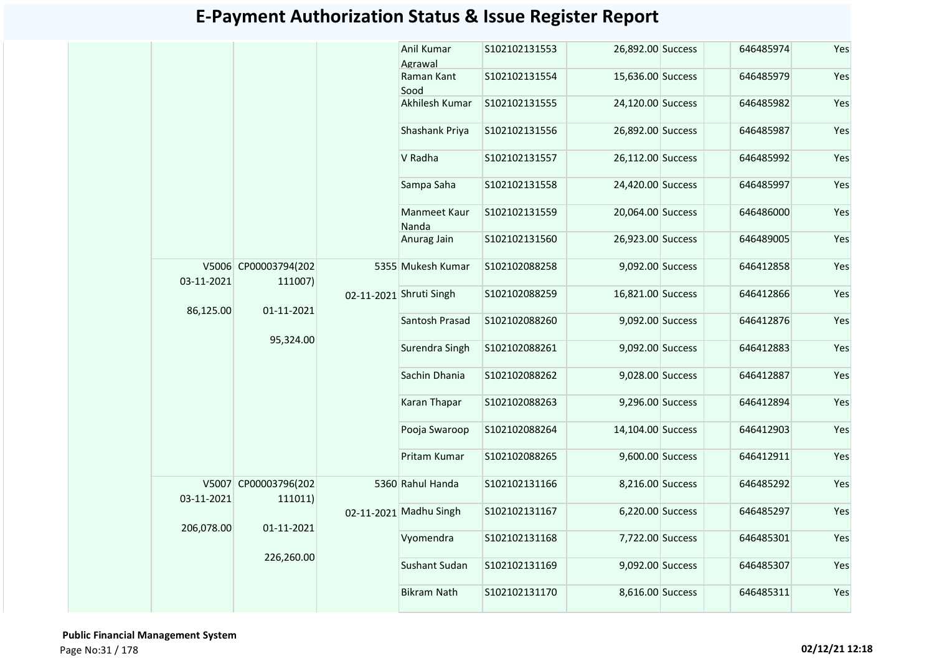|            |                                 | Anil Kumar<br>Agrawal   | S102102131553 | 26,892.00 Success | 646485974 | Yes |
|------------|---------------------------------|-------------------------|---------------|-------------------|-----------|-----|
|            |                                 | Raman Kant<br>Sood      | S102102131554 | 15,636.00 Success | 646485979 | Yes |
|            |                                 | Akhilesh Kumar          | S102102131555 | 24,120.00 Success | 646485982 | Yes |
|            |                                 | Shashank Priya          | S102102131556 | 26,892.00 Success | 646485987 | Yes |
|            |                                 | V Radha                 | S102102131557 | 26,112.00 Success | 646485992 | Yes |
|            |                                 | Sampa Saha              | S102102131558 | 24,420.00 Success | 646485997 | Yes |
|            |                                 | Manmeet Kaur<br>Nanda   | S102102131559 | 20,064.00 Success | 646486000 | Yes |
|            |                                 | Anurag Jain             | S102102131560 | 26,923.00 Success | 646489005 | Yes |
| 03-11-2021 | V5006 CP00003794(202<br>111007) | 5355 Mukesh Kumar       | S102102088258 | 9,092.00 Success  | 646412858 | Yes |
|            |                                 | 02-11-2021 Shruti Singh | S102102088259 | 16,821.00 Success | 646412866 | Yes |
| 86,125.00  | 01-11-2021                      | Santosh Prasad          | S102102088260 | 9,092.00 Success  | 646412876 | Yes |
|            | 95,324.00                       | Surendra Singh          | S102102088261 | 9,092.00 Success  | 646412883 | Yes |
|            |                                 | Sachin Dhania           | S102102088262 | 9,028.00 Success  | 646412887 | Yes |
|            |                                 | Karan Thapar            | S102102088263 | 9,296.00 Success  | 646412894 | Yes |
|            |                                 | Pooja Swaroop           | S102102088264 | 14,104.00 Success | 646412903 | Yes |
|            |                                 | Pritam Kumar            | S102102088265 | 9,600.00 Success  | 646412911 | Yes |
| 03-11-2021 | V5007 CP00003796(202<br>111011) | 5360 Rahul Handa        | S102102131166 | 8,216.00 Success  | 646485292 | Yes |
|            |                                 | 02-11-2021 Madhu Singh  | S102102131167 | 6,220.00 Success  | 646485297 | Yes |
| 206,078.00 | 01-11-2021                      | Vyomendra               | S102102131168 | 7,722.00 Success  | 646485301 | Yes |
|            | 226,260.00                      | <b>Sushant Sudan</b>    | S102102131169 | 9,092.00 Success  | 646485307 | Yes |
|            |                                 | <b>Bikram Nath</b>      | S102102131170 | 8,616.00 Success  | 646485311 | Yes |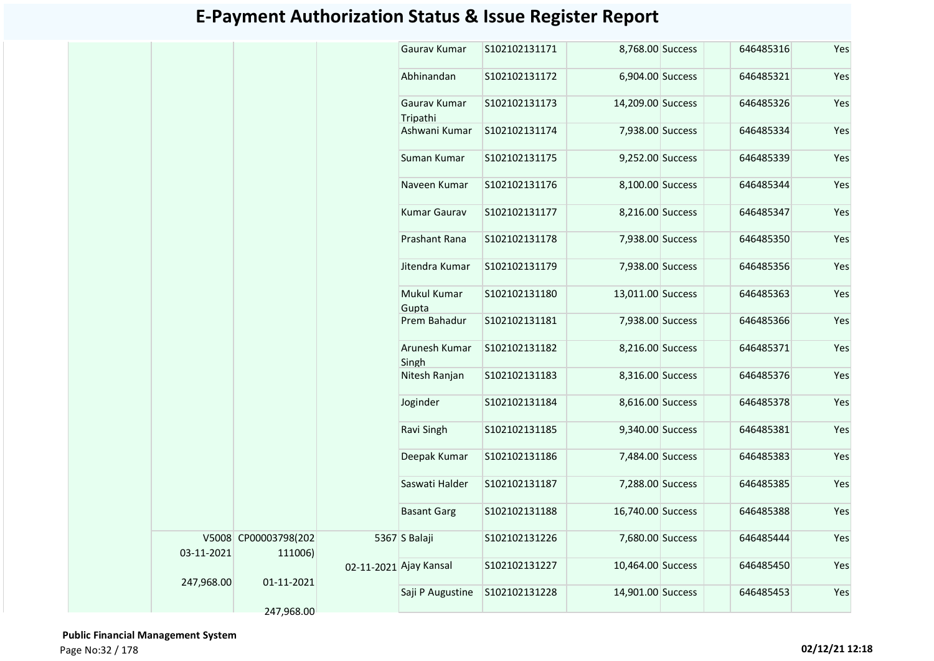|            |                                 |                        | Gaurav Kumar             | S102102131171 | 8,768.00 Success  | 646485316 | Yes |
|------------|---------------------------------|------------------------|--------------------------|---------------|-------------------|-----------|-----|
|            |                                 |                        | Abhinandan               | S102102131172 | 6,904.00 Success  | 646485321 | Yes |
|            |                                 |                        | Gauray Kumar<br>Tripathi | S102102131173 | 14,209.00 Success | 646485326 | Yes |
|            |                                 |                        | Ashwani Kumar            | S102102131174 | 7,938.00 Success  | 646485334 | Yes |
|            |                                 |                        | Suman Kumar              | S102102131175 | 9,252.00 Success  | 646485339 | Yes |
|            |                                 |                        | Naveen Kumar             | S102102131176 | 8,100.00 Success  | 646485344 | Yes |
|            |                                 |                        | <b>Kumar Gaurav</b>      | S102102131177 | 8,216.00 Success  | 646485347 | Yes |
|            |                                 |                        | Prashant Rana            | S102102131178 | 7,938.00 Success  | 646485350 | Yes |
|            |                                 |                        | Jitendra Kumar           | S102102131179 | 7,938.00 Success  | 646485356 | Yes |
|            |                                 |                        | Mukul Kumar<br>Gupta     | S102102131180 | 13,011.00 Success | 646485363 | Yes |
|            |                                 |                        | Prem Bahadur             | S102102131181 | 7,938.00 Success  | 646485366 | Yes |
|            |                                 |                        | Arunesh Kumar<br>Singh   | S102102131182 | 8,216.00 Success  | 646485371 | Yes |
|            |                                 |                        | Nitesh Ranjan            | S102102131183 | 8,316.00 Success  | 646485376 | Yes |
|            |                                 |                        | Joginder                 | S102102131184 | 8,616.00 Success  | 646485378 | Yes |
|            |                                 |                        | Ravi Singh               | S102102131185 | 9,340.00 Success  | 646485381 | Yes |
|            |                                 |                        | Deepak Kumar             | S102102131186 | 7,484.00 Success  | 646485383 | Yes |
|            |                                 |                        | Saswati Halder           | S102102131187 | 7,288.00 Success  | 646485385 | Yes |
|            |                                 |                        | <b>Basant Garg</b>       | S102102131188 | 16,740.00 Success | 646485388 | Yes |
| 03-11-2021 | V5008 CP00003798(202<br>111006) |                        | 5367 S Balaji            | S102102131226 | 7,680.00 Success  | 646485444 | Yes |
|            |                                 | 02-11-2021 Ajay Kansal |                          | S102102131227 | 10,464.00 Success | 646485450 | Yes |
| 247,968.00 | 01-11-2021                      |                        | Saji P Augustine         | S102102131228 | 14,901.00 Success | 646485453 | Yes |
|            | 247,968.00                      |                        |                          |               |                   |           |     |

 **Public Financial Management System**  Page No:32 / 178 **02/12/21 12:18**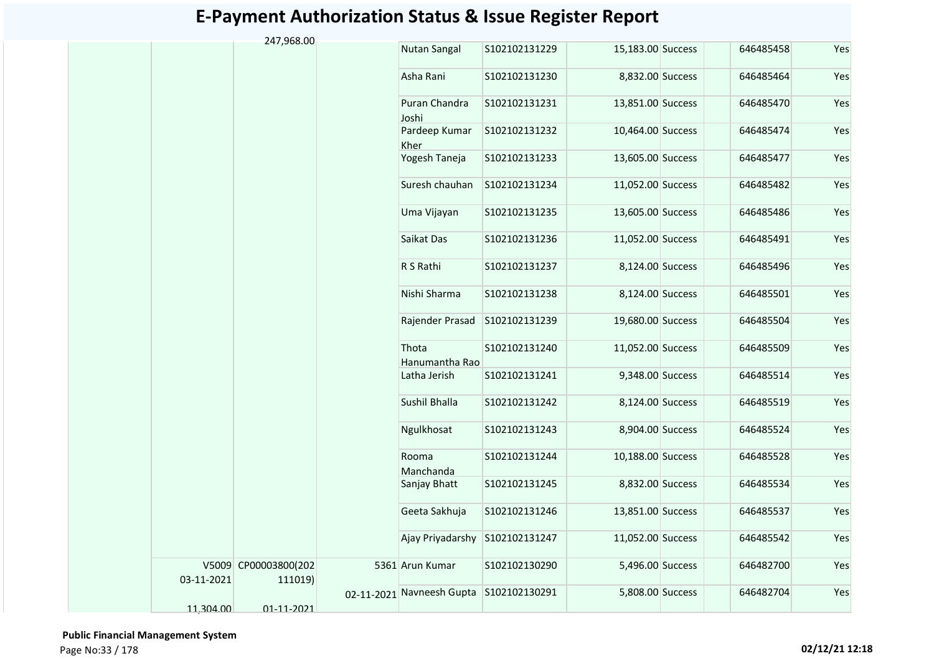| 247,968.00<br><b>Nutan Sangal</b><br>S102102131229<br>15,183.00 Success<br>646485458<br>Asha Rani<br>8,832.00 Success<br>646485464<br>S102102131230<br>Puran Chandra<br>S102102131231<br>13,851.00 Success<br>646485470<br>Joshi<br>Pardeep Kumar<br>S102102131232<br>10,464.00 Success<br>646485474<br>Kher<br>Yogesh Taneja<br>13,605.00 Success<br>646485477<br>S102102131233 | Yes<br>Yes<br>Yes |
|----------------------------------------------------------------------------------------------------------------------------------------------------------------------------------------------------------------------------------------------------------------------------------------------------------------------------------------------------------------------------------|-------------------|
|                                                                                                                                                                                                                                                                                                                                                                                  |                   |
|                                                                                                                                                                                                                                                                                                                                                                                  |                   |
|                                                                                                                                                                                                                                                                                                                                                                                  |                   |
|                                                                                                                                                                                                                                                                                                                                                                                  | Yes               |
|                                                                                                                                                                                                                                                                                                                                                                                  | Yes               |
| Suresh chauhan<br>11,052.00 Success<br>S102102131234<br>646485482                                                                                                                                                                                                                                                                                                                | Yes               |
| Uma Vijayan<br>S102102131235<br>13,605.00 Success<br>646485486                                                                                                                                                                                                                                                                                                                   | Yes               |
| Saikat Das<br>S102102131236<br>11,052.00 Success<br>646485491                                                                                                                                                                                                                                                                                                                    | Yes               |
| R S Rathi<br>S102102131237<br>8,124.00 Success<br>646485496                                                                                                                                                                                                                                                                                                                      | Yes               |
| Nishi Sharma<br>S102102131238<br>8,124.00 Success<br>646485501                                                                                                                                                                                                                                                                                                                   | Yes               |
| Rajender Prasad<br>S102102131239<br>19,680.00 Success<br>646485504                                                                                                                                                                                                                                                                                                               | Yes               |
| Thota<br>S102102131240<br>11,052.00 Success<br>646485509<br>Hanumantha Rao                                                                                                                                                                                                                                                                                                       | Yes               |
| Latha Jerish<br>S102102131241<br>9,348.00 Success<br>646485514                                                                                                                                                                                                                                                                                                                   | Yes               |
| Sushil Bhalla<br>S102102131242<br>8,124.00 Success<br>646485519                                                                                                                                                                                                                                                                                                                  | Yes               |
| Ngulkhosat<br>S102102131243<br>8,904.00 Success<br>646485524                                                                                                                                                                                                                                                                                                                     | Yes               |
| S102102131244<br>10,188.00 Success<br>646485528<br>Rooma<br>Manchanda                                                                                                                                                                                                                                                                                                            | Yes               |
| S102102131245<br>8,832.00 Success<br>646485534<br>Sanjay Bhatt                                                                                                                                                                                                                                                                                                                   | Yes               |
| Geeta Sakhuja<br>13,851.00 Success<br>646485537<br>S102102131246                                                                                                                                                                                                                                                                                                                 | Yes               |
| Ajay Priyadarshy<br>S102102131247<br>11,052.00 Success<br>646485542                                                                                                                                                                                                                                                                                                              | Yes               |
| V5009 CP00003800(202<br>5361 Arun Kumar<br>S102102130290<br>5,496.00 Success<br>646482700<br>03-11-2021<br>111019)                                                                                                                                                                                                                                                               | Yes               |
| 02-11-2021 Navneesh Gupta S102102130291<br>646482704<br>5,808.00 Success<br>11,304.00<br>01-11-2021                                                                                                                                                                                                                                                                              | Yes               |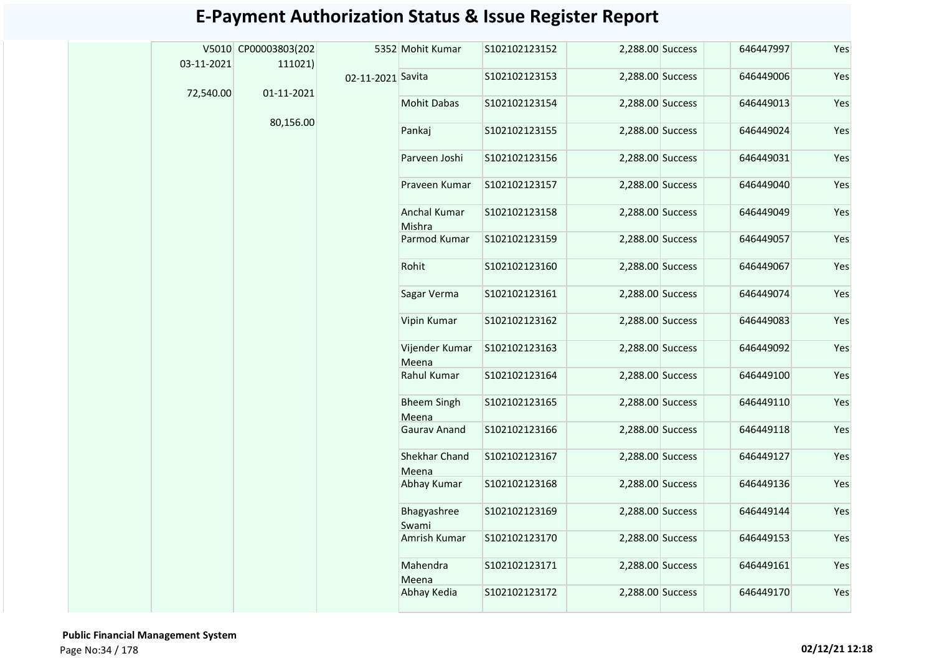|  | 03-11-2021 | V5010 CP00003803(202<br>111021) |                   | 5352 Mohit Kumar              | S102102123152 | 2,288.00 Success | 646447997 | Yes |
|--|------------|---------------------------------|-------------------|-------------------------------|---------------|------------------|-----------|-----|
|  |            |                                 | 02-11-2021 Savita |                               | S102102123153 | 2,288.00 Success | 646449006 | Yes |
|  | 72,540.00  | 01-11-2021                      |                   | <b>Mohit Dabas</b>            | S102102123154 | 2,288.00 Success | 646449013 | Yes |
|  |            | 80,156.00                       |                   | Pankaj                        | S102102123155 | 2,288.00 Success | 646449024 | Yes |
|  |            |                                 |                   | Parveen Joshi                 | S102102123156 | 2,288.00 Success | 646449031 | Yes |
|  |            |                                 |                   | Praveen Kumar                 | S102102123157 | 2,288.00 Success | 646449040 | Yes |
|  |            |                                 |                   | <b>Anchal Kumar</b><br>Mishra | S102102123158 | 2,288.00 Success | 646449049 | Yes |
|  |            |                                 |                   | Parmod Kumar                  | S102102123159 | 2,288.00 Success | 646449057 | Yes |
|  |            |                                 |                   | Rohit                         | S102102123160 | 2,288.00 Success | 646449067 | Yes |
|  |            |                                 |                   | Sagar Verma                   | S102102123161 | 2,288.00 Success | 646449074 | Yes |
|  |            |                                 |                   | Vipin Kumar                   | S102102123162 | 2,288.00 Success | 646449083 | Yes |
|  |            |                                 |                   | Vijender Kumar<br>Meena       | S102102123163 | 2,288.00 Success | 646449092 | Yes |
|  |            |                                 |                   | Rahul Kumar                   | S102102123164 | 2,288.00 Success | 646449100 | Yes |
|  |            |                                 |                   | <b>Bheem Singh</b><br>Meena   | S102102123165 | 2,288.00 Success | 646449110 | Yes |
|  |            |                                 |                   | <b>Gaurav Anand</b>           | S102102123166 | 2,288.00 Success | 646449118 | Yes |
|  |            |                                 |                   | Shekhar Chand<br>Meena        | S102102123167 | 2,288.00 Success | 646449127 | Yes |
|  |            |                                 |                   | Abhay Kumar                   | S102102123168 | 2,288.00 Success | 646449136 | Yes |
|  |            |                                 |                   | Bhagyashree<br>Swami          | S102102123169 | 2,288.00 Success | 646449144 | Yes |
|  |            |                                 |                   | Amrish Kumar                  | S102102123170 | 2,288.00 Success | 646449153 | Yes |
|  |            |                                 |                   | Mahendra<br>Meena             | S102102123171 | 2,288.00 Success | 646449161 | Yes |
|  |            |                                 |                   | Abhay Kedia                   | S102102123172 | 2,288.00 Success | 646449170 | Yes |
|  |            |                                 |                   |                               |               |                  |           |     |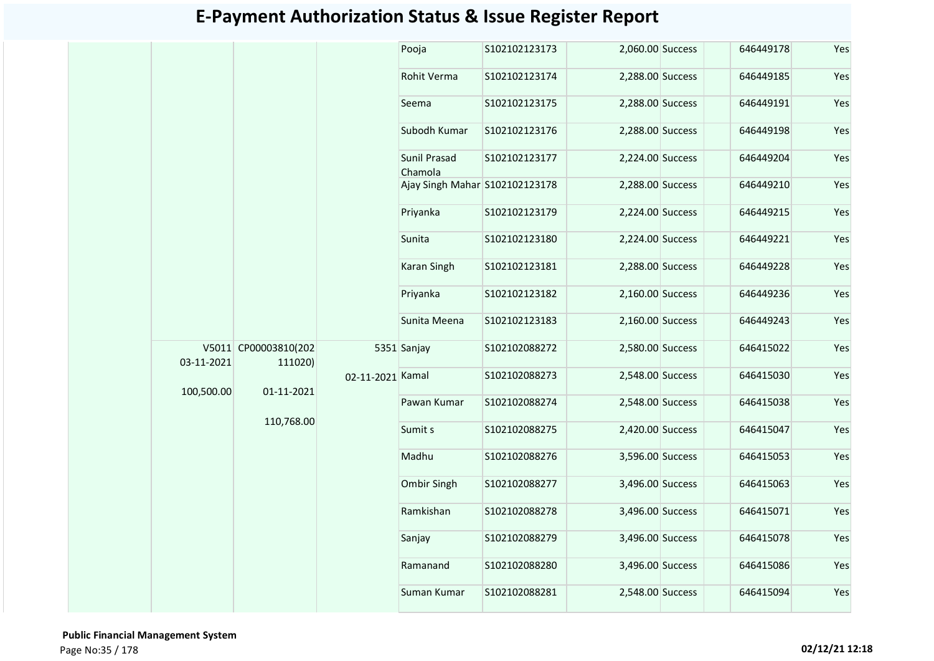|            |                                 |                  | Pooja                          | S102102123173    | 2,060.00 Success |                  | 646449178 | Yes |
|------------|---------------------------------|------------------|--------------------------------|------------------|------------------|------------------|-----------|-----|
|            |                                 |                  | Rohit Verma                    | S102102123174    | 2,288.00 Success |                  | 646449185 | Yes |
|            |                                 |                  | Seema                          | S102102123175    | 2,288.00 Success |                  | 646449191 | Yes |
|            |                                 |                  | Subodh Kumar                   | S102102123176    | 2,288.00 Success |                  | 646449198 | Yes |
|            |                                 |                  | Sunil Prasad<br>Chamola        | S102102123177    | 2,224.00 Success |                  | 646449204 | Yes |
|            |                                 |                  | Ajay Singh Mahar S102102123178 |                  | 2,288.00 Success |                  | 646449210 | Yes |
|            |                                 |                  | Priyanka                       | S102102123179    | 2,224.00 Success |                  | 646449215 | Yes |
|            |                                 |                  | Sunita                         | S102102123180    | 2,224.00 Success |                  | 646449221 | Yes |
|            |                                 |                  | Karan Singh                    | S102102123181    | 2,288.00 Success |                  | 646449228 | Yes |
|            |                                 |                  | Priyanka                       | S102102123182    | 2,160.00 Success |                  | 646449236 | Yes |
|            |                                 |                  | Sunita Meena                   | S102102123183    | 2,160.00 Success |                  | 646449243 | Yes |
| 03-11-2021 | V5011 CP00003810(202<br>111020) |                  | 5351 Sanjay                    | S102102088272    | 2,580.00 Success |                  | 646415022 | Yes |
| 100,500.00 | 01-11-2021                      | 02-11-2021 Kamal |                                | S102102088273    |                  | 2,548.00 Success | 646415030 | Yes |
|            |                                 |                  | Pawan Kumar                    | S102102088274    | 2,548.00 Success |                  | 646415038 | Yes |
|            | 110,768.00                      |                  | Sumit s                        | S102102088275    | 2,420.00 Success |                  | 646415047 | Yes |
|            |                                 |                  | Madhu                          | S102102088276    | 3,596.00 Success |                  | 646415053 | Yes |
|            |                                 |                  | Ombir Singh                    | S102102088277    | 3,496.00 Success |                  | 646415063 | Yes |
|            |                                 |                  | Ramkishan                      | S102102088278    | 3,496.00 Success |                  | 646415071 | Yes |
|            |                                 |                  | Sanjay                         | S102102088279    | 3,496.00 Success |                  | 646415078 | Yes |
|            |                                 | Ramanand         | S102102088280                  | 3,496.00 Success |                  | 646415086        | Yes       |     |
|            |                                 |                  | Suman Kumar                    | S102102088281    | 2,548.00 Success |                  | 646415094 | Yes |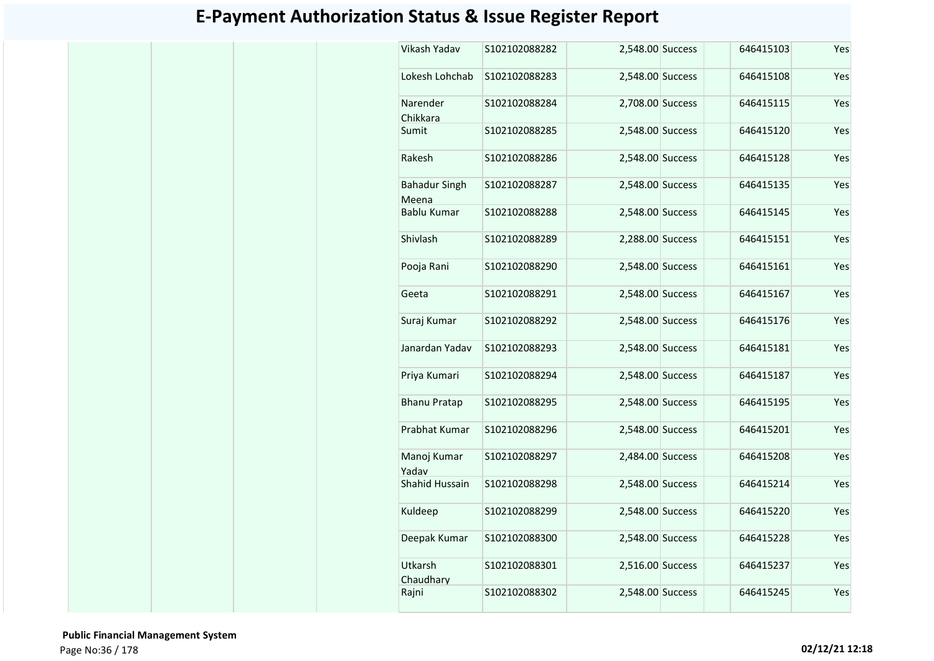| Vikash Yadav                  | S102102088282 | 2,548.00 Success | 646415103 | Yes |
|-------------------------------|---------------|------------------|-----------|-----|
| Lokesh Lohchab                | S102102088283 | 2,548.00 Success | 646415108 | Yes |
| Narender<br>Chikkara          | S102102088284 | 2,708.00 Success | 646415115 | Yes |
| Sumit                         | S102102088285 | 2,548.00 Success | 646415120 | Yes |
| Rakesh                        | S102102088286 | 2,548.00 Success | 646415128 | Yes |
| <b>Bahadur Singh</b><br>Meena | S102102088287 | 2,548.00 Success | 646415135 | Yes |
| <b>Bablu Kumar</b>            | S102102088288 | 2,548.00 Success | 646415145 | Yes |
| Shivlash                      | S102102088289 | 2,288.00 Success | 646415151 | Yes |
| Pooja Rani                    | S102102088290 | 2,548.00 Success | 646415161 | Yes |
| Geeta                         | S102102088291 | 2,548.00 Success | 646415167 | Yes |
| Suraj Kumar                   | S102102088292 | 2,548.00 Success | 646415176 | Yes |
| Janardan Yadav                | S102102088293 | 2,548.00 Success | 646415181 | Yes |
| Priya Kumari                  | S102102088294 | 2,548.00 Success | 646415187 | Yes |
| <b>Bhanu Pratap</b>           | S102102088295 | 2,548.00 Success | 646415195 | Yes |
| Prabhat Kumar                 | S102102088296 | 2,548.00 Success | 646415201 | Yes |
| Manoj Kumar<br>Yadav          | S102102088297 | 2,484.00 Success | 646415208 | Yes |
| <b>Shahid Hussain</b>         | S102102088298 | 2,548.00 Success | 646415214 | Yes |
| Kuldeep                       | S102102088299 | 2,548.00 Success | 646415220 | Yes |
| Deepak Kumar                  | S102102088300 | 2,548.00 Success | 646415228 | Yes |
| Utkarsh<br>Chaudharv          | S102102088301 | 2,516.00 Success | 646415237 | Yes |
| Rajni                         | S102102088302 | 2,548.00 Success | 646415245 | Yes |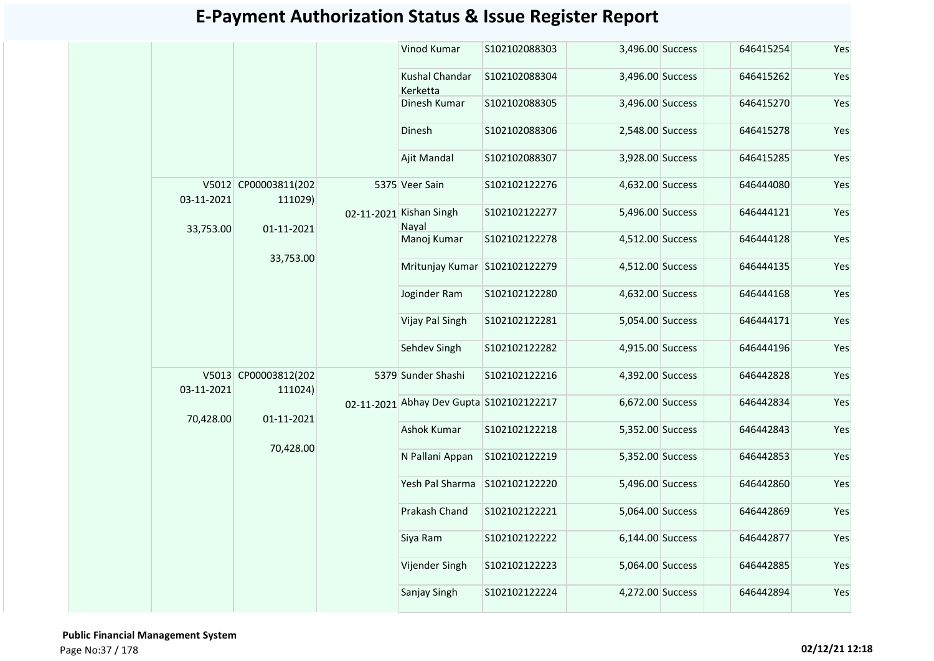|            |                                 | Vinod Kumar                              | S102102088303 | 3,496.00 Success | 646415254 | Yes |
|------------|---------------------------------|------------------------------------------|---------------|------------------|-----------|-----|
|            |                                 | Kushal Chandar<br>Kerketta               | S102102088304 | 3,496.00 Success | 646415262 | Yes |
|            |                                 | Dinesh Kumar                             | S102102088305 | 3,496.00 Success | 646415270 | Yes |
|            |                                 | Dinesh                                   | S102102088306 | 2,548.00 Success | 646415278 | Yes |
|            |                                 | Ajit Mandal                              | S102102088307 | 3,928.00 Success | 646415285 | Yes |
| 03-11-2021 | V5012 CP00003811(202<br>111029) | 5375 Veer Sain                           | S102102122276 | 4,632.00 Success | 646444080 | Yes |
| 33,753.00  | 01-11-2021                      | 02-11-2021 Kishan Singh<br>Nayal         | S102102122277 | 5,496.00 Success | 646444121 | Yes |
|            | 33,753.00                       | Manoj Kumar                              | S102102122278 | 4,512.00 Success | 646444128 | Yes |
|            |                                 | Mritunjay Kumar S102102122279            |               | 4,512.00 Success | 646444135 | Yes |
|            |                                 | Joginder Ram                             | S102102122280 | 4,632.00 Success | 646444168 | Yes |
|            |                                 | Vijay Pal Singh                          | S102102122281 | 5,054.00 Success | 646444171 | Yes |
|            |                                 | Sehdev Singh                             | S102102122282 | 4,915.00 Success | 646444196 | Yes |
| 03-11-2021 | V5013 CP00003812(202<br>111024) | 5379 Sunder Shashi                       | S102102122216 | 4,392.00 Success | 646442828 | Yes |
| 70,428.00  | 01-11-2021                      | 02-11-2021 Abhay Dev Gupta S102102122217 |               | 6,672.00 Success | 646442834 | Yes |
|            | 70,428.00                       | <b>Ashok Kumar</b>                       | S102102122218 | 5,352.00 Success | 646442843 | Yes |
|            |                                 | N Pallani Appan                          | S102102122219 | 5,352.00 Success | 646442853 | Yes |
|            |                                 | Yesh Pal Sharma                          | S102102122220 | 5,496.00 Success | 646442860 | Yes |
|            |                                 | Prakash Chand                            | S102102122221 | 5,064.00 Success | 646442869 | Yes |
|            |                                 | Siya Ram                                 | S102102122222 | 6,144.00 Success | 646442877 | Yes |
|            |                                 | Vijender Singh                           | S102102122223 | 5,064.00 Success | 646442885 | Yes |
|            |                                 | Sanjay Singh                             | S102102122224 | 4,272.00 Success | 646442894 | Yes |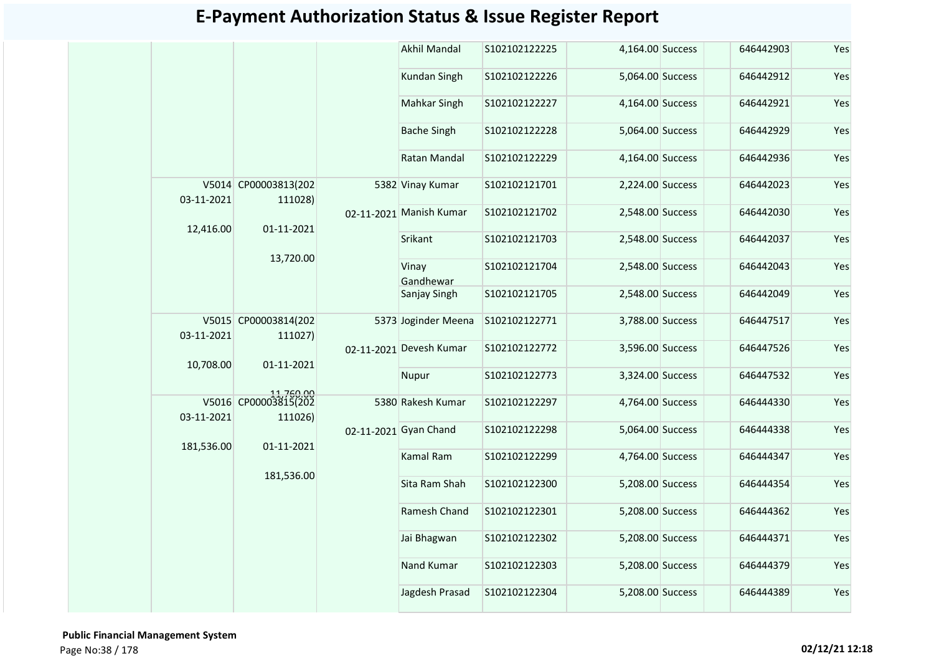|            |                                              | <b>Akhil Mandal</b>     | S102102122225 | 4,164.00 Success | 646442903 | Yes |
|------------|----------------------------------------------|-------------------------|---------------|------------------|-----------|-----|
|            |                                              | Kundan Singh            | S102102122226 | 5,064.00 Success | 646442912 | Yes |
|            |                                              | Mahkar Singh            | S102102122227 | 4,164.00 Success | 646442921 | Yes |
|            |                                              | <b>Bache Singh</b>      | S102102122228 | 5,064.00 Success | 646442929 | Yes |
|            |                                              | Ratan Mandal            | S102102122229 | 4,164.00 Success | 646442936 | Yes |
| 03-11-2021 | V5014 CP00003813(202<br>111028)              | 5382 Vinay Kumar        | S102102121701 | 2,224.00 Success | 646442023 | Yes |
|            |                                              | 02-11-2021 Manish Kumar | S102102121702 | 2,548.00 Success | 646442030 | Yes |
| 12,416.00  | 01-11-2021                                   | Srikant                 | S102102121703 | 2,548.00 Success | 646442037 | Yes |
|            | 13,720.00                                    | Vinay<br>Gandhewar      | S102102121704 | 2,548.00 Success | 646442043 | Yes |
|            |                                              | Sanjay Singh            | S102102121705 | 2,548.00 Success | 646442049 | Yes |
| 03-11-2021 | V5015 CP00003814(202<br>111027)              | 5373 Joginder Meena     | S102102122771 | 3,788.00 Success | 646447517 | Yes |
|            | 01-11-2021                                   | 02-11-2021 Devesh Kumar | S102102122772 | 3,596.00 Success | 646447526 | Yes |
| 10,708.00  |                                              | Nupur                   | S102102122773 | 3,324.00 Success | 646447532 | Yes |
| 03-11-2021 | 11,760.00<br>V5016 CP00003815(202<br>111026) | 5380 Rakesh Kumar       | S102102122297 | 4,764.00 Success | 646444330 | Yes |
|            |                                              | 02-11-2021 Gyan Chand   | S102102122298 | 5,064.00 Success | 646444338 | Yes |
| 181,536.00 | 01-11-2021                                   | Kamal Ram               | S102102122299 | 4,764.00 Success | 646444347 | Yes |
|            | 181,536.00                                   | Sita Ram Shah           | S102102122300 | 5,208.00 Success | 646444354 | Yes |
|            |                                              | Ramesh Chand            | S102102122301 | 5,208.00 Success | 646444362 | Yes |
|            |                                              | Jai Bhagwan             | S102102122302 | 5,208.00 Success | 646444371 | Yes |
|            |                                              | Nand Kumar              | S102102122303 | 5,208.00 Success | 646444379 | Yes |
|            |                                              | Jagdesh Prasad          | S102102122304 | 5,208.00 Success | 646444389 | Yes |
|            |                                              |                         |               |                  |           |     |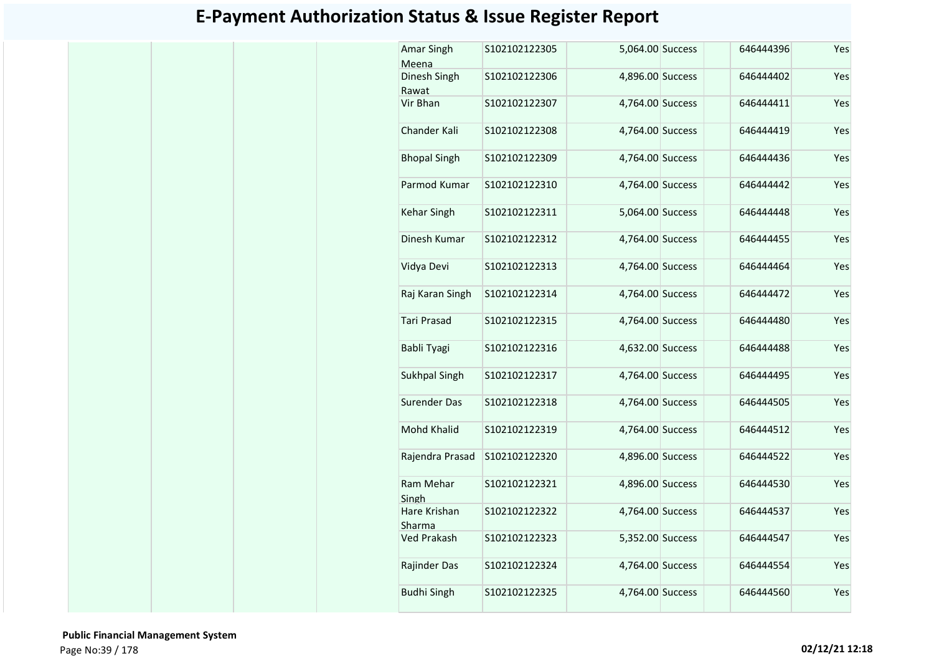| Amar Singh<br>Meena    | S102102122305 | 5,064.00 Success | 646444396 | Yes |
|------------------------|---------------|------------------|-----------|-----|
| Dinesh Singh<br>Rawat  | S102102122306 | 4,896.00 Success | 646444402 | Yes |
| Vir Bhan               | S102102122307 | 4,764.00 Success | 646444411 | Yes |
| Chander Kali           | S102102122308 | 4,764.00 Success | 646444419 | Yes |
| <b>Bhopal Singh</b>    | S102102122309 | 4,764.00 Success | 646444436 | Yes |
| Parmod Kumar           | S102102122310 | 4,764.00 Success | 646444442 | Yes |
| Kehar Singh            | S102102122311 | 5,064.00 Success | 646444448 | Yes |
| Dinesh Kumar           | S102102122312 | 4,764.00 Success | 646444455 | Yes |
| Vidya Devi             | S102102122313 | 4,764.00 Success | 646444464 | Yes |
| Raj Karan Singh        | S102102122314 | 4,764.00 Success | 646444472 | Yes |
| <b>Tari Prasad</b>     | S102102122315 | 4,764.00 Success | 646444480 | Yes |
| Babli Tyagi            | S102102122316 | 4,632.00 Success | 646444488 | Yes |
| Sukhpal Singh          | S102102122317 | 4,764.00 Success | 646444495 | Yes |
| <b>Surender Das</b>    | S102102122318 | 4,764.00 Success | 646444505 | Yes |
| Mohd Khalid            | S102102122319 | 4,764.00 Success | 646444512 | Yes |
| Rajendra Prasad        | S102102122320 | 4,896.00 Success | 646444522 | Yes |
| Ram Mehar<br>Singh     | S102102122321 | 4,896.00 Success | 646444530 | Yes |
| Hare Krishan<br>Sharma | S102102122322 | 4,764.00 Success | 646444537 | Yes |
| <b>Ved Prakash</b>     | S102102122323 | 5,352.00 Success | 646444547 | Yes |
| Rajinder Das           | S102102122324 | 4,764.00 Success | 646444554 | Yes |
| <b>Budhi Singh</b>     | S102102122325 | 4,764.00 Success | 646444560 | Yes |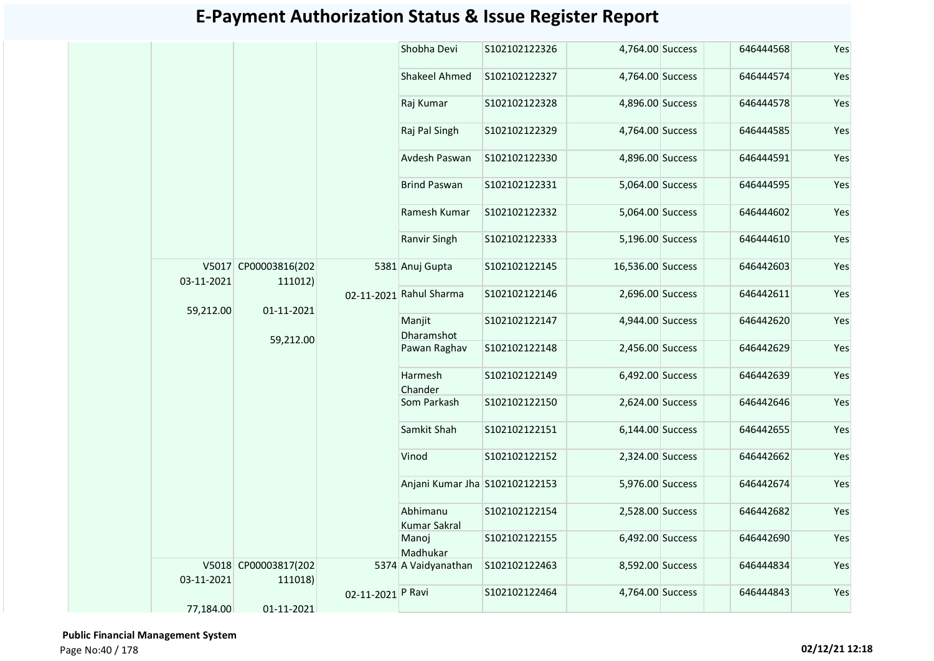|            |                                 |                   | Shobha Devi                     | S102102122326 | 4,764.00 Success  | 646444568 | Yes |
|------------|---------------------------------|-------------------|---------------------------------|---------------|-------------------|-----------|-----|
|            |                                 |                   | <b>Shakeel Ahmed</b>            | S102102122327 | 4,764.00 Success  | 646444574 | Yes |
|            |                                 |                   | Raj Kumar                       | S102102122328 | 4,896.00 Success  | 646444578 | Yes |
|            |                                 |                   | Raj Pal Singh                   | S102102122329 | 4,764.00 Success  | 646444585 | Yes |
|            |                                 |                   | Avdesh Paswan                   | S102102122330 | 4,896.00 Success  | 646444591 | Yes |
|            |                                 |                   | <b>Brind Paswan</b>             | S102102122331 | 5,064.00 Success  | 646444595 | Yes |
|            |                                 |                   | Ramesh Kumar                    | S102102122332 | 5,064.00 Success  | 646444602 | Yes |
|            |                                 |                   | Ranvir Singh                    | S102102122333 | 5,196.00 Success  | 646444610 | Yes |
| 03-11-2021 | V5017 CP00003816(202<br>111012) |                   | 5381 Anuj Gupta                 | S102102122145 | 16,536.00 Success | 646442603 | Yes |
| 59,212.00  | 01-11-2021                      |                   | 02-11-2021 Rahul Sharma         | S102102122146 | 2,696.00 Success  | 646442611 | Yes |
|            |                                 |                   | Manjit<br>Dharamshot            | S102102122147 | 4,944.00 Success  | 646442620 | Yes |
|            | 59,212.00                       |                   | Pawan Raghav                    | S102102122148 | 2,456.00 Success  | 646442629 | Yes |
|            |                                 |                   | Harmesh<br>Chander              | S102102122149 | 6,492.00 Success  | 646442639 | Yes |
|            |                                 |                   | Som Parkash                     | S102102122150 | 2,624.00 Success  | 646442646 | Yes |
|            |                                 |                   | Samkit Shah                     | S102102122151 | 6,144.00 Success  | 646442655 | Yes |
|            |                                 |                   | Vinod                           | S102102122152 | 2,324.00 Success  | 646442662 | Yes |
|            |                                 |                   | Anjani Kumar Jha S102102122153  |               | 5,976.00 Success  | 646442674 | Yes |
|            |                                 |                   | Abhimanu<br><b>Kumar Sakral</b> | S102102122154 | 2,528.00 Success  | 646442682 | Yes |
|            |                                 |                   | Manoj<br>Madhukar               | S102102122155 | 6,492.00 Success  | 646442690 | Yes |
| 03-11-2021 | V5018 CP00003817(202<br>111018) |                   | 5374 A Vaidyanathan             | S102102122463 | 8,592.00 Success  | 646444834 | Yes |
| 77,184.00  | 01-11-2021                      | 02-11-2021 P Ravi |                                 | S102102122464 | 4,764.00 Success  | 646444843 | Yes |
|            |                                 |                   |                                 |               |                   |           |     |

 **Public Financial Management System**  Page No:40 / 178 **02/12/21 12:18**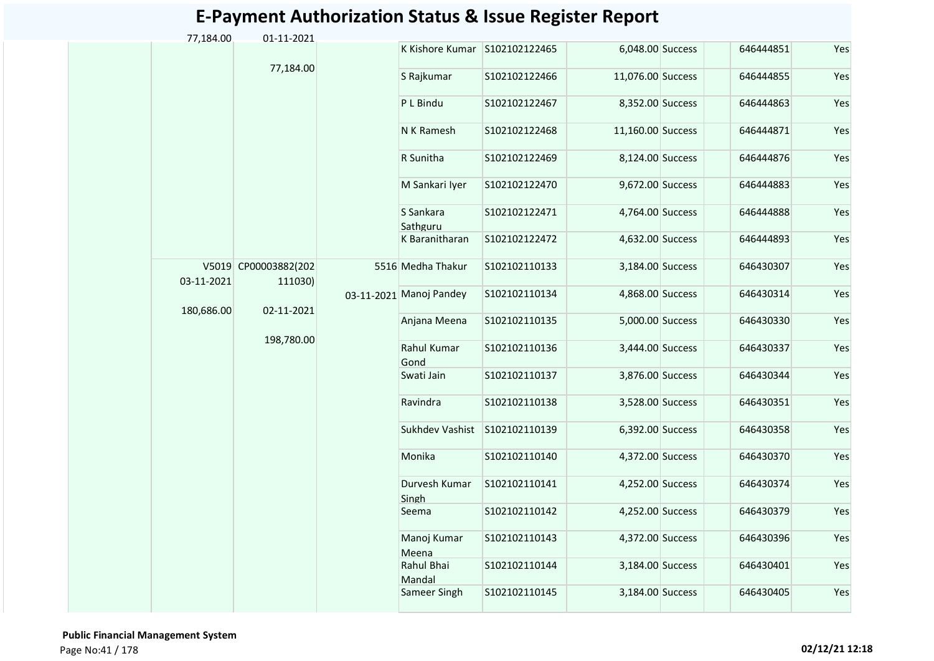| 77,184.00  | 01-11-2021                      |                               |                |                   |           |     |
|------------|---------------------------------|-------------------------------|----------------|-------------------|-----------|-----|
|            |                                 | K Kishore Kumar S102102122465 |                | 6,048.00 Success  | 646444851 | Yes |
|            | 77,184.00                       | S Rajkumar                    | S102102122466  | 11,076.00 Success | 646444855 | Yes |
|            |                                 | P L Bindu                     | S102102122467  | 8,352.00 Success  | 646444863 | Yes |
|            |                                 | N K Ramesh                    | S102102122468  | 11,160.00 Success | 646444871 | Yes |
|            |                                 | R Sunitha                     | S102102122469  | 8,124.00 Success  | 646444876 | Yes |
|            |                                 | M Sankari Iyer                | S102102122470  | 9,672.00 Success  | 646444883 | Yes |
|            |                                 | S Sankara<br>Sathguru         | S102102122471  | 4,764.00 Success  | 646444888 | Yes |
|            |                                 | K Baranitharan                | S102102122472  | 4,632.00 Success  | 646444893 | Yes |
| 03-11-2021 | V5019 CP00003882(202<br>111030) | 5516 Medha Thakur             | S102102110133  | 3,184.00 Success  | 646430307 | Yes |
| 180,686.00 | 02-11-2021                      | 03-11-2021 Manoj Pandey       | S102102110134  | 4,868.00 Success  | 646430314 | Yes |
|            |                                 | Anjana Meena                  | S102102110135  | 5,000.00 Success  | 646430330 | Yes |
|            | 198,780.00                      | Rahul Kumar<br>Gond           | \$102102110136 | 3,444.00 Success  | 646430337 | Yes |
|            |                                 | Swati Jain                    | S102102110137  | 3,876.00 Success  | 646430344 | Yes |
|            |                                 | Ravindra                      | S102102110138  | 3,528.00 Success  | 646430351 | Yes |
|            |                                 | Sukhdev Vashist               | S102102110139  | 6,392.00 Success  | 646430358 | Yes |
|            |                                 | Monika                        | S102102110140  | 4,372.00 Success  | 646430370 | Yes |
|            |                                 | Durvesh Kumar<br>Singh        | S102102110141  | 4,252.00 Success  | 646430374 | Yes |
|            |                                 | Seema                         | S102102110142  | 4,252.00 Success  | 646430379 | Yes |
|            |                                 | Manoj Kumar<br>Meena          | S102102110143  | 4,372.00 Success  | 646430396 | Yes |
|            |                                 | Rahul Bhai<br>Mandal          | S102102110144  | 3,184.00 Success  | 646430401 | Yes |
|            |                                 | Sameer Singh                  | S102102110145  | 3,184.00 Success  | 646430405 | Yes |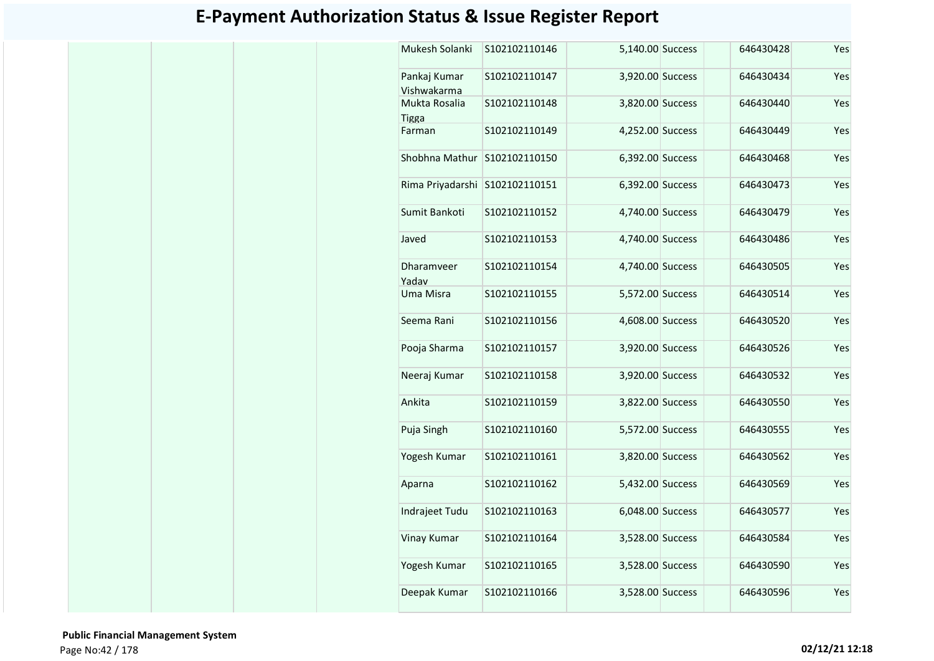| Mukesh Solanki                | S102102110146 | 5,140.00 Success | 646430428 | Yes |
|-------------------------------|---------------|------------------|-----------|-----|
| Pankaj Kumar<br>Vishwakarma   | S102102110147 | 3,920.00 Success | 646430434 | Yes |
| Mukta Rosalia<br><b>Tigga</b> | S102102110148 | 3,820.00 Success | 646430440 | Yes |
| Farman                        | S102102110149 | 4,252.00 Success | 646430449 | Yes |
| Shobhna Mathur                | S102102110150 | 6,392.00 Success | 646430468 | Yes |
| Rima Priyadarshi              | S102102110151 | 6,392.00 Success | 646430473 | Yes |
| Sumit Bankoti                 | S102102110152 | 4,740.00 Success | 646430479 | Yes |
| Javed                         | S102102110153 | 4,740.00 Success | 646430486 | Yes |
| Dharamveer<br>Yadav           | S102102110154 | 4,740.00 Success | 646430505 | Yes |
| Uma Misra                     | S102102110155 | 5,572.00 Success | 646430514 | Yes |
| Seema Rani                    | S102102110156 | 4,608.00 Success | 646430520 | Yes |
| Pooja Sharma                  | S102102110157 | 3,920.00 Success | 646430526 | Yes |
| Neeraj Kumar                  | S102102110158 | 3,920.00 Success | 646430532 | Yes |
| Ankita                        | S102102110159 | 3,822.00 Success | 646430550 | Yes |
| Puja Singh                    | S102102110160 | 5,572.00 Success | 646430555 | Yes |
| Yogesh Kumar                  | S102102110161 | 3,820.00 Success | 646430562 | Yes |
| Aparna                        | S102102110162 | 5,432.00 Success | 646430569 | Yes |
| Indrajeet Tudu                | S102102110163 | 6,048.00 Success | 646430577 | Yes |
| Vinay Kumar                   | S102102110164 | 3,528.00 Success | 646430584 | Yes |
| Yogesh Kumar                  | S102102110165 | 3,528.00 Success | 646430590 | Yes |
| Deepak Kumar                  | S102102110166 | 3,528.00 Success | 646430596 | Yes |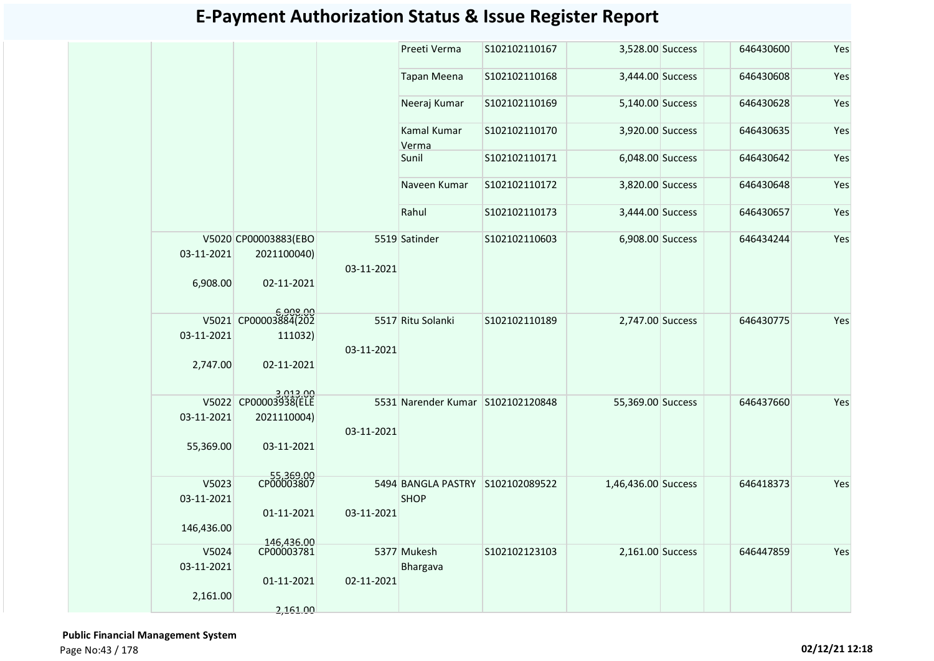|                                   |                                                               |            | Preeti Verma                                    | S102102110167 | 3,528.00 Success    | 646430600 | Yes |
|-----------------------------------|---------------------------------------------------------------|------------|-------------------------------------------------|---------------|---------------------|-----------|-----|
|                                   |                                                               |            | <b>Tapan Meena</b>                              | S102102110168 | 3,444.00 Success    | 646430608 | Yes |
|                                   |                                                               |            | Neeraj Kumar                                    | S102102110169 | 5,140.00 Success    | 646430628 | Yes |
|                                   |                                                               |            | Kamal Kumar<br>Verma                            | S102102110170 | 3,920.00 Success    | 646430635 | Yes |
|                                   |                                                               |            | Sunil                                           | S102102110171 | 6,048.00 Success    | 646430642 | Yes |
|                                   |                                                               |            | Naveen Kumar                                    | S102102110172 | 3,820.00 Success    | 646430648 | Yes |
|                                   |                                                               |            | Rahul                                           | S102102110173 | 3,444.00 Success    | 646430657 | Yes |
| 03-11-2021<br>6,908.00            | V5020 CP00003883(EBO<br>2021100040)<br>02-11-2021             | 03-11-2021 | 5519 Satinder                                   | S102102110603 | 6,908.00 Success    | 646434244 | Yes |
| 03-11-2021<br>2,747.00            | 6,908.00<br>V5021 CP00003884(202<br>111032)<br>02-11-2021     | 03-11-2021 | 5517 Ritu Solanki                               | S102102110189 | 2,747.00 Success    | 646430775 | Yes |
| 03-11-2021<br>55,369.00           | 3,013.00<br>V5022 CP00003938(ELE<br>2021110004)<br>03-11-2021 | 03-11-2021 | 5531 Narender Kumar S102102120848               |               | 55,369.00 Success   | 646437660 | Yes |
| V5023<br>03-11-2021<br>146,436.00 | 55,369.00<br>CP00003807<br>01-11-2021                         | 03-11-2021 | 5494 BANGLA PASTRY S102102089522<br><b>SHOP</b> |               | 1,46,436.00 Success | 646418373 | Yes |
| V5024<br>03-11-2021<br>2,161.00   | 146,436.00<br>CP00003781<br>01-11-2021<br>2,161.00            | 02-11-2021 | 5377 Mukesh<br>Bhargava                         | S102102123103 | 2,161.00 Success    | 646447859 | Yes |
|                                   |                                                               |            |                                                 |               |                     |           |     |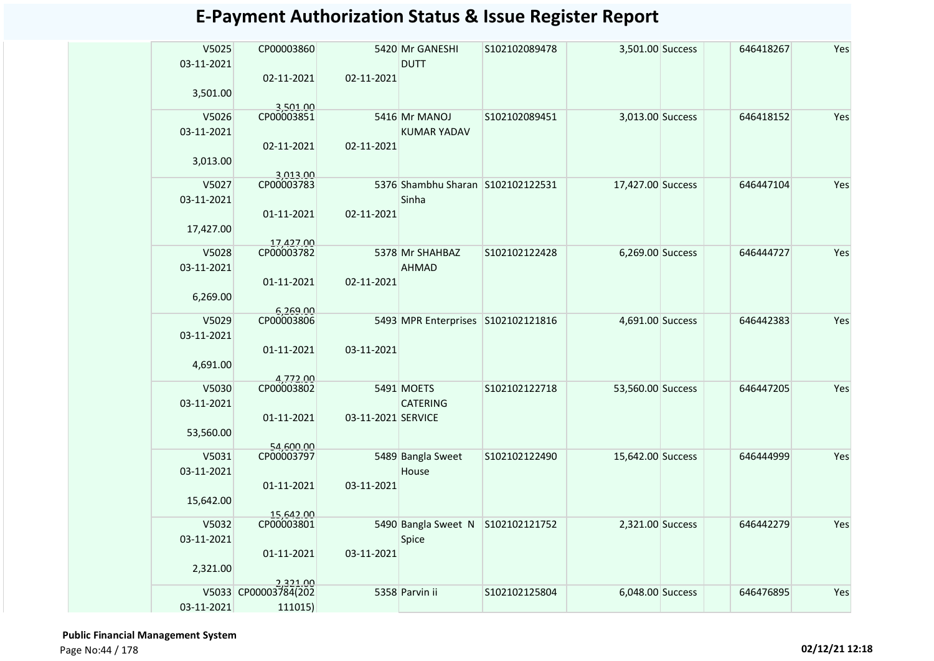| V5025<br>03-11-2021 | CP00003860             |                    | 5420 Mr GANESHI<br><b>DUTT</b>     | S102102089478 | 3,501.00 Success  | 646418267 | Yes |
|---------------------|------------------------|--------------------|------------------------------------|---------------|-------------------|-----------|-----|
| 3,501.00            | 02-11-2021<br>3,501.00 | 02-11-2021         |                                    |               |                   |           |     |
| V5026               | CP00003851             |                    | 5416 Mr MANOJ                      | S102102089451 | 3,013.00 Success  | 646418152 | Yes |
| 03-11-2021          |                        |                    | <b>KUMAR YADAV</b>                 |               |                   |           |     |
|                     | 02-11-2021             | 02-11-2021         |                                    |               |                   |           |     |
| 3,013.00            |                        |                    |                                    |               |                   |           |     |
|                     | 3,013.00               |                    |                                    |               |                   |           |     |
| V5027               | CP00003783             |                    | 5376 Shambhu Sharan S102102122531  |               | 17,427.00 Success | 646447104 | Yes |
| 03-11-2021          |                        |                    | Sinha                              |               |                   |           |     |
|                     | 01-11-2021             | 02-11-2021         |                                    |               |                   |           |     |
| 17,427.00           |                        |                    |                                    |               |                   |           |     |
|                     | 17.427.00              |                    |                                    |               |                   |           |     |
| V5028               | CP00003782             |                    | 5378 Mr SHAHBAZ                    | S102102122428 | 6,269.00 Success  | 646444727 | Yes |
| 03-11-2021          |                        |                    | <b>AHMAD</b>                       |               |                   |           |     |
|                     | 01-11-2021             | 02-11-2021         |                                    |               |                   |           |     |
| 6,269.00            |                        |                    |                                    |               |                   |           |     |
|                     | 6,269.00               |                    |                                    |               |                   |           |     |
| V5029               | CP00003806             |                    | 5493 MPR Enterprises S102102121816 |               | 4,691.00 Success  | 646442383 | Yes |
| 03-11-2021          |                        |                    |                                    |               |                   |           |     |
|                     | 01-11-2021             | 03-11-2021         |                                    |               |                   |           |     |
| 4,691.00            |                        |                    |                                    |               |                   |           |     |
| V5030               | 4,772.00<br>CP00003802 |                    | 5491 MOETS                         | S102102122718 | 53,560.00 Success | 646447205 | Yes |
| 03-11-2021          |                        |                    | <b>CATERING</b>                    |               |                   |           |     |
|                     | 01-11-2021             | 03-11-2021 SERVICE |                                    |               |                   |           |     |
|                     |                        |                    |                                    |               |                   |           |     |
| 53,560.00           | 54,600.00              |                    |                                    |               |                   |           |     |
| V5031               | CP00003797             |                    | 5489 Bangla Sweet                  | S102102122490 | 15,642.00 Success | 646444999 | Yes |
| 03-11-2021          |                        |                    | House                              |               |                   |           |     |
|                     | 01-11-2021             | 03-11-2021         |                                    |               |                   |           |     |
| 15,642.00           |                        |                    |                                    |               |                   |           |     |
|                     | 15,642.00              |                    |                                    |               |                   |           |     |
| V5032               | CP00003801             |                    | 5490 Bangla Sweet N S102102121752  |               | 2,321.00 Success  | 646442279 | Yes |
| 03-11-2021          |                        |                    | Spice                              |               |                   |           |     |
|                     | 01-11-2021             | 03-11-2021         |                                    |               |                   |           |     |
| 2,321.00            |                        |                    |                                    |               |                   |           |     |
|                     | 2.321.00               |                    |                                    |               |                   |           |     |
|                     | V5033 CP00003784(202   |                    | 5358 Parvin ii                     | S102102125804 | 6,048.00 Success  | 646476895 | Yes |
| 03-11-2021          | 111015)                |                    |                                    |               |                   |           |     |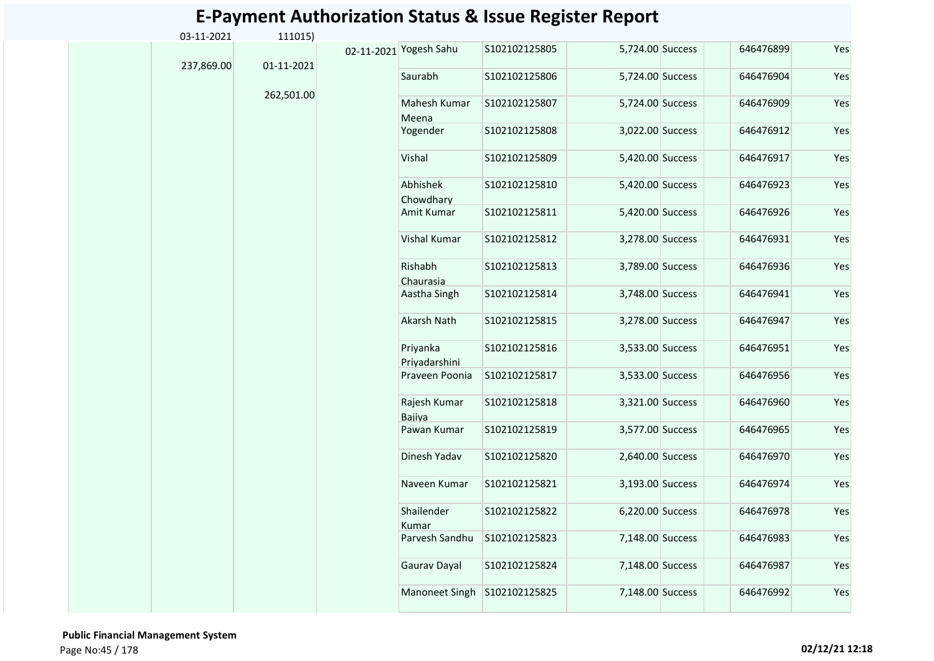| 03-11-2021 | 111015)    |                           |               |                  |           |     |
|------------|------------|---------------------------|---------------|------------------|-----------|-----|
|            | 01-11-2021 | 02-11-2021 Yogesh Sahu    | S102102125805 | 5,724.00 Success | 646476899 | Yes |
| 237,869.00 |            | Saurabh                   | S102102125806 | 5,724.00 Success | 646476904 | Yes |
|            | 262,501.00 | Mahesh Kumar<br>Meena     | S102102125807 | 5,724.00 Success | 646476909 | Yes |
|            |            | Yogender                  | S102102125808 | 3,022.00 Success | 646476912 | Yes |
|            |            | Vishal                    | S102102125809 | 5,420.00 Success | 646476917 | Yes |
|            |            | Abhishek<br>Chowdharv     | S102102125810 | 5,420.00 Success | 646476923 | Yes |
|            |            | Amit Kumar                | S102102125811 | 5,420.00 Success | 646476926 | Yes |
|            |            | Vishal Kumar              | S102102125812 | 3,278.00 Success | 646476931 | Yes |
|            |            | Rishabh<br>Chaurasia      | S102102125813 | 3,789.00 Success | 646476936 | Yes |
|            |            | Aastha Singh              | S102102125814 | 3,748.00 Success | 646476941 | Yes |
|            |            | <b>Akarsh Nath</b>        | S102102125815 | 3,278.00 Success | 646476947 | Yes |
|            |            | Priyanka<br>Priyadarshini | S102102125816 | 3,533.00 Success | 646476951 | Yes |
|            |            | Praveen Poonia            | S102102125817 | 3,533.00 Success | 646476956 | Yes |
|            |            | Rajesh Kumar<br>Bajiya    | S102102125818 | 3,321.00 Success | 646476960 | Yes |
|            |            | Pawan Kumar               | S102102125819 | 3,577.00 Success | 646476965 | Yes |
|            |            | Dinesh Yadav              | S102102125820 | 2,640.00 Success | 646476970 | Yes |
|            |            | Naveen Kumar              | S102102125821 | 3,193.00 Success | 646476974 | Yes |
|            |            | Shailender<br>Kumar       | S102102125822 | 6,220.00 Success | 646476978 | Yes |
|            |            | Parvesh Sandhu            | S102102125823 | 7,148.00 Success | 646476983 | Yes |
|            |            | Gaurav Dayal              | S102102125824 | 7,148.00 Success | 646476987 | Yes |
|            |            | <b>Manoneet Singh</b>     | S102102125825 | 7,148.00 Success | 646476992 | Yes |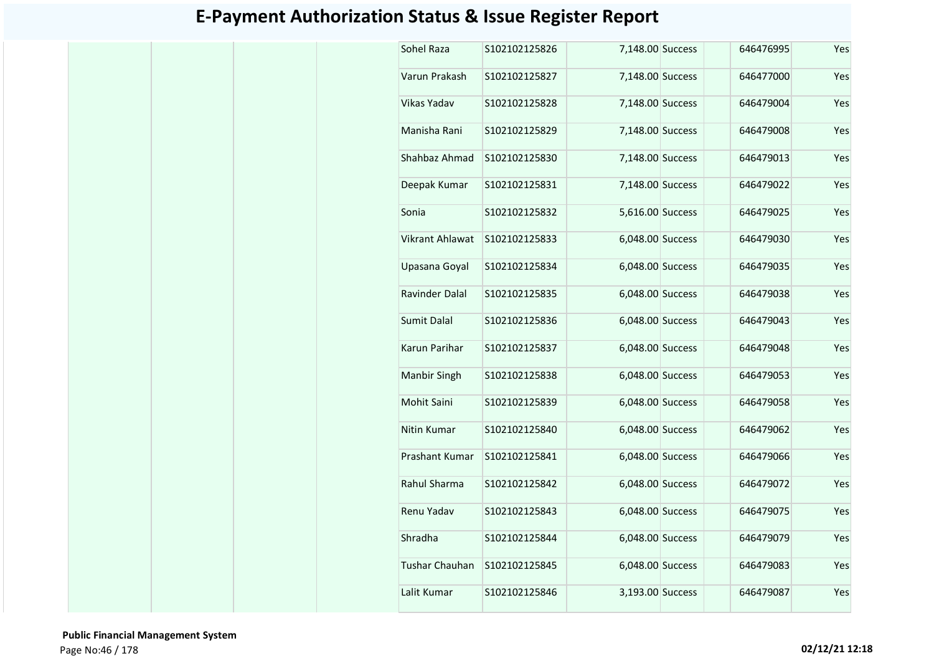| Sohel Raza             | S102102125826 | 7,148.00 Success | 646476995 | Yes |
|------------------------|---------------|------------------|-----------|-----|
| Varun Prakash          | S102102125827 | 7,148.00 Success | 646477000 | Yes |
| Vikas Yadav            | S102102125828 | 7,148.00 Success | 646479004 | Yes |
| Manisha Rani           | S102102125829 | 7,148.00 Success | 646479008 | Yes |
| Shahbaz Ahmad          | S102102125830 | 7,148.00 Success | 646479013 | Yes |
| Deepak Kumar           | S102102125831 | 7,148.00 Success | 646479022 | Yes |
| Sonia                  | S102102125832 | 5,616.00 Success | 646479025 | Yes |
| <b>Vikrant Ahlawat</b> | S102102125833 | 6,048.00 Success | 646479030 | Yes |
| Upasana Goyal          | S102102125834 | 6,048.00 Success | 646479035 | Yes |
| Ravinder Dalal         | S102102125835 | 6,048.00 Success | 646479038 | Yes |
| <b>Sumit Dalal</b>     | S102102125836 | 6,048.00 Success | 646479043 | Yes |
| Karun Parihar          | S102102125837 | 6,048.00 Success | 646479048 | Yes |
| Manbir Singh           | S102102125838 | 6,048.00 Success | 646479053 | Yes |
| Mohit Saini            | S102102125839 | 6,048.00 Success | 646479058 | Yes |
| Nitin Kumar            | S102102125840 | 6,048.00 Success | 646479062 | Yes |
| Prashant Kumar         | S102102125841 | 6,048.00 Success | 646479066 | Yes |
| Rahul Sharma           | S102102125842 | 6,048.00 Success | 646479072 | Yes |
| Renu Yadav             | S102102125843 | 6,048.00 Success | 646479075 | Yes |
| Shradha                | S102102125844 | 6,048.00 Success | 646479079 | Yes |
| <b>Tushar Chauhan</b>  | S102102125845 | 6,048.00 Success | 646479083 | Yes |
| Lalit Kumar            | S102102125846 | 3,193.00 Success | 646479087 | Yes |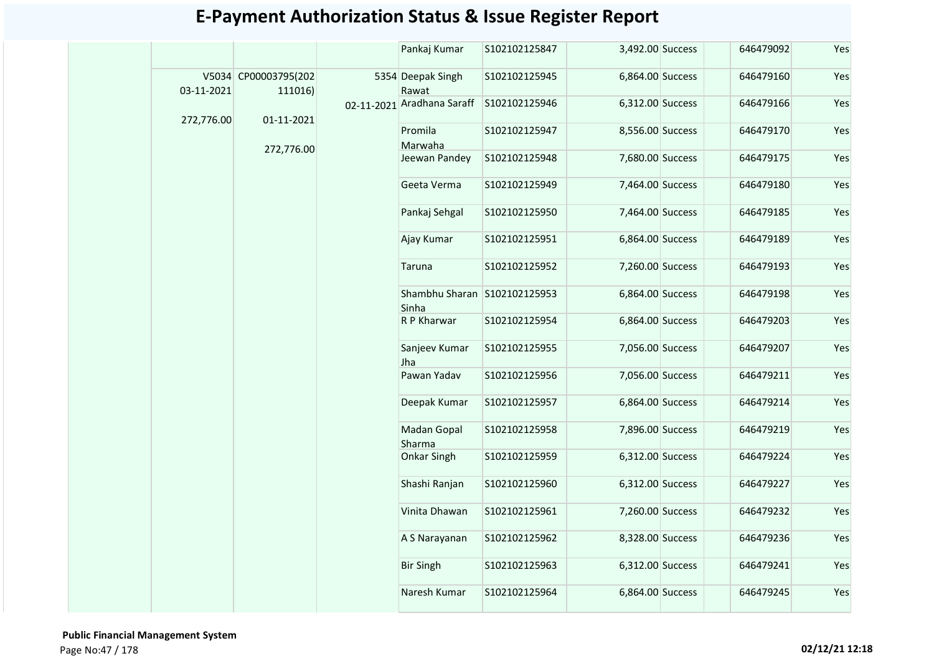|            |                                 | Pankaj Kumar                          | S102102125847 | 3,492.00 Success | 646479092 | Yes |
|------------|---------------------------------|---------------------------------------|---------------|------------------|-----------|-----|
| 03-11-2021 | V5034 CP00003795(202<br>111016) | 5354 Deepak Singh<br>Rawat            | S102102125945 | 6,864.00 Success | 646479160 | Yes |
| 272,776.00 | 01-11-2021                      | 02-11-2021 Aradhana Saraff            | S102102125946 | 6,312.00 Success | 646479166 | Yes |
|            |                                 | Promila<br>Marwaha                    | S102102125947 | 8,556.00 Success | 646479170 | Yes |
|            | 272,776.00                      | Jeewan Pandey                         | S102102125948 | 7,680.00 Success | 646479175 | Yes |
|            |                                 | Geeta Verma                           | S102102125949 | 7,464.00 Success | 646479180 | Yes |
|            |                                 | Pankaj Sehgal                         | S102102125950 | 7,464.00 Success | 646479185 | Yes |
|            |                                 | Ajay Kumar                            | S102102125951 | 6,864.00 Success | 646479189 | Yes |
|            |                                 | Taruna                                | S102102125952 | 7,260.00 Success | 646479193 | Yes |
|            |                                 | Shambhu Sharan S102102125953<br>Sinha |               | 6,864.00 Success | 646479198 | Yes |
|            |                                 | R P Kharwar                           | S102102125954 | 6,864.00 Success | 646479203 | Yes |
|            |                                 | Sanjeev Kumar<br>Jha                  | S102102125955 | 7,056.00 Success | 646479207 | Yes |
|            |                                 | Pawan Yadav                           | S102102125956 | 7,056.00 Success | 646479211 | Yes |
|            |                                 | Deepak Kumar                          | S102102125957 | 6,864.00 Success | 646479214 | Yes |
|            |                                 | Madan Gopal<br>Sharma                 | S102102125958 | 7,896.00 Success | 646479219 | Yes |
|            |                                 | Onkar Singh                           | S102102125959 | 6,312.00 Success | 646479224 | Yes |
|            |                                 | Shashi Ranjan                         | S102102125960 | 6,312.00 Success | 646479227 | Yes |
|            |                                 | Vinita Dhawan                         | S102102125961 | 7,260.00 Success | 646479232 | Yes |
|            |                                 | A S Narayanan                         | S102102125962 | 8,328.00 Success | 646479236 | Yes |
|            |                                 | <b>Bir Singh</b>                      | S102102125963 | 6,312.00 Success | 646479241 | Yes |
|            |                                 | Naresh Kumar                          | S102102125964 | 6,864.00 Success | 646479245 | Yes |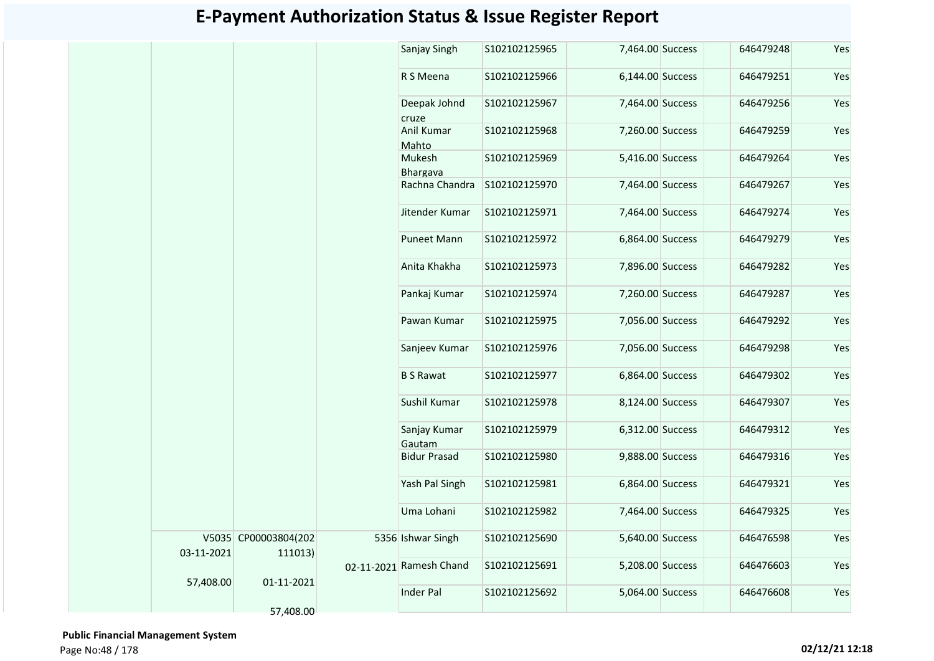|            |                                 | Sanjay Singh            | S102102125965 | 7,464.00 Success | 646479248 | Yes |
|------------|---------------------------------|-------------------------|---------------|------------------|-----------|-----|
|            |                                 | R S Meena               | S102102125966 | 6,144.00 Success | 646479251 | Yes |
|            |                                 | Deepak Johnd<br>cruze   | S102102125967 | 7,464.00 Success | 646479256 | Yes |
|            |                                 | Anil Kumar<br>Mahto     | S102102125968 | 7,260.00 Success | 646479259 | Yes |
|            |                                 | Mukesh<br>Bhargava      | S102102125969 | 5,416.00 Success | 646479264 | Yes |
|            |                                 | Rachna Chandra          | S102102125970 | 7,464.00 Success | 646479267 | Yes |
|            |                                 | Jitender Kumar          | S102102125971 | 7,464.00 Success | 646479274 | Yes |
|            |                                 | Puneet Mann             | S102102125972 | 6,864.00 Success | 646479279 | Yes |
|            |                                 | Anita Khakha            | S102102125973 | 7,896.00 Success | 646479282 | Yes |
|            |                                 | Pankaj Kumar            | S102102125974 | 7,260.00 Success | 646479287 | Yes |
|            |                                 | Pawan Kumar             | S102102125975 | 7,056.00 Success | 646479292 | Yes |
|            |                                 | Sanjeev Kumar           | S102102125976 | 7,056.00 Success | 646479298 | Yes |
|            |                                 | <b>B S Rawat</b>        | S102102125977 | 6,864.00 Success | 646479302 | Yes |
|            |                                 | Sushil Kumar            | S102102125978 | 8,124.00 Success | 646479307 | Yes |
|            |                                 | Sanjay Kumar<br>Gautam  | S102102125979 | 6,312.00 Success | 646479312 | Yes |
|            |                                 | <b>Bidur Prasad</b>     | S102102125980 | 9,888.00 Success | 646479316 | Yes |
|            |                                 | Yash Pal Singh          | S102102125981 | 6,864.00 Success | 646479321 | Yes |
|            |                                 | Uma Lohani              | S102102125982 | 7,464.00 Success | 646479325 | Yes |
| 03-11-2021 | V5035 CP00003804(202<br>111013) | 5356 Ishwar Singh       | S102102125690 | 5,640.00 Success | 646476598 | Yes |
|            |                                 | 02-11-2021 Ramesh Chand | S102102125691 | 5,208.00 Success | 646476603 | Yes |
| 57,408.00  | 01-11-2021                      | Inder Pal               | S102102125692 | 5,064.00 Success | 646476608 | Yes |
|            | 57,408.00                       |                         |               |                  |           |     |

 **Public Financial Management System**  Page No:48 / 178 **02/12/21 12:18**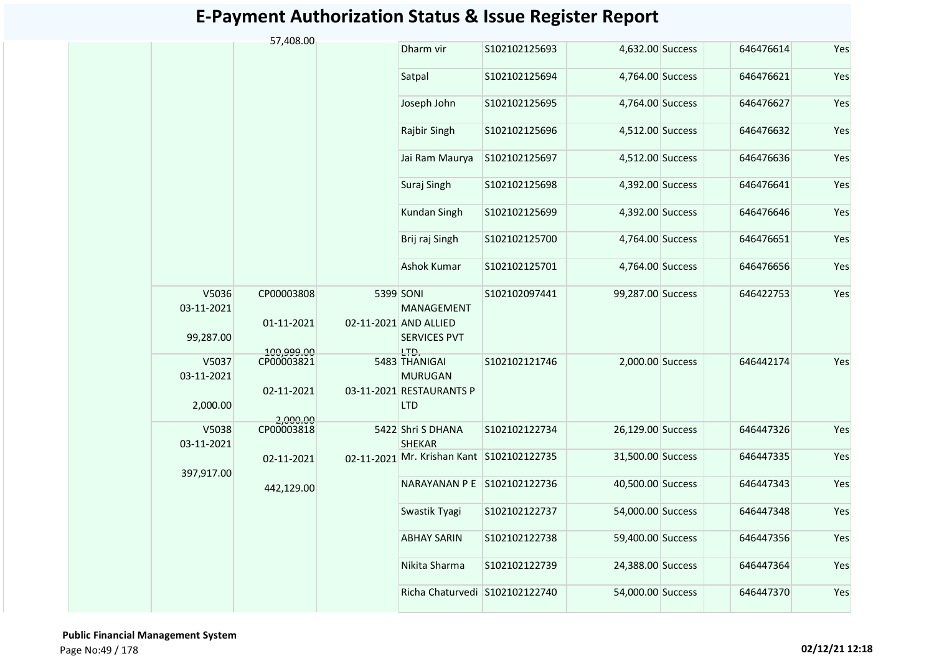|                                  | 57,408.00                |                                                                         |               |                   |           |     |
|----------------------------------|--------------------------|-------------------------------------------------------------------------|---------------|-------------------|-----------|-----|
|                                  |                          | Dharm vir                                                               | S102102125693 | 4,632.00 Success  | 646476614 | Yes |
|                                  |                          | Satpal                                                                  | S102102125694 | 4,764.00 Success  | 646476621 | Yes |
|                                  |                          | Joseph John                                                             | S102102125695 | 4,764.00 Success  | 646476627 | Yes |
|                                  |                          | Rajbir Singh                                                            | S102102125696 | 4,512.00 Success  | 646476632 | Yes |
|                                  |                          | Jai Ram Maurya                                                          | S102102125697 | 4,512.00 Success  | 646476636 | Yes |
|                                  |                          | Suraj Singh                                                             | S102102125698 | 4,392.00 Success  | 646476641 | Yes |
|                                  |                          | Kundan Singh                                                            | S102102125699 | 4,392.00 Success  | 646476646 | Yes |
|                                  |                          | Brij raj Singh                                                          | S102102125700 | 4,764.00 Success  | 646476651 | Yes |
|                                  |                          | Ashok Kumar                                                             | S102102125701 | 4,764.00 Success  | 646476656 | Yes |
| V5036<br>03-11-2021<br>99,287.00 | CP00003808<br>01-11-2021 | 5399 SONI<br>MANAGEMENT<br>02-11-2021 AND ALLIED<br><b>SERVICES PVT</b> | S102102097441 | 99,287.00 Success | 646422753 | Yes |
| V5037<br>03-11-2021              | 100.999.00<br>CP00003821 | LTD.<br>5483 THANIGAI<br><b>MURUGAN</b>                                 | S102102121746 | 2,000.00 Success  | 646442174 | Yes |
| 2,000.00                         | 02-11-2021               | 03-11-2021 RESTAURANTS P<br><b>LTD</b>                                  |               |                   |           |     |
| V5038<br>03-11-2021              | 2,000.00<br>CP00003818   | 5422 Shri S DHANA<br><b>SHEKAR</b>                                      | S102102122734 | 26,129.00 Success | 646447326 | Yes |
|                                  | 02-11-2021               | 02-11-2021 Mr. Krishan Kant S102102122735                               |               | 31,500.00 Success | 646447335 | Yes |
| 397,917.00                       | 442,129.00               | NARAYANAN P E S102102122736                                             |               | 40,500.00 Success | 646447343 | Yes |
|                                  |                          | Swastik Tyagi                                                           | S102102122737 | 54,000.00 Success | 646447348 | Yes |
|                                  |                          | <b>ABHAY SARIN</b>                                                      | S102102122738 | 59,400.00 Success | 646447356 | Yes |
|                                  |                          | Nikita Sharma                                                           | S102102122739 | 24,388.00 Success | 646447364 | Yes |
|                                  |                          | Richa Chaturvedi S102102122740                                          |               | 54,000.00 Success | 646447370 | Yes |
|                                  |                          |                                                                         |               |                   |           |     |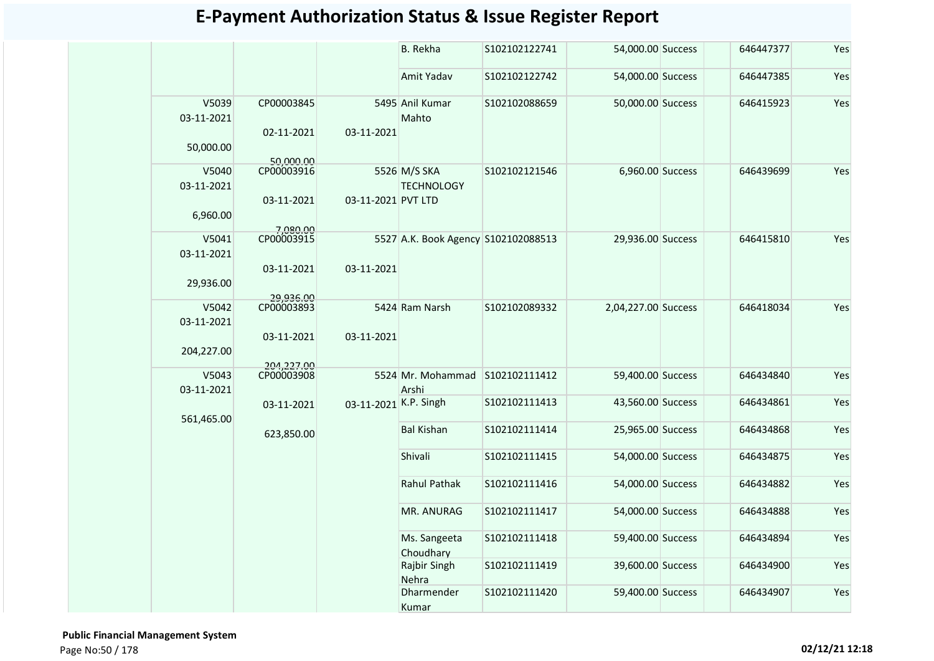|                                   |                                       |                       | <b>B.</b> Rekha                          | S102102122741 | 54,000.00 Success   | 646447377 | Yes |
|-----------------------------------|---------------------------------------|-----------------------|------------------------------------------|---------------|---------------------|-----------|-----|
|                                   |                                       |                       | Amit Yadav                               | S102102122742 | 54,000.00 Success   | 646447385 | Yes |
| V5039<br>03-11-2021<br>50,000.00  | CP00003845<br>02-11-2021<br>50,000.00 | 03-11-2021            | 5495 Anil Kumar<br>Mahto                 | S102102088659 | 50,000.00 Success   | 646415923 | Yes |
| V5040<br>03-11-2021<br>6,960.00   | CP00003916<br>03-11-2021<br>7.080.00  | 03-11-2021 PVT LTD    | 5526 M/S SKA<br><b>TECHNOLOGY</b>        | S102102121546 | 6,960.00 Success    | 646439699 | Yes |
| V5041<br>03-11-2021<br>29,936.00  | CP00003915<br>03-11-2021<br>29,936.00 | 03-11-2021            | 5527 A.K. Book Agency S102102088513      |               | 29,936.00 Success   | 646415810 | Yes |
| V5042<br>03-11-2021<br>204,227.00 | CP00003893<br>03-11-2021              | 03-11-2021            | 5424 Ram Narsh                           | S102102089332 | 2,04,227.00 Success | 646418034 | Yes |
| V5043<br>03-11-2021               | 204,227.00                            |                       | 5524 Mr. Mohammad S102102111412<br>Arshi |               | 59,400.00 Success   | 646434840 | Yes |
| 561,465.00                        | 03-11-2021                            | 03-11-2021 K.P. Singh |                                          | S102102111413 | 43,560.00 Success   | 646434861 | Yes |
|                                   | 623,850.00                            |                       | <b>Bal Kishan</b>                        | S102102111414 | 25,965.00 Success   | 646434868 | Yes |
|                                   |                                       |                       | Shivali                                  | S102102111415 | 54,000.00 Success   | 646434875 | Yes |
|                                   |                                       |                       | <b>Rahul Pathak</b>                      | S102102111416 | 54,000.00 Success   | 646434882 | Yes |
|                                   |                                       |                       | MR. ANURAG                               | S102102111417 | 54,000.00 Success   | 646434888 | Yes |
|                                   |                                       |                       | Ms. Sangeeta<br>Choudhary                | S102102111418 | 59,400.00 Success   | 646434894 | Yes |
|                                   |                                       |                       | Rajbir Singh<br>Nehra                    | S102102111419 | 39,600.00 Success   | 646434900 | Yes |
|                                   |                                       |                       | Dharmender<br>Kumar                      | S102102111420 | 59,400.00 Success   | 646434907 | Yes |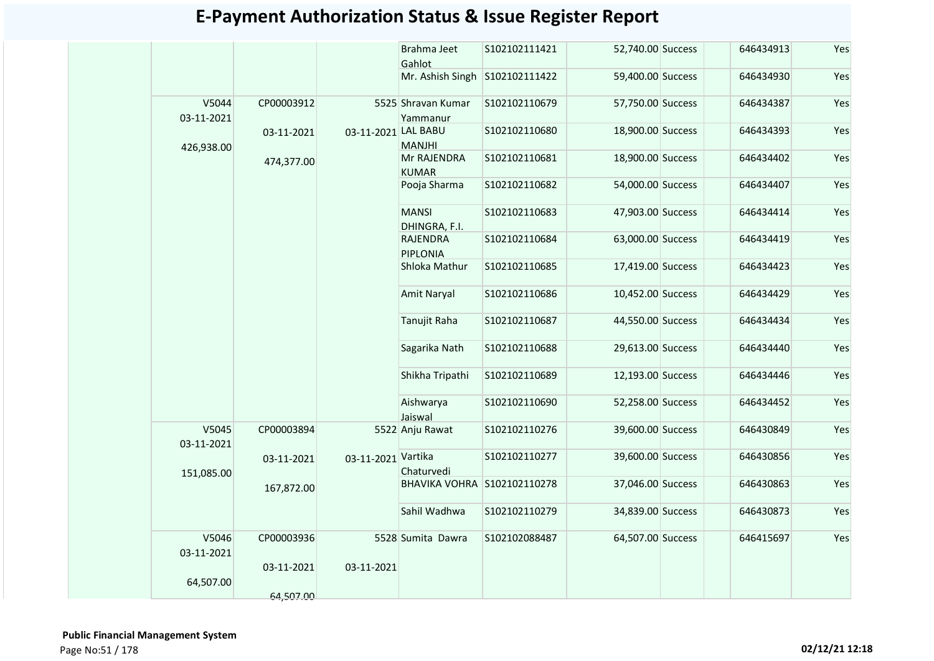|                     |            |                     | Brahma Jeet<br>Gahlot          | S102102111421 | 52,740.00 Success | 646434913 | Yes |
|---------------------|------------|---------------------|--------------------------------|---------------|-------------------|-----------|-----|
|                     |            |                     | Mr. Ashish Singh S102102111422 |               | 59,400.00 Success | 646434930 | Yes |
| V5044<br>03-11-2021 | CP00003912 |                     | 5525 Shravan Kumar<br>Yammanur | S102102110679 | 57,750.00 Success | 646434387 | Yes |
| 426,938.00          | 03-11-2021 | 03-11-2021 LAL BABU | <b>MANJHI</b>                  | S102102110680 | 18,900.00 Success | 646434393 | Yes |
|                     | 474,377.00 |                     | Mr RAJENDRA<br><b>KUMAR</b>    | S102102110681 | 18,900.00 Success | 646434402 | Yes |
|                     |            |                     | Pooja Sharma                   | S102102110682 | 54,000.00 Success | 646434407 | Yes |
|                     |            |                     | <b>MANSI</b><br>DHINGRA, F.I.  | S102102110683 | 47,903.00 Success | 646434414 | Yes |
|                     |            |                     | RAJENDRA<br><b>PIPLONIA</b>    | S102102110684 | 63,000.00 Success | 646434419 | Yes |
|                     |            |                     | Shloka Mathur                  | S102102110685 | 17,419.00 Success | 646434423 | Yes |
|                     |            |                     | Amit Naryal                    | S102102110686 | 10,452.00 Success | 646434429 | Yes |
|                     |            |                     | Tanujit Raha                   | S102102110687 | 44,550.00 Success | 646434434 | Yes |
|                     |            |                     | Sagarika Nath                  | S102102110688 | 29,613.00 Success | 646434440 | Yes |
|                     |            |                     | Shikha Tripathi                | S102102110689 | 12,193.00 Success | 646434446 | Yes |
|                     |            |                     | Aishwarya<br>Jaiswal           | S102102110690 | 52,258.00 Success | 646434452 | Yes |
| V5045<br>03-11-2021 | CP00003894 |                     | 5522 Anju Rawat                | S102102110276 | 39,600.00 Success | 646430849 | Yes |
| 151,085.00          | 03-11-2021 | 03-11-2021 Vartika  | Chaturvedi                     | S102102110277 | 39,600.00 Success | 646430856 | Yes |
|                     | 167,872.00 |                     | BHAVIKA VOHRA S102102110278    |               | 37,046.00 Success | 646430863 | Yes |
|                     |            |                     | Sahil Wadhwa                   | S102102110279 | 34,839.00 Success | 646430873 | Yes |
| V5046<br>03-11-2021 | CP00003936 |                     | 5528 Sumita Dawra              | S102102088487 | 64,507.00 Success | 646415697 | Yes |
| 64,507.00           | 03-11-2021 | 03-11-2021          |                                |               |                   |           |     |
|                     | 64,507.00  |                     |                                |               |                   |           |     |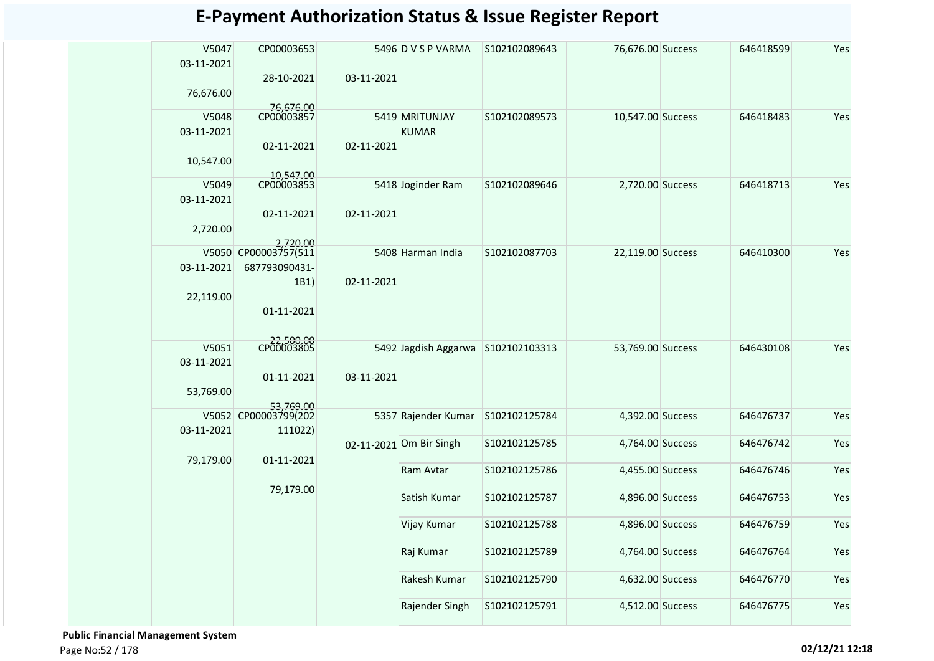| V5047<br>03-11-2021 | CP00003653              |            | 5496 D V S P VARMA      | S102102089643 | 76,676.00 Success | 646418599 | Yes |
|---------------------|-------------------------|------------|-------------------------|---------------|-------------------|-----------|-----|
| 76,676.00           | 28-10-2021              | 03-11-2021 |                         |               |                   |           |     |
| V5048               | 76,676.00<br>CP00003857 |            | 5419 MRITUNJAY          | S102102089573 | 10,547.00 Success | 646418483 | Yes |
| 03-11-2021          |                         |            | <b>KUMAR</b>            |               |                   |           |     |
|                     | 02-11-2021              | 02-11-2021 |                         |               |                   |           |     |
| 10,547.00           |                         |            |                         |               |                   |           |     |
| V5049               | 10,547.00<br>CP00003853 |            | 5418 Joginder Ram       | S102102089646 | 2,720.00 Success  | 646418713 | Yes |
| 03-11-2021          |                         |            |                         |               |                   |           |     |
|                     | 02-11-2021              | 02-11-2021 |                         |               |                   |           |     |
| 2,720.00            |                         |            |                         |               |                   |           |     |
|                     | 2.720.00                |            |                         |               |                   |           |     |
|                     | V5050 CP00003757(511    |            | 5408 Harman India       | S102102087703 | 22,119.00 Success | 646410300 | Yes |
| 03-11-2021          | 687793090431-           |            |                         |               |                   |           |     |
|                     | 1B1)                    | 02-11-2021 |                         |               |                   |           |     |
| 22,119.00           |                         |            |                         |               |                   |           |     |
|                     | 01-11-2021              |            |                         |               |                   |           |     |
|                     |                         |            |                         |               |                   |           |     |
| V5051               | CP00003805              |            | 5492 Jagdish Aggarwa    | S102102103313 | 53,769.00 Success | 646430108 | Yes |
| 03-11-2021          |                         |            |                         |               |                   |           |     |
|                     | 01-11-2021              | 03-11-2021 |                         |               |                   |           |     |
| 53,769.00           |                         |            |                         |               |                   |           |     |
|                     | 53,769.00               |            |                         |               |                   |           |     |
|                     | V5052 CP00003799(202    |            | 5357 Rajender Kumar     | S102102125784 | 4,392.00 Success  | 646476737 | Yes |
| 03-11-2021          | 111022)                 |            |                         |               |                   |           |     |
|                     |                         |            | 02-11-2021 Om Bir Singh | S102102125785 | 4,764.00 Success  | 646476742 | Yes |
| 79,179.00           | 01-11-2021              |            | Ram Avtar               | S102102125786 | 4,455.00 Success  | 646476746 | Yes |
|                     |                         |            |                         |               |                   |           |     |
|                     | 79,179.00               |            | Satish Kumar            | S102102125787 | 4,896.00 Success  | 646476753 | Yes |
|                     |                         |            |                         |               |                   |           |     |
|                     |                         |            | Vijay Kumar             | S102102125788 | 4,896.00 Success  | 646476759 | Yes |
|                     |                         |            |                         |               |                   |           |     |
|                     |                         |            | Raj Kumar               | S102102125789 | 4,764.00 Success  | 646476764 | Yes |
|                     |                         |            |                         |               |                   |           |     |
|                     |                         |            | Rakesh Kumar            | S102102125790 | 4,632.00 Success  | 646476770 | Yes |
|                     |                         |            |                         |               |                   |           |     |
|                     |                         |            | Rajender Singh          | S102102125791 | 4,512.00 Success  | 646476775 | Yes |
|                     |                         |            |                         |               |                   |           |     |

 **Public Financial Management System**  Page No:52 / 178 **02/12/21 12:18**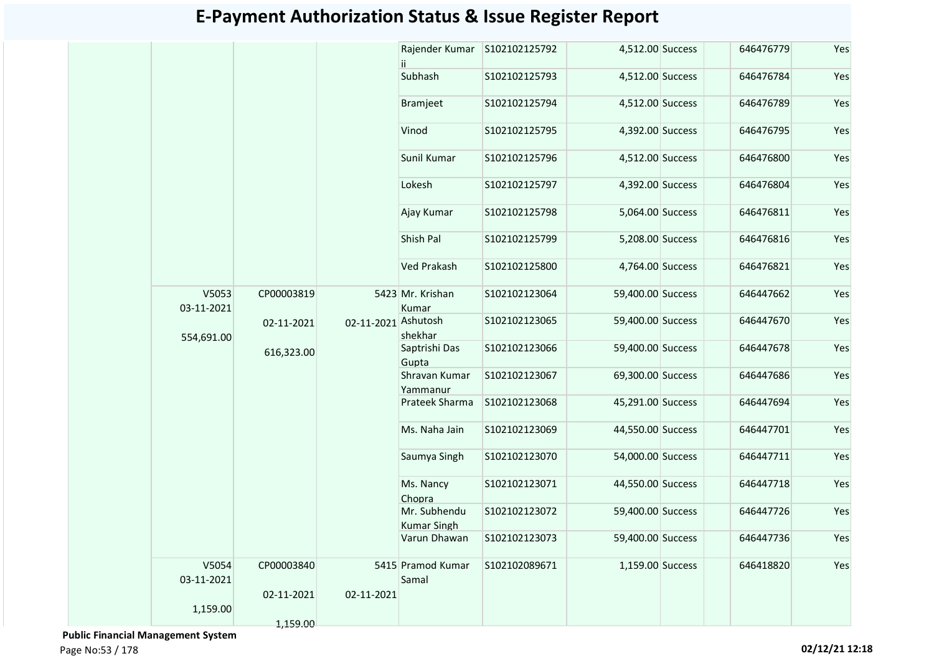|                     |            |                     | Rajender Kumar                     | S102102125792  | 4,512.00 Success  | 646476779 | Yes |
|---------------------|------------|---------------------|------------------------------------|----------------|-------------------|-----------|-----|
|                     |            |                     | Subhash                            | S102102125793  | 4,512.00 Success  | 646476784 | Yes |
|                     |            |                     | Bramjeet                           | S102102125794  | 4,512.00 Success  | 646476789 | Yes |
|                     |            |                     | Vinod                              | S102102125795  | 4,392.00 Success  | 646476795 | Yes |
|                     |            |                     | Sunil Kumar                        | S102102125796  | 4,512.00 Success  | 646476800 | Yes |
|                     |            |                     | Lokesh                             | S102102125797  | 4,392.00 Success  | 646476804 | Yes |
|                     |            |                     | Ajay Kumar                         | S102102125798  | 5,064.00 Success  | 646476811 | Yes |
|                     |            |                     | Shish Pal                          | S102102125799  | 5,208.00 Success  | 646476816 | Yes |
|                     |            |                     | <b>Ved Prakash</b>                 | \$102102125800 | 4,764.00 Success  | 646476821 | Yes |
| V5053<br>03-11-2021 | CP00003819 |                     | 5423 Mr. Krishan<br>Kumar          | S102102123064  | 59,400.00 Success | 646447662 | Yes |
|                     | 02-11-2021 | 02-11-2021 Ashutosh | shekhar                            | S102102123065  | 59,400.00 Success | 646447670 | Yes |
| 554,691.00          | 616,323.00 |                     | Saptrishi Das<br>Gupta             | S102102123066  | 59,400.00 Success | 646447678 | Yes |
|                     |            |                     | Shravan Kumar<br>Yammanur          | S102102123067  | 69,300.00 Success | 646447686 | Yes |
|                     |            |                     | Prateek Sharma                     | S102102123068  | 45,291.00 Success | 646447694 | Yes |
|                     |            |                     | Ms. Naha Jain                      | S102102123069  | 44,550.00 Success | 646447701 | Yes |
|                     |            |                     | Saumya Singh                       | S102102123070  | 54,000.00 Success | 646447711 | Yes |
|                     |            |                     | Ms. Nancy<br>Chopra                | S102102123071  | 44,550.00 Success | 646447718 | Yes |
|                     |            |                     | Mr. Subhendu<br><b>Kumar Singh</b> | S102102123072  | 59,400.00 Success | 646447726 | Yes |
|                     |            |                     | Varun Dhawan                       | S102102123073  | 59,400.00 Success | 646447736 | Yes |
| V5054<br>03-11-2021 | CP00003840 |                     | 5415 Pramod Kumar<br>Samal         | S102102089671  | 1,159.00 Success  | 646418820 | Yes |
| 1,159.00            | 02-11-2021 | 02-11-2021          |                                    |                |                   |           |     |
|                     | 1,159.00   |                     |                                    |                |                   |           |     |

 **Public Financial Management System**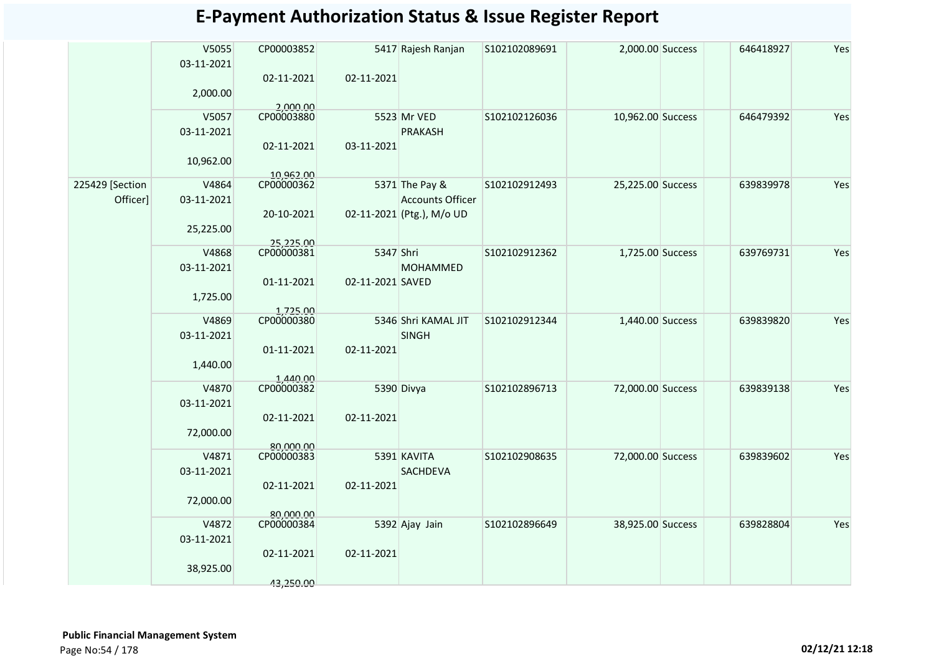|                 | V5055<br>03-11-2021 | CP00003852              |                  | 5417 Rajesh Ranjan        | S102102089691 | 2,000.00 Success  | 646418927 | Yes |
|-----------------|---------------------|-------------------------|------------------|---------------------------|---------------|-------------------|-----------|-----|
|                 |                     | 02-11-2021              | 02-11-2021       |                           |               |                   |           |     |
|                 | 2,000.00            |                         |                  |                           |               |                   |           |     |
|                 | V5057               | 2,000.00<br>CP00003880  |                  | 5523 Mr VED               | S102102126036 | 10,962.00 Success | 646479392 | Yes |
|                 | 03-11-2021          |                         |                  | <b>PRAKASH</b>            |               |                   |           |     |
|                 |                     | 02-11-2021              | 03-11-2021       |                           |               |                   |           |     |
|                 | 10,962.00           |                         |                  |                           |               |                   |           |     |
|                 |                     |                         |                  |                           |               |                   |           |     |
| 225429 [Section | V4864               | 10,962.00<br>CP00000362 |                  | 5371 The Pay &            | S102102912493 | 25,225.00 Success | 639839978 | Yes |
| Officer]        | 03-11-2021          |                         |                  | <b>Accounts Officer</b>   |               |                   |           |     |
|                 |                     | 20-10-2021              |                  | 02-11-2021 (Ptg.), M/o UD |               |                   |           |     |
|                 | 25,225.00           |                         |                  |                           |               |                   |           |     |
|                 |                     | 25,225.00<br>CP00000381 |                  |                           |               |                   |           |     |
|                 | V4868               |                         | 5347 Shri        |                           | S102102912362 | 1,725.00 Success  | 639769731 | Yes |
|                 | 03-11-2021          |                         |                  | <b>MOHAMMED</b>           |               |                   |           |     |
|                 |                     | 01-11-2021              | 02-11-2021 SAVED |                           |               |                   |           |     |
|                 | 1,725.00            |                         |                  |                           |               |                   |           |     |
|                 | V4869               | 1,725.00<br>CP00000380  |                  | 5346 Shri KAMAL JIT       | S102102912344 | 1,440.00 Success  | 639839820 | Yes |
|                 | 03-11-2021          |                         |                  | <b>SINGH</b>              |               |                   |           |     |
|                 |                     | 01-11-2021              | 02-11-2021       |                           |               |                   |           |     |
|                 | 1,440.00            |                         |                  |                           |               |                   |           |     |
|                 |                     | 1,440.00                |                  |                           |               |                   |           |     |
|                 | V4870               |                         |                  | 5390 Divya                | S102102896713 | 72,000.00 Success | 639839138 | Yes |
|                 | 03-11-2021          |                         |                  |                           |               |                   |           |     |
|                 |                     | 02-11-2021              | 02-11-2021       |                           |               |                   |           |     |
|                 | 72,000.00           |                         |                  |                           |               |                   |           |     |
|                 | V4871               | 80,000.00<br>CP00000383 |                  | 5391 KAVITA               | S102102908635 | 72,000.00 Success | 639839602 | Yes |
|                 | 03-11-2021          |                         |                  | <b>SACHDEVA</b>           |               |                   |           |     |
|                 |                     | 02-11-2021              | 02-11-2021       |                           |               |                   |           |     |
|                 | 72,000.00           |                         |                  |                           |               |                   |           |     |
|                 |                     | 80,000,00               |                  |                           |               |                   |           |     |
|                 | V4872               | CP00000384              |                  | 5392 Ajay Jain            | S102102896649 | 38,925.00 Success | 639828804 | Yes |
|                 | 03-11-2021          |                         |                  |                           |               |                   |           |     |
|                 |                     | 02-11-2021              | 02-11-2021       |                           |               |                   |           |     |
|                 | 38,925.00           |                         |                  |                           |               |                   |           |     |
|                 |                     | 43,250.00               |                  |                           |               |                   |           |     |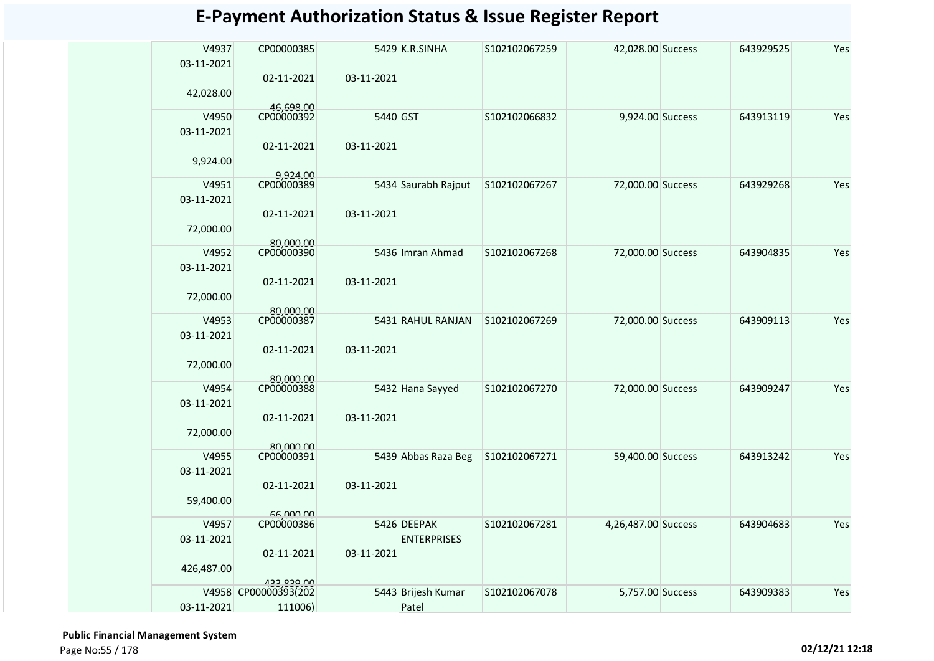| V4937<br>03-11-2021 | CP00000385              |            | 5429 K.R.SINHA      | S102102067259 | 42,028.00 Success   | 643929525 | Yes |
|---------------------|-------------------------|------------|---------------------|---------------|---------------------|-----------|-----|
| 42,028.00           | 02-11-2021              | 03-11-2021 |                     |               |                     |           |     |
| V4950               | 46,698.00<br>CP00000392 | 5440 GST   |                     | S102102066832 | 9,924.00 Success    | 643913119 | Yes |
| 03-11-2021          |                         |            |                     |               |                     |           |     |
|                     | 02-11-2021              | 03-11-2021 |                     |               |                     |           |     |
| 9,924.00            |                         |            |                     |               |                     |           |     |
| V4951               | 9,924.00<br>CP00000389  |            | 5434 Saurabh Rajput | S102102067267 | 72,000.00 Success   | 643929268 | Yes |
| 03-11-2021          |                         |            |                     |               |                     |           |     |
|                     | 02-11-2021              | 03-11-2021 |                     |               |                     |           |     |
| 72,000.00           |                         |            |                     |               |                     |           |     |
| V4952               | 80,000,00<br>CP00000390 |            | 5436 Imran Ahmad    | S102102067268 | 72,000.00 Success   | 643904835 | Yes |
| 03-11-2021          |                         |            |                     |               |                     |           |     |
|                     | 02-11-2021              | 03-11-2021 |                     |               |                     |           |     |
| 72,000.00           |                         |            |                     |               |                     |           |     |
|                     | 80,000.00               |            |                     |               |                     |           |     |
| V4953               | CP00000387              |            | 5431 RAHUL RANJAN   | S102102067269 | 72,000.00 Success   | 643909113 | Yes |
| 03-11-2021          |                         |            |                     |               |                     |           |     |
|                     | 02-11-2021              | 03-11-2021 |                     |               |                     |           |     |
| 72,000.00           |                         |            |                     |               |                     |           |     |
|                     | 80,000,00               |            |                     |               |                     |           |     |
| V4954               | CP00000388              |            | 5432 Hana Sayyed    | S102102067270 | 72,000.00 Success   | 643909247 | Yes |
| 03-11-2021          |                         |            |                     |               |                     |           |     |
|                     | 02-11-2021              | 03-11-2021 |                     |               |                     |           |     |
| 72,000.00           |                         |            |                     |               |                     |           |     |
| V4955               | 80.000.00<br>CP00000391 |            | 5439 Abbas Raza Beg | S102102067271 | 59,400.00 Success   | 643913242 | Yes |
| 03-11-2021          |                         |            |                     |               |                     |           |     |
|                     | 02-11-2021              | 03-11-2021 |                     |               |                     |           |     |
| 59,400.00           |                         |            |                     |               |                     |           |     |
|                     | 66,000.00               |            |                     |               |                     |           |     |
| V4957               | CP00000386              |            | 5426 DEEPAK         | S102102067281 | 4,26,487.00 Success | 643904683 | Yes |
| 03-11-2021          |                         |            | <b>ENTERPRISES</b>  |               |                     |           |     |
|                     | 02-11-2021              | 03-11-2021 |                     |               |                     |           |     |
| 426,487.00          |                         |            |                     |               |                     |           |     |
|                     | 433.839.00              |            |                     |               |                     |           |     |
|                     | V4958 CP00000393(202    |            | 5443 Brijesh Kumar  | S102102067078 | 5,757.00 Success    | 643909383 | Yes |
| 03-11-2021          | 111006)                 |            | Patel               |               |                     |           |     |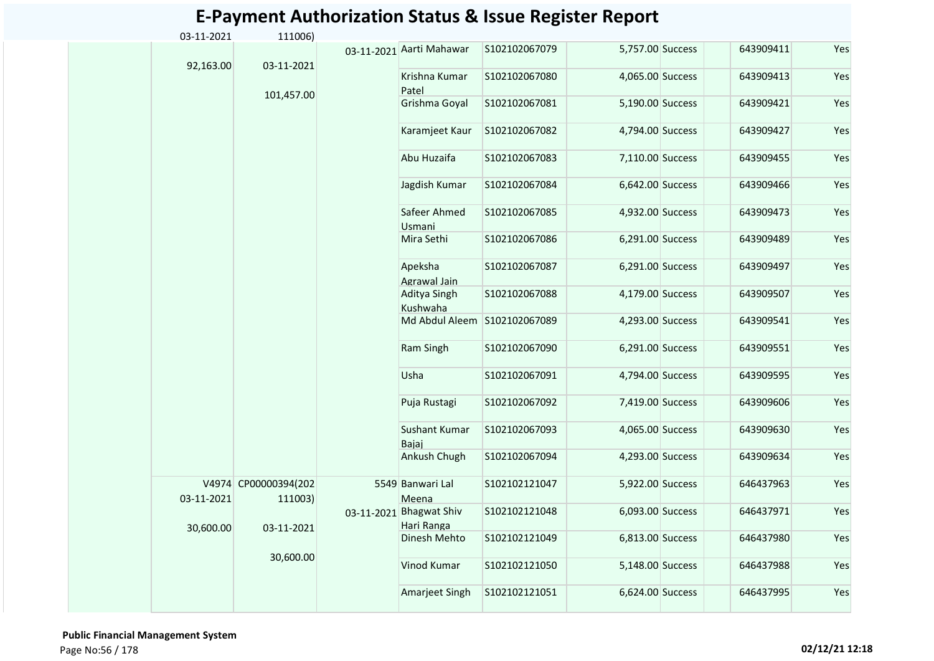| 03-11-2021 | 111006)                         |            |                                   |               |                  |           |     |
|------------|---------------------------------|------------|-----------------------------------|---------------|------------------|-----------|-----|
| 92,163.00  | 03-11-2021                      |            | 03-11-2021 Aarti Mahawar          | S102102067079 | 5,757.00 Success | 643909411 | Yes |
|            |                                 |            | Krishna Kumar<br>Patel            | S102102067080 | 4,065.00 Success | 643909413 | Yes |
|            | 101,457.00                      |            | Grishma Goyal                     | S102102067081 | 5,190.00 Success | 643909421 | Yes |
|            |                                 |            | Karamjeet Kaur                    | S102102067082 | 4,794.00 Success | 643909427 | Yes |
|            |                                 |            | Abu Huzaifa                       | S102102067083 | 7,110.00 Success | 643909455 | Yes |
|            |                                 |            | Jagdish Kumar                     | S102102067084 | 6,642.00 Success | 643909466 | Yes |
|            |                                 |            | Safeer Ahmed<br>Usmani            | S102102067085 | 4,932.00 Success | 643909473 | Yes |
|            |                                 |            | Mira Sethi                        | S102102067086 | 6,291.00 Success | 643909489 | Yes |
|            |                                 |            | Apeksha<br>Agrawal Jain           | S102102067087 | 6,291.00 Success | 643909497 | Yes |
|            |                                 |            | Aditya Singh<br>Kushwaha          | S102102067088 | 4,179.00 Success | 643909507 | Yes |
|            |                                 |            | Md Abdul Aleem                    | S102102067089 | 4,293.00 Success | 643909541 | Yes |
|            |                                 |            | Ram Singh                         | S102102067090 | 6,291.00 Success | 643909551 | Yes |
|            |                                 |            | Usha                              | S102102067091 | 4,794.00 Success | 643909595 | Yes |
|            |                                 |            | Puja Rustagi                      | S102102067092 | 7,419.00 Success | 643909606 | Yes |
|            |                                 |            | <b>Sushant Kumar</b><br>Bajaj     | S102102067093 | 4,065.00 Success | 643909630 | Yes |
|            |                                 |            | Ankush Chugh                      | S102102067094 | 4,293.00 Success | 643909634 | Yes |
| 03-11-2021 | V4974 CP00000394(202<br>111003) |            | 5549 Banwari Lal<br>Meena         | S102102121047 | 5,922.00 Success | 646437963 | Yes |
| 30,600.00  | 03-11-2021                      | 03-11-2021 | <b>Bhagwat Shiv</b><br>Hari Ranga | S102102121048 | 6,093.00 Success | 646437971 | Yes |
|            |                                 |            | Dinesh Mehto                      | S102102121049 | 6,813.00 Success | 646437980 | Yes |
|            | 30,600.00                       |            | Vinod Kumar                       | S102102121050 | 5,148.00 Success | 646437988 | Yes |
|            |                                 |            | Amarjeet Singh                    | S102102121051 | 6,624.00 Success | 646437995 | Yes |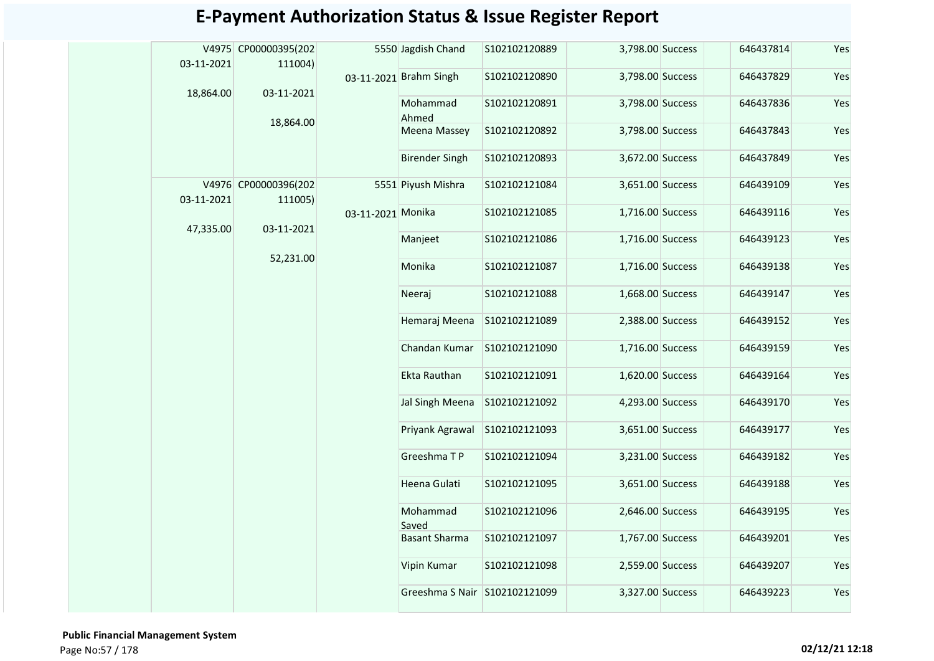|            | V4975 CP00000395(202            |                   | 5550 Jagdish Chand            | S102102120889 | 3,798.00 Success | 646437814 | Yes |
|------------|---------------------------------|-------------------|-------------------------------|---------------|------------------|-----------|-----|
| 03-11-2021 | 111004)                         |                   | 03-11-2021 Brahm Singh        | S102102120890 | 3,798.00 Success | 646437829 | Yes |
| 18,864.00  | 03-11-2021                      |                   | Mohammad<br>Ahmed             | S102102120891 | 3,798.00 Success | 646437836 | Yes |
|            | 18,864.00                       |                   | Meena Massey                  | S102102120892 | 3,798.00 Success | 646437843 | Yes |
|            |                                 |                   | <b>Birender Singh</b>         | S102102120893 | 3,672.00 Success | 646437849 | Yes |
| 03-11-2021 | V4976 CP00000396(202<br>111005) |                   | 5551 Piyush Mishra            | S102102121084 | 3,651.00 Success | 646439109 | Yes |
|            |                                 | 03-11-2021 Monika |                               | S102102121085 | 1,716.00 Success | 646439116 | Yes |
| 47,335.00  | 03-11-2021                      |                   | Manjeet                       | S102102121086 | 1,716.00 Success | 646439123 | Yes |
|            | 52,231.00                       |                   | Monika                        | S102102121087 | 1,716.00 Success | 646439138 | Yes |
|            |                                 |                   | Neeraj                        | S102102121088 | 1,668.00 Success | 646439147 | Yes |
|            |                                 |                   | Hemaraj Meena                 | S102102121089 | 2,388.00 Success | 646439152 | Yes |
|            |                                 |                   | Chandan Kumar                 | S102102121090 | 1,716.00 Success | 646439159 | Yes |
|            |                                 |                   | Ekta Rauthan                  | S102102121091 | 1,620.00 Success | 646439164 | Yes |
|            |                                 |                   | Jal Singh Meena               | S102102121092 | 4,293.00 Success | 646439170 | Yes |
|            |                                 |                   | Priyank Agrawal               | S102102121093 | 3,651.00 Success | 646439177 | Yes |
|            |                                 |                   | Greeshma TP                   | S102102121094 | 3,231.00 Success | 646439182 | Yes |
|            |                                 |                   | Heena Gulati                  | S102102121095 | 3,651.00 Success | 646439188 | Yes |
|            |                                 |                   | Mohammad<br>Saved             | S102102121096 | 2,646.00 Success | 646439195 | Yes |
|            |                                 |                   | <b>Basant Sharma</b>          | S102102121097 | 1,767.00 Success | 646439201 | Yes |
|            |                                 |                   | Vipin Kumar                   | S102102121098 | 2,559.00 Success | 646439207 | Yes |
|            |                                 |                   | Greeshma S Nair S102102121099 |               | 3,327.00 Success | 646439223 | Yes |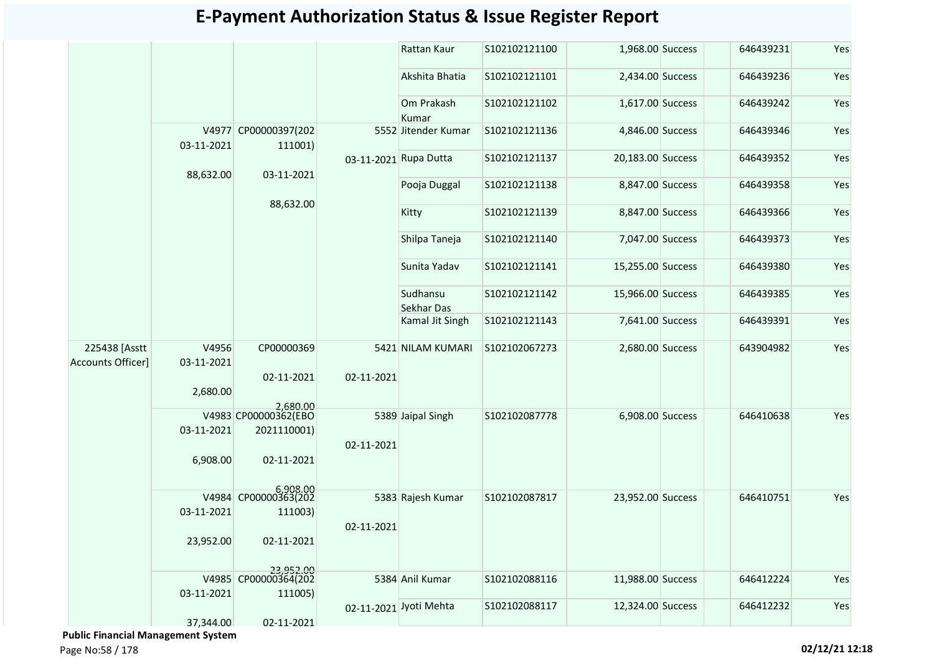|                                           |                     |                                   |                       | Rattan Kaur            | S102102121100 | 1,968.00 Success  | 646439231 | Yes |
|-------------------------------------------|---------------------|-----------------------------------|-----------------------|------------------------|---------------|-------------------|-----------|-----|
|                                           |                     |                                   |                       | Akshita Bhatia         | S102102121101 | 2,434.00 Success  | 646439236 | Yes |
|                                           |                     |                                   |                       | Om Prakash<br>Kumar    | S102102121102 | 1,617.00 Success  | 646439242 | Yes |
|                                           | 03-11-2021          | V4977 CP00000397(202<br>111001)   |                       | 5552 Jitender Kumar    | S102102121136 | 4,846.00 Success  | 646439346 | Yes |
|                                           |                     |                                   | 03-11-2021 Rupa Dutta |                        | S102102121137 | 20,183.00 Success | 646439352 | Yes |
|                                           | 88,632.00           | 03-11-2021                        |                       | Pooja Duggal           | S102102121138 | 8,847.00 Success  | 646439358 | Yes |
|                                           |                     | 88,632.00                         |                       | Kitty                  | S102102121139 | 8,847.00 Success  | 646439366 | Yes |
|                                           |                     |                                   |                       | Shilpa Taneja          | S102102121140 | 7,047.00 Success  | 646439373 | Yes |
|                                           |                     |                                   |                       | Sunita Yadav           | S102102121141 | 15,255.00 Success | 646439380 | Yes |
|                                           |                     |                                   |                       | Sudhansu<br>Sekhar Das | S102102121142 | 15,966.00 Success | 646439385 | Yes |
|                                           |                     |                                   |                       | Kamal Jit Singh        | S102102121143 | 7,641.00 Success  | 646439391 | Yes |
| 225438 [Asstt<br><b>Accounts Officer]</b> | V4956<br>03-11-2021 | CP00000369                        |                       | 5421 NILAM KUMARI      | S102102067273 | 2,680.00 Success  | 643904982 | Yes |
|                                           |                     | 02-11-2021                        | 02-11-2021            |                        |               |                   |           |     |
|                                           | 2,680.00            | 2,680.00                          |                       |                        |               |                   |           |     |
|                                           |                     | V4983 CP00000362(EBO              |                       | 5389 Jaipal Singh      | S102102087778 | 6,908.00 Success  | 646410638 | Yes |
|                                           | 03-11-2021          | 2021110001)                       |                       |                        |               |                   |           |     |
|                                           | 6,908.00            | 02-11-2021                        | 02-11-2021            |                        |               |                   |           |     |
|                                           |                     | 6,908.00<br>V4984 CP00000363(202  |                       | 5383 Rajesh Kumar      | S102102087817 | 23,952.00 Success | 646410751 | Yes |
|                                           | 03-11-2021          | 111003)                           |                       |                        |               |                   |           |     |
|                                           |                     |                                   | 02-11-2021            |                        |               |                   |           |     |
|                                           | 23,952.00           | 02-11-2021                        |                       |                        |               |                   |           |     |
|                                           |                     | 23,952.00<br>V4985 CP00000364(202 |                       | 5384 Anil Kumar        | S102102088116 | 11,988.00 Success | 646412224 | Yes |
|                                           | 03-11-2021          | 111005)                           |                       |                        |               |                   |           |     |
|                                           |                     |                                   |                       | 02-11-2021 Jyoti Mehta | S102102088117 | 12,324.00 Success | 646412232 | Yes |
|                                           | 37,344.00           | 02-11-2021                        |                       |                        |               |                   |           |     |

 **Public Financial Management System**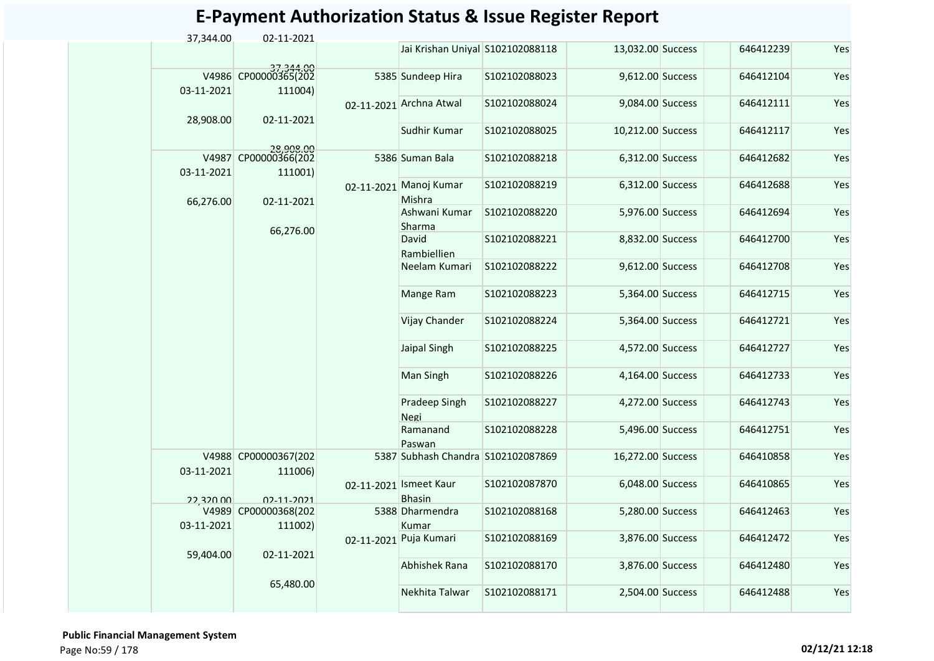| 02-11-2021                        | Jai Krishan Uniyal S102102088118                                                                             |                                                                                                                                                                                                                | 13,032.00 Success                  | 646412239                                                                                                                                                                                                                                                                                                                                                                                                      | Yes |
|-----------------------------------|--------------------------------------------------------------------------------------------------------------|----------------------------------------------------------------------------------------------------------------------------------------------------------------------------------------------------------------|------------------------------------|----------------------------------------------------------------------------------------------------------------------------------------------------------------------------------------------------------------------------------------------------------------------------------------------------------------------------------------------------------------------------------------------------------------|-----|
|                                   |                                                                                                              |                                                                                                                                                                                                                |                                    |                                                                                                                                                                                                                                                                                                                                                                                                                |     |
| 37,344.00<br>V4986 CP00000365(202 |                                                                                                              | S102102088023                                                                                                                                                                                                  |                                    | 646412104                                                                                                                                                                                                                                                                                                                                                                                                      | Yes |
|                                   |                                                                                                              | S102102088024                                                                                                                                                                                                  |                                    | 646412111                                                                                                                                                                                                                                                                                                                                                                                                      | Yes |
|                                   | Sudhir Kumar                                                                                                 | S102102088025                                                                                                                                                                                                  |                                    | 646412117                                                                                                                                                                                                                                                                                                                                                                                                      | Yes |
| V4987 CP00000366(202              |                                                                                                              | S102102088218                                                                                                                                                                                                  |                                    | 646412682                                                                                                                                                                                                                                                                                                                                                                                                      | Yes |
|                                   |                                                                                                              | S102102088219                                                                                                                                                                                                  |                                    | 646412688                                                                                                                                                                                                                                                                                                                                                                                                      | Yes |
|                                   | Ashwani Kumar                                                                                                | S102102088220                                                                                                                                                                                                  |                                    | 646412694                                                                                                                                                                                                                                                                                                                                                                                                      | Yes |
|                                   | David<br>Rambiellien                                                                                         | S102102088221                                                                                                                                                                                                  |                                    | 646412700                                                                                                                                                                                                                                                                                                                                                                                                      | Yes |
|                                   | Neelam Kumari                                                                                                | S102102088222                                                                                                                                                                                                  |                                    | 646412708                                                                                                                                                                                                                                                                                                                                                                                                      | Yes |
|                                   | Mange Ram                                                                                                    | S102102088223                                                                                                                                                                                                  |                                    | 646412715                                                                                                                                                                                                                                                                                                                                                                                                      | Yes |
|                                   | Vijay Chander                                                                                                | S102102088224                                                                                                                                                                                                  |                                    | 646412721                                                                                                                                                                                                                                                                                                                                                                                                      | Yes |
|                                   | Jaipal Singh                                                                                                 | S102102088225                                                                                                                                                                                                  |                                    | 646412727                                                                                                                                                                                                                                                                                                                                                                                                      | Yes |
|                                   | Man Singh                                                                                                    | S102102088226                                                                                                                                                                                                  |                                    | 646412733                                                                                                                                                                                                                                                                                                                                                                                                      | Yes |
|                                   | Pradeep Singh<br>Negi                                                                                        | S102102088227                                                                                                                                                                                                  |                                    | 646412743                                                                                                                                                                                                                                                                                                                                                                                                      | Yes |
|                                   | Ramanand<br>Paswan                                                                                           | S102102088228                                                                                                                                                                                                  |                                    | 646412751                                                                                                                                                                                                                                                                                                                                                                                                      | Yes |
| V4988 CP00000367(202              |                                                                                                              |                                                                                                                                                                                                                |                                    | 646410858                                                                                                                                                                                                                                                                                                                                                                                                      | Yes |
|                                   |                                                                                                              | S102102087870                                                                                                                                                                                                  |                                    | 646410865                                                                                                                                                                                                                                                                                                                                                                                                      | Yes |
| V4989 CP00000368(202              |                                                                                                              | S102102088168                                                                                                                                                                                                  |                                    | 646412463                                                                                                                                                                                                                                                                                                                                                                                                      | Yes |
|                                   |                                                                                                              | S102102088169                                                                                                                                                                                                  |                                    | 646412472                                                                                                                                                                                                                                                                                                                                                                                                      | Yes |
| 02-11-2021                        | Abhishek Rana                                                                                                | S102102088170                                                                                                                                                                                                  |                                    | 646412480                                                                                                                                                                                                                                                                                                                                                                                                      | Yes |
| 65,480.00                         | Nekhita Talwar                                                                                               | S102102088171                                                                                                                                                                                                  |                                    | 646412488                                                                                                                                                                                                                                                                                                                                                                                                      | Yes |
|                                   | 111004)<br>02-11-2021<br>28,908,00<br>111001)<br>02-11-2021<br>66,276.00<br>111006)<br>02-11-2021<br>111002) | 5385 Sundeep Hira<br>02-11-2021 Archna Atwal<br>5386 Suman Bala<br>02-11-2021 Manoj Kumar<br>Mishra<br>Sharma<br>02-11-2021 Ismeet Kaur<br><b>Bhasin</b><br>5388 Dharmendra<br>Kumar<br>02-11-2021 Puja Kumari | 5387 Subhash Chandra S102102087869 | 9,612.00 Success<br>9,084.00 Success<br>10,212.00 Success<br>6,312.00 Success<br>6,312.00 Success<br>5,976.00 Success<br>8,832.00 Success<br>9,612.00 Success<br>5,364.00 Success<br>5,364.00 Success<br>4,572.00 Success<br>4,164.00 Success<br>4,272.00 Success<br>5,496.00 Success<br>16,272.00 Success<br>6,048.00 Success<br>5,280.00 Success<br>3,876.00 Success<br>3,876.00 Success<br>2,504.00 Success |     |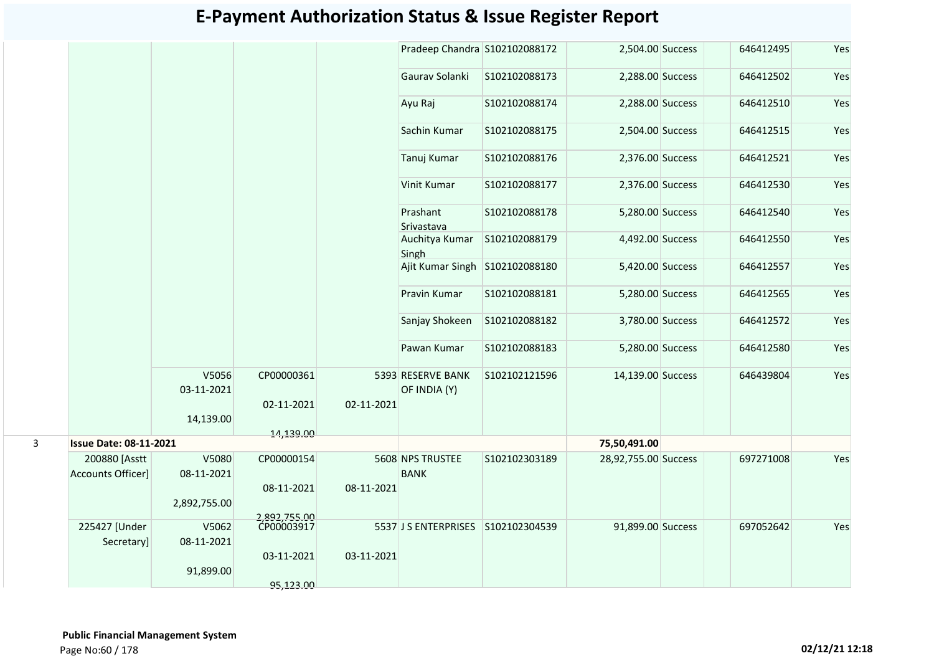|              |                               |                     |                            |            | Pradeep Chandra S102102088172      |               | 2,504.00 Success     | 646412495 | Yes |
|--------------|-------------------------------|---------------------|----------------------------|------------|------------------------------------|---------------|----------------------|-----------|-----|
|              |                               |                     |                            |            | Gaurav Solanki                     | S102102088173 | 2,288.00 Success     | 646412502 | Yes |
|              |                               |                     |                            |            | Ayu Raj                            | S102102088174 | 2,288.00 Success     | 646412510 | Yes |
|              |                               |                     |                            |            | Sachin Kumar                       | S102102088175 | 2,504.00 Success     | 646412515 | Yes |
|              |                               |                     |                            |            | Tanuj Kumar                        | S102102088176 | 2,376.00 Success     | 646412521 | Yes |
|              |                               |                     |                            |            | Vinit Kumar                        | S102102088177 | 2,376.00 Success     | 646412530 | Yes |
|              |                               |                     |                            |            | Prashant<br>Srivastava             | S102102088178 | 5,280.00 Success     | 646412540 | Yes |
|              |                               |                     |                            |            | Auchitya Kumar<br>Singh            | S102102088179 | 4,492.00 Success     | 646412550 | Yes |
|              |                               |                     |                            |            | Ajit Kumar Singh                   | S102102088180 | 5,420.00 Success     | 646412557 | Yes |
|              |                               |                     |                            |            | Pravin Kumar                       | S102102088181 | 5,280.00 Success     | 646412565 | Yes |
|              |                               |                     |                            |            | Sanjay Shokeen                     | S102102088182 | 3,780.00 Success     | 646412572 | Yes |
|              |                               |                     |                            |            | Pawan Kumar                        | S102102088183 | 5,280.00 Success     | 646412580 | Yes |
|              |                               | V5056<br>03-11-2021 | CP00000361                 |            | 5393 RESERVE BANK<br>OF INDIA (Y)  | S102102121596 | 14,139.00 Success    | 646439804 | Yes |
|              |                               | 14,139.00           | 02-11-2021                 | 02-11-2021 |                                    |               |                      |           |     |
|              |                               |                     | 14,139.00                  |            |                                    |               |                      |           |     |
| $\mathbf{3}$ | <b>Issue Date: 08-11-2021</b> |                     |                            |            |                                    |               | 75,50,491.00         |           |     |
|              | 200880 [Asstt                 | V5080               | CP00000154                 |            | 5608 NPS TRUSTEE                   | S102102303189 | 28,92,755.00 Success | 697271008 | Yes |
|              | <b>Accounts Officer]</b>      | 08-11-2021          |                            |            | <b>BANK</b>                        |               |                      |           |     |
|              |                               | 2,892,755.00        | 08-11-2021                 | 08-11-2021 |                                    |               |                      |           |     |
|              | 225427 [Under                 | V5062               | 2,892,755.00<br>CP00003917 |            |                                    |               |                      |           |     |
|              | Secretary]                    | 08-11-2021          |                            |            | 5537 J S ENTERPRISES S102102304539 |               | 91,899.00 Success    | 697052642 | Yes |
|              |                               |                     | 03-11-2021                 | 03-11-2021 |                                    |               |                      |           |     |
|              |                               | 91,899.00           |                            |            |                                    |               |                      |           |     |
|              |                               |                     | 95,123.00                  |            |                                    |               |                      |           |     |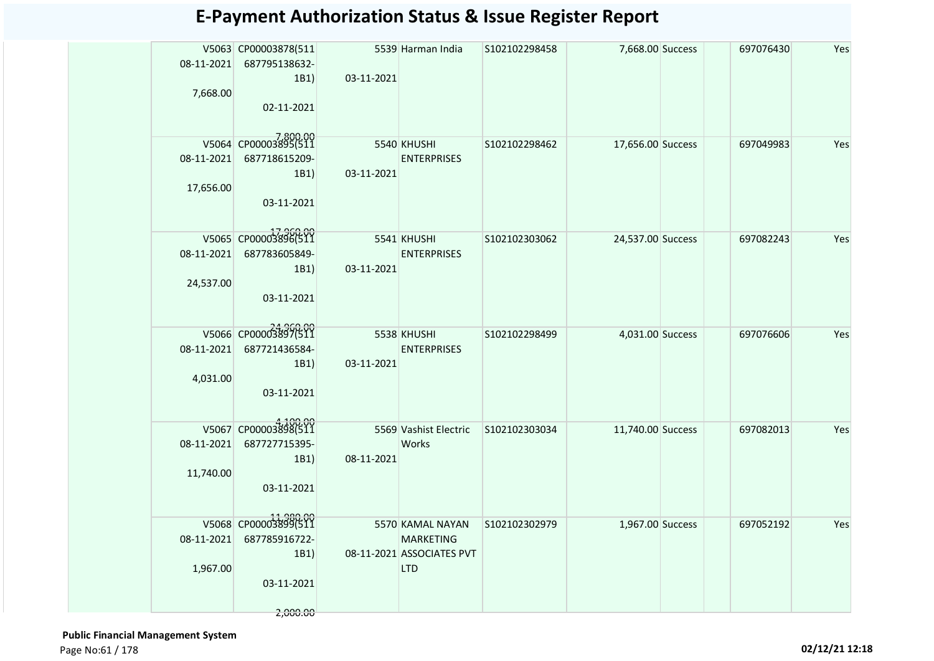|            | V5063 CP00003878(511     |            | 5539 Harman India                 | S102102298458 | 7,668.00 Success  | 697076430 | Yes |
|------------|--------------------------|------------|-----------------------------------|---------------|-------------------|-----------|-----|
| 08-11-2021 | 687795138632-            |            |                                   |               |                   |           |     |
|            | 1B1)                     | 03-11-2021 |                                   |               |                   |           |     |
| 7,668.00   |                          |            |                                   |               |                   |           |     |
|            | 02-11-2021               |            |                                   |               |                   |           |     |
|            |                          |            |                                   |               |                   |           |     |
|            | V5064 CP00003895(511     |            | 5540 KHUSHI                       | S102102298462 | 17,656.00 Success | 697049983 | Yes |
|            | 08-11-2021 687718615209- |            | <b>ENTERPRISES</b>                |               |                   |           |     |
| 17,656.00  | 1B1)                     | 03-11-2021 |                                   |               |                   |           |     |
|            | 03-11-2021               |            |                                   |               |                   |           |     |
|            |                          |            |                                   |               |                   |           |     |
|            | V5065 CP00003896(511     |            |                                   |               |                   |           |     |
| 08-11-2021 | 687783605849-            |            | 5541 KHUSHI<br><b>ENTERPRISES</b> | S102102303062 | 24,537.00 Success | 697082243 | Yes |
|            | 1B1)                     | 03-11-2021 |                                   |               |                   |           |     |
| 24,537.00  |                          |            |                                   |               |                   |           |     |
|            | 03-11-2021               |            |                                   |               |                   |           |     |
|            |                          |            |                                   |               |                   |           |     |
|            | V5066 CP00003897(511     |            | 5538 KHUSHI                       | S102102298499 | 4,031.00 Success  | 697076606 | Yes |
| 08-11-2021 | 687721436584-            |            | <b>ENTERPRISES</b>                |               |                   |           |     |
|            | 1B1)                     | 03-11-2021 |                                   |               |                   |           |     |
| 4,031.00   |                          |            |                                   |               |                   |           |     |
|            | 03-11-2021               |            |                                   |               |                   |           |     |
|            |                          |            |                                   |               |                   |           |     |
|            | V5067 CP00003898(511     |            | 5569 Vashist Electric             | S102102303034 | 11,740.00 Success | 697082013 | Yes |
| 08-11-2021 | 687727715395-            |            | Works                             |               |                   |           |     |
| 11,740.00  | 1B1)                     | 08-11-2021 |                                   |               |                   |           |     |
|            | 03-11-2021               |            |                                   |               |                   |           |     |
|            |                          |            |                                   |               |                   |           |     |
|            | V5068 CP00003899(511     |            | 5570 KAMAL NAYAN                  | S102102302979 | 1,967.00 Success  | 697052192 | Yes |
| 08-11-2021 | 687785916722-            |            | <b>MARKETING</b>                  |               |                   |           |     |
|            | 1B1)                     |            | 08-11-2021 ASSOCIATES PVT         |               |                   |           |     |
| 1,967.00   |                          |            | <b>LTD</b>                        |               |                   |           |     |
|            | 03-11-2021               |            |                                   |               |                   |           |     |
|            |                          |            |                                   |               |                   |           |     |
|            | 2,000.00                 |            |                                   |               |                   |           |     |

 **Public Financial Management System**  Page No:61 / 178 **02/12/21 12:18**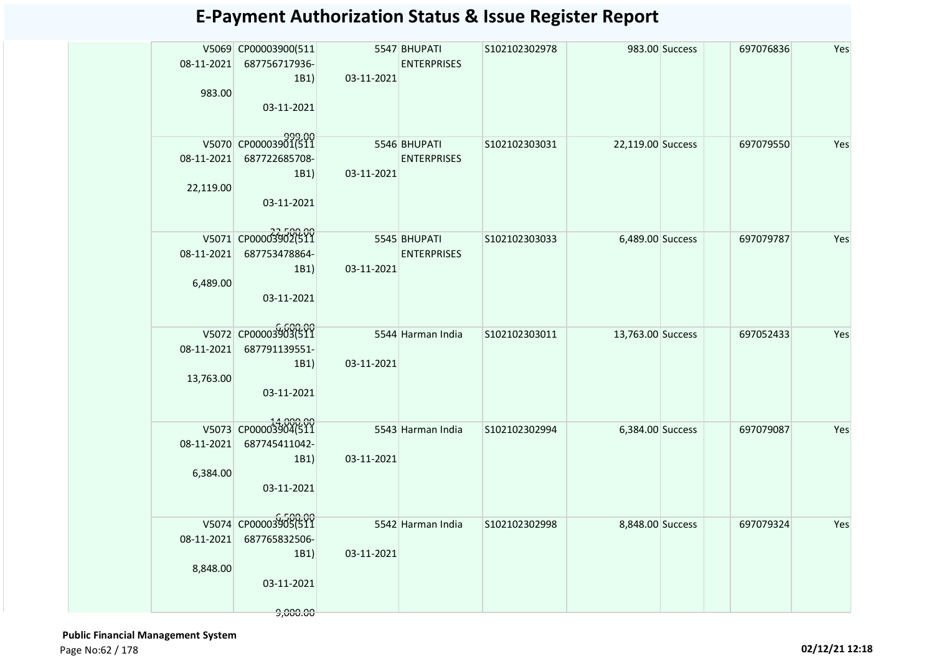| 983.00                  | V5069 CP00003900(511<br>08-11-2021 687756717936-<br>1B1)<br>03-11-2021             | 03-11-2021                                 | 5547 BHUPATI<br><b>ENTERPRISES</b> | S102102302978 |                   | 983.00 Success | 697076836 | Yes |
|-------------------------|------------------------------------------------------------------------------------|--------------------------------------------|------------------------------------|---------------|-------------------|----------------|-----------|-----|
| 22,119.00               | V5070 CP00003901(511<br>08-11-2021 687722685708-<br>1B1)<br>03-11-2021             | 03-11-2021                                 | 5546 BHUPATI<br><b>ENTERPRISES</b> | S102102303031 | 22,119.00 Success |                | 697079550 | Yes |
| 08-11-2021<br>6,489.00  | V5071 CP000033902(511<br>687753478864-<br>1B1)<br>03-11-2021                       | <b>Example 15545 BHUPATI</b><br>03-11-2021 | <b>ENTERPRISES</b>                 | S102102303033 | 6,489.00 Success  |                | 697079787 | Yes |
| 08-11-2021<br>13,763.00 | V5072 CP00003903(511<br>687791139551-<br>1B1)<br>03-11-2021                        | 03-11-2021                                 | 5544 Harman India                  | S102102303011 | 13,763.00 Success |                | 697052433 | Yes |
| 08-11-2021<br>6,384.00  | V5073 CP00003904(511<br>687745411042-<br>1B1)<br>03-11-2021                        | 03-11-2021                                 | 5543 Harman India                  | S102102302994 | 6,384.00 Success  |                | 697079087 | Yes |
| 8,848.00                | V5074 CP00003905(511<br>08-11-2021 687765832506-<br>1B1)<br>03-11-2021<br>9,000.00 | 03-11-2021                                 | 5542 Harman India                  | S102102302998 | 8,848.00 Success  |                | 697079324 | Yes |

 **Public Financial Management System**  Page No:62 / 178 **02/12/21 12:18**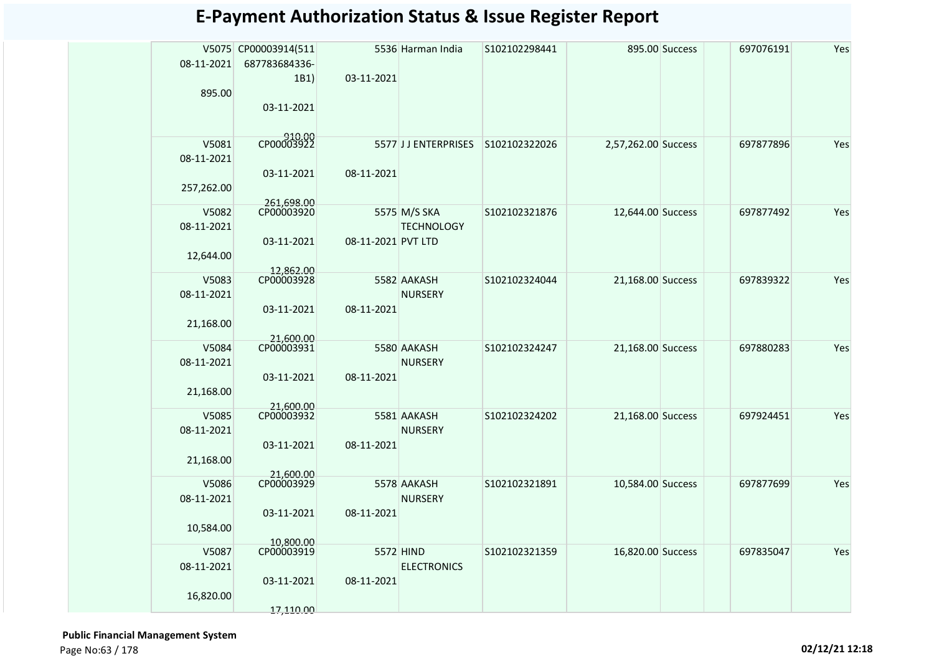|            | V5075 CP00003914(511     |                    | 5536 Harman India                 | S102102298441 |                     | 895.00 Success | 697076191 | Yes |
|------------|--------------------------|--------------------|-----------------------------------|---------------|---------------------|----------------|-----------|-----|
| 08-11-2021 | 687783684336-            |                    |                                   |               |                     |                |           |     |
|            | 1B1)                     | 03-11-2021         |                                   |               |                     |                |           |     |
| 895.00     |                          |                    |                                   |               |                     |                |           |     |
|            | 03-11-2021               |                    |                                   |               |                     |                |           |     |
|            |                          |                    |                                   |               |                     |                |           |     |
|            | CP00003922               |                    |                                   |               |                     |                |           |     |
| V5081      |                          |                    | 5577 JJ ENTERPRISES S102102322026 |               | 2,57,262.00 Success |                | 697877896 | Yes |
| 08-11-2021 |                          |                    |                                   |               |                     |                |           |     |
|            | 03-11-2021               | 08-11-2021         |                                   |               |                     |                |           |     |
| 257,262.00 |                          |                    |                                   |               |                     |                |           |     |
| V5082      | 261,698.00<br>CP00003920 |                    | 5575 M/S SKA                      | S102102321876 | 12,644.00 Success   |                | 697877492 | Yes |
| 08-11-2021 |                          |                    | <b>TECHNOLOGY</b>                 |               |                     |                |           |     |
|            | 03-11-2021               | 08-11-2021 PVT LTD |                                   |               |                     |                |           |     |
| 12,644.00  |                          |                    |                                   |               |                     |                |           |     |
|            |                          |                    |                                   |               |                     |                |           |     |
| V5083      | 12,862.00<br>CP00003928  |                    | 5582 AAKASH                       | S102102324044 | 21,168.00 Success   |                | 697839322 | Yes |
| 08-11-2021 |                          |                    | <b>NURSERY</b>                    |               |                     |                |           |     |
|            | 03-11-2021               | 08-11-2021         |                                   |               |                     |                |           |     |
| 21,168.00  |                          |                    |                                   |               |                     |                |           |     |
|            | 21,600.00<br>CP00003931  |                    |                                   |               |                     |                |           |     |
| V5084      |                          |                    | 5580 AAKASH                       | S102102324247 | 21,168.00 Success   |                | 697880283 | Yes |
| 08-11-2021 |                          |                    | <b>NURSERY</b>                    |               |                     |                |           |     |
|            | 03-11-2021               | 08-11-2021         |                                   |               |                     |                |           |     |
| 21,168.00  |                          |                    |                                   |               |                     |                |           |     |
| V5085      | 21,600.00<br>CP00003932  |                    | 5581 AAKASH                       | S102102324202 | 21,168.00 Success   |                | 697924451 | Yes |
| 08-11-2021 |                          |                    | <b>NURSERY</b>                    |               |                     |                |           |     |
|            | 03-11-2021               |                    |                                   |               |                     |                |           |     |
|            |                          | 08-11-2021         |                                   |               |                     |                |           |     |
| 21,168.00  | 21,600.00                |                    |                                   |               |                     |                |           |     |
| V5086      | CP00003929               |                    | 5578 AAKASH                       | S102102321891 | 10,584.00 Success   |                | 697877699 | Yes |
| 08-11-2021 |                          |                    | <b>NURSERY</b>                    |               |                     |                |           |     |
|            | 03-11-2021               | 08-11-2021         |                                   |               |                     |                |           |     |
| 10,584.00  |                          |                    |                                   |               |                     |                |           |     |
|            | 10.800.00                |                    |                                   |               |                     |                |           |     |
| V5087      | CP00003919               |                    | 5572 HIND                         | S102102321359 | 16,820.00 Success   |                | 697835047 | Yes |
| 08-11-2021 |                          |                    | <b>ELECTRONICS</b>                |               |                     |                |           |     |
|            | 03-11-2021               | 08-11-2021         |                                   |               |                     |                |           |     |
| 16,820.00  |                          |                    |                                   |               |                     |                |           |     |
|            | 17,110.00                |                    |                                   |               |                     |                |           |     |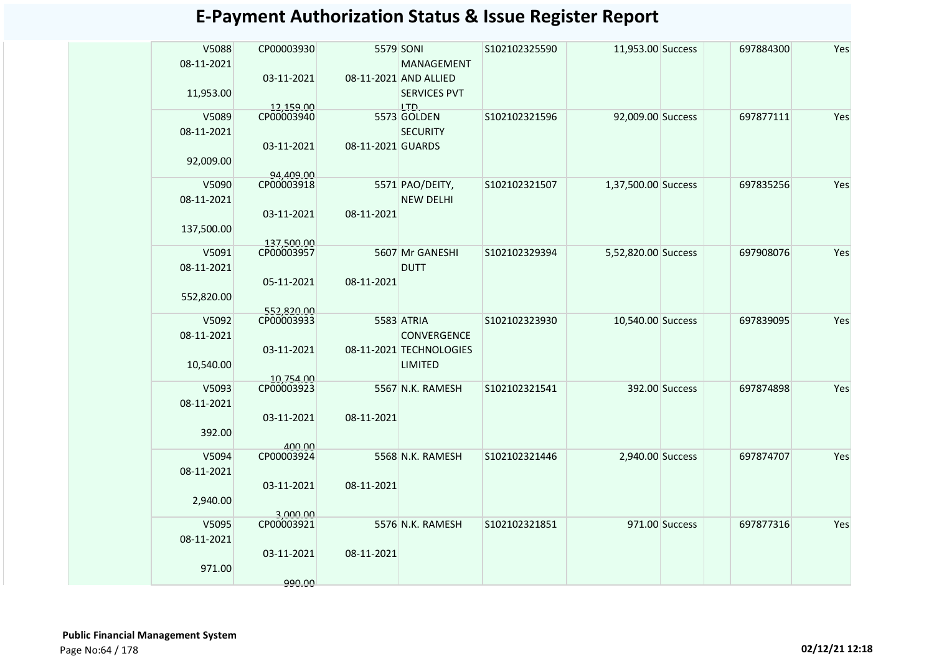| V5088      | CP00003930              |                   | 5579 SONI               | S102102325590 | 11,953.00 Success   |                | 697884300 | Yes |
|------------|-------------------------|-------------------|-------------------------|---------------|---------------------|----------------|-----------|-----|
| 08-11-2021 |                         |                   | MANAGEMENT              |               |                     |                |           |     |
|            | 03-11-2021              |                   | 08-11-2021 AND ALLIED   |               |                     |                |           |     |
| 11,953.00  |                         |                   | <b>SERVICES PVT</b>     |               |                     |                |           |     |
|            | 12.159.00               |                   | LTD.                    |               |                     |                |           |     |
| V5089      | CP00003940              |                   | 5573 GOLDEN             | S102102321596 | 92,009.00 Success   |                | 697877111 | Yes |
| 08-11-2021 | 03-11-2021              | 08-11-2021 GUARDS | <b>SECURITY</b>         |               |                     |                |           |     |
| 92,009.00  |                         |                   |                         |               |                     |                |           |     |
|            | 94,409,00               |                   |                         |               |                     |                |           |     |
| V5090      | CP00003918              |                   | 5571 PAO/DEITY,         | S102102321507 | 1,37,500.00 Success |                | 697835256 | Yes |
| 08-11-2021 |                         |                   | <b>NEW DELHI</b>        |               |                     |                |           |     |
|            | 03-11-2021              | 08-11-2021        |                         |               |                     |                |           |     |
| 137,500.00 |                         |                   |                         |               |                     |                |           |     |
|            | 137500.00               |                   |                         |               |                     |                |           |     |
| V5091      | CP00003957              |                   | 5607 Mr GANESHI         | S102102329394 | 5,52,820.00 Success |                | 697908076 | Yes |
| 08-11-2021 |                         |                   | <b>DUTT</b>             |               |                     |                |           |     |
|            | 05-11-2021              | 08-11-2021        |                         |               |                     |                |           |     |
| 552,820.00 | 552.820.00              |                   |                         |               |                     |                |           |     |
| V5092      | CP00003933              |                   | 5583 ATRIA              | S102102323930 | 10,540.00 Success   |                | 697839095 | Yes |
| 08-11-2021 |                         |                   | CONVERGENCE             |               |                     |                |           |     |
|            | 03-11-2021              |                   | 08-11-2021 TECHNOLOGIES |               |                     |                |           |     |
| 10,540.00  |                         |                   | LIMITED                 |               |                     |                |           |     |
| V5093      | 10,754.00<br>CP00003923 |                   | 5567 N.K. RAMESH        | S102102321541 |                     |                | 697874898 | Yes |
| 08-11-2021 |                         |                   |                         |               |                     | 392.00 Success |           |     |
|            | 03-11-2021              | 08-11-2021        |                         |               |                     |                |           |     |
| 392.00     |                         |                   |                         |               |                     |                |           |     |
|            | 400.00                  |                   |                         |               |                     |                |           |     |
| V5094      | CP00003924              |                   | 5568 N.K. RAMESH        | S102102321446 | 2,940.00 Success    |                | 697874707 | Yes |
| 08-11-2021 |                         |                   |                         |               |                     |                |           |     |
|            | 03-11-2021              | 08-11-2021        |                         |               |                     |                |           |     |
| 2,940.00   |                         |                   |                         |               |                     |                |           |     |
| V5095      | 3.000.00<br>CP00003921  |                   | 5576 N.K. RAMESH        | S102102321851 |                     | 971.00 Success | 697877316 | Yes |
| 08-11-2021 |                         |                   |                         |               |                     |                |           |     |
|            | 03-11-2021              | 08-11-2021        |                         |               |                     |                |           |     |
| 971.00     |                         |                   |                         |               |                     |                |           |     |
|            | 990.00                  |                   |                         |               |                     |                |           |     |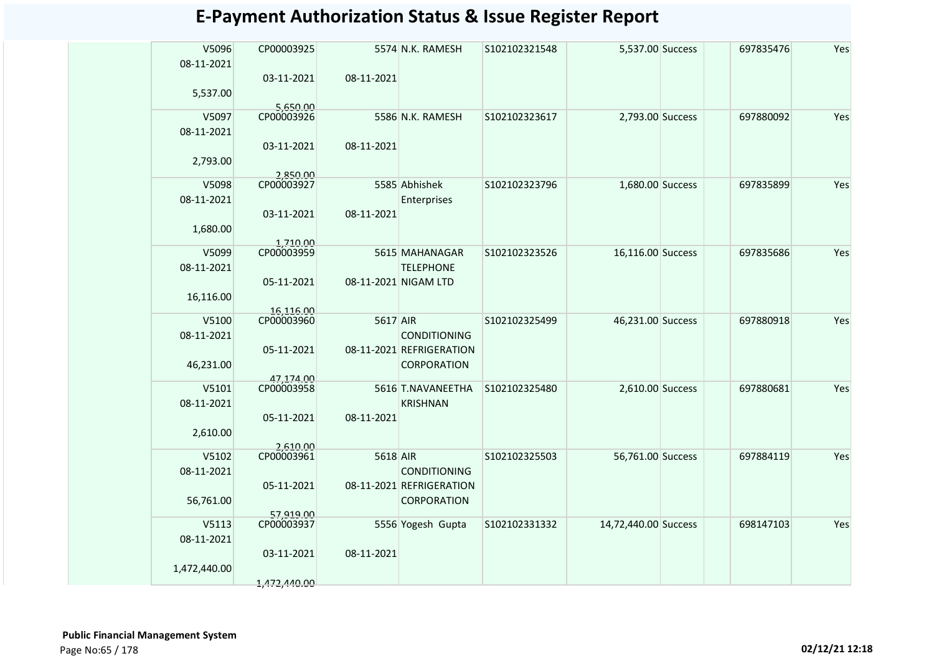| V5096<br>08-11-2021 | CP00003925              |            | 5574 N.K. RAMESH         | S102102321548 | 5,537.00 Success     | 697835476 | Yes |
|---------------------|-------------------------|------------|--------------------------|---------------|----------------------|-----------|-----|
|                     | 03-11-2021              | 08-11-2021 |                          |               |                      |           |     |
| 5,537.00            |                         |            |                          |               |                      |           |     |
|                     | 5,650.00                |            |                          |               |                      |           |     |
| V5097               | CP00003926              |            | 5586 N.K. RAMESH         | S102102323617 | 2,793.00 Success     | 697880092 | Yes |
| 08-11-2021          |                         |            |                          |               |                      |           |     |
|                     | 03-11-2021              | 08-11-2021 |                          |               |                      |           |     |
| 2,793.00            |                         |            |                          |               |                      |           |     |
| V5098               | 2.850.00<br>CP00003927  |            | 5585 Abhishek            | S102102323796 | 1,680.00 Success     | 697835899 | Yes |
| 08-11-2021          |                         |            | Enterprises              |               |                      |           |     |
|                     | 03-11-2021              | 08-11-2021 |                          |               |                      |           |     |
| 1,680.00            |                         |            |                          |               |                      |           |     |
|                     | 1,710.00                |            |                          |               |                      |           |     |
| V5099               | CP00003959              |            | 5615 MAHANAGAR           | S102102323526 | 16,116.00 Success    | 697835686 | Yes |
| 08-11-2021          |                         |            | <b>TELEPHONE</b>         |               |                      |           |     |
| 16,116.00           | 05-11-2021              |            | 08-11-2021 NIGAM LTD     |               |                      |           |     |
|                     | 16,116.00               |            |                          |               |                      |           |     |
| V5100               | CP00003960              | 5617 AIR   |                          | S102102325499 | 46,231.00 Success    | 697880918 | Yes |
| 08-11-2021          |                         |            | <b>CONDITIONING</b>      |               |                      |           |     |
|                     | 05-11-2021              |            | 08-11-2021 REFRIGERATION |               |                      |           |     |
| 46,231.00           |                         |            | <b>CORPORATION</b>       |               |                      |           |     |
| V5101               | 47.174.00<br>CP00003958 |            | 5616 T.NAVANEETHA        | S102102325480 | 2,610.00 Success     | 697880681 | Yes |
| 08-11-2021          |                         |            | <b>KRISHNAN</b>          |               |                      |           |     |
|                     | 05-11-2021              | 08-11-2021 |                          |               |                      |           |     |
| 2,610.00            |                         |            |                          |               |                      |           |     |
|                     | 2,610.00                |            |                          |               |                      |           |     |
| V5102               | CP00003961              | 5618 AIR   |                          | S102102325503 | 56,761.00 Success    | 697884119 | Yes |
| 08-11-2021          |                         |            | <b>CONDITIONING</b>      |               |                      |           |     |
|                     | 05-11-2021              |            | 08-11-2021 REFRIGERATION |               |                      |           |     |
| 56,761.00           | 57.919.00               |            | <b>CORPORATION</b>       |               |                      |           |     |
| V5113               | CP00003937              |            | 5556 Yogesh Gupta        | S102102331332 | 14,72,440.00 Success | 698147103 | Yes |
| 08-11-2021          |                         |            |                          |               |                      |           |     |
|                     | 03-11-2021              | 08-11-2021 |                          |               |                      |           |     |
| 1,472,440.00        |                         |            |                          |               |                      |           |     |
|                     | 1,472,440.00            |            |                          |               |                      |           |     |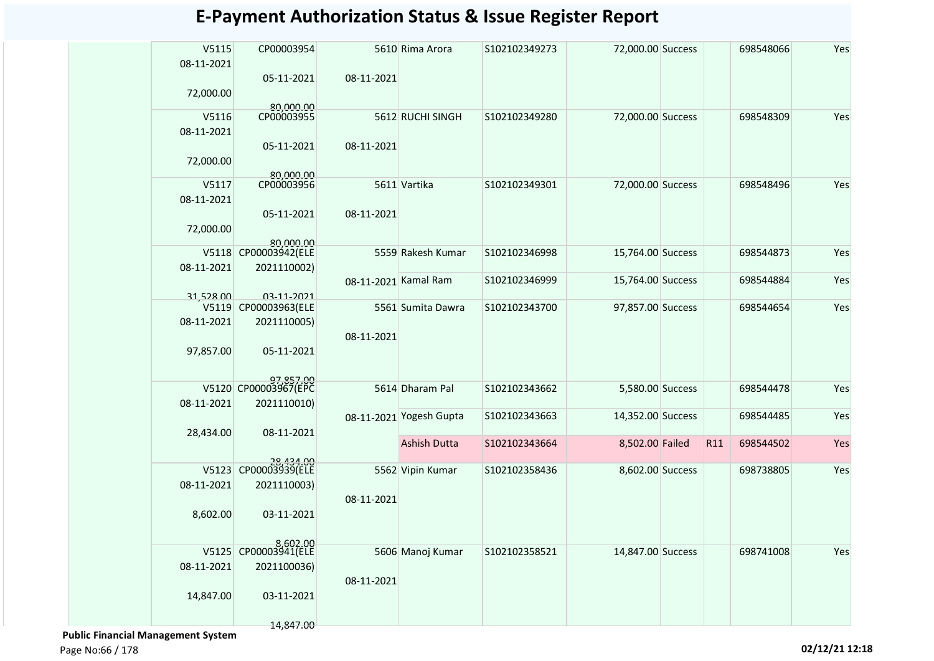| V5115<br>08-11-2021 | CP00003954                        |                      | 5610 Rima Arora         | S102102349273 | 72,000.00 Success |     | 698548066 | Yes |
|---------------------|-----------------------------------|----------------------|-------------------------|---------------|-------------------|-----|-----------|-----|
|                     | 05-11-2021                        | 08-11-2021           |                         |               |                   |     |           |     |
| 72,000.00           |                                   |                      |                         |               |                   |     |           |     |
| V5116               | 80,000.00<br>CP00003955           |                      | 5612 RUCHI SINGH        | S102102349280 | 72,000.00 Success |     | 698548309 | Yes |
| 08-11-2021          |                                   |                      |                         |               |                   |     |           |     |
|                     | 05-11-2021                        | 08-11-2021           |                         |               |                   |     |           |     |
| 72,000.00           |                                   |                      |                         |               |                   |     |           |     |
|                     | 80,000.00                         |                      |                         |               |                   |     |           |     |
| V5117               | CP00003956                        |                      | 5611 Vartika            | S102102349301 | 72,000.00 Success |     | 698548496 | Yes |
| 08-11-2021          |                                   |                      |                         |               |                   |     |           |     |
|                     | 05-11-2021                        | 08-11-2021           |                         |               |                   |     |           |     |
| 72,000.00           |                                   |                      |                         |               |                   |     |           |     |
|                     | 80.000.00                         |                      |                         |               |                   |     |           |     |
| V5118               | CP00003942(ELE                    |                      | 5559 Rakesh Kumar       | S102102346998 | 15,764.00 Success |     | 698544873 | Yes |
| 08-11-2021          | 2021110002)                       | 08-11-2021 Kamal Ram |                         | S102102346999 | 15,764.00 Success |     | 698544884 | Yes |
| 31,528.00           | 03-11-2021                        |                      |                         |               |                   |     |           |     |
| V5119               | CP00003963(ELE                    |                      | 5561 Sumita Dawra       | S102102343700 | 97,857.00 Success |     | 698544654 | Yes |
| 08-11-2021          | 2021110005)                       |                      |                         |               |                   |     |           |     |
|                     |                                   | 08-11-2021           |                         |               |                   |     |           |     |
| 97,857.00           | 05-11-2021                        |                      |                         |               |                   |     |           |     |
|                     |                                   |                      |                         |               |                   |     |           |     |
|                     | 97,857.00<br>V5120 CP00003967(EPC |                      |                         |               |                   |     |           |     |
|                     |                                   |                      | 5614 Dharam Pal         | S102102343662 | 5,580.00 Success  |     | 698544478 | Yes |
| 08-11-2021          | 2021110010)                       |                      | 08-11-2021 Yogesh Gupta | S102102343663 | 14,352.00 Success |     | 698544485 | Yes |
| 28,434.00           | 08-11-2021                        |                      |                         |               |                   |     |           |     |
|                     |                                   |                      | <b>Ashish Dutta</b>     | S102102343664 | 8,502.00 Failed   | R11 | 698544502 | Yes |
|                     |                                   |                      |                         |               |                   |     |           |     |
|                     | 28,434.00<br>V5123 CP00003939(ELE |                      | 5562 Vipin Kumar        | S102102358436 | 8,602.00 Success  |     | 698738805 | Yes |
| 08-11-2021          | 2021110003)                       |                      |                         |               |                   |     |           |     |
|                     |                                   | 08-11-2021           |                         |               |                   |     |           |     |
| 8,602.00            | 03-11-2021                        |                      |                         |               |                   |     |           |     |
|                     |                                   |                      |                         |               |                   |     |           |     |
| V5125               | 8,602.00<br>CP00003941(ELE        |                      | 5606 Manoj Kumar        | S102102358521 | 14,847.00 Success |     | 698741008 | Yes |
| 08-11-2021          | 2021100036)                       |                      |                         |               |                   |     |           |     |
|                     |                                   | 08-11-2021           |                         |               |                   |     |           |     |
| 14,847.00           | 03-11-2021                        |                      |                         |               |                   |     |           |     |
|                     |                                   |                      |                         |               |                   |     |           |     |
|                     | 14,847.00                         |                      |                         |               |                   |     |           |     |

 **Public Financial Management System** 

Page No:66 / 178 **02/12/21 12:18**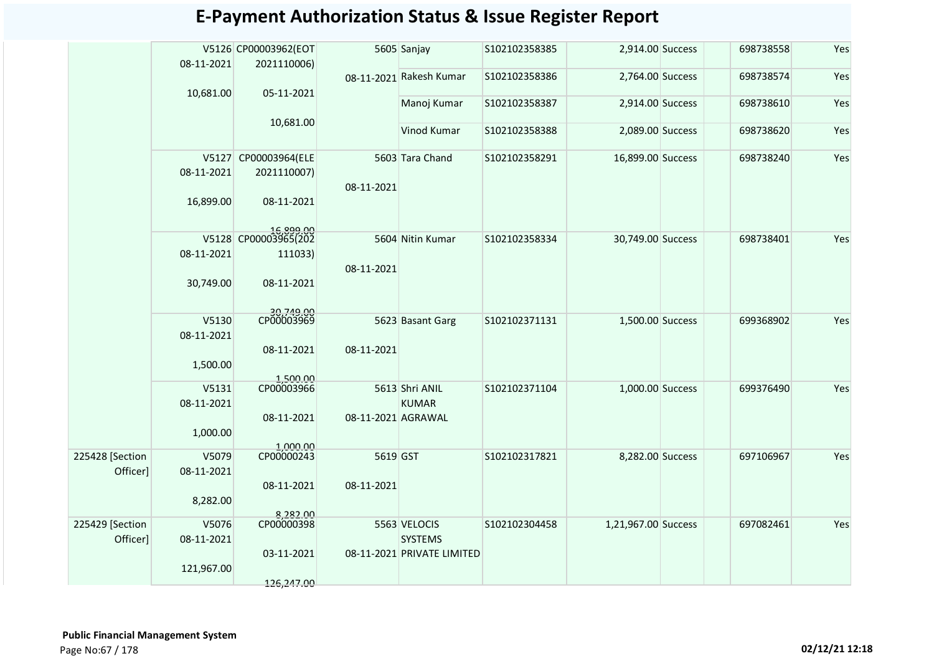| V5126 CP00003962(EOT<br>5605 Sanjay<br>S102102358385<br>2,914.00 Success<br>698738558<br>08-11-2021<br>2021110006)<br>Yes<br>08-11-2021 Rakesh Kumar<br>2,764.00 Success<br>698738574<br>S102102358386<br>10,681.00<br>05-11-2021<br>Yes<br>Manoj Kumar<br>S102102358387<br>2,914.00 Success<br>698738610<br>10,681.00<br>Vinod Kumar<br>Yes<br>S102102358388<br>2,089.00 Success<br>698738620<br>Yes<br>V5127 CP00003964(ELE<br>5603 Tara Chand<br>S102102358291<br>16,899.00 Success<br>698738240<br>08-11-2021<br>2021110007)<br>08-11-2021<br>16,899.00<br>08-11-2021<br>16,899.00<br>V5128 CP00003965(202<br>5604 Nitin Kumar<br>30,749.00 Success<br>Yes<br>S102102358334<br>698738401<br>08-11-2021<br>111033)<br>08-11-2021<br>30,749.00<br>08-11-2021<br>00.045,00<br>CP00003969<br>V5130<br>5623 Basant Garg<br>S102102371131<br>1,500.00 Success<br>Yes<br>699368902<br>08-11-2021<br>08-11-2021<br>08-11-2021<br>1,500.00<br>1,500.00<br>CP00003966<br>Yes<br>V5131<br>5613 Shri ANIL<br>S102102371104<br>1,000.00 Success<br>699376490<br>08-11-2021<br><b>KUMAR</b><br>08-11-2021<br>08-11-2021 AGRAWAL<br>1,000.00<br>1,000.00<br>CP00000243<br>225428 [Section<br>V5079<br>5619 GST<br>Yes<br>S102102317821<br>8,282.00 Success<br>697106967<br>Officer]<br>08-11-2021<br>08-11-2021<br>08-11-2021<br>8,282.00<br>8,282.00<br>Yes<br>225429 [Section<br>V5076<br>CP00000398<br>5563 VELOCIS<br>S102102304458<br>1,21,967.00 Success<br>697082461<br>Officer]<br>08-11-2021<br><b>SYSTEMS</b><br>03-11-2021<br>08-11-2021 PRIVATE LIMITED<br>121,967.00 |  |            |  |  |  |     |
|------------------------------------------------------------------------------------------------------------------------------------------------------------------------------------------------------------------------------------------------------------------------------------------------------------------------------------------------------------------------------------------------------------------------------------------------------------------------------------------------------------------------------------------------------------------------------------------------------------------------------------------------------------------------------------------------------------------------------------------------------------------------------------------------------------------------------------------------------------------------------------------------------------------------------------------------------------------------------------------------------------------------------------------------------------------------------------------------------------------------------------------------------------------------------------------------------------------------------------------------------------------------------------------------------------------------------------------------------------------------------------------------------------------------------------------------------------------------------------------------------------------------------------------------------------------------|--|------------|--|--|--|-----|
|                                                                                                                                                                                                                                                                                                                                                                                                                                                                                                                                                                                                                                                                                                                                                                                                                                                                                                                                                                                                                                                                                                                                                                                                                                                                                                                                                                                                                                                                                                                                                                        |  |            |  |  |  | Yes |
|                                                                                                                                                                                                                                                                                                                                                                                                                                                                                                                                                                                                                                                                                                                                                                                                                                                                                                                                                                                                                                                                                                                                                                                                                                                                                                                                                                                                                                                                                                                                                                        |  |            |  |  |  |     |
|                                                                                                                                                                                                                                                                                                                                                                                                                                                                                                                                                                                                                                                                                                                                                                                                                                                                                                                                                                                                                                                                                                                                                                                                                                                                                                                                                                                                                                                                                                                                                                        |  |            |  |  |  |     |
|                                                                                                                                                                                                                                                                                                                                                                                                                                                                                                                                                                                                                                                                                                                                                                                                                                                                                                                                                                                                                                                                                                                                                                                                                                                                                                                                                                                                                                                                                                                                                                        |  |            |  |  |  |     |
|                                                                                                                                                                                                                                                                                                                                                                                                                                                                                                                                                                                                                                                                                                                                                                                                                                                                                                                                                                                                                                                                                                                                                                                                                                                                                                                                                                                                                                                                                                                                                                        |  |            |  |  |  |     |
|                                                                                                                                                                                                                                                                                                                                                                                                                                                                                                                                                                                                                                                                                                                                                                                                                                                                                                                                                                                                                                                                                                                                                                                                                                                                                                                                                                                                                                                                                                                                                                        |  |            |  |  |  |     |
|                                                                                                                                                                                                                                                                                                                                                                                                                                                                                                                                                                                                                                                                                                                                                                                                                                                                                                                                                                                                                                                                                                                                                                                                                                                                                                                                                                                                                                                                                                                                                                        |  |            |  |  |  |     |
|                                                                                                                                                                                                                                                                                                                                                                                                                                                                                                                                                                                                                                                                                                                                                                                                                                                                                                                                                                                                                                                                                                                                                                                                                                                                                                                                                                                                                                                                                                                                                                        |  |            |  |  |  |     |
|                                                                                                                                                                                                                                                                                                                                                                                                                                                                                                                                                                                                                                                                                                                                                                                                                                                                                                                                                                                                                                                                                                                                                                                                                                                                                                                                                                                                                                                                                                                                                                        |  |            |  |  |  |     |
|                                                                                                                                                                                                                                                                                                                                                                                                                                                                                                                                                                                                                                                                                                                                                                                                                                                                                                                                                                                                                                                                                                                                                                                                                                                                                                                                                                                                                                                                                                                                                                        |  |            |  |  |  |     |
|                                                                                                                                                                                                                                                                                                                                                                                                                                                                                                                                                                                                                                                                                                                                                                                                                                                                                                                                                                                                                                                                                                                                                                                                                                                                                                                                                                                                                                                                                                                                                                        |  |            |  |  |  |     |
|                                                                                                                                                                                                                                                                                                                                                                                                                                                                                                                                                                                                                                                                                                                                                                                                                                                                                                                                                                                                                                                                                                                                                                                                                                                                                                                                                                                                                                                                                                                                                                        |  |            |  |  |  |     |
|                                                                                                                                                                                                                                                                                                                                                                                                                                                                                                                                                                                                                                                                                                                                                                                                                                                                                                                                                                                                                                                                                                                                                                                                                                                                                                                                                                                                                                                                                                                                                                        |  |            |  |  |  |     |
|                                                                                                                                                                                                                                                                                                                                                                                                                                                                                                                                                                                                                                                                                                                                                                                                                                                                                                                                                                                                                                                                                                                                                                                                                                                                                                                                                                                                                                                                                                                                                                        |  |            |  |  |  |     |
|                                                                                                                                                                                                                                                                                                                                                                                                                                                                                                                                                                                                                                                                                                                                                                                                                                                                                                                                                                                                                                                                                                                                                                                                                                                                                                                                                                                                                                                                                                                                                                        |  |            |  |  |  |     |
|                                                                                                                                                                                                                                                                                                                                                                                                                                                                                                                                                                                                                                                                                                                                                                                                                                                                                                                                                                                                                                                                                                                                                                                                                                                                                                                                                                                                                                                                                                                                                                        |  |            |  |  |  |     |
|                                                                                                                                                                                                                                                                                                                                                                                                                                                                                                                                                                                                                                                                                                                                                                                                                                                                                                                                                                                                                                                                                                                                                                                                                                                                                                                                                                                                                                                                                                                                                                        |  |            |  |  |  |     |
|                                                                                                                                                                                                                                                                                                                                                                                                                                                                                                                                                                                                                                                                                                                                                                                                                                                                                                                                                                                                                                                                                                                                                                                                                                                                                                                                                                                                                                                                                                                                                                        |  |            |  |  |  |     |
|                                                                                                                                                                                                                                                                                                                                                                                                                                                                                                                                                                                                                                                                                                                                                                                                                                                                                                                                                                                                                                                                                                                                                                                                                                                                                                                                                                                                                                                                                                                                                                        |  |            |  |  |  |     |
|                                                                                                                                                                                                                                                                                                                                                                                                                                                                                                                                                                                                                                                                                                                                                                                                                                                                                                                                                                                                                                                                                                                                                                                                                                                                                                                                                                                                                                                                                                                                                                        |  | 126,247.00 |  |  |  |     |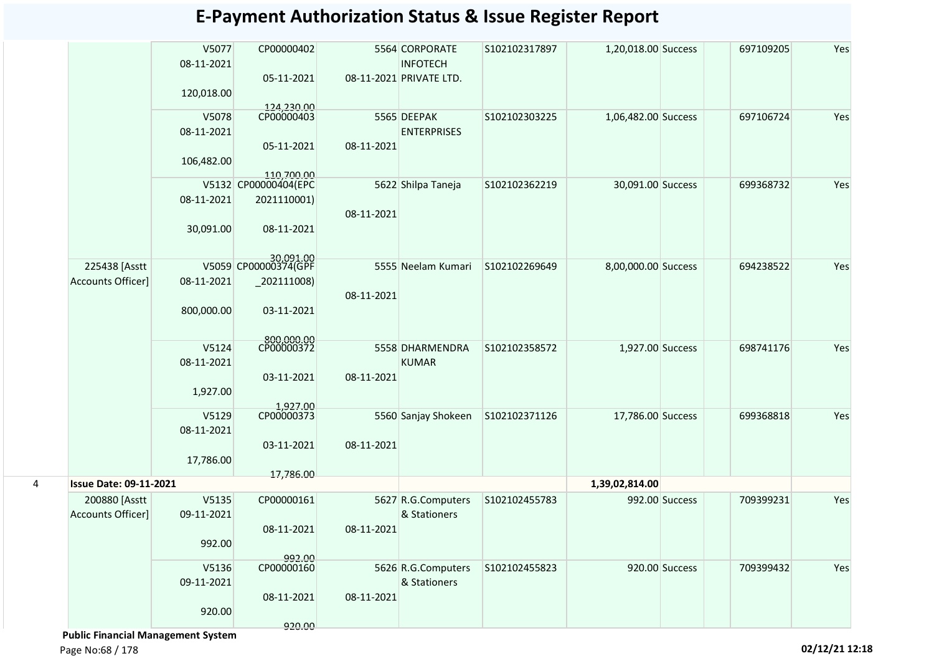|   |                               | V5077<br>08-11-2021 | CP00000402                         |            | 5564 CORPORATE<br><b>INFOTECH</b> | S102102317897 | 1,20,018.00 Success |                | 697109205 | Yes |
|---|-------------------------------|---------------------|------------------------------------|------------|-----------------------------------|---------------|---------------------|----------------|-----------|-----|
|   |                               |                     | 05-11-2021                         |            | 08-11-2021 PRIVATE LTD.           |               |                     |                |           |     |
|   |                               | 120,018.00          |                                    |            |                                   |               |                     |                |           |     |
|   |                               |                     | 124,230.00                         |            |                                   |               |                     |                |           |     |
|   |                               | V5078               | CP00000403                         |            | 5565 DEEPAK                       | S102102303225 | 1,06,482.00 Success |                | 697106724 | Yes |
|   |                               | 08-11-2021          |                                    |            | <b>ENTERPRISES</b>                |               |                     |                |           |     |
|   |                               | 106,482.00          | 05-11-2021                         | 08-11-2021 |                                   |               |                     |                |           |     |
|   |                               |                     | 110,700.00<br>V5132 CP00000404(EPC |            | 5622 Shilpa Taneja                | S102102362219 | 30,091.00 Success   |                | 699368732 | Yes |
|   |                               | 08-11-2021          | 2021110001)                        |            |                                   |               |                     |                |           |     |
|   |                               |                     |                                    | 08-11-2021 |                                   |               |                     |                |           |     |
|   |                               | 30,091.00           | 08-11-2021                         |            |                                   |               |                     |                |           |     |
|   |                               |                     | 30,091.00<br>V5059 CP00000374(GPF  |            |                                   |               |                     |                |           |     |
|   | 225438 [Asstt                 |                     |                                    |            | 5555 Neelam Kumari                | S102102269649 | 8,00,000.00 Success |                | 694238522 | Yes |
|   | Accounts Officer]             | 08-11-2021          | $-202111008$                       |            |                                   |               |                     |                |           |     |
|   |                               | 800,000.00          | 03-11-2021                         | 08-11-2021 |                                   |               |                     |                |           |     |
|   |                               |                     | 800,000.00<br>CP00000372           |            |                                   |               |                     |                |           |     |
|   |                               | V5124               |                                    |            | 5558 DHARMENDRA                   | S102102358572 | 1,927.00 Success    |                | 698741176 | Yes |
|   |                               | 08-11-2021          |                                    |            | <b>KUMAR</b>                      |               |                     |                |           |     |
|   |                               | 1,927.00            | 03-11-2021                         | 08-11-2021 |                                   |               |                     |                |           |     |
|   |                               |                     |                                    |            |                                   |               |                     |                |           |     |
|   |                               | V5129               | 1,927.00<br>CP00000373             |            | 5560 Sanjay Shokeen               | S102102371126 | 17,786.00 Success   |                | 699368818 | Yes |
|   |                               | 08-11-2021          |                                    |            |                                   |               |                     |                |           |     |
|   |                               |                     | 03-11-2021                         | 08-11-2021 |                                   |               |                     |                |           |     |
|   |                               | 17,786.00           |                                    |            |                                   |               |                     |                |           |     |
| 4 | <b>Issue Date: 09-11-2021</b> |                     | 17,786.00                          |            |                                   |               | 1,39,02,814.00      |                |           |     |
|   | 200880 [Asstt                 | V5135               | CP00000161                         |            | 5627 R.G.Computers                | S102102455783 |                     | 992.00 Success | 709399231 | Yes |
|   | Accounts Officer]             | 09-11-2021          |                                    |            | & Stationers                      |               |                     |                |           |     |
|   |                               |                     | 08-11-2021                         | 08-11-2021 |                                   |               |                     |                |           |     |
|   |                               | 992.00              |                                    |            |                                   |               |                     |                |           |     |
|   |                               | V5136               | 992.00<br>CP00000160               |            | 5626 R.G.Computers                | S102102455823 |                     | 920.00 Success | 709399432 | Yes |
|   |                               | 09-11-2021          |                                    |            | & Stationers                      |               |                     |                |           |     |
|   |                               |                     | 08-11-2021                         | 08-11-2021 |                                   |               |                     |                |           |     |
|   |                               | 920.00              |                                    |            |                                   |               |                     |                |           |     |
|   |                               |                     | 920.00                             |            |                                   |               |                     |                |           |     |

 **Public Financial Management System**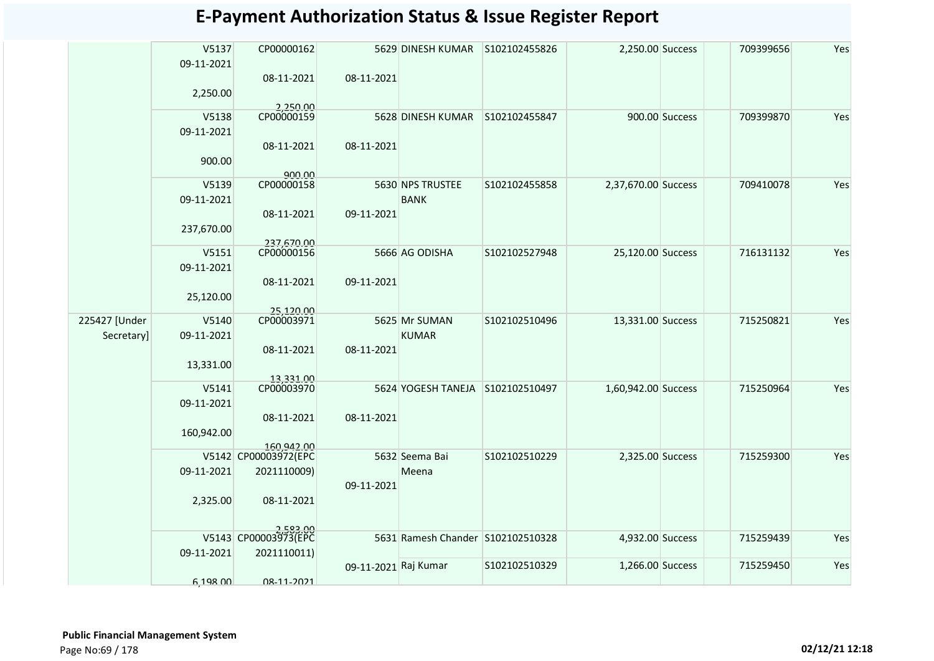|               | V5137<br>09-11-2021 | CP00000162                         |                      | 5629 DINESH KUMAR                 | S102102455826 | 2,250.00 Success    |                | 709399656 | Yes |
|---------------|---------------------|------------------------------------|----------------------|-----------------------------------|---------------|---------------------|----------------|-----------|-----|
|               |                     | 08-11-2021                         | 08-11-2021           |                                   |               |                     |                |           |     |
|               | 2,250.00            |                                    |                      |                                   |               |                     |                |           |     |
|               | V5138               | 2,250.00<br>CP00000159             |                      | 5628 DINESH KUMAR                 | S102102455847 |                     | 900.00 Success | 709399870 | Yes |
|               | 09-11-2021          |                                    |                      |                                   |               |                     |                |           |     |
|               |                     | 08-11-2021                         | 08-11-2021           |                                   |               |                     |                |           |     |
|               | 900.00              |                                    |                      |                                   |               |                     |                |           |     |
|               |                     | 900.00                             |                      |                                   |               |                     |                |           |     |
|               | V5139               | CP00000158                         |                      | 5630 NPS TRUSTEE                  | S102102455858 | 2,37,670.00 Success |                | 709410078 | Yes |
|               | 09-11-2021          |                                    |                      | <b>BANK</b>                       |               |                     |                |           |     |
|               |                     | 08-11-2021                         | 09-11-2021           |                                   |               |                     |                |           |     |
|               | 237,670.00          |                                    |                      |                                   |               |                     |                |           |     |
|               | V5151               | 237,670.00<br>CP00000156           |                      | 5666 AG ODISHA                    | S102102527948 | 25,120.00 Success   |                | 716131132 | Yes |
|               | 09-11-2021          |                                    |                      |                                   |               |                     |                |           |     |
|               |                     | 08-11-2021                         | 09-11-2021           |                                   |               |                     |                |           |     |
|               | 25,120.00           |                                    |                      |                                   |               |                     |                |           |     |
|               |                     | 25,120.00                          |                      |                                   |               |                     |                |           |     |
| 225427 [Under | V5140               | CP00003971                         |                      | 5625 Mr SUMAN                     | S102102510496 | 13,331.00 Success   |                | 715250821 | Yes |
| Secretary]    | 09-11-2021          |                                    |                      | <b>KUMAR</b>                      |               |                     |                |           |     |
|               |                     | 08-11-2021                         | 08-11-2021           |                                   |               |                     |                |           |     |
|               | 13,331.00           |                                    |                      |                                   |               |                     |                |           |     |
|               | V5141               | 13,331.00<br>CP00003970            |                      | 5624 YOGESH TANEJA S102102510497  |               | 1,60,942.00 Success |                | 715250964 | Yes |
|               | 09-11-2021          |                                    |                      |                                   |               |                     |                |           |     |
|               |                     | 08-11-2021                         | 08-11-2021           |                                   |               |                     |                |           |     |
|               | 160,942.00          |                                    |                      |                                   |               |                     |                |           |     |
|               |                     | 160.942.00<br>V5142 CP00003972(EPC |                      | 5632 Seema Bai                    | S102102510229 | 2,325.00 Success    |                | 715259300 | Yes |
|               | 09-11-2021          | 2021110009)                        |                      | Meena                             |               |                     |                |           |     |
|               |                     |                                    | 09-11-2021           |                                   |               |                     |                |           |     |
|               | 2,325.00            | 08-11-2021                         |                      |                                   |               |                     |                |           |     |
|               |                     |                                    |                      |                                   |               |                     |                |           |     |
|               |                     | 2.583.00                           |                      |                                   |               |                     |                |           |     |
|               | 09-11-2021          | V5143 CP00003973(EPC               |                      | 5631 Ramesh Chander S102102510328 |               | 4,932.00 Success    |                | 715259439 | Yes |
|               |                     | 2021110011)                        | 09-11-2021 Raj Kumar |                                   | S102102510329 | 1,266.00 Success    |                | 715259450 | Yes |
|               | 6,198.00            | 08-11-2021                         |                      |                                   |               |                     |                |           |     |
|               |                     |                                    |                      |                                   |               |                     |                |           |     |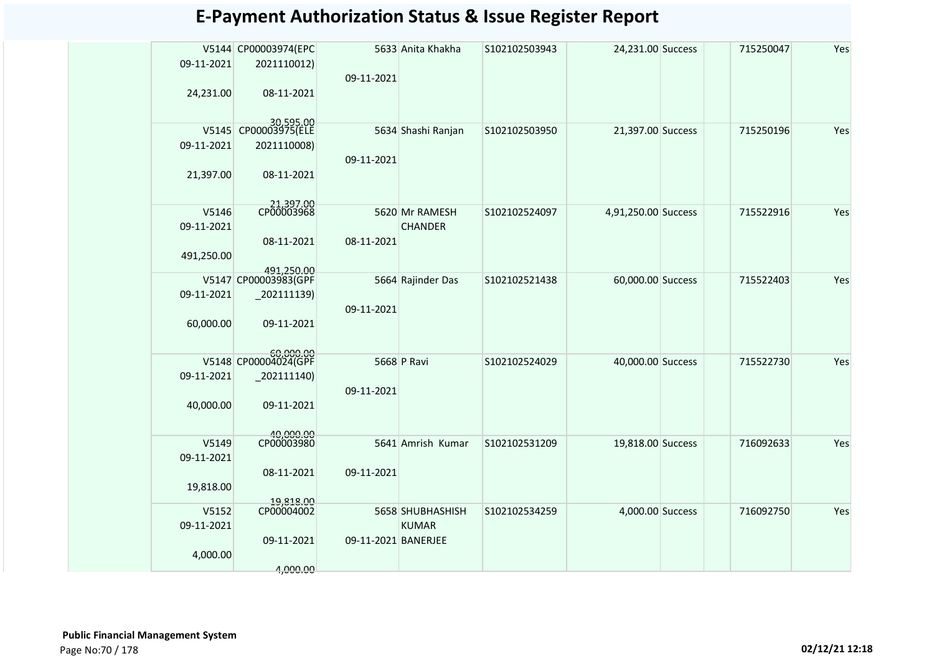|            | V5144 CP00003974(EPC        |                     | 5633 Anita Khakha  | S102102503943 | 24,231.00 Success   | 715250047 | Yes |
|------------|-----------------------------|---------------------|--------------------|---------------|---------------------|-----------|-----|
| 09-11-2021 | 2021110012)                 |                     |                    |               |                     |           |     |
|            |                             | 09-11-2021          |                    |               |                     |           |     |
| 24,231.00  | 08-11-2021                  |                     |                    |               |                     |           |     |
|            |                             |                     |                    |               |                     |           |     |
| V5145      | 30,595.00<br>CP00003975(ELE |                     | 5634 Shashi Ranjan | S102102503950 | 21,397.00 Success   | 715250196 | Yes |
| 09-11-2021 | 2021110008)                 |                     |                    |               |                     |           |     |
|            |                             | 09-11-2021          |                    |               |                     |           |     |
| 21,397.00  | 08-11-2021                  |                     |                    |               |                     |           |     |
|            |                             |                     |                    |               |                     |           |     |
|            |                             |                     |                    |               |                     |           |     |
| V5146      | 21,397.00<br>CP00003968     |                     | 5620 Mr RAMESH     | S102102524097 | 4,91,250.00 Success | 715522916 | Yes |
| 09-11-2021 |                             |                     | <b>CHANDER</b>     |               |                     |           |     |
|            | 08-11-2021                  | 08-11-2021          |                    |               |                     |           |     |
| 491,250.00 |                             |                     |                    |               |                     |           |     |
|            | 491,250.00                  |                     |                    |               |                     |           |     |
|            | V5147 CP00003983(GPF        |                     | 5664 Rajinder Das  | S102102521438 | 60,000.00 Success   | 715522403 | Yes |
| 09-11-2021 | $-202111139$                |                     |                    |               |                     |           |     |
|            |                             | 09-11-2021          |                    |               |                     |           |     |
| 60,000.00  | 09-11-2021                  |                     |                    |               |                     |           |     |
|            | 60.000.00                   |                     |                    |               |                     |           |     |
|            | V5148 CP00004024(GPF        |                     | 5668 P Ravi        | S102102524029 | 40,000.00 Success   | 715522730 | Yes |
| 09-11-2021 | 202111140)                  |                     |                    |               |                     |           |     |
|            |                             | 09-11-2021          |                    |               |                     |           |     |
| 40,000.00  | 09-11-2021                  |                     |                    |               |                     |           |     |
|            |                             |                     |                    |               |                     |           |     |
|            | 40,000.00<br>CP00003980     |                     |                    |               |                     |           |     |
| V5149      |                             |                     | 5641 Amrish Kumar  | S102102531209 | 19,818.00 Success   | 716092633 | Yes |
| 09-11-2021 |                             |                     |                    |               |                     |           |     |
|            | 08-11-2021                  | 09-11-2021          |                    |               |                     |           |     |
| 19,818.00  |                             |                     |                    |               |                     |           |     |
| V5152      | 19,818.00<br>CP00004002     |                     | 5658 SHUBHASHISH   | S102102534259 | 4,000.00 Success    | 716092750 | Yes |
| 09-11-2021 |                             |                     | <b>KUMAR</b>       |               |                     |           |     |
|            | 09-11-2021                  | 09-11-2021 BANERJEE |                    |               |                     |           |     |
| 4,000.00   |                             |                     |                    |               |                     |           |     |
|            | 4,000.00                    |                     |                    |               |                     |           |     |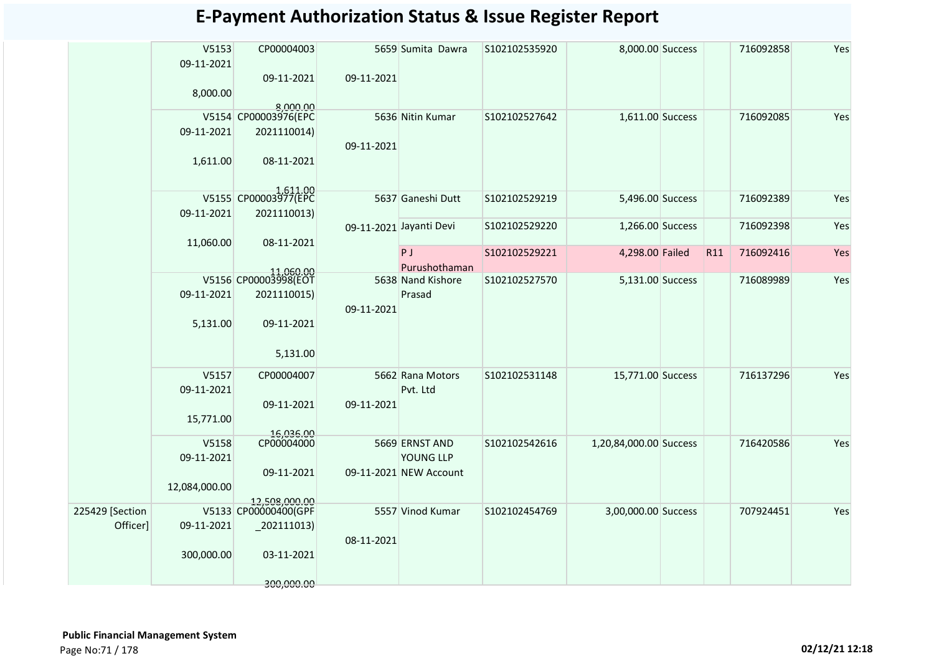|                 | V5153         | CP00004003                        |            | 5659 Sumita Dawra       | S102102535920 | 8,000.00 Success       |     | 716092858 | Yes |
|-----------------|---------------|-----------------------------------|------------|-------------------------|---------------|------------------------|-----|-----------|-----|
|                 | 09-11-2021    |                                   |            |                         |               |                        |     |           |     |
|                 |               | 09-11-2021                        | 09-11-2021 |                         |               |                        |     |           |     |
|                 | 8,000.00      | 8.000.00                          |            |                         |               |                        |     |           |     |
|                 |               | V5154 CP00003976(EPC              |            | 5636 Nitin Kumar        | S102102527642 | 1,611.00 Success       |     | 716092085 | Yes |
|                 | 09-11-2021    | 2021110014)                       |            |                         |               |                        |     |           |     |
|                 |               |                                   | 09-11-2021 |                         |               |                        |     |           |     |
|                 | 1,611.00      | 08-11-2021                        |            |                         |               |                        |     |           |     |
|                 |               |                                   |            |                         |               |                        |     |           |     |
|                 |               | 1,511.00<br>V5155 CP00003977(EPC  |            | 5637 Ganeshi Dutt       | S102102529219 | 5,496.00 Success       |     | 716092389 | Yes |
|                 | 09-11-2021    | 2021110013)                       |            |                         |               |                        |     |           |     |
|                 |               |                                   |            | 09-11-2021 Jayanti Devi | S102102529220 | 1,266.00 Success       |     | 716092398 | Yes |
|                 | 11,060.00     | 08-11-2021                        |            |                         |               |                        |     |           |     |
|                 |               |                                   |            | <b>P</b> J              | S102102529221 | 4,298.00 Failed        | R11 | 716092416 | Yes |
|                 |               |                                   |            | Purushothaman           |               |                        |     |           |     |
|                 |               | 11,060.00<br>V5156 CP00003998(EOT |            | 5638 Nand Kishore       | S102102527570 | 5,131.00 Success       |     | 716089989 | Yes |
|                 | 09-11-2021    | 2021110015)                       |            | Prasad                  |               |                        |     |           |     |
|                 |               |                                   | 09-11-2021 |                         |               |                        |     |           |     |
|                 | 5,131.00      | 09-11-2021                        |            |                         |               |                        |     |           |     |
|                 |               |                                   |            |                         |               |                        |     |           |     |
|                 |               | 5,131.00                          |            |                         |               |                        |     |           |     |
|                 | V5157         | CP00004007                        |            | 5662 Rana Motors        | S102102531148 | 15,771.00 Success      |     | 716137296 | Yes |
|                 | 09-11-2021    |                                   |            | Pvt. Ltd                |               |                        |     |           |     |
|                 |               | 09-11-2021                        | 09-11-2021 |                         |               |                        |     |           |     |
|                 | 15,771.00     |                                   |            |                         |               |                        |     |           |     |
|                 | V5158         | 16,036.00<br>CP00004000           |            | 5669 ERNST AND          | S102102542616 | 1,20,84,000.00 Success |     | 716420586 | Yes |
|                 | 09-11-2021    |                                   |            | YOUNG LLP               |               |                        |     |           |     |
|                 |               | 09-11-2021                        |            | 09-11-2021 NEW Account  |               |                        |     |           |     |
|                 | 12,084,000.00 |                                   |            |                         |               |                        |     |           |     |
|                 |               | 12.508.000.00                     |            |                         |               |                        |     |           |     |
| 225429 [Section |               | V5133 CP00000400(GPF              |            | 5557 Vinod Kumar        | S102102454769 | 3,00,000.00 Success    |     | 707924451 | Yes |
| Officer]        | 09-11-2021    | $_2$ 02111013)                    |            |                         |               |                        |     |           |     |
|                 |               |                                   | 08-11-2021 |                         |               |                        |     |           |     |
|                 | 300,000.00    | 03-11-2021                        |            |                         |               |                        |     |           |     |
|                 |               | 300,000.00                        |            |                         |               |                        |     |           |     |
|                 |               |                                   |            |                         |               |                        |     |           |     |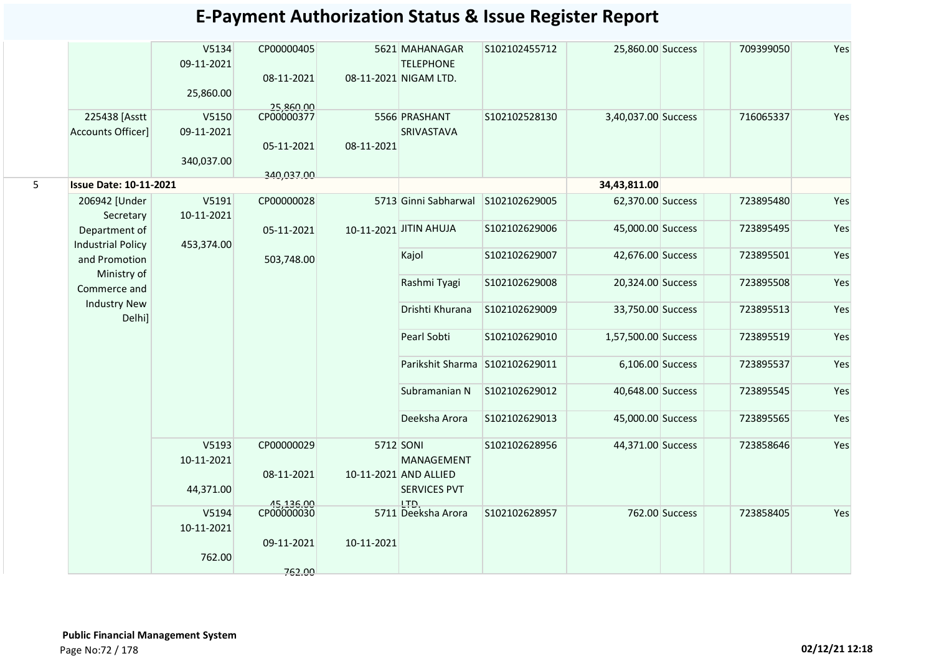|                          | V5134<br>09-11-2021<br>25,860.00                                                 | CP00000405<br>08-11-2021                                                                                                       |                                                                                               | <b>TELEPHONE</b> | S102102455712                                                                                                                                                                                                                                              |                                                                                                    | 709399050                                                                                                                                                                                                                                                                                     | Yes                                              |
|--------------------------|----------------------------------------------------------------------------------|--------------------------------------------------------------------------------------------------------------------------------|-----------------------------------------------------------------------------------------------|------------------|------------------------------------------------------------------------------------------------------------------------------------------------------------------------------------------------------------------------------------------------------------|----------------------------------------------------------------------------------------------------|-----------------------------------------------------------------------------------------------------------------------------------------------------------------------------------------------------------------------------------------------------------------------------------------------|--------------------------------------------------|
|                          |                                                                                  | 25,860.00                                                                                                                      |                                                                                               |                  |                                                                                                                                                                                                                                                            |                                                                                                    |                                                                                                                                                                                                                                                                                               |                                                  |
|                          |                                                                                  |                                                                                                                                |                                                                                               |                  |                                                                                                                                                                                                                                                            |                                                                                                    |                                                                                                                                                                                                                                                                                               | Yes                                              |
|                          |                                                                                  |                                                                                                                                |                                                                                               |                  |                                                                                                                                                                                                                                                            |                                                                                                    |                                                                                                                                                                                                                                                                                               |                                                  |
|                          |                                                                                  |                                                                                                                                |                                                                                               |                  |                                                                                                                                                                                                                                                            |                                                                                                    |                                                                                                                                                                                                                                                                                               |                                                  |
|                          |                                                                                  |                                                                                                                                |                                                                                               |                  |                                                                                                                                                                                                                                                            |                                                                                                    |                                                                                                                                                                                                                                                                                               |                                                  |
|                          |                                                                                  |                                                                                                                                |                                                                                               |                  |                                                                                                                                                                                                                                                            |                                                                                                    |                                                                                                                                                                                                                                                                                               |                                                  |
| 206942 [Under            | V5191                                                                            | CP00000028                                                                                                                     |                                                                                               |                  | S102102629005                                                                                                                                                                                                                                              |                                                                                                    | 723895480                                                                                                                                                                                                                                                                                     | Yes                                              |
| Secretary                | 10-11-2021                                                                       |                                                                                                                                |                                                                                               |                  |                                                                                                                                                                                                                                                            |                                                                                                    |                                                                                                                                                                                                                                                                                               |                                                  |
| Department of            |                                                                                  | 05-11-2021                                                                                                                     |                                                                                               |                  | S102102629006                                                                                                                                                                                                                                              |                                                                                                    | 723895495                                                                                                                                                                                                                                                                                     | Yes                                              |
| <b>Industrial Policy</b> | 453,374.00                                                                       |                                                                                                                                |                                                                                               |                  |                                                                                                                                                                                                                                                            |                                                                                                    |                                                                                                                                                                                                                                                                                               |                                                  |
| and Promotion            |                                                                                  | 503,748.00                                                                                                                     |                                                                                               |                  |                                                                                                                                                                                                                                                            |                                                                                                    |                                                                                                                                                                                                                                                                                               | Yes                                              |
| Ministry of              |                                                                                  |                                                                                                                                |                                                                                               |                  |                                                                                                                                                                                                                                                            |                                                                                                    |                                                                                                                                                                                                                                                                                               | Yes                                              |
|                          |                                                                                  |                                                                                                                                |                                                                                               |                  |                                                                                                                                                                                                                                                            |                                                                                                    |                                                                                                                                                                                                                                                                                               |                                                  |
| Delhi]                   |                                                                                  |                                                                                                                                |                                                                                               | Drishti Khurana  | S102102629009                                                                                                                                                                                                                                              |                                                                                                    | 723895513                                                                                                                                                                                                                                                                                     | Yes                                              |
|                          |                                                                                  |                                                                                                                                |                                                                                               | Pearl Sobti      | S102102629010                                                                                                                                                                                                                                              |                                                                                                    | 723895519                                                                                                                                                                                                                                                                                     | Yes                                              |
|                          |                                                                                  |                                                                                                                                |                                                                                               |                  |                                                                                                                                                                                                                                                            |                                                                                                    | 723895537                                                                                                                                                                                                                                                                                     | Yes                                              |
|                          |                                                                                  |                                                                                                                                |                                                                                               | Subramanian N    | S102102629012                                                                                                                                                                                                                                              |                                                                                                    | 723895545                                                                                                                                                                                                                                                                                     | Yes                                              |
|                          |                                                                                  |                                                                                                                                |                                                                                               | Deeksha Arora    | S102102629013                                                                                                                                                                                                                                              |                                                                                                    | 723895565                                                                                                                                                                                                                                                                                     | Yes                                              |
|                          | V5193                                                                            | CP00000029                                                                                                                     |                                                                                               |                  | S102102628956                                                                                                                                                                                                                                              |                                                                                                    | 723858646                                                                                                                                                                                                                                                                                     | Yes                                              |
|                          |                                                                                  |                                                                                                                                |                                                                                               | MANAGEMENT       |                                                                                                                                                                                                                                                            |                                                                                                    |                                                                                                                                                                                                                                                                                               |                                                  |
|                          |                                                                                  |                                                                                                                                |                                                                                               |                  |                                                                                                                                                                                                                                                            |                                                                                                    |                                                                                                                                                                                                                                                                                               |                                                  |
|                          |                                                                                  |                                                                                                                                |                                                                                               |                  |                                                                                                                                                                                                                                                            |                                                                                                    |                                                                                                                                                                                                                                                                                               |                                                  |
|                          |                                                                                  |                                                                                                                                |                                                                                               |                  |                                                                                                                                                                                                                                                            |                                                                                                    |                                                                                                                                                                                                                                                                                               | Yes                                              |
|                          |                                                                                  |                                                                                                                                |                                                                                               |                  |                                                                                                                                                                                                                                                            |                                                                                                    |                                                                                                                                                                                                                                                                                               |                                                  |
|                          |                                                                                  |                                                                                                                                |                                                                                               |                  |                                                                                                                                                                                                                                                            |                                                                                                    |                                                                                                                                                                                                                                                                                               |                                                  |
|                          |                                                                                  |                                                                                                                                |                                                                                               |                  |                                                                                                                                                                                                                                                            |                                                                                                    |                                                                                                                                                                                                                                                                                               |                                                  |
|                          |                                                                                  | 762.00                                                                                                                         |                                                                                               |                  |                                                                                                                                                                                                                                                            |                                                                                                    |                                                                                                                                                                                                                                                                                               |                                                  |
|                          | 225438 [Asstt<br><b>Accounts Officer]</b><br>Commerce and<br><b>Industry New</b> | V5150<br>09-11-2021<br>340,037.00<br><b>Issue Date: 10-11-2021</b><br>10-11-2021<br>44,371.00<br>V5194<br>10-11-2021<br>762.00 | CP00000377<br>05-11-2021<br>340,037.00<br>08-11-2021<br>45,136.00<br>CP00000030<br>09-11-2021 | 08-11-2021       | 5621 MAHANAGAR<br>08-11-2021 NIGAM LTD.<br>5566 PRASHANT<br>SRIVASTAVA<br>5713 Ginni Sabharwal<br>10-11-2021 JITIN AHUJA<br>Kajol<br>Rashmi Tyagi<br>5712 SONI<br>10-11-2021 AND ALLIED<br><b>SERVICES PVT</b><br>LTD.<br>5711 Deeksha Arora<br>10-11-2021 | S102102528130<br>S102102629007<br>S102102629008<br>Parikshit Sharma S102102629011<br>S102102628957 | 25,860.00 Success<br>3,40,037.00 Success<br>34,43,811.00<br>62,370.00 Success<br>45,000.00 Success<br>42,676.00 Success<br>20,324.00 Success<br>33,750.00 Success<br>1,57,500.00 Success<br>6,106.00 Success<br>40,648.00 Success<br>45,000.00 Success<br>44,371.00 Success<br>762.00 Success | 716065337<br>723895501<br>723895508<br>723858405 |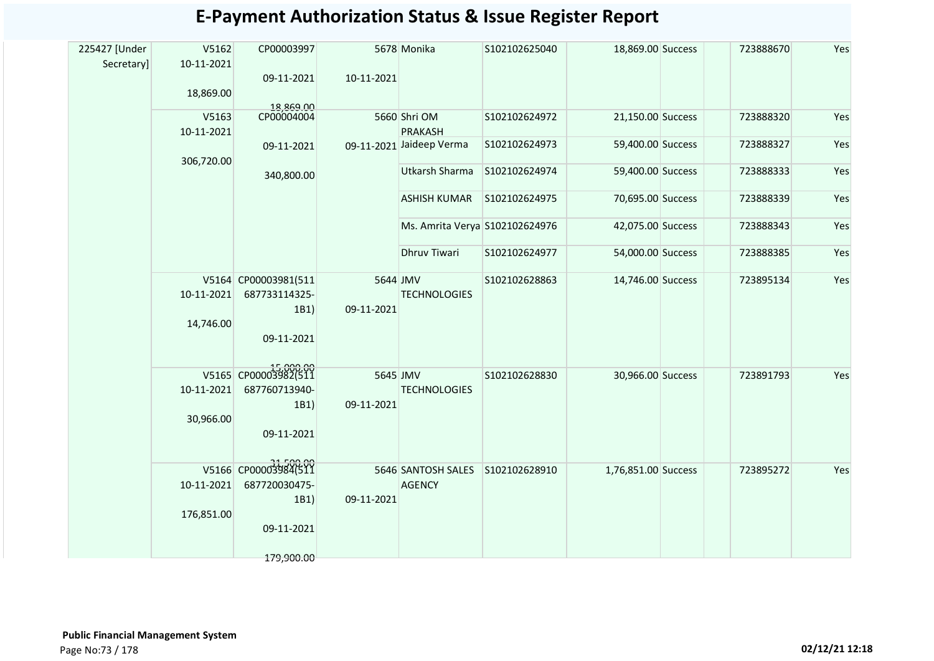| <b>E-Payment Authorization Status &amp; Issue Register Report</b> |  |
|-------------------------------------------------------------------|--|
|-------------------------------------------------------------------|--|

| 225427 [Under | V5162                                             | CP00003997              |            | 5678 Monika                    | S102102625040 | 18,869.00 Success   | 723888670 | Yes |
|---------------|---------------------------------------------------|-------------------------|------------|--------------------------------|---------------|---------------------|-----------|-----|
| Secretary]    | 10-11-2021                                        |                         |            |                                |               |                     |           |     |
|               |                                                   | 09-11-2021              | 10-11-2021 |                                |               |                     |           |     |
|               | 18,869.00                                         |                         |            |                                |               |                     |           |     |
|               |                                                   | 18,869.00<br>CP00004004 |            |                                |               |                     |           |     |
|               | V5163                                             |                         |            | 5660 Shri OM                   | S102102624972 | 21,150.00 Success   | 723888320 | Yes |
|               | 10-11-2021                                        |                         |            | <b>PRAKASH</b>                 |               |                     |           |     |
|               |                                                   | 09-11-2021              |            | 09-11-2021 Jaideep Verma       | S102102624973 | 59,400.00 Success   | 723888327 | Yes |
|               | 306,720.00                                        |                         |            | <b>Utkarsh Sharma</b>          | S102102624974 | 59,400.00 Success   | 723888333 | Yes |
|               |                                                   | 340,800.00              |            |                                |               |                     |           |     |
|               |                                                   |                         |            | <b>ASHISH KUMAR</b>            | S102102624975 | 70,695.00 Success   | 723888339 | Yes |
|               |                                                   |                         |            |                                |               |                     |           |     |
|               |                                                   |                         |            | Ms. Amrita Verya S102102624976 |               | 42,075.00 Success   | 723888343 | Yes |
|               |                                                   |                         |            |                                |               |                     |           |     |
|               |                                                   |                         |            | <b>Dhruv Tiwari</b>            | S102102624977 | 54,000.00 Success   | 723888385 | Yes |
|               |                                                   |                         |            |                                |               |                     |           |     |
|               |                                                   | V5164 CP00003981(511    | 5644 JMV   |                                | S102102628863 | 14,746.00 Success   | 723895134 | Yes |
|               | 10-11-2021                                        | 687733114325-           |            | <b>TECHNOLOGIES</b>            |               |                     |           |     |
|               |                                                   | 1B1)                    | 09-11-2021 |                                |               |                     |           |     |
|               | 14,746.00                                         |                         |            |                                |               |                     |           |     |
|               |                                                   | 09-11-2021              |            |                                |               |                     |           |     |
|               |                                                   |                         |            |                                |               |                     |           |     |
|               |                                                   | V5165 CP00003982(511    | 5645 JMV   |                                | S102102628830 | 30,966.00 Success   | 723891793 | Yes |
|               | 10-11-2021                                        | 687760713940-           |            | <b>TECHNOLOGIES</b>            |               |                     |           |     |
|               |                                                   | 1B1)                    | 09-11-2021 |                                |               |                     |           |     |
|               | 30,966.00                                         |                         |            |                                |               |                     |           |     |
|               |                                                   | 09-11-2021              |            |                                |               |                     |           |     |
|               |                                                   |                         |            |                                |               |                     |           |     |
|               |                                                   |                         |            |                                |               |                     |           |     |
|               |                                                   | V5166 CP00003984(511    |            | 5646 SANTOSH SALES             | S102102628910 | 1,76,851.00 Success | 723895272 | Yes |
|               | 10-11-2021<br>687720030475-<br>09-11-2021<br>1B1) | <b>AGENCY</b>           |            |                                |               |                     |           |     |
|               |                                                   |                         |            |                                |               |                     |           |     |
|               | 176,851.00                                        |                         |            |                                |               |                     |           |     |
|               |                                                   | 09-11-2021              |            |                                |               |                     |           |     |
|               |                                                   |                         |            |                                |               |                     |           |     |
|               |                                                   | 179,900.00              |            |                                |               |                     |           |     |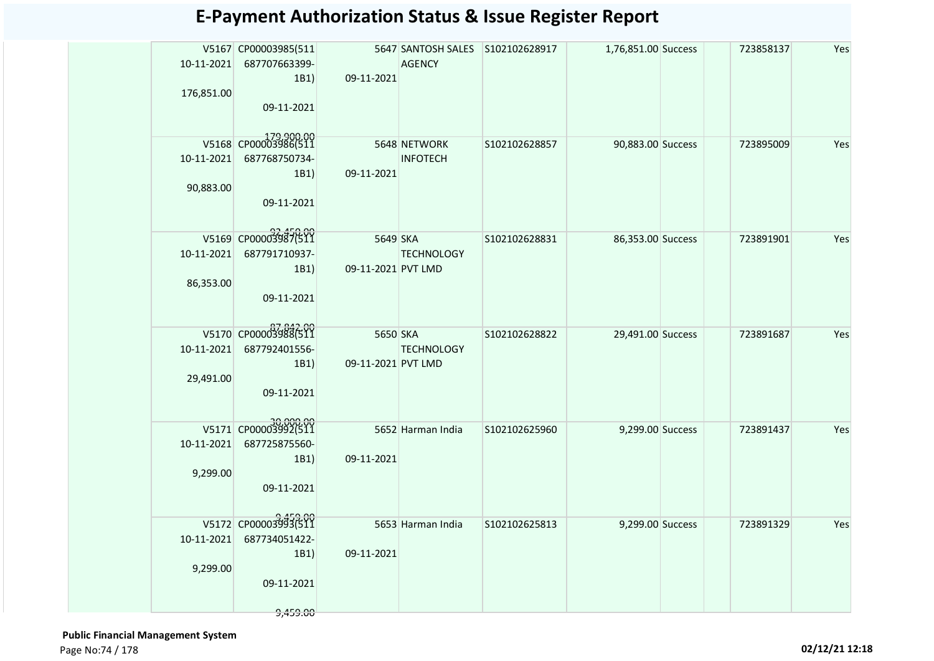| 10-11-2021 | V5167 CP00003985(511  |                    | 5647 SANTOSH SALES S102102628917<br><b>AGENCY</b> |               | 1,76,851.00 Success | 723858137 | Yes |
|------------|-----------------------|--------------------|---------------------------------------------------|---------------|---------------------|-----------|-----|
|            | 687707663399-<br>1B1  | 09-11-2021         |                                                   |               |                     |           |     |
| 176,851.00 |                       |                    |                                                   |               |                     |           |     |
|            | 09-11-2021            |                    |                                                   |               |                     |           |     |
|            |                       |                    |                                                   |               |                     |           |     |
|            | V5168 CP00003986(511  |                    | 5648 NETWORK                                      | S102102628857 | 90,883.00 Success   | 723895009 | Yes |
| 10-11-2021 | 687768750734-<br>1B1) | 09-11-2021         | <b>INFOTECH</b>                                   |               |                     |           |     |
| 90,883.00  |                       |                    |                                                   |               |                     |           |     |
|            | 09-11-2021            |                    |                                                   |               |                     |           |     |
|            |                       |                    |                                                   |               |                     |           |     |
|            | V5169 CP00003987(511  | 5649 SKA           |                                                   | S102102628831 | 86,353.00 Success   | 723891901 | Yes |
| 10-11-2021 | 687791710937-<br>1B1) | 09-11-2021 PVT LMD | <b>TECHNOLOGY</b>                                 |               |                     |           |     |
| 86,353.00  |                       |                    |                                                   |               |                     |           |     |
|            | 09-11-2021            |                    |                                                   |               |                     |           |     |
|            |                       |                    |                                                   |               |                     |           |     |
|            | V5170 CP00003988(511  | 5650 SKA           |                                                   | S102102628822 | 29,491.00 Success   | 723891687 | Yes |
| 10-11-2021 | 687792401556-<br>1B1) | 09-11-2021 PVT LMD | <b>TECHNOLOGY</b>                                 |               |                     |           |     |
| 29,491.00  |                       |                    |                                                   |               |                     |           |     |
|            | 09-11-2021            |                    |                                                   |               |                     |           |     |
|            |                       |                    |                                                   |               |                     |           |     |
|            | V5171 CP00003992(511  |                    | 5652 Harman India                                 | S102102625960 | 9,299.00 Success    | 723891437 | Yes |
| 10-11-2021 | 687725875560-<br>1B1) | 09-11-2021         |                                                   |               |                     |           |     |
| 9,299.00   |                       |                    |                                                   |               |                     |           |     |
|            | 09-11-2021            |                    |                                                   |               |                     |           |     |
|            |                       |                    |                                                   |               |                     |           |     |
|            | V5172 CP00003993(511  |                    | 5653 Harman India                                 | S102102625813 | 9,299.00 Success    | 723891329 | Yes |
| 10-11-2021 | 687734051422-<br>1B1) | 09-11-2021         |                                                   |               |                     |           |     |
| 9,299.00   |                       |                    |                                                   |               |                     |           |     |
|            | 09-11-2021            |                    |                                                   |               |                     |           |     |
|            | 9,459.00              |                    |                                                   |               |                     |           |     |
|            |                       |                    |                                                   |               |                     |           |     |

 **Public Financial Management System**  Page No:74 / 178 **02/12/21 12:18**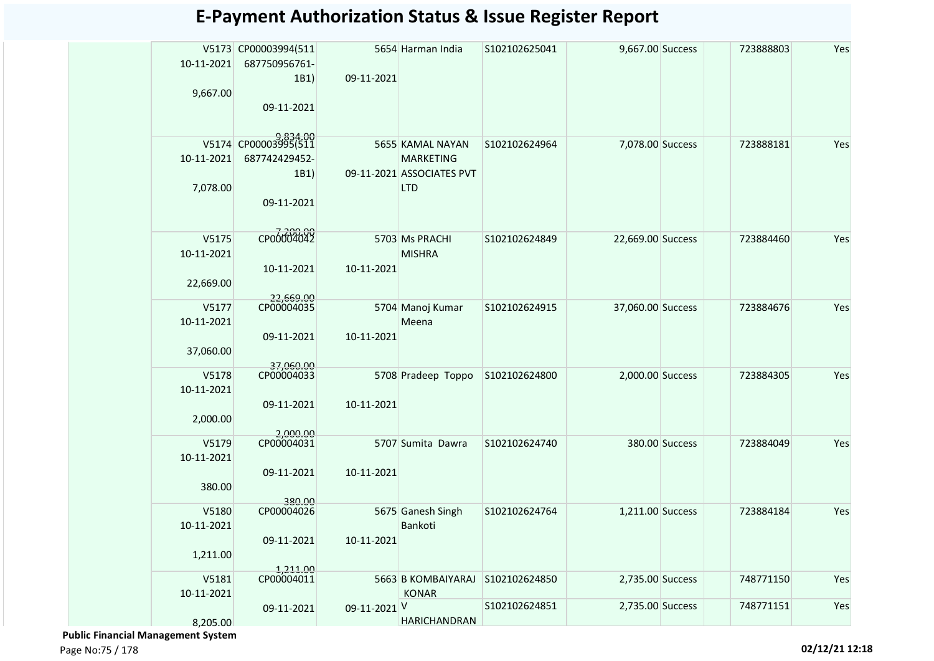|            | V5173 CP00003994(511    |              | 5654 Harman India                             | S102102625041 | 9,667.00 Success  |                | 723888803 | Yes |
|------------|-------------------------|--------------|-----------------------------------------------|---------------|-------------------|----------------|-----------|-----|
| 10-11-2021 | 687750956761-           |              |                                               |               |                   |                |           |     |
| 9,667.00   | 1B1)                    | 09-11-2021   |                                               |               |                   |                |           |     |
|            | 09-11-2021              |              |                                               |               |                   |                |           |     |
|            |                         |              |                                               |               |                   |                |           |     |
|            |                         |              |                                               |               |                   |                |           |     |
|            | V5174 CP00003995(511    |              | 5655 KAMAL NAYAN                              | S102102624964 | 7,078.00 Success  |                | 723888181 | Yes |
| 10-11-2021 | 687742429452-<br>1B1)   |              | <b>MARKETING</b><br>09-11-2021 ASSOCIATES PVT |               |                   |                |           |     |
| 7,078.00   |                         |              | <b>LTD</b>                                    |               |                   |                |           |     |
|            | 09-11-2021              |              |                                               |               |                   |                |           |     |
|            |                         |              |                                               |               |                   |                |           |     |
| V5175      | CP00004042              |              | 5703 Ms PRACHI                                | S102102624849 | 22,669.00 Success |                | 723884460 | Yes |
| 10-11-2021 |                         |              | <b>MISHRA</b>                                 |               |                   |                |           |     |
|            | 10-11-2021              | 10-11-2021   |                                               |               |                   |                |           |     |
| 22,669.00  |                         |              |                                               |               |                   |                |           |     |
| V5177      | 22,669.00<br>CP00004035 |              | 5704 Manoj Kumar                              | S102102624915 | 37,060.00 Success |                | 723884676 | Yes |
| 10-11-2021 |                         |              | Meena                                         |               |                   |                |           |     |
|            | 09-11-2021              | 10-11-2021   |                                               |               |                   |                |           |     |
| 37,060.00  |                         |              |                                               |               |                   |                |           |     |
| V5178      | 37,060.00<br>CP00004033 |              | 5708 Pradeep Toppo                            | S102102624800 | 2,000.00 Success  |                | 723884305 | Yes |
| 10-11-2021 |                         |              |                                               |               |                   |                |           |     |
|            | 09-11-2021              | 10-11-2021   |                                               |               |                   |                |           |     |
| 2,000.00   |                         |              |                                               |               |                   |                |           |     |
| V5179      | 2,000.00<br>CP00004031  |              | 5707 Sumita Dawra                             | S102102624740 |                   | 380.00 Success | 723884049 | Yes |
| 10-11-2021 |                         |              |                                               |               |                   |                |           |     |
|            | 09-11-2021              | 10-11-2021   |                                               |               |                   |                |           |     |
| 380.00     |                         |              |                                               |               |                   |                |           |     |
| V5180      | 380.00<br>CP00004026    |              | 5675 Ganesh Singh                             | S102102624764 | 1,211.00 Success  |                | 723884184 | Yes |
| 10-11-2021 |                         |              | Bankoti                                       |               |                   |                |           |     |
|            | 09-11-2021              | 10-11-2021   |                                               |               |                   |                |           |     |
| 1,211.00   |                         |              |                                               |               |                   |                |           |     |
| V5181      | 1,211.00<br>CP00004011  |              | 5663 B KOMBAIYARAJ                            | S102102624850 | 2,735.00 Success  |                | 748771150 | Yes |
| 10-11-2021 |                         |              | <b>KONAR</b>                                  |               |                   |                |           |     |
|            | 09-11-2021              | 09-11-2021 V |                                               | S102102624851 | 2,735.00 Success  |                | 748771151 | Yes |
| 8,205.00   |                         |              | <b>HARICHANDRAN</b>                           |               |                   |                |           |     |

 **Public Financial Management System**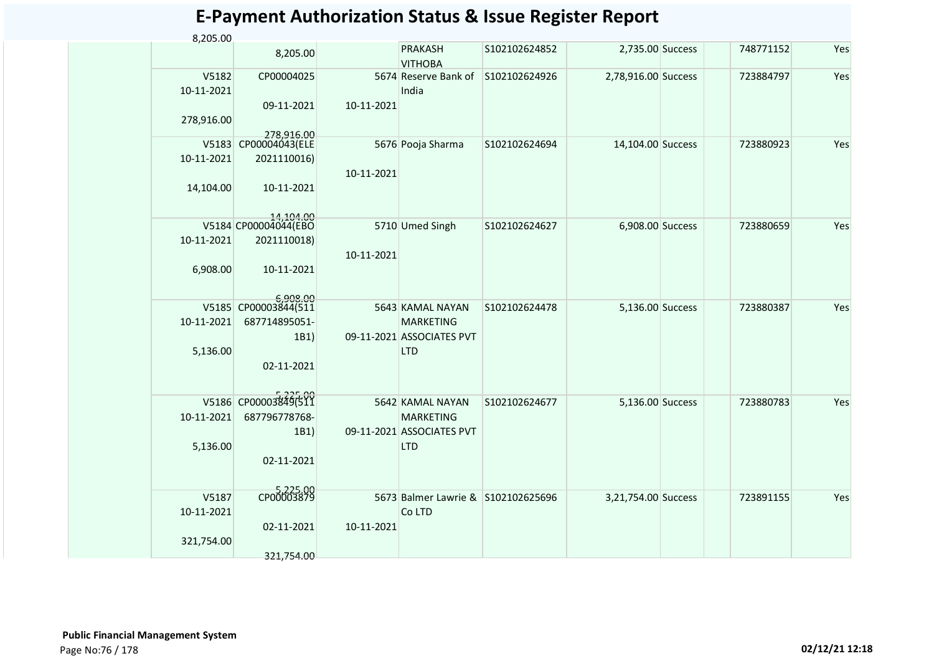| 8,205.00   |                                   |            |                                    |               |                     |           |     |
|------------|-----------------------------------|------------|------------------------------------|---------------|---------------------|-----------|-----|
|            | 8,205.00                          |            | <b>PRAKASH</b><br><b>VITHOBA</b>   | S102102624852 | 2,735.00 Success    | 748771152 | Yes |
| V5182      | CP00004025                        |            | 5674 Reserve Bank of               | S102102624926 | 2,78,916.00 Success | 723884797 | Yes |
| 10-11-2021 |                                   |            | India                              |               |                     |           |     |
|            | 09-11-2021                        | 10-11-2021 |                                    |               |                     |           |     |
| 278,916.00 |                                   |            |                                    |               |                     |           |     |
|            | 278,916.00                        |            |                                    |               |                     |           |     |
| V5183      | CP00004043(ELE                    |            | 5676 Pooja Sharma                  | S102102624694 | 14,104.00 Success   | 723880923 | Yes |
| 10-11-2021 | 2021110016)                       |            |                                    |               |                     |           |     |
|            |                                   | 10-11-2021 |                                    |               |                     |           |     |
| 14,104.00  | 10-11-2021                        |            |                                    |               |                     |           |     |
|            |                                   |            |                                    |               |                     |           |     |
|            | 14,104.00<br>V5184 CP00004044(EBO |            | 5710 Umed Singh                    | S102102624627 | 6,908.00 Success    | 723880659 | Yes |
| 10-11-2021 |                                   |            |                                    |               |                     |           |     |
|            | 2021110018)                       |            |                                    |               |                     |           |     |
|            |                                   | 10-11-2021 |                                    |               |                     |           |     |
| 6,908.00   | 10-11-2021                        |            |                                    |               |                     |           |     |
|            |                                   |            |                                    |               |                     |           |     |
|            | 6,908.00<br>V5185 CP00003844(511  |            | 5643 KAMAL NAYAN                   | S102102624478 | 5,136.00 Success    | 723880387 | Yes |
| 10-11-2021 | 687714895051-                     |            | <b>MARKETING</b>                   |               |                     |           |     |
|            | 1B1)                              |            | 09-11-2021 ASSOCIATES PVT          |               |                     |           |     |
| 5,136.00   |                                   |            | <b>LTD</b>                         |               |                     |           |     |
|            | 02-11-2021                        |            |                                    |               |                     |           |     |
|            |                                   |            |                                    |               |                     |           |     |
|            |                                   |            |                                    |               |                     |           |     |
| V5186      | CP00003849(511                    |            | 5642 KAMAL NAYAN                   | S102102624677 | 5,136.00 Success    | 723880783 | Yes |
| 10-11-2021 | 687796778768-                     |            | <b>MARKETING</b>                   |               |                     |           |     |
|            | 1B1)                              |            | 09-11-2021 ASSOCIATES PVT          |               |                     |           |     |
| 5,136.00   |                                   |            | <b>LTD</b>                         |               |                     |           |     |
|            | 02-11-2021                        |            |                                    |               |                     |           |     |
|            |                                   |            |                                    |               |                     |           |     |
| V5187      | CP00003879                        |            | 5673 Balmer Lawrie & S102102625696 |               | 3,21,754.00 Success | 723891155 | Yes |
| 10-11-2021 |                                   |            | Co LTD                             |               |                     |           |     |
|            | 02-11-2021                        | 10-11-2021 |                                    |               |                     |           |     |
| 321,754.00 |                                   |            |                                    |               |                     |           |     |
|            | 321,754.00                        |            |                                    |               |                     |           |     |
|            |                                   |            |                                    |               |                     |           |     |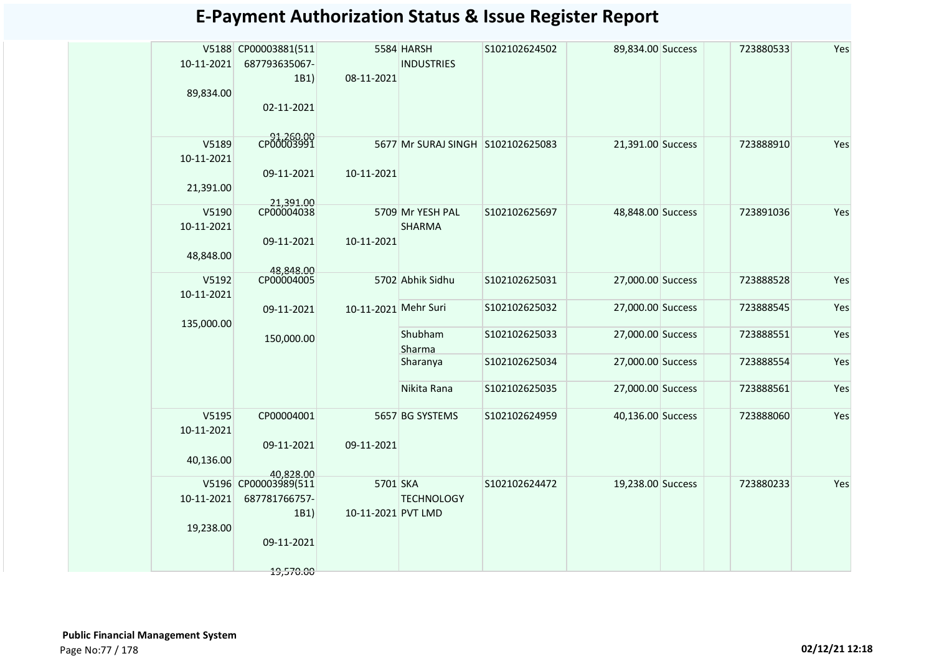| 10-11-2021<br>89,834.00          | V5188 CP00003881(511<br>687793635067-<br>1B1)<br>02-11-2021 | 08-11-2021           | 5584 HARSH<br><b>INDUSTRIES</b>   | S102102624502 | 89,834.00 Success | 723880533 | Yes |
|----------------------------------|-------------------------------------------------------------|----------------------|-----------------------------------|---------------|-------------------|-----------|-----|
| V5189<br>10-11-2021<br>21,391.00 | CP00003991<br>09-11-2021                                    | 10-11-2021           | 5677 Mr SURAJ SINGH S102102625083 |               | 21,391.00 Success | 723888910 | Yes |
| V5190<br>10-11-2021<br>48,848.00 | 21,391.00<br>CP00004038<br>09-11-2021<br>48,848.00          | 10-11-2021           | 5709 Mr YESH PAL<br><b>SHARMA</b> | S102102625697 | 48,848.00 Success | 723891036 | Yes |
| V5192<br>10-11-2021              | CP00004005                                                  |                      | 5702 Abhik Sidhu                  | S102102625031 | 27,000.00 Success | 723888528 | Yes |
| 135,000.00                       | 09-11-2021                                                  | 10-11-2021 Mehr Suri |                                   | S102102625032 | 27,000.00 Success | 723888545 | Yes |
|                                  | 150,000.00                                                  |                      | Shubham<br>Sharma                 | S102102625033 | 27,000.00 Success | 723888551 | Yes |
|                                  |                                                             |                      | Sharanya                          | S102102625034 | 27,000.00 Success | 723888554 | Yes |
|                                  |                                                             |                      | Nikita Rana                       | S102102625035 | 27,000.00 Success | 723888561 | Yes |
| V5195<br>10-11-2021              | CP00004001<br>09-11-2021                                    | 09-11-2021           | 5657 BG SYSTEMS                   | S102102624959 | 40,136.00 Success | 723888060 | Yes |
| 40,136.00                        | 40.828.00                                                   |                      |                                   |               |                   |           |     |
| 10-11-2021                       | V5196 CP00003989(511<br>687781766757-                       | 5701 SKA             | <b>TECHNOLOGY</b>                 | S102102624472 | 19,238.00 Success | 723880233 | Yes |
| 19,238.00                        | 1B1)<br>09-11-2021                                          | 10-11-2021 PVT LMD   |                                   |               |                   |           |     |
|                                  | 19,570.00                                                   |                      |                                   |               |                   |           |     |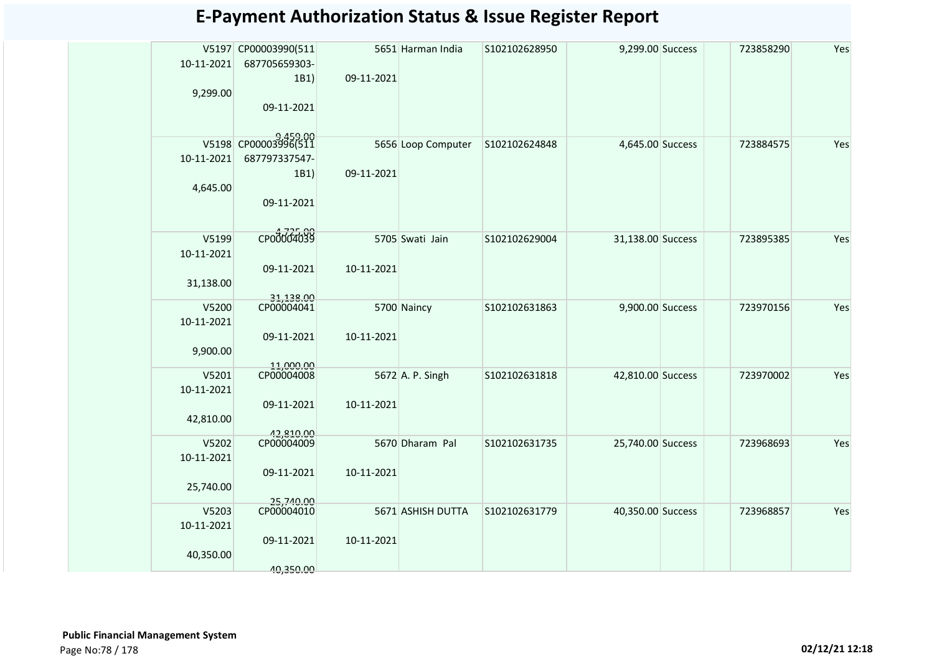| 10-11-2021<br>9,299.00 | V5197 CP00003990(511<br>687705659303-<br>1B1)<br>09-11-2021 | 09-11-2021 | 5651 Harman India  | S102102628950 | 9,299.00 Success  | 723858290 | Yes |
|------------------------|-------------------------------------------------------------|------------|--------------------|---------------|-------------------|-----------|-----|
|                        | V5198 CP00003996(511                                        |            | 5656 Loop Computer | S102102624848 | 4,645.00 Success  | 723884575 | Yes |
| 10-11-2021             | 687797337547-                                               |            |                    |               |                   |           |     |
|                        | 1B1)                                                        | 09-11-2021 |                    |               |                   |           |     |
| 4,645.00               |                                                             |            |                    |               |                   |           |     |
|                        |                                                             |            |                    |               |                   |           |     |
|                        | 09-11-2021                                                  |            |                    |               |                   |           |     |
|                        |                                                             |            |                    |               |                   |           |     |
| V5199                  | CP00004039                                                  |            | 5705 Swati Jain    | S102102629004 | 31,138.00 Success | 723895385 | Yes |
| 10-11-2021             |                                                             |            |                    |               |                   |           |     |
|                        | 09-11-2021                                                  | 10-11-2021 |                    |               |                   |           |     |
|                        |                                                             |            |                    |               |                   |           |     |
| 31,138.00              |                                                             |            |                    |               |                   |           |     |
| V5200                  | 31,138.00<br>CP00004041                                     |            | 5700 Naincy        | S102102631863 | 9,900.00 Success  | 723970156 | Yes |
| 10-11-2021             |                                                             |            |                    |               |                   |           |     |
|                        | 09-11-2021                                                  | 10-11-2021 |                    |               |                   |           |     |
|                        |                                                             |            |                    |               |                   |           |     |
| 9,900.00               |                                                             |            |                    |               |                   |           |     |
| V5201                  | 11.000.00<br>CP00004008                                     |            | 5672 A. P. Singh   | S102102631818 | 42,810.00 Success | 723970002 | Yes |
| 10-11-2021             |                                                             |            |                    |               |                   |           |     |
|                        | 09-11-2021                                                  | 10-11-2021 |                    |               |                   |           |     |
| 42,810.00              |                                                             |            |                    |               |                   |           |     |
|                        | 42,810.00                                                   |            |                    |               |                   |           |     |
| V5202                  | CP00004009                                                  |            | 5670 Dharam Pal    | S102102631735 | 25,740.00 Success | 723968693 | Yes |
| 10-11-2021             |                                                             |            |                    |               |                   |           |     |
|                        | 09-11-2021                                                  | 10-11-2021 |                    |               |                   |           |     |
| 25,740.00              |                                                             |            |                    |               |                   |           |     |
|                        |                                                             |            |                    |               |                   |           |     |
| V5203                  | 25,740.00<br>CP00004010                                     |            | 5671 ASHISH DUTTA  | S102102631779 | 40,350.00 Success | 723968857 | Yes |
| 10-11-2021             |                                                             |            |                    |               |                   |           |     |
|                        | 09-11-2021                                                  | 10-11-2021 |                    |               |                   |           |     |
| 40,350.00              |                                                             |            |                    |               |                   |           |     |
|                        |                                                             |            |                    |               |                   |           |     |
|                        | 40,350.00                                                   |            |                    |               |                   |           |     |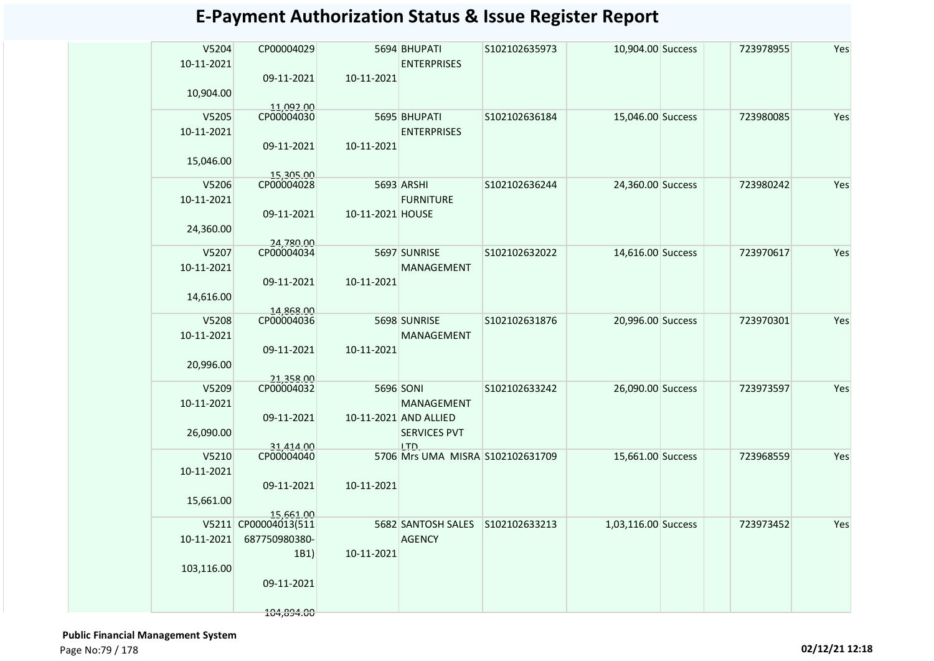| V5204<br>10-11-2021 | CP00004029                        |                  | 5694 BHUPATI<br><b>ENTERPRISES</b> | S102102635973 | 10,904.00 Success   | 723978955 | Yes |
|---------------------|-----------------------------------|------------------|------------------------------------|---------------|---------------------|-----------|-----|
|                     | 09-11-2021                        | 10-11-2021       |                                    |               |                     |           |     |
| 10,904.00           | 11,092.00                         |                  |                                    |               |                     |           |     |
| V5205               | CP00004030                        |                  | 5695 BHUPATI                       | S102102636184 | 15,046.00 Success   | 723980085 | Yes |
| 10-11-2021          |                                   |                  | <b>ENTERPRISES</b>                 |               |                     |           |     |
|                     | 09-11-2021                        | 10-11-2021       |                                    |               |                     |           |     |
| 15,046.00           |                                   |                  |                                    |               |                     |           |     |
| V5206               | 15,305.00<br>CP00004028           |                  | 5693 ARSHI                         | S102102636244 | 24,360.00 Success   | 723980242 | Yes |
| 10-11-2021          |                                   |                  | <b>FURNITURE</b>                   |               |                     |           |     |
|                     | 09-11-2021                        | 10-11-2021 HOUSE |                                    |               |                     |           |     |
| 24,360.00           |                                   |                  |                                    |               |                     |           |     |
| V5207               | 24,780.00<br>CP00004034           |                  |                                    |               |                     |           | Yes |
| 10-11-2021          |                                   |                  | 5697 SUNRISE<br>MANAGEMENT         | S102102632022 | 14,616.00 Success   | 723970617 |     |
|                     | 09-11-2021                        | 10-11-2021       |                                    |               |                     |           |     |
| 14,616.00           |                                   |                  |                                    |               |                     |           |     |
|                     | 14.868.00                         |                  |                                    |               |                     |           |     |
| V5208               | CP00004036                        |                  | 5698 SUNRISE                       | S102102631876 | 20,996.00 Success   | 723970301 | Yes |
| 10-11-2021          | 09-11-2021                        |                  | MANAGEMENT                         |               |                     |           |     |
| 20,996.00           |                                   | 10-11-2021       |                                    |               |                     |           |     |
|                     |                                   |                  |                                    |               |                     |           |     |
| V5209               | 21,358.00<br>CP00004032           |                  | 5696 SONI                          | S102102633242 | 26,090.00 Success   | 723973597 | Yes |
| 10-11-2021          |                                   |                  | MANAGEMENT                         |               |                     |           |     |
|                     | 09-11-2021                        |                  | 10-11-2021 AND ALLIED              |               |                     |           |     |
| 26,090.00           | 31.414.00                         |                  | <b>SERVICES PVT</b><br>LTD.        |               |                     |           |     |
| V5210               | CP00004040                        |                  | 5706 Mrs UMA MISRA S102102631709   |               | 15,661.00 Success   | 723968559 | Yes |
| 10-11-2021          |                                   |                  |                                    |               |                     |           |     |
|                     | 09-11-2021                        | 10-11-2021       |                                    |               |                     |           |     |
| 15,661.00           |                                   |                  |                                    |               |                     |           |     |
|                     | 15.661.00<br>V5211 CP00004013(511 |                  | 5682 SANTOSH SALES                 | S102102633213 | 1,03,116.00 Success | 723973452 | Yes |
| 10-11-2021          | 687750980380-                     |                  | <b>AGENCY</b>                      |               |                     |           |     |
|                     | 1B1)                              | 10-11-2021       |                                    |               |                     |           |     |
| 103,116.00          |                                   |                  |                                    |               |                     |           |     |
|                     | 09-11-2021                        |                  |                                    |               |                     |           |     |
|                     |                                   |                  |                                    |               |                     |           |     |
|                     | 104,894.00                        |                  |                                    |               |                     |           |     |

 **Public Financial Management System**  Page No:79 / 178 **02/12/21 12:18**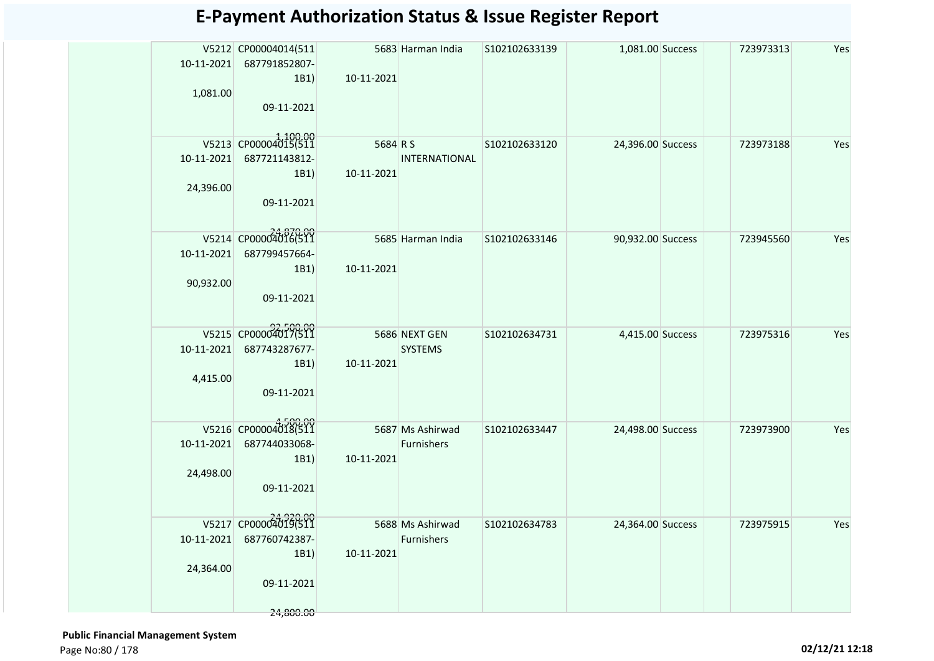|            | V5212 CP00004014(511<br>10-11-2021 687791852807- |            | 5683 Harman India              | S102102633139 | 1,081.00 Success  | 723973313 | Yes |
|------------|--------------------------------------------------|------------|--------------------------------|---------------|-------------------|-----------|-----|
|            | 1B1)                                             | 10-11-2021 |                                |               |                   |           |     |
| 1,081.00   |                                                  |            |                                |               |                   |           |     |
|            | 09-11-2021                                       |            |                                |               |                   |           |     |
|            |                                                  |            |                                |               |                   |           |     |
|            | V5213 CP00004015(511                             | 5684 R S   |                                | S102102633120 | 24,396.00 Success | 723973188 | Yes |
|            | 10-11-2021 687721143812-                         |            | <b>INTERNATIONAL</b>           |               |                   |           |     |
|            | 1B1)                                             | 10-11-2021 |                                |               |                   |           |     |
| 24,396.00  |                                                  |            |                                |               |                   |           |     |
|            | 09-11-2021                                       |            |                                |               |                   |           |     |
|            |                                                  |            |                                |               |                   |           |     |
|            | V5214 CP00004016(511                             |            | 5685 Harman India              | S102102633146 | 90,932.00 Success | 723945560 | Yes |
|            | 10-11-2021 687799457664-                         |            |                                |               |                   |           |     |
|            | 1B1)                                             | 10-11-2021 |                                |               |                   |           |     |
| 90,932.00  |                                                  |            |                                |               |                   |           |     |
|            | 09-11-2021                                       |            |                                |               |                   |           |     |
|            |                                                  |            |                                |               |                   |           |     |
|            | V5215 CP00004017(511                             |            | 5686 NEXT GEN                  | S102102634731 | 4,415.00 Success  | 723975316 | Yes |
| 10-11-2021 | 687743287677-                                    |            | <b>SYSTEMS</b>                 |               |                   |           |     |
|            | 1B1)                                             | 10-11-2021 |                                |               |                   |           |     |
| 4,415.00   |                                                  |            |                                |               |                   |           |     |
|            | 09-11-2021                                       |            |                                |               |                   |           |     |
|            |                                                  |            |                                |               |                   |           |     |
|            | V5216 CP00004018(511                             |            | 5687 Ms Ashirwad               | S102102633447 | 24,498.00 Success | 723973900 | Yes |
| 10-11-2021 | 687744033068-                                    |            | Furnishers                     |               |                   |           |     |
| 24,498.00  | 1B1)                                             | 10-11-2021 |                                |               |                   |           |     |
|            | 09-11-2021                                       |            |                                |               |                   |           |     |
|            |                                                  |            |                                |               |                   |           |     |
|            | V5217 CP00004019(511                             |            |                                |               |                   |           |     |
| 10-11-2021 | 687760742387-                                    |            | 5688 Ms Ashirwad<br>Furnishers | S102102634783 | 24,364.00 Success | 723975915 | Yes |
|            | 1B1)                                             | 10-11-2021 |                                |               |                   |           |     |
| 24,364.00  |                                                  |            |                                |               |                   |           |     |
|            | 09-11-2021                                       |            |                                |               |                   |           |     |
|            |                                                  |            |                                |               |                   |           |     |
|            | 24,800.00                                        |            |                                |               |                   |           |     |

 **Public Financial Management System**  Page No:80 / 178 **02/12/21 12:18**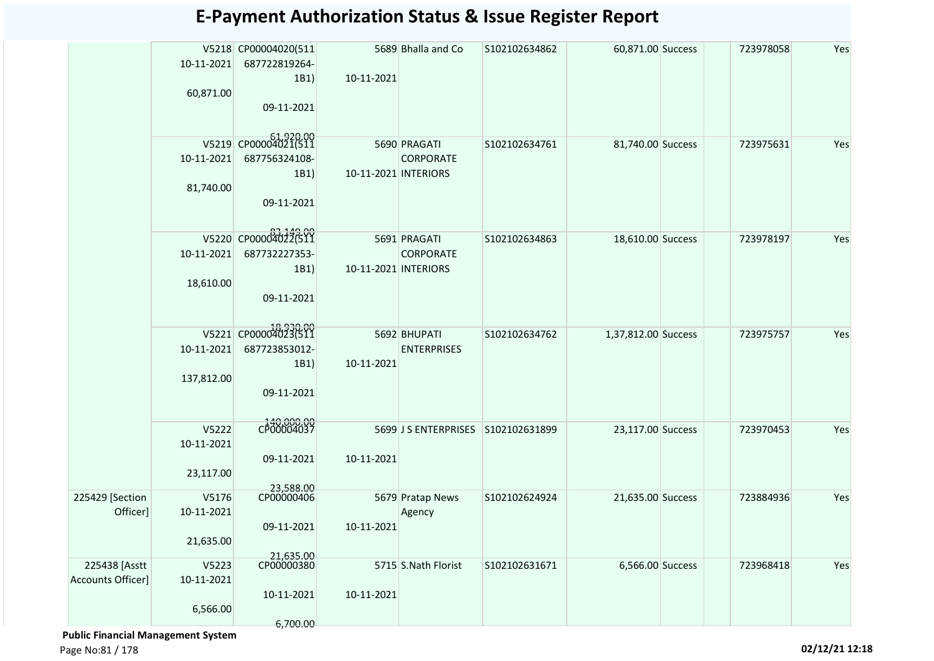|                   |            |                      |                      | 5689 Bhalla and Co                 | S102102634862 | 60,871.00 Success   | 723978058 | Yes |
|-------------------|------------|----------------------|----------------------|------------------------------------|---------------|---------------------|-----------|-----|
|                   |            | V5218 CP00004020(511 |                      |                                    |               |                     |           |     |
|                   | 10-11-2021 | 687722819264-        |                      |                                    |               |                     |           |     |
|                   |            | 1B1)                 | 10-11-2021           |                                    |               |                     |           |     |
|                   | 60,871.00  |                      |                      |                                    |               |                     |           |     |
|                   |            | 09-11-2021           |                      |                                    |               |                     |           |     |
|                   |            |                      |                      |                                    |               |                     |           |     |
|                   |            | V5219 CP00004021(511 |                      |                                    |               |                     |           |     |
|                   |            |                      |                      | 5690 PRAGATI                       | S102102634761 | 81,740.00 Success   | 723975631 | Yes |
|                   | 10-11-2021 | 687756324108-        |                      | <b>CORPORATE</b>                   |               |                     |           |     |
|                   |            | 1B1)                 | 10-11-2021 INTERIORS |                                    |               |                     |           |     |
|                   | 81,740.00  |                      |                      |                                    |               |                     |           |     |
|                   |            | 09-11-2021           |                      |                                    |               |                     |           |     |
|                   |            |                      |                      |                                    |               |                     |           |     |
|                   |            | V5220 CP00004022(511 |                      |                                    |               |                     |           |     |
|                   |            |                      |                      | 5691 PRAGATI                       | S102102634863 | 18,610.00 Success   | 723978197 | Yes |
|                   | 10-11-2021 | 687732227353-        |                      | <b>CORPORATE</b>                   |               |                     |           |     |
|                   |            | 1B1)                 | 10-11-2021 INTERIORS |                                    |               |                     |           |     |
|                   | 18,610.00  |                      |                      |                                    |               |                     |           |     |
|                   |            | 09-11-2021           |                      |                                    |               |                     |           |     |
|                   |            |                      |                      |                                    |               |                     |           |     |
|                   |            | V5221 CP00004023(511 |                      |                                    |               |                     |           |     |
|                   |            |                      |                      | 5692 BHUPATI                       | S102102634762 | 1,37,812.00 Success | 723975757 | Yes |
|                   | 10-11-2021 | 687723853012-        |                      | <b>ENTERPRISES</b>                 |               |                     |           |     |
|                   |            | 1B1)                 | 10-11-2021           |                                    |               |                     |           |     |
|                   | 137,812.00 |                      |                      |                                    |               |                     |           |     |
|                   |            | 09-11-2021           |                      |                                    |               |                     |           |     |
|                   |            |                      |                      |                                    |               |                     |           |     |
|                   |            | CP00004037           |                      |                                    |               |                     |           |     |
|                   | V5222      |                      |                      | 5699 J S ENTERPRISES S102102631899 |               | 23,117.00 Success   | 723970453 | Yes |
|                   | 10-11-2021 |                      |                      |                                    |               |                     |           |     |
|                   |            | 09-11-2021           | 10-11-2021           |                                    |               |                     |           |     |
|                   | 23,117.00  |                      |                      |                                    |               |                     |           |     |
|                   |            | 23,588.00            |                      |                                    |               |                     |           |     |
| 225429 [Section   | V5176      | CP00000406           |                      | 5679 Pratap News                   | S102102624924 | 21,635.00 Success   | 723884936 | Yes |
| Officer]          | 10-11-2021 |                      |                      | Agency                             |               |                     |           |     |
|                   |            | 09-11-2021           | 10-11-2021           |                                    |               |                     |           |     |
|                   | 21,635.00  |                      |                      |                                    |               |                     |           |     |
|                   |            | 21,635.00            |                      |                                    |               |                     |           |     |
| 225438 [Asstt     | V5223      | CP00000380           |                      | 5715 S.Nath Florist                | S102102631671 | 6,566.00 Success    | 723968418 | Yes |
| Accounts Officer] | 10-11-2021 |                      |                      |                                    |               |                     |           |     |
|                   |            | 10-11-2021           | 10-11-2021           |                                    |               |                     |           |     |
|                   | 6,566.00   |                      |                      |                                    |               |                     |           |     |
|                   |            | 6,700.00             |                      |                                    |               |                     |           |     |

 **Public Financial Management System** 

Page No:81 / 178 **02/12/21 12:18**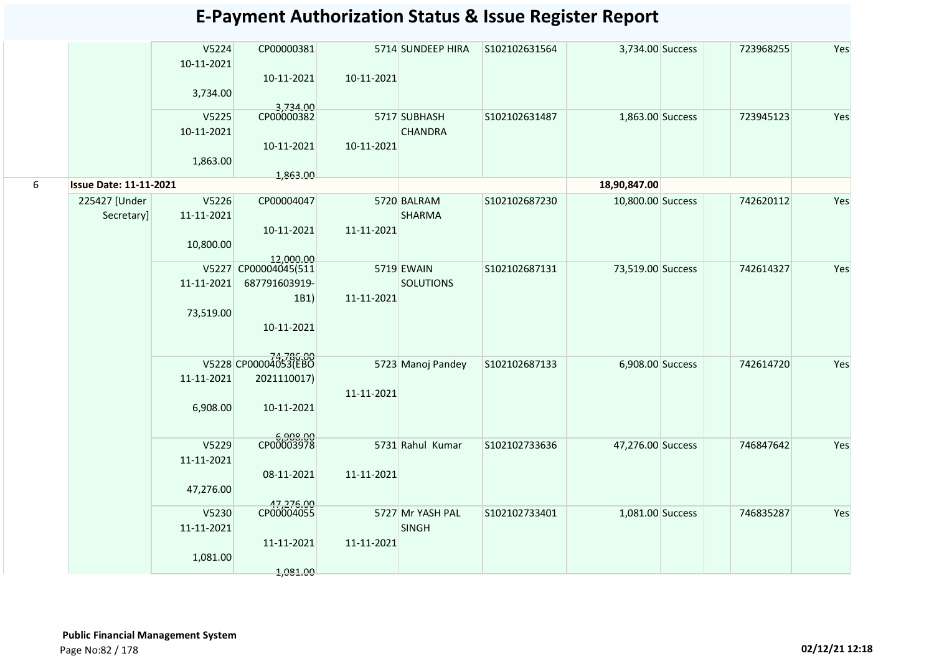|   |                               | V5224<br>10-11-2021 | CP00000381              |            | 5714 SUNDEEP HIRA                | S102102631564 | 3,734.00 Success  | 723968255 | Yes |
|---|-------------------------------|---------------------|-------------------------|------------|----------------------------------|---------------|-------------------|-----------|-----|
|   |                               | 3,734.00            | 10-11-2021              | 10-11-2021 |                                  |               |                   |           |     |
|   |                               | V5225               | 3,734.00<br>CP00000382  |            | 5717 SUBHASH                     | S102102631487 | 1,863.00 Success  | 723945123 | Yes |
|   |                               | 10-11-2021          |                         |            | <b>CHANDRA</b>                   |               |                   |           |     |
|   |                               | 1,863.00            | 10-11-2021              | 10-11-2021 |                                  |               |                   |           |     |
|   |                               |                     | 1,863.00                |            |                                  |               |                   |           |     |
| 6 | <b>Issue Date: 11-11-2021</b> |                     |                         |            |                                  |               | 18,90,847.00      |           |     |
|   | 225427 [Under                 | V5226               | CP00004047              |            | 5720 BALRAM                      | S102102687230 | 10,800.00 Success | 742620112 | Yes |
|   | Secretary]                    | 11-11-2021          |                         |            | <b>SHARMA</b>                    |               |                   |           |     |
|   |                               | 10,800.00           | 10-11-2021              | 11-11-2021 |                                  |               |                   |           |     |
|   |                               |                     | 12,000.00               |            |                                  |               |                   |           |     |
|   |                               |                     | V5227 CP00004045(511    |            | 5719 EWAIN                       | S102102687131 | 73,519.00 Success | 742614327 | Yes |
|   |                               | 11-11-2021          | 687791603919-           |            | <b>SOLUTIONS</b>                 |               |                   |           |     |
|   |                               |                     | 1B1)                    | 11-11-2021 |                                  |               |                   |           |     |
|   |                               | 73,519.00           | 10-11-2021              |            |                                  |               |                   |           |     |
|   |                               |                     |                         |            |                                  |               |                   |           |     |
|   |                               |                     | V5228 CP00004053(EBO    |            |                                  |               |                   |           |     |
|   |                               | 11-11-2021          | 2021110017)             |            | 5723 Manoj Pandey                | S102102687133 | 6,908.00 Success  | 742614720 | Yes |
|   |                               |                     |                         | 11-11-2021 |                                  |               |                   |           |     |
|   |                               | 6,908.00            | 10-11-2021              |            |                                  |               |                   |           |     |
|   |                               |                     |                         |            |                                  |               |                   |           |     |
|   |                               | V5229               | CP00003978              |            | 5731 Rahul Kumar                 | S102102733636 | 47,276.00 Success | 746847642 | Yes |
|   |                               | 11-11-2021          |                         |            |                                  |               |                   |           |     |
|   |                               |                     | 08-11-2021              | 11-11-2021 |                                  |               |                   |           |     |
|   |                               | 47,276.00           |                         |            |                                  |               |                   |           |     |
|   |                               |                     | 47,276.00<br>CP00004055 |            |                                  |               |                   |           |     |
|   |                               | V5230<br>11-11-2021 |                         |            | 5727 Mr YASH PAL<br><b>SINGH</b> | S102102733401 | 1,081.00 Success  | 746835287 | Yes |
|   |                               |                     | 11-11-2021              | 11-11-2021 |                                  |               |                   |           |     |
|   |                               | 1,081.00            |                         |            |                                  |               |                   |           |     |
|   |                               |                     | 1,081.00                |            |                                  |               |                   |           |     |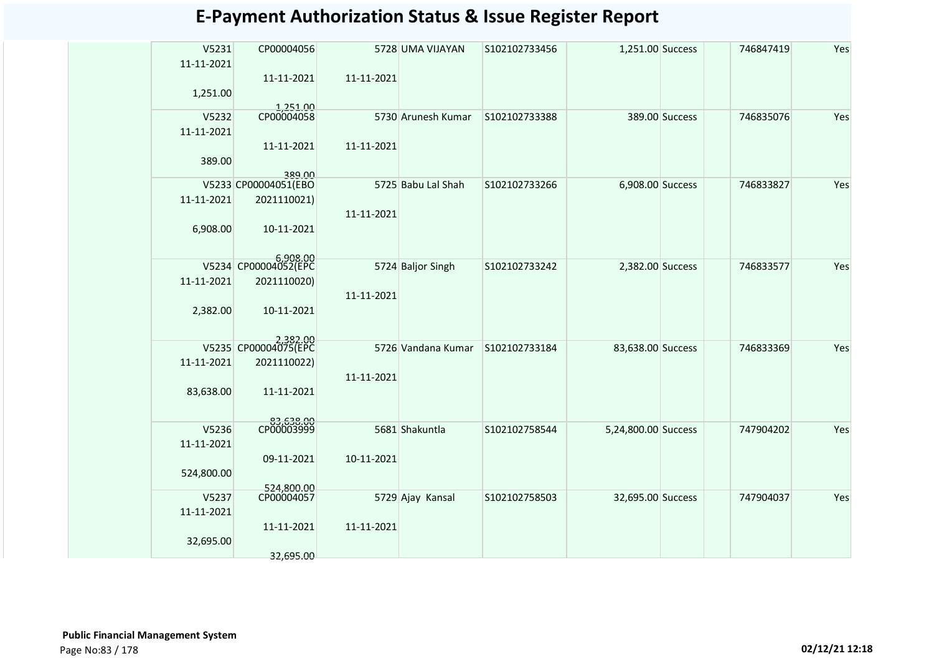| <b>E-Payment Authorization Status &amp; Issue Register Report</b> |  |  |
|-------------------------------------------------------------------|--|--|
|-------------------------------------------------------------------|--|--|

| V5231<br>11-11-2021 | CP00004056              |            | 5728 UMA VIJAYAN   | S102102733456 | 1,251.00 Success    |                | 746847419 | Yes |
|---------------------|-------------------------|------------|--------------------|---------------|---------------------|----------------|-----------|-----|
|                     | 11-11-2021              | 11-11-2021 |                    |               |                     |                |           |     |
| 1,251.00            |                         |            |                    |               |                     |                |           |     |
| V5232               | 1,251.00<br>CP00004058  |            | 5730 Arunesh Kumar | S102102733388 |                     | 389.00 Success | 746835076 | Yes |
| 11-11-2021          | 11-11-2021              | 11-11-2021 |                    |               |                     |                |           |     |
| 389.00              |                         |            |                    |               |                     |                |           |     |
|                     | 380.00                  |            |                    |               |                     |                |           |     |
|                     | V5233 CP00004051(EBO    |            | 5725 Babu Lal Shah | S102102733266 | 6,908.00 Success    |                | 746833827 | Yes |
| 11-11-2021          | 2021110021)             | 11-11-2021 |                    |               |                     |                |           |     |
| 6,908.00            | 10-11-2021              |            |                    |               |                     |                |           |     |
|                     |                         |            |                    |               |                     |                |           |     |
|                     | 5,908.00                |            | 5724 Baljor Singh  | S102102733242 | 2,382.00 Success    |                | 746833577 | Yes |
| 11-11-2021          | 2021110020)             |            |                    |               |                     |                |           |     |
|                     |                         | 11-11-2021 |                    |               |                     |                |           |     |
| 2,382.00            | 10-11-2021              |            |                    |               |                     |                |           |     |
|                     |                         |            |                    |               |                     |                |           |     |
|                     |                         |            |                    |               |                     |                |           |     |
|                     | 2,382.00                |            | 5726 Vandana Kumar | S102102733184 | 83,638.00 Success   |                | 746833369 | Yes |
| 11-11-2021          | 2021110022)             |            |                    |               |                     |                |           |     |
|                     |                         | 11-11-2021 |                    |               |                     |                |           |     |
| 83,638.00           | 11-11-2021              |            |                    |               |                     |                |           |     |
|                     |                         |            |                    |               |                     |                |           |     |
| V5236               | 00.853,53<br>CP00003999 |            | 5681 Shakuntla     | S102102758544 | 5,24,800.00 Success |                | 747904202 | Yes |
| 11-11-2021          |                         |            |                    |               |                     |                |           |     |
|                     | 09-11-2021              | 10-11-2021 |                    |               |                     |                |           |     |
| 524,800.00          |                         |            |                    |               |                     |                |           |     |
|                     | 524,800.00              |            |                    |               |                     |                |           |     |
| V5237               | CP00004057              |            | 5729 Ajay Kansal   | S102102758503 | 32,695.00 Success   |                | 747904037 | Yes |
| 11-11-2021          |                         |            |                    |               |                     |                |           |     |
|                     | 11-11-2021              | 11-11-2021 |                    |               |                     |                |           |     |
| 32,695.00           |                         |            |                    |               |                     |                |           |     |
|                     | 32,695.00               |            |                    |               |                     |                |           |     |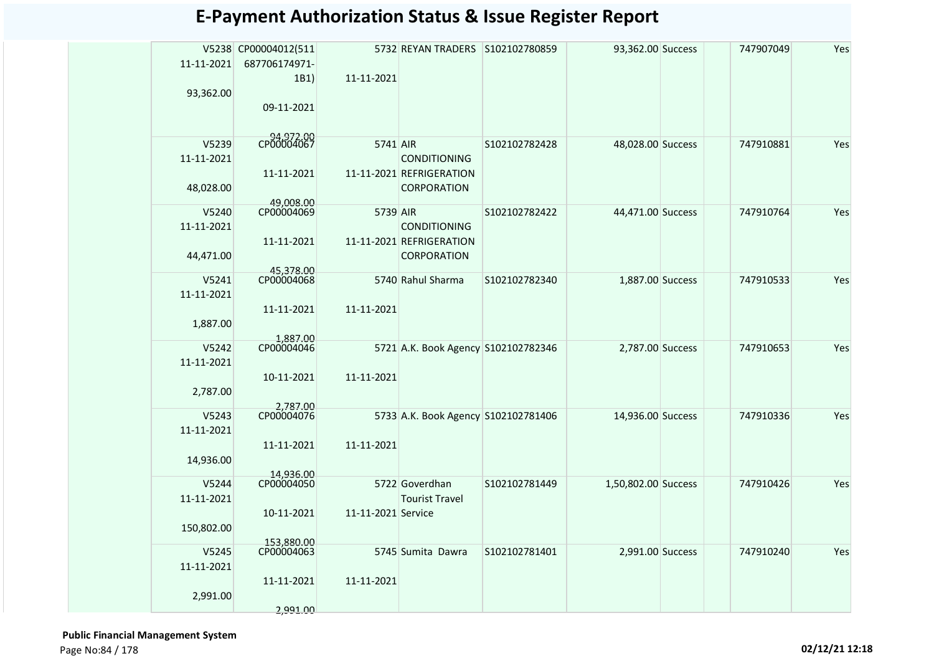|            | V5238 CP00004012(511     |                    | 5732 REYAN TRADERS S102102780859    |               | 93,362.00 Success   | 747907049 | Yes |
|------------|--------------------------|--------------------|-------------------------------------|---------------|---------------------|-----------|-----|
| 11-11-2021 | 687706174971-            |                    |                                     |               |                     |           |     |
|            | 1B1)                     | 11-11-2021         |                                     |               |                     |           |     |
| 93,362.00  |                          |                    |                                     |               |                     |           |     |
|            | 09-11-2021               |                    |                                     |               |                     |           |     |
|            |                          |                    |                                     |               |                     |           |     |
| V5239      | CP00004067               | 5741 AIR           |                                     | S102102782428 | 48,028.00 Success   | 747910881 | Yes |
| 11-11-2021 |                          |                    | <b>CONDITIONING</b>                 |               |                     |           |     |
|            | 11-11-2021               |                    | 11-11-2021 REFRIGERATION            |               |                     |           |     |
| 48,028.00  |                          |                    | <b>CORPORATION</b>                  |               |                     |           |     |
|            | 49,008.00                |                    |                                     |               |                     |           |     |
| V5240      | CP00004069               | 5739 AIR           |                                     | S102102782422 | 44,471.00 Success   | 747910764 | Yes |
| 11-11-2021 |                          |                    | <b>CONDITIONING</b>                 |               |                     |           |     |
|            | 11-11-2021               |                    | 11-11-2021 REFRIGERATION            |               |                     |           |     |
| 44,471.00  |                          |                    | <b>CORPORATION</b>                  |               |                     |           |     |
| V5241      | 45,378.00<br>CP00004068  |                    | 5740 Rahul Sharma                   | S102102782340 | 1,887.00 Success    | 747910533 | Yes |
| 11-11-2021 |                          |                    |                                     |               |                     |           |     |
|            | 11-11-2021               | 11-11-2021         |                                     |               |                     |           |     |
| 1,887.00   |                          |                    |                                     |               |                     |           |     |
|            |                          |                    |                                     |               |                     |           |     |
| V5242      | 1,887.00<br>CP00004046   |                    | 5721 A.K. Book Agency S102102782346 |               | 2,787.00 Success    | 747910653 | Yes |
| 11-11-2021 |                          |                    |                                     |               |                     |           |     |
|            | 10-11-2021               | 11-11-2021         |                                     |               |                     |           |     |
| 2,787.00   |                          |                    |                                     |               |                     |           |     |
| V5243      | 2,787.00<br>CP00004076   |                    | 5733 A.K. Book Agency S102102781406 |               | 14,936.00 Success   | 747910336 | Yes |
| 11-11-2021 |                          |                    |                                     |               |                     |           |     |
|            | 11-11-2021               | 11-11-2021         |                                     |               |                     |           |     |
| 14,936.00  |                          |                    |                                     |               |                     |           |     |
|            | 14,936.00                |                    |                                     |               |                     |           |     |
| V5244      | CP00004050               |                    | 5722 Goverdhan                      | S102102781449 | 1,50,802.00 Success | 747910426 | Yes |
| 11-11-2021 |                          |                    | <b>Tourist Travel</b>               |               |                     |           |     |
|            | 10-11-2021               | 11-11-2021 Service |                                     |               |                     |           |     |
| 150,802.00 |                          |                    |                                     |               |                     |           |     |
| V5245      | 153.880.00<br>CP00004063 |                    | 5745 Sumita Dawra                   | S102102781401 | 2,991.00 Success    | 747910240 | Yes |
| 11-11-2021 |                          |                    |                                     |               |                     |           |     |
|            | 11-11-2021               | 11-11-2021         |                                     |               |                     |           |     |
| 2,991.00   |                          |                    |                                     |               |                     |           |     |
|            | 2,991.00                 |                    |                                     |               |                     |           |     |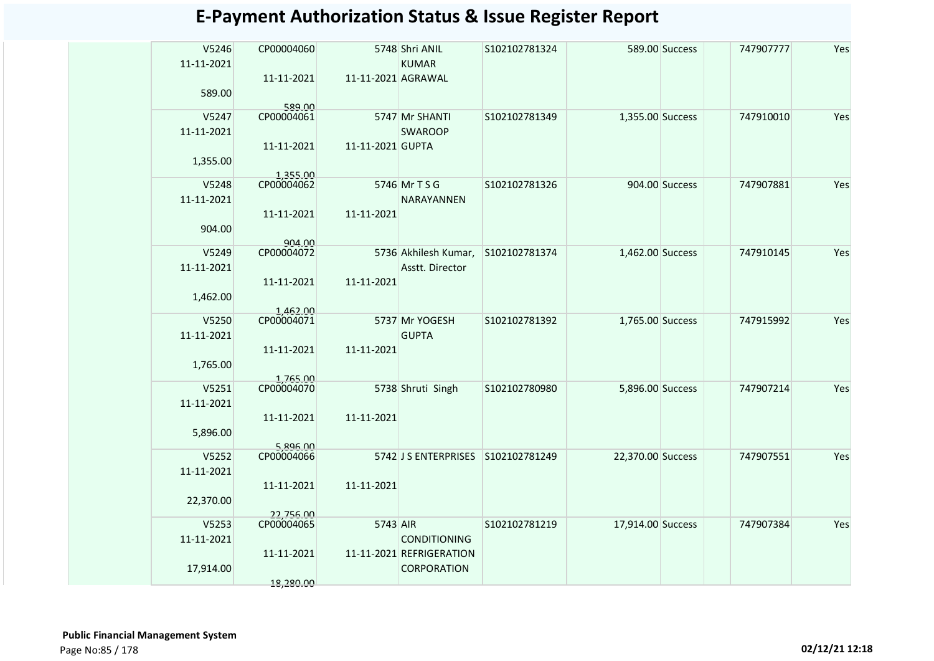| V5246      | CP00004060             |                    | 5748 Shri ANIL                                  | S102102781324 |                   | 589.00 Success | 747907777 | Yes |
|------------|------------------------|--------------------|-------------------------------------------------|---------------|-------------------|----------------|-----------|-----|
| 11-11-2021 |                        |                    | <b>KUMAR</b>                                    |               |                   |                |           |     |
| 589.00     | 11-11-2021             | 11-11-2021 AGRAWAL |                                                 |               |                   |                |           |     |
|            | 589.00                 |                    |                                                 |               |                   |                |           |     |
| V5247      | CP00004061             |                    | 5747 Mr SHANTI                                  | S102102781349 | 1,355.00 Success  |                | 747910010 | Yes |
| 11-11-2021 |                        |                    | <b>SWAROOP</b>                                  |               |                   |                |           |     |
|            | 11-11-2021             | 11-11-2021 GUPTA   |                                                 |               |                   |                |           |     |
| 1,355.00   |                        |                    |                                                 |               |                   |                |           |     |
| V5248      | 1,355.00<br>CP00004062 |                    | 5746 Mr T S G                                   | S102102781326 |                   | 904.00 Success | 747907881 | Yes |
| 11-11-2021 |                        |                    | <b>NARAYANNEN</b>                               |               |                   |                |           |     |
|            | 11-11-2021             | 11-11-2021         |                                                 |               |                   |                |           |     |
| 904.00     | 904.00                 |                    |                                                 |               |                   |                |           |     |
| V5249      | CP00004072             |                    | 5736 Akhilesh Kumar,                            | S102102781374 | 1,462.00 Success  |                | 747910145 | Yes |
| 11-11-2021 |                        |                    | Asstt. Director                                 |               |                   |                |           |     |
|            | 11-11-2021             | 11-11-2021         |                                                 |               |                   |                |           |     |
| 1,462.00   | 1,462.00               |                    |                                                 |               |                   |                |           |     |
| V5250      | CP00004071             |                    | 5737 Mr YOGESH                                  | S102102781392 | 1,765.00 Success  |                | 747915992 | Yes |
| 11-11-2021 |                        |                    | <b>GUPTA</b>                                    |               |                   |                |           |     |
| 1,765.00   | 11-11-2021             | 11-11-2021         |                                                 |               |                   |                |           |     |
|            |                        |                    |                                                 |               |                   |                |           |     |
| V5251      | 1,765.00<br>CP00004070 |                    | 5738 Shruti Singh                               | S102102780980 | 5,896.00 Success  |                | 747907214 | Yes |
| 11-11-2021 |                        |                    |                                                 |               |                   |                |           |     |
| 5,896.00   | 11-11-2021             | 11-11-2021         |                                                 |               |                   |                |           |     |
|            | 5,896.00               |                    |                                                 |               |                   |                |           |     |
| V5252      | CP00004066             |                    | 5742 J S ENTERPRISES                            | S102102781249 | 22,370.00 Success |                | 747907551 | Yes |
| 11-11-2021 |                        |                    |                                                 |               |                   |                |           |     |
| 22,370.00  | 11-11-2021             | 11-11-2021         |                                                 |               |                   |                |           |     |
|            | 22,756.00              |                    |                                                 |               |                   |                |           |     |
| V5253      | CP00004065             | 5743 AIR           |                                                 | S102102781219 | 17,914.00 Success |                | 747907384 | Yes |
| 11-11-2021 | 11-11-2021             |                    | <b>CONDITIONING</b><br>11-11-2021 REFRIGERATION |               |                   |                |           |     |
| 17,914.00  |                        |                    | <b>CORPORATION</b>                              |               |                   |                |           |     |
|            | 18,280.00              |                    |                                                 |               |                   |                |           |     |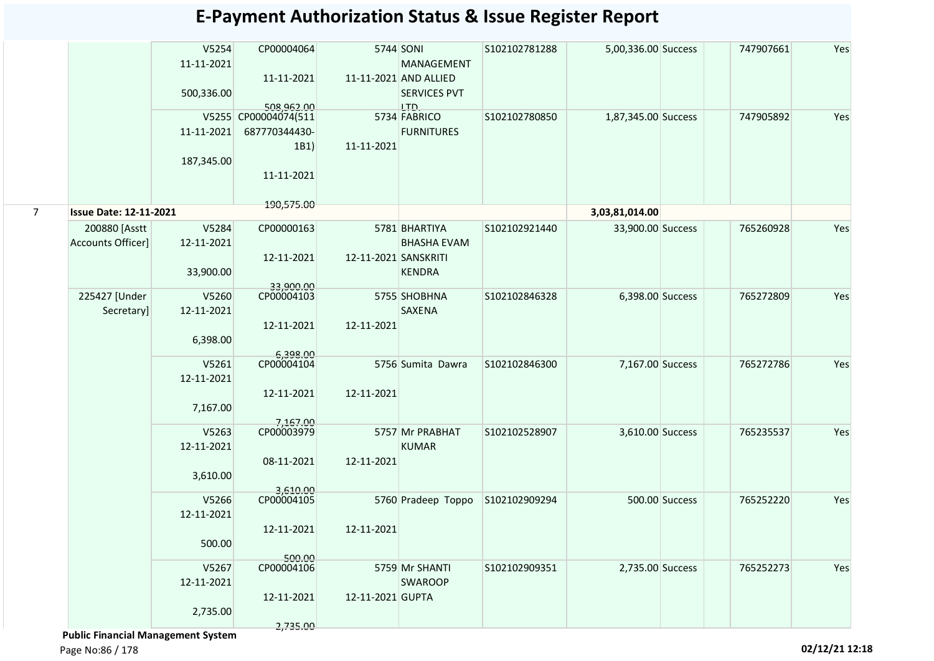|                |                               | V5254<br>11-11-2021 | CP00004064                         |                      | 5744 SONI<br>MANAGEMENT                      | S102102781288 | 5,00,336.00 Success |                | 747907661 | Yes |
|----------------|-------------------------------|---------------------|------------------------------------|----------------------|----------------------------------------------|---------------|---------------------|----------------|-----------|-----|
|                |                               | 500,336.00          | 11-11-2021                         |                      | 11-11-2021 AND ALLIED<br><b>SERVICES PVT</b> |               |                     |                |           |     |
|                |                               |                     | 508,962,00<br>V5255 CP00004074(511 |                      | LTD.<br>5734 FABRICO                         | S102102780850 | 1,87,345.00 Success |                | 747905892 | Yes |
|                |                               | 11-11-2021          | 687770344430-<br>1B1)              | 11-11-2021           | <b>FURNITURES</b>                            |               |                     |                |           |     |
|                |                               | 187,345.00          | 11-11-2021                         |                      |                                              |               |                     |                |           |     |
|                |                               |                     | 190,575.00                         |                      |                                              |               |                     |                |           |     |
| $\overline{7}$ | <b>Issue Date: 12-11-2021</b> |                     |                                    |                      |                                              |               | 3,03,81,014.00      |                |           |     |
|                | 200880 [Asstt                 | V5284               | CP00000163                         |                      | 5781 BHARTIYA                                | S102102921440 | 33,900.00 Success   |                | 765260928 | Yes |
|                | Accounts Officer]             | 12-11-2021          |                                    |                      | <b>BHASHA EVAM</b>                           |               |                     |                |           |     |
|                |                               |                     | 12-11-2021                         | 12-11-2021 SANSKRITI |                                              |               |                     |                |           |     |
|                |                               | 33,900.00           | 33,900.00                          |                      | <b>KENDRA</b>                                |               |                     |                |           |     |
|                | 225427 [Under                 | V5260               | CP00004103                         |                      | 5755 SHOBHNA                                 | S102102846328 | 6,398.00 Success    |                | 765272809 | Yes |
|                | Secretary]                    | 12-11-2021          |                                    |                      | <b>SAXENA</b>                                |               |                     |                |           |     |
|                |                               |                     | 12-11-2021                         | 12-11-2021           |                                              |               |                     |                |           |     |
|                |                               | 6,398.00            |                                    |                      |                                              |               |                     |                |           |     |
|                |                               |                     | 6,398.00                           |                      |                                              |               |                     |                |           |     |
|                |                               | V5261               | CP00004104                         |                      | 5756 Sumita Dawra                            | S102102846300 | 7,167.00 Success    |                | 765272786 | Yes |
|                |                               | 12-11-2021          |                                    |                      |                                              |               |                     |                |           |     |
|                |                               |                     | 12-11-2021                         | 12-11-2021           |                                              |               |                     |                |           |     |
|                |                               | 7,167.00            |                                    |                      |                                              |               |                     |                |           |     |
|                |                               | V5263               | 7,167.00<br>CP00003979             |                      | 5757 Mr PRABHAT                              | S102102528907 | 3,610.00 Success    |                | 765235537 | Yes |
|                |                               | 12-11-2021          |                                    |                      | <b>KUMAR</b>                                 |               |                     |                |           |     |
|                |                               |                     | 08-11-2021                         | 12-11-2021           |                                              |               |                     |                |           |     |
|                |                               |                     |                                    |                      |                                              |               |                     |                |           |     |
|                |                               | 3,610.00            |                                    |                      |                                              |               |                     |                |           |     |
|                |                               | V5266               | 3,610.00<br>CP00004105             |                      | 5760 Pradeep Toppo                           | S102102909294 |                     | 500.00 Success | 765252220 | Yes |
|                |                               | 12-11-2021          |                                    |                      |                                              |               |                     |                |           |     |
|                |                               |                     | 12-11-2021                         | 12-11-2021           |                                              |               |                     |                |           |     |
|                |                               | 500.00              |                                    |                      |                                              |               |                     |                |           |     |
|                |                               |                     | 500.00                             |                      |                                              |               |                     |                |           |     |
|                |                               | V5267               | CP00004106                         |                      | 5759 Mr SHANTI                               | S102102909351 | 2,735.00 Success    |                | 765252273 | Yes |
|                |                               | 12-11-2021          |                                    |                      | <b>SWAROOP</b>                               |               |                     |                |           |     |
|                |                               |                     | 12-11-2021                         | 12-11-2021 GUPTA     |                                              |               |                     |                |           |     |
|                |                               | 2,735.00            |                                    |                      |                                              |               |                     |                |           |     |
|                |                               |                     | 2,735.00                           |                      |                                              |               |                     |                |           |     |

 **Public Financial Management System**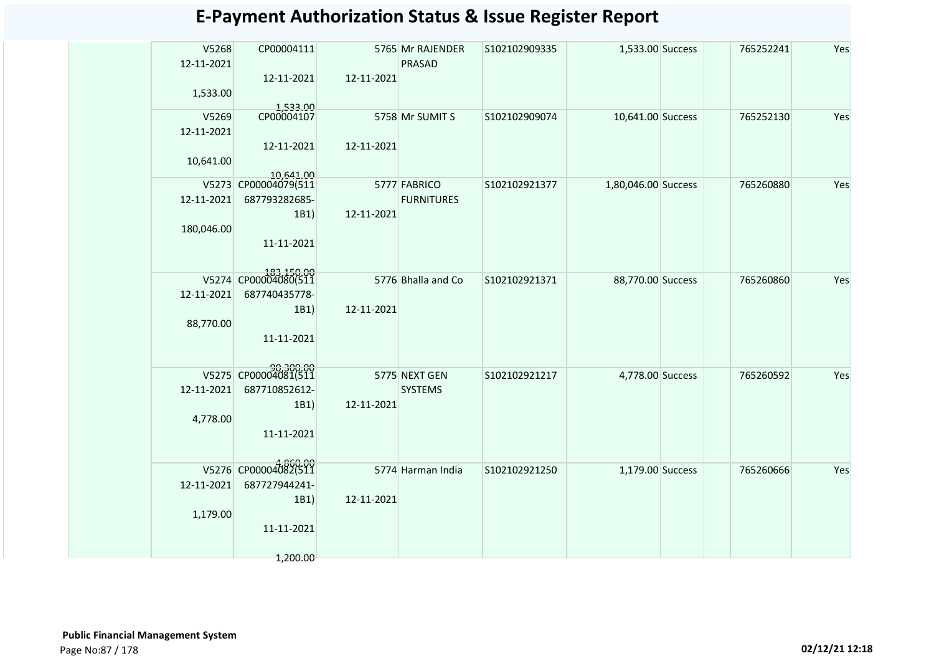| V5268<br>12-11-2021<br>1,533.00 | CP00004111<br>12-11-2021              | 12-11-2021 | 5765 Mr RAJENDER<br><b>PRASAD</b> | S102102909335 | 1,533.00 Success    | 765252241 | Yes |
|---------------------------------|---------------------------------------|------------|-----------------------------------|---------------|---------------------|-----------|-----|
| V5269                           | 1,533.00<br>CP00004107                |            | 5758 Mr SUMIT S                   | S102102909074 | 10,641.00 Success   | 765252130 | Yes |
| 12-11-2021                      | 12-11-2021                            | 12-11-2021 |                                   |               |                     |           |     |
| 10,641.00                       | 10.641.00<br>V5273 CP00004079(511     |            | 5777 FABRICO                      | S102102921377 | 1,80,046.00 Success | 765260880 | Yes |
| 12-11-2021                      | 687793282685-<br>1B1)                 | 12-11-2021 | <b>FURNITURES</b>                 |               |                     |           |     |
| 180,046.00                      | 11-11-2021                            |            |                                   |               |                     |           |     |
|                                 | V5274 CP00004080(511                  |            | 5776 Bhalla and Co                | S102102921371 | 88,770.00 Success   | 765260860 | Yes |
| 12-11-2021<br>88,770.00         | 687740435778-<br>1B1)<br>11-11-2021   | 12-11-2021 |                                   |               |                     |           |     |
|                                 | 90,300.00<br>V5275 CP00004081(511     |            | 5775 NEXT GEN                     | S102102921217 | 4,778.00 Success    | 765260592 | Yes |
| 12-11-2021<br>4,778.00          | 687710852612-<br>1B1)<br>11-11-2021   | 12-11-2021 | <b>SYSTEMS</b>                    |               |                     |           |     |
|                                 |                                       |            |                                   |               |                     |           |     |
| 12-11-2021                      | V5276 CP00004082(511<br>687727944241- |            | 5774 Harman India                 | S102102921250 | 1,179.00 Success    | 765260666 | Yes |
| 1,179.00                        | 1B1)<br>11-11-2021                    | 12-11-2021 |                                   |               |                     |           |     |
|                                 | 1,200.00                              |            |                                   |               |                     |           |     |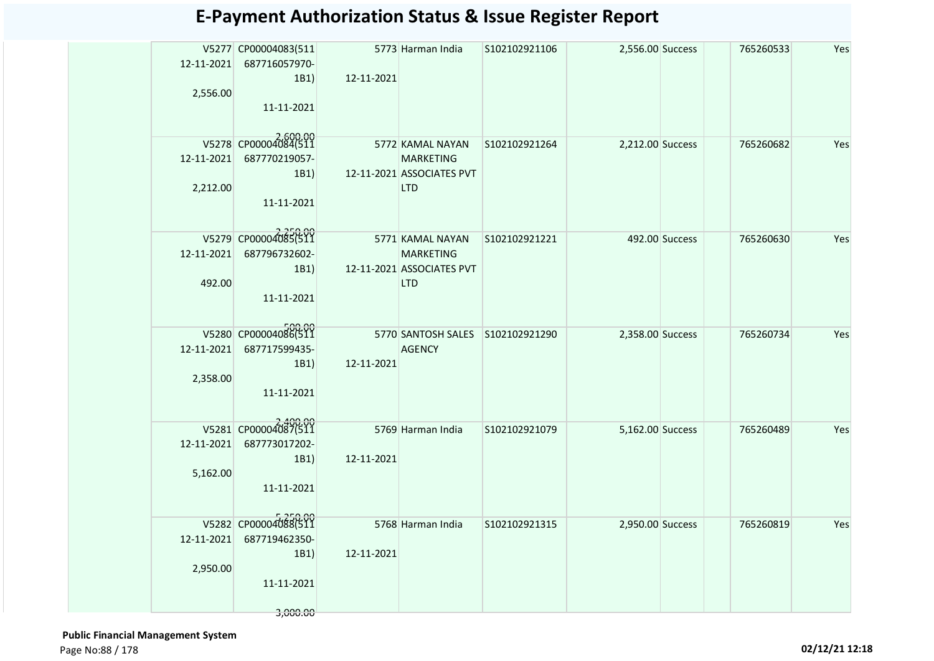|            | V5277 CP00004083(511<br>12-11-2021 687716057970- |            | 5773 Harman India                             | S102102921106 | 2,556.00 Success |                | 765260533 | Yes |
|------------|--------------------------------------------------|------------|-----------------------------------------------|---------------|------------------|----------------|-----------|-----|
|            | 1B1)                                             | 12-11-2021 |                                               |               |                  |                |           |     |
| 2,556.00   |                                                  |            |                                               |               |                  |                |           |     |
|            | 11-11-2021                                       |            |                                               |               |                  |                |           |     |
|            |                                                  |            |                                               |               |                  |                |           |     |
|            | V5278 CP00004084(511                             |            | 5772 KAMAL NAYAN                              | S102102921264 | 2,212.00 Success |                | 765260682 | Yes |
| 12-11-2021 | 687770219057-                                    |            | <b>MARKETING</b><br>12-11-2021 ASSOCIATES PVT |               |                  |                |           |     |
| 2,212.00   | 1B1)                                             |            | <b>LTD</b>                                    |               |                  |                |           |     |
|            | 11-11-2021                                       |            |                                               |               |                  |                |           |     |
|            |                                                  |            |                                               |               |                  |                |           |     |
|            | V5279 CP00004085(511                             |            | 5771 KAMAL NAYAN                              | S102102921221 |                  | 492.00 Success | 765260630 | Yes |
|            | 12-11-2021 687796732602-                         |            | <b>MARKETING</b>                              |               |                  |                |           |     |
|            | 1B1)                                             |            | 12-11-2021 ASSOCIATES PVT                     |               |                  |                |           |     |
| 492.00     |                                                  |            | <b>LTD</b>                                    |               |                  |                |           |     |
|            | 11-11-2021                                       |            |                                               |               |                  |                |           |     |
|            |                                                  |            |                                               |               |                  |                |           |     |
|            | V5280 CP00004086(511                             |            | 5770 SANTOSH SALES S102102921290              |               | 2,358.00 Success |                | 765260734 | Yes |
| 12-11-2021 | 687717599435-<br>1B1)                            | 12-11-2021 | <b>AGENCY</b>                                 |               |                  |                |           |     |
| 2,358.00   |                                                  |            |                                               |               |                  |                |           |     |
|            | 11-11-2021                                       |            |                                               |               |                  |                |           |     |
|            |                                                  |            |                                               |               |                  |                |           |     |
|            | V5281 CP00004087(511                             |            | 5769 Harman India                             | S102102921079 | 5,162.00 Success |                | 765260489 | Yes |
| 12-11-2021 | 687773017202-                                    |            |                                               |               |                  |                |           |     |
|            | 1B1)                                             | 12-11-2021 |                                               |               |                  |                |           |     |
| 5,162.00   | 11-11-2021                                       |            |                                               |               |                  |                |           |     |
|            |                                                  |            |                                               |               |                  |                |           |     |
|            | V5282 CP00004088(511                             |            |                                               |               |                  |                |           |     |
| 12-11-2021 | 687719462350-                                    |            | 5768 Harman India                             | S102102921315 | 2,950.00 Success |                | 765260819 | Yes |
|            | 1B1)                                             | 12-11-2021 |                                               |               |                  |                |           |     |
| 2,950.00   |                                                  |            |                                               |               |                  |                |           |     |
|            | 11-11-2021                                       |            |                                               |               |                  |                |           |     |
|            |                                                  |            |                                               |               |                  |                |           |     |
|            | 3,000.00                                         |            |                                               |               |                  |                |           |     |

 **Public Financial Management System**  Page No:88 / 178 **02/12/21 12:18**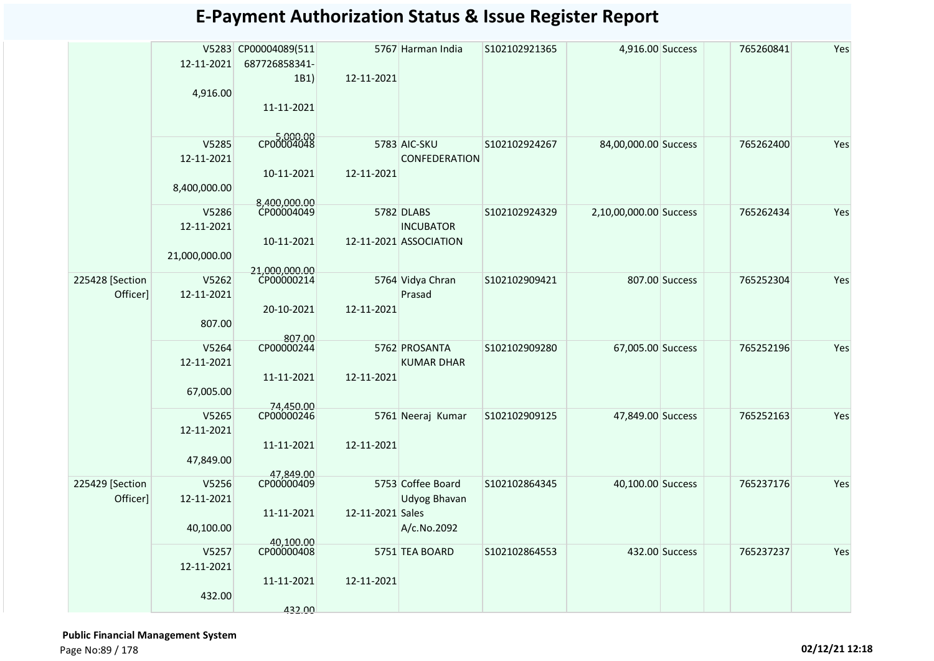|                             | 12-11-2021<br>4,916.00               | V5283 CP00004089(511<br>687726858341-<br>1B1)<br>11-11-2021 | 12-11-2021       | 5767 Harman India                                        | S102102921365 | 4,916.00 Success       |                | 765260841 | Yes |
|-----------------------------|--------------------------------------|-------------------------------------------------------------|------------------|----------------------------------------------------------|---------------|------------------------|----------------|-----------|-----|
|                             | V5285<br>12-11-2021<br>8,400,000.00  | CP00004048<br>10-11-2021<br>8,400,000.00                    | 12-11-2021       | 5783 AIC-SKU<br>CONFEDERATION                            | S102102924267 | 84,00,000.00 Success   |                | 765262400 | Yes |
|                             | V5286<br>12-11-2021<br>21,000,000.00 | CP00004049<br>10-11-2021<br>21,000,000.00                   |                  | 5782 DLABS<br><b>INCUBATOR</b><br>12-11-2021 ASSOCIATION | S102102924329 | 2,10,00,000.00 Success |                | 765262434 | Yes |
| 225428 [Section<br>Officer] | V5262<br>12-11-2021<br>807.00        | CP00000214<br>20-10-2021<br>807.00                          | 12-11-2021       | 5764 Vidya Chran<br>Prasad                               | S102102909421 |                        | 807.00 Success | 765252304 | Yes |
|                             | V5264<br>12-11-2021<br>67,005.00     | CP00000244<br>11-11-2021<br>74,450.00                       | 12-11-2021       | 5762 PROSANTA<br><b>KUMAR DHAR</b>                       | S102102909280 | 67,005.00 Success      |                | 765252196 | Yes |
|                             | V5265<br>12-11-2021<br>47,849.00     | CP00000246<br>11-11-2021<br>47,849.00                       | 12-11-2021       | 5761 Neeraj Kumar                                        | S102102909125 | 47,849.00 Success      |                | 765252163 | Yes |
| 225429 [Section<br>Officer] | V5256<br>12-11-2021<br>40,100.00     | CP00000409<br>11-11-2021<br>40,100.00                       | 12-11-2021 Sales | 5753 Coffee Board<br><b>Udyog Bhavan</b><br>A/c.No.2092  | S102102864345 | 40,100.00 Success      |                | 765237176 | Yes |
|                             | V5257<br>12-11-2021<br>432.00        | CP00000408<br>11-11-2021<br>432.00                          | 12-11-2021       | 5751 TEA BOARD                                           | S102102864553 |                        | 432.00 Success | 765237237 | Yes |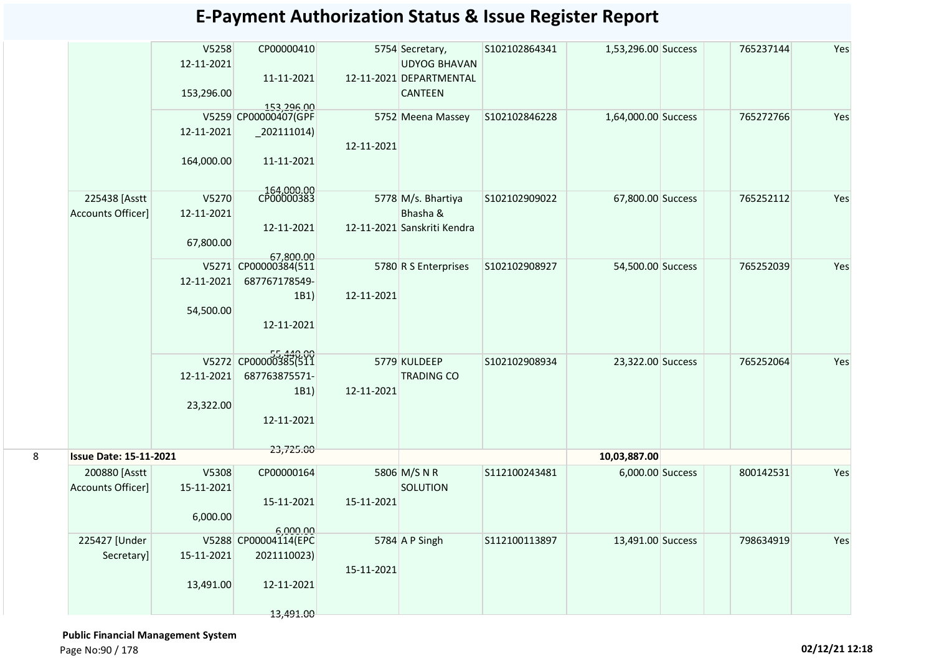|   |                                    | V5258<br>12-11-2021<br>153,296.00 | CP00000410<br>11-11-2021<br>153,296.00                         |            | 5754 Secretary,<br><b>UDYOG BHAVAN</b><br>12-11-2021 DEPARTMENTAL<br><b>CANTEEN</b> | S102102864341 | 1,53,296.00 Success | 765237144 | Yes |
|---|------------------------------------|-----------------------------------|----------------------------------------------------------------|------------|-------------------------------------------------------------------------------------|---------------|---------------------|-----------|-----|
|   |                                    | 12-11-2021<br>164,000.00          | V5259 CP00000407(GPF<br>$_202111014)$<br>11-11-2021            | 12-11-2021 | 5752 Meena Massey                                                                   | S102102846228 | 1,64,000.00 Success | 765272766 | Yes |
|   | 225438 [Asstt<br>Accounts Officer] | V5270<br>12-11-2021<br>67,800.00  | 164,000.00<br>CP00000383<br>12-11-2021<br>67,800.00            |            | 5778 M/s. Bhartiya<br>Bhasha &<br>12-11-2021 Sanskriti Kendra                       | S102102909022 | 67,800.00 Success   | 765252112 | Yes |
|   |                                    | 12-11-2021<br>54,500.00           | V5271 CP00000384(511<br>687767178549-<br>1B1)<br>12-11-2021    | 12-11-2021 | 5780 R S Enterprises                                                                | S102102908927 | 54,500.00 Success   | 765252039 | Yes |
|   |                                    | 12-11-2021<br>23,322.00           | V5272 CP00000385(511<br>687763875571-<br>1B1)<br>12-11-2021    | 12-11-2021 | 5779 KULDEEP<br><b>TRADING CO</b>                                                   | S102102908934 | 23,322.00 Success   | 765252064 | Yes |
| 8 | <b>Issue Date: 15-11-2021</b>      |                                   | 23,725.00                                                      |            |                                                                                     |               | 10,03,887.00        |           |     |
|   | 200880 [Asstt<br>Accounts Officer] | V5308<br>15-11-2021<br>6,000.00   | CP00000164<br>15-11-2021<br>6,000.00                           | 15-11-2021 | 5806 M/S N R<br>SOLUTION                                                            | S112100243481 | 6,000.00 Success    | 800142531 | Yes |
|   | 225427 [Under<br>Secretary]        | 15-11-2021<br>13,491.00           | V5288 CP00004114(EPC<br>2021110023)<br>12-11-2021<br>13,491.00 | 15-11-2021 | 5784 A P Singh                                                                      | S112100113897 | 13,491.00 Success   | 798634919 | Yes |

 **Public Financial Management System**  Page No:90 / 178 **02/12/21 12:18**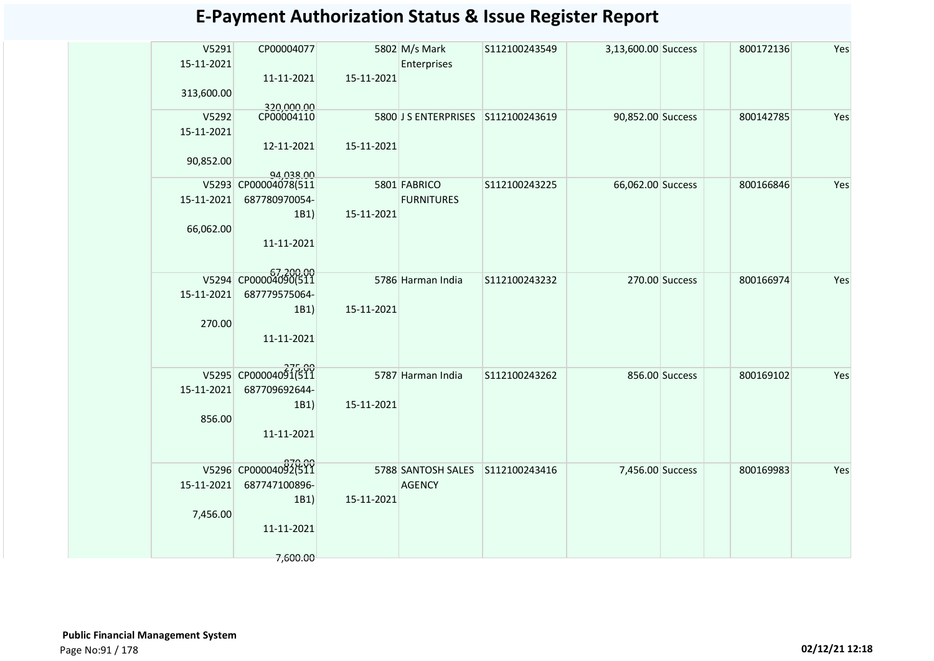| <b>E-Payment Authorization Status &amp; Issue Register Report</b> |  |  |  |
|-------------------------------------------------------------------|--|--|--|
|-------------------------------------------------------------------|--|--|--|

| V5291<br>15-11-2021 | CP00004077                        |            | 5802 M/s Mark<br>Enterprises       | S112100243549 | 3,13,600.00 Success |                | 800172136 | Yes |
|---------------------|-----------------------------------|------------|------------------------------------|---------------|---------------------|----------------|-----------|-----|
| 313,600.00          | 11-11-2021                        | 15-11-2021 |                                    |               |                     |                |           |     |
| V5292<br>15-11-2021 | 320,000.00<br>CP00004110          |            | 5800 J S ENTERPRISES S112100243619 |               | 90,852.00 Success   |                | 800142785 | Yes |
| 90,852.00           | 12-11-2021                        | 15-11-2021 |                                    |               |                     |                |           |     |
|                     | 94.038.00<br>V5293 CP00004078(511 |            | 5801 FABRICO                       | S112100243225 | 66,062.00 Success   |                | 800166846 | Yes |
| 15-11-2021          | 687780970054-                     |            | <b>FURNITURES</b>                  |               |                     |                |           |     |
|                     | 1B1)                              | 15-11-2021 |                                    |               |                     |                |           |     |
| 66,062.00           |                                   |            |                                    |               |                     |                |           |     |
|                     | 11-11-2021                        |            |                                    |               |                     |                |           |     |
|                     |                                   |            |                                    |               |                     |                |           |     |
|                     | V5294 CP00004090(511              |            | 5786 Harman India                  | S112100243232 |                     | 270.00 Success | 800166974 | Yes |
| 15-11-2021          | 687779575064-                     |            |                                    |               |                     |                |           |     |
| 270.00              | 1B1)                              | 15-11-2021 |                                    |               |                     |                |           |     |
|                     | 11-11-2021                        |            |                                    |               |                     |                |           |     |
|                     |                                   |            |                                    |               |                     |                |           |     |
|                     | V5295 CP00004091(511              |            | 5787 Harman India                  | S112100243262 |                     | 856.00 Success | 800169102 | Yes |
| 15-11-2021          | 687709692644-                     |            |                                    |               |                     |                |           |     |
|                     | 1B1)                              | 15-11-2021 |                                    |               |                     |                |           |     |
| 856.00              |                                   |            |                                    |               |                     |                |           |     |
|                     | 11-11-2021                        |            |                                    |               |                     |                |           |     |
|                     |                                   |            |                                    |               |                     |                |           |     |
|                     | V5296 CP00004092(511              |            | 5788 SANTOSH SALES S112100243416   |               | 7,456.00 Success    |                | 800169983 | Yes |
| 15-11-2021          | 687747100896-                     | 15-11-2021 | <b>AGENCY</b>                      |               |                     |                |           |     |
| 7,456.00            | 1B1)                              |            |                                    |               |                     |                |           |     |
|                     | 11-11-2021                        |            |                                    |               |                     |                |           |     |
|                     |                                   |            |                                    |               |                     |                |           |     |
|                     | 7,600.00                          |            |                                    |               |                     |                |           |     |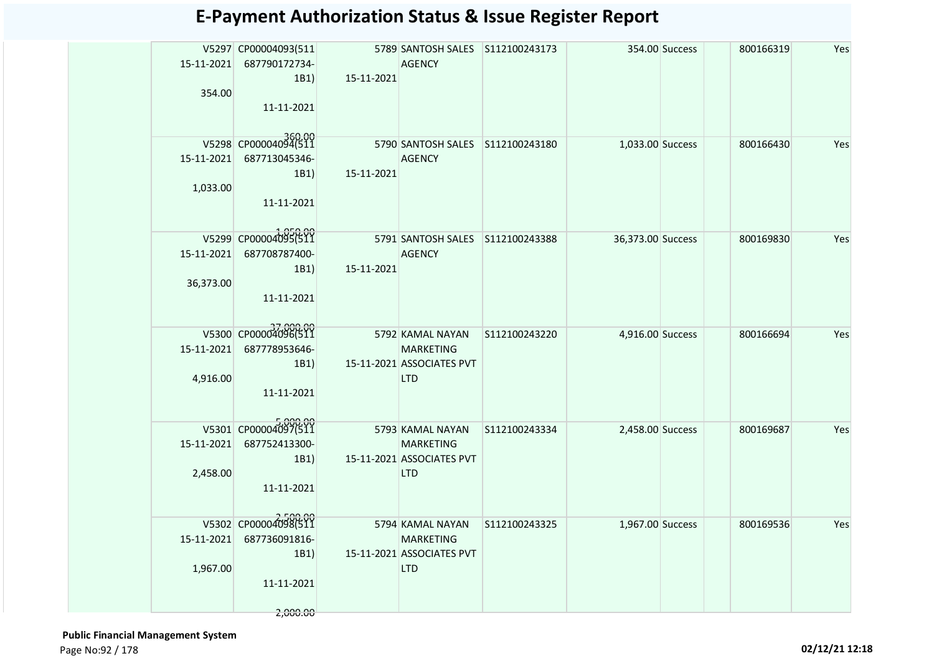|            | V5297 CP00004093(511             |            | 5789 SANTOSH SALES S112100243173              |               |                   | 354.00 Success | 800166319 | Yes |
|------------|----------------------------------|------------|-----------------------------------------------|---------------|-------------------|----------------|-----------|-----|
|            | 15-11-2021 687790172734-         |            | <b>AGENCY</b>                                 |               |                   |                |           |     |
| 354.00     | 1B1)                             | 15-11-2021 |                                               |               |                   |                |           |     |
|            | 11-11-2021                       |            |                                               |               |                   |                |           |     |
|            |                                  |            |                                               |               |                   |                |           |     |
|            | V5298 CP00004094(511             |            | 5790 SANTOSH SALES S112100243180              |               | 1,033.00 Success  |                | 800166430 | Yes |
|            | 15-11-2021 687713045346-         |            | <b>AGENCY</b>                                 |               |                   |                |           |     |
|            | 1B1)                             | 15-11-2021 |                                               |               |                   |                |           |     |
| 1,033.00   |                                  |            |                                               |               |                   |                |           |     |
|            | 11-11-2021                       |            |                                               |               |                   |                |           |     |
|            |                                  |            |                                               |               |                   |                |           |     |
|            | V5299 CP00004095(511             |            | 5791 SANTOSH SALES S112100243388              |               | 36,373.00 Success |                | 800169830 | Yes |
|            | 15-11-2021 687708787400-<br>1B1) | 15-11-2021 | AGENCY                                        |               |                   |                |           |     |
| 36,373.00  |                                  |            |                                               |               |                   |                |           |     |
|            | 11-11-2021                       |            |                                               |               |                   |                |           |     |
|            |                                  |            |                                               |               |                   |                |           |     |
|            | V5300 CP00004096(511             |            | <b>Example 15792 KAMAL NAYAN</b>              | S112100243220 | 4,916.00 Success  |                | 800166694 | Yes |
| 15-11-2021 | 687778953646-                    |            | <b>MARKETING</b>                              |               |                   |                |           |     |
|            | 1B1)                             |            | 15-11-2021 ASSOCIATES PVT                     |               |                   |                |           |     |
| 4,916.00   | 11-11-2021                       |            | <b>LTD</b>                                    |               |                   |                |           |     |
|            |                                  |            |                                               |               |                   |                |           |     |
|            | V5301 CP00004097(511             |            | 5793 KAMAL NAYAN                              | S112100243334 | 2,458.00 Success  |                | 800169687 | Yes |
|            | 15-11-2021 687752413300-         |            | <b>MARKETING</b>                              |               |                   |                |           |     |
|            | 1B1)                             |            | 15-11-2021 ASSOCIATES PVT                     |               |                   |                |           |     |
| 2,458.00   |                                  |            | <b>LTD</b>                                    |               |                   |                |           |     |
|            | 11-11-2021                       |            |                                               |               |                   |                |           |     |
|            |                                  |            |                                               |               |                   |                |           |     |
|            | V5302 CP00004098(511             |            | 5794 KAMAL NAYAN                              | S112100243325 | 1,967.00 Success  |                | 800169536 | Yes |
|            | 15-11-2021 687736091816-<br>1B1) |            | <b>MARKETING</b><br>15-11-2021 ASSOCIATES PVT |               |                   |                |           |     |
| 1,967.00   |                                  |            | <b>LTD</b>                                    |               |                   |                |           |     |
|            | 11-11-2021                       |            |                                               |               |                   |                |           |     |
|            |                                  |            |                                               |               |                   |                |           |     |
|            | 2,000.00                         |            |                                               |               |                   |                |           |     |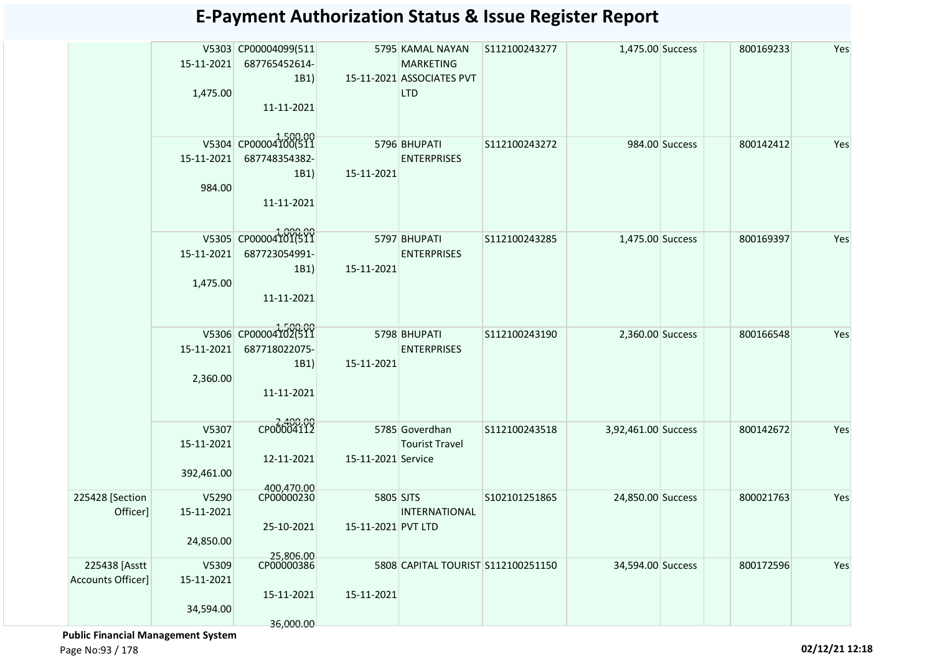|                   |            | V5303 CP00004099(511    |                    | 5795 KAMAL NAYAN                   | S112100243277 | 1,475.00 Success    |                | 800169233 | Yes |
|-------------------|------------|-------------------------|--------------------|------------------------------------|---------------|---------------------|----------------|-----------|-----|
|                   | 15-11-2021 | 687765452614-           |                    | <b>MARKETING</b>                   |               |                     |                |           |     |
|                   |            | 1B1)                    |                    | 15-11-2021 ASSOCIATES PVT          |               |                     |                |           |     |
|                   | 1,475.00   |                         |                    | <b>LTD</b>                         |               |                     |                |           |     |
|                   |            | 11-11-2021              |                    |                                    |               |                     |                |           |     |
|                   |            |                         |                    |                                    |               |                     |                |           |     |
|                   |            | V5304 CP00004100(511    |                    |                                    |               |                     |                |           |     |
|                   |            |                         |                    | 5796 BHUPATI                       | S112100243272 |                     | 984.00 Success | 800142412 | Yes |
|                   | 15-11-2021 | 687748354382-           |                    | <b>ENTERPRISES</b>                 |               |                     |                |           |     |
|                   | 984.00     | 1B1)                    | 15-11-2021         |                                    |               |                     |                |           |     |
|                   |            | 11-11-2021              |                    |                                    |               |                     |                |           |     |
|                   |            |                         |                    |                                    |               |                     |                |           |     |
|                   |            |                         |                    |                                    |               |                     |                |           |     |
|                   |            | V5305 CP00004101(511    |                    | 5797 BHUPATI                       | S112100243285 | 1,475.00 Success    |                | 800169397 | Yes |
|                   | 15-11-2021 | 687723054991-           |                    | <b>ENTERPRISES</b>                 |               |                     |                |           |     |
|                   |            | 1B1)                    | 15-11-2021         |                                    |               |                     |                |           |     |
|                   | 1,475.00   |                         |                    |                                    |               |                     |                |           |     |
|                   |            | 11-11-2021              |                    |                                    |               |                     |                |           |     |
|                   |            |                         |                    |                                    |               |                     |                |           |     |
|                   |            | V5306 CP00004102(511    |                    | 5798 BHUPATI                       | S112100243190 | 2,360.00 Success    |                | 800166548 | Yes |
|                   | 15-11-2021 | 687718022075-           |                    | <b>ENTERPRISES</b>                 |               |                     |                |           |     |
|                   |            | 1B1)                    | 15-11-2021         |                                    |               |                     |                |           |     |
|                   | 2,360.00   |                         |                    |                                    |               |                     |                |           |     |
|                   |            | 11-11-2021              |                    |                                    |               |                     |                |           |     |
|                   |            |                         |                    |                                    |               |                     |                |           |     |
|                   | V5307      | CP00004112              |                    | 5785 Goverdhan                     | S112100243518 | 3,92,461.00 Success |                | 800142672 | Yes |
|                   | 15-11-2021 |                         |                    | <b>Tourist Travel</b>              |               |                     |                |           |     |
|                   |            | 12-11-2021              | 15-11-2021 Service |                                    |               |                     |                |           |     |
|                   | 392,461.00 |                         |                    |                                    |               |                     |                |           |     |
|                   |            | 400,470.00              |                    |                                    |               |                     |                |           |     |
| 225428 [Section   | V5290      | CP00000230              | 5805 SJTS          |                                    | S102101251865 | 24,850.00 Success   |                | 800021763 | Yes |
| Officer]          | 15-11-2021 |                         |                    | INTERNATIONAL                      |               |                     |                |           |     |
|                   |            | 25-10-2021              | 15-11-2021 PVT LTD |                                    |               |                     |                |           |     |
|                   | 24,850.00  |                         |                    |                                    |               |                     |                |           |     |
| 225438 [Asstt     | V5309      | 25,806.00<br>CP00000386 |                    | 5808 CAPITAL TOURIST S112100251150 |               | 34,594.00 Success   |                | 800172596 | Yes |
| Accounts Officer] | 15-11-2021 |                         |                    |                                    |               |                     |                |           |     |
|                   |            | 15-11-2021              | 15-11-2021         |                                    |               |                     |                |           |     |
|                   | 34,594.00  |                         |                    |                                    |               |                     |                |           |     |
|                   |            | 36,000.00               |                    |                                    |               |                     |                |           |     |

 **Public Financial Management System** 

Page No:93 / 178 **02/12/21 12:18**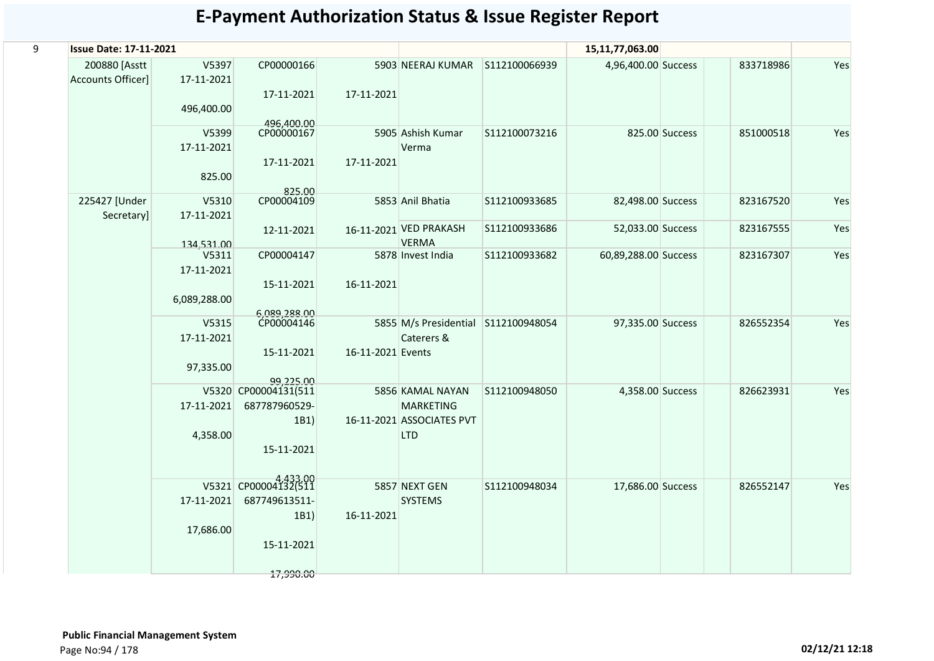| 9 | <b>Issue Date: 17-11-2021</b>      |                                     |                                                                          |                   |                                                                                 |               | 15,11,77,063.00      |                |           |     |
|---|------------------------------------|-------------------------------------|--------------------------------------------------------------------------|-------------------|---------------------------------------------------------------------------------|---------------|----------------------|----------------|-----------|-----|
|   | 200880 [Asstt<br>Accounts Officer] | V5397<br>17-11-2021<br>496,400.00   | CP00000166<br>17-11-2021                                                 | 17-11-2021        | 5903 NEERAJ KUMAR                                                               | S112100066939 | 4,96,400.00 Success  |                | 833718986 | Yes |
|   |                                    | V5399<br>17-11-2021<br>825.00       | 496,400.00<br>CP00000167<br>17-11-2021                                   | 17-11-2021        | 5905 Ashish Kumar<br>Verma                                                      | S112100073216 |                      | 825.00 Success | 851000518 | Yes |
|   | 225427 [Under<br>Secretary]        | V5310<br>17-11-2021                 | 825.00<br>CP00004109                                                     |                   | 5853 Anil Bhatia                                                                | S112100933685 | 82,498.00 Success    |                | 823167520 | Yes |
|   |                                    | 134,531,00                          | 12-11-2021                                                               |                   | 16-11-2021 VED PRAKASH<br><b>VERMA</b>                                          | S112100933686 | 52,033.00 Success    |                | 823167555 | Yes |
|   |                                    | V5311<br>17-11-2021<br>6,089,288.00 | CP00004147<br>15-11-2021                                                 | 16-11-2021        | 5878 Invest India                                                               | S112100933682 | 60,89,288.00 Success |                | 823167307 | Yes |
|   |                                    | V5315                               | 6,089,288.00<br>CP00004146                                               |                   | 5855 M/s Presidential                                                           | S112100948054 | 97,335.00 Success    |                | 826552354 | Yes |
|   |                                    | 17-11-2021<br>97,335.00             | 15-11-2021<br>99.225.00                                                  | 16-11-2021 Events | Caterers &                                                                      |               |                      |                |           |     |
|   |                                    | 17-11-2021<br>4,358.00              | V5320 CP00004131(511<br>687787960529-<br>1B1)<br>15-11-2021              |                   | 5856 KAMAL NAYAN<br><b>MARKETING</b><br>16-11-2021 ASSOCIATES PVT<br><b>LTD</b> | S112100948050 | 4,358.00 Success     |                | 826623931 | Yes |
|   |                                    | 17-11-2021<br>17,686.00             | V5321 CP00004132(511<br>687749613511-<br>1B1)<br>15-11-2021<br>17,990.00 | 16-11-2021        | 5857 NEXT GEN<br><b>SYSTEMS</b>                                                 | S112100948034 | 17,686.00 Success    |                | 826552147 | Yes |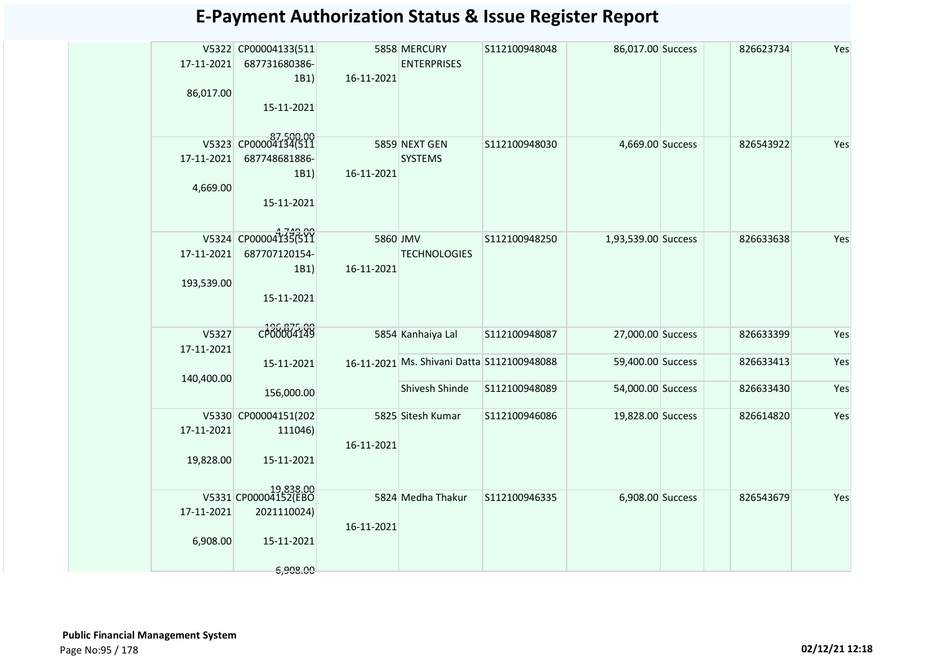| <b>E-Payment Authorization Status &amp; Issue Register Report</b> |  |  |
|-------------------------------------------------------------------|--|--|
|-------------------------------------------------------------------|--|--|

| 17-11-2021<br>86,017.00  | V5322 CP00004133(511<br>687731680386-<br>1B1)<br>15-11-2021                | 16-11-2021             | 5858 MERCURY<br><b>ENTERPRISES</b>                           | S112100948048 | 86,017.00 Success                      | 826623734              | Yes        |
|--------------------------|----------------------------------------------------------------------------|------------------------|--------------------------------------------------------------|---------------|----------------------------------------|------------------------|------------|
| 17-11-2021<br>4,669.00   | V5323 CP00004134(511<br>687748681886-<br>1B1)<br>15-11-2021                | 16-11-2021             | 5859 NEXT GEN<br><b>SYSTEMS</b>                              | S112100948030 | 4,669.00 Success                       | 826543922              | Yes        |
| 17-11-2021<br>193,539.00 | V5324 CP00004135(511<br>687707120154-<br>1B1)<br>15-11-2021                | 5860 JMV<br>16-11-2021 | <b>TECHNOLOGIES</b>                                          | S112100948250 | 1,93,539.00 Success                    | 826633638              | Yes        |
| V5327<br>17-11-2021      | CP00004149                                                                 |                        | 5854 Kanhaiya Lal                                            | S112100948087 | 27,000.00 Success                      | 826633399              | Yes        |
| 140,400.00               | 15-11-2021<br>156,000.00                                                   |                        | 16-11-2021 Ms. Shivani Datta S112100948088<br>Shivesh Shinde | S112100948089 | 59,400.00 Success<br>54,000.00 Success | 826633413<br>826633430 | Yes<br>Yes |
| 17-11-2021<br>19,828.00  | V5330 CP00004151(202<br>111046)<br>15-11-2021                              | 16-11-2021             | 5825 Sitesh Kumar                                            | S112100946086 | 19,828.00 Success                      | 826614820              | Yes        |
| 17-11-2021<br>6,908.00   | 19,838.00<br>V5331 CP00004152(EBO<br>2021110024)<br>15-11-2021<br>6,908.00 | 16-11-2021             | 5824 Medha Thakur                                            | S112100946335 | 6,908.00 Success                       | 826543679              | Yes        |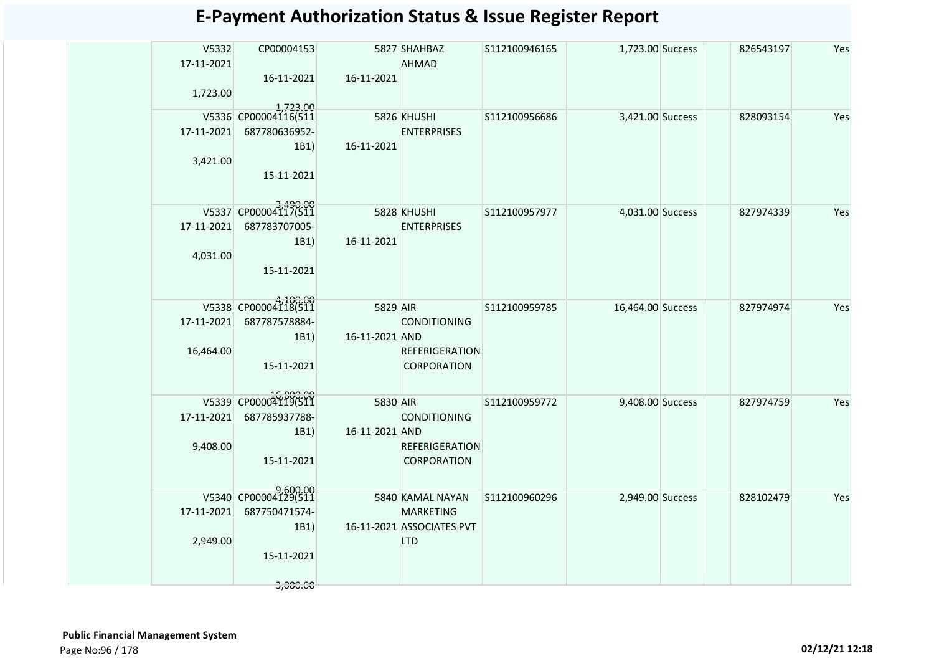| V5332<br>17-11-2021 | CP00004153                       |                | 5827 SHAHBAZ<br>AHMAD     | S112100946165 | 1,723.00 Success  | 826543197 | Yes |
|---------------------|----------------------------------|----------------|---------------------------|---------------|-------------------|-----------|-----|
| 1,723.00            | 16-11-2021                       | 16-11-2021     |                           |               |                   |           |     |
|                     | 1,723.00<br>V5336 CP00004116(511 | 5826 KHUSHI    |                           | S112100956686 | 3,421.00 Success  | 828093154 | Yes |
| 17-11-2021          | 687780636952-                    |                | <b>ENTERPRISES</b>        |               |                   |           |     |
|                     | 1B1)                             | 16-11-2021     |                           |               |                   |           |     |
| 3,421.00            | 15-11-2021                       |                |                           |               |                   |           |     |
|                     | V5337 CP00004117(511             |                | 5828 KHUSHI               | S112100957977 | 4,031.00 Success  | 827974339 | Yes |
|                     | 17-11-2021 687783707005-         |                | <b>ENTERPRISES</b>        |               |                   |           |     |
|                     | 1B1)                             | 16-11-2021     |                           |               |                   |           |     |
| 4,031.00            |                                  |                |                           |               |                   |           |     |
|                     | 15-11-2021                       |                |                           |               |                   |           |     |
|                     | V5338 CP00004118(511             |                |                           |               |                   |           |     |
| 17-11-2021          | 687787578884-                    | 5829 AIR       | <b>CONDITIONING</b>       | S112100959785 | 16,464.00 Success | 827974974 | Yes |
|                     | 1B1)                             | 16-11-2021 AND |                           |               |                   |           |     |
| 16,464.00           |                                  |                | <b>REFERIGERATION</b>     |               |                   |           |     |
|                     | 15-11-2021                       |                | <b>CORPORATION</b>        |               |                   |           |     |
|                     |                                  |                |                           |               |                   |           |     |
|                     | V5339 CP00004119(511             | 5830 AIR       |                           | S112100959772 | 9,408.00 Success  | 827974759 | Yes |
| 17-11-2021          | 687785937788-                    |                | <b>CONDITIONING</b>       |               |                   |           |     |
| 9,408.00            | 1B1)                             | 16-11-2021 AND | <b>REFERIGERATION</b>     |               |                   |           |     |
|                     | 15-11-2021                       |                | CORPORATION               |               |                   |           |     |
|                     |                                  |                |                           |               |                   |           |     |
|                     | V5340 CP00004129(511             |                | 5840 KAMAL NAYAN          | S112100960296 | 2,949.00 Success  | 828102479 | Yes |
| 17-11-2021          | 687750471574-                    |                | <b>MARKETING</b>          |               |                   |           |     |
|                     | 1B1)                             |                | 16-11-2021 ASSOCIATES PVT |               |                   |           |     |
| 2,949.00            |                                  |                | <b>LTD</b>                |               |                   |           |     |
|                     | 15-11-2021                       |                |                           |               |                   |           |     |
|                     | 3,000.00                         |                |                           |               |                   |           |     |
|                     |                                  |                |                           |               |                   |           |     |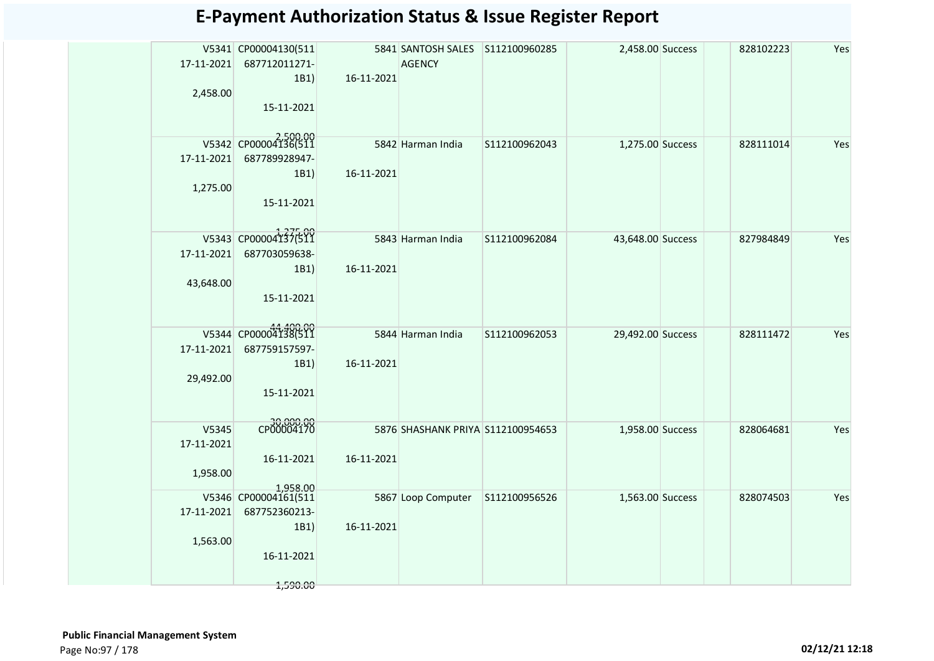|            | V5341 CP00004130(511 |            | 5841 SANTOSH SALES S112100960285  |               | 2,458.00 Success  | 828102223 | Yes |
|------------|----------------------|------------|-----------------------------------|---------------|-------------------|-----------|-----|
| 17-11-2021 | 687712011271-        |            | <b>AGENCY</b>                     |               |                   |           |     |
|            | 1B1                  | 16-11-2021 |                                   |               |                   |           |     |
| 2,458.00   |                      |            |                                   |               |                   |           |     |
|            | 15-11-2021           |            |                                   |               |                   |           |     |
|            |                      |            |                                   |               |                   |           |     |
|            | V5342 CP00004136(511 |            | 5842 Harman India                 | S112100962043 | 1,275.00 Success  | 828111014 | Yes |
| 17-11-2021 | 687789928947-        |            |                                   |               |                   |           |     |
|            | 1B1)                 | 16-11-2021 |                                   |               |                   |           |     |
| 1,275.00   |                      |            |                                   |               |                   |           |     |
|            | 15-11-2021           |            |                                   |               |                   |           |     |
|            |                      |            |                                   |               |                   |           |     |
|            | V5343 CP00004137(511 |            | 5843 Harman India                 | S112100962084 | 43,648.00 Success | 827984849 | Yes |
| 17-11-2021 | 687703059638-        |            |                                   |               |                   |           |     |
|            | 1B1)                 | 16-11-2021 |                                   |               |                   |           |     |
| 43,648.00  |                      |            |                                   |               |                   |           |     |
|            | 15-11-2021           |            |                                   |               |                   |           |     |
|            |                      |            |                                   |               |                   |           |     |
|            | V5344 CP00004138(511 |            | 5844 Harman India                 | S112100962053 | 29,492.00 Success | 828111472 | Yes |
| 17-11-2021 | 687759157597-        |            |                                   |               |                   |           |     |
|            | 1B1)                 | 16-11-2021 |                                   |               |                   |           |     |
| 29,492.00  |                      |            |                                   |               |                   |           |     |
|            | 15-11-2021           |            |                                   |               |                   |           |     |
|            |                      |            |                                   |               |                   |           |     |
| V5345      | CP00004170           |            | 5876 SHASHANK PRIYA S112100954653 |               | 1,958.00 Success  | 828064681 | Yes |
| 17-11-2021 |                      |            |                                   |               |                   |           |     |
|            | 16-11-2021           | 16-11-2021 |                                   |               |                   |           |     |
| 1,958.00   |                      |            |                                   |               |                   |           |     |
|            | 1,958.00             |            |                                   |               |                   |           |     |
|            | V5346 CP00004161(511 |            |                                   |               | 1,563.00 Success  | 828074503 | Yes |
| 17-11-2021 | 687752360213-        |            |                                   |               |                   |           |     |
|            | 1B1)                 | 16-11-2021 |                                   |               |                   |           |     |
| 1,563.00   | 16-11-2021           |            |                                   |               |                   |           |     |
|            |                      |            |                                   |               |                   |           |     |
|            | 1,590.00             |            |                                   |               |                   |           |     |
|            |                      |            |                                   |               |                   |           |     |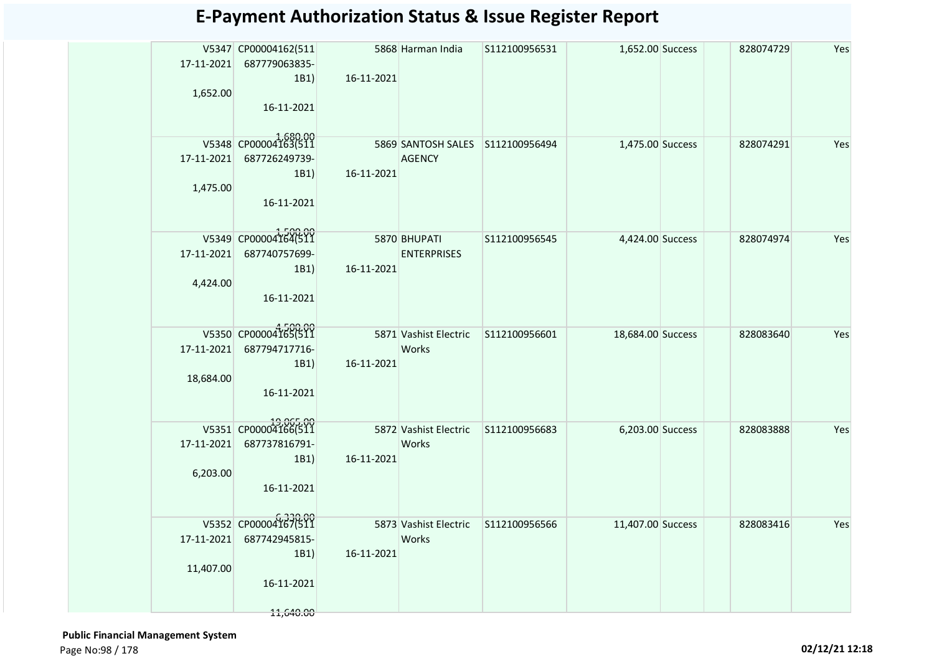| 1,652.00   | V5347 CP00004162(511<br>17-11-2021 687779063835-<br>1B1<br>16-11-2021 | 16-11-2021   | 5868 Harman India                            | S112100956531 | 1,652.00 Success  | 828074729 | Yes |
|------------|-----------------------------------------------------------------------|--------------|----------------------------------------------|---------------|-------------------|-----------|-----|
|            | V5348 CP00004163(511                                                  |              | 5869 SANTOSH SALES S112100956494             |               |                   |           |     |
|            | 17-11-2021 687726249739-                                              | 16-11-2021   | <b>AGENCY</b>                                |               | 1,475.00 Success  | 828074291 | Yes |
| 1,475.00   | 1B1<br>16-11-2021                                                     |              |                                              |               |                   |           |     |
|            | V5349 CP00004164(511<br>17-11-2021 687740757699-                      | 5870 BHUPATI | <b>ENTERPRISES</b>                           | S112100956545 | 4,424.00 Success  | 828074974 | Yes |
| 4,424.00   | 1B1<br>16-11-2021                                                     | 16-11-2021   |                                              |               |                   |           |     |
| 17-11-2021 | V5350 CP00004165(511<br>687794717716-                                 |              | 5871 Vashist Electric<br>Works               | S112100956601 | 18,684.00 Success | 828083640 | Yes |
| 18,684.00  | 1B1<br>16-11-2021                                                     | 16-11-2021   |                                              |               |                   |           |     |
| 17-11-2021 | 19,065.00<br>V5351 CP00004166(511<br>687737816791-                    |              | <b>Works</b>                                 |               | 6,203.00 Success  | 828083888 | Yes |
| 6,203.00   | 1B1<br>16-11-2021                                                     | 16-11-2021   |                                              |               |                   |           |     |
|            | V5352 CP00004167(511<br>17-11-2021 687742945815-                      |              | 5873 Vashist Electric S112100956566<br>Works |               | 11,407.00 Success | 828083416 | Yes |
| 11,407.00  | 1B1                                                                   | 16-11-2021   |                                              |               |                   |           |     |
|            | 16-11-2021<br>11,640.00                                               |              |                                              |               |                   |           |     |
|            |                                                                       |              |                                              |               |                   |           |     |

 **Public Financial Management System**  Page No:98 / 178 **02/12/21 12:18**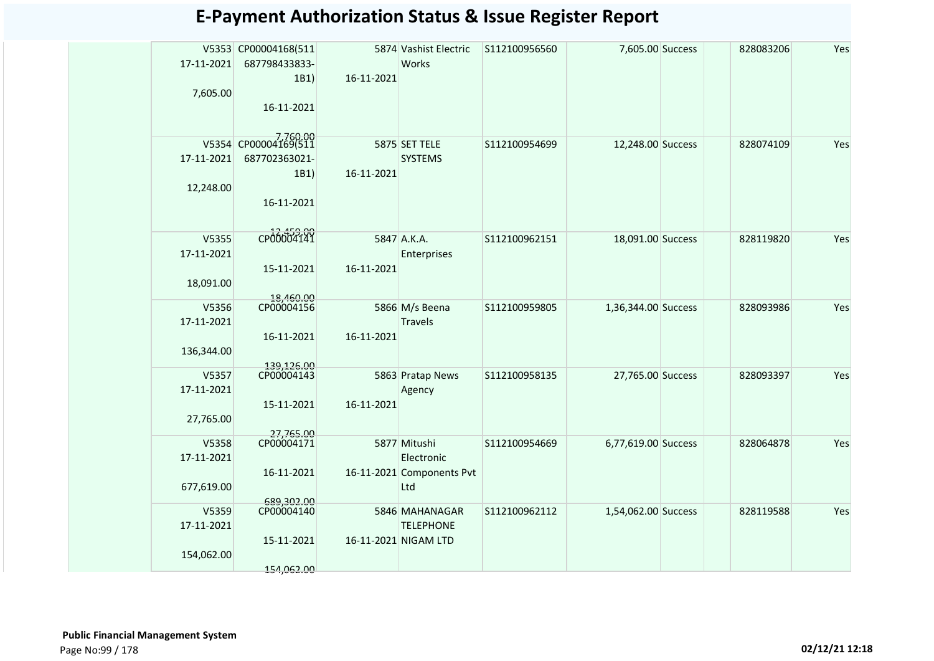| 17-11-2021<br>7,605.00            | V5353 CP00004168(511<br>687798433833-<br>1B1)<br>16-11-2021 | 16-11-2021 | 5874 Vashist Electric<br>Works                                 | S112100956560 | 7,605.00 Success    | 828083206 | Yes |
|-----------------------------------|-------------------------------------------------------------|------------|----------------------------------------------------------------|---------------|---------------------|-----------|-----|
| 17-11-2021<br>12,248.00           | V5354 CP00004169(511<br>687702363021-<br>1B1)<br>16-11-2021 | 16-11-2021 | 5875 SET TELE<br><b>SYSTEMS</b>                                | S112100954699 | 12,248.00 Success   | 828074109 | Yes |
| V5355<br>17-11-2021<br>18,091.00  | CP00004141<br>15-11-2021                                    | 16-11-2021 | 5847 A.K.A.<br>Enterprises                                     | S112100962151 | 18,091.00 Success   | 828119820 | Yes |
| V5356<br>17-11-2021<br>136,344.00 | 18,460.00<br>CP00004156<br>16-11-2021                       | 16-11-2021 | 5866 M/s Beena<br>Travels                                      | S112100959805 | 1,36,344.00 Success | 828093986 | Yes |
| V5357<br>17-11-2021<br>27,765.00  | 139,126.00<br>CP00004143<br>15-11-2021                      | 16-11-2021 | 5863 Pratap News<br>Agency                                     | S112100958135 | 27,765.00 Success   | 828093397 | Yes |
| V5358<br>17-11-2021<br>677,619.00 | 27,765.00<br>CP00004171<br>16-11-2021<br>689,302.00         |            | 5877 Mitushi<br>Electronic<br>16-11-2021 Components Pvt<br>Ltd | S112100954669 | 6,77,619.00 Success | 828064878 | Yes |
| V5359<br>17-11-2021<br>154,062.00 | CP00004140<br>15-11-2021<br>154,062.00                      |            | 5846 MAHANAGAR<br><b>TELEPHONE</b><br>16-11-2021 NIGAM LTD     | S112100962112 | 1,54,062.00 Success | 828119588 | Yes |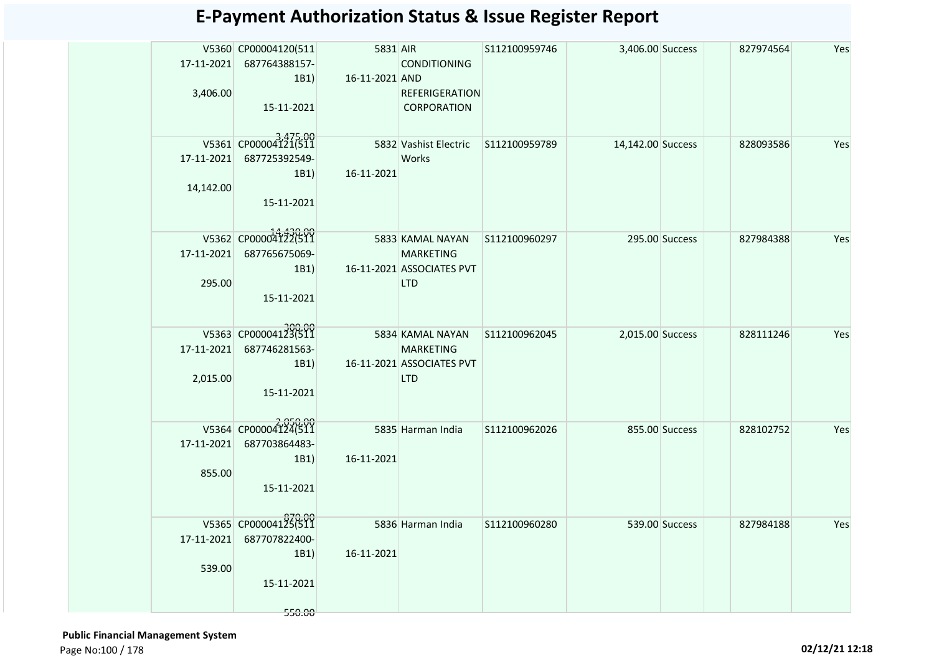|            | V5360 CP00004120(511<br>17-11-2021 687764388157-<br>1B1 | <b>5831 AIR</b><br>16-11-2021 AND | <b>CONDITIONING</b>                         | S112100959746 | 3,406.00 Success  |                | 827974564 | Yes |
|------------|---------------------------------------------------------|-----------------------------------|---------------------------------------------|---------------|-------------------|----------------|-----------|-----|
| 3,406.00   | 15-11-2021                                              |                                   | <b>REFERIGERATION</b><br><b>CORPORATION</b> |               |                   |                |           |     |
|            | V5361 CP00004121(511                                    |                                   | 5832 Vashist Electric S112100959789         |               | 14,142.00 Success |                | 828093586 | Yes |
|            | 17-11-2021 687725392549-                                |                                   | <b>Works</b>                                |               |                   |                |           |     |
|            | 1B1)                                                    | 16-11-2021                        |                                             |               |                   |                |           |     |
| 14,142.00  |                                                         |                                   |                                             |               |                   |                |           |     |
|            | 15-11-2021                                              |                                   |                                             |               |                   |                |           |     |
|            | V5362 CP00004122(511                                    | 5833 KAMAL NAYAN                  |                                             | S112100960297 |                   | 295.00 Success | 827984388 | Yes |
|            | 17-11-2021 687765675069-                                |                                   | <b>MARKETING</b>                            |               |                   |                |           |     |
|            | 1B1                                                     |                                   | 16-11-2021 ASSOCIATES PVT                   |               |                   |                |           |     |
| 295.00     |                                                         |                                   | <b>LTD</b>                                  |               |                   |                |           |     |
|            | 15-11-2021                                              |                                   |                                             |               |                   |                |           |     |
|            | V5363 CP00004123(511                                    |                                   | 5834 KAMAL NAYAN                            | S112100962045 | 2,015.00 Success  |                | 828111246 | Yes |
| 17-11-2021 | 687746281563-                                           |                                   | <b>MARKETING</b>                            |               |                   |                |           |     |
|            | 1B1                                                     |                                   | 16-11-2021 ASSOCIATES PVT                   |               |                   |                |           |     |
| 2,015.00   |                                                         |                                   | <b>LTD</b>                                  |               |                   |                |           |     |
|            | 15-11-2021                                              |                                   |                                             |               |                   |                |           |     |
|            | V5364 CP00004124(511                                    |                                   | 5835 Harman India                           | S112100962026 |                   | 855.00 Success | 828102752 | Yes |
| 17-11-2021 | 687703864483-                                           |                                   |                                             |               |                   |                |           |     |
|            | 1B1                                                     | 16-11-2021                        |                                             |               |                   |                |           |     |
| 855.00     | 15-11-2021                                              |                                   |                                             |               |                   |                |           |     |
|            |                                                         |                                   |                                             |               |                   |                |           |     |
|            | V5365 CP00004125(511                                    |                                   | 5836 Harman India                           | S112100960280 |                   | 539.00 Success | 827984188 | Yes |
|            | 17-11-2021 687707822400-                                |                                   |                                             |               |                   |                |           |     |
|            | 1B1)                                                    | 16-11-2021                        |                                             |               |                   |                |           |     |
| 539.00     |                                                         |                                   |                                             |               |                   |                |           |     |
|            | 15-11-2021                                              |                                   |                                             |               |                   |                |           |     |
|            | 550.00                                                  |                                   |                                             |               |                   |                |           |     |

 **Public Financial Management System**  Page No:100 / 178 **02/12/21 12:18**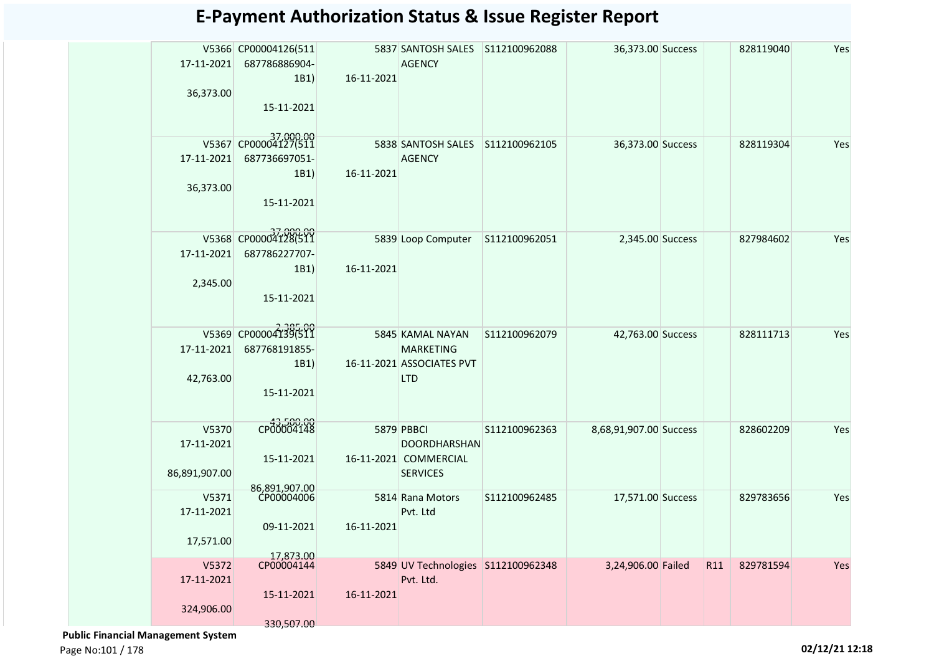|               | V5366 CP00004126(511        |            |                                         |               | 36,373.00 Success      |     | 828119040 | Yes |
|---------------|-----------------------------|------------|-----------------------------------------|---------------|------------------------|-----|-----------|-----|
| 17-11-2021    | 687786886904-               |            | <b>AGENCY</b>                           |               |                        |     |           |     |
| 36,373.00     | 1B1)                        | 16-11-2021 |                                         |               |                        |     |           |     |
|               | 15-11-2021                  |            |                                         |               |                        |     |           |     |
|               |                             |            |                                         |               |                        |     |           |     |
|               | V5367 CP00004127(511        |            | 5838 SANTOSH SALES S112100962105        |               | 36,373.00 Success      |     | 828119304 | Yes |
| 17-11-2021    | 687736697051-               |            | <b>AGENCY</b>                           |               |                        |     |           |     |
|               | 1B1)                        | 16-11-2021 |                                         |               |                        |     |           |     |
| 36,373.00     |                             |            |                                         |               |                        |     |           |     |
|               | 15-11-2021                  |            |                                         |               |                        |     |           |     |
|               |                             |            |                                         |               |                        |     |           |     |
|               | V5368 CP00004128(511        |            | 5839 Loop Computer                      | S112100962051 | 2,345.00 Success       |     | 827984602 | Yes |
| 17-11-2021    | 687786227707-               |            |                                         |               |                        |     |           |     |
|               | 1B1)                        | 16-11-2021 |                                         |               |                        |     |           |     |
| 2,345.00      |                             |            |                                         |               |                        |     |           |     |
|               | 15-11-2021                  |            |                                         |               |                        |     |           |     |
|               |                             |            |                                         |               |                        |     |           |     |
|               | V5369 CP00004139(511        |            | 5845 KAMAL NAYAN                        | S112100962079 | 42,763.00 Success      |     | 828111713 | Yes |
| 17-11-2021    | 687768191855-               |            | <b>MARKETING</b>                        |               |                        |     |           |     |
| 42,763.00     | 1B1)                        |            | 16-11-2021 ASSOCIATES PVT<br><b>LTD</b> |               |                        |     |           |     |
|               | 15-11-2021                  |            |                                         |               |                        |     |           |     |
|               |                             |            |                                         |               |                        |     |           |     |
| V5370         | CP00004148                  |            | 5879 PBBCI                              | S112100962363 | 8,68,91,907.00 Success |     | 828602209 | Yes |
| 17-11-2021    |                             |            | DOORDHARSHAN                            |               |                        |     |           |     |
|               | 15-11-2021                  |            | 16-11-2021 COMMERCIAL                   |               |                        |     |           |     |
| 86,891,907.00 |                             |            | <b>SERVICES</b>                         |               |                        |     |           |     |
| V5371         | 86,891,907.00<br>CP00004006 |            | 5814 Rana Motors                        | S112100962485 | 17,571.00 Success      |     | 829783656 | Yes |
| 17-11-2021    |                             |            | Pvt. Ltd                                |               |                        |     |           |     |
|               | 09-11-2021                  | 16-11-2021 |                                         |               |                        |     |           |     |
| 17,571.00     |                             |            |                                         |               |                        |     |           |     |
| V5372         | 17,873.00<br>CP00004144     |            | 5849 UV Technologies S112100962348      |               | 3,24,906.00 Failed     | R11 | 829781594 | Yes |
| 17-11-2021    |                             |            | Pvt. Ltd.                               |               |                        |     |           |     |
|               | 15-11-2021                  | 16-11-2021 |                                         |               |                        |     |           |     |
| 324,906.00    |                             |            |                                         |               |                        |     |           |     |
|               | 330,507.00                  |            |                                         |               |                        |     |           |     |

 **Public Financial Management System** 

Page No:101 / 178 **02/12/21 12:18**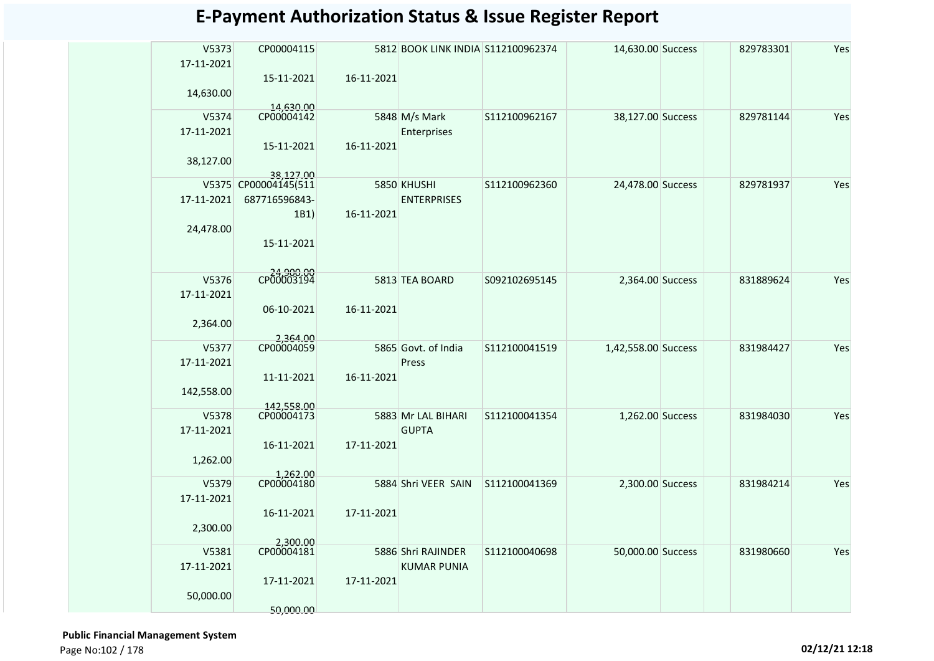| V5373<br>17-11-2021 | CP00004115                        |            | 5812 BOOK LINK INDIA S112100962374 |               | 14,630.00 Success   | 829783301 | Yes |
|---------------------|-----------------------------------|------------|------------------------------------|---------------|---------------------|-----------|-----|
| 14,630.00           | 15-11-2021                        | 16-11-2021 |                                    |               |                     |           |     |
|                     | 14,630.00                         |            |                                    |               |                     |           |     |
| V5374               | CP00004142                        |            | 5848 M/s Mark                      | S112100962167 | 38,127.00 Success   | 829781144 | Yes |
| 17-11-2021          |                                   |            | Enterprises                        |               |                     |           |     |
| 38,127.00           | 15-11-2021                        | 16-11-2021 |                                    |               |                     |           |     |
|                     | 38.127.00<br>V5375 CP00004145(511 |            | 5850 KHUSHI                        | S112100962360 | 24,478.00 Success   | 829781937 | Yes |
| 17-11-2021          | 687716596843-                     |            | <b>ENTERPRISES</b>                 |               |                     |           |     |
|                     |                                   |            |                                    |               |                     |           |     |
|                     | 1B1)                              | 16-11-2021 |                                    |               |                     |           |     |
| 24,478.00           | 15-11-2021                        |            |                                    |               |                     |           |     |
|                     | CP00003194                        |            |                                    |               |                     |           |     |
| V5376               |                                   |            | 5813 TEA BOARD                     | S092102695145 | 2,364.00 Success    | 831889624 | Yes |
| 17-11-2021          |                                   |            |                                    |               |                     |           |     |
|                     | 06-10-2021                        | 16-11-2021 |                                    |               |                     |           |     |
| 2,364.00            |                                   |            |                                    |               |                     |           |     |
|                     | 2,364.00                          |            |                                    |               |                     |           |     |
| V5377               | CP00004059                        |            | 5865 Govt. of India                | S112100041519 | 1,42,558.00 Success | 831984427 | Yes |
| 17-11-2021          |                                   |            | Press                              |               |                     |           |     |
|                     | 11-11-2021                        | 16-11-2021 |                                    |               |                     |           |     |
| 142,558.00          |                                   |            |                                    |               |                     |           |     |
|                     | 142,558.00<br>CP00004173          |            |                                    |               |                     |           |     |
| V5378               |                                   |            | 5883 Mr LAL BIHARI                 | S112100041354 | 1,262.00 Success    | 831984030 | Yes |
| 17-11-2021          |                                   |            | <b>GUPTA</b>                       |               |                     |           |     |
|                     | 16-11-2021                        | 17-11-2021 |                                    |               |                     |           |     |
| 1,262.00            |                                   |            |                                    |               |                     |           |     |
|                     |                                   |            |                                    |               |                     |           |     |
| V5379               | 1,262.00<br>CP00004180            |            | 5884 Shri VEER SAIN                | S112100041369 | 2,300.00 Success    | 831984214 | Yes |
| 17-11-2021          |                                   |            |                                    |               |                     |           |     |
|                     | 16-11-2021                        | 17-11-2021 |                                    |               |                     |           |     |
| 2,300.00            |                                   |            |                                    |               |                     |           |     |
|                     | 2.300.00                          |            |                                    |               |                     |           |     |
| V5381               | CP00004181                        |            | 5886 Shri RAJINDER                 | S112100040698 | 50,000.00 Success   | 831980660 | Yes |
| 17-11-2021          |                                   |            | <b>KUMAR PUNIA</b>                 |               |                     |           |     |
|                     | 17-11-2021                        | 17-11-2021 |                                    |               |                     |           |     |
| 50,000.00           |                                   |            |                                    |               |                     |           |     |
|                     | 50,000.00                         |            |                                    |               |                     |           |     |
|                     |                                   |            |                                    |               |                     |           |     |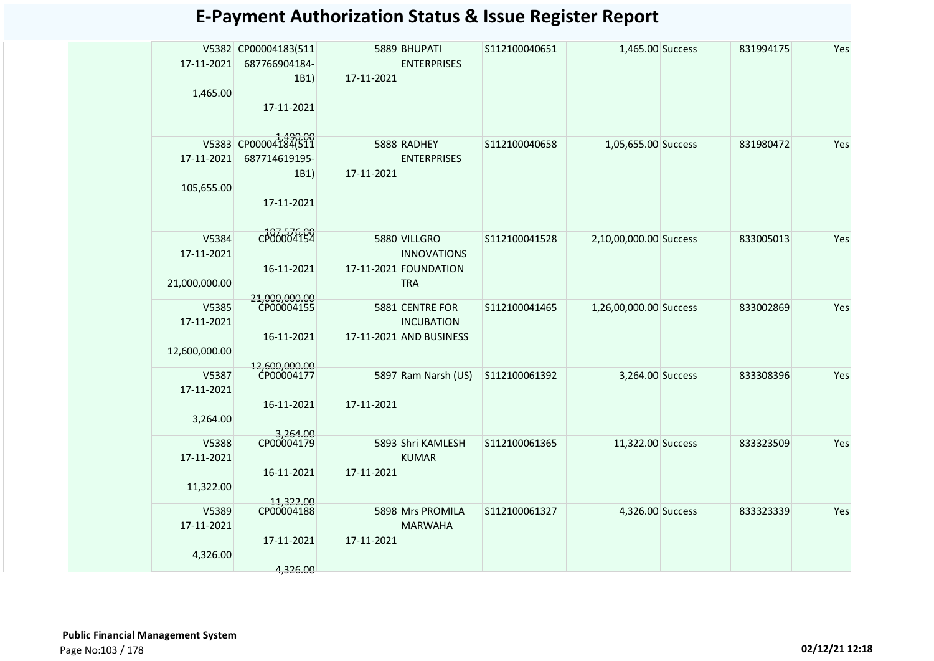| V5382 CP00004183(511<br>5889 BHUPATI<br>1,465.00 Success<br>831994175<br>Yes<br>S112100040651<br>17-11-2021<br>687766904184-<br><b>ENTERPRISES</b><br>1B1)<br>17-11-2021<br>1,465.00<br>17-11-2021<br>CP00004184(511<br>V5383<br>5888 RADHEY<br>S112100040658<br>1,05,655.00 Success<br>831980472<br>Yes<br>687714619195-<br>17-11-2021<br><b>ENTERPRISES</b><br>1B1)<br>17-11-2021<br>105,655.00<br>17-11-2021<br>CP00004154<br>V5384<br>5880 VILLGRO<br>S112100041528<br>2,10,00,000.00 Success<br>833005013<br>Yes<br>17-11-2021<br><b>INNOVATIONS</b><br>16-11-2021<br>17-11-2021 FOUNDATION<br>21,000,000.00<br><b>TRA</b><br>21,000,000.00<br>CP00004155<br>V5385<br>5881 CENTRE FOR<br>1,26,00,000.00 Success<br>Yes<br>S112100041465<br>833002869<br><b>INCUBATION</b><br>17-11-2021<br>16-11-2021<br>17-11-2021 AND BUSINESS<br>12,600,000.00<br>12,600,000.00<br>CP00004177<br>5897 Ram Narsh (US)<br>3,264.00 Success<br>V5387<br>S112100061392<br>833308396<br>Yes<br>17-11-2021<br>16-11-2021<br>17-11-2021<br>3,264.00<br>3,264.00<br>CP00004179<br>V5388<br>5893 Shri KAMLESH<br>S112100061365<br>Yes<br>11,322.00 Success<br>833323509<br>17-11-2021<br><b>KUMAR</b><br>16-11-2021<br>17-11-2021<br>11,322.00<br>11,322.00<br>CP00004188<br>V5389<br>5898 Mrs PROMILA<br>Yes<br>S112100061327<br>4,326.00 Success<br>833323339 |  |  |  |  |  |
|------------------------------------------------------------------------------------------------------------------------------------------------------------------------------------------------------------------------------------------------------------------------------------------------------------------------------------------------------------------------------------------------------------------------------------------------------------------------------------------------------------------------------------------------------------------------------------------------------------------------------------------------------------------------------------------------------------------------------------------------------------------------------------------------------------------------------------------------------------------------------------------------------------------------------------------------------------------------------------------------------------------------------------------------------------------------------------------------------------------------------------------------------------------------------------------------------------------------------------------------------------------------------------------------------------------------------------------------|--|--|--|--|--|
|                                                                                                                                                                                                                                                                                                                                                                                                                                                                                                                                                                                                                                                                                                                                                                                                                                                                                                                                                                                                                                                                                                                                                                                                                                                                                                                                                |  |  |  |  |  |
|                                                                                                                                                                                                                                                                                                                                                                                                                                                                                                                                                                                                                                                                                                                                                                                                                                                                                                                                                                                                                                                                                                                                                                                                                                                                                                                                                |  |  |  |  |  |
|                                                                                                                                                                                                                                                                                                                                                                                                                                                                                                                                                                                                                                                                                                                                                                                                                                                                                                                                                                                                                                                                                                                                                                                                                                                                                                                                                |  |  |  |  |  |
|                                                                                                                                                                                                                                                                                                                                                                                                                                                                                                                                                                                                                                                                                                                                                                                                                                                                                                                                                                                                                                                                                                                                                                                                                                                                                                                                                |  |  |  |  |  |
|                                                                                                                                                                                                                                                                                                                                                                                                                                                                                                                                                                                                                                                                                                                                                                                                                                                                                                                                                                                                                                                                                                                                                                                                                                                                                                                                                |  |  |  |  |  |
|                                                                                                                                                                                                                                                                                                                                                                                                                                                                                                                                                                                                                                                                                                                                                                                                                                                                                                                                                                                                                                                                                                                                                                                                                                                                                                                                                |  |  |  |  |  |
|                                                                                                                                                                                                                                                                                                                                                                                                                                                                                                                                                                                                                                                                                                                                                                                                                                                                                                                                                                                                                                                                                                                                                                                                                                                                                                                                                |  |  |  |  |  |
|                                                                                                                                                                                                                                                                                                                                                                                                                                                                                                                                                                                                                                                                                                                                                                                                                                                                                                                                                                                                                                                                                                                                                                                                                                                                                                                                                |  |  |  |  |  |
|                                                                                                                                                                                                                                                                                                                                                                                                                                                                                                                                                                                                                                                                                                                                                                                                                                                                                                                                                                                                                                                                                                                                                                                                                                                                                                                                                |  |  |  |  |  |
|                                                                                                                                                                                                                                                                                                                                                                                                                                                                                                                                                                                                                                                                                                                                                                                                                                                                                                                                                                                                                                                                                                                                                                                                                                                                                                                                                |  |  |  |  |  |
|                                                                                                                                                                                                                                                                                                                                                                                                                                                                                                                                                                                                                                                                                                                                                                                                                                                                                                                                                                                                                                                                                                                                                                                                                                                                                                                                                |  |  |  |  |  |
|                                                                                                                                                                                                                                                                                                                                                                                                                                                                                                                                                                                                                                                                                                                                                                                                                                                                                                                                                                                                                                                                                                                                                                                                                                                                                                                                                |  |  |  |  |  |
|                                                                                                                                                                                                                                                                                                                                                                                                                                                                                                                                                                                                                                                                                                                                                                                                                                                                                                                                                                                                                                                                                                                                                                                                                                                                                                                                                |  |  |  |  |  |
|                                                                                                                                                                                                                                                                                                                                                                                                                                                                                                                                                                                                                                                                                                                                                                                                                                                                                                                                                                                                                                                                                                                                                                                                                                                                                                                                                |  |  |  |  |  |
|                                                                                                                                                                                                                                                                                                                                                                                                                                                                                                                                                                                                                                                                                                                                                                                                                                                                                                                                                                                                                                                                                                                                                                                                                                                                                                                                                |  |  |  |  |  |
|                                                                                                                                                                                                                                                                                                                                                                                                                                                                                                                                                                                                                                                                                                                                                                                                                                                                                                                                                                                                                                                                                                                                                                                                                                                                                                                                                |  |  |  |  |  |
|                                                                                                                                                                                                                                                                                                                                                                                                                                                                                                                                                                                                                                                                                                                                                                                                                                                                                                                                                                                                                                                                                                                                                                                                                                                                                                                                                |  |  |  |  |  |
|                                                                                                                                                                                                                                                                                                                                                                                                                                                                                                                                                                                                                                                                                                                                                                                                                                                                                                                                                                                                                                                                                                                                                                                                                                                                                                                                                |  |  |  |  |  |
|                                                                                                                                                                                                                                                                                                                                                                                                                                                                                                                                                                                                                                                                                                                                                                                                                                                                                                                                                                                                                                                                                                                                                                                                                                                                                                                                                |  |  |  |  |  |
|                                                                                                                                                                                                                                                                                                                                                                                                                                                                                                                                                                                                                                                                                                                                                                                                                                                                                                                                                                                                                                                                                                                                                                                                                                                                                                                                                |  |  |  |  |  |
|                                                                                                                                                                                                                                                                                                                                                                                                                                                                                                                                                                                                                                                                                                                                                                                                                                                                                                                                                                                                                                                                                                                                                                                                                                                                                                                                                |  |  |  |  |  |
|                                                                                                                                                                                                                                                                                                                                                                                                                                                                                                                                                                                                                                                                                                                                                                                                                                                                                                                                                                                                                                                                                                                                                                                                                                                                                                                                                |  |  |  |  |  |
|                                                                                                                                                                                                                                                                                                                                                                                                                                                                                                                                                                                                                                                                                                                                                                                                                                                                                                                                                                                                                                                                                                                                                                                                                                                                                                                                                |  |  |  |  |  |
|                                                                                                                                                                                                                                                                                                                                                                                                                                                                                                                                                                                                                                                                                                                                                                                                                                                                                                                                                                                                                                                                                                                                                                                                                                                                                                                                                |  |  |  |  |  |
|                                                                                                                                                                                                                                                                                                                                                                                                                                                                                                                                                                                                                                                                                                                                                                                                                                                                                                                                                                                                                                                                                                                                                                                                                                                                                                                                                |  |  |  |  |  |
|                                                                                                                                                                                                                                                                                                                                                                                                                                                                                                                                                                                                                                                                                                                                                                                                                                                                                                                                                                                                                                                                                                                                                                                                                                                                                                                                                |  |  |  |  |  |
|                                                                                                                                                                                                                                                                                                                                                                                                                                                                                                                                                                                                                                                                                                                                                                                                                                                                                                                                                                                                                                                                                                                                                                                                                                                                                                                                                |  |  |  |  |  |
|                                                                                                                                                                                                                                                                                                                                                                                                                                                                                                                                                                                                                                                                                                                                                                                                                                                                                                                                                                                                                                                                                                                                                                                                                                                                                                                                                |  |  |  |  |  |
|                                                                                                                                                                                                                                                                                                                                                                                                                                                                                                                                                                                                                                                                                                                                                                                                                                                                                                                                                                                                                                                                                                                                                                                                                                                                                                                                                |  |  |  |  |  |
|                                                                                                                                                                                                                                                                                                                                                                                                                                                                                                                                                                                                                                                                                                                                                                                                                                                                                                                                                                                                                                                                                                                                                                                                                                                                                                                                                |  |  |  |  |  |
|                                                                                                                                                                                                                                                                                                                                                                                                                                                                                                                                                                                                                                                                                                                                                                                                                                                                                                                                                                                                                                                                                                                                                                                                                                                                                                                                                |  |  |  |  |  |
| 17-11-2021<br><b>MARWAHA</b>                                                                                                                                                                                                                                                                                                                                                                                                                                                                                                                                                                                                                                                                                                                                                                                                                                                                                                                                                                                                                                                                                                                                                                                                                                                                                                                   |  |  |  |  |  |
| 17-11-2021<br>17-11-2021                                                                                                                                                                                                                                                                                                                                                                                                                                                                                                                                                                                                                                                                                                                                                                                                                                                                                                                                                                                                                                                                                                                                                                                                                                                                                                                       |  |  |  |  |  |
| 4,326.00                                                                                                                                                                                                                                                                                                                                                                                                                                                                                                                                                                                                                                                                                                                                                                                                                                                                                                                                                                                                                                                                                                                                                                                                                                                                                                                                       |  |  |  |  |  |
| 4,326.00                                                                                                                                                                                                                                                                                                                                                                                                                                                                                                                                                                                                                                                                                                                                                                                                                                                                                                                                                                                                                                                                                                                                                                                                                                                                                                                                       |  |  |  |  |  |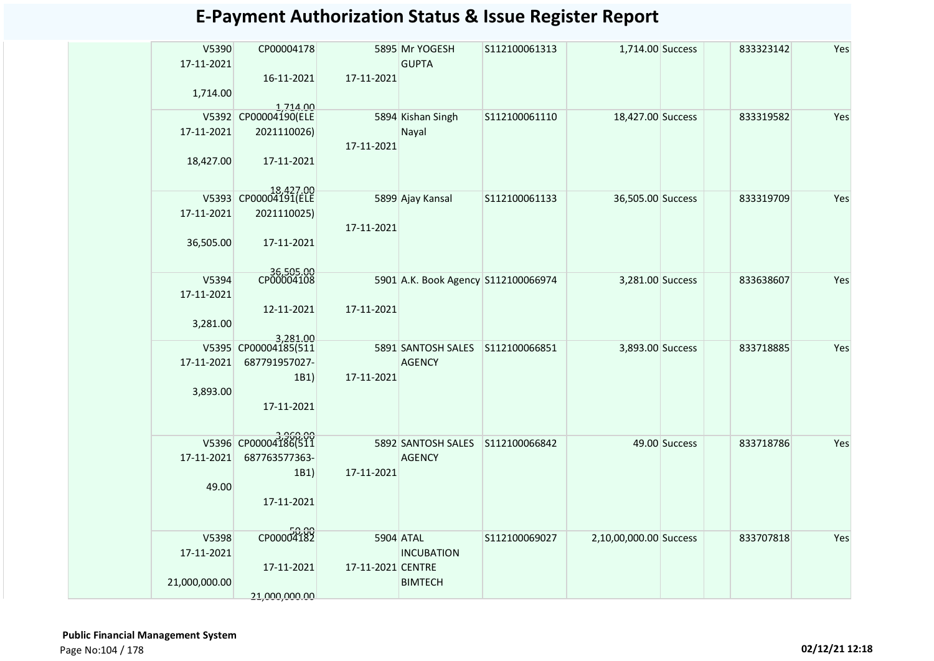| V5390<br>17-11-2021 | CP00004178                       |                   | 5895 Mr YOGESH<br><b>GUPTA</b>      | S112100061313 | 1,714.00 Success       |               | 833323142 | Yes |
|---------------------|----------------------------------|-------------------|-------------------------------------|---------------|------------------------|---------------|-----------|-----|
| 1,714.00            | 16-11-2021                       | 17-11-2021        |                                     |               |                        |               |           |     |
| V5392               | 1,714.00<br>CP00004190(ELE       |                   | 5894 Kishan Singh                   | S112100061110 | 18,427.00 Success      |               | 833319582 | Yes |
| 17-11-2021          | 2021110026)                      |                   | Nayal                               |               |                        |               |           |     |
|                     |                                  | 17-11-2021        |                                     |               |                        |               |           |     |
| 18,427.00           | 17-11-2021                       |                   |                                     |               |                        |               |           |     |
|                     | 18,427.00<br>CP00004191(ELE      |                   |                                     |               |                        |               |           |     |
| V5393               |                                  |                   | 5899 Ajay Kansal                    | S112100061133 | 36,505.00 Success      |               | 833319709 | Yes |
| 17-11-2021          | 2021110025)                      | 17-11-2021        |                                     |               |                        |               |           |     |
| 36,505.00           | 17-11-2021                       |                   |                                     |               |                        |               |           |     |
|                     | 36,505.00<br>CP00004108          |                   |                                     |               |                        |               |           |     |
| V5394               |                                  |                   | 5901 A.K. Book Agency S112100066974 |               | 3,281.00 Success       |               | 833638607 | Yes |
| 17-11-2021          |                                  |                   |                                     |               |                        |               |           |     |
|                     | 12-11-2021                       | 17-11-2021        |                                     |               |                        |               |           |     |
| 3,281.00            |                                  |                   |                                     |               |                        |               |           |     |
|                     | 3,281.00<br>V5395 CP00004185(511 |                   | 5891 SANTOSH SALES S112100066851    |               | 3,893.00 Success       |               | 833718885 | Yes |
| 17-11-2021          | 687791957027-                    |                   | <b>AGENCY</b>                       |               |                        |               |           |     |
|                     | 1B1)                             | 17-11-2021        |                                     |               |                        |               |           |     |
| 3,893.00            |                                  |                   |                                     |               |                        |               |           |     |
|                     | 17-11-2021                       |                   |                                     |               |                        |               |           |     |
|                     |                                  |                   |                                     |               |                        |               |           |     |
|                     | V5396 CP00004186(511             |                   | 5892 SANTOSH SALES S112100066842    |               |                        | 49.00 Success | 833718786 | Yes |
| 17-11-2021          | 687763577363-                    |                   | <b>AGENCY</b>                       |               |                        |               |           |     |
|                     | 1B1)                             | 17-11-2021        |                                     |               |                        |               |           |     |
| 49.00               |                                  |                   |                                     |               |                        |               |           |     |
|                     | 17-11-2021                       |                   |                                     |               |                        |               |           |     |
|                     |                                  |                   |                                     |               |                        |               |           |     |
| V5398               | CP00004182                       |                   | 5904 ATAL                           | S112100069027 | 2,10,00,000.00 Success |               | 833707818 | Yes |
| 17-11-2021          |                                  |                   | <b>INCUBATION</b>                   |               |                        |               |           |     |
|                     | 17-11-2021                       | 17-11-2021 CENTRE |                                     |               |                        |               |           |     |
| 21,000,000.00       |                                  |                   | <b>BIMTECH</b>                      |               |                        |               |           |     |
|                     | 21,000,000.00                    |                   |                                     |               |                        |               |           |     |
|                     |                                  |                   |                                     |               |                        |               |           |     |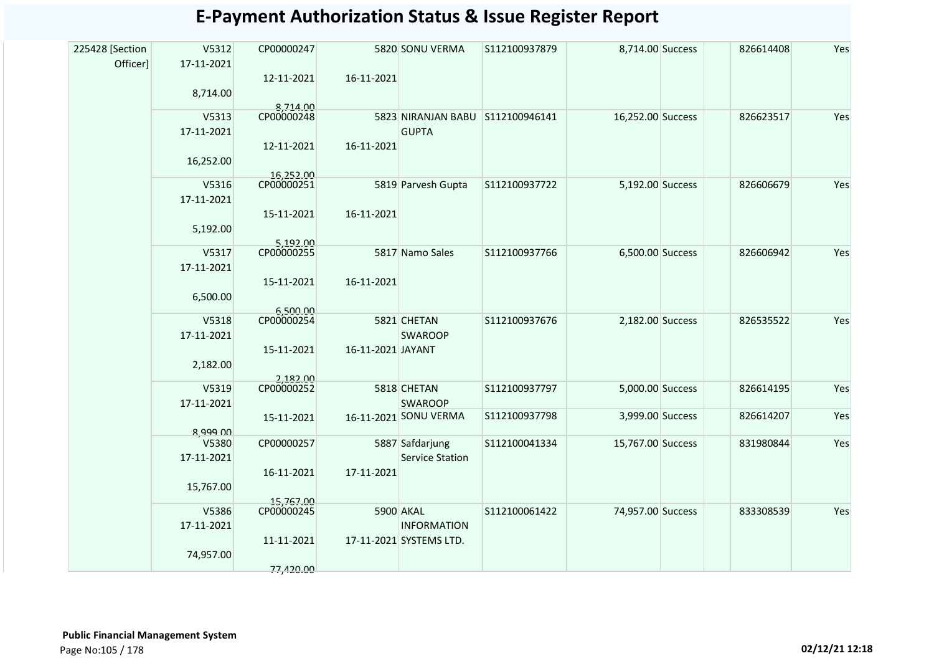| 225428 [Section | V5312               | CP00000247             |                   | 5820 SONU VERMA                         | S112100937879 | 8,714.00 Success  | 826614408 | Yes |
|-----------------|---------------------|------------------------|-------------------|-----------------------------------------|---------------|-------------------|-----------|-----|
| Officer]        | 17-11-2021          |                        |                   |                                         |               |                   |           |     |
|                 |                     | 12-11-2021             | 16-11-2021        |                                         |               |                   |           |     |
|                 | 8,714.00            |                        |                   |                                         |               |                   |           |     |
|                 | V5313               | 8,714.00<br>CP00000248 |                   | 5823 NIRANJAN BABU S112100946141        |               | 16,252.00 Success | 826623517 | Yes |
|                 | 17-11-2021          |                        |                   | <b>GUPTA</b>                            |               |                   |           |     |
|                 |                     | 12-11-2021             | 16-11-2021        |                                         |               |                   |           |     |
|                 | 16,252.00           |                        |                   |                                         |               |                   |           |     |
|                 |                     | 16,252.00              |                   |                                         |               |                   |           |     |
|                 | V5316               | CP00000251             |                   | 5819 Parvesh Gupta                      | S112100937722 | 5,192.00 Success  | 826606679 | Yes |
|                 | 17-11-2021          |                        |                   |                                         |               |                   |           |     |
|                 | 5,192.00            | 15-11-2021             | 16-11-2021        |                                         |               |                   |           |     |
|                 |                     | 5,192.00               |                   |                                         |               |                   |           |     |
|                 | V5317               | CP00000255             |                   | 5817 Namo Sales                         | S112100937766 | 6,500.00 Success  | 826606942 | Yes |
|                 | 17-11-2021          |                        |                   |                                         |               |                   |           |     |
|                 |                     | 15-11-2021             | 16-11-2021        |                                         |               |                   |           |     |
|                 | 6,500.00            |                        |                   |                                         |               |                   |           |     |
|                 | V5318               | 6,500.00<br>CP00000254 |                   | 5821 CHETAN                             | S112100937676 | 2,182.00 Success  | 826535522 | Yes |
|                 | 17-11-2021          |                        |                   | <b>SWAROOP</b>                          |               |                   |           |     |
|                 |                     | 15-11-2021             | 16-11-2021 JAYANT |                                         |               |                   |           |     |
|                 | 2,182.00            |                        |                   |                                         |               |                   |           |     |
|                 |                     | 2,182.00<br>CP00000252 |                   |                                         |               |                   |           |     |
|                 | V5319<br>17-11-2021 |                        |                   | 5818 CHETAN                             | S112100937797 | 5,000.00 Success  | 826614195 | Yes |
|                 |                     |                        |                   | <b>SWAROOP</b><br>16-11-2021 SONU VERMA | S112100937798 | 3,999.00 Success  | 826614207 | Yes |
|                 | 8,999.00            | 15-11-2021             |                   |                                         |               |                   |           |     |
|                 | V5380               | CP00000257             |                   | 5887 Safdarjung                         | S112100041334 | 15,767.00 Success | 831980844 | Yes |
|                 | 17-11-2021          |                        |                   | <b>Service Station</b>                  |               |                   |           |     |
|                 |                     | 16-11-2021             | 17-11-2021        |                                         |               |                   |           |     |
|                 | 15,767.00           |                        |                   |                                         |               |                   |           |     |
|                 |                     | 15,767.00              |                   |                                         |               |                   |           |     |
|                 | V5386<br>17-11-2021 | CP00000245             |                   | 5900 AKAL<br><b>INFORMATION</b>         | S112100061422 | 74,957.00 Success | 833308539 | Yes |
|                 |                     | 11-11-2021             |                   | 17-11-2021 SYSTEMS LTD.                 |               |                   |           |     |
|                 | 74,957.00           |                        |                   |                                         |               |                   |           |     |
|                 |                     | 77,420.00              |                   |                                         |               |                   |           |     |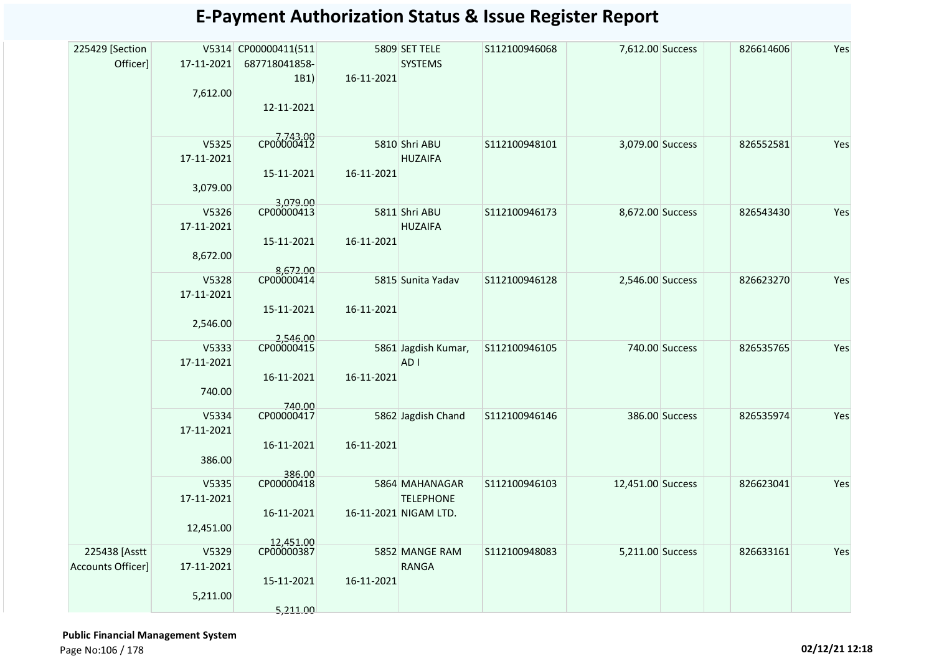| 225429 [Section   |            | V5314 CP00000411(511    |            | 5809 SET TELE         | S112100946068 | 7,612.00 Success  |                | 826614606 | Yes |
|-------------------|------------|-------------------------|------------|-----------------------|---------------|-------------------|----------------|-----------|-----|
| Officer]          | 17-11-2021 | 687718041858-           |            | <b>SYSTEMS</b>        |               |                   |                |           |     |
|                   |            | 1B1)                    | 16-11-2021 |                       |               |                   |                |           |     |
|                   | 7,612.00   |                         |            |                       |               |                   |                |           |     |
|                   |            | 12-11-2021              |            |                       |               |                   |                |           |     |
|                   |            |                         |            |                       |               |                   |                |           |     |
|                   | V5325      | CP00000412              |            | 5810 Shri ABU         | S112100948101 | 3,079.00 Success  |                | 826552581 | Yes |
|                   | 17-11-2021 |                         |            | <b>HUZAIFA</b>        |               |                   |                |           |     |
|                   | 3,079.00   | 15-11-2021              | 16-11-2021 |                       |               |                   |                |           |     |
|                   |            | 3,079.00                |            |                       |               |                   |                |           |     |
|                   | V5326      | CP00000413              |            | 5811 Shri ABU         | S112100946173 | 8,672.00 Success  |                | 826543430 | Yes |
|                   | 17-11-2021 |                         |            | <b>HUZAIFA</b>        |               |                   |                |           |     |
|                   |            | 15-11-2021              | 16-11-2021 |                       |               |                   |                |           |     |
|                   | 8,672.00   | 8,672.00                |            |                       |               |                   |                |           |     |
|                   | V5328      | CP00000414              |            | 5815 Sunita Yadav     | S112100946128 | 2,546.00 Success  |                | 826623270 | Yes |
|                   | 17-11-2021 |                         |            |                       |               |                   |                |           |     |
|                   | 2,546.00   | 15-11-2021              | 16-11-2021 |                       |               |                   |                |           |     |
|                   |            |                         |            |                       |               |                   |                |           |     |
|                   | V5333      | 2,546.00<br>CP00000415  |            | 5861 Jagdish Kumar,   | S112100946105 |                   | 740.00 Success | 826535765 | Yes |
|                   | 17-11-2021 |                         |            | AD <sub>1</sub>       |               |                   |                |           |     |
|                   |            | 16-11-2021              | 16-11-2021 |                       |               |                   |                |           |     |
|                   | 740.00     | 740.00                  |            |                       |               |                   |                |           |     |
|                   | V5334      | CP00000417              |            | 5862 Jagdish Chand    | S112100946146 |                   | 386.00 Success | 826535974 | Yes |
|                   | 17-11-2021 |                         |            |                       |               |                   |                |           |     |
|                   |            | 16-11-2021              | 16-11-2021 |                       |               |                   |                |           |     |
|                   | 386.00     | 386.00                  |            |                       |               |                   |                |           |     |
|                   | V5335      | CP00000418              |            | 5864 MAHANAGAR        | S112100946103 | 12,451.00 Success |                | 826623041 | Yes |
|                   | 17-11-2021 |                         |            | <b>TELEPHONE</b>      |               |                   |                |           |     |
|                   |            | 16-11-2021              |            | 16-11-2021 NIGAM LTD. |               |                   |                |           |     |
|                   | 12,451.00  |                         |            |                       |               |                   |                |           |     |
| 225438 [Asstt     | V5329      | 12.451.00<br>CP00000387 |            | 5852 MANGE RAM        | S112100948083 | 5,211.00 Success  |                | 826633161 | Yes |
| Accounts Officer] | 17-11-2021 |                         |            | <b>RANGA</b>          |               |                   |                |           |     |
|                   |            | 15-11-2021              | 16-11-2021 |                       |               |                   |                |           |     |
|                   | 5,211.00   |                         |            |                       |               |                   |                |           |     |
|                   |            | 5,211.00                |            |                       |               |                   |                |           |     |

 **Public Financial Management System**  Page No:106 / 178 **02/12/21 12:18**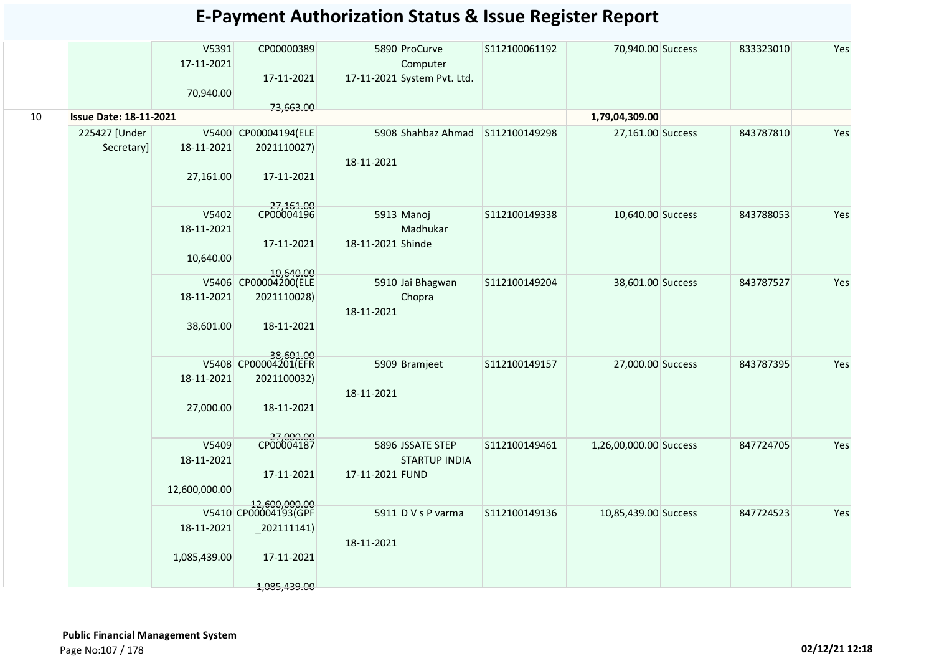|    |                               | V5391<br>17-11-2021<br>70,940.00 | CP00000389<br>17-11-2021          |                   | 5890 ProCurve<br>Computer<br>17-11-2021 System Pvt. Ltd. | S112100061192 | 70,940.00 Success      | 833323010 | Yes |
|----|-------------------------------|----------------------------------|-----------------------------------|-------------------|----------------------------------------------------------|---------------|------------------------|-----------|-----|
| 10 | <b>Issue Date: 18-11-2021</b> |                                  | 73,663.00                         |                   |                                                          |               |                        |           |     |
|    |                               |                                  |                                   |                   |                                                          |               | 1,79,04,309.00         |           |     |
|    | 225427 [Under                 |                                  | V5400 CP00004194(ELE              |                   | 5908 Shahbaz Ahmad                                       | S112100149298 | 27,161.00 Success      | 843787810 | Yes |
|    | Secretary]                    | 18-11-2021                       | 2021110027)                       |                   |                                                          |               |                        |           |     |
|    |                               | 27,161.00                        | 17-11-2021                        | 18-11-2021        |                                                          |               |                        |           |     |
|    |                               | V5402                            | 27,161.00<br>CP00004196           |                   | 5913 Manoj                                               | S112100149338 | 10,640.00 Success      | 843788053 | Yes |
|    |                               | 18-11-2021                       |                                   |                   | Madhukar                                                 |               |                        |           |     |
|    |                               |                                  | 17-11-2021                        | 18-11-2021 Shinde |                                                          |               |                        |           |     |
|    |                               | 10,640.00                        |                                   |                   |                                                          |               |                        |           |     |
|    |                               |                                  | 10,640.00                         |                   |                                                          |               |                        |           |     |
|    |                               |                                  | V5406 CP00004200(ELE              |                   | 5910 Jai Bhagwan                                         | S112100149204 | 38,601.00 Success      | 843787527 | Yes |
|    |                               | 18-11-2021                       | 2021110028)                       |                   | Chopra                                                   |               |                        |           |     |
|    |                               |                                  |                                   | 18-11-2021        |                                                          |               |                        |           |     |
|    |                               | 38,601.00                        | 18-11-2021                        |                   |                                                          |               |                        |           |     |
|    |                               |                                  | 38,601.00<br>V5408 CP00004201(EFR |                   |                                                          |               |                        |           |     |
|    |                               |                                  |                                   |                   | 5909 Bramjeet                                            | S112100149157 | 27,000.00 Success      | 843787395 | Yes |
|    |                               | 18-11-2021                       | 2021100032)                       |                   |                                                          |               |                        |           |     |
|    |                               | 27,000.00                        | 18-11-2021                        | 18-11-2021        |                                                          |               |                        |           |     |
|    |                               |                                  | 27,000.00<br>CP00004187           |                   |                                                          |               |                        |           |     |
|    |                               | V5409                            |                                   |                   | 5896 JSSATE STEP                                         | S112100149461 | 1,26,00,000.00 Success | 847724705 | Yes |
|    |                               | 18-11-2021                       |                                   |                   | <b>STARTUP INDIA</b>                                     |               |                        |           |     |
|    |                               |                                  | 17-11-2021                        | 17-11-2021 FUND   |                                                          |               |                        |           |     |
|    |                               | 12,600,000.00                    | 12,600,000,00                     |                   |                                                          |               |                        |           |     |
|    |                               |                                  | V5410 CP00004193(GPF              |                   | 5911 D V s P varma                                       | S112100149136 | 10,85,439.00 Success   | 847724523 | Yes |
|    |                               | 18-11-2021                       | $_2$ 202111141)                   |                   |                                                          |               |                        |           |     |
|    |                               |                                  |                                   | 18-11-2021        |                                                          |               |                        |           |     |
|    |                               | 1,085,439.00                     | 17-11-2021                        |                   |                                                          |               |                        |           |     |
|    |                               |                                  |                                   |                   |                                                          |               |                        |           |     |
|    |                               |                                  | 1,085,439.00                      |                   |                                                          |               |                        |           |     |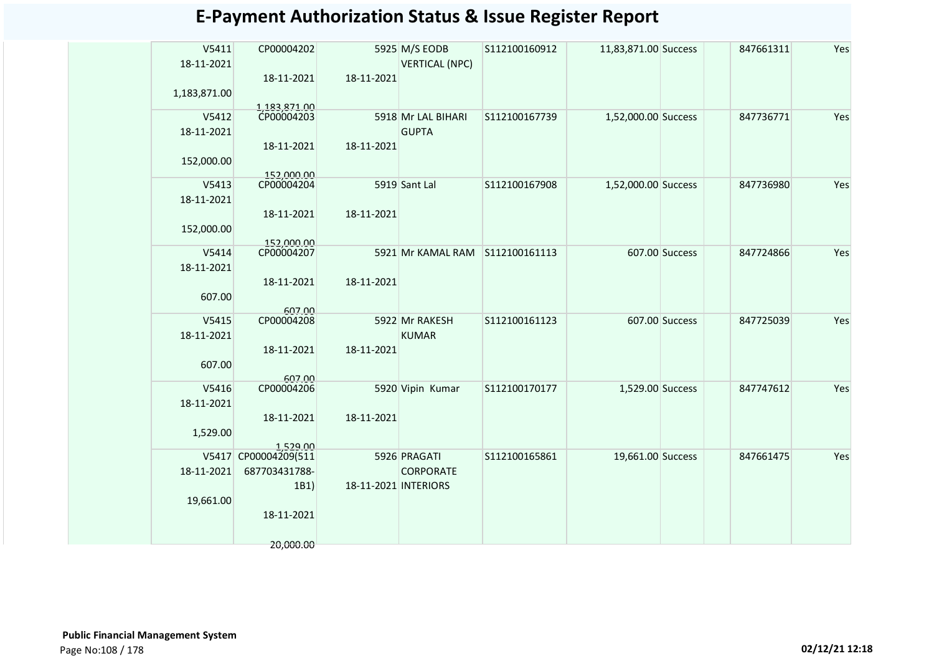| V5411<br>18-11-2021 | CP00004202                 |                      | 5925 M/S EODB<br><b>VERTICAL (NPC)</b> | S112100160912 | 11,83,871.00 Success |                | 847661311 | Yes |
|---------------------|----------------------------|----------------------|----------------------------------------|---------------|----------------------|----------------|-----------|-----|
|                     | 18-11-2021                 | 18-11-2021           |                                        |               |                      |                |           |     |
| 1,183,871.00        |                            |                      |                                        |               |                      |                |           |     |
|                     | 1,183,871.00<br>CP00004203 |                      |                                        |               |                      |                |           |     |
| V5412               |                            |                      | 5918 Mr LAL BIHARI                     | S112100167739 | 1,52,000.00 Success  |                | 847736771 | Yes |
| 18-11-2021          |                            |                      | <b>GUPTA</b>                           |               |                      |                |           |     |
|                     | 18-11-2021                 | 18-11-2021           |                                        |               |                      |                |           |     |
| 152,000.00          | 152,000.00                 |                      |                                        |               |                      |                |           |     |
| V5413               | CP00004204                 |                      | 5919 Sant Lal                          | S112100167908 | 1,52,000.00 Success  |                | 847736980 | Yes |
| 18-11-2021          |                            |                      |                                        |               |                      |                |           |     |
|                     | 18-11-2021                 | 18-11-2021           |                                        |               |                      |                |           |     |
| 152,000.00          |                            |                      |                                        |               |                      |                |           |     |
|                     | 152,000.00                 |                      |                                        |               |                      |                |           |     |
| V5414               | CP00004207                 |                      | 5921 Mr KAMAL RAM                      | S112100161113 |                      | 607.00 Success | 847724866 | Yes |
| 18-11-2021          |                            |                      |                                        |               |                      |                |           |     |
|                     | 18-11-2021                 | 18-11-2021           |                                        |               |                      |                |           |     |
| 607.00              |                            |                      |                                        |               |                      |                |           |     |
| V5415               | 607.00<br>CP00004208       |                      | 5922 Mr RAKESH                         | S112100161123 |                      | 607.00 Success | 847725039 | Yes |
| 18-11-2021          |                            |                      | <b>KUMAR</b>                           |               |                      |                |           |     |
|                     | 18-11-2021                 | 18-11-2021           |                                        |               |                      |                |           |     |
| 607.00              |                            |                      |                                        |               |                      |                |           |     |
|                     | 607.00                     |                      |                                        |               |                      |                |           |     |
| V5416               | CP00004206                 |                      | 5920 Vipin Kumar                       | S112100170177 | 1,529.00 Success     |                | 847747612 | Yes |
| 18-11-2021          | 18-11-2021                 | 18-11-2021           |                                        |               |                      |                |           |     |
| 1,529.00            |                            |                      |                                        |               |                      |                |           |     |
|                     | 1520 nn                    |                      |                                        |               |                      |                |           |     |
|                     | V5417 CP00004209(511       |                      | 5926 PRAGATI                           | S112100165861 | 19,661.00 Success    |                | 847661475 | Yes |
| 18-11-2021          | 687703431788-              |                      | <b>CORPORATE</b>                       |               |                      |                |           |     |
|                     | 1B1)                       | 18-11-2021 INTERIORS |                                        |               |                      |                |           |     |
| 19,661.00           |                            |                      |                                        |               |                      |                |           |     |
|                     | 18-11-2021                 |                      |                                        |               |                      |                |           |     |
|                     |                            |                      |                                        |               |                      |                |           |     |
|                     | 20,000.00                  |                      |                                        |               |                      |                |           |     |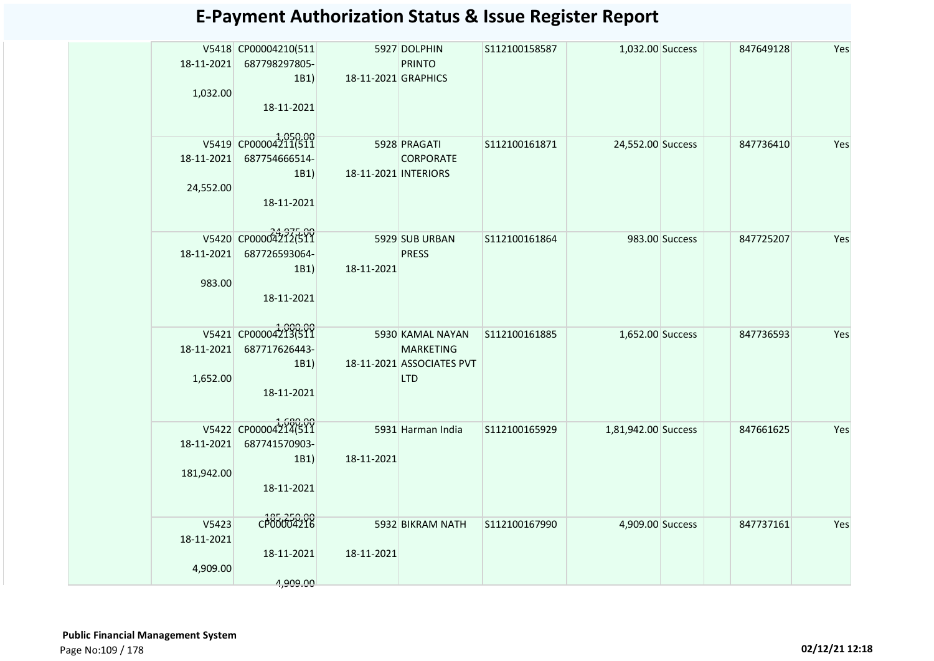| 18-11-2021<br>1,032.00          | V5418 CP00004210(511<br>687798297805-<br>1B1)<br>18-11-2021 | 18-11-2021 GRAPHICS  | 5927 DOLPHIN<br><b>PRINTO</b>                                                   | S112100158587 | 1,032.00 Success    |                | 847649128 | Yes |
|---------------------------------|-------------------------------------------------------------|----------------------|---------------------------------------------------------------------------------|---------------|---------------------|----------------|-----------|-----|
| 18-11-2021<br>24,552.00         | V5419 CP00004211(511<br>687754666514-<br>1B1)<br>18-11-2021 | 18-11-2021 INTERIORS | 5928 PRAGATI<br><b>CORPORATE</b>                                                | S112100161871 | 24,552.00 Success   |                | 847736410 | Yes |
| 18-11-2021<br>983.00            | V5420 CP00004212(511<br>687726593064-<br>1B1)<br>18-11-2021 | 18-11-2021           | 5929 SUB URBAN<br><b>PRESS</b>                                                  | S112100161864 |                     | 983.00 Success | 847725207 | Yes |
| 18-11-2021<br>1,652.00          | V5421 CP00004213(511<br>687717626443-<br>1B1)<br>18-11-2021 |                      | 5930 KAMAL NAYAN<br><b>MARKETING</b><br>18-11-2021 ASSOCIATES PVT<br><b>LTD</b> | S112100161885 | 1,652.00 Success    |                | 847736593 | Yes |
| 18-11-2021<br>181,942.00        | V5422 CP00004214(511<br>687741570903-<br>1B1)<br>18-11-2021 | 18-11-2021           | 5931 Harman India                                                               | S112100165929 | 1,81,942.00 Success |                | 847661625 | Yes |
| V5423<br>18-11-2021<br>4,909.00 | CP00004216<br>18-11-2021<br>4,909.00                        | 18-11-2021           | 5932 BIKRAM NATH                                                                | S112100167990 | 4,909.00 Success    |                | 847737161 | Yes |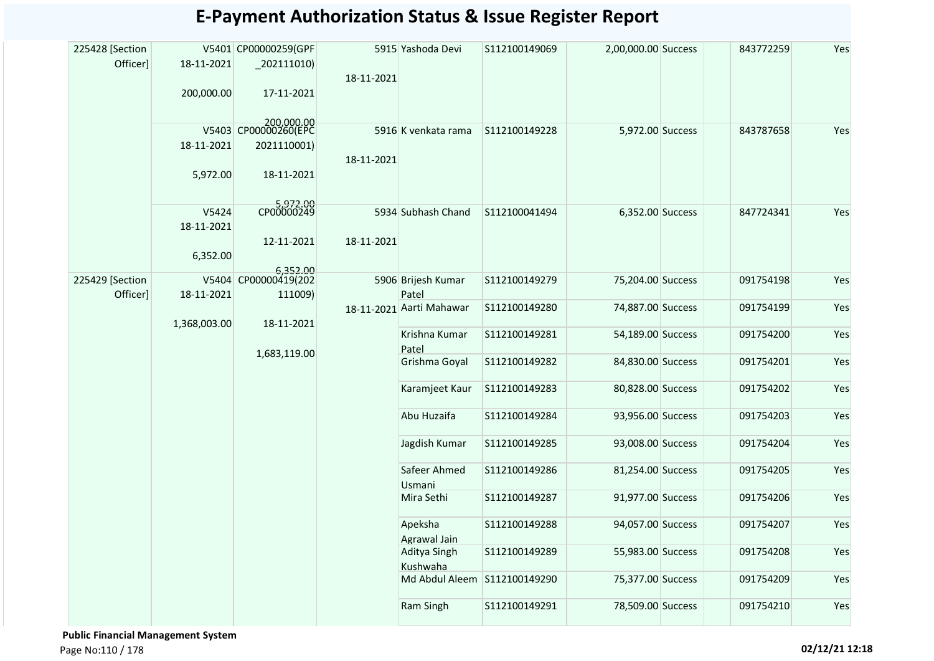| 225428 [Section<br>Officer] | 18-11-2021          | V5401 CP00000259(GPF<br>$_202111010$ | 18-11-2021    | 5915 Yashoda Devi            | S112100149069     | 2,00,000.00 Success | 843772259 | Yes |
|-----------------------------|---------------------|--------------------------------------|---------------|------------------------------|-------------------|---------------------|-----------|-----|
|                             | 200,000.00          | 17-11-2021                           |               |                              |                   |                     |           |     |
|                             | 18-11-2021          | 200,000.00<br>2021110001)            |               | 5916 K venkata rama          | S112100149228     | 5,972.00 Success    | 843787658 | Yes |
|                             |                     |                                      | 18-11-2021    |                              |                   |                     |           |     |
|                             | 5,972.00            | 18-11-2021                           |               |                              |                   |                     |           |     |
|                             | V5424<br>18-11-2021 | 5,972.00<br>CP00000249               |               | 5934 Subhash Chand           | S112100041494     | 6,352.00 Success    | 847724341 | Yes |
|                             |                     | 12-11-2021                           | 18-11-2021    |                              |                   |                     |           |     |
|                             | 6,352.00            | 6,352.00                             |               |                              |                   |                     |           |     |
| 225429 [Section<br>Officer] | 18-11-2021          | V5404 CP00000419(202<br>111009)      |               | 5906 Brijesh Kumar<br>Patel  | S112100149279     | 75,204.00 Success   | 091754198 | Yes |
|                             | 1,368,003.00        | 18-11-2021                           |               | 18-11-2021 Aarti Mahawar     | S112100149280     | 74,887.00 Success   | 091754199 | Yes |
|                             | 1,683,119.00        |                                      |               | Krishna Kumar<br>Patel       | S112100149281     | 54,189.00 Success   | 091754200 | Yes |
|                             |                     |                                      | Grishma Goyal | S112100149282                | 84,830.00 Success | 091754201           | Yes       |     |
|                             |                     |                                      |               | Karamjeet Kaur               | S112100149283     | 80,828.00 Success   | 091754202 | Yes |
|                             |                     |                                      |               | Abu Huzaifa                  | S112100149284     | 93,956.00 Success   | 091754203 | Yes |
|                             |                     |                                      |               | Jagdish Kumar                | S112100149285     | 93,008.00 Success   | 091754204 | Yes |
|                             |                     |                                      |               | Safeer Ahmed<br>Usmani       | S112100149286     | 81,254.00 Success   | 091754205 | Yes |
|                             |                     |                                      |               | Mira Sethi                   | S112100149287     | 91,977.00 Success   | 091754206 | Yes |
|                             |                     |                                      |               | Apeksha<br>Agrawal Jain      | S112100149288     | 94,057.00 Success   | 091754207 | Yes |
|                             |                     |                                      |               | Aditya Singh<br>Kushwaha     | S112100149289     | 55,983.00 Success   | 091754208 | Yes |
|                             |                     |                                      |               | Md Abdul Aleem S112100149290 |                   | 75,377.00 Success   | 091754209 | Yes |
|                             |                     |                                      |               | Ram Singh                    | S112100149291     | 78,509.00 Success   | 091754210 | Yes |

 **Public Financial Management System**  Page No:110 / 178 **02/12/21 12:18**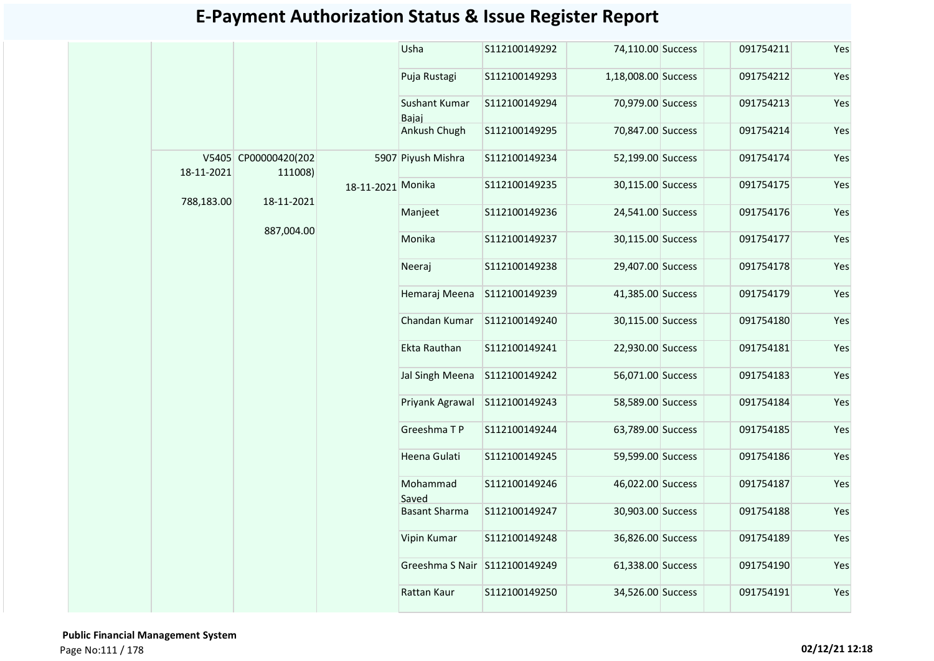|            |                                 |                   | Usha                          | S112100149292 | 74,110.00 Success   | 091754211 | Yes |
|------------|---------------------------------|-------------------|-------------------------------|---------------|---------------------|-----------|-----|
|            |                                 |                   | Puja Rustagi                  | S112100149293 | 1,18,008.00 Success | 091754212 | Yes |
|            |                                 |                   | Sushant Kumar<br>Baiai        | S112100149294 | 70,979.00 Success   | 091754213 | Yes |
|            |                                 |                   | Ankush Chugh                  | S112100149295 | 70,847.00 Success   | 091754214 | Yes |
| 18-11-2021 | V5405 CP00000420(202<br>111008) |                   | 5907 Piyush Mishra            | S112100149234 | 52,199.00 Success   | 091754174 | Yes |
|            |                                 | 18-11-2021 Monika |                               | S112100149235 | 30,115.00 Success   | 091754175 | Yes |
| 788,183.00 | 18-11-2021                      |                   | Manjeet                       | S112100149236 | 24,541.00 Success   | 091754176 | Yes |
|            | 887,004.00                      |                   | Monika                        | S112100149237 | 30,115.00 Success   | 091754177 | Yes |
|            |                                 |                   | Neeraj                        | S112100149238 | 29,407.00 Success   | 091754178 | Yes |
|            |                                 |                   | Hemaraj Meena                 | S112100149239 | 41,385.00 Success   | 091754179 | Yes |
|            |                                 |                   | Chandan Kumar                 | S112100149240 | 30,115.00 Success   | 091754180 | Yes |
|            |                                 |                   | Ekta Rauthan                  | S112100149241 | 22,930.00 Success   | 091754181 | Yes |
|            |                                 |                   | Jal Singh Meena               | S112100149242 | 56,071.00 Success   | 091754183 | Yes |
|            |                                 |                   | Priyank Agrawal               | S112100149243 | 58,589.00 Success   | 091754184 | Yes |
|            |                                 |                   | Greeshma TP                   | S112100149244 | 63,789.00 Success   | 091754185 | Yes |
|            |                                 |                   | Heena Gulati                  | S112100149245 | 59,599.00 Success   | 091754186 | Yes |
|            |                                 |                   | Mohammad<br>Saved             | S112100149246 | 46,022.00 Success   | 091754187 | Yes |
|            |                                 |                   | <b>Basant Sharma</b>          | S112100149247 | 30,903.00 Success   | 091754188 | Yes |
|            |                                 |                   | Vipin Kumar                   | S112100149248 | 36,826.00 Success   | 091754189 | Yes |
|            |                                 |                   | Greeshma S Nair S112100149249 |               | 61,338.00 Success   | 091754190 | Yes |
|            |                                 |                   | Rattan Kaur                   | S112100149250 | 34,526.00 Success   | 091754191 | Yes |
|            |                                 |                   |                               |               |                     |           |     |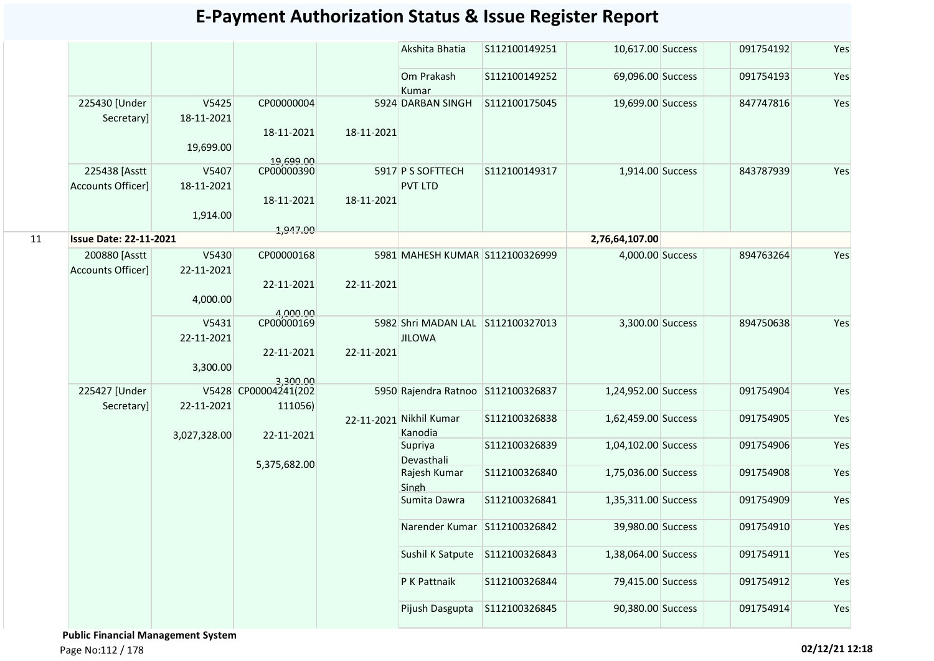|    |                                           |                     |                                             |            | Akshita Bhatia                      | S112100149251 | 10,617.00 Success   | 091754192 | Yes |
|----|-------------------------------------------|---------------------|---------------------------------------------|------------|-------------------------------------|---------------|---------------------|-----------|-----|
|    |                                           |                     |                                             |            | Om Prakash<br>Kumar                 | S112100149252 | 69,096.00 Success   | 091754193 | Yes |
|    | 225430 [Under<br>Secretary]               | V5425<br>18-11-2021 | CP00000004                                  |            | 5924 DARBAN SINGH                   | S112100175045 | 19,699.00 Success   | 847747816 | Yes |
|    |                                           | 19,699.00           | 18-11-2021<br>19,699.00                     | 18-11-2021 |                                     |               |                     |           |     |
|    | 225438 [Asstt<br><b>Accounts Officer]</b> | V5407<br>18-11-2021 | CP00000390                                  |            | 5917 P S SOFTTECH<br><b>PVT LTD</b> | S112100149317 | 1,914.00 Success    | 843787939 | Yes |
|    |                                           | 1,914.00            | 18-11-2021                                  | 18-11-2021 |                                     |               |                     |           |     |
| 11 | <b>Issue Date: 22-11-2021</b>             |                     | 1,947.00                                    |            |                                     |               | 2,76,64,107.00      |           |     |
|    | 200880 [Asstt                             | V5430               | CP00000168                                  |            | 5981 MAHESH KUMAR S112100326999     |               | 4,000.00 Success    | 894763264 | Yes |
|    | <b>Accounts Officer]</b>                  | 22-11-2021          | 22-11-2021                                  | 22-11-2021 |                                     |               |                     |           |     |
|    |                                           | 4,000.00            | 4,000.00                                    |            |                                     |               |                     |           |     |
|    |                                           | V5431               | CP00000169                                  |            | 5982 Shri MADAN LAL S112100327013   |               | 3,300.00 Success    | 894750638 | Yes |
|    |                                           | 22-11-2021          |                                             |            | <b>JILOWA</b>                       |               |                     |           |     |
|    |                                           | 3,300.00            | 22-11-2021                                  | 22-11-2021 |                                     |               |                     |           |     |
|    | 225427 [Under<br>Secretary]               | 22-11-2021          | 3,300.00<br>V5428 CP00004241(202<br>111056) |            | 5950 Rajendra Ratnoo S112100326837  |               | 1,24,952.00 Success | 091754904 | Yes |
|    |                                           | 3,027,328.00        | 22-11-2021                                  |            | 22-11-2021 Nikhil Kumar<br>Kanodia  | S112100326838 | 1,62,459.00 Success | 091754905 | Yes |
|    |                                           |                     | 5,375,682.00                                |            | Supriya<br>Devasthali               | S112100326839 | 1,04,102.00 Success | 091754906 | Yes |
|    |                                           |                     |                                             |            | Rajesh Kumar<br>Singh               | S112100326840 | 1,75,036.00 Success | 091754908 | Yes |
|    |                                           |                     |                                             |            | Sumita Dawra                        | S112100326841 | 1,35,311.00 Success | 091754909 | Yes |
|    |                                           |                     |                                             |            | Narender Kumar S112100326842        |               | 39,980.00 Success   | 091754910 | Yes |
|    |                                           |                     |                                             |            | Sushil K Satpute                    | S112100326843 | 1,38,064.00 Success | 091754911 | Yes |
|    |                                           |                     |                                             |            | P K Pattnaik                        | S112100326844 | 79,415.00 Success   | 091754912 | Yes |
|    |                                           |                     |                                             |            | Pijush Dasgupta                     | S112100326845 | 90,380.00 Success   | 091754914 | Yes |

 **Public Financial Management System**  Page No:112 / 178 **02/12/21 12:18**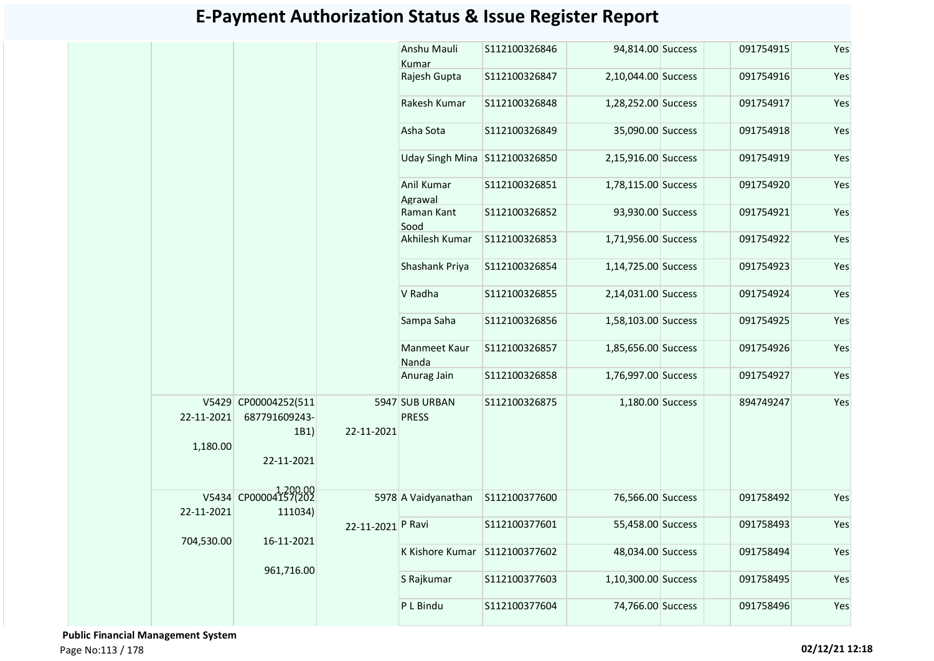|            |                                               |                   | Anshu Mauli<br>Kumar           | S112100326846  | 94,814.00 Success   | 091754915 | Yes |
|------------|-----------------------------------------------|-------------------|--------------------------------|----------------|---------------------|-----------|-----|
|            |                                               |                   | Rajesh Gupta                   | S112100326847  | 2,10,044.00 Success | 091754916 | Yes |
|            |                                               |                   | Rakesh Kumar                   | S112100326848  | 1,28,252.00 Success | 091754917 | Yes |
|            |                                               |                   | Asha Sota                      | S112100326849  | 35,090.00 Success   | 091754918 | Yes |
|            |                                               |                   | Uday Singh Mina S112100326850  |                | 2,15,916.00 Success | 091754919 | Yes |
|            |                                               |                   | Anil Kumar<br>Agrawal          | S112100326851  | 1,78,115.00 Success | 091754920 | Yes |
|            |                                               |                   | Raman Kant<br>Sood             | S112100326852  | 93,930.00 Success   | 091754921 | Yes |
|            |                                               |                   | Akhilesh Kumar                 | S112100326853  | 1,71,956.00 Success | 091754922 | Yes |
|            |                                               |                   | Shashank Priya                 | S112100326854  | 1,14,725.00 Success | 091754923 | Yes |
|            |                                               |                   | V Radha                        | S112100326855  | 2,14,031.00 Success | 091754924 | Yes |
|            |                                               |                   | Sampa Saha                     | S112100326856  | 1,58,103.00 Success | 091754925 | Yes |
|            |                                               |                   | Manmeet Kaur<br>Nanda          | S112100326857  | 1,85,656.00 Success | 091754926 | Yes |
|            |                                               |                   | Anurag Jain                    | \$112100326858 | 1,76,997.00 Success | 091754927 | Yes |
| 22-11-2021 | V5429 CP00004252(511<br>687791609243-<br>1B1) | 22-11-2021        | 5947 SUB URBAN<br><b>PRESS</b> | S112100326875  | 1,180.00 Success    | 894749247 | Yes |
| 1,180.00   | 22-11-2021                                    |                   |                                |                |                     |           |     |
| 22-11-2021 | V5434 CP00004157(202<br>111034)               |                   | 5978 A Vaidyanathan            | S112100377600  | 76,566.00 Success   | 091758492 | Yes |
|            |                                               | 22-11-2021 P Ravi |                                | S112100377601  | 55,458.00 Success   | 091758493 | Yes |
| 704,530.00 | 16-11-2021                                    |                   | K Kishore Kumar                | S112100377602  | 48,034.00 Success   | 091758494 | Yes |
|            | 961,716.00                                    |                   | S Rajkumar                     | S112100377603  | 1,10,300.00 Success | 091758495 | Yes |
|            |                                               |                   | P L Bindu                      | S112100377604  | 74,766.00 Success   | 091758496 | Yes |
|            |                                               |                   |                                |                |                     |           |     |

 **Public Financial Management System**  Page No:113 / 178 **02/12/21 12:18**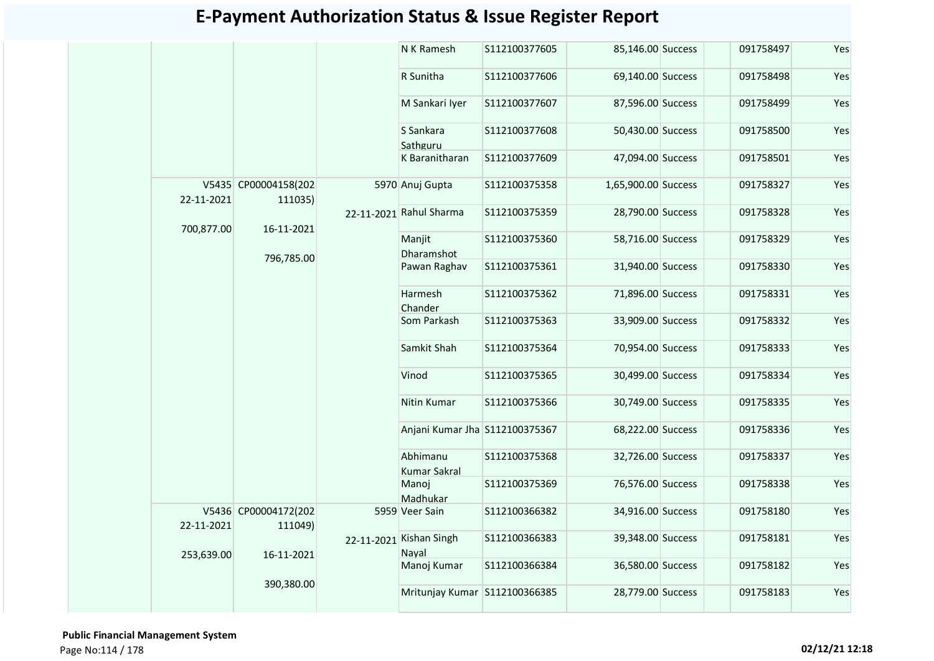|            |                                 | N K Ramesh                       | S112100377605 | 85,146.00 Success   | 091758497 | Yes |
|------------|---------------------------------|----------------------------------|---------------|---------------------|-----------|-----|
|            |                                 | R Sunitha                        | S112100377606 | 69,140.00 Success   | 091758498 | Yes |
|            |                                 | M Sankari Iyer                   | S112100377607 | 87,596.00 Success   | 091758499 | Yes |
|            |                                 | S Sankara<br>Sathguru            | S112100377608 | 50,430.00 Success   | 091758500 | Yes |
|            |                                 | K Baranitharan                   | S112100377609 | 47,094.00 Success   | 091758501 | Yes |
| 22-11-2021 | V5435 CP00004158(202<br>111035) | 5970 Anuj Gupta                  | S112100375358 | 1,65,900.00 Success | 091758327 | Yes |
| 700,877.00 | 16-11-2021                      | 22-11-2021 Rahul Sharma          | S112100375359 | 28,790.00 Success   | 091758328 | Yes |
|            |                                 | Manjit<br>Dharamshot             | S112100375360 | 58,716.00 Success   | 091758329 | Yes |
|            | 796,785.00                      | Pawan Raghav                     | S112100375361 | 31,940.00 Success   | 091758330 | Yes |
|            |                                 | Harmesh<br>Chander               | S112100375362 | 71,896.00 Success   | 091758331 | Yes |
|            |                                 | Som Parkash                      | S112100375363 | 33,909.00 Success   | 091758332 | Yes |
|            |                                 | Samkit Shah                      | S112100375364 | 70,954.00 Success   | 091758333 | Yes |
|            |                                 | Vinod                            | S112100375365 | 30,499.00 Success   | 091758334 | Yes |
|            |                                 | Nitin Kumar                      | S112100375366 | 30,749.00 Success   | 091758335 | Yes |
|            |                                 | Anjani Kumar Jha S112100375367   |               | 68,222.00 Success   | 091758336 | Yes |
|            |                                 | Abhimanu<br>Kumar Sakral         | S112100375368 | 32,726.00 Success   | 091758337 | Yes |
|            |                                 | Manoj<br>Madhukar                | S112100375369 | 76,576.00 Success   | 091758338 | Yes |
| 22-11-2021 | V5436 CP00004172(202<br>111049) | 5959 Veer Sain                   | S112100366382 | 34,916.00 Success   | 091758180 | Yes |
| 253,639.00 | 16-11-2021                      | 22-11-2021 Kishan Singh<br>Nayal | S112100366383 | 39,348.00 Success   | 091758181 | Yes |
|            |                                 | Manoj Kumar                      | S112100366384 | 36,580.00 Success   | 091758182 | Yes |
|            | 390,380.00                      | Mritunjay Kumar S112100366385    |               | 28,779.00 Success   | 091758183 | Yes |

 **Public Financial Management System**  Page No:114 / 178 **02/12/21 12:18**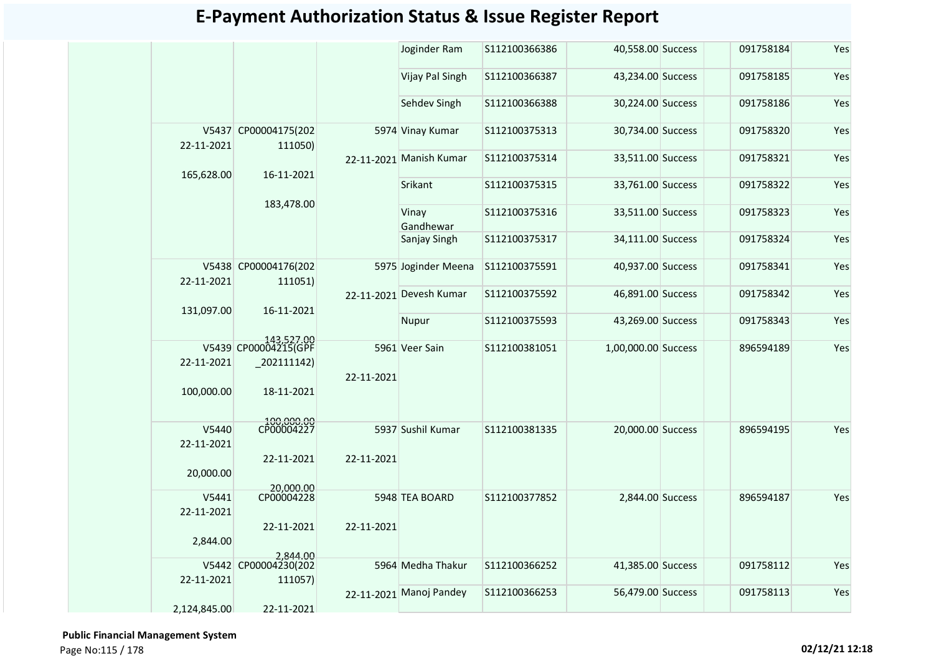|                         |                                    |            | Joginder Ram            | S112100366386 | 40,558.00 Success   | 091758184 | Yes |
|-------------------------|------------------------------------|------------|-------------------------|---------------|---------------------|-----------|-----|
|                         |                                    |            | Vijay Pal Singh         | S112100366387 | 43,234.00 Success   | 091758185 | Yes |
|                         |                                    |            | Sehdev Singh            | S112100366388 | 30,224.00 Success   | 091758186 | Yes |
| 22-11-2021              | V5437 CP00004175(202<br>111050)    |            | 5974 Vinay Kumar        | S112100375313 | 30,734.00 Success   | 091758320 | Yes |
| 165,628.00              | 16-11-2021                         |            | 22-11-2021 Manish Kumar | S112100375314 | 33,511.00 Success   | 091758321 | Yes |
|                         |                                    |            | Srikant                 | S112100375315 | 33,761.00 Success   | 091758322 | Yes |
|                         | 183,478.00                         |            | Vinay<br>Gandhewar      | S112100375316 | 33,511.00 Success   | 091758323 | Yes |
|                         |                                    |            | Sanjay Singh            | S112100375317 | 34,111.00 Success   | 091758324 | Yes |
| 22-11-2021              | V5438 CP00004176(202<br>111051)    |            | 5975 Joginder Meena     | S112100375591 | 40,937.00 Success   | 091758341 | Yes |
|                         |                                    |            | 22-11-2021 Devesh Kumar | S112100375592 | 46,891.00 Success   | 091758342 | Yes |
| 131,097.00              | 16-11-2021                         |            | Nupur                   | S112100375593 | 43,269.00 Success   | 091758343 | Yes |
|                         | 143,527.00<br>V5439 CP00004215(GPF |            | 5961 Veer Sain          | S112100381051 | 1,00,000.00 Success | 896594189 | Yes |
| 22-11-2021              | $_2$ 02111142)                     | 22-11-2021 |                         |               |                     |           |     |
| 100,000.00              | 18-11-2021                         |            |                         |               |                     |           |     |
| V5440                   | 100,000.00<br>CP00004227           |            | 5937 Sushil Kumar       | S112100381335 | 20,000.00 Success   | 896594195 | Yes |
| 22-11-2021<br>20,000.00 | 22-11-2021                         | 22-11-2021 |                         |               |                     |           |     |
|                         | 20,000.00<br>CP00004228            |            | 5948 TEA BOARD          |               |                     |           |     |
| V5441<br>22-11-2021     |                                    |            |                         | S112100377852 | 2,844.00 Success    | 896594187 | Yes |
| 2,844.00                | 22-11-2021<br>2.844.00             | 22-11-2021 |                         |               |                     |           |     |
| V5442                   | CP00004230(202                     |            | 5964 Medha Thakur       | S112100366252 | 41,385.00 Success   | 091758112 | Yes |
| 22-11-2021              | 111057)                            |            | 22-11-2021 Manoj Pandey | S112100366253 | 56,479.00 Success   | 091758113 | Yes |
| 2,124,845.00            | 22-11-2021                         |            |                         |               |                     |           |     |

 **Public Financial Management System**  Page No:115 / 178 **02/12/21 12:18**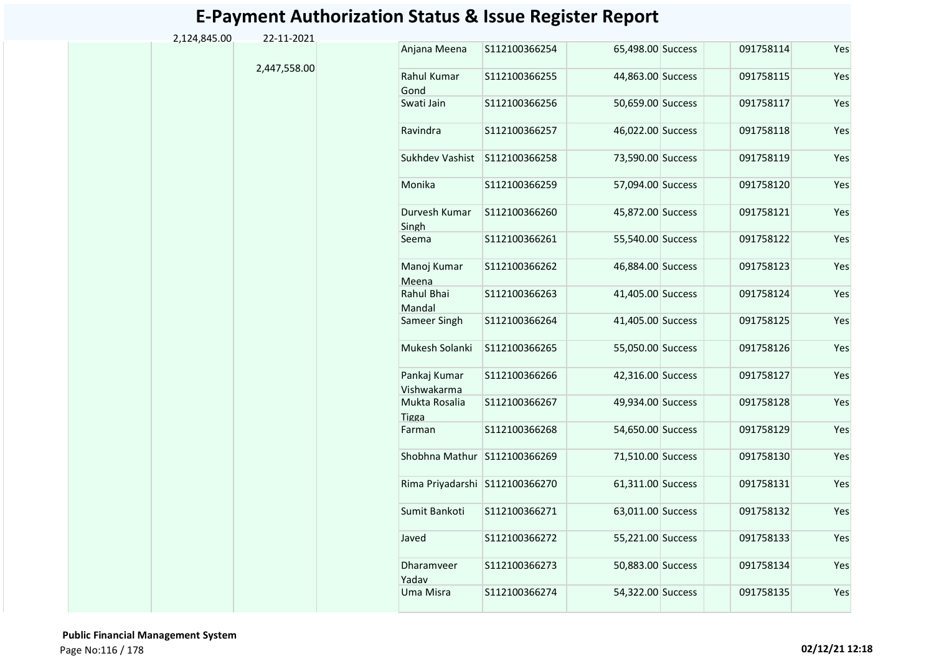| 2,124,845.00 | 22-11-2021   |                                |                |                   |           |     |
|--------------|--------------|--------------------------------|----------------|-------------------|-----------|-----|
|              |              | Anjana Meena                   | S112100366254  | 65,498.00 Success | 091758114 | Yes |
|              | 2,447,558.00 | Rahul Kumar<br>Gond            | S112100366255  | 44,863.00 Success | 091758115 | Yes |
|              |              | Swati Jain                     | S112100366256  | 50,659.00 Success | 091758117 | Yes |
|              |              | Ravindra                       | S112100366257  | 46,022.00 Success | 091758118 | Yes |
|              |              | Sukhdev Vashist                | S112100366258  | 73,590.00 Success | 091758119 | Yes |
|              |              | Monika                         | S112100366259  | 57,094.00 Success | 091758120 | Yes |
|              |              | Durvesh Kumar<br>Singh         | \$112100366260 | 45,872.00 Success | 091758121 | Yes |
|              |              | Seema                          | S112100366261  | 55,540.00 Success | 091758122 | Yes |
|              |              | Manoj Kumar<br>Meena           | S112100366262  | 46,884.00 Success | 091758123 | Yes |
|              |              | Rahul Bhai<br>Mandal           | S112100366263  | 41,405.00 Success | 091758124 | Yes |
|              |              | Sameer Singh                   | S112100366264  | 41,405.00 Success | 091758125 | Yes |
|              |              | Mukesh Solanki                 | S112100366265  | 55,050.00 Success | 091758126 | Yes |
|              |              | Pankaj Kumar<br>Vishwakarma    | S112100366266  | 42,316.00 Success | 091758127 | Yes |
|              |              | Mukta Rosalia<br><b>Tigga</b>  | S112100366267  | 49,934.00 Success | 091758128 | Yes |
|              |              | Farman                         | S112100366268  | 54,650.00 Success | 091758129 | Yes |
|              |              | Shobhna Mathur S112100366269   |                | 71,510.00 Success | 091758130 | Yes |
|              |              | Rima Priyadarshi S112100366270 |                | 61,311.00 Success | 091758131 | Yes |
|              |              | Sumit Bankoti                  | S112100366271  | 63,011.00 Success | 091758132 | Yes |
|              |              | Javed                          | S112100366272  | 55,221.00 Success | 091758133 | Yes |
|              |              | Dharamveer<br>Yadav            | S112100366273  | 50,883.00 Success | 091758134 | Yes |
|              |              | Uma Misra                      | S112100366274  | 54,322.00 Success | 091758135 | Yes |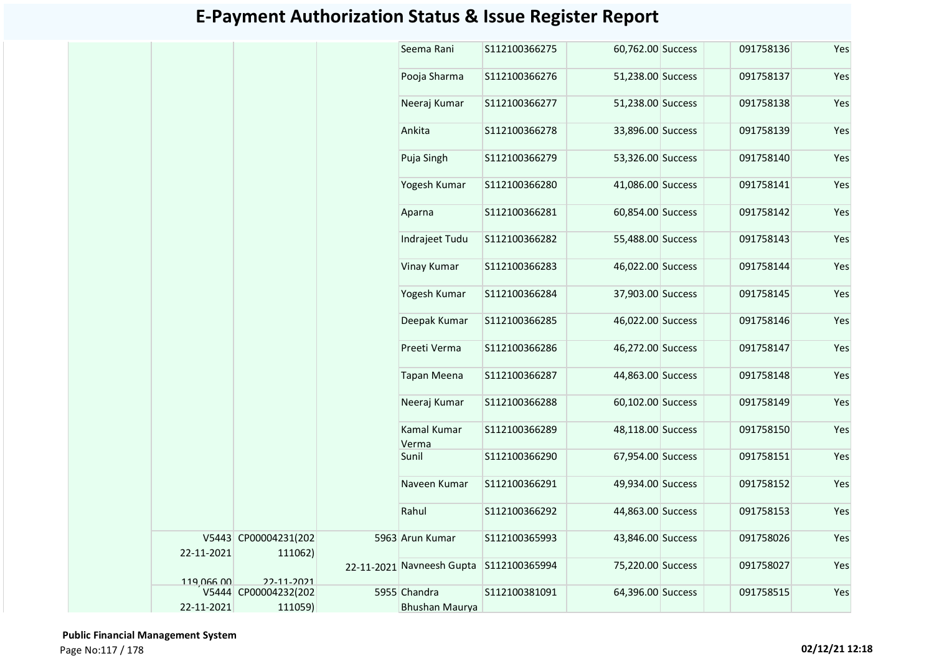|            |                      | Seema Rani                              | S112100366275 | 60,762.00 Success | 091758136 | Yes |
|------------|----------------------|-----------------------------------------|---------------|-------------------|-----------|-----|
|            |                      | Pooja Sharma                            | S112100366276 | 51,238.00 Success | 091758137 | Yes |
|            |                      | Neeraj Kumar                            | S112100366277 | 51,238.00 Success | 091758138 | Yes |
|            |                      | Ankita                                  | S112100366278 | 33,896.00 Success | 091758139 | Yes |
|            |                      | Puja Singh                              | S112100366279 | 53,326.00 Success | 091758140 | Yes |
|            |                      | Yogesh Kumar                            | S112100366280 | 41,086.00 Success | 091758141 | Yes |
|            |                      | Aparna                                  | S112100366281 | 60,854.00 Success | 091758142 | Yes |
|            |                      | Indrajeet Tudu                          | S112100366282 | 55,488.00 Success | 091758143 | Yes |
|            |                      | Vinay Kumar                             | S112100366283 | 46,022.00 Success | 091758144 | Yes |
|            |                      | Yogesh Kumar                            | S112100366284 | 37,903.00 Success | 091758145 | Yes |
|            |                      | Deepak Kumar                            | S112100366285 | 46,022.00 Success | 091758146 | Yes |
|            |                      | Preeti Verma                            | S112100366286 | 46,272.00 Success | 091758147 | Yes |
|            |                      | <b>Tapan Meena</b>                      | S112100366287 | 44,863.00 Success | 091758148 | Yes |
|            |                      | Neeraj Kumar                            | S112100366288 | 60,102.00 Success | 091758149 | Yes |
|            |                      | Kamal Kumar                             | S112100366289 | 48,118.00 Success | 091758150 | Yes |
|            |                      | Verma<br>Sunil                          | S112100366290 | 67,954.00 Success | 091758151 | Yes |
|            |                      | Naveen Kumar                            | S112100366291 | 49,934.00 Success | 091758152 | Yes |
|            |                      | Rahul                                   | S112100366292 | 44,863.00 Success | 091758153 | Yes |
|            | V5443 CP00004231(202 | 5963 Arun Kumar                         | S112100365993 | 43,846.00 Success | 091758026 | Yes |
| 22-11-2021 | 111062)              | 22-11-2021 Navneesh Gupta S112100365994 |               | 75,220.00 Success | 091758027 | Yes |
| 119 066 00 | 22-11-2021           |                                         |               |                   |           |     |
|            | V5444 CP00004232(202 | 5955 Chandra                            | S112100381091 | 64,396.00 Success | 091758515 | Yes |
| 22-11-2021 | 111059)              | Bhushan Maurya                          |               |                   |           |     |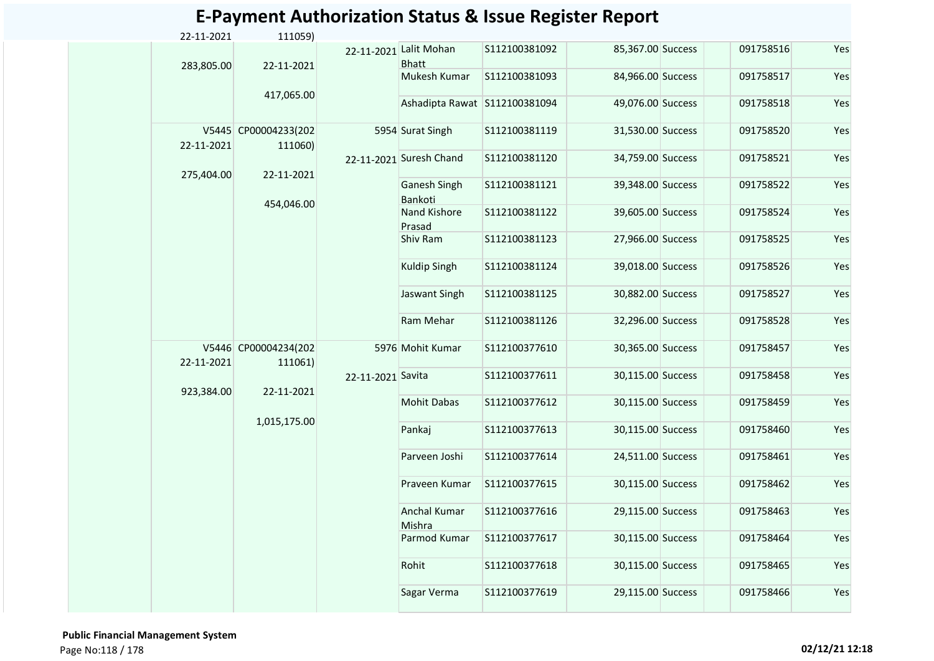| 22-11-2021 | 111059)                         |                   |                                        |                |                   |           |     |
|------------|---------------------------------|-------------------|----------------------------------------|----------------|-------------------|-----------|-----|
| 283,805.00 | 22-11-2021                      |                   | 22-11-2021 Lalit Mohan<br><b>Bhatt</b> | S112100381092  | 85,367.00 Success | 091758516 | Yes |
|            |                                 |                   | Mukesh Kumar                           | S112100381093  | 84,966.00 Success | 091758517 | Yes |
|            | 417,065.00                      |                   | Ashadipta Rawat S112100381094          |                | 49,076.00 Success | 091758518 | Yes |
| 22-11-2021 | V5445 CP00004233(202<br>111060) |                   | 5954 Surat Singh                       | S112100381119  | 31,530.00 Success | 091758520 | Yes |
| 275,404.00 | 22-11-2021                      |                   | 22-11-2021 Suresh Chand                | S112100381120  | 34,759.00 Success | 091758521 | Yes |
|            |                                 |                   | Ganesh Singh<br>Bankoti                | S112100381121  | 39,348.00 Success | 091758522 | Yes |
|            | 454,046.00                      |                   | Nand Kishore<br>Prasad                 | S112100381122  | 39,605.00 Success | 091758524 | Yes |
|            |                                 |                   | Shiv Ram                               | S112100381123  | 27,966.00 Success | 091758525 | Yes |
|            |                                 |                   | Kuldip Singh                           | S112100381124  | 39,018.00 Success | 091758526 | Yes |
|            |                                 |                   | Jaswant Singh                          | \$112100381125 | 30,882.00 Success | 091758527 | Yes |
|            |                                 |                   | Ram Mehar                              | S112100381126  | 32,296.00 Success | 091758528 | Yes |
| 22-11-2021 | V5446 CP00004234(202<br>111061) |                   | 5976 Mohit Kumar                       | S112100377610  | 30,365.00 Success | 091758457 | Yes |
| 923,384.00 | 22-11-2021                      | 22-11-2021 Savita |                                        | S112100377611  | 30,115.00 Success | 091758458 | Yes |
|            | 1,015,175.00                    |                   | <b>Mohit Dabas</b>                     | S112100377612  | 30,115.00 Success | 091758459 | Yes |
|            |                                 |                   | Pankaj                                 | S112100377613  | 30,115.00 Success | 091758460 | Yes |
|            |                                 |                   | Parveen Joshi                          | S112100377614  | 24,511.00 Success | 091758461 | Yes |
|            |                                 |                   | Praveen Kumar                          | S112100377615  | 30,115.00 Success | 091758462 | Yes |
|            |                                 |                   | <b>Anchal Kumar</b><br>Mishra          | S112100377616  | 29,115.00 Success | 091758463 | Yes |
|            |                                 |                   | Parmod Kumar                           | S112100377617  | 30,115.00 Success | 091758464 | Yes |
|            |                                 |                   | Rohit                                  | S112100377618  | 30,115.00 Success | 091758465 | Yes |
|            |                                 |                   | Sagar Verma                            | S112100377619  | 29,115.00 Success | 091758466 | Yes |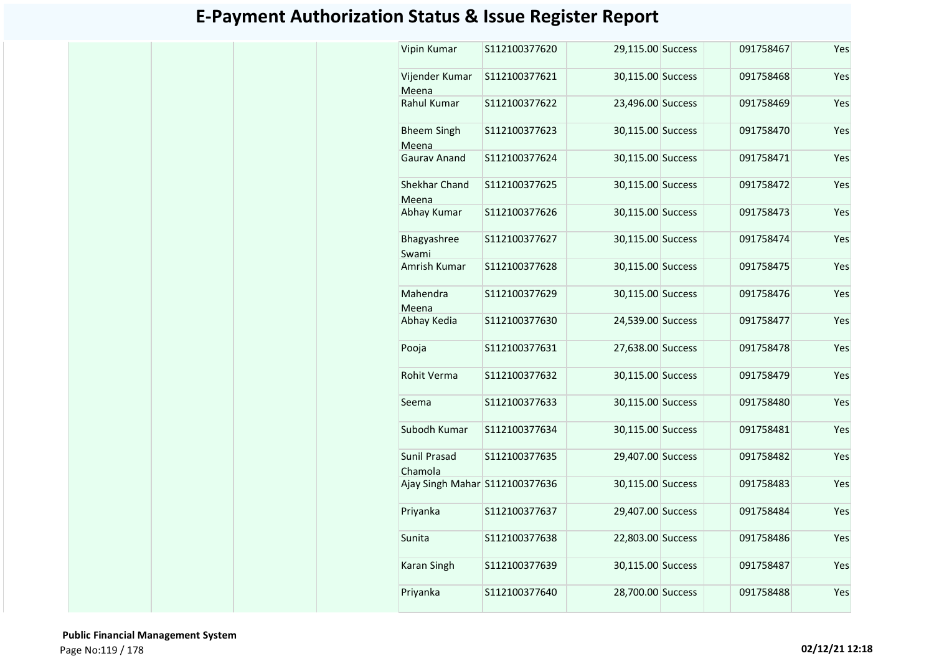| Vipin Kumar                    | S112100377620 | 29,115.00 Success | 091758467 | Yes |
|--------------------------------|---------------|-------------------|-----------|-----|
| Vijender Kumar<br>Meena        | S112100377621 | 30,115.00 Success | 091758468 | Yes |
| Rahul Kumar                    | S112100377622 | 23,496.00 Success | 091758469 | Yes |
| <b>Bheem Singh</b><br>Meena    | S112100377623 | 30,115.00 Success | 091758470 | Yes |
| Gaurav Anand                   | S112100377624 | 30,115.00 Success | 091758471 | Yes |
| Shekhar Chand<br>Meena         | S112100377625 | 30,115.00 Success | 091758472 | Yes |
| Abhay Kumar                    | S112100377626 | 30,115.00 Success | 091758473 | Yes |
| Bhagyashree<br>Swami           | S112100377627 | 30,115.00 Success | 091758474 | Yes |
| Amrish Kumar                   | S112100377628 | 30,115.00 Success | 091758475 | Yes |
| Mahendra<br>Meena              | S112100377629 | 30,115.00 Success | 091758476 | Yes |
| Abhay Kedia                    | S112100377630 | 24,539.00 Success | 091758477 | Yes |
| Pooja                          | S112100377631 | 27,638.00 Success | 091758478 | Yes |
| Rohit Verma                    | S112100377632 | 30,115.00 Success | 091758479 | Yes |
| Seema                          | S112100377633 | 30,115.00 Success | 091758480 | Yes |
| Subodh Kumar                   | S112100377634 | 30,115.00 Success | 091758481 | Yes |
| Sunil Prasad<br>Chamola        | S112100377635 | 29,407.00 Success | 091758482 | Yes |
| Ajay Singh Mahar S112100377636 |               | 30,115.00 Success | 091758483 | Yes |
| Priyanka                       | S112100377637 | 29,407.00 Success | 091758484 | Yes |
| Sunita                         | S112100377638 | 22,803.00 Success | 091758486 | Yes |
| Karan Singh                    | S112100377639 | 30,115.00 Success | 091758487 | Yes |
| Priyanka                       | S112100377640 | 28,700.00 Success | 091758488 | Yes |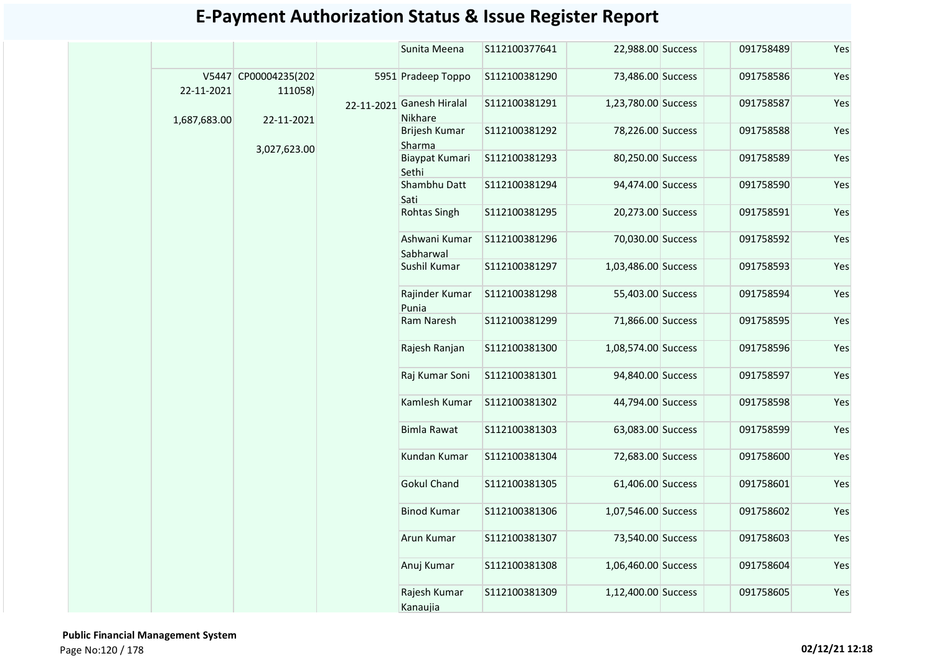|              |                                 | Sunita Meena                         | S112100377641 | 22,988.00 Success   | 091758489 | Yes |
|--------------|---------------------------------|--------------------------------------|---------------|---------------------|-----------|-----|
| 22-11-2021   | V5447 CP00004235(202<br>111058) | 5951 Pradeep Toppo                   | S112100381290 | 73,486.00 Success   | 091758586 | Yes |
| 1,687,683.00 | 22-11-2021                      | 22-11-2021 Ganesh Hiralal<br>Nikhare | S112100381291 | 1,23,780.00 Success | 091758587 | Yes |
|              |                                 | Brijesh Kumar<br>Sharma              | S112100381292 | 78,226.00 Success   | 091758588 | Yes |
|              | 3,027,623.00                    | Biaypat Kumari<br>Sethi              | S112100381293 | 80,250.00 Success   | 091758589 | Yes |
|              |                                 | Shambhu Datt<br>Sati                 | S112100381294 | 94,474.00 Success   | 091758590 | Yes |
|              |                                 | Rohtas Singh                         | S112100381295 | 20,273.00 Success   | 091758591 | Yes |
|              |                                 | Ashwani Kumar<br>Sabharwal           | S112100381296 | 70,030.00 Success   | 091758592 | Yes |
|              |                                 | Sushil Kumar                         | S112100381297 | 1,03,486.00 Success | 091758593 | Yes |
|              |                                 | Rajinder Kumar<br>Punia              | S112100381298 | 55,403.00 Success   | 091758594 | Yes |
|              |                                 | Ram Naresh                           | S112100381299 | 71,866.00 Success   | 091758595 | Yes |
|              |                                 | Rajesh Ranjan                        | S112100381300 | 1,08,574.00 Success | 091758596 | Yes |
|              |                                 | Raj Kumar Soni                       | S112100381301 | 94,840.00 Success   | 091758597 | Yes |
|              |                                 | Kamlesh Kumar                        | S112100381302 | 44,794.00 Success   | 091758598 | Yes |
|              |                                 | <b>Bimla Rawat</b>                   | S112100381303 | 63,083.00 Success   | 091758599 | Yes |
|              |                                 | Kundan Kumar                         | S112100381304 | 72,683.00 Success   | 091758600 | Yes |
|              |                                 | <b>Gokul Chand</b>                   | S112100381305 | 61,406.00 Success   | 091758601 | Yes |
|              |                                 | <b>Binod Kumar</b>                   | S112100381306 | 1,07,546.00 Success | 091758602 | Yes |
|              |                                 | Arun Kumar                           | S112100381307 | 73,540.00 Success   | 091758603 | Yes |
|              |                                 | Anuj Kumar                           | S112100381308 | 1,06,460.00 Success | 091758604 | Yes |
|              |                                 | Rajesh Kumar<br>Kanaujia             | S112100381309 | 1,12,400.00 Success | 091758605 | Yes |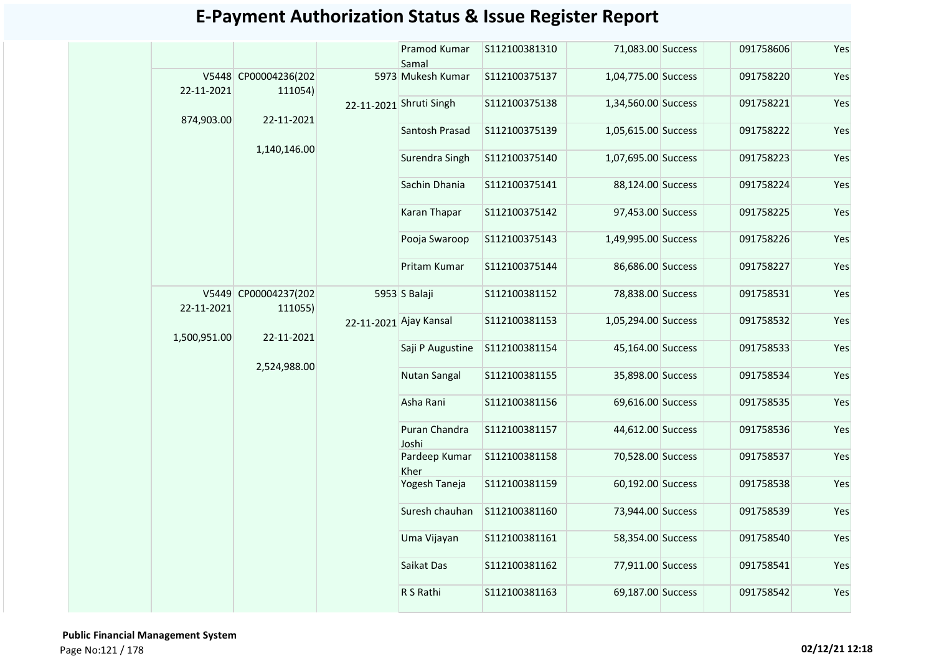|            |                                 |                                      | Pramod Kumar<br>Samal        | \$112100381310    | 71,083.00 Success   | 091758606 | Yes |
|------------|---------------------------------|--------------------------------------|------------------------------|-------------------|---------------------|-----------|-----|
| 22-11-2021 | V5448 CP00004236(202<br>111054) |                                      | 5973 Mukesh Kumar            | S112100375137     | 1,04,775.00 Success | 091758220 | Yes |
|            |                                 |                                      | 22-11-2021 Shruti Singh      | S112100375138     | 1,34,560.00 Success | 091758221 | Yes |
| 874,903.00 | 22-11-2021                      |                                      | Santosh Prasad               | S112100375139     | 1,05,615.00 Success | 091758222 | Yes |
|            | 1,140,146.00                    |                                      | Surendra Singh               | S112100375140     | 1,07,695.00 Success | 091758223 | Yes |
|            |                                 |                                      | Sachin Dhania                | S112100375141     | 88,124.00 Success   | 091758224 | Yes |
|            |                                 |                                      | Karan Thapar                 | S112100375142     | 97,453.00 Success   | 091758225 | Yes |
|            |                                 |                                      | Pooja Swaroop                | S112100375143     | 1,49,995.00 Success | 091758226 | Yes |
|            | V5449 CP00004237(202<br>111055) | Pritam Kumar                         | S112100375144                | 86,686.00 Success | 091758227           | Yes       |     |
| 22-11-2021 |                                 | 5953 S Balaji                        | S112100381152                | 78,838.00 Success | 091758531           | Yes       |     |
|            |                                 | 22-11-2021 Ajay Kansal<br>22-11-2021 |                              | S112100381153     | 1,05,294.00 Success | 091758532 | Yes |
|            | 1,500,951.00                    |                                      | Saji P Augustine             | S112100381154     | 45,164.00 Success   | 091758533 | Yes |
|            | 2,524,988.00                    |                                      | Nutan Sangal                 | S112100381155     | 35,898.00 Success   | 091758534 | Yes |
|            |                                 |                                      | Asha Rani                    | S112100381156     | 69,616.00 Success   | 091758535 | Yes |
|            |                                 |                                      | Puran Chandra<br>Joshi       | S112100381157     | 44,612.00 Success   | 091758536 | Yes |
|            |                                 |                                      | Pardeep Kumar<br><b>Kher</b> | S112100381158     | 70,528.00 Success   | 091758537 | Yes |
|            |                                 | Yogesh Taneja                        | S112100381159                | 60,192.00 Success | 091758538           | Yes       |     |
|            |                                 | Suresh chauhan                       | S112100381160                | 73,944.00 Success | 091758539           | Yes       |     |
|            |                                 | Uma Vijayan                          | S112100381161                | 58,354.00 Success | 091758540           | Yes       |     |
|            |                                 |                                      | Saikat Das                   | S112100381162     | 77,911.00 Success   | 091758541 | Yes |
|            |                                 | R S Rathi                            | S112100381163                | 69,187.00 Success | 091758542           | Yes       |     |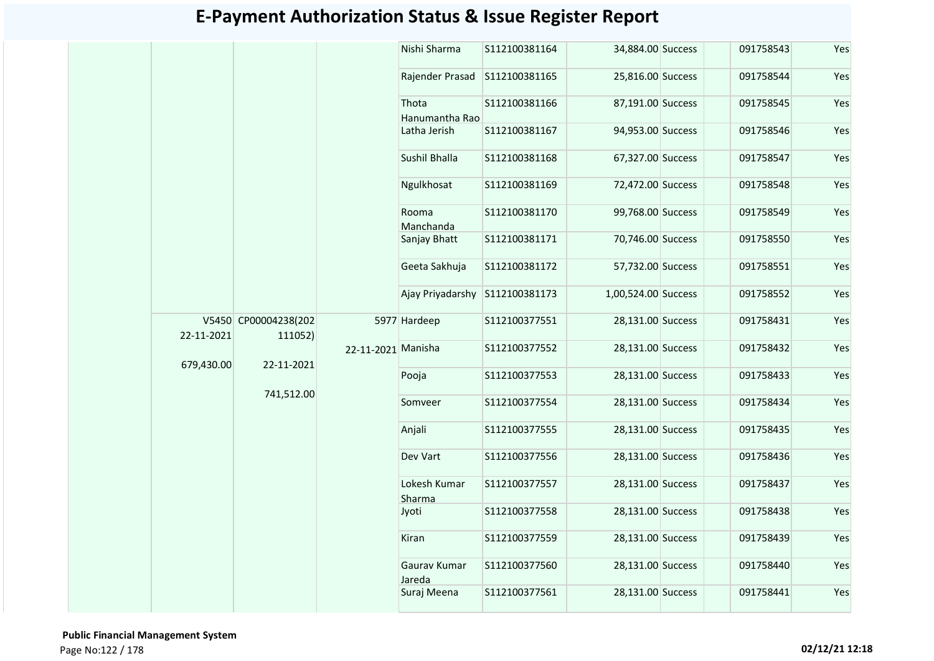|            |                                  | Nishi Sharma                   | S112100381164 | 34,884.00 Success   | 091758543 | Yes |
|------------|----------------------------------|--------------------------------|---------------|---------------------|-----------|-----|
|            |                                  | Rajender Prasad S112100381165  |               | 25,816.00 Success   | 091758544 | Yes |
|            |                                  | Thota                          | S112100381166 | 87,191.00 Success   | 091758545 | Yes |
|            |                                  | Hanumantha Rao                 |               |                     |           |     |
|            |                                  | Latha Jerish                   | S112100381167 | 94,953.00 Success   | 091758546 | Yes |
|            |                                  | Sushil Bhalla                  | S112100381168 | 67,327.00 Success   | 091758547 | Yes |
|            |                                  | Ngulkhosat                     | S112100381169 | 72,472.00 Success   | 091758548 | Yes |
|            |                                  | Rooma                          | S112100381170 | 99,768.00 Success   | 091758549 | Yes |
|            |                                  | Manchanda                      |               |                     |           |     |
|            |                                  | Sanjay Bhatt                   | S112100381171 | 70,746.00 Success   | 091758550 | Yes |
|            |                                  | Geeta Sakhuja                  | S112100381172 | 57,732.00 Success   | 091758551 | Yes |
|            |                                  | Ajay Priyadarshy S112100381173 |               | 1,00,524.00 Success | 091758552 | Yes |
|            | V5450 CP00004238(202             | 5977 Hardeep                   | S112100377551 | 28,131.00 Success   | 091758431 | Yes |
| 22-11-2021 | 111052)                          |                                |               |                     |           |     |
| 679,430.00 | 22-11-2021 Manisha<br>22-11-2021 |                                | S112100377552 | 28,131.00 Success   | 091758432 | Yes |
|            |                                  | Pooja                          | S112100377553 | 28,131.00 Success   | 091758433 | Yes |
|            | 741,512.00                       | Somveer                        | S112100377554 | 28,131.00 Success   | 091758434 | Yes |
|            |                                  | Anjali                         | S112100377555 | 28,131.00 Success   | 091758435 | Yes |
|            |                                  | Dev Vart                       | S112100377556 | 28,131.00 Success   | 091758436 | Yes |
|            |                                  | Lokesh Kumar                   | S112100377557 | 28,131.00 Success   | 091758437 | Yes |
|            |                                  | Sharma                         |               |                     |           |     |
|            |                                  | Jyoti                          | S112100377558 | 28,131.00 Success   | 091758438 | Yes |
|            |                                  | Kiran                          | S112100377559 | 28,131.00 Success   | 091758439 | Yes |
|            |                                  | Gaurav Kumar<br>Jareda         | S112100377560 | 28,131.00 Success   | 091758440 | Yes |
|            |                                  |                                | S112100377561 | 28,131.00 Success   | 091758441 | Yes |
|            |                                  | Suraj Meena                    |               |                     |           |     |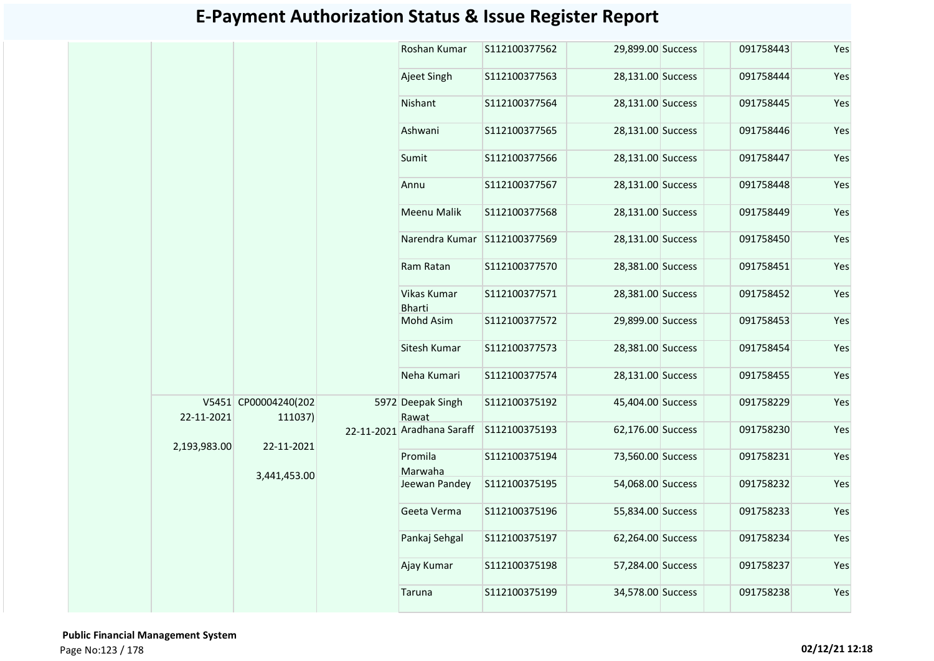| Roshan Kumar<br>29,899.00 Success<br>S112100377562<br>Ajeet Singh<br>S112100377563<br>28,131.00 Success<br>Nishant<br>28,131.00 Success<br>S112100377564<br>Ashwani<br>S112100377565<br>28,131.00 Success<br>Sumit<br>S112100377566<br>28,131.00 Success<br>28,131.00 Success<br>S112100377567<br>Annu<br>Meenu Malik<br>S112100377568<br>28,131.00 Success<br>Narendra Kumar S112100377569<br>28,131.00 Success<br>Ram Ratan<br>S112100377570<br>28,381.00 Success<br>Vikas Kumar<br>S112100377571<br>28,381.00 Success<br><b>Bharti</b><br><b>Mohd Asim</b><br>S112100377572<br>29,899.00 Success<br>Sitesh Kumar<br>S112100377573<br>28,381.00 Success<br>Neha Kumari<br>S112100377574<br>28,131.00 Success<br>V5451 CP00004240(202<br>5972 Deepak Singh<br>S112100375192<br>45,404.00 Success<br>22-11-2021<br>Rawat<br>111037)<br>22-11-2021 Aradhana Saraff<br>62,176.00 Success<br>S112100375193<br>22-11-2021<br>2,193,983.00<br>Promila<br>S112100375194<br>73,560.00 Success<br>Marwaha<br>3,441,453.00<br>54,068.00 Success<br>Jeewan Pandey<br>S112100375195<br>Geeta Verma<br>S112100375196<br>55,834.00 Success<br>Pankaj Sehgal<br>S112100375197<br>62,264.00 Success<br>Ajay Kumar<br>57,284.00 Success<br>S112100375198<br>34,578.00 Success |  |  |  |        |               |           |           |     |           |
|---------------------------------------------------------------------------------------------------------------------------------------------------------------------------------------------------------------------------------------------------------------------------------------------------------------------------------------------------------------------------------------------------------------------------------------------------------------------------------------------------------------------------------------------------------------------------------------------------------------------------------------------------------------------------------------------------------------------------------------------------------------------------------------------------------------------------------------------------------------------------------------------------------------------------------------------------------------------------------------------------------------------------------------------------------------------------------------------------------------------------------------------------------------------------------------------------------------------------------------------------------------|--|--|--|--------|---------------|-----------|-----------|-----|-----------|
|                                                                                                                                                                                                                                                                                                                                                                                                                                                                                                                                                                                                                                                                                                                                                                                                                                                                                                                                                                                                                                                                                                                                                                                                                                                               |  |  |  |        |               |           | 091758443 | Yes |           |
|                                                                                                                                                                                                                                                                                                                                                                                                                                                                                                                                                                                                                                                                                                                                                                                                                                                                                                                                                                                                                                                                                                                                                                                                                                                               |  |  |  |        |               |           | 091758444 | Yes |           |
|                                                                                                                                                                                                                                                                                                                                                                                                                                                                                                                                                                                                                                                                                                                                                                                                                                                                                                                                                                                                                                                                                                                                                                                                                                                               |  |  |  |        |               |           | 091758445 | Yes |           |
|                                                                                                                                                                                                                                                                                                                                                                                                                                                                                                                                                                                                                                                                                                                                                                                                                                                                                                                                                                                                                                                                                                                                                                                                                                                               |  |  |  |        |               |           | 091758446 | Yes |           |
|                                                                                                                                                                                                                                                                                                                                                                                                                                                                                                                                                                                                                                                                                                                                                                                                                                                                                                                                                                                                                                                                                                                                                                                                                                                               |  |  |  |        |               |           | 091758447 | Yes |           |
|                                                                                                                                                                                                                                                                                                                                                                                                                                                                                                                                                                                                                                                                                                                                                                                                                                                                                                                                                                                                                                                                                                                                                                                                                                                               |  |  |  |        |               |           | 091758448 | Yes |           |
|                                                                                                                                                                                                                                                                                                                                                                                                                                                                                                                                                                                                                                                                                                                                                                                                                                                                                                                                                                                                                                                                                                                                                                                                                                                               |  |  |  |        |               |           | 091758449 | Yes |           |
|                                                                                                                                                                                                                                                                                                                                                                                                                                                                                                                                                                                                                                                                                                                                                                                                                                                                                                                                                                                                                                                                                                                                                                                                                                                               |  |  |  |        |               |           | 091758450 | Yes |           |
|                                                                                                                                                                                                                                                                                                                                                                                                                                                                                                                                                                                                                                                                                                                                                                                                                                                                                                                                                                                                                                                                                                                                                                                                                                                               |  |  |  |        |               |           | 091758451 | Yes |           |
|                                                                                                                                                                                                                                                                                                                                                                                                                                                                                                                                                                                                                                                                                                                                                                                                                                                                                                                                                                                                                                                                                                                                                                                                                                                               |  |  |  |        |               |           | 091758452 | Yes |           |
|                                                                                                                                                                                                                                                                                                                                                                                                                                                                                                                                                                                                                                                                                                                                                                                                                                                                                                                                                                                                                                                                                                                                                                                                                                                               |  |  |  |        |               |           | 091758453 | Yes |           |
|                                                                                                                                                                                                                                                                                                                                                                                                                                                                                                                                                                                                                                                                                                                                                                                                                                                                                                                                                                                                                                                                                                                                                                                                                                                               |  |  |  |        |               |           | 091758454 | Yes |           |
|                                                                                                                                                                                                                                                                                                                                                                                                                                                                                                                                                                                                                                                                                                                                                                                                                                                                                                                                                                                                                                                                                                                                                                                                                                                               |  |  |  |        |               |           | 091758455 | Yes |           |
|                                                                                                                                                                                                                                                                                                                                                                                                                                                                                                                                                                                                                                                                                                                                                                                                                                                                                                                                                                                                                                                                                                                                                                                                                                                               |  |  |  |        |               |           | 091758229 | Yes |           |
|                                                                                                                                                                                                                                                                                                                                                                                                                                                                                                                                                                                                                                                                                                                                                                                                                                                                                                                                                                                                                                                                                                                                                                                                                                                               |  |  |  |        |               |           | 091758230 | Yes |           |
|                                                                                                                                                                                                                                                                                                                                                                                                                                                                                                                                                                                                                                                                                                                                                                                                                                                                                                                                                                                                                                                                                                                                                                                                                                                               |  |  |  |        |               |           | 091758231 | Yes |           |
|                                                                                                                                                                                                                                                                                                                                                                                                                                                                                                                                                                                                                                                                                                                                                                                                                                                                                                                                                                                                                                                                                                                                                                                                                                                               |  |  |  |        |               |           |           |     | 091758232 |
|                                                                                                                                                                                                                                                                                                                                                                                                                                                                                                                                                                                                                                                                                                                                                                                                                                                                                                                                                                                                                                                                                                                                                                                                                                                               |  |  |  |        |               | 091758233 | Yes       |     |           |
|                                                                                                                                                                                                                                                                                                                                                                                                                                                                                                                                                                                                                                                                                                                                                                                                                                                                                                                                                                                                                                                                                                                                                                                                                                                               |  |  |  |        |               |           | 091758234 | Yes |           |
|                                                                                                                                                                                                                                                                                                                                                                                                                                                                                                                                                                                                                                                                                                                                                                                                                                                                                                                                                                                                                                                                                                                                                                                                                                                               |  |  |  |        |               |           | 091758237 | Yes |           |
|                                                                                                                                                                                                                                                                                                                                                                                                                                                                                                                                                                                                                                                                                                                                                                                                                                                                                                                                                                                                                                                                                                                                                                                                                                                               |  |  |  | Taruna | S112100375199 |           | 091758238 | Yes |           |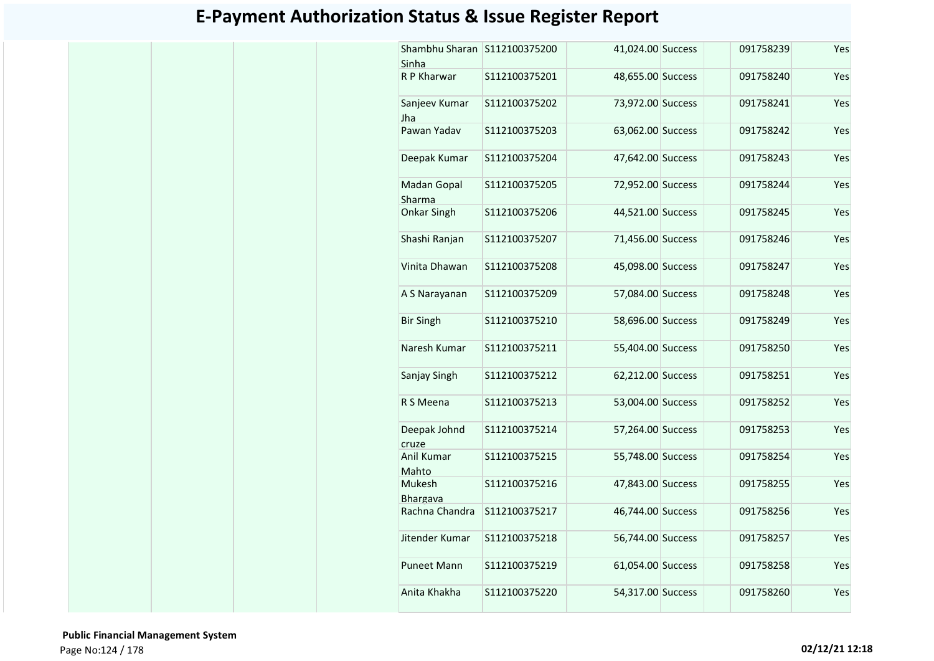| Shambhu Sharan<br>Sinha   | S112100375200 | 41,024.00 Success | 091758239 | Yes |
|---------------------------|---------------|-------------------|-----------|-----|
| R P Kharwar               | S112100375201 | 48,655.00 Success | 091758240 | Yes |
| Sanjeev Kumar<br>Jha      | S112100375202 | 73,972.00 Success | 091758241 | Yes |
| Pawan Yadav               | S112100375203 | 63,062.00 Success | 091758242 | Yes |
| Deepak Kumar              | S112100375204 | 47,642.00 Success | 091758243 | Yes |
| Madan Gopal<br>Sharma     | S112100375205 | 72,952.00 Success | 091758244 | Yes |
| Onkar Singh               | S112100375206 | 44,521.00 Success | 091758245 | Yes |
| Shashi Ranjan             | S112100375207 | 71,456.00 Success | 091758246 | Yes |
| Vinita Dhawan             | S112100375208 | 45,098.00 Success | 091758247 | Yes |
| A S Narayanan             | S112100375209 | 57,084.00 Success | 091758248 | Yes |
| <b>Bir Singh</b>          | S112100375210 | 58,696.00 Success | 091758249 | Yes |
| Naresh Kumar              | S112100375211 | 55,404.00 Success | 091758250 | Yes |
| Sanjay Singh              | S112100375212 | 62,212.00 Success | 091758251 | Yes |
| R S Meena                 | S112100375213 | 53,004.00 Success | 091758252 | Yes |
| Deepak Johnd<br>cruze     | S112100375214 | 57,264.00 Success | 091758253 | Yes |
| Anil Kumar<br>Mahto       | S112100375215 | 55,748.00 Success | 091758254 | Yes |
| Mukesh<br><b>Bhargava</b> | S112100375216 | 47,843.00 Success | 091758255 | Yes |
| Rachna Chandra            | S112100375217 | 46,744.00 Success | 091758256 | Yes |
| Jitender Kumar            | S112100375218 | 56,744.00 Success | 091758257 | Yes |
| <b>Puneet Mann</b>        | S112100375219 | 61,054.00 Success | 091758258 | Yes |
| Anita Khakha              | S112100375220 | 54,317.00 Success | 091758260 | Yes |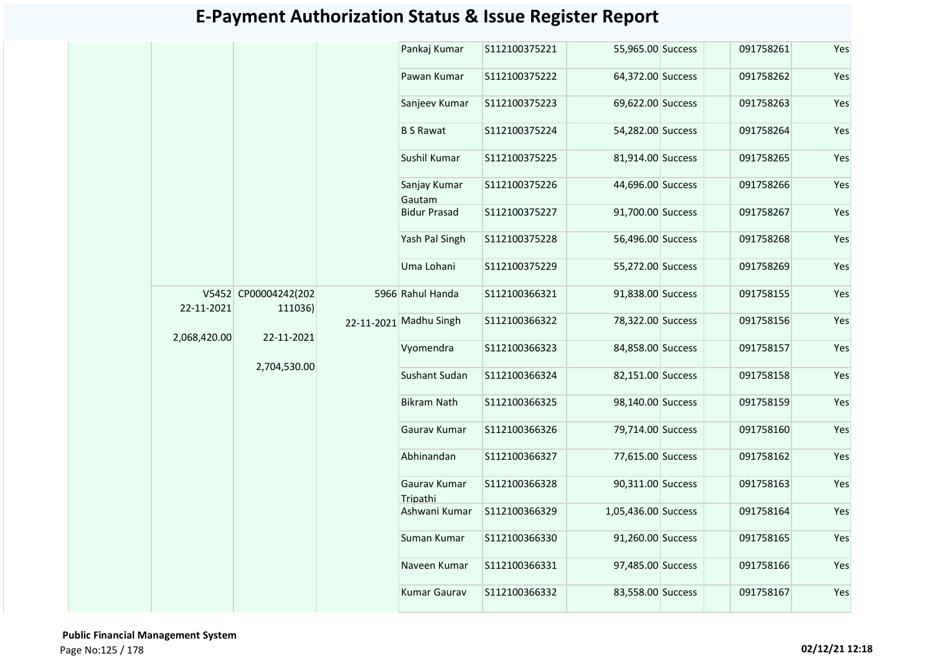| 55,965.00 Success<br>091758261<br>64,372.00 Success<br>091758262<br>091758263<br>69,622.00 Success<br>54,282.00 Success<br>091758264<br>81,914.00 Success<br>091758265<br>44,696.00 Success<br>091758266<br>91,700.00 Success<br>091758267<br>56,496.00 Success<br>091758268 | Yes                                           |
|------------------------------------------------------------------------------------------------------------------------------------------------------------------------------------------------------------------------------------------------------------------------------|-----------------------------------------------|
|                                                                                                                                                                                                                                                                              | Yes<br>Yes<br>Yes<br>Yes<br>Yes<br>Yes<br>Yes |
|                                                                                                                                                                                                                                                                              |                                               |
|                                                                                                                                                                                                                                                                              |                                               |
|                                                                                                                                                                                                                                                                              |                                               |
|                                                                                                                                                                                                                                                                              |                                               |
|                                                                                                                                                                                                                                                                              |                                               |
|                                                                                                                                                                                                                                                                              |                                               |
|                                                                                                                                                                                                                                                                              |                                               |
| 55,272.00 Success<br>091758269                                                                                                                                                                                                                                               | Yes                                           |
| 91,838.00 Success<br>091758155                                                                                                                                                                                                                                               | Yes                                           |
| 78,322.00 Success<br>091758156                                                                                                                                                                                                                                               | Yes                                           |
| 84,858.00 Success<br>091758157                                                                                                                                                                                                                                               | Yes                                           |
| 82,151.00 Success<br>091758158                                                                                                                                                                                                                                               | Yes                                           |
| 98,140.00 Success<br>091758159                                                                                                                                                                                                                                               | Yes                                           |
| 79,714.00 Success<br>091758160                                                                                                                                                                                                                                               | Yes                                           |
| 77,615.00 Success<br>091758162                                                                                                                                                                                                                                               | Yes                                           |
| 90,311.00 Success<br>091758163                                                                                                                                                                                                                                               | Yes                                           |
| 1,05,436.00 Success<br>091758164                                                                                                                                                                                                                                             | Yes                                           |
| 91,260.00 Success<br>091758165                                                                                                                                                                                                                                               | Yes                                           |
| 97,485.00 Success<br>091758166                                                                                                                                                                                                                                               | Yes                                           |
| 83,558.00 Success<br>091758167                                                                                                                                                                                                                                               | Yes                                           |
|                                                                                                                                                                                                                                                                              |                                               |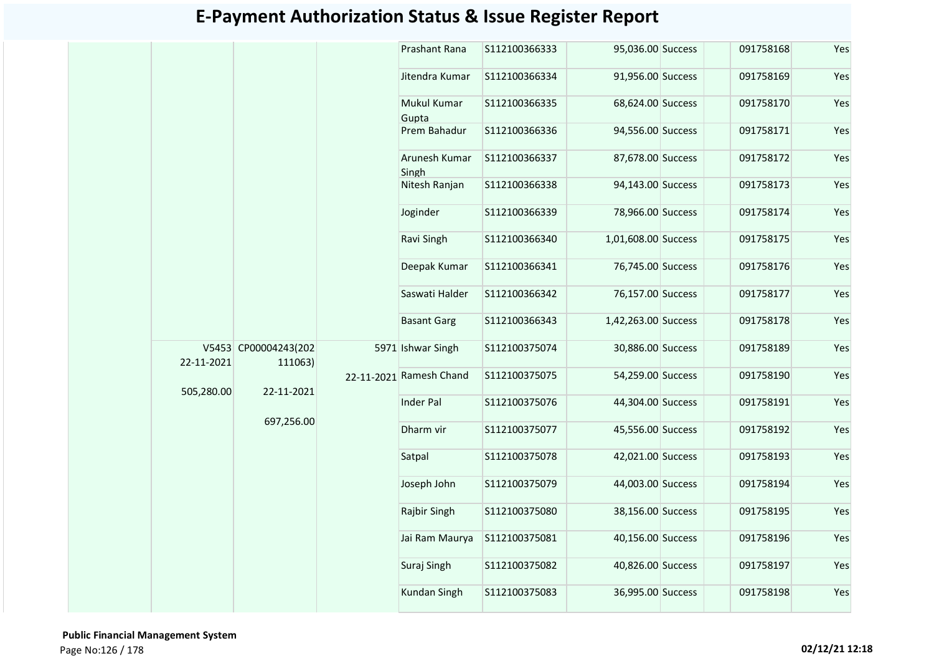|            |                                 | Prashant Rana           | S112100366333 | 95,036.00 Success   | 091758168 | Yes |
|------------|---------------------------------|-------------------------|---------------|---------------------|-----------|-----|
|            |                                 | Jitendra Kumar          | S112100366334 | 91,956.00 Success   | 091758169 | Yes |
|            |                                 | Mukul Kumar<br>Gupta    | S112100366335 | 68,624.00 Success   | 091758170 | Yes |
|            |                                 | Prem Bahadur            | S112100366336 | 94,556.00 Success   | 091758171 | Yes |
|            |                                 | Arunesh Kumar<br>Singh  | S112100366337 | 87,678.00 Success   | 091758172 | Yes |
|            |                                 | Nitesh Ranjan           | S112100366338 | 94,143.00 Success   | 091758173 | Yes |
|            |                                 | Joginder                | S112100366339 | 78,966.00 Success   | 091758174 | Yes |
|            |                                 | Ravi Singh              | S112100366340 | 1,01,608.00 Success | 091758175 | Yes |
|            |                                 | Deepak Kumar            | S112100366341 | 76,745.00 Success   | 091758176 | Yes |
|            |                                 | Saswati Halder          | S112100366342 | 76,157.00 Success   | 091758177 | Yes |
|            |                                 | <b>Basant Garg</b>      | S112100366343 | 1,42,263.00 Success | 091758178 | Yes |
| 22-11-2021 | V5453 CP00004243(202<br>111063) | 5971 Ishwar Singh       | S112100375074 | 30,886.00 Success   | 091758189 | Yes |
| 505,280.00 | 22-11-2021                      | 22-11-2021 Ramesh Chand | S112100375075 | 54,259.00 Success   | 091758190 | Yes |
|            |                                 | <b>Inder Pal</b>        | S112100375076 | 44,304.00 Success   | 091758191 | Yes |
|            | 697,256.00                      | Dharm vir               | S112100375077 | 45,556.00 Success   | 091758192 | Yes |
|            |                                 | Satpal                  | S112100375078 | 42,021.00 Success   | 091758193 | Yes |
|            |                                 | Joseph John             | S112100375079 | 44,003.00 Success   | 091758194 | Yes |
|            |                                 | Rajbir Singh            | S112100375080 | 38,156.00 Success   | 091758195 | Yes |
|            |                                 | Jai Ram Maurya          | S112100375081 | 40,156.00 Success   | 091758196 | Yes |
|            |                                 | Suraj Singh             | S112100375082 | 40,826.00 Success   | 091758197 | Yes |
|            |                                 | Kundan Singh            | S112100375083 | 36,995.00 Success   | 091758198 | Yes |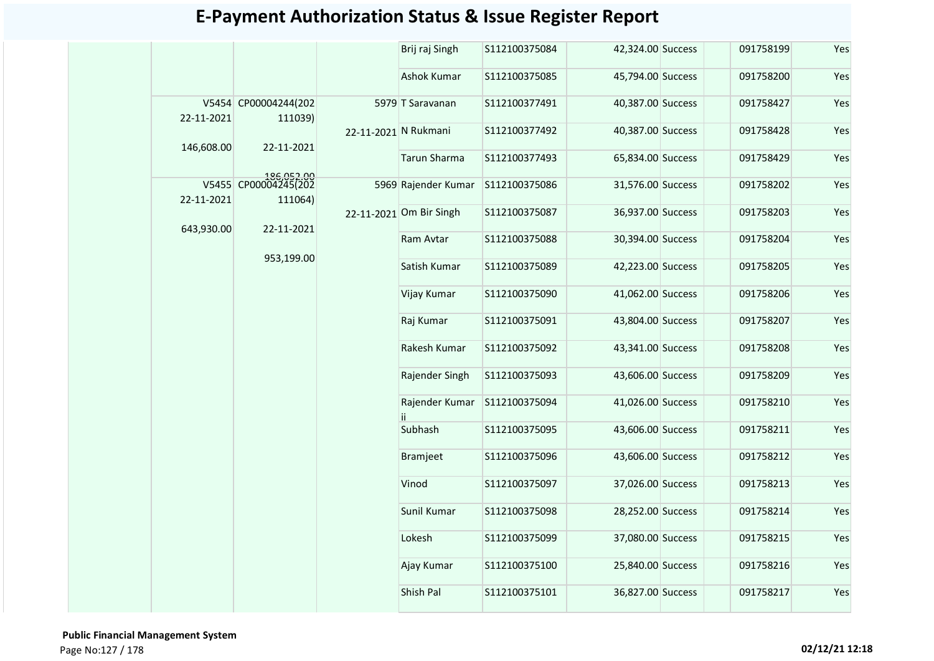|            |                                               |                      | Brij raj Singh          | S112100375084 | 42,324.00 Success | 091758199 | Yes |
|------------|-----------------------------------------------|----------------------|-------------------------|---------------|-------------------|-----------|-----|
|            |                                               |                      | Ashok Kumar             | S112100375085 | 45,794.00 Success | 091758200 | Yes |
| 22-11-2021 | V5454 CP00004244(202<br>111039)               |                      | 5979 T Saravanan        | S112100377491 | 40,387.00 Success | 091758427 | Yes |
| 146,608.00 | 22-11-2021                                    | 22-11-2021 N Rukmani |                         | S112100377492 | 40,387.00 Success | 091758428 | Yes |
|            |                                               |                      | <b>Tarun Sharma</b>     | S112100377493 | 65,834.00 Success | 091758429 | Yes |
| 22-11-2021 | 186,052.00<br>V5455 CP00004245(202<br>111064) |                      | 5969 Rajender Kumar     | S112100375086 | 31,576.00 Success | 091758202 | Yes |
| 643,930.00 | 22-11-2021                                    |                      | 22-11-2021 Om Bir Singh | S112100375087 | 36,937.00 Success | 091758203 | Yes |
|            |                                               |                      | Ram Avtar               | S112100375088 | 30,394.00 Success | 091758204 | Yes |
|            | 953,199.00                                    |                      | Satish Kumar            | S112100375089 | 42,223.00 Success | 091758205 | Yes |
|            |                                               |                      | Vijay Kumar             | S112100375090 | 41,062.00 Success | 091758206 | Yes |
|            |                                               |                      | Raj Kumar               | S112100375091 | 43,804.00 Success | 091758207 | Yes |
|            |                                               |                      | Rakesh Kumar            | S112100375092 | 43,341.00 Success | 091758208 | Yes |
|            |                                               |                      | Rajender Singh          | S112100375093 | 43,606.00 Success | 091758209 | Yes |
|            |                                               |                      | Rajender Kumar<br>ii.   | S112100375094 | 41,026.00 Success | 091758210 | Yes |
|            |                                               |                      | Subhash                 | S112100375095 | 43,606.00 Success | 091758211 | Yes |
|            |                                               |                      | Bramjeet                | S112100375096 | 43,606.00 Success | 091758212 | Yes |
|            |                                               |                      | Vinod                   | S112100375097 | 37,026.00 Success | 091758213 | Yes |
|            |                                               |                      | Sunil Kumar             | S112100375098 | 28,252.00 Success | 091758214 | Yes |
|            |                                               |                      | Lokesh                  | S112100375099 | 37,080.00 Success | 091758215 | Yes |
|            |                                               |                      | Ajay Kumar              | S112100375100 | 25,840.00 Success | 091758216 | Yes |
|            |                                               |                      | Shish Pal               | S112100375101 | 36,827.00 Success | 091758217 | Yes |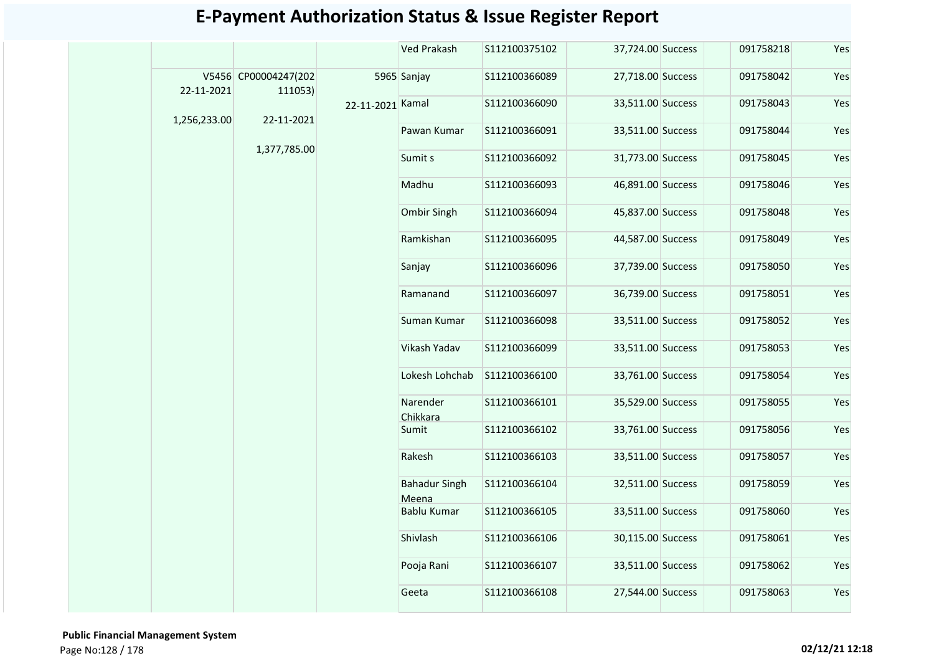|              |                                 |                  | <b>Ved Prakash</b>            | S112100375102  | 37,724.00 Success | 091758218         | Yes       |     |
|--------------|---------------------------------|------------------|-------------------------------|----------------|-------------------|-------------------|-----------|-----|
| 22-11-2021   | V5456 CP00004247(202<br>111053) |                  | 5965 Sanjay                   | S112100366089  | 27,718.00 Success | 091758042         | Yes       |     |
| 1,256,233.00 | 22-11-2021                      | 22-11-2021 Kamal |                               | \$112100366090 | 33,511.00 Success | 091758043         | Yes       |     |
|              |                                 |                  |                               | Pawan Kumar    | S112100366091     | 33,511.00 Success | 091758044 | Yes |
|              | 1,377,785.00                    |                  | Sumit s                       | S112100366092  | 31,773.00 Success | 091758045         | Yes       |     |
|              |                                 |                  | Madhu                         | S112100366093  | 46,891.00 Success | 091758046         | Yes       |     |
|              |                                 |                  | Ombir Singh                   | S112100366094  | 45,837.00 Success | 091758048         | Yes       |     |
|              |                                 |                  | Ramkishan                     | S112100366095  | 44,587.00 Success | 091758049         | Yes       |     |
|              |                                 |                  | Sanjay                        | S112100366096  | 37,739.00 Success | 091758050         | Yes       |     |
|              |                                 |                  | Ramanand                      | S112100366097  | 36,739.00 Success | 091758051         | Yes       |     |
|              |                                 |                  | Suman Kumar                   | S112100366098  | 33,511.00 Success | 091758052         | Yes       |     |
|              |                                 |                  |                               | Vikash Yadav   | S112100366099     | 33,511.00 Success | 091758053 | Yes |
|              |                                 |                  | Lokesh Lohchab                | \$112100366100 | 33,761.00 Success | 091758054         | Yes       |     |
|              |                                 |                  | Narender<br>Chikkara          | S112100366101  | 35,529.00 Success | 091758055         | Yes       |     |
|              |                                 |                  | Sumit                         | S112100366102  | 33,761.00 Success | 091758056         | Yes       |     |
|              |                                 |                  | Rakesh                        | S112100366103  | 33,511.00 Success | 091758057         | Yes       |     |
|              |                                 |                  | <b>Bahadur Singh</b><br>Meena | S112100366104  | 32,511.00 Success | 091758059         | Yes       |     |
|              |                                 |                  | Bablu Kumar                   | S112100366105  | 33,511.00 Success | 091758060         | Yes       |     |
|              |                                 |                  | Shivlash                      | S112100366106  | 30,115.00 Success | 091758061         | Yes       |     |
|              |                                 |                  | Pooja Rani                    | S112100366107  | 33,511.00 Success | 091758062         | Yes       |     |
|              |                                 |                  | Geeta                         | S112100366108  | 27,544.00 Success | 091758063         | Yes       |     |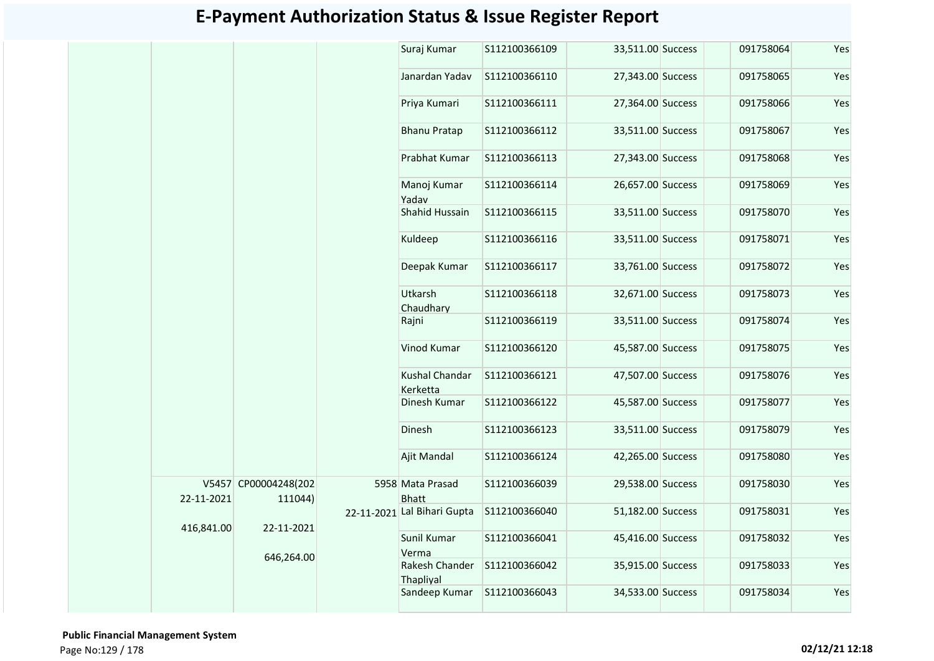| Suraj Kumar<br>S112100366109<br>33,511.00 Success<br>091758064<br>27,343.00 Success<br>Janardan Yadav<br>S112100366110<br>091758065<br>Priya Kumari<br>S112100366111<br>27,364.00 Success<br>091758066<br>S112100366112<br>33,511.00 Success<br>091758067<br><b>Bhanu Pratap</b><br>Prabhat Kumar<br>S112100366113<br>27,343.00 Success<br>091758068 | Yes<br>Yes<br>Yes<br>Yes<br>Yes<br>Yes |
|------------------------------------------------------------------------------------------------------------------------------------------------------------------------------------------------------------------------------------------------------------------------------------------------------------------------------------------------------|----------------------------------------|
|                                                                                                                                                                                                                                                                                                                                                      |                                        |
|                                                                                                                                                                                                                                                                                                                                                      |                                        |
|                                                                                                                                                                                                                                                                                                                                                      |                                        |
|                                                                                                                                                                                                                                                                                                                                                      |                                        |
|                                                                                                                                                                                                                                                                                                                                                      |                                        |
| 26,657.00 Success<br>091758069<br>Manoj Kumar<br>\$112100366114<br>Yadav                                                                                                                                                                                                                                                                             |                                        |
| Shahid Hussain<br>33,511.00 Success<br>S112100366115<br>091758070                                                                                                                                                                                                                                                                                    | Yes                                    |
| Kuldeep<br>S112100366116<br>33,511.00 Success<br>091758071                                                                                                                                                                                                                                                                                           | Yes                                    |
| Deepak Kumar<br>S112100366117<br>33,761.00 Success<br>091758072                                                                                                                                                                                                                                                                                      | Yes                                    |
| Utkarsh<br>S112100366118<br>32,671.00 Success<br>091758073<br>Chaudharv                                                                                                                                                                                                                                                                              | Yes                                    |
| 33,511.00 Success<br>Rajni<br>S112100366119<br>091758074                                                                                                                                                                                                                                                                                             | Yes                                    |
| Vinod Kumar<br>S112100366120<br>45,587.00 Success<br>091758075                                                                                                                                                                                                                                                                                       | Yes                                    |
| Kushal Chandar<br>S112100366121<br>47,507.00 Success<br>091758076<br>Kerketta                                                                                                                                                                                                                                                                        | Yes                                    |
| Dinesh Kumar<br>S112100366122<br>45,587.00 Success<br>091758077                                                                                                                                                                                                                                                                                      | Yes                                    |
| Dinesh<br>33,511.00 Success<br>091758079<br>S112100366123                                                                                                                                                                                                                                                                                            | Yes                                    |
| Ajit Mandal<br>S112100366124<br>42,265.00 Success<br>091758080                                                                                                                                                                                                                                                                                       | Yes                                    |
| V5457 CP00004248(202<br>5958 Mata Prasad<br>S112100366039<br>29,538.00 Success<br>091758030<br><b>Bhatt</b><br>22-11-2021<br>111044)                                                                                                                                                                                                                 | Yes                                    |
| 22-11-2021 Lal Bihari Gupta<br>S112100366040<br>51,182.00 Success<br>091758031                                                                                                                                                                                                                                                                       | Yes                                    |
| 416,841.00<br>22-11-2021<br>Sunil Kumar<br>45,416.00 Success<br>091758032<br>S112100366041<br>Verma                                                                                                                                                                                                                                                  | Yes                                    |
| 646,264.00<br>Rakesh Chander<br>S112100366042<br>35,915.00 Success<br>091758033<br>Thaplival                                                                                                                                                                                                                                                         | Yes                                    |
| 34,533.00 Success<br>091758034<br>Sandeep Kumar<br>S112100366043                                                                                                                                                                                                                                                                                     | Yes                                    |

 **Public Financial Management System**  Page No:129 / 178 **02/12/21 12:18**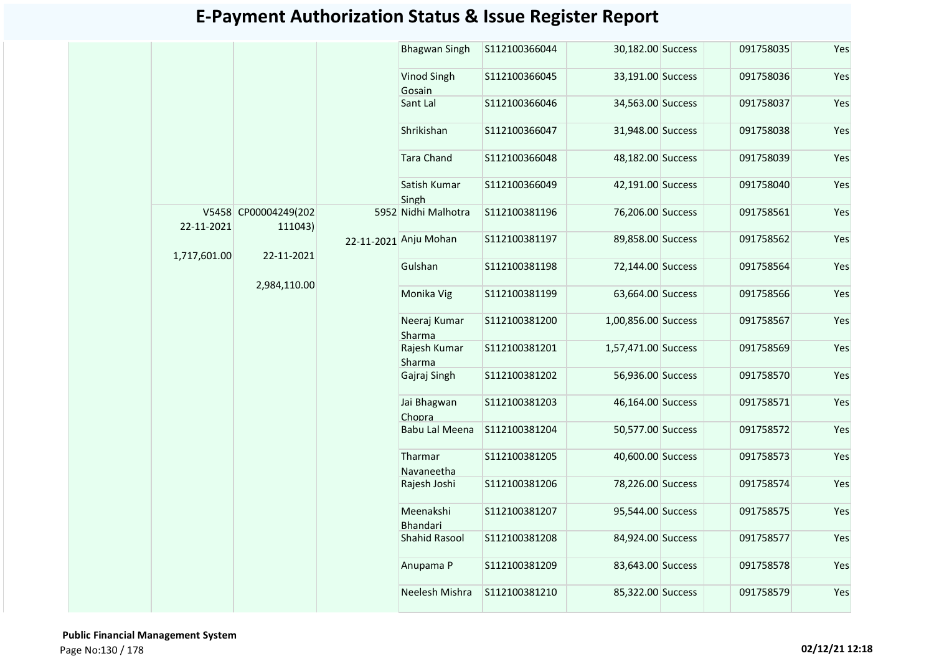|              |                                 | <b>Bhagwan Singh</b>   | S112100366044 | 30,182.00 Success   | 091758035 | Yes |
|--------------|---------------------------------|------------------------|---------------|---------------------|-----------|-----|
|              |                                 | Vinod Singh<br>Gosain  | S112100366045 | 33,191.00 Success   | 091758036 | Yes |
|              |                                 | Sant Lal               | S112100366046 | 34,563.00 Success   | 091758037 | Yes |
|              |                                 | Shrikishan             | S112100366047 | 31,948.00 Success   | 091758038 | Yes |
|              |                                 | <b>Tara Chand</b>      | S112100366048 | 48,182.00 Success   | 091758039 | Yes |
|              |                                 | Satish Kumar<br>Singh  | S112100366049 | 42,191.00 Success   | 091758040 | Yes |
| 22-11-2021   | V5458 CP00004249(202<br>111043) | 5952 Nidhi Malhotra    | S112100381196 | 76,206.00 Success   | 091758561 | Yes |
| 1,717,601.00 | 22-11-2021                      | 22-11-2021 Anju Mohan  | S112100381197 | 89,858.00 Success   | 091758562 | Yes |
|              |                                 | Gulshan                | S112100381198 | 72,144.00 Success   | 091758564 | Yes |
|              | 2,984,110.00                    | Monika Vig             | S112100381199 | 63,664.00 Success   | 091758566 | Yes |
|              |                                 | Neeraj Kumar<br>Sharma | S112100381200 | 1,00,856.00 Success | 091758567 | Yes |
|              |                                 | Rajesh Kumar<br>Sharma | S112100381201 | 1,57,471.00 Success | 091758569 | Yes |
|              |                                 | Gajraj Singh           | S112100381202 | 56,936.00 Success   | 091758570 | Yes |
|              |                                 | Jai Bhagwan<br>Chopra  | S112100381203 | 46,164.00 Success   | 091758571 | Yes |
|              |                                 | <b>Babu Lal Meena</b>  | S112100381204 | 50,577.00 Success   | 091758572 | Yes |
|              |                                 | Tharmar<br>Navaneetha  | S112100381205 | 40,600.00 Success   | 091758573 | Yes |
|              |                                 | Rajesh Joshi           | S112100381206 | 78,226.00 Success   | 091758574 | Yes |
|              |                                 | Meenakshi<br>Bhandari  | S112100381207 | 95,544.00 Success   | 091758575 | Yes |
|              |                                 | <b>Shahid Rasool</b>   | S112100381208 | 84,924.00 Success   | 091758577 | Yes |
|              |                                 | Anupama P              | S112100381209 | 83,643.00 Success   | 091758578 | Yes |
|              |                                 | Neelesh Mishra         | S112100381210 | 85,322.00 Success   | 091758579 | Yes |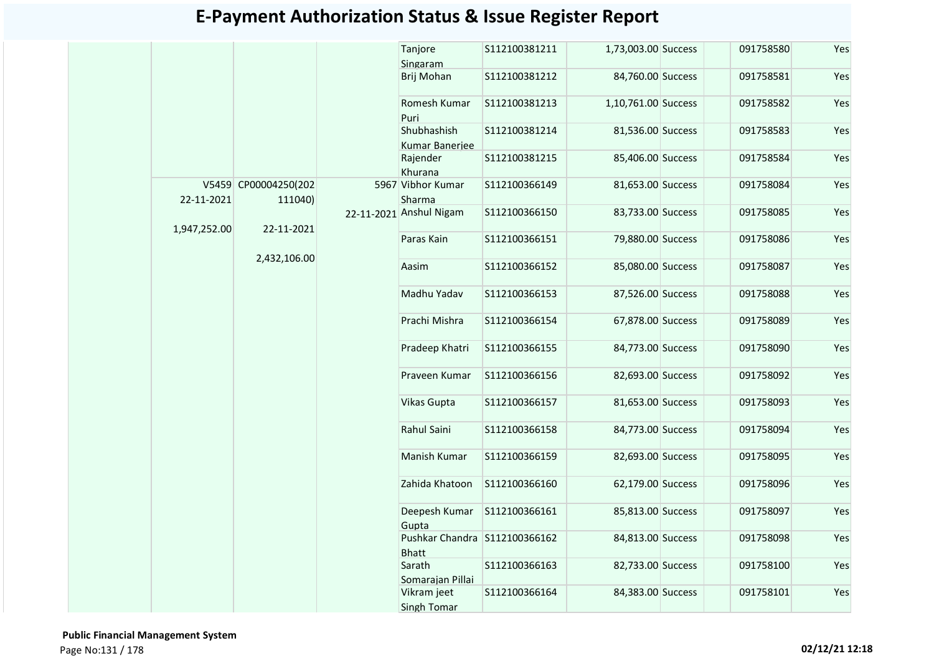|              |                                 | Tanjore<br>Singaram                           | S112100381211 | 1,73,003.00 Success | 091758580 | Yes |
|--------------|---------------------------------|-----------------------------------------------|---------------|---------------------|-----------|-----|
|              |                                 | Brij Mohan                                    | S112100381212 | 84,760.00 Success   | 091758581 | Yes |
|              |                                 | Romesh Kumar<br>Puri                          | S112100381213 | 1,10,761.00 Success | 091758582 | Yes |
|              |                                 | Shubhashish<br>Kumar Banerjee                 | S112100381214 | 81,536.00 Success   | 091758583 | Yes |
|              |                                 | Rajender<br>Khurana                           | S112100381215 | 85,406.00 Success   | 091758584 | Yes |
| 22-11-2021   | V5459 CP00004250(202<br>111040) | 5967 Vibhor Kumar<br>Sharma                   | S112100366149 | 81,653.00 Success   | 091758084 | Yes |
| 1,947,252.00 | 22-11-2021                      | 22-11-2021 Anshul Nigam                       | S112100366150 | 83,733.00 Success   | 091758085 | Yes |
|              |                                 | Paras Kain                                    | S112100366151 | 79,880.00 Success   | 091758086 | Yes |
|              | 2,432,106.00                    | Aasim                                         | S112100366152 | 85,080.00 Success   | 091758087 | Yes |
|              |                                 | Madhu Yadav                                   | S112100366153 | 87,526.00 Success   | 091758088 | Yes |
|              |                                 | Prachi Mishra                                 | S112100366154 | 67,878.00 Success   | 091758089 | Yes |
|              |                                 | Pradeep Khatri                                | S112100366155 | 84,773.00 Success   | 091758090 | Yes |
|              |                                 | Praveen Kumar                                 | S112100366156 | 82,693.00 Success   | 091758092 | Yes |
|              |                                 | Vikas Gupta                                   | S112100366157 | 81,653.00 Success   | 091758093 | Yes |
|              |                                 | Rahul Saini                                   | S112100366158 | 84,773.00 Success   | 091758094 | Yes |
|              |                                 | Manish Kumar                                  | S112100366159 | 82,693.00 Success   | 091758095 | Yes |
|              |                                 | Zahida Khatoon                                | S112100366160 | 62,179.00 Success   | 091758096 | Yes |
|              |                                 | Deepesh Kumar<br>Gupta                        | S112100366161 | 85,813.00 Success   | 091758097 | Yes |
|              |                                 | Pushkar Chandra S112100366162<br><b>Bhatt</b> |               | 84,813.00 Success   | 091758098 | Yes |
|              |                                 | Sarath<br>Somarajan Pillai                    | S112100366163 | 82,733.00 Success   | 091758100 | Yes |
|              |                                 | Vikram jeet<br>Singh Tomar                    | S112100366164 | 84,383.00 Success   | 091758101 | Yes |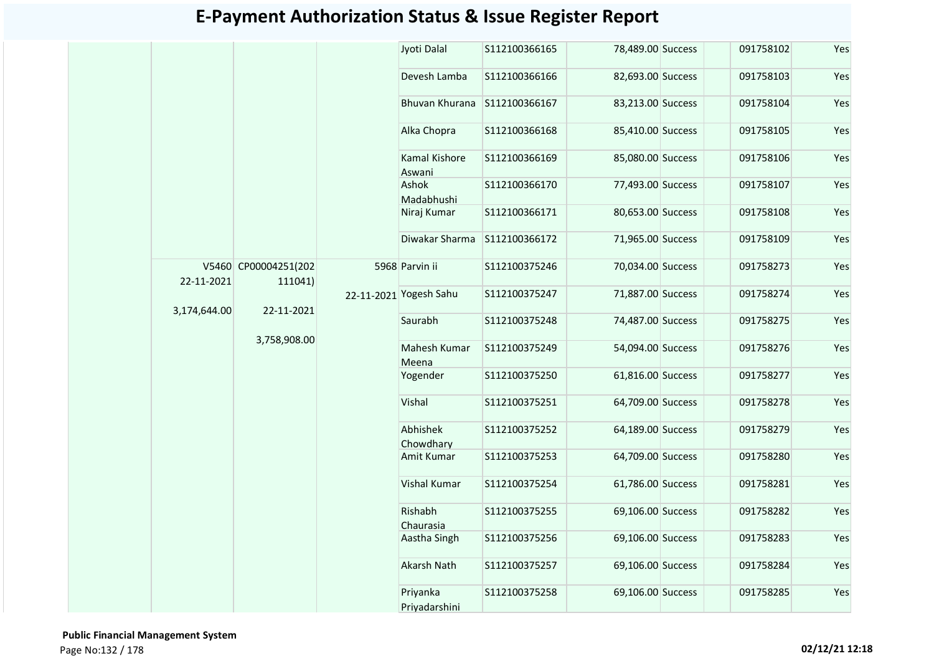|            |                                            | Jyoti Dalal               | S112100366165 | 78,489.00 Success | 091758102 | Yes |
|------------|--------------------------------------------|---------------------------|---------------|-------------------|-----------|-----|
|            |                                            | Devesh Lamba              | S112100366166 | 82,693.00 Success | 091758103 | Yes |
|            |                                            | Bhuvan Khurana            | S112100366167 | 83,213.00 Success | 091758104 | Yes |
|            |                                            | Alka Chopra               | S112100366168 | 85,410.00 Success | 091758105 | Yes |
|            |                                            | Kamal Kishore<br>Aswani   | S112100366169 | 85,080.00 Success | 091758106 | Yes |
|            |                                            | Ashok<br>Madabhushi       | S112100366170 | 77,493.00 Success | 091758107 | Yes |
|            |                                            | Niraj Kumar               | S112100366171 | 80,653.00 Success | 091758108 | Yes |
|            |                                            | Diwakar Sharma            | S112100366172 | 71,965.00 Success | 091758109 | Yes |
| 22-11-2021 | V5460 CP00004251(202<br>111041)            | 5968 Parvin ii            | S112100375246 | 70,034.00 Success | 091758273 | Yes |
|            | 22-11-2021<br>3,174,644.00<br>3,758,908.00 | 22-11-2021 Yogesh Sahu    | S112100375247 | 71,887.00 Success | 091758274 | Yes |
|            |                                            | Saurabh                   | S112100375248 | 74,487.00 Success | 091758275 | Yes |
|            |                                            | Mahesh Kumar<br>Meena     | S112100375249 | 54,094.00 Success | 091758276 | Yes |
|            |                                            | Yogender                  | S112100375250 | 61,816.00 Success | 091758277 | Yes |
|            |                                            | Vishal                    | S112100375251 | 64,709.00 Success | 091758278 | Yes |
|            |                                            | Abhishek<br>Chowdhary     | S112100375252 | 64,189.00 Success | 091758279 | Yes |
|            |                                            | Amit Kumar                | S112100375253 | 64,709.00 Success | 091758280 | Yes |
|            |                                            | Vishal Kumar              | S112100375254 | 61,786.00 Success | 091758281 | Yes |
|            |                                            | Rishabh<br>Chaurasia      | S112100375255 | 69,106.00 Success | 091758282 | Yes |
|            |                                            | Aastha Singh              | S112100375256 | 69,106.00 Success | 091758283 | Yes |
|            |                                            | <b>Akarsh Nath</b>        | S112100375257 | 69,106.00 Success | 091758284 | Yes |
|            |                                            | Priyanka<br>Priyadarshini | S112100375258 | 69,106.00 Success | 091758285 | Yes |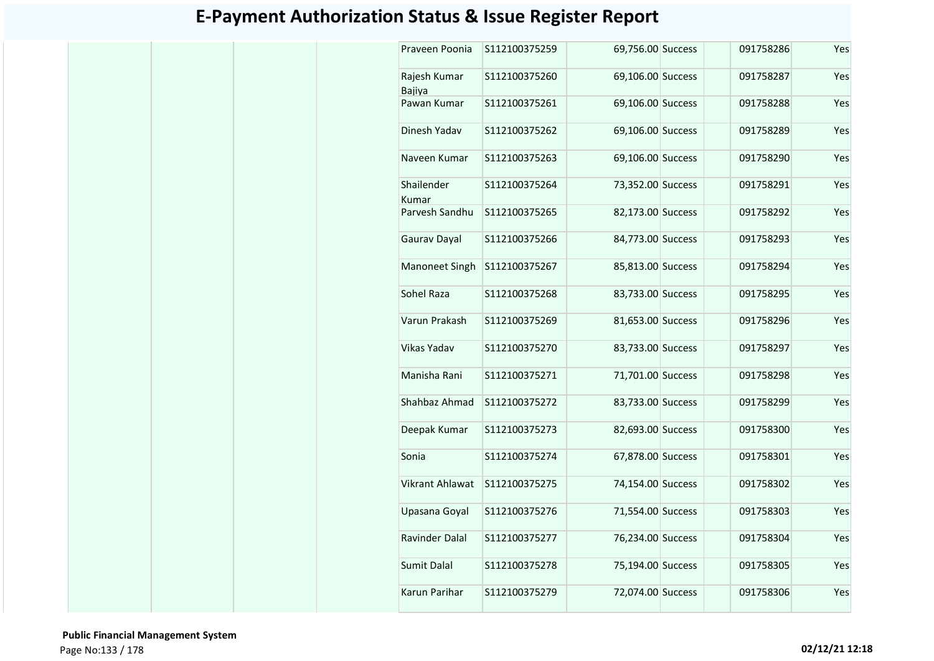| Praveen Poonia         | S112100375259 | 69,756.00 Success | 091758286 | Yes |
|------------------------|---------------|-------------------|-----------|-----|
| Rajesh Kumar<br>Bajiya | S112100375260 | 69,106.00 Success | 091758287 | Yes |
| Pawan Kumar            | S112100375261 | 69,106.00 Success | 091758288 | Yes |
| Dinesh Yadav           | S112100375262 | 69,106.00 Success | 091758289 | Yes |
| Naveen Kumar           | S112100375263 | 69,106.00 Success | 091758290 | Yes |
| Shailender<br>Kumar    | S112100375264 | 73,352.00 Success | 091758291 | Yes |
| Parvesh Sandhu         | S112100375265 | 82,173.00 Success | 091758292 | Yes |
| Gaurav Dayal           | S112100375266 | 84,773.00 Success | 091758293 | Yes |
| Manoneet Singh         | S112100375267 | 85,813.00 Success | 091758294 | Yes |
| Sohel Raza             | S112100375268 | 83,733.00 Success | 091758295 | Yes |
| Varun Prakash          | S112100375269 | 81,653.00 Success | 091758296 | Yes |
| <b>Vikas Yadav</b>     | S112100375270 | 83,733.00 Success | 091758297 | Yes |
| Manisha Rani           | S112100375271 | 71,701.00 Success | 091758298 | Yes |
| Shahbaz Ahmad          | S112100375272 | 83,733.00 Success | 091758299 | Yes |
| Deepak Kumar           | S112100375273 | 82,693.00 Success | 091758300 | Yes |
| Sonia                  | S112100375274 | 67,878.00 Success | 091758301 | Yes |
| <b>Vikrant Ahlawat</b> | S112100375275 | 74,154.00 Success | 091758302 | Yes |
| Upasana Goyal          | S112100375276 | 71,554.00 Success | 091758303 | Yes |
| Ravinder Dalal         | S112100375277 | 76,234.00 Success | 091758304 | Yes |
| Sumit Dalal            | S112100375278 | 75,194.00 Success | 091758305 | Yes |
| Karun Parihar          | S112100375279 | 72,074.00 Success | 091758306 | Yes |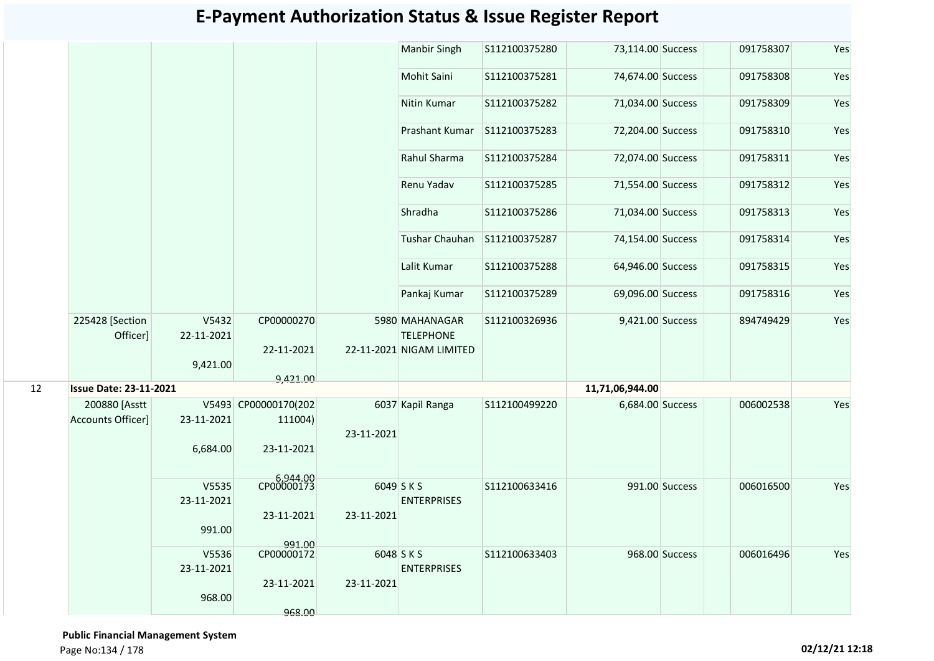#### S112100375280 73.114.00 Success 091758307 Yes S112100375281 74,674.00 Success 091758308 Yes S112100375282 71,034.00 Success 091758309 Yes S112100375283 72,204.00 Success 091758310 Yes S112100375284 72,074.00 Success 091758311 Yes S112100375285 71,554.00 Success 091758312 Yes S112100375286 71,034,00 Success 091758313 Yes 74,154.00 Success 091758314 Yes S112100375288 64,946.00 Success 091758315 Yes S112100375289 69.096.00 Success 091758316 Yes V5432 22-11-2021 9,421.00 CP00000270 22-11-2021 9,421.00 S112100326936 9,421.00 Success 894749429 Yes **11,71,06,944.00** V5493 CP00000170(202 23-11-2021 6,684.00 111004) 23-11-2021 6,944.00 CP00000173 S112100499220 6,684.00 Success 006002538 Yes V5535 23-11-2021 991.00 23-11-2021 991.00 S112100633416 991.00 Success 006016500 Yes V5536 23-11-2021 968.00 CP00000172 23-11-2021 968.00 S112100633403 968.00 Success 006016496 Yes 12 **Issue Date: 23-11-2021** 200880 [Asstt Accounts Officer] 6037 Kapil Ranga 23-11-2021 6049 S K S 23-11-2021 **ENTERPRISES** 6048 S K S 23-11-2021 ENTERPRISES Shradha Tushar Chauhan S112100375287 Lalit Kumar Pankaj Kumar 225428 [Section Officer] 5980 MAHANAGAR 22-11-2021 NIGAM LIMITED **TELEPHONE** Mohit Saini Nitin Kumar Prashant Kumar Rahul Sharma Renu Yadav Manbir Singh

#### **E-Payment Authorization Status & Issue Register Report**

 **Public Financial Management System**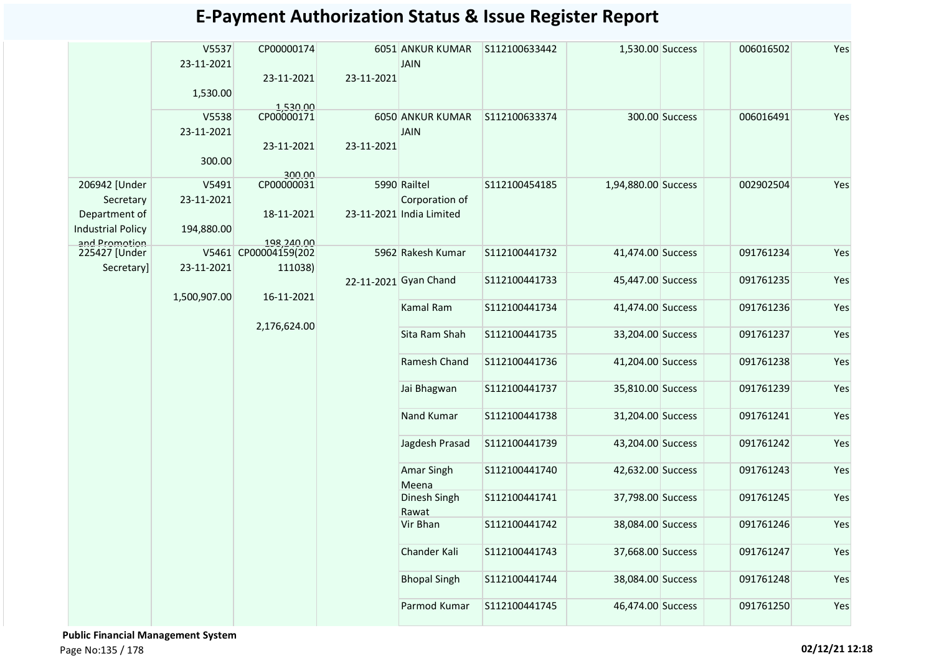|                                                                          | V5537<br>23-11-2021<br>1,530.00 | CP00000174<br>23-11-2021                      | 23-11-2021 | 6051 ANKUR KUMAR<br><b>JAIN</b>                            | S112100633442     | 1,530.00 Success    |                | 006016502 | Yes |
|--------------------------------------------------------------------------|---------------------------------|-----------------------------------------------|------------|------------------------------------------------------------|-------------------|---------------------|----------------|-----------|-----|
|                                                                          | V5538<br>23-11-2021<br>300.00   | 1,530.00<br>CP00000171<br>23-11-2021          | 23-11-2021 | 6050 ANKUR KUMAR<br><b>JAIN</b>                            | S112100633374     |                     | 300.00 Success | 006016491 | Yes |
| 206942 [Under<br>Secretary<br>Department of                              | V5491<br>23-11-2021             | 300.00<br>CP00000031<br>18-11-2021            |            | 5990 Railtel<br>Corporation of<br>23-11-2021 India Limited | S112100454185     | 1,94,880.00 Success |                | 002902504 | Yes |
| <b>Industrial Policy</b><br>and Promotion<br>225427 [Under<br>Secretary] | 194,880.00<br>23-11-2021        | 198.240.00<br>V5461 CP00004159(202<br>111038) |            | 5962 Rakesh Kumar                                          | S112100441732     | 41,474.00 Success   |                | 091761234 | Yes |
|                                                                          | 1,500,907.00                    | 16-11-2021                                    |            | 22-11-2021 Gyan Chand                                      | S112100441733     | 45,447.00 Success   |                | 091761235 | Yes |
|                                                                          | 2,176,624.00                    |                                               | Kamal Ram  | S112100441734                                              | 41,474.00 Success |                     | 091761236      | Yes       |     |
|                                                                          |                                 |                                               |            | Sita Ram Shah                                              | S112100441735     | 33,204.00 Success   |                | 091761237 | Yes |
|                                                                          |                                 |                                               |            | Ramesh Chand                                               | S112100441736     | 41,204.00 Success   |                | 091761238 | Yes |
|                                                                          |                                 |                                               |            | Jai Bhagwan                                                | S112100441737     | 35,810.00 Success   |                | 091761239 | Yes |
|                                                                          |                                 |                                               |            | Nand Kumar                                                 | S112100441738     | 31,204.00 Success   |                | 091761241 | Yes |
|                                                                          |                                 |                                               |            | Jagdesh Prasad                                             | S112100441739     | 43,204.00 Success   |                | 091761242 | Yes |
|                                                                          |                                 |                                               |            | <b>Amar Singh</b><br>Meena                                 | S112100441740     | 42,632.00 Success   |                | 091761243 | Yes |
|                                                                          |                                 |                                               |            | Dinesh Singh<br>Rawat                                      | S112100441741     | 37,798.00 Success   |                | 091761245 | Yes |
|                                                                          |                                 |                                               |            | Vir Bhan                                                   | S112100441742     | 38,084.00 Success   |                | 091761246 | Yes |
|                                                                          |                                 |                                               |            | Chander Kali                                               | S112100441743     | 37,668.00 Success   |                | 091761247 | Yes |
|                                                                          |                                 |                                               |            | <b>Bhopal Singh</b>                                        | S112100441744     | 38,084.00 Success   |                | 091761248 | Yes |
|                                                                          |                                 |                                               |            | Parmod Kumar                                               | S112100441745     | 46,474.00 Success   |                | 091761250 | Yes |

 **Public Financial Management System**  Page No:135 / 178 **02/12/21 12:18**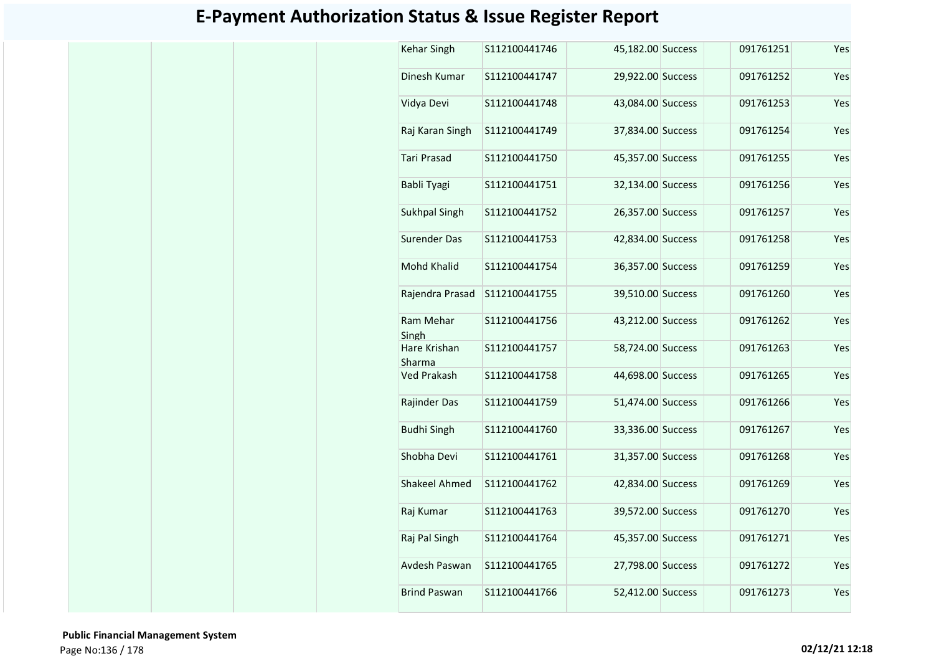| Kehar Singh            | S112100441746 | 45,182.00 Success | 091761251 | Yes |
|------------------------|---------------|-------------------|-----------|-----|
| Dinesh Kumar           | S112100441747 | 29,922.00 Success | 091761252 | Yes |
| Vidya Devi             | S112100441748 | 43,084.00 Success | 091761253 | Yes |
| Raj Karan Singh        | S112100441749 | 37,834.00 Success | 091761254 | Yes |
| <b>Tari Prasad</b>     | S112100441750 | 45,357.00 Success | 091761255 | Yes |
| Babli Tyagi            | S112100441751 | 32,134.00 Success | 091761256 | Yes |
| Sukhpal Singh          | S112100441752 | 26,357.00 Success | 091761257 | Yes |
| <b>Surender Das</b>    | S112100441753 | 42,834.00 Success | 091761258 | Yes |
| Mohd Khalid            | S112100441754 | 36,357.00 Success | 091761259 | Yes |
| Rajendra Prasad        | S112100441755 | 39,510.00 Success | 091761260 | Yes |
| Ram Mehar<br>Singh     | S112100441756 | 43,212.00 Success | 091761262 | Yes |
| Hare Krishan<br>Sharma | S112100441757 | 58,724.00 Success | 091761263 | Yes |
| <b>Ved Prakash</b>     | S112100441758 | 44,698.00 Success | 091761265 | Yes |
| Rajinder Das           | S112100441759 | 51,474.00 Success | 091761266 | Yes |
| <b>Budhi Singh</b>     | S112100441760 | 33,336.00 Success | 091761267 | Yes |
| Shobha Devi            | S112100441761 | 31,357.00 Success | 091761268 | Yes |
| <b>Shakeel Ahmed</b>   | S112100441762 | 42,834.00 Success | 091761269 | Yes |
| Raj Kumar              | S112100441763 | 39,572.00 Success | 091761270 | Yes |
| Raj Pal Singh          | S112100441764 | 45,357.00 Success | 091761271 | Yes |
| Avdesh Paswan          | S112100441765 | 27,798.00 Success | 091761272 | Yes |
| <b>Brind Paswan</b>    | S112100441766 | 52,412.00 Success | 091761273 | Yes |

 **Public Financial Management System**  Page No:136 / 178 **02/12/21 12:18**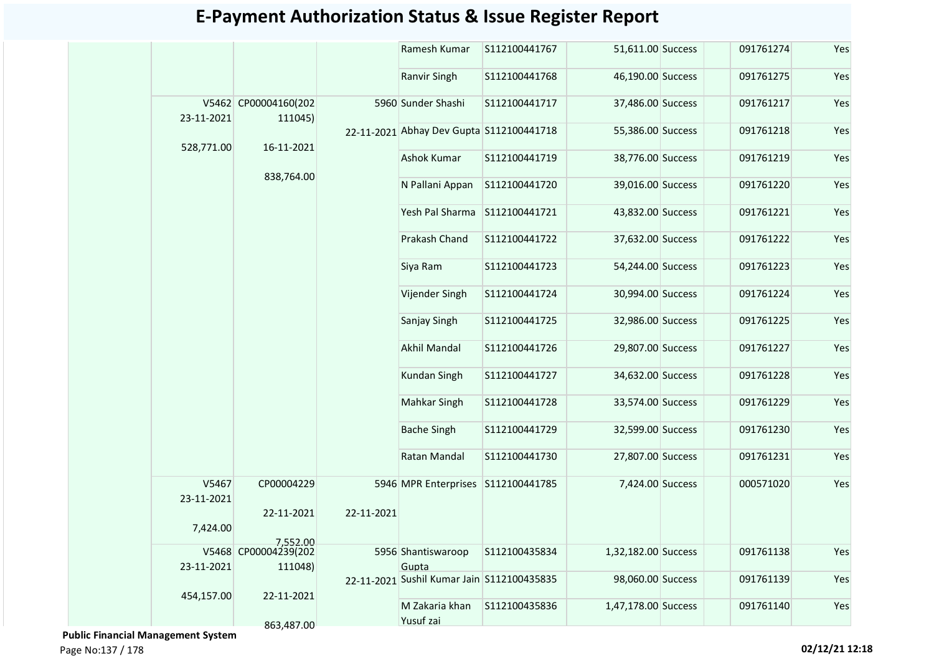|                     |                                 |            | Ramesh Kumar                                        | S112100441767 | 51,611.00 Success   | 091761274 | Yes |
|---------------------|---------------------------------|------------|-----------------------------------------------------|---------------|---------------------|-----------|-----|
|                     |                                 |            | Ranvir Singh                                        | S112100441768 | 46,190.00 Success   | 091761275 | Yes |
| 23-11-2021          | V5462 CP00004160(202<br>111045) |            | 5960 Sunder Shashi                                  | S112100441717 | 37,486.00 Success   | 091761217 | Yes |
| 528,771.00          | 16-11-2021                      |            | 22-11-2021 Abhay Dev Gupta S112100441718            |               | 55,386.00 Success   | 091761218 | Yes |
|                     |                                 |            | Ashok Kumar                                         | S112100441719 | 38,776.00 Success   | 091761219 | Yes |
|                     | 838,764.00                      |            | N Pallani Appan                                     | S112100441720 | 39,016.00 Success   | 091761220 | Yes |
|                     |                                 |            | Yesh Pal Sharma                                     | S112100441721 | 43,832.00 Success   | 091761221 | Yes |
|                     |                                 |            | Prakash Chand                                       | S112100441722 | 37,632.00 Success   | 091761222 | Yes |
|                     |                                 |            | Siya Ram                                            | S112100441723 | 54,244.00 Success   | 091761223 | Yes |
|                     |                                 |            | Vijender Singh                                      | S112100441724 | 30,994.00 Success   | 091761224 | Yes |
|                     |                                 |            | Sanjay Singh                                        | S112100441725 | 32,986.00 Success   | 091761225 | Yes |
|                     |                                 |            | Akhil Mandal                                        | S112100441726 | 29,807.00 Success   | 091761227 | Yes |
|                     |                                 |            | <b>Kundan Singh</b>                                 | S112100441727 | 34,632.00 Success   | 091761228 | Yes |
|                     |                                 |            | <b>Mahkar Singh</b>                                 | S112100441728 | 33,574.00 Success   | 091761229 | Yes |
|                     |                                 |            | <b>Bache Singh</b>                                  | S112100441729 | 32,599.00 Success   | 091761230 | Yes |
|                     |                                 |            | Ratan Mandal                                        | S112100441730 | 27,807.00 Success   | 091761231 | Yes |
| V5467<br>23-11-2021 | CP00004229                      |            | 5946 MPR Enterprises S112100441785                  |               | 7,424.00 Success    | 000571020 | Yes |
| 7,424.00            | 22-11-2021                      | 22-11-2021 |                                                     |               |                     |           |     |
|                     | 7,552.00                        |            |                                                     |               |                     |           |     |
|                     | V5468 CP00004239(202            |            | 5956 Shantiswaroop                                  | S112100435834 | 1,32,182.00 Success | 091761138 | Yes |
| 23-11-2021          | 111048)                         |            | Gupta<br>22-11-2021 Sushil Kumar Jain S112100435835 |               | 98,060.00 Success   | 091761139 | Yes |
| 454,157.00          | 22-11-2021                      |            | M Zakaria khan                                      | S112100435836 | 1,47,178.00 Success | 091761140 | Yes |
|                     | 863,487.00                      |            | Yusuf zai                                           |               |                     |           |     |

 **Public Financial Management System** 

Page No:137 / 178 **02/12/21 12:18**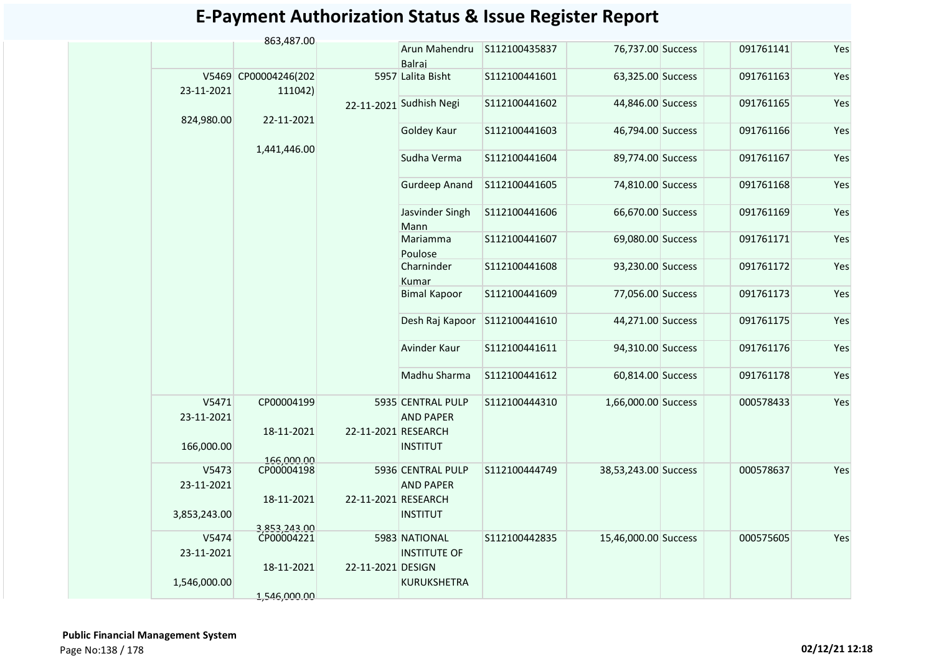|                     | 863,487.00                      |                     |                                       |               |                      |           |     |
|---------------------|---------------------------------|---------------------|---------------------------------------|---------------|----------------------|-----------|-----|
|                     |                                 |                     | Arun Mahendru<br>Balraj               | S112100435837 | 76,737.00 Success    | 091761141 | Yes |
| 23-11-2021          | V5469 CP00004246(202<br>111042) |                     | 5957 Lalita Bisht                     | S112100441601 | 63,325.00 Success    | 091761163 | Yes |
| 824,980.00          | 22-11-2021                      |                     | 22-11-2021 Sudhish Negi               | S112100441602 | 44,846.00 Success    | 091761165 | Yes |
|                     |                                 |                     | Goldey Kaur                           | S112100441603 | 46,794.00 Success    | 091761166 | Yes |
|                     | 1,441,446.00                    |                     | Sudha Verma                           | S112100441604 | 89,774.00 Success    | 091761167 | Yes |
|                     |                                 |                     | <b>Gurdeep Anand</b>                  | S112100441605 | 74,810.00 Success    | 091761168 | Yes |
|                     |                                 |                     | Jasvinder Singh<br>Mann               | S112100441606 | 66,670.00 Success    | 091761169 | Yes |
|                     |                                 |                     | Mariamma<br>Poulose                   | S112100441607 | 69,080.00 Success    | 091761171 | Yes |
|                     |                                 |                     | Charninder<br>Kumar                   | S112100441608 | 93,230.00 Success    | 091761172 | Yes |
|                     |                                 |                     | <b>Bimal Kapoor</b>                   | S112100441609 | 77,056.00 Success    | 091761173 | Yes |
|                     |                                 |                     | Desh Raj Kapoor                       | S112100441610 | 44,271.00 Success    | 091761175 | Yes |
|                     |                                 |                     | Avinder Kaur                          | S112100441611 | 94,310.00 Success    | 091761176 | Yes |
|                     |                                 |                     | Madhu Sharma                          | S112100441612 | 60,814.00 Success    | 091761178 | Yes |
| V5471<br>23-11-2021 | CP00004199                      |                     | 5935 CENTRAL PULP<br><b>AND PAPER</b> | S112100444310 | 1,66,000.00 Success  | 000578433 | Yes |
| 166,000.00          | 18-11-2021                      | 22-11-2021 RESEARCH | <b>INSTITUT</b>                       |               |                      |           |     |
|                     |                                 |                     |                                       |               |                      |           |     |
| V5473<br>23-11-2021 | 166,000.00<br>CP00004198        |                     | 5936 CENTRAL PULP<br><b>AND PAPER</b> | S112100444749 | 38,53,243.00 Success | 000578637 | Yes |
|                     | 18-11-2021                      | 22-11-2021 RESEARCH |                                       |               |                      |           |     |
| 3,853,243.00        |                                 |                     | <b>INSTITUT</b>                       |               |                      |           |     |
| V5474               | 3,853,243.00<br>CP00004221      |                     | 5983 NATIONAL                         | S112100442835 | 15,46,000.00 Success | 000575605 | Yes |
| 23-11-2021          | 18-11-2021                      | 22-11-2021 DESIGN   | <b>INSTITUTE OF</b>                   |               |                      |           |     |
| 1,546,000.00        |                                 |                     | <b>KURUKSHETRA</b>                    |               |                      |           |     |
|                     | 1,546,000.00                    |                     |                                       |               |                      |           |     |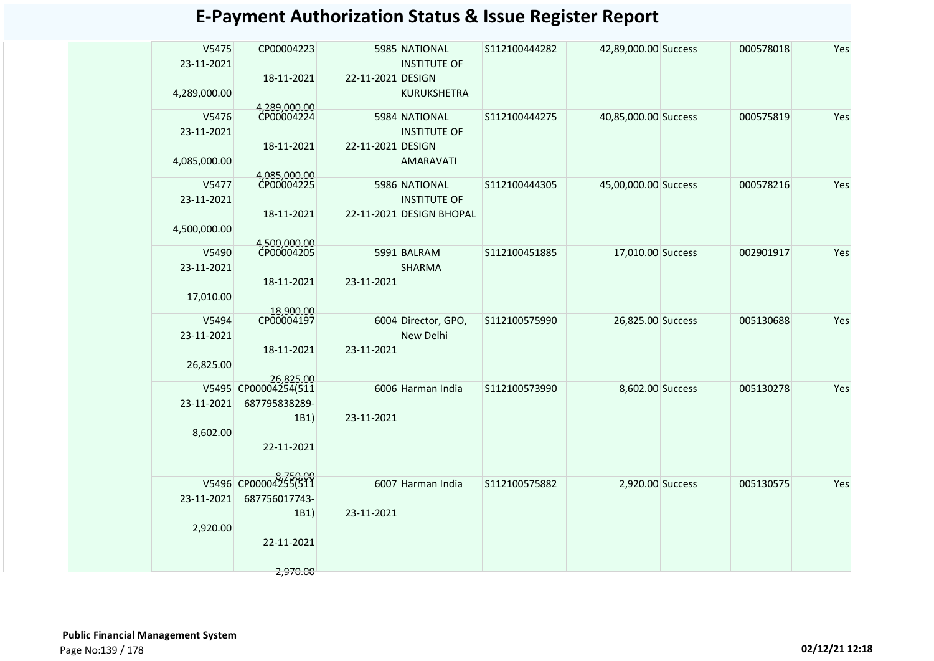| V5475<br>23-11-2021 | CP00004223              |                   | 5985 NATIONAL<br><b>INSTITUTE OF</b> | S112100444282 | 42,89,000.00 Success | 000578018 | Yes |
|---------------------|-------------------------|-------------------|--------------------------------------|---------------|----------------------|-----------|-----|
| 4,289,000.00        | 18-11-2021              | 22-11-2021 DESIGN | <b>KURUKSHETRA</b>                   |               |                      |           |     |
|                     | 4.289.000.00            |                   |                                      |               |                      |           |     |
| V5476               | CP00004224              |                   | 5984 NATIONAL                        | S112100444275 | 40,85,000.00 Success | 000575819 | Yes |
| 23-11-2021          |                         |                   | <b>INSTITUTE OF</b>                  |               |                      |           |     |
|                     |                         | 22-11-2021 DESIGN |                                      |               |                      |           |     |
|                     | 18-11-2021              |                   |                                      |               |                      |           |     |
| 4,085,000.00        |                         |                   | <b>AMARAVATI</b>                     |               |                      |           |     |
|                     | 4,085,000.00            |                   |                                      |               |                      |           |     |
| V5477               | CP00004225              |                   | 5986 NATIONAL                        | S112100444305 | 45,00,000.00 Success | 000578216 | Yes |
| 23-11-2021          |                         |                   | <b>INSTITUTE OF</b>                  |               |                      |           |     |
|                     | 18-11-2021              |                   | 22-11-2021 DESIGN BHOPAL             |               |                      |           |     |
| 4,500,000.00        |                         |                   |                                      |               |                      |           |     |
|                     | 4,500,000.00            |                   |                                      |               |                      |           |     |
| V5490               | CP00004205              |                   | 5991 BALRAM                          | S112100451885 | 17,010.00 Success    | 002901917 | Yes |
| 23-11-2021          |                         |                   | <b>SHARMA</b>                        |               |                      |           |     |
|                     | 18-11-2021              | 23-11-2021        |                                      |               |                      |           |     |
|                     |                         |                   |                                      |               |                      |           |     |
| 17,010.00           |                         |                   |                                      |               |                      |           |     |
| V5494               | 18.900.00<br>CP00004197 |                   | 6004 Director, GPO,                  | S112100575990 |                      | 005130688 | Yes |
|                     |                         |                   |                                      |               | 26,825.00 Success    |           |     |
| 23-11-2021          |                         |                   | New Delhi                            |               |                      |           |     |
|                     | 18-11-2021              | 23-11-2021        |                                      |               |                      |           |     |
| 26,825.00           |                         |                   |                                      |               |                      |           |     |
|                     | 26,825.00               |                   |                                      |               |                      |           |     |
|                     | V5495 CP00004254(511    |                   | 6006 Harman India                    | S112100573990 | 8,602.00 Success     | 005130278 | Yes |
| 23-11-2021          | 687795838289-           |                   |                                      |               |                      |           |     |
|                     | 1B1)                    | 23-11-2021        |                                      |               |                      |           |     |
| 8,602.00            |                         |                   |                                      |               |                      |           |     |
|                     | 22-11-2021              |                   |                                      |               |                      |           |     |
|                     |                         |                   |                                      |               |                      |           |     |
|                     |                         |                   |                                      |               |                      |           |     |
|                     | V5496 CP00004255(511    |                   | 6007 Harman India                    | S112100575882 | 2,920.00 Success     | 005130575 | Yes |
|                     |                         |                   |                                      |               |                      |           |     |
| 23-11-2021          | 687756017743-           |                   |                                      |               |                      |           |     |
|                     | 1B1)                    | 23-11-2021        |                                      |               |                      |           |     |
| 2,920.00            |                         |                   |                                      |               |                      |           |     |
|                     | 22-11-2021              |                   |                                      |               |                      |           |     |
|                     |                         |                   |                                      |               |                      |           |     |
|                     | 2,970.00                |                   |                                      |               |                      |           |     |
|                     |                         |                   |                                      |               |                      |           |     |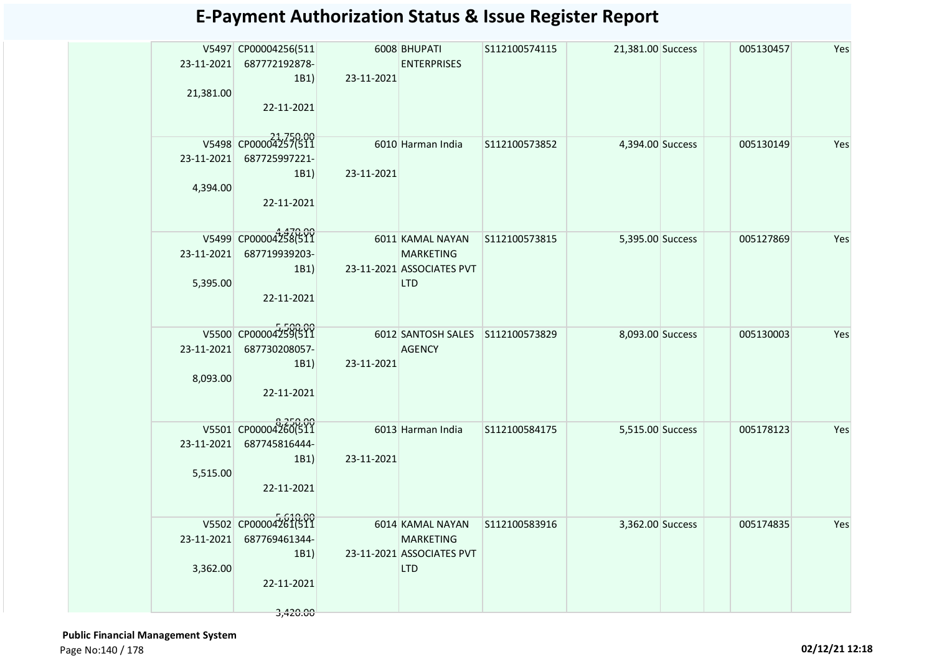|            | V5497 CP00004256(511  |            | 6008 BHUPATI                                  | S112100574115 | 21,381.00 Success | 005130457 | Yes |
|------------|-----------------------|------------|-----------------------------------------------|---------------|-------------------|-----------|-----|
| 23-11-2021 | 687772192878-         |            | <b>ENTERPRISES</b>                            |               |                   |           |     |
|            | 1B1)                  | 23-11-2021 |                                               |               |                   |           |     |
| 21,381.00  |                       |            |                                               |               |                   |           |     |
|            | 22-11-2021            |            |                                               |               |                   |           |     |
|            |                       |            |                                               |               |                   |           |     |
|            | V5498 CP00004257(511  |            | 6010 Harman India                             | S112100573852 | 4,394.00 Success  | 005130149 | Yes |
| 23-11-2021 | 687725997221-         |            |                                               |               |                   |           |     |
|            | 1B1)                  | 23-11-2021 |                                               |               |                   |           |     |
| 4,394.00   | 22-11-2021            |            |                                               |               |                   |           |     |
|            |                       |            |                                               |               |                   |           |     |
|            |                       |            |                                               |               |                   |           |     |
|            | V5499 CP00004258(511  |            | 6011 KAMAL NAYAN                              | S112100573815 | 5,395.00 Success  | 005127869 | Yes |
| 23-11-2021 | 687719939203-<br>1B1) |            | <b>MARKETING</b><br>23-11-2021 ASSOCIATES PVT |               |                   |           |     |
| 5,395.00   |                       |            | <b>LTD</b>                                    |               |                   |           |     |
|            | 22-11-2021            |            |                                               |               |                   |           |     |
|            |                       |            |                                               |               |                   |           |     |
|            | V5500 CP00004259(511  |            | 6012 SANTOSH SALES S112100573829              |               | 8,093.00 Success  | 005130003 | Yes |
| 23-11-2021 | 687730208057-         |            | <b>AGENCY</b>                                 |               |                   |           |     |
|            | 1B1)                  | 23-11-2021 |                                               |               |                   |           |     |
| 8,093.00   |                       |            |                                               |               |                   |           |     |
|            | 22-11-2021            |            |                                               |               |                   |           |     |
|            |                       |            |                                               |               |                   |           |     |
|            | V5501 CP00004260(511  |            | 6013 Harman India                             | S112100584175 | 5,515.00 Success  | 005178123 | Yes |
| 23-11-2021 | 687745816444-         |            |                                               |               |                   |           |     |
|            | 1B1)                  | 23-11-2021 |                                               |               |                   |           |     |
| 5,515.00   |                       |            |                                               |               |                   |           |     |
|            | 22-11-2021            |            |                                               |               |                   |           |     |
|            |                       |            |                                               |               |                   |           |     |
|            | V5502 CP00004261(511  |            | 6014 KAMAL NAYAN                              | S112100583916 | 3,362.00 Success  | 005174835 | Yes |
| 23-11-2021 | 687769461344-         |            | <b>MARKETING</b>                              |               |                   |           |     |
|            | 1B1)                  |            | 23-11-2021 ASSOCIATES PVT                     |               |                   |           |     |
| 3,362.00   |                       |            | <b>LTD</b>                                    |               |                   |           |     |
|            | 22-11-2021            |            |                                               |               |                   |           |     |
|            | 3,420.00              |            |                                               |               |                   |           |     |
|            |                       |            |                                               |               |                   |           |     |

 **Public Financial Management System**  Page No:140 / 178 **02/12/21 12:18**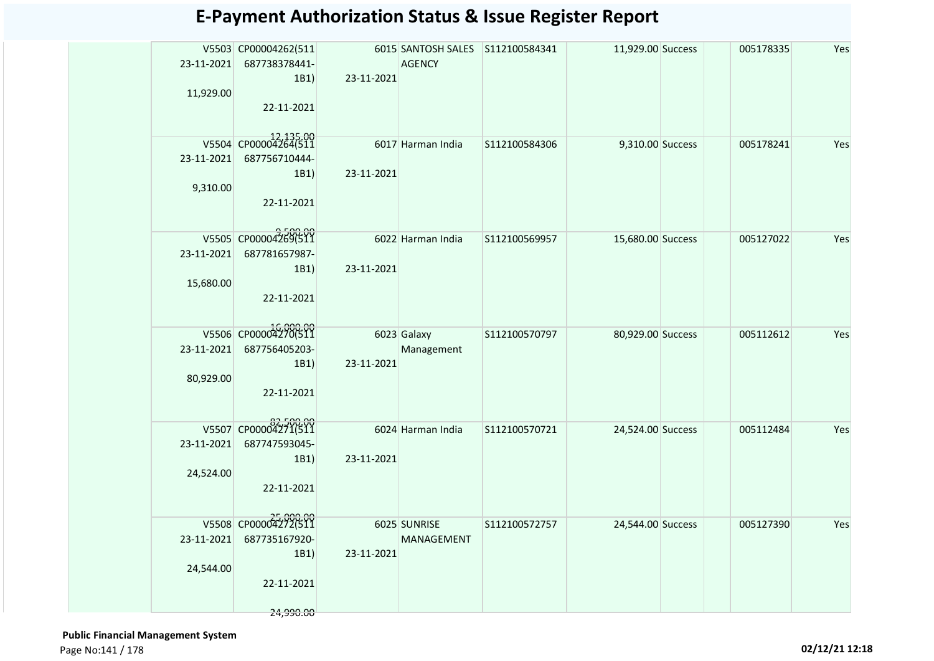| 11,929.00  | V5503 CP00004262(511<br>23-11-2021 687738378441-<br>1B1) | 23-11-2021 | 6015 SANTOSH SALES S112100584341<br><b>AGENCY</b> |               | 11,929.00 Success | 005178335 | Yes |
|------------|----------------------------------------------------------|------------|---------------------------------------------------|---------------|-------------------|-----------|-----|
|            | 22-11-2021                                               |            |                                                   |               |                   |           |     |
|            | V5504 CP00004264(511                                     |            | 6017 Harman India                                 | S112100584306 | 9,310.00 Success  | 005178241 | Yes |
|            | 23-11-2021 687756710444-                                 |            |                                                   |               |                   |           |     |
| 9,310.00   | 1B1)                                                     | 23-11-2021 |                                                   |               |                   |           |     |
|            | 22-11-2021                                               |            |                                                   |               |                   |           |     |
|            | V5505 CP00004269(511                                     |            | 6022 Harman India                                 | S112100569957 | 15,680.00 Success | 005127022 | Yes |
|            | 23-11-2021 687781657987-                                 |            |                                                   |               |                   |           |     |
|            | 1B1)                                                     | 23-11-2021 |                                                   |               |                   |           |     |
| 15,680.00  |                                                          |            |                                                   |               |                   |           |     |
|            | 22-11-2021                                               |            |                                                   |               |                   |           |     |
|            |                                                          |            |                                                   |               |                   |           |     |
|            | V5506 CP00004270(511                                     |            | 6023 Galaxy                                       | S112100570797 | 80,929.00 Success | 005112612 | Yes |
| 23-11-2021 | 687756405203-                                            |            | Management                                        |               |                   |           |     |
|            | 1B1)                                                     | 23-11-2021 |                                                   |               |                   |           |     |
| 80,929.00  | 22-11-2021                                               |            |                                                   |               |                   |           |     |
|            |                                                          |            |                                                   |               |                   |           |     |
|            | V5507 CP00004271(511                                     |            |                                                   |               |                   |           |     |
| 23-11-2021 | 687747593045-                                            |            | 6024 Harman India                                 | S112100570721 | 24,524.00 Success | 005112484 | Yes |
|            | 1B1)                                                     | 23-11-2021 |                                                   |               |                   |           |     |
| 24,524.00  |                                                          |            |                                                   |               |                   |           |     |
|            | 22-11-2021                                               |            |                                                   |               |                   |           |     |
|            |                                                          |            |                                                   |               |                   |           |     |
|            | V5508 CP00004272(511                                     |            | 6025 SUNRISE                                      | S112100572757 | 24,544.00 Success | 005127390 | Yes |
|            | 23-11-2021 687735167920-                                 |            | MANAGEMENT                                        |               |                   |           |     |
|            | 1B1)                                                     | 23-11-2021 |                                                   |               |                   |           |     |
| 24,544.00  |                                                          |            |                                                   |               |                   |           |     |
|            | 22-11-2021                                               |            |                                                   |               |                   |           |     |
|            | 24,990.00                                                |            |                                                   |               |                   |           |     |
|            |                                                          |            |                                                   |               |                   |           |     |

 **Public Financial Management System**  Page No:141 / 178 **02/12/21 12:18**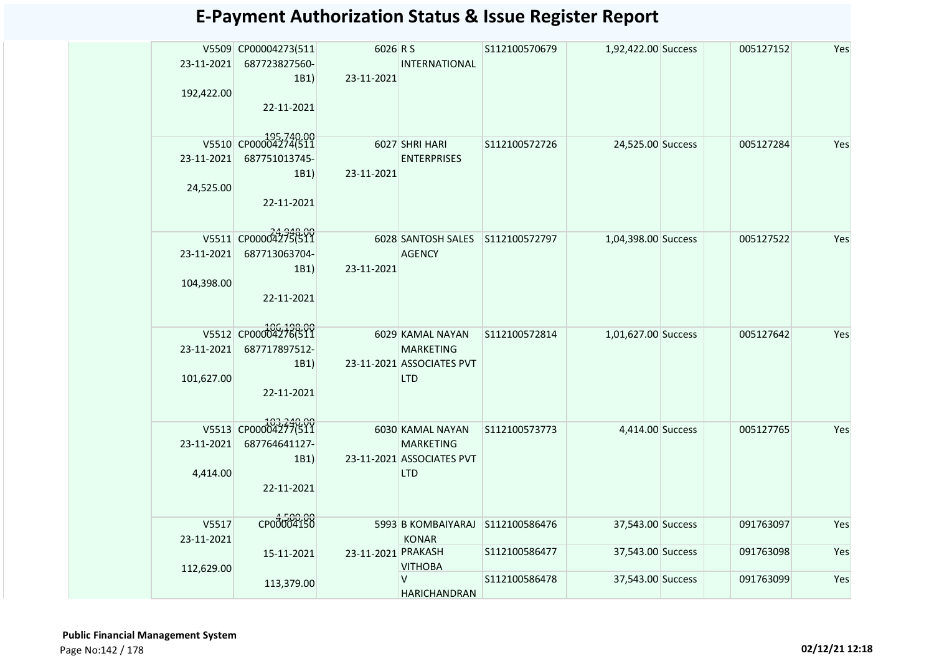| <b>E-Payment Authorization Status &amp; Issue Register Report</b> |  |  |
|-------------------------------------------------------------------|--|--|
|-------------------------------------------------------------------|--|--|

|            | 687723827560-<br>1B1                                                                                                |                                                                                                                                                                                                                                                         | <b>INTERNATIONAL</b>     | S112100570679                                                                                                                                                                                                                                                                         |                                                                                                                         | 005127152                                                                                                                                                                 | Yes                                              |
|------------|---------------------------------------------------------------------------------------------------------------------|---------------------------------------------------------------------------------------------------------------------------------------------------------------------------------------------------------------------------------------------------------|--------------------------|---------------------------------------------------------------------------------------------------------------------------------------------------------------------------------------------------------------------------------------------------------------------------------------|-------------------------------------------------------------------------------------------------------------------------|---------------------------------------------------------------------------------------------------------------------------------------------------------------------------|--------------------------------------------------|
|            | 22-11-2021                                                                                                          |                                                                                                                                                                                                                                                         |                          |                                                                                                                                                                                                                                                                                       |                                                                                                                         |                                                                                                                                                                           |                                                  |
|            |                                                                                                                     |                                                                                                                                                                                                                                                         |                          |                                                                                                                                                                                                                                                                                       |                                                                                                                         |                                                                                                                                                                           | Yes                                              |
|            |                                                                                                                     |                                                                                                                                                                                                                                                         |                          |                                                                                                                                                                                                                                                                                       |                                                                                                                         |                                                                                                                                                                           |                                                  |
| 24,525.00  | 22-11-2021                                                                                                          |                                                                                                                                                                                                                                                         |                          |                                                                                                                                                                                                                                                                                       |                                                                                                                         |                                                                                                                                                                           |                                                  |
|            |                                                                                                                     |                                                                                                                                                                                                                                                         |                          |                                                                                                                                                                                                                                                                                       |                                                                                                                         |                                                                                                                                                                           |                                                  |
|            |                                                                                                                     |                                                                                                                                                                                                                                                         |                          |                                                                                                                                                                                                                                                                                       |                                                                                                                         | 005127522                                                                                                                                                                 | Yes                                              |
|            |                                                                                                                     |                                                                                                                                                                                                                                                         |                          |                                                                                                                                                                                                                                                                                       |                                                                                                                         |                                                                                                                                                                           |                                                  |
|            |                                                                                                                     |                                                                                                                                                                                                                                                         |                          |                                                                                                                                                                                                                                                                                       |                                                                                                                         |                                                                                                                                                                           |                                                  |
|            | 22-11-2021                                                                                                          |                                                                                                                                                                                                                                                         |                          |                                                                                                                                                                                                                                                                                       |                                                                                                                         |                                                                                                                                                                           |                                                  |
|            |                                                                                                                     |                                                                                                                                                                                                                                                         |                          | S112100572814                                                                                                                                                                                                                                                                         |                                                                                                                         | 005127642                                                                                                                                                                 | Yes                                              |
| 23-11-2021 | 687717897512-                                                                                                       |                                                                                                                                                                                                                                                         | <b>MARKETING</b>         |                                                                                                                                                                                                                                                                                       |                                                                                                                         |                                                                                                                                                                           |                                                  |
|            | 1B1)                                                                                                                |                                                                                                                                                                                                                                                         |                          |                                                                                                                                                                                                                                                                                       |                                                                                                                         |                                                                                                                                                                           |                                                  |
|            | 22-11-2021                                                                                                          |                                                                                                                                                                                                                                                         |                          |                                                                                                                                                                                                                                                                                       |                                                                                                                         |                                                                                                                                                                           |                                                  |
|            |                                                                                                                     |                                                                                                                                                                                                                                                         |                          |                                                                                                                                                                                                                                                                                       |                                                                                                                         |                                                                                                                                                                           |                                                  |
|            |                                                                                                                     |                                                                                                                                                                                                                                                         |                          |                                                                                                                                                                                                                                                                                       |                                                                                                                         |                                                                                                                                                                           | Yes                                              |
|            |                                                                                                                     |                                                                                                                                                                                                                                                         |                          |                                                                                                                                                                                                                                                                                       |                                                                                                                         |                                                                                                                                                                           |                                                  |
|            |                                                                                                                     |                                                                                                                                                                                                                                                         | <b>LTD</b>               |                                                                                                                                                                                                                                                                                       |                                                                                                                         |                                                                                                                                                                           |                                                  |
|            | 22-11-2021                                                                                                          |                                                                                                                                                                                                                                                         |                          |                                                                                                                                                                                                                                                                                       |                                                                                                                         |                                                                                                                                                                           |                                                  |
|            |                                                                                                                     |                                                                                                                                                                                                                                                         |                          |                                                                                                                                                                                                                                                                                       |                                                                                                                         |                                                                                                                                                                           |                                                  |
|            |                                                                                                                     |                                                                                                                                                                                                                                                         |                          |                                                                                                                                                                                                                                                                                       |                                                                                                                         |                                                                                                                                                                           | Yes                                              |
|            |                                                                                                                     |                                                                                                                                                                                                                                                         |                          |                                                                                                                                                                                                                                                                                       |                                                                                                                         |                                                                                                                                                                           | Yes                                              |
|            |                                                                                                                     |                                                                                                                                                                                                                                                         | <b>VITHOBA</b>           |                                                                                                                                                                                                                                                                                       |                                                                                                                         |                                                                                                                                                                           |                                                  |
|            | 113,379.00                                                                                                          |                                                                                                                                                                                                                                                         | V<br><b>HARICHANDRAN</b> | S112100586478                                                                                                                                                                                                                                                                         |                                                                                                                         | 091763099                                                                                                                                                                 | Yes                                              |
|            | 192,422.00<br>23-11-2021<br>104,398.00<br>101,627.00<br>23-11-2021<br>4,414.00<br>V5517<br>23-11-2021<br>112,629.00 | V5509 CP00004273(511<br>23-11-2021<br>V5510 CP000042740511<br>687751013745-<br>1B1)<br>V5511 CP00004275(511<br>687713063704-<br>23-11-2021<br>1B1)<br>V5512 CP00004276(511<br>V5513 CP00004277(511<br>687764641127-<br>1B1)<br>CP00004150<br>15-11-2021 |                          | 6026 R S<br>23-11-2021<br>6027 SHRI HARI<br><b>ENTERPRISES</b><br>23-11-2021<br><b>AGENCY</b><br>23-11-2021<br>6029 KAMAL NAYAN<br>23-11-2021 ASSOCIATES PVT<br><b>LTD</b><br>6030 KAMAL NAYAN<br><b>MARKETING</b><br>23-11-2021 ASSOCIATES PVT<br><b>KONAR</b><br>23-11-2021 PRAKASH | S112100572726<br>6028 SANTOSH SALES S112100572797<br>S112100573773<br>5993 B KOMBAIYARAJ S112100586476<br>S112100586477 | 1,92,422.00 Success<br>24,525.00 Success<br>1,04,398.00 Success<br>1,01,627.00 Success<br>4,414.00 Success<br>37,543.00 Success<br>37,543.00 Success<br>37,543.00 Success | 005127284<br>005127765<br>091763097<br>091763098 |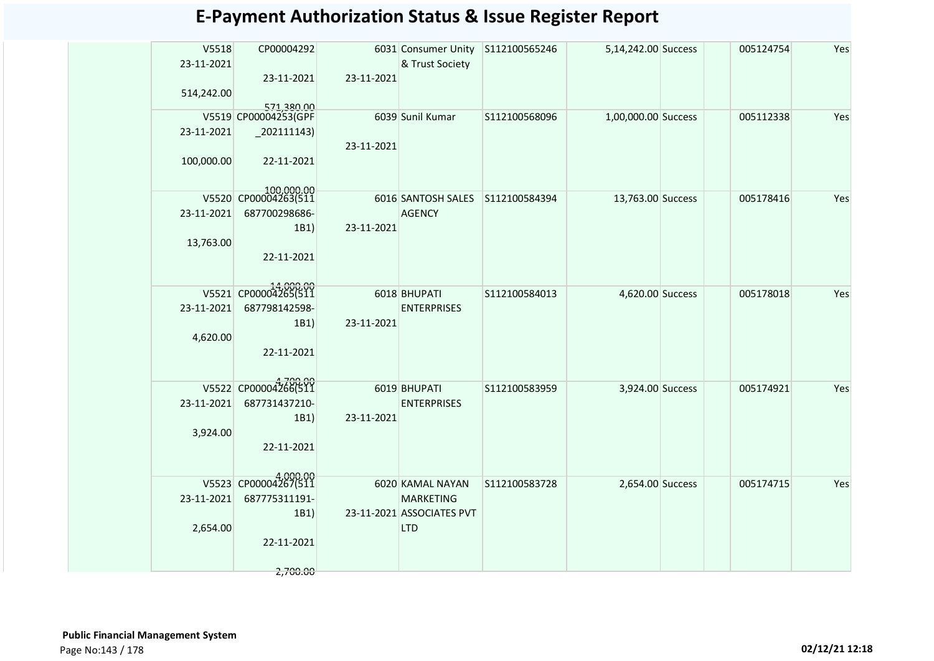| V5518<br>23-11-2021<br>514,242.00 | CP00004292<br>23-11-2021                                                            | 23-11-2021 | 6031 Consumer Unity<br>& Trust Society                                          | S112100565246 | 5,14,242.00 Success | 005124754 | Yes |
|-----------------------------------|-------------------------------------------------------------------------------------|------------|---------------------------------------------------------------------------------|---------------|---------------------|-----------|-----|
| 23-11-2021<br>100,000.00          | 571.380.00<br>V5519 CP00004253(GPF<br>$_2$ 202111143)<br>22-11-2021                 | 23-11-2021 | 6039 Sunil Kumar                                                                | S112100568096 | 1,00,000.00 Success | 005112338 | Yes |
| 23-11-2021<br>13,763.00           | 100,000.00<br>V5520 CP00004263(511<br>687700298686-<br>1B1)<br>22-11-2021           | 23-11-2021 | 6016 SANTOSH SALES<br><b>AGENCY</b>                                             | S112100584394 | 13,763.00 Success   | 005178416 | Yes |
| 23-11-2021<br>4,620.00            | V5521 CP00004265(511<br>687798142598-<br>1B1)<br>22-11-2021                         | 23-11-2021 | 6018 BHUPATI<br><b>ENTERPRISES</b>                                              | S112100584013 | 4,620.00 Success    | 005178018 | Yes |
| 23-11-2021<br>3,924.00            | V5522 CP00004266(511<br>687731437210-<br>1B1)<br>22-11-2021                         | 23-11-2021 | 6019 BHUPATI<br><b>ENTERPRISES</b>                                              | S112100583959 | 3,924.00 Success    | 005174921 | Yes |
| 23-11-2021<br>2,654.00            | 4,000.00<br>V5523 CP00004267(511<br>687775311191-<br>1B1)<br>22-11-2021<br>2,700.00 |            | 6020 KAMAL NAYAN<br><b>MARKETING</b><br>23-11-2021 ASSOCIATES PVT<br><b>LTD</b> | S112100583728 | 2,654.00 Success    | 005174715 | Yes |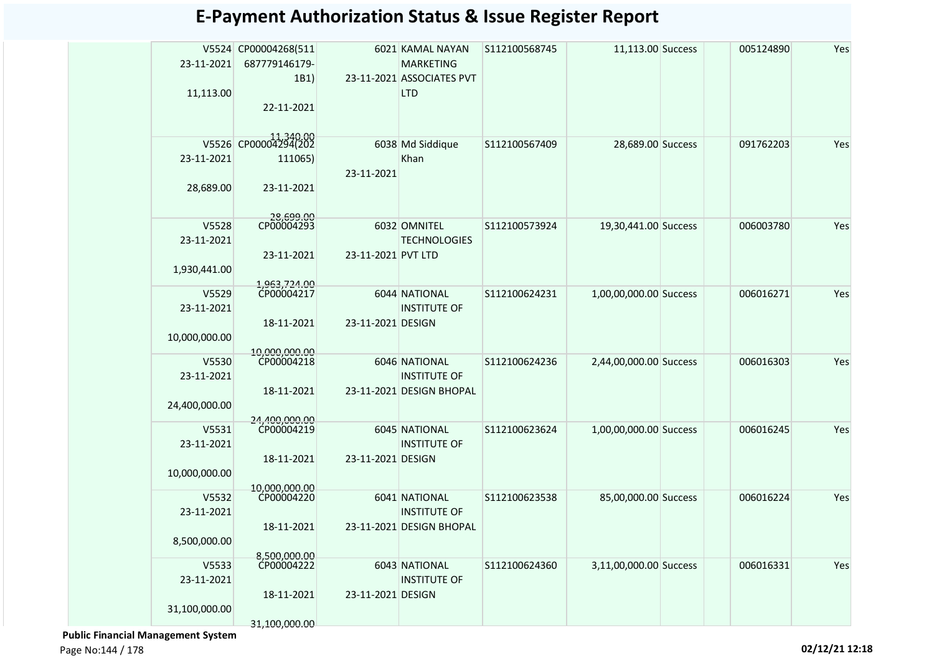| 23-11-2021<br>11,113.00 | V5524 CP00004268(511<br>687779146179-<br>1B1)<br>22-11-2021 |                    | 6021 KAMAL NAYAN<br><b>MARKETING</b><br>23-11-2021 ASSOCIATES PVT<br><b>LTD</b> | S112100568745 | 11,113.00 Success      | 005124890 | Yes |
|-------------------------|-------------------------------------------------------------|--------------------|---------------------------------------------------------------------------------|---------------|------------------------|-----------|-----|
| V5526<br>23-11-2021     | $\big $ CP00004294(202<br>111065)                           |                    | 6038 Md Siddique<br>Khan                                                        | S112100567409 | 28,689.00 Success      | 091762203 | Yes |
| 28,689.00               | 23-11-2021                                                  | 23-11-2021         |                                                                                 |               |                        |           |     |
| V5528<br>23-11-2021     | 28,699.00<br>CP00004293                                     |                    | 6032 OMNITEL<br><b>TECHNOLOGIES</b>                                             | S112100573924 | 19,30,441.00 Success   | 006003780 | Yes |
| 1,930,441.00            | 23-11-2021                                                  | 23-11-2021 PVT LTD |                                                                                 |               |                        |           |     |
| V5529<br>23-11-2021     | 1,963,724.00<br>CP00004217                                  |                    | 6044 NATIONAL<br><b>INSTITUTE OF</b>                                            | S112100624231 | 1,00,00,000.00 Success | 006016271 | Yes |
| 10,000,000.00           | 18-11-2021<br>10.000.000.00                                 | 23-11-2021 DESIGN  |                                                                                 |               |                        |           |     |
| V5530<br>23-11-2021     | CP00004218                                                  |                    | 6046 NATIONAL<br><b>INSTITUTE OF</b>                                            | S112100624236 | 2,44,00,000.00 Success | 006016303 | Yes |
| 24,400,000.00           | 18-11-2021<br>24,400,000.00                                 |                    | 23-11-2021 DESIGN BHOPAL                                                        |               |                        |           |     |
| V5531<br>23-11-2021     | CP00004219                                                  |                    | 6045 NATIONAL<br><b>INSTITUTE OF</b>                                            | S112100623624 | 1,00,00,000.00 Success | 006016245 | Yes |
| 10,000,000.00           | 18-11-2021<br>10.000.000.00                                 | 23-11-2021 DESIGN  |                                                                                 |               |                        |           |     |
| V5532<br>23-11-2021     | CP00004220                                                  |                    | 6041 NATIONAL<br><b>INSTITUTE OF</b>                                            | S112100623538 | 85,00,000.00 Success   | 006016224 | Yes |
| 8,500,000.00            | 18-11-2021<br>8.500.000.00                                  |                    | 23-11-2021 DESIGN BHOPAL                                                        |               |                        |           |     |
| V5533<br>23-11-2021     | CP00004222                                                  |                    | 6043 NATIONAL<br><b>INSTITUTE OF</b>                                            | S112100624360 | 3,11,00,000.00 Success | 006016331 | Yes |
| 31,100,000.00           | 18-11-2021<br>31,100,000.00                                 | 23-11-2021 DESIGN  |                                                                                 |               |                        |           |     |

 **Public Financial Management System**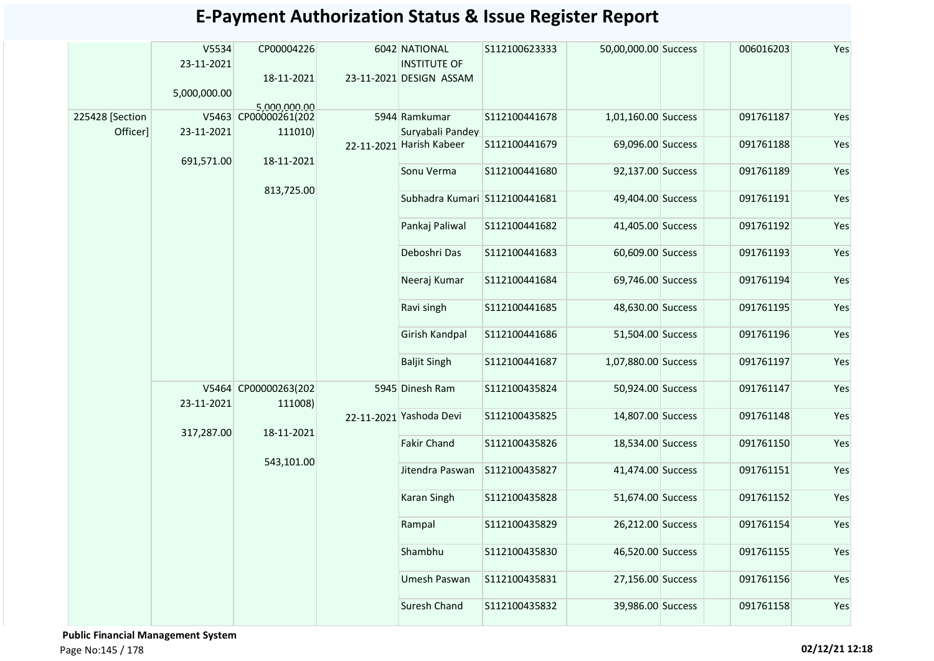|                             | V5534<br>23-11-2021<br>5,000,000.00 | CP00004226<br>18-11-2021<br>5,000,000.00 | 6042 NATIONAL<br><b>INSTITUTE OF</b><br>23-11-2021 DESIGN ASSAM | S112100623333 | 50,00,000.00 Success | 006016203 | Yes |
|-----------------------------|-------------------------------------|------------------------------------------|-----------------------------------------------------------------|---------------|----------------------|-----------|-----|
| 225428 [Section<br>Officer] | 23-11-2021                          | V5463 CP00000261(202<br>111010)          | 5944 Ramkumar<br>Suryabali Pandey                               | S112100441678 | 1,01,160.00 Success  | 091761187 | Yes |
|                             | 691,571.00                          | 18-11-2021                               | 22-11-2021 Harish Kabeer                                        | S112100441679 | 69,096.00 Success    | 091761188 | Yes |
|                             |                                     |                                          | Sonu Verma                                                      | S112100441680 | 92,137.00 Success    | 091761189 | Yes |
|                             |                                     | 813,725.00                               | Subhadra Kumari S112100441681                                   |               | 49,404.00 Success    | 091761191 | Yes |
|                             |                                     |                                          | Pankaj Paliwal                                                  | S112100441682 | 41,405.00 Success    | 091761192 | Yes |
|                             |                                     |                                          | Deboshri Das                                                    | S112100441683 | 60,609.00 Success    | 091761193 | Yes |
|                             |                                     |                                          | Neeraj Kumar                                                    | S112100441684 | 69,746.00 Success    | 091761194 | Yes |
|                             |                                     |                                          | Ravi singh                                                      | S112100441685 | 48,630.00 Success    | 091761195 | Yes |
|                             |                                     |                                          | Girish Kandpal                                                  | S112100441686 | 51,504.00 Success    | 091761196 | Yes |
|                             |                                     |                                          | <b>Baljit Singh</b>                                             | S112100441687 | 1,07,880.00 Success  | 091761197 | Yes |
|                             | 23-11-2021                          | V5464 CP00000263(202<br>111008)          | 5945 Dinesh Ram                                                 | S112100435824 | 50,924.00 Success    | 091761147 | Yes |
|                             | 317,287.00                          | 18-11-2021                               | 22-11-2021 Yashoda Devi                                         | S112100435825 | 14,807.00 Success    | 091761148 | Yes |
|                             |                                     |                                          | <b>Fakir Chand</b>                                              | S112100435826 | 18,534.00 Success    | 091761150 | Yes |
|                             |                                     | 543,101.00                               | Jitendra Paswan                                                 | S112100435827 | 41,474.00 Success    | 091761151 | Yes |
|                             |                                     |                                          | Karan Singh                                                     | S112100435828 | 51,674.00 Success    | 091761152 | Yes |
|                             |                                     |                                          | Rampal                                                          | S112100435829 | 26,212.00 Success    | 091761154 | Yes |
|                             |                                     |                                          | Shambhu                                                         | S112100435830 | 46,520.00 Success    | 091761155 | Yes |
|                             |                                     |                                          | Umesh Paswan                                                    | S112100435831 | 27,156.00 Success    | 091761156 | Yes |
|                             |                                     |                                          | Suresh Chand                                                    | S112100435832 | 39,986.00 Success    | 091761158 | Yes |

 **Public Financial Management System**  Page No:145 / 178 **02/12/21 12:18**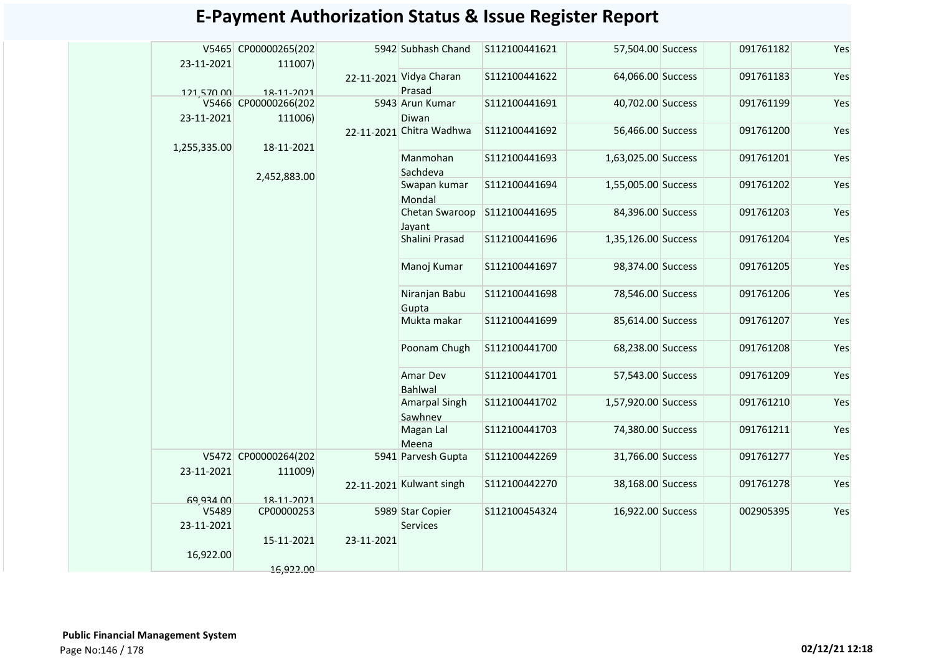|              | V5465 CP00000265(202 |            | 5942 Subhash Chand       | S112100441621 | 57,504.00 Success   | 091761182 | Yes |
|--------------|----------------------|------------|--------------------------|---------------|---------------------|-----------|-----|
| 23-11-2021   | 111007)              |            | 22-11-2021 Vidya Charan  | S112100441622 | 64,066.00 Success   | 091761183 | Yes |
| 121,570.00   | 18-11-2021           |            | Prasad                   |               |                     |           |     |
|              | V5466 CP00000266(202 |            | 5943 Arun Kumar          | S112100441691 | 40,702.00 Success   | 091761199 | Yes |
| 23-11-2021   | 111006)              |            | Diwan                    |               |                     |           |     |
|              |                      |            | 22-11-2021 Chitra Wadhwa | S112100441692 | 56,466.00 Success   | 091761200 | Yes |
| 1,255,335.00 | 18-11-2021           |            |                          |               |                     |           |     |
|              |                      |            | Manmohan                 | S112100441693 | 1,63,025.00 Success | 091761201 | Yes |
|              | 2,452,883.00         |            | Sachdeva                 | S112100441694 |                     | 091761202 |     |
|              |                      |            | Swapan kumar             |               | 1,55,005.00 Success |           | Yes |
|              |                      |            | Mondal<br>Chetan Swaroop | S112100441695 | 84,396.00 Success   | 091761203 | Yes |
|              |                      |            | Jayant                   |               |                     |           |     |
|              |                      |            | Shalini Prasad           | S112100441696 | 1,35,126.00 Success | 091761204 | Yes |
|              |                      |            |                          |               |                     |           |     |
|              |                      |            | Manoj Kumar              | S112100441697 | 98,374.00 Success   | 091761205 | Yes |
|              |                      |            |                          |               |                     |           |     |
|              |                      |            | Niranjan Babu            | S112100441698 | 78,546.00 Success   | 091761206 | Yes |
|              |                      |            | Gupta                    |               |                     |           |     |
|              |                      |            | Mukta makar              | S112100441699 | 85,614.00 Success   | 091761207 | Yes |
|              |                      |            | Poonam Chugh             | S112100441700 | 68,238.00 Success   | 091761208 | Yes |
|              |                      |            |                          |               |                     |           |     |
|              |                      |            | Amar Dev                 | S112100441701 | 57,543.00 Success   | 091761209 | Yes |
|              |                      |            | <b>Bahlwal</b>           |               |                     |           |     |
|              |                      |            | Amarpal Singh            | S112100441702 | 1,57,920.00 Success | 091761210 | Yes |
|              |                      |            | Sawhney                  |               |                     |           |     |
|              |                      |            | Magan Lal                | S112100441703 | 74,380.00 Success   | 091761211 | Yes |
|              |                      |            | Meena                    |               |                     |           |     |
|              | V5472 CP00000264(202 |            | 5941 Parvesh Gupta       | S112100442269 | 31,766.00 Success   | 091761277 | Yes |
| 23-11-2021   | 111009)              |            |                          |               |                     |           |     |
|              |                      |            | 22-11-2021 Kulwant singh | S112100442270 | 38,168.00 Success   | 091761278 | Yes |
| 69 934 00    | 18-11-2021           |            |                          |               |                     |           |     |
| V5489        | CP00000253           |            | 5989 Star Copier         | S112100454324 | 16,922.00 Success   | 002905395 | Yes |
| 23-11-2021   |                      |            | <b>Services</b>          |               |                     |           |     |
|              | 15-11-2021           | 23-11-2021 |                          |               |                     |           |     |
| 16,922.00    |                      |            |                          |               |                     |           |     |
|              | 16.922.00            |            |                          |               |                     |           |     |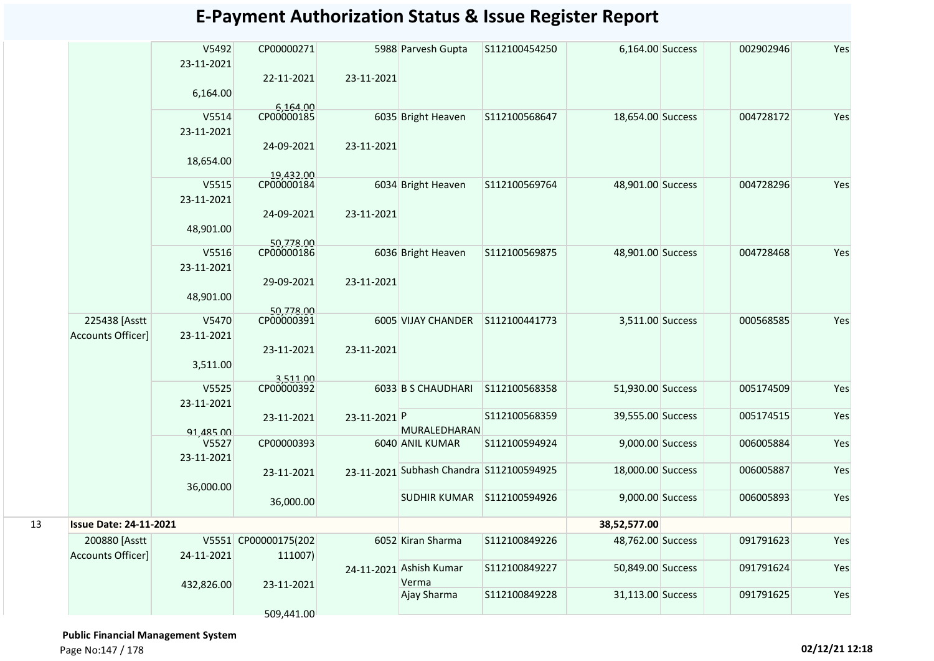|    |                               | V5492<br>23-11-2021 | CP00000271              |              | 5988 Parvesh Gupta                       | S112100454250 | 6,164.00 Success  | 002902946 | Yes |
|----|-------------------------------|---------------------|-------------------------|--------------|------------------------------------------|---------------|-------------------|-----------|-----|
|    |                               |                     | 22-11-2021              | 23-11-2021   |                                          |               |                   |           |     |
|    |                               | 6,164.00            |                         |              |                                          |               |                   |           |     |
|    |                               |                     | 6,164.00                |              |                                          |               |                   |           |     |
|    |                               | V5514               | CP00000185              |              | 6035 Bright Heaven                       | S112100568647 | 18,654.00 Success | 004728172 | Yes |
|    |                               | 23-11-2021          |                         |              |                                          |               |                   |           |     |
|    |                               |                     | 24-09-2021              | 23-11-2021   |                                          |               |                   |           |     |
|    |                               | 18,654.00           |                         |              |                                          |               |                   |           |     |
|    |                               |                     | 19,432.00               |              |                                          |               |                   |           |     |
|    |                               | V5515               | CP00000184              |              | 6034 Bright Heaven                       | S112100569764 | 48,901.00 Success | 004728296 | Yes |
|    |                               | 23-11-2021          |                         |              |                                          |               |                   |           |     |
|    |                               |                     | 24-09-2021              | 23-11-2021   |                                          |               |                   |           |     |
|    |                               | 48,901.00           |                         |              |                                          |               |                   |           |     |
|    |                               | V5516               | 50,778.00<br>CP00000186 |              | 6036 Bright Heaven                       | S112100569875 | 48,901.00 Success | 004728468 | Yes |
|    |                               | 23-11-2021          |                         |              |                                          |               |                   |           |     |
|    |                               |                     | 29-09-2021              | 23-11-2021   |                                          |               |                   |           |     |
|    |                               | 48,901.00           |                         |              |                                          |               |                   |           |     |
|    |                               |                     | 50,778.00               |              |                                          |               |                   |           |     |
|    | 225438 [Asstt                 | V5470               | CP00000391              |              | 6005 VIJAY CHANDER                       | S112100441773 | 3,511.00 Success  | 000568585 | Yes |
|    | <b>Accounts Officer]</b>      | 23-11-2021          |                         |              |                                          |               |                   |           |     |
|    |                               |                     | 23-11-2021              | 23-11-2021   |                                          |               |                   |           |     |
|    |                               | 3,511.00            |                         |              |                                          |               |                   |           |     |
|    |                               |                     | 3,511.00                |              |                                          |               |                   |           |     |
|    |                               | V5525               | CP00000392              |              | 6033 B S CHAUDHARI                       | S112100568358 | 51,930.00 Success | 005174509 | Yes |
|    |                               | 23-11-2021          |                         |              |                                          |               |                   |           |     |
|    |                               |                     | 23-11-2021              | 23-11-2021 P |                                          | S112100568359 | 39,555.00 Success | 005174515 | Yes |
|    |                               | 91,485.00           |                         |              | MURALEDHARAN                             |               |                   |           |     |
|    |                               | V5527               | CP00000393              |              | 6040 ANIL KUMAR                          | S112100594924 | 9,000.00 Success  | 006005884 | Yes |
|    |                               | 23-11-2021          |                         |              | 23-11-2021 Subhash Chandra S112100594925 |               | 18,000.00 Success | 006005887 | Yes |
|    |                               |                     | 23-11-2021              |              |                                          |               |                   |           |     |
|    |                               | 36,000.00           |                         |              | <b>SUDHIR KUMAR</b>                      | S112100594926 | 9,000.00 Success  | 006005893 | Yes |
|    |                               |                     | 36,000.00               |              |                                          |               |                   |           |     |
| 13 | <b>Issue Date: 24-11-2021</b> |                     |                         |              |                                          |               | 38,52,577.00      |           |     |
|    | 200880 [Asstt                 |                     | V5551 CP00000175(202    |              | 6052 Kiran Sharma                        | S112100849226 | 48,762.00 Success | 091791623 | Yes |
|    | Accounts Officer]             | 24-11-2021          | 111007)                 |              |                                          |               |                   |           |     |
|    |                               |                     |                         |              | 24-11-2021 Ashish Kumar                  | S112100849227 | 50,849.00 Success | 091791624 | Yes |
|    |                               | 432,826.00          | 23-11-2021              |              | Verma                                    |               |                   |           |     |
|    |                               |                     |                         |              | Ajay Sharma                              | S112100849228 | 31,113.00 Success | 091791625 | Yes |
|    |                               |                     | 509,441.00              |              |                                          |               |                   |           |     |
|    |                               |                     |                         |              |                                          |               |                   |           |     |

 **Public Financial Management System** 

Page No:147 / 178 **02/12/21 12:18**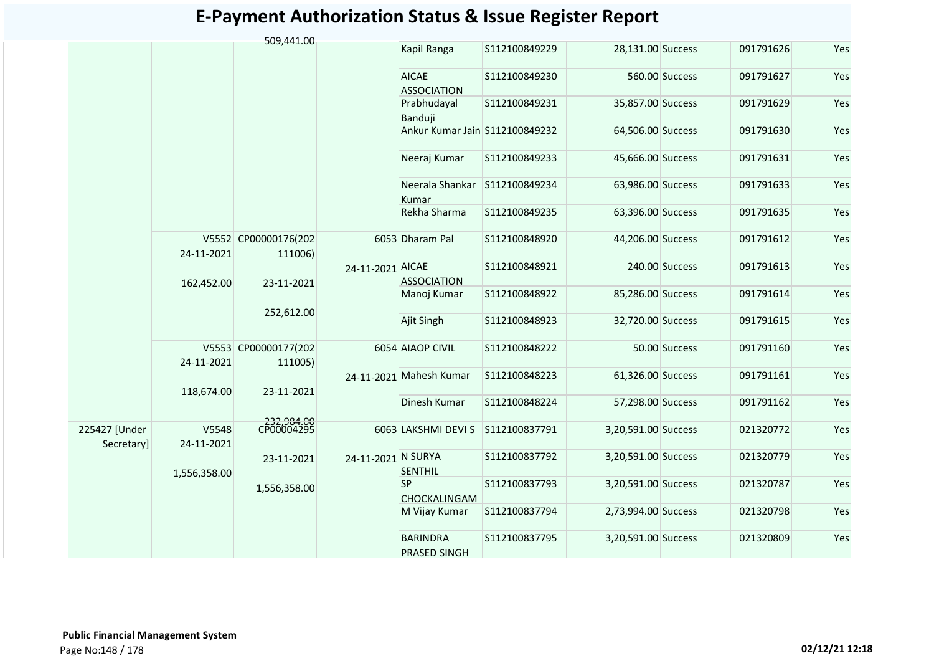|                             |                     | 509,441.00                      |                    |                                        |               |                     |                |           |     |
|-----------------------------|---------------------|---------------------------------|--------------------|----------------------------------------|---------------|---------------------|----------------|-----------|-----|
|                             |                     |                                 |                    | Kapil Ranga                            | S112100849229 | 28,131.00 Success   |                | 091791626 | Yes |
|                             |                     |                                 |                    | <b>AICAE</b><br><b>ASSOCIATION</b>     | S112100849230 |                     | 560.00 Success | 091791627 | Yes |
|                             |                     |                                 |                    | Prabhudayal<br>Banduji                 | S112100849231 | 35,857.00 Success   |                | 091791629 | Yes |
|                             |                     |                                 |                    | Ankur Kumar Jain S112100849232         |               | 64,506.00 Success   |                | 091791630 | Yes |
|                             |                     |                                 |                    | Neeraj Kumar                           | S112100849233 | 45,666.00 Success   |                | 091791631 | Yes |
|                             |                     |                                 |                    | Neerala Shankar S112100849234<br>Kumar |               | 63,986.00 Success   |                | 091791633 | Yes |
|                             |                     |                                 |                    | Rekha Sharma                           | S112100849235 | 63,396.00 Success   |                | 091791635 | Yes |
|                             | 24-11-2021          | V5552 CP00000176(202<br>111006) |                    | 6053 Dharam Pal                        | S112100848920 | 44,206.00 Success   |                | 091791612 | Yes |
|                             | 162,452.00          | 23-11-2021                      | 24-11-2021 AICAE   | <b>ASSOCIATION</b>                     | S112100848921 |                     | 240.00 Success | 091791613 | Yes |
|                             |                     | 252,612.00                      |                    | Manoj Kumar                            | S112100848922 | 85,286.00 Success   |                | 091791614 | Yes |
|                             |                     |                                 |                    | Ajit Singh                             | S112100848923 | 32,720.00 Success   |                | 091791615 | Yes |
|                             | 24-11-2021          | V5553 CP00000177(202<br>111005) |                    | 6054 AIAOP CIVIL                       | S112100848222 |                     | 50.00 Success  | 091791160 | Yes |
|                             | 118,674.00          | 23-11-2021                      |                    | 24-11-2021 Mahesh Kumar                | S112100848223 | 61,326.00 Success   |                | 091791161 | Yes |
|                             |                     |                                 |                    | Dinesh Kumar                           | S112100848224 | 57,298.00 Success   |                | 091791162 | Yes |
| 225427 [Under<br>Secretary] | V5548<br>24-11-2021 | 232,984.00<br>CP00004295        |                    | 6063 LAKSHMI DEVI S S112100837791      |               | 3,20,591.00 Success |                | 021320772 | Yes |
|                             | 1,556,358.00        | 23-11-2021                      | 24-11-2021 N SURYA | <b>SENTHIL</b>                         | S112100837792 | 3,20,591.00 Success |                | 021320779 | Yes |
|                             |                     | 1,556,358.00                    |                    | <b>SP</b><br>CHOCKALINGAM              | S112100837793 | 3,20,591.00 Success |                | 021320787 | Yes |
|                             |                     |                                 |                    | M Vijay Kumar                          | S112100837794 | 2,73,994.00 Success |                | 021320798 | Yes |
|                             |                     |                                 |                    | <b>BARINDRA</b><br><b>PRASED SINGH</b> | S112100837795 | 3,20,591.00 Success |                | 021320809 | Yes |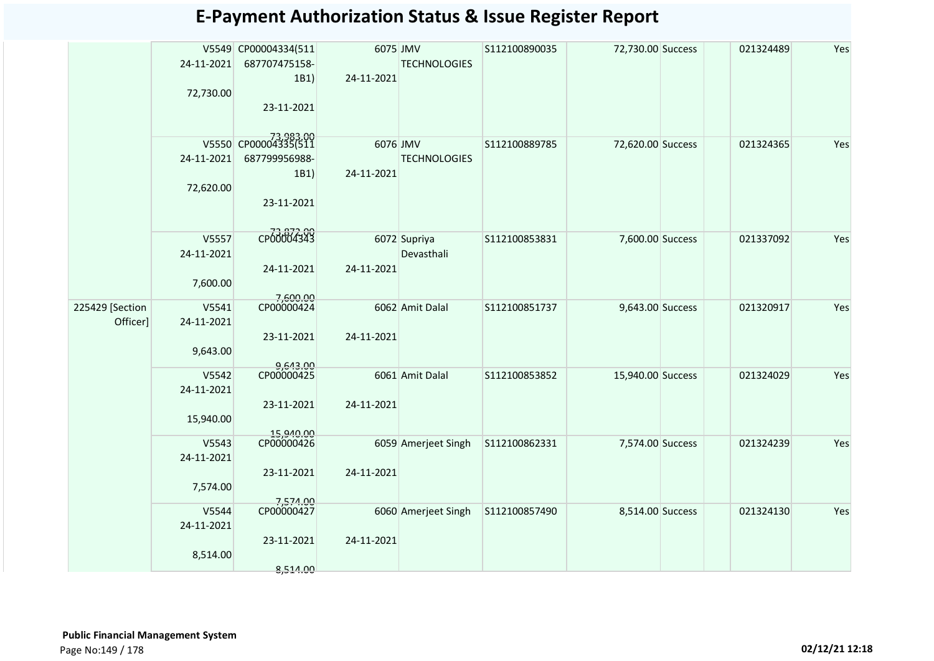|                             | 24-11-2021<br>72,730.00          | V5549 CP00004334(511<br>687707475158-<br>1B1)<br>23-11-2021 | 6075 JMV<br>24-11-2021 | <b>TECHNOLOGIES</b>        | S112100890035 | 72,730.00 Success | 021324489 | Yes |
|-----------------------------|----------------------------------|-------------------------------------------------------------|------------------------|----------------------------|---------------|-------------------|-----------|-----|
|                             | 24-11-2021<br>72,620.00          | 73,983.00<br>687799956988-<br>1B1)<br>23-11-2021            | 6076 JMV<br>24-11-2021 | <b>TECHNOLOGIES</b>        | S112100889785 | 72,620.00 Success | 021324365 | Yes |
|                             | V5557<br>24-11-2021<br>7,600.00  | CP00004343<br>24-11-2021                                    | 24-11-2021             | 6072 Supriya<br>Devasthali | S112100853831 | 7,600.00 Success  | 021337092 | Yes |
| 225429 [Section<br>Officer] | V5541<br>24-11-2021<br>9,643.00  | 7,600.00<br>CP00000424<br>23-11-2021                        | 24-11-2021             | 6062 Amit Dalal            | S112100851737 | 9,643.00 Success  | 021320917 | Yes |
|                             | V5542<br>24-11-2021<br>15,940.00 | 9,643.00<br>CP00000425<br>23-11-2021<br>15,940.00           | 24-11-2021             | 6061 Amit Dalal            | S112100853852 | 15,940.00 Success | 021324029 | Yes |
|                             | V5543<br>24-11-2021<br>7,574.00  | CP00000426<br>23-11-2021                                    | 24-11-2021             | 6059 Amerjeet Singh        | S112100862331 | 7,574.00 Success  | 021324239 | Yes |
|                             | V5544<br>24-11-2021<br>8,514.00  | 7,574.00<br>CP00000427<br>23-11-2021<br>8,514.00            | 24-11-2021             | 6060 Amerjeet Singh        | S112100857490 | 8,514.00 Success  | 021324130 | Yes |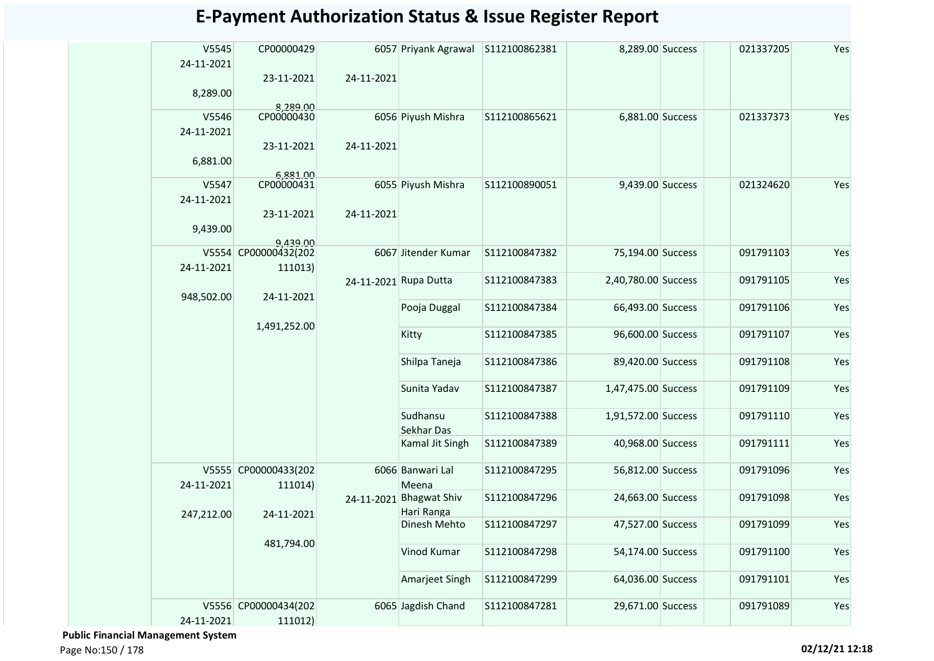| V5545<br>24-11-2021 | CP00000429                       |                       | 6057 Priyank Agrawal    | S112100862381 | 8,289.00 Success    | 021337205 | Yes |
|---------------------|----------------------------------|-----------------------|-------------------------|---------------|---------------------|-----------|-----|
|                     | 23-11-2021                       | 24-11-2021            |                         |               |                     |           |     |
| 8,289.00            | 8,289.00                         |                       |                         |               |                     |           |     |
| V5546               | CP00000430                       |                       | 6056 Piyush Mishra      | S112100865621 | 6,881.00 Success    | 021337373 | Yes |
| 24-11-2021          |                                  |                       |                         |               |                     |           |     |
|                     | 23-11-2021                       | 24-11-2021            |                         |               |                     |           |     |
| 6,881.00            |                                  |                       |                         |               |                     |           |     |
|                     | 6,881.00                         |                       |                         |               |                     |           |     |
| V5547               | CP00000431                       |                       | 6055 Piyush Mishra      | S112100890051 | 9,439.00 Success    | 021324620 | Yes |
| 24-11-2021          |                                  |                       |                         |               |                     |           |     |
|                     | 23-11-2021                       | 24-11-2021            |                         |               |                     |           |     |
| 9,439.00            |                                  |                       |                         |               |                     |           |     |
|                     | 9,439.00<br>V5554 CP00000432(202 |                       | 6067 Jitender Kumar     | S112100847382 | 75,194.00 Success   | 091791103 | Yes |
| 24-11-2021          | 111013)                          |                       |                         |               |                     |           |     |
|                     |                                  | 24-11-2021 Rupa Dutta |                         | S112100847383 | 2,40,780.00 Success | 091791105 | Yes |
| 948,502.00          | 24-11-2021                       |                       |                         |               |                     |           |     |
|                     |                                  |                       | Pooja Duggal            | S112100847384 | 66,493.00 Success   | 091791106 | Yes |
|                     | 1,491,252.00                     |                       | Kitty                   | S112100847385 | 96,600.00 Success   | 091791107 | Yes |
|                     |                                  |                       |                         |               |                     |           |     |
|                     |                                  |                       | Shilpa Taneja           | S112100847386 | 89,420.00 Success   | 091791108 | Yes |
|                     |                                  |                       |                         |               |                     |           |     |
|                     |                                  |                       | Sunita Yadav            | S112100847387 | 1,47,475.00 Success | 091791109 | Yes |
|                     |                                  |                       |                         |               |                     |           |     |
|                     |                                  |                       | Sudhansu                | S112100847388 | 1,91,572.00 Success | 091791110 | Yes |
|                     |                                  |                       | Sekhar Das              |               |                     |           |     |
|                     |                                  |                       | Kamal Jit Singh         | S112100847389 | 40,968.00 Success   | 091791111 | Yes |
|                     | V5555 CP00000433(202             |                       | 6066 Banwari Lal        | S112100847295 | 56,812.00 Success   | 091791096 | Yes |
| 24-11-2021          | 111014)                          |                       | Meena                   |               |                     |           |     |
|                     |                                  |                       | 24-11-2021 Bhagwat Shiv | S112100847296 | 24,663.00 Success   | 091791098 | Yes |
| 247,212.00          | 24-11-2021                       |                       | Hari Ranga              |               |                     |           |     |
|                     |                                  |                       | Dinesh Mehto            | S112100847297 | 47,527.00 Success   | 091791099 | Yes |
|                     | 481,794.00                       |                       |                         |               |                     |           |     |
|                     |                                  |                       | Vinod Kumar             | S112100847298 | 54,174.00 Success   | 091791100 | Yes |
|                     |                                  |                       | Amarjeet Singh          | S112100847299 | 64,036.00 Success   | 091791101 | Yes |
|                     |                                  |                       |                         |               |                     |           |     |
|                     | V5556 CP00000434(202             |                       | 6065 Jagdish Chand      | S112100847281 | 29,671.00 Success   | 091791089 | Yes |
| 24-11-2021          | 111012)                          |                       |                         |               |                     |           |     |

 **Public Financial Management System**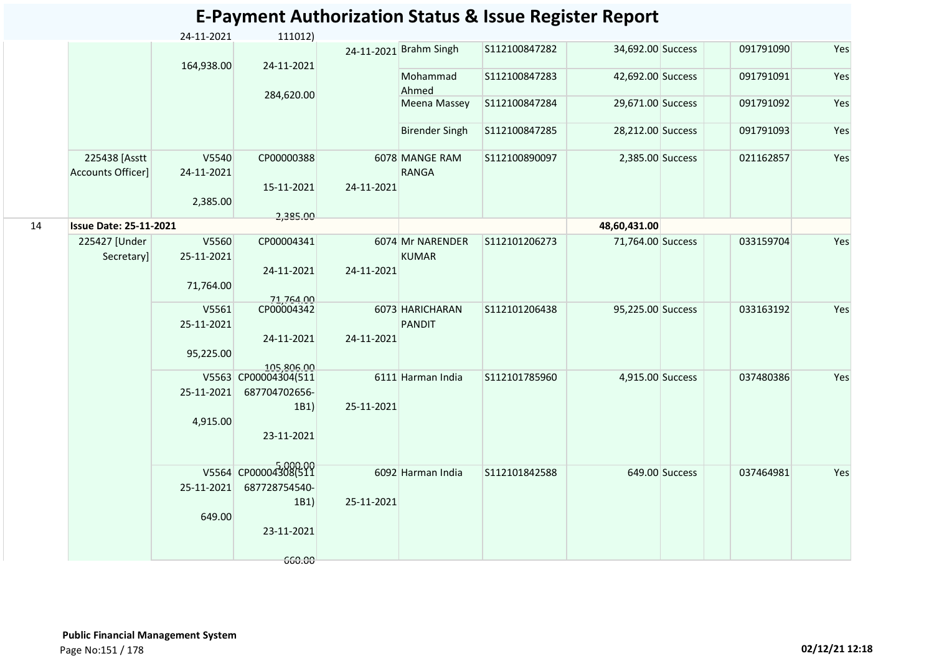|    |                                           |                     |                      |            |                                | <b>E-Payment Authorization Status &amp; Issue Register Report</b> |                   |                |           |     |
|----|-------------------------------------------|---------------------|----------------------|------------|--------------------------------|-------------------------------------------------------------------|-------------------|----------------|-----------|-----|
|    |                                           | 24-11-2021          | 111012)              |            |                                |                                                                   |                   |                |           |     |
|    |                                           | 164,938.00          | 24-11-2021           |            | 24-11-2021 Brahm Singh         | S112100847282                                                     | 34,692.00 Success |                | 091791090 | Yes |
|    |                                           |                     |                      |            | Mohammad<br>Ahmed              | S112100847283                                                     | 42,692.00 Success |                | 091791091 | Yes |
|    |                                           |                     | 284,620.00           |            | Meena Massey                   | S112100847284                                                     | 29,671.00 Success |                | 091791092 | Yes |
|    |                                           |                     |                      |            | <b>Birender Singh</b>          | S112100847285                                                     | 28,212.00 Success |                | 091791093 | Yes |
|    | 225438 [Asstt<br><b>Accounts Officer]</b> | V5540<br>24-11-2021 | CP00000388           |            | 6078 MANGE RAM<br><b>RANGA</b> | S112100890097                                                     | 2,385.00 Success  |                | 021162857 | Yes |
|    |                                           | 2,385.00            | 15-11-2021           | 24-11-2021 |                                |                                                                   |                   |                |           |     |
|    |                                           |                     | 2,385.00             |            |                                |                                                                   |                   |                |           |     |
| 14 | <b>Issue Date: 25-11-2021</b>             |                     |                      |            |                                |                                                                   | 48,60,431.00      |                |           |     |
|    | 225427 [Under                             | V5560               | CP00004341           |            | 6074 Mr NARENDER               | S112101206273                                                     | 71,764.00 Success |                | 033159704 | Yes |
|    | Secretary]                                | 25-11-2021          |                      |            | <b>KUMAR</b>                   |                                                                   |                   |                |           |     |
|    |                                           |                     | 24-11-2021           | 24-11-2021 |                                |                                                                   |                   |                |           |     |
|    |                                           | 71,764.00           |                      |            |                                |                                                                   |                   |                |           |     |
|    |                                           |                     | 71,764.00            |            |                                |                                                                   |                   |                |           |     |
|    |                                           | V5561               | CP00004342           |            | 6073 HARICHARAN                | S112101206438                                                     | 95,225.00 Success |                | 033163192 | Yes |
|    |                                           | 25-11-2021          | 24-11-2021           | 24-11-2021 | <b>PANDIT</b>                  |                                                                   |                   |                |           |     |
|    |                                           | 95,225.00           |                      |            |                                |                                                                   |                   |                |           |     |
|    |                                           |                     | 105.806.00           |            |                                |                                                                   |                   |                |           |     |
|    |                                           |                     | V5563 CP00004304(511 |            | 6111 Harman India              | S112101785960                                                     | 4,915.00 Success  |                | 037480386 | Yes |
|    |                                           | 25-11-2021          | 687704702656-        |            |                                |                                                                   |                   |                |           |     |
|    |                                           |                     | 1B1                  | 25-11-2021 |                                |                                                                   |                   |                |           |     |
|    |                                           | 4,915.00            |                      |            |                                |                                                                   |                   |                |           |     |
|    |                                           |                     | 23-11-2021           |            |                                |                                                                   |                   |                |           |     |
|    |                                           |                     | V5564 CP00004308(511 |            |                                |                                                                   |                   |                |           |     |
|    |                                           | 25-11-2021          | 687728754540-        |            | 6092 Harman India              | S112101842588                                                     |                   | 649.00 Success | 037464981 | Yes |
|    |                                           |                     | 1B1)                 | 25-11-2021 |                                |                                                                   |                   |                |           |     |
|    |                                           | 649.00              |                      |            |                                |                                                                   |                   |                |           |     |
|    |                                           |                     | 23-11-2021           |            |                                |                                                                   |                   |                |           |     |
|    |                                           |                     |                      |            |                                |                                                                   |                   |                |           |     |
|    |                                           |                     | 660.00               |            |                                |                                                                   |                   |                |           |     |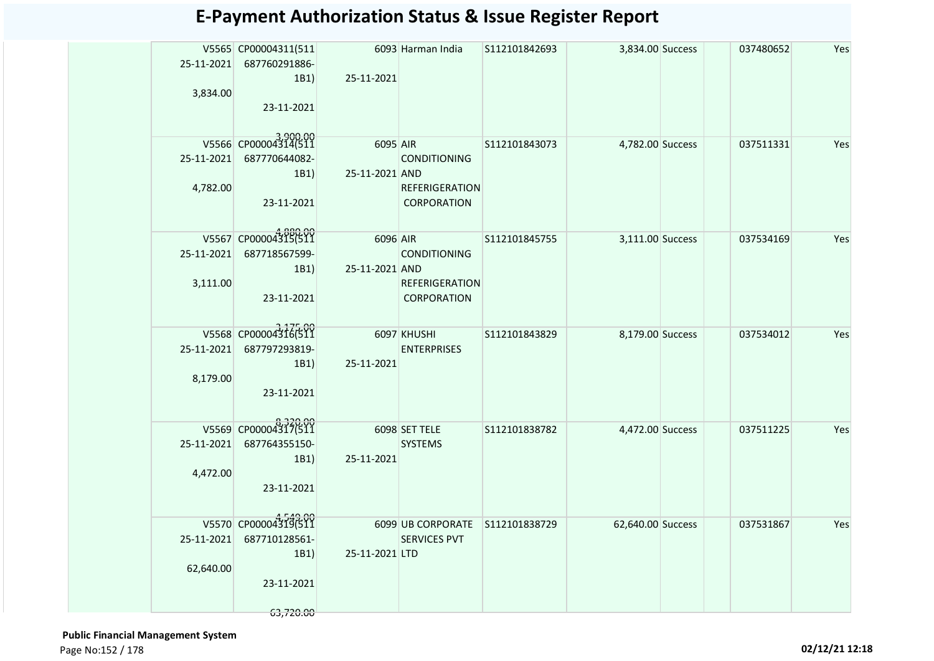|            | V5565 CP00004311(511     |                    | 6093 Harman India               | S112101842693 | 3,834.00 Success  | 037480652 | Yes |
|------------|--------------------------|--------------------|---------------------------------|---------------|-------------------|-----------|-----|
|            | 25-11-2021 687760291886- |                    |                                 |               |                   |           |     |
| 3,834.00   | 1B1                      | 25-11-2021         |                                 |               |                   |           |     |
|            | 23-11-2021               |                    |                                 |               |                   |           |     |
|            |                          |                    |                                 |               |                   |           |     |
|            | V5566 CP00004314(511     | 6095 AIR           |                                 | S112101843073 | 4,782.00 Success  | 037511331 | Yes |
|            | 25-11-2021 687770644082- |                    | <b>CONDITIONING</b>             |               |                   |           |     |
|            | 1B1                      | 25-11-2021 AND     |                                 |               |                   |           |     |
| 4,782.00   |                          |                    | <b>REFERIGERATION</b>           |               |                   |           |     |
|            | 23-11-2021               |                    | CORPORATION                     |               |                   |           |     |
|            |                          |                    |                                 |               |                   |           |     |
|            | V5567 CP00004315(511     | 6096 AIR           |                                 | S112101845755 | 3,111.00 Success  | 037534169 | Yes |
|            | 25-11-2021 687718567599- |                    | <b>CONDITIONING</b>             |               |                   |           |     |
| 3,111.00   | 1B1                      | 25-11-2021 AND     | <b>REFERIGERATION</b>           |               |                   |           |     |
|            | 23-11-2021               |                    | <b>CORPORATION</b>              |               |                   |           |     |
|            |                          |                    |                                 |               |                   |           |     |
|            | V5568 CP00004316(511     | <b>6097 KHUSHI</b> |                                 | S112101843829 | 8,179.00 Success  | 037534012 | Yes |
| 25-11-2021 | 687797293819-            |                    | <b>ENTERPRISES</b>              |               |                   |           |     |
|            | 1B1)                     | 25-11-2021         |                                 |               |                   |           |     |
| 8,179.00   |                          |                    |                                 |               |                   |           |     |
|            | 23-11-2021               |                    |                                 |               |                   |           |     |
|            |                          |                    |                                 |               |                   |           |     |
|            | V5569 CP00004317(511     | 6098 SET TELE      |                                 | S112101838782 | 4,472.00 Success  | 037511225 | Yes |
| 25-11-2021 | 687764355150-<br>1B1     | 25-11-2021         | <b>SYSTEMS</b>                  |               |                   |           |     |
| 4,472.00   |                          |                    |                                 |               |                   |           |     |
|            | 23-11-2021               |                    |                                 |               |                   |           |     |
|            |                          |                    |                                 |               |                   |           |     |
|            | V5570 CP00004319(511     |                    | 6099 UB CORPORATE S112101838729 |               | 62,640.00 Success | 037531867 | Yes |
| 25-11-2021 | 687710128561-            |                    | <b>SERVICES PVT</b>             |               |                   |           |     |
|            | 1B1                      | 25-11-2021 LTD     |                                 |               |                   |           |     |
| 62,640.00  | 23-11-2021               |                    |                                 |               |                   |           |     |
|            |                          |                    |                                 |               |                   |           |     |
|            | 63,720.00                |                    |                                 |               |                   |           |     |

 **Public Financial Management System**  Page No:152 / 178 **02/12/21 12:18**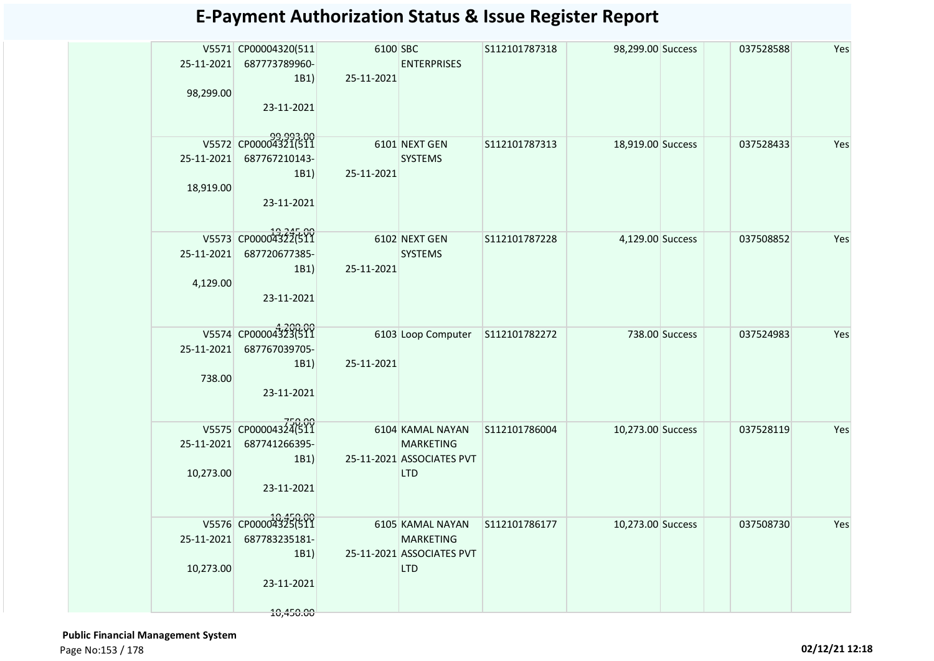| 25-11-2021<br>98,299.00 | V5571 CP00004320(511<br>687773789960-<br>1B1) | 6100 SBC<br>25-11-2021 | <b>ENTERPRISES</b>        | S112101787318 | 98,299.00 Success |                | 037528588 | Yes |
|-------------------------|-----------------------------------------------|------------------------|---------------------------|---------------|-------------------|----------------|-----------|-----|
|                         | 23-11-2021                                    |                        |                           |               |                   |                |           |     |
|                         | 99,993.00<br>V5572 CP00004321(511             |                        | 6101 NEXT GEN             | S112101787313 | 18,919.00 Success |                | 037528433 | Yes |
| 25-11-2021              | 687767210143-                                 |                        | <b>SYSTEMS</b>            |               |                   |                |           |     |
|                         | 1B1)                                          | 25-11-2021             |                           |               |                   |                |           |     |
| 18,919.00               |                                               |                        |                           |               |                   |                |           |     |
|                         | 23-11-2021                                    |                        |                           |               |                   |                |           |     |
|                         | V5573 CP00004322(511                          |                        | 6102 NEXT GEN             | S112101787228 | 4,129.00 Success  |                | 037508852 | Yes |
| 25-11-2021              | 687720677385-                                 |                        | <b>SYSTEMS</b>            |               |                   |                |           |     |
|                         | 1B1)                                          | 25-11-2021             |                           |               |                   |                |           |     |
| 4,129.00                |                                               |                        |                           |               |                   |                |           |     |
|                         | 23-11-2021                                    |                        |                           |               |                   |                |           |     |
|                         |                                               |                        |                           |               |                   |                |           |     |
|                         | V5574 CP00004323(511                          |                        | 6103 Loop Computer        | S112101782272 |                   | 738.00 Success | 037524983 | Yes |
| 25-11-2021              | 687767039705-                                 |                        |                           |               |                   |                |           |     |
|                         | 1B1)                                          | 25-11-2021             |                           |               |                   |                |           |     |
| 738.00                  |                                               |                        |                           |               |                   |                |           |     |
|                         | 23-11-2021                                    |                        |                           |               |                   |                |           |     |
|                         |                                               |                        |                           |               |                   |                |           |     |
|                         | V5575 CP00004324(511                          |                        | 6104 KAMAL NAYAN          | S112101786004 | 10,273.00 Success |                | 037528119 | Yes |
| 25-11-2021              | 687741266395-                                 |                        | <b>MARKETING</b>          |               |                   |                |           |     |
|                         | 1B1)                                          |                        | 25-11-2021 ASSOCIATES PVT |               |                   |                |           |     |
| 10,273.00               |                                               |                        | <b>LTD</b>                |               |                   |                |           |     |
|                         | 23-11-2021                                    |                        |                           |               |                   |                |           |     |
|                         |                                               |                        |                           |               |                   |                |           |     |
|                         | V5576 CP00004325(511                          |                        | 6105 KAMAL NAYAN          | S112101786177 | 10,273.00 Success |                | 037508730 | Yes |
| 25-11-2021              | 687783235181-                                 |                        | <b>MARKETING</b>          |               |                   |                |           |     |
|                         | 1B1)                                          |                        | 25-11-2021 ASSOCIATES PVT |               |                   |                |           |     |
| 10,273.00               |                                               |                        | <b>LTD</b>                |               |                   |                |           |     |
|                         | 23-11-2021                                    |                        |                           |               |                   |                |           |     |
|                         | 10,450.00                                     |                        |                           |               |                   |                |           |     |
|                         |                                               |                        |                           |               |                   |                |           |     |

 **Public Financial Management System**  Page No:153 / 178 **02/12/21 12:18**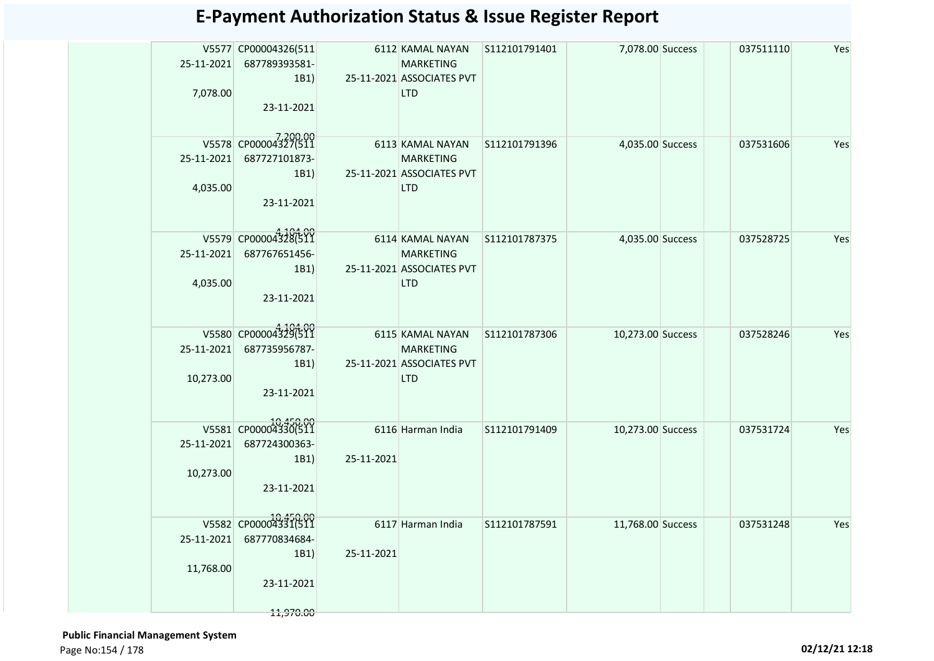| 7,078.00   | V5577 CP00004326(511<br>25-11-2021 687789393581-<br>1B1)<br>23-11-2021 |            | 6112 KAMAL NAYAN S112101791401<br><b>MARKETING</b><br>25-11-2021 ASSOCIATES PVT<br><b>LTD</b> |               | 7,078.00 Success  | 037511110 | Yes |
|------------|------------------------------------------------------------------------|------------|-----------------------------------------------------------------------------------------------|---------------|-------------------|-----------|-----|
|            | V5578 CP00004327(511                                                   |            | 6113 KAMAL NAYAN S112101791396                                                                |               | 4,035.00 Success  | 037531606 | Yes |
|            | 25-11-2021 687727101873-                                               |            | <b>MARKETING</b>                                                                              |               |                   |           |     |
|            | 1B1)                                                                   |            | 25-11-2021 ASSOCIATES PVT                                                                     |               |                   |           |     |
| 4,035.00   |                                                                        |            | <b>LTD</b>                                                                                    |               |                   |           |     |
|            | 23-11-2021                                                             |            |                                                                                               |               |                   |           |     |
|            | V5579 CP00004328(511                                                   |            | 6114 KAMAL NAYAN                                                                              | S112101787375 |                   |           | Yes |
| 25-11-2021 | 687767651456-                                                          |            | <b>MARKETING</b>                                                                              |               | 4,035.00 Success  | 037528725 |     |
|            | 1B1)                                                                   |            | 25-11-2021 ASSOCIATES PVT                                                                     |               |                   |           |     |
|            |                                                                        |            | <b>LTD</b>                                                                                    |               |                   |           |     |
| 4,035.00   | 23-11-2021                                                             |            |                                                                                               |               |                   |           |     |
|            |                                                                        |            |                                                                                               |               |                   |           |     |
|            |                                                                        |            |                                                                                               |               |                   |           |     |
|            | V5580 CP00004329(511                                                   |            | 6115 KAMAL NAYAN                                                                              | S112101787306 | 10,273.00 Success | 037528246 | Yes |
| 25-11-2021 | 687735956787-                                                          |            | <b>MARKETING</b>                                                                              |               |                   |           |     |
|            | 1B1)                                                                   |            | 25-11-2021 ASSOCIATES PVT                                                                     |               |                   |           |     |
| 10,273.00  |                                                                        |            | <b>LTD</b>                                                                                    |               |                   |           |     |
|            | 23-11-2021                                                             |            |                                                                                               |               |                   |           |     |
|            |                                                                        |            |                                                                                               |               |                   |           |     |
|            | V5581 CP00004330(511                                                   |            | 6116 Harman India                                                                             | S112101791409 | 10,273.00 Success | 037531724 | Yes |
| 25-11-2021 | 687724300363-                                                          |            |                                                                                               |               |                   |           |     |
|            | 1B1)                                                                   | 25-11-2021 |                                                                                               |               |                   |           |     |
|            |                                                                        |            |                                                                                               |               |                   |           |     |
| 10,273.00  |                                                                        |            |                                                                                               |               |                   |           |     |
|            | 23-11-2021                                                             |            |                                                                                               |               |                   |           |     |
|            |                                                                        |            |                                                                                               |               |                   |           |     |
|            | V5582 CP00004331(511                                                   |            | 6117 Harman India                                                                             | S112101787591 | 11,768.00 Success | 037531248 | Yes |
|            | 25-11-2021 687770834684-                                               |            |                                                                                               |               |                   |           |     |
|            | 1B1)                                                                   | 25-11-2021 |                                                                                               |               |                   |           |     |
| 11,768.00  |                                                                        |            |                                                                                               |               |                   |           |     |
|            | 23-11-2021                                                             |            |                                                                                               |               |                   |           |     |
|            |                                                                        |            |                                                                                               |               |                   |           |     |
|            | 11,970.00                                                              |            |                                                                                               |               |                   |           |     |

 **Public Financial Management System**  Page No:154 / 178 **02/12/21 12:18**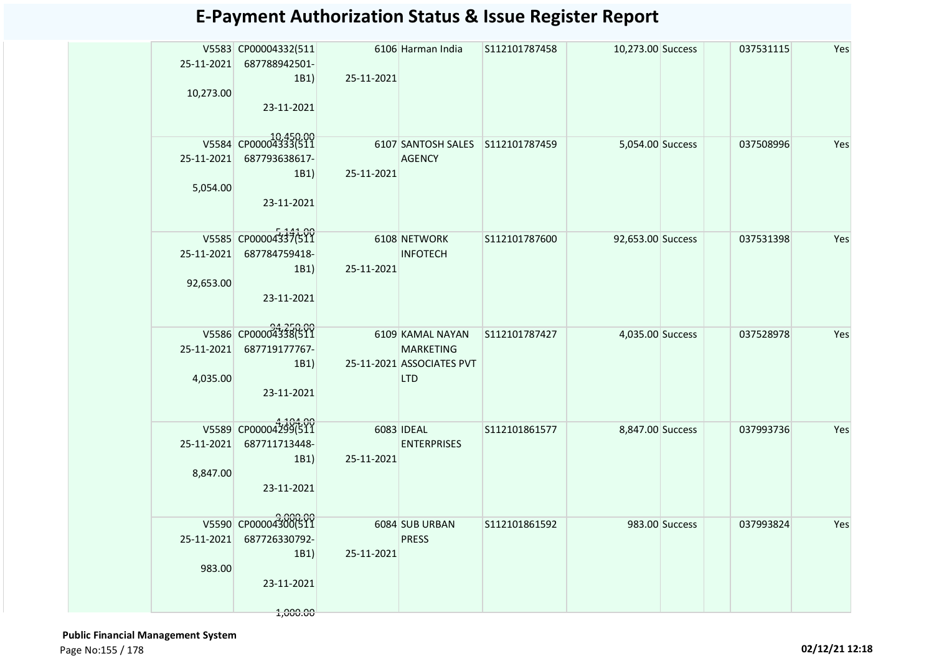|            | V5583 CP00004332(511             |              | 6106 Harman India                                 | S112101787458 | 10,273.00 Success |                | 037531115 | Yes |
|------------|----------------------------------|--------------|---------------------------------------------------|---------------|-------------------|----------------|-----------|-----|
|            | 25-11-2021 687788942501-         |              |                                                   |               |                   |                |           |     |
|            | 1B1)                             | 25-11-2021   |                                                   |               |                   |                |           |     |
| 10,273.00  | 23-11-2021                       |              |                                                   |               |                   |                |           |     |
|            |                                  |              |                                                   |               |                   |                |           |     |
|            | V5584 CP00004333(511             |              |                                                   |               |                   |                |           |     |
|            | 25-11-2021 687793638617-         |              | 6107 SANTOSH SALES S112101787459<br><b>AGENCY</b> |               | 5,054.00 Success  |                | 037508996 | Yes |
|            | 1B1)                             | 25-11-2021   |                                                   |               |                   |                |           |     |
| 5,054.00   |                                  |              |                                                   |               |                   |                |           |     |
|            | 23-11-2021                       |              |                                                   |               |                   |                |           |     |
|            |                                  |              |                                                   |               |                   |                |           |     |
|            | V5585 CP00004337(511             | 6108 NETWORK |                                                   | S112101787600 | 92,653.00 Success |                | 037531398 | Yes |
|            | 25-11-2021 687784759418-         |              | <b>INFOTECH</b>                                   |               |                   |                |           |     |
|            | 1B1)                             | 25-11-2021   |                                                   |               |                   |                |           |     |
| 92,653.00  |                                  |              |                                                   |               |                   |                |           |     |
|            | 23-11-2021                       |              |                                                   |               |                   |                |           |     |
|            |                                  |              |                                                   |               |                   |                |           |     |
|            | V5586 CP00004338(511             |              | 6109 KAMAL NAYAN                                  | S112101787427 | 4,035.00 Success  |                | 037528978 | Yes |
| 25-11-2021 | 687719177767-<br>1B1)            |              | <b>MARKETING</b><br>25-11-2021 ASSOCIATES PVT     |               |                   |                |           |     |
| 4,035.00   |                                  |              | <b>LTD</b>                                        |               |                   |                |           |     |
|            | 23-11-2021                       |              |                                                   |               |                   |                |           |     |
|            |                                  |              |                                                   |               |                   |                |           |     |
|            | V5589 CP00004299(511             | 6083 IDEAL   |                                                   | S112101861577 | 8,847.00 Success  |                | 037993736 | Yes |
| 25-11-2021 | 687711713448-                    |              | <b>ENTERPRISES</b>                                |               |                   |                |           |     |
|            | 1B1)                             | 25-11-2021   |                                                   |               |                   |                |           |     |
| 8,847.00   |                                  |              |                                                   |               |                   |                |           |     |
|            | 23-11-2021                       |              |                                                   |               |                   |                |           |     |
|            |                                  |              |                                                   |               |                   |                |           |     |
|            | 9,000.00<br>V5590 CP00004300(511 |              | 6084 SUB URBAN                                    | S112101861592 |                   | 983.00 Success | 037993824 | Yes |
| 25-11-2021 | 687726330792-<br>1B1)            | 25-11-2021   | <b>PRESS</b>                                      |               |                   |                |           |     |
| 983.00     |                                  |              |                                                   |               |                   |                |           |     |
|            | 23-11-2021                       |              |                                                   |               |                   |                |           |     |
|            |                                  |              |                                                   |               |                   |                |           |     |
|            | 1,000.00                         |              |                                                   |               |                   |                |           |     |

 **Public Financial Management System**  Page No:155 / 178 **02/12/21 12:18**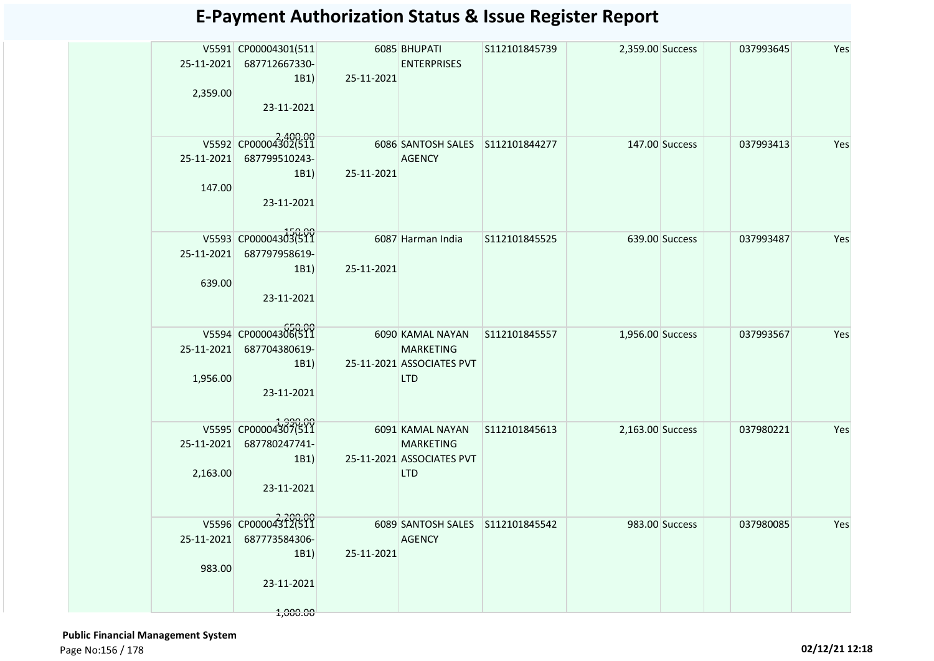| 2,359.00             | V5591 CP00004301(511<br>25-11-2021 687712667330-<br>1B1)<br>23-11-2021 | 25-11-2021 | 6085 BHUPATI<br><b>ENTERPRISES</b>                                              | S112101845739 | 2,359.00 Success |                | 037993645 | Yes |
|----------------------|------------------------------------------------------------------------|------------|---------------------------------------------------------------------------------|---------------|------------------|----------------|-----------|-----|
| 147.00               | V5592 CP00004302(511<br>25-11-2021 687799510243-<br>1B1)<br>23-11-2021 | 25-11-2021 | 6086 SANTOSH SALES S112101844277<br>AGENCY                                      |               |                  | 147.00 Success | 037993413 | Yes |
| 25-11-2021<br>639.00 | V5593 CP00004303(511<br>687797958619-<br>1B1)<br>23-11-2021            | 25-11-2021 | 6087 Harman India                                                               | S112101845525 |                  | 639.00 Success | 037993487 | Yes |
| 1,956.00             | V5594 CP00004306(511<br>25-11-2021 687704380619-<br>1B1)<br>23-11-2021 |            | 6090 KAMAL NAYAN<br><b>MARKETING</b><br>25-11-2021 ASSOCIATES PVT<br><b>LTD</b> | S112101845557 | 1,956.00 Success |                | 037993567 | Yes |
| 2,163.00             | V5595 CP00004307(511<br>25-11-2021 687780247741-<br>1B1)<br>23-11-2021 |            | 6091 KAMAL NAYAN<br>MARKETING<br>25-11-2021 ASSOCIATES PVT<br><b>LTD</b>        | S112101845613 | 2,163.00 Success |                | 037980221 | Yes |
| 25-11-2021<br>983.00 | V5596 CP00004312(511<br>687773584306-<br>1B1)<br>23-11-2021            | 25-11-2021 | 6089 SANTOSH SALES S112101845542<br><b>AGENCY</b>                               |               |                  | 983.00 Success | 037980085 | Yes |

 **Public Financial Management System**  Page No:156 / 178 **02/12/21 12:18**

1,000.00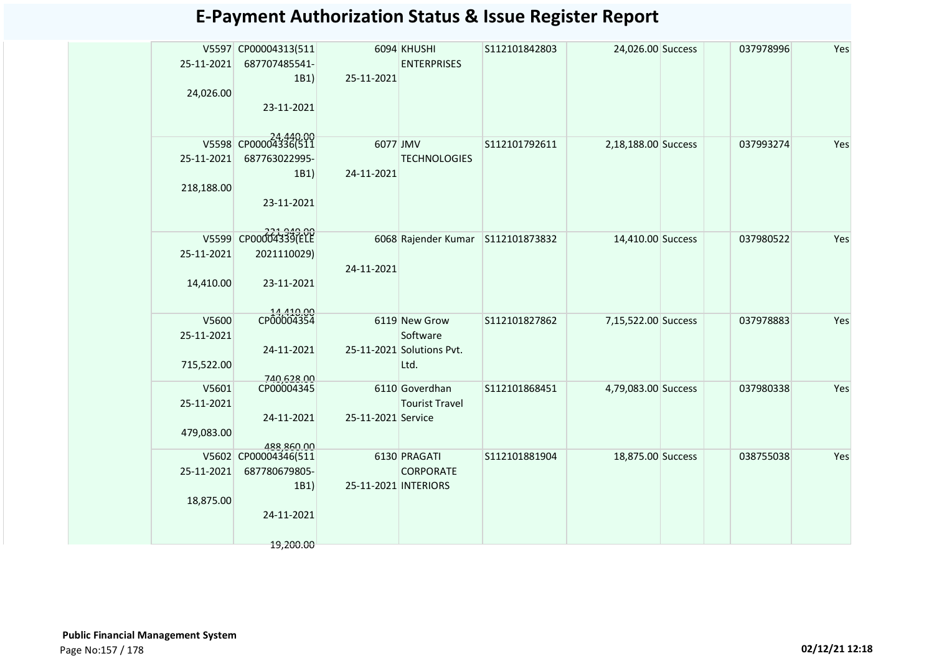| 25-11-2021          | V5597 CP00004313(511<br>687707485541-<br>1B1) | 25-11-2021           | 6094 KHUSHI<br><b>ENTERPRISES</b> | S112101842803 | 24,026.00 Success   | 037978996 | Yes |
|---------------------|-----------------------------------------------|----------------------|-----------------------------------|---------------|---------------------|-----------|-----|
| 24,026.00           |                                               |                      |                                   |               |                     |           |     |
|                     | 23-11-2021                                    |                      |                                   |               |                     |           |     |
|                     |                                               |                      |                                   |               |                     |           |     |
|                     | V5598 CP00004336(511                          | 6077 JMV             |                                   | S112101792611 | 2,18,188.00 Success | 037993274 | Yes |
| 25-11-2021          | 687763022995-                                 |                      | <b>TECHNOLOGIES</b>               |               |                     |           |     |
|                     | 1B1)                                          | 24-11-2021           |                                   |               |                     |           |     |
| 218,188.00          |                                               |                      |                                   |               |                     |           |     |
|                     | 23-11-2021                                    |                      |                                   |               |                     |           |     |
|                     |                                               |                      |                                   |               |                     |           |     |
| V5599               | CP00004339(ELE                                |                      | 6068 Rajender Kumar               | S112101873832 | 14,410.00 Success   | 037980522 | Yes |
| 25-11-2021          | 2021110029)                                   |                      |                                   |               |                     |           |     |
| 14,410.00           | 23-11-2021                                    | 24-11-2021           |                                   |               |                     |           |     |
|                     |                                               |                      |                                   |               |                     |           |     |
|                     | 14,410.00<br>CP00004354                       |                      |                                   |               |                     |           | Yes |
| V5600<br>25-11-2021 |                                               |                      | 6119 New Grow<br>Software         | S112101827862 | 7,15,522.00 Success | 037978883 |     |
|                     | 24-11-2021                                    |                      | 25-11-2021 Solutions Pvt.         |               |                     |           |     |
| 715,522.00          |                                               |                      | Ltd.                              |               |                     |           |     |
| V5601               | 740,628.00<br>CP00004345                      |                      | 6110 Goverdhan                    | S112101868451 | 4,79,083.00 Success | 037980338 | Yes |
| 25-11-2021          |                                               |                      | <b>Tourist Travel</b>             |               |                     |           |     |
|                     | 24-11-2021                                    | 25-11-2021 Service   |                                   |               |                     |           |     |
| 479,083.00          |                                               |                      |                                   |               |                     |           |     |
|                     | 188860.00<br>V5602 CP00004346(511             |                      | 6130 PRAGATI                      | S112101881904 | 18,875.00 Success   | 038755038 | Yes |
| 25-11-2021          | 687780679805-                                 |                      | <b>CORPORATE</b>                  |               |                     |           |     |
|                     | 1B1)                                          | 25-11-2021 INTERIORS |                                   |               |                     |           |     |
| 18,875.00           |                                               |                      |                                   |               |                     |           |     |
|                     | 24-11-2021                                    |                      |                                   |               |                     |           |     |
|                     |                                               |                      |                                   |               |                     |           |     |
|                     | 19,200.00                                     |                      |                                   |               |                     |           |     |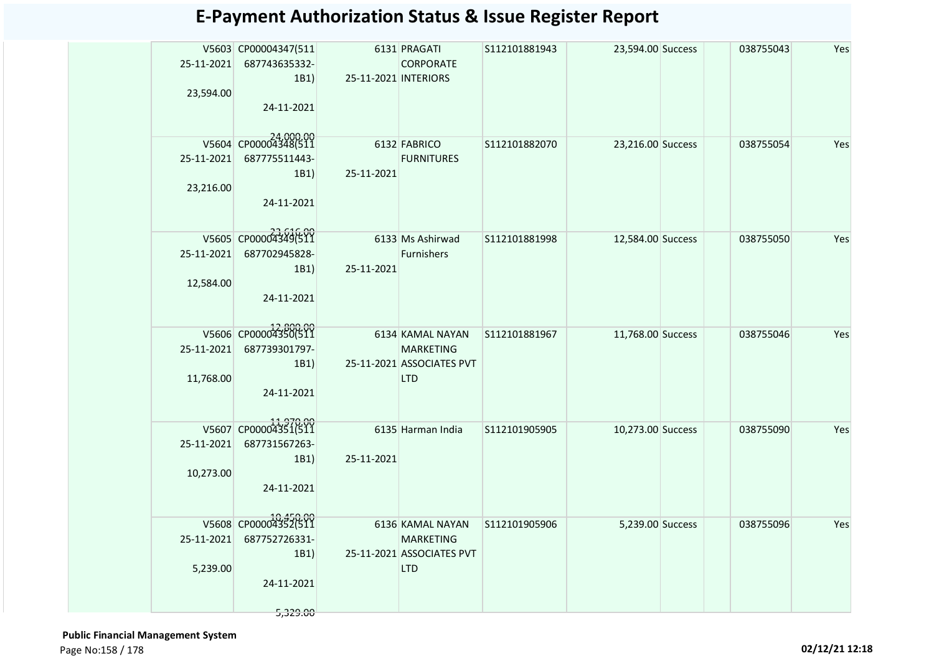|            | V5603 CP00004347(511 |                      | 6131 PRAGATI                      | S112101881943 | 23,594.00 Success | 038755043 | Yes |
|------------|----------------------|----------------------|-----------------------------------|---------------|-------------------|-----------|-----|
| 25-11-2021 | 687743635332-        |                      | <b>CORPORATE</b>                  |               |                   |           |     |
|            | 1B1)                 | 25-11-2021 INTERIORS |                                   |               |                   |           |     |
| 23,594.00  | 24-11-2021           |                      |                                   |               |                   |           |     |
|            |                      |                      |                                   |               |                   |           |     |
|            | V5604 CP00004348(511 |                      |                                   |               |                   |           |     |
| 25-11-2021 | 687775511443-        |                      | 6132 FABRICO<br><b>FURNITURES</b> | S112101882070 | 23,216.00 Success | 038755054 | Yes |
|            | 1B1)                 | 25-11-2021           |                                   |               |                   |           |     |
| 23,216.00  |                      |                      |                                   |               |                   |           |     |
|            | 24-11-2021           |                      |                                   |               |                   |           |     |
|            |                      |                      |                                   |               |                   |           |     |
|            | V5605 CP00004349(511 |                      | 6133 Ms Ashirwad                  | S112101881998 | 12,584.00 Success | 038755050 | Yes |
| 25-11-2021 | 687702945828-        |                      | Furnishers                        |               |                   |           |     |
|            | 1B1)                 | 25-11-2021           |                                   |               |                   |           |     |
| 12,584.00  |                      |                      |                                   |               |                   |           |     |
|            | 24-11-2021           |                      |                                   |               |                   |           |     |
|            |                      |                      |                                   |               |                   |           |     |
|            | V5606 CP00004350(511 |                      | 6134 KAMAL NAYAN                  | S112101881967 | 11,768.00 Success | 038755046 | Yes |
| 25-11-2021 | 687739301797-        |                      | <b>MARKETING</b>                  |               |                   |           |     |
|            | 1B1)                 |                      | 25-11-2021 ASSOCIATES PVT         |               |                   |           |     |
| 11,768.00  | 24-11-2021           |                      | <b>LTD</b>                        |               |                   |           |     |
|            |                      |                      |                                   |               |                   |           |     |
|            | V5607 CP00004351(511 |                      |                                   |               |                   |           |     |
| 25-11-2021 | 687731567263-        |                      | 6135 Harman India                 | S112101905905 | 10,273.00 Success | 038755090 | Yes |
|            | 1B1)                 | 25-11-2021           |                                   |               |                   |           |     |
| 10,273.00  |                      |                      |                                   |               |                   |           |     |
|            | 24-11-2021           |                      |                                   |               |                   |           |     |
|            |                      |                      |                                   |               |                   |           |     |
|            | V5608 CP00004352(511 |                      | 6136 KAMAL NAYAN                  | S112101905906 | 5,239.00 Success  | 038755096 | Yes |
| 25-11-2021 | 687752726331-        |                      | <b>MARKETING</b>                  |               |                   |           |     |
|            | 1B1)                 |                      | 25-11-2021 ASSOCIATES PVT         |               |                   |           |     |
| 5,239.00   |                      |                      | <b>LTD</b>                        |               |                   |           |     |
|            | 24-11-2021           |                      |                                   |               |                   |           |     |
|            | 5,329.00             |                      |                                   |               |                   |           |     |
|            |                      |                      |                                   |               |                   |           |     |

 **Public Financial Management System**  Page No:158 / 178 **02/12/21 12:18**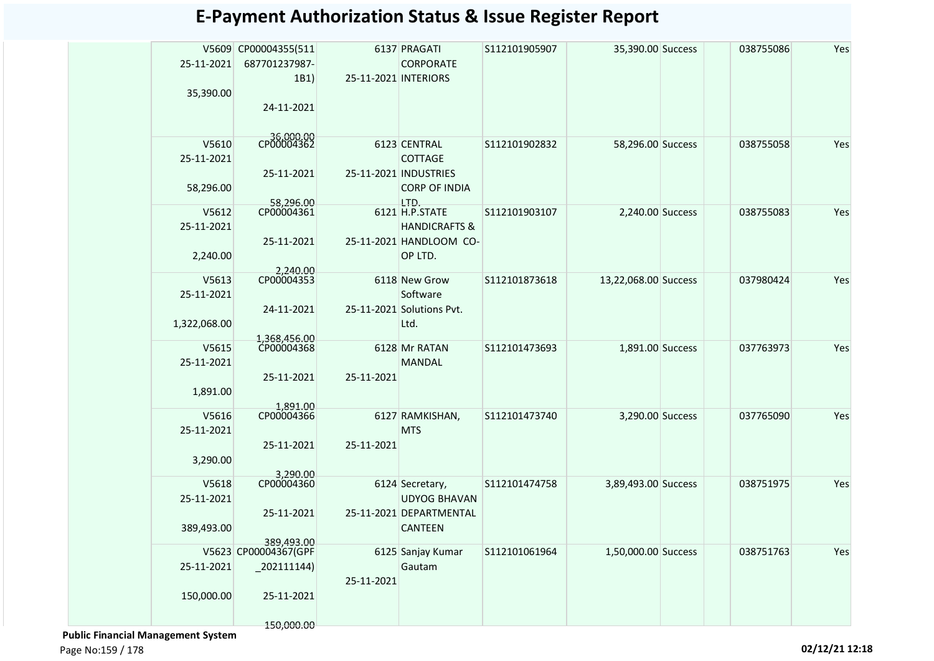|              | V5609 CP00004355(511       |                      | 6137 PRAGATI              | S112101905907 | 35,390.00 Success    | 038755086 | Yes |
|--------------|----------------------------|----------------------|---------------------------|---------------|----------------------|-----------|-----|
| 25-11-2021   | 687701237987-              |                      | <b>CORPORATE</b>          |               |                      |           |     |
|              | 1B1)                       | 25-11-2021 INTERIORS |                           |               |                      |           |     |
| 35,390.00    |                            |                      |                           |               |                      |           |     |
|              | 24-11-2021                 |                      |                           |               |                      |           |     |
|              |                            |                      |                           |               |                      |           |     |
| V5610        | CP00004362                 |                      | 6123 CENTRAL              | S112101902832 | 58,296.00 Success    | 038755058 | Yes |
| 25-11-2021   |                            |                      | <b>COTTAGE</b>            |               |                      |           |     |
|              | 25-11-2021                 |                      | 25-11-2021 INDUSTRIES     |               |                      |           |     |
| 58,296.00    |                            |                      | <b>CORP OF INDIA</b>      |               |                      |           |     |
|              | 58,296.00                  |                      | LTD.                      |               |                      |           |     |
| V5612        | CP00004361                 |                      | 6121 H.P.STATE            | S112101903107 | 2,240.00 Success     | 038755083 | Yes |
| 25-11-2021   |                            |                      | <b>HANDICRAFTS &amp;</b>  |               |                      |           |     |
|              | 25-11-2021                 |                      | 25-11-2021 HANDLOOM CO-   |               |                      |           |     |
| 2,240.00     |                            |                      | OP LTD.                   |               |                      |           |     |
|              | 2,240.00                   |                      |                           |               |                      |           |     |
| V5613        | CP00004353                 |                      | 6118 New Grow             | S112101873618 | 13,22,068.00 Success | 037980424 | Yes |
| 25-11-2021   |                            |                      | Software                  |               |                      |           |     |
|              | 24-11-2021                 |                      | 25-11-2021 Solutions Pvt. |               |                      |           |     |
| 1,322,068.00 |                            |                      | Ltd.                      |               |                      |           |     |
| V5615        | 1,368,456.00<br>CP00004368 |                      | 6128 Mr RATAN             | S112101473693 | 1,891.00 Success     | 037763973 | Yes |
| 25-11-2021   |                            |                      | <b>MANDAL</b>             |               |                      |           |     |
|              | 25-11-2021                 | 25-11-2021           |                           |               |                      |           |     |
| 1,891.00     |                            |                      |                           |               |                      |           |     |
|              | 1,891.00                   |                      |                           |               |                      |           |     |
| V5616        | CP00004366                 |                      | 6127 RAMKISHAN,           | S112101473740 | 3,290.00 Success     | 037765090 | Yes |
| 25-11-2021   |                            |                      | <b>MTS</b>                |               |                      |           |     |
|              | 25-11-2021                 | 25-11-2021           |                           |               |                      |           |     |
| 3,290.00     |                            |                      |                           |               |                      |           |     |
| V5618        | 3,290.00<br>CP00004360     |                      | 6124 Secretary,           | S112101474758 | 3,89,493.00 Success  | 038751975 | Yes |
| 25-11-2021   |                            |                      | <b>UDYOG BHAVAN</b>       |               |                      |           |     |
|              | 25-11-2021                 |                      | 25-11-2021 DEPARTMENTAL   |               |                      |           |     |
| 389,493.00   |                            |                      | <b>CANTEEN</b>            |               |                      |           |     |
|              | 389.493.00                 |                      |                           |               |                      |           |     |
|              | V5623 CP00004367(GPF       |                      | 6125 Sanjay Kumar         | S112101061964 | 1,50,000.00 Success  | 038751763 | Yes |
| 25-11-2021   | $-202111144$               |                      | Gautam                    |               |                      |           |     |
|              |                            | 25-11-2021           |                           |               |                      |           |     |
| 150,000.00   | 25-11-2021                 |                      |                           |               |                      |           |     |
|              |                            |                      |                           |               |                      |           |     |
|              | 150,000.00                 |                      |                           |               |                      |           |     |

 **Public Financial Management System** 

Page No:159 / 178 **02/12/21 12:18**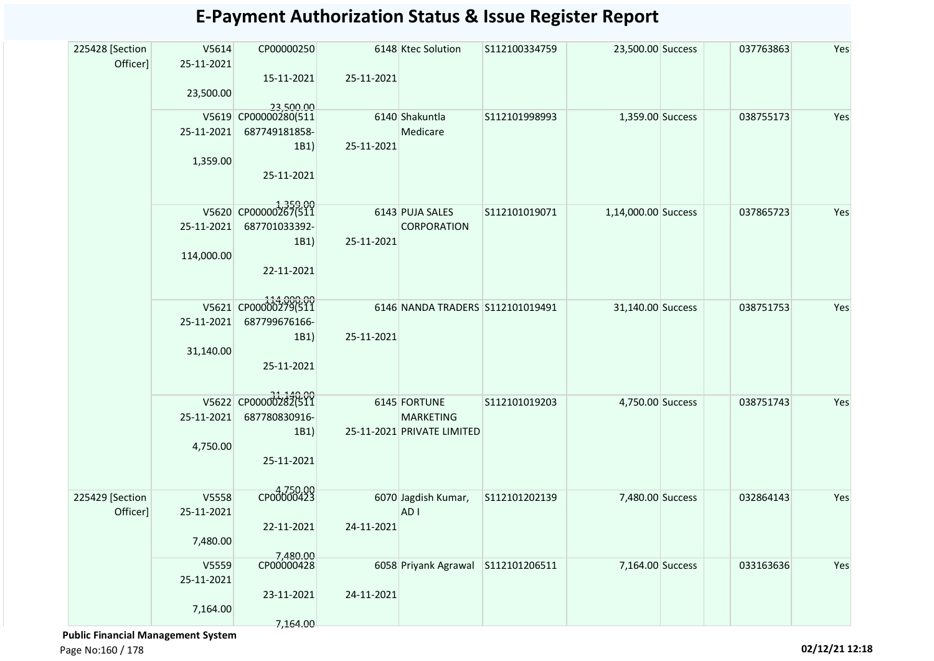#### V5614 25-11-2021 23,500.00 CP00000250 15-11-2021 23,500.00 S112100334759 23,500.00 Success 037763863 Yes V5619 25-11-2021 1,359.00 CP00000280(511 687749181858- 1B1) 25-11-2021 225428 [Section Officer] 6148 Ktec Solution 25-11-2021 6140 25-11-2021 Shakuntla Medicare

#### **E-Payment Authorization Status & Issue Register Report**

|                             | 23,500.00                       |                                                                          |            |                                                                |               |                     |           |     |
|-----------------------------|---------------------------------|--------------------------------------------------------------------------|------------|----------------------------------------------------------------|---------------|---------------------|-----------|-----|
|                             | 25-11-2021<br>1,359.00          | 23,500.00<br>V5619 CP00000280(511<br>687749181858-<br>1B1)<br>25-11-2021 | 25-11-2021 | 6140 Shakuntla<br>Medicare                                     | S112101998993 | 1,359.00 Success    | 038755173 | Yes |
|                             | 25-11-2021<br>114,000.00        | V5620 CP00000267(511<br>687701033392-<br>1B1)<br>22-11-2021              | 25-11-2021 | 6143 PUJA SALES<br>CORPORATION                                 | S112101019071 | 1,14,000.00 Success | 037865723 | Yes |
|                             | 25-11-2021<br>31,140.00         | V5621 CP00000279(511<br>687799676166-<br>1B1)<br>25-11-2021              | 25-11-2021 | 6146 NANDA TRADERS S112101019491                               |               | 31,140.00 Success   | 038751753 | Yes |
|                             | 25-11-2021<br>4,750.00          | V5622 CP00000282(511<br>687780830916-<br>1B1)<br>25-11-2021              |            | 6145 FORTUNE<br><b>MARKETING</b><br>25-11-2021 PRIVATE LIMITED | S112101019203 | 4,750.00 Success    | 038751743 | Yes |
| 225429 [Section<br>Officer] | V5558<br>25-11-2021<br>7,480.00 | CP00000423<br>22-11-2021<br>7,480.00                                     | 24-11-2021 | 6070 Jagdish Kumar,<br>AD <sub>I</sub>                         | S112101202139 | 7,480.00 Success    | 032864143 | Yes |
|                             | V5559<br>25-11-2021<br>7,164.00 | CP00000428<br>23-11-2021<br>7,164.00                                     | 24-11-2021 | 6058 Priyank Agrawal                                           | S112101206511 | 7,164.00 Success    | 033163636 | Yes |

 **Public Financial Management System** 

Page No:160 / 178 **02/12/21 12:18**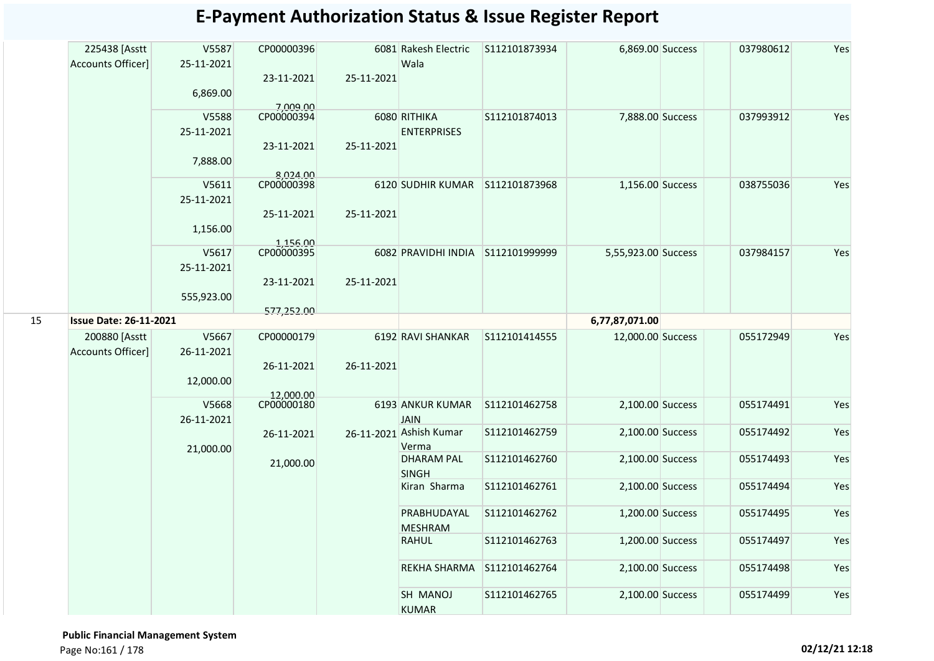|    | 225438 [Asstt<br>Accounts Officer] | V5587<br>25-11-2021 | CP00000396             |            | 6081 Rakesh Electric<br>Wala           | S112101873934 | 6,869.00 Success    | 037980612 | Yes |
|----|------------------------------------|---------------------|------------------------|------------|----------------------------------------|---------------|---------------------|-----------|-----|
|    |                                    |                     | 23-11-2021             | 25-11-2021 |                                        |               |                     |           |     |
|    |                                    | 6,869.00            | 7.009.00               |            |                                        |               |                     |           |     |
|    |                                    | V5588               | CP00000394             |            | 6080 RITHIKA                           | S112101874013 | 7,888.00 Success    | 037993912 | Yes |
|    |                                    | 25-11-2021          |                        |            | <b>ENTERPRISES</b>                     |               |                     |           |     |
|    |                                    |                     | 23-11-2021             | 25-11-2021 |                                        |               |                     |           |     |
|    |                                    | 7,888.00            |                        |            |                                        |               |                     |           |     |
|    |                                    | V5611               | 8,024.00<br>CP00000398 |            | 6120 SUDHIR KUMAR S112101873968        |               | 1,156.00 Success    | 038755036 | Yes |
|    |                                    | 25-11-2021          |                        |            |                                        |               |                     |           |     |
|    |                                    |                     | 25-11-2021             | 25-11-2021 |                                        |               |                     |           |     |
|    |                                    | 1,156.00            |                        |            |                                        |               |                     |           |     |
|    |                                    |                     | 1,156.00<br>CP00000395 |            |                                        |               |                     |           |     |
|    |                                    | V5617               |                        |            | 6082 PRAVIDHI INDIA S112101999999      |               | 5,55,923.00 Success | 037984157 | Yes |
|    |                                    | 25-11-2021          |                        |            |                                        |               |                     |           |     |
|    |                                    |                     | 23-11-2021             | 25-11-2021 |                                        |               |                     |           |     |
|    |                                    | 555,923.00          | 577,252.00             |            |                                        |               |                     |           |     |
| 15 | <b>Issue Date: 26-11-2021</b>      |                     |                        |            |                                        |               | 6,77,87,071.00      |           |     |
|    | 200880 [Asstt                      | V5667               | CP00000179             |            | 6192 RAVI SHANKAR                      | S112101414555 | 12,000.00 Success   | 055172949 | Yes |
|    | Accounts Officer]                  | 26-11-2021          |                        |            |                                        |               |                     |           |     |
|    |                                    |                     | 26-11-2021             | 26-11-2021 |                                        |               |                     |           |     |
|    |                                    | 12,000.00           |                        |            |                                        |               |                     |           |     |
|    |                                    |                     | 12,000.00              |            |                                        |               |                     |           |     |
|    |                                    | V5668               | CP00000180             |            | 6193 ANKUR KUMAR                       | S112101462758 | 2,100.00 Success    | 055174491 | Yes |
|    |                                    | 26-11-2021          |                        |            | <b>JAIN</b><br>26-11-2021 Ashish Kumar | S112101462759 | 2,100.00 Success    | 055174492 | Yes |
|    |                                    |                     | 26-11-2021             |            | Verma                                  |               |                     |           |     |
|    |                                    | 21,000.00           | 21,000.00              |            | <b>DHARAM PAL</b>                      | S112101462760 | 2,100.00 Success    | 055174493 | Yes |
|    |                                    |                     |                        |            | <b>SINGH</b>                           |               |                     |           |     |
|    |                                    |                     |                        |            | Kiran Sharma                           | S112101462761 | 2,100.00 Success    | 055174494 | Yes |
|    |                                    |                     |                        |            | PRABHUDAYAL                            | S112101462762 | 1,200.00 Success    | 055174495 | Yes |
|    |                                    |                     |                        |            | <b>MESHRAM</b>                         |               |                     |           |     |
|    |                                    |                     |                        |            | <b>RAHUL</b>                           | S112101462763 | 1,200.00 Success    | 055174497 | Yes |
|    |                                    |                     |                        |            |                                        |               |                     |           |     |
|    |                                    |                     |                        |            | REKHA SHARMA S112101462764             |               | 2,100.00 Success    | 055174498 | Yes |
|    |                                    |                     |                        |            | SH MANOJ                               | S112101462765 | 2,100.00 Success    | 055174499 | Yes |
|    |                                    |                     |                        |            | <b>KUMAR</b>                           |               |                     |           |     |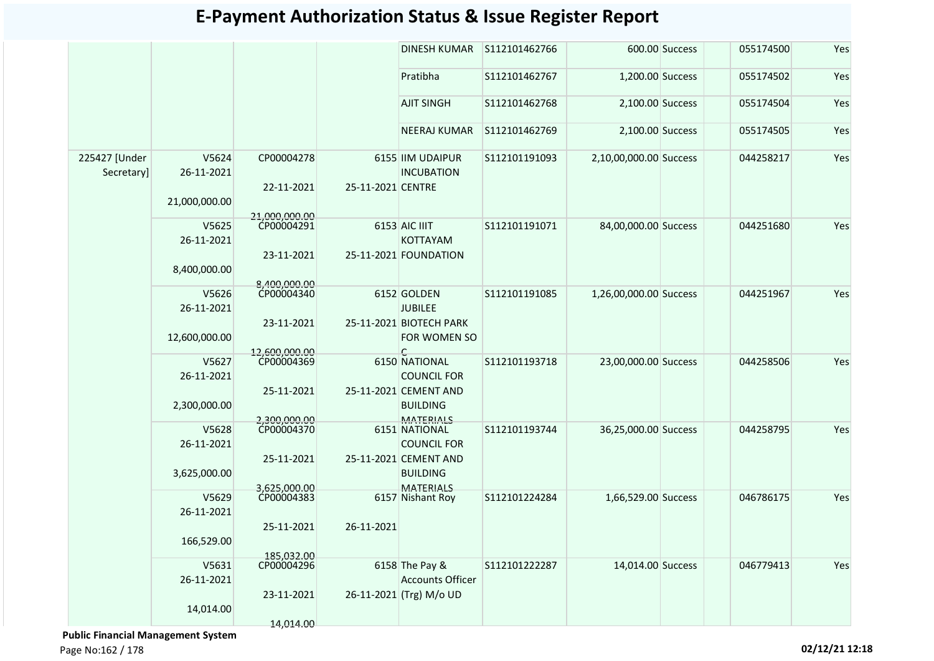|                             |                     |                             |                   | <b>DINESH KUMAR</b>                                          | S112101462766 |                        | 600.00 Success | 055174500 | Yes |
|-----------------------------|---------------------|-----------------------------|-------------------|--------------------------------------------------------------|---------------|------------------------|----------------|-----------|-----|
|                             |                     |                             |                   | Pratibha                                                     | S112101462767 | 1,200.00 Success       |                | 055174502 | Yes |
|                             |                     |                             |                   | <b>AJIT SINGH</b>                                            | S112101462768 | 2,100.00 Success       |                | 055174504 | Yes |
|                             |                     |                             |                   | <b>NEERAJ KUMAR</b>                                          | S112101462769 | 2,100.00 Success       |                | 055174505 | Yes |
| 225427 [Under<br>Secretary] | V5624<br>26-11-2021 | CP00004278<br>22-11-2021    | 25-11-2021 CENTRE | 6155 IIM UDAIPUR<br><b>INCUBATION</b>                        | S112101191093 | 2,10,00,000.00 Success |                | 044258217 | Yes |
|                             | 21,000,000.00       | 21.000.000.00               |                   |                                                              |               |                        |                |           |     |
|                             | V5625<br>26-11-2021 | CP00004291                  |                   | 6153 AIC IIIT<br>KOTTAYAM                                    | S112101191071 | 84,00,000.00 Success   |                | 044251680 | Yes |
|                             | 8,400,000.00        | 23-11-2021                  |                   | 25-11-2021 FOUNDATION                                        |               |                        |                |           |     |
|                             | V5626<br>26-11-2021 | 8.400.000.00<br>CP00004340  |                   | 6152 GOLDEN<br><b>JUBILEE</b>                                | S112101191085 | 1,26,00,000.00 Success |                | 044251967 | Yes |
|                             | 12,600,000.00       | 23-11-2021<br>12,600,000.00 |                   | 25-11-2021 BIOTECH PARK<br>FOR WOMEN SO<br>C                 |               |                        |                |           |     |
|                             | V5627<br>26-11-2021 | CP00004369                  |                   | 6150 NATIONAL<br><b>COUNCIL FOR</b>                          | S112101193718 | 23,00,000.00 Success   |                | 044258506 | Yes |
|                             | 2,300,000.00        | 25-11-2021<br>2,300,000.00  |                   | 25-11-2021 CEMENT AND<br><b>BUILDING</b><br><b>MATERIALS</b> |               |                        |                |           |     |
|                             | V5628<br>26-11-2021 | CP00004370                  |                   | 6151 NATIONAL<br><b>COUNCIL FOR</b>                          | S112101193744 | 36,25,000.00 Success   |                | 044258795 | Yes |
|                             | 3,625,000.00        | 25-11-2021<br>3,625,000.00  |                   | 25-11-2021 CEMENT AND<br><b>BUILDING</b><br><b>MATERIALS</b> |               |                        |                |           |     |
|                             | V5629<br>26-11-2021 | CP00004383                  |                   | 6157 Nishant Roy                                             | S112101224284 | 1,66,529.00 Success    |                | 046786175 | Yes |
|                             | 166,529.00          | 25-11-2021                  | 26-11-2021        |                                                              |               |                        |                |           |     |
|                             | V5631<br>26-11-2021 | 185,032.00<br>CP00004296    |                   | 6158 The Pay &<br><b>Accounts Officer</b>                    | S112101222287 | 14,014.00 Success      |                | 046779413 | Yes |
|                             | 14,014.00           | 23-11-2021<br>14,014.00     |                   | 26-11-2021 (Trg) M/o UD                                      |               |                        |                |           |     |

 **Public Financial Management System** 

Page No:162 / 178 **02/12/21 12:18**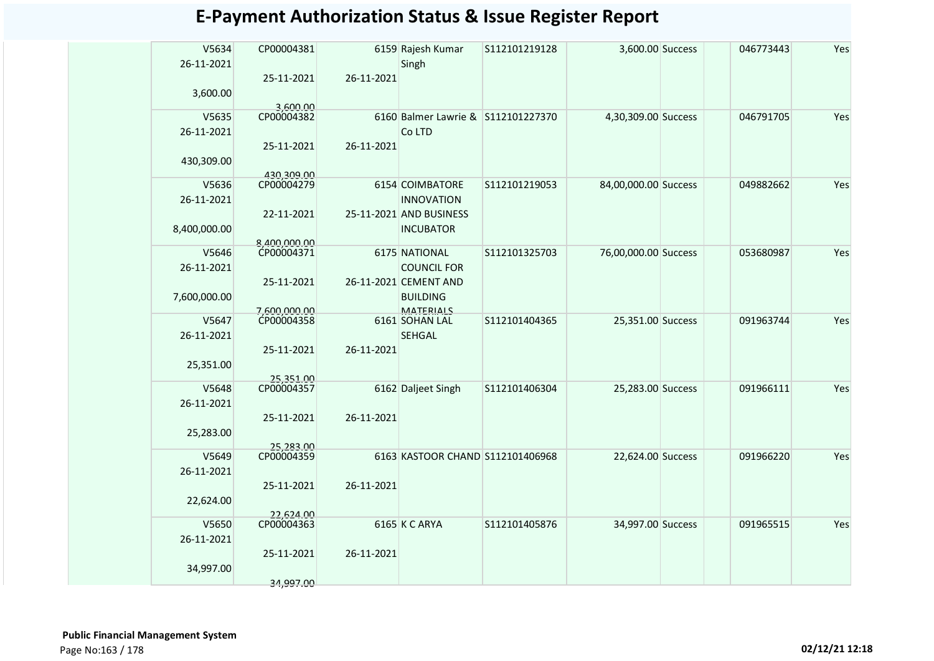| V5634               | CP00004381               |            | 6159 Rajesh Kumar                   | S112101219128 | 3,600.00 Success     | 046773443 | Yes |
|---------------------|--------------------------|------------|-------------------------------------|---------------|----------------------|-----------|-----|
| 26-11-2021          |                          | 26-11-2021 | Singh                               |               |                      |           |     |
| 3,600.00            | 25-11-2021               |            |                                     |               |                      |           |     |
|                     | 3.600.00                 |            |                                     |               |                      |           |     |
| V5635               | CP00004382               |            | 6160 Balmer Lawrie & S112101227370  |               | 4,30,309.00 Success  | 046791705 | Yes |
| 26-11-2021          |                          |            | Co LTD                              |               |                      |           |     |
|                     | 25-11-2021               | 26-11-2021 |                                     |               |                      |           |     |
| 430,309.00          |                          |            |                                     |               |                      |           |     |
| V5636               | 430,309.00<br>CP00004279 |            | 6154 COIMBATORE                     | S112101219053 | 84,00,000.00 Success | 049882662 | Yes |
| 26-11-2021          |                          |            | <b>INNOVATION</b>                   |               |                      |           |     |
|                     | 22-11-2021               |            | 25-11-2021 AND BUSINESS             |               |                      |           |     |
| 8,400,000.00        |                          |            | <b>INCUBATOR</b>                    |               |                      |           |     |
|                     | 8.400.000.00             |            |                                     |               |                      |           |     |
| V5646<br>26-11-2021 | CP00004371               |            | 6175 NATIONAL<br><b>COUNCIL FOR</b> | S112101325703 | 76,00,000.00 Success | 053680987 | Yes |
|                     | 25-11-2021               |            | 26-11-2021 CEMENT AND               |               |                      |           |     |
| 7,600,000.00        |                          |            | <b>BUILDING</b>                     |               |                      |           |     |
|                     | 7,600,000.00             |            | MATERIALS                           |               |                      |           |     |
| V5647               | CP00004358               |            | 6161 SOHAN LAL                      | S112101404365 | 25,351.00 Success    | 091963744 | Yes |
| 26-11-2021          |                          |            | <b>SEHGAL</b>                       |               |                      |           |     |
|                     | 25-11-2021               | 26-11-2021 |                                     |               |                      |           |     |
| 25,351.00           |                          |            |                                     |               |                      |           |     |
| V5648               | 25,351.00<br>CP00004357  |            | 6162 Daljeet Singh                  | S112101406304 | 25,283.00 Success    | 091966111 | Yes |
| 26-11-2021          |                          |            |                                     |               |                      |           |     |
|                     | 25-11-2021               | 26-11-2021 |                                     |               |                      |           |     |
| 25,283.00           |                          |            |                                     |               |                      |           |     |
| V5649               | 25,283.00<br>CP00004359  |            | 6163 KASTOOR CHAND S112101406968    |               | 22,624.00 Success    | 091966220 | Yes |
| 26-11-2021          |                          |            |                                     |               |                      |           |     |
|                     | 25-11-2021               | 26-11-2021 |                                     |               |                      |           |     |
| 22,624.00           |                          |            |                                     |               |                      |           |     |
|                     | 22,624.00                |            |                                     |               |                      |           |     |
| V5650<br>26-11-2021 | CP00004363               |            | 6165 K C ARYA                       | S112101405876 | 34,997.00 Success    | 091965515 | Yes |
|                     | 25-11-2021               | 26-11-2021 |                                     |               |                      |           |     |
| 34,997.00           |                          |            |                                     |               |                      |           |     |
|                     | 34.997.00                |            |                                     |               |                      |           |     |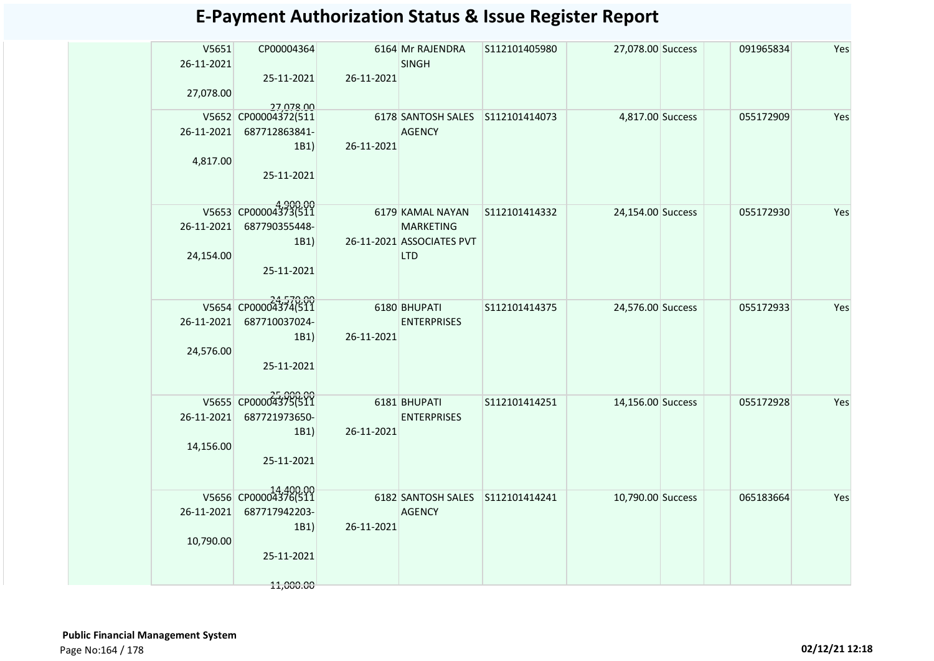| V5651<br>26-11-2021 | CP00004364                        |            | 6164 Mr RAJENDRA<br><b>SINGH</b> | S112101405980 | 27,078.00 Success | 091965834 | Yes |
|---------------------|-----------------------------------|------------|----------------------------------|---------------|-------------------|-----------|-----|
|                     | 25-11-2021                        | 26-11-2021 |                                  |               |                   |           |     |
| 27,078.00           |                                   |            |                                  |               |                   |           |     |
|                     | 27,078.00<br>V5652 CP00004372(511 |            | 6178 SANTOSH SALES S112101414073 |               | 4,817.00 Success  | 055172909 | Yes |
| 26-11-2021          | 687712863841-                     | 26-11-2021 | <b>AGENCY</b>                    |               |                   |           |     |
| 4,817.00            | 1B1)                              |            |                                  |               |                   |           |     |
|                     | 25-11-2021                        |            |                                  |               |                   |           |     |
|                     | 4,900.00<br>V5653 CP00004373(511  |            | 6179 KAMAL NAYAN                 | S112101414332 | 24,154.00 Success | 055172930 | Yes |
|                     | 26-11-2021 687790355448-          |            | <b>MARKETING</b>                 |               |                   |           |     |
|                     | 1B1)                              |            | 26-11-2021 ASSOCIATES PVT        |               |                   |           |     |
| 24,154.00           | 25-11-2021                        |            | <b>LTD</b>                       |               |                   |           |     |
|                     |                                   |            |                                  |               |                   |           |     |
|                     | V5654 CP00004374(511              |            | 6180 BHUPATI                     | S112101414375 | 24,576.00 Success | 055172933 | Yes |
| 26-11-2021          | 687710037024-                     |            | <b>ENTERPRISES</b>               |               |                   |           |     |
|                     | 1B1)                              | 26-11-2021 |                                  |               |                   |           |     |
| 24,576.00           | 25-11-2021                        |            |                                  |               |                   |           |     |
|                     |                                   |            |                                  |               |                   |           |     |
|                     | V5655 CP00004375(511              |            | 6181 BHUPATI                     | S112101414251 | 14,156.00 Success | 055172928 | Yes |
| 26-11-2021          | 687721973650-                     |            | <b>ENTERPRISES</b>               |               |                   |           |     |
|                     | 1B1)                              | 26-11-2021 |                                  |               |                   |           |     |
| 14,156.00           | 25-11-2021                        |            |                                  |               |                   |           |     |
|                     |                                   |            |                                  |               |                   |           |     |
|                     | V5656 CP00004376(511              |            | 6182 SANTOSH SALES S112101414241 |               | 10,790.00 Success | 065183664 | Yes |
| 26-11-2021          | 687717942203-                     |            | <b>AGENCY</b>                    |               |                   |           |     |
|                     | 1B1)                              | 26-11-2021 |                                  |               |                   |           |     |
| 10,790.00           |                                   |            |                                  |               |                   |           |     |
|                     | 25-11-2021                        |            |                                  |               |                   |           |     |
|                     | 11,000.00                         |            |                                  |               |                   |           |     |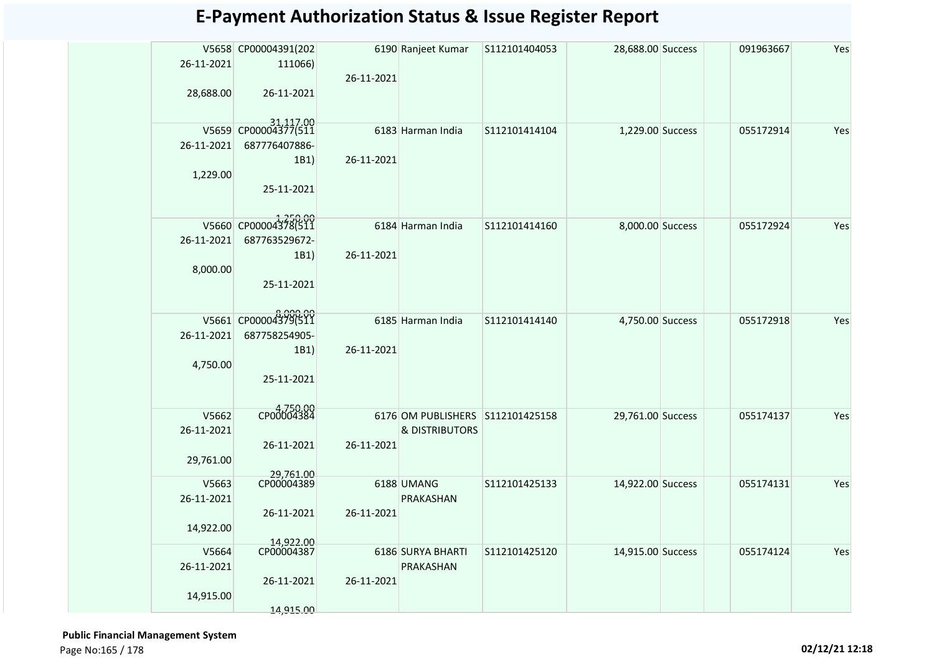| 26-11-2021 | V5658 CP00004391(202<br>111066)       |            | 6190 Ranjeet Kumar               | S112101404053 | 28,688.00 Success | 091963667 | Yes |
|------------|---------------------------------------|------------|----------------------------------|---------------|-------------------|-----------|-----|
|            |                                       | 26-11-2021 |                                  |               |                   |           |     |
| 28,688.00  | 26-11-2021                            |            |                                  |               |                   |           |     |
|            |                                       |            |                                  |               |                   |           |     |
|            | 31,117.00<br>V5659 CP00004377(511     |            | 6183 Harman India                | S112101414104 | 1,229.00 Success  | 055172914 | Yes |
| 26-11-2021 | 687776407886-                         |            |                                  |               |                   |           |     |
|            | 1B1)                                  | 26-11-2021 |                                  |               |                   |           |     |
| 1,229.00   |                                       |            |                                  |               |                   |           |     |
|            | 25-11-2021                            |            |                                  |               |                   |           |     |
|            |                                       |            |                                  |               |                   |           |     |
| 26-11-2021 | V5660 CP00004378(511<br>687763529672- |            | 6184 Harman India                | S112101414160 | 8,000.00 Success  | 055172924 | Yes |
|            | 1B1)                                  | 26-11-2021 |                                  |               |                   |           |     |
| 8,000.00   |                                       |            |                                  |               |                   |           |     |
|            | 25-11-2021                            |            |                                  |               |                   |           |     |
|            |                                       |            |                                  |               |                   |           |     |
|            | V5661 CP00004379(511                  |            | 6185 Harman India                | S112101414140 | 4,750.00 Success  | 055172918 | Yes |
| 26-11-2021 | 687758254905-                         |            |                                  |               |                   |           |     |
| 4,750.00   | 1B1)                                  | 26-11-2021 |                                  |               |                   |           |     |
|            | 25-11-2021                            |            |                                  |               |                   |           |     |
|            |                                       |            |                                  |               |                   |           |     |
| V5662      | CP00004384                            |            | 6176 OM PUBLISHERS S112101425158 |               | 29,761.00 Success | 055174137 | Yes |
| 26-11-2021 |                                       |            | <b>&amp; DISTRIBUTORS</b>        |               |                   |           |     |
|            | 26-11-2021                            | 26-11-2021 |                                  |               |                   |           |     |
| 29,761.00  |                                       |            |                                  |               |                   |           |     |
| V5663      | 29,761.00<br>CP00004389               |            | 6188 UMANG                       | S112101425133 | 14,922.00 Success | 055174131 | Yes |
| 26-11-2021 |                                       |            | PRAKASHAN                        |               |                   |           |     |
| 14,922.00  | 26-11-2021                            | 26-11-2021 |                                  |               |                   |           |     |
|            | 14.922.00                             |            |                                  |               |                   |           |     |
| V5664      | CP00004387                            |            | 6186 SURYA BHARTI                | S112101425120 | 14,915.00 Success | 055174124 | Yes |
| 26-11-2021 | 26-11-2021                            | 26-11-2021 | PRAKASHAN                        |               |                   |           |     |
| 14,915.00  |                                       |            |                                  |               |                   |           |     |
|            | 14.915.00                             |            |                                  |               |                   |           |     |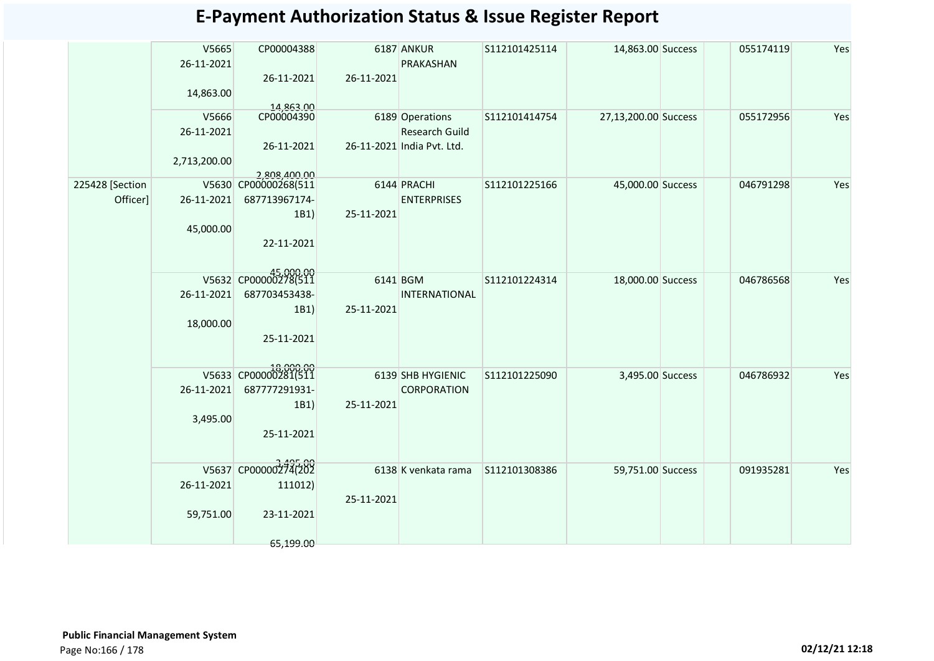| <b>E-Payment Authorization Status &amp; Issue Register Report</b> |  |  |
|-------------------------------------------------------------------|--|--|
|-------------------------------------------------------------------|--|--|

|                             | V5665<br>26-11-2021<br>14,863.00    | CP00004388<br>26-11-2021                                                    | 26-11-2021 | 6187 ANKUR<br>PRAKASHAN                                                | S112101425114 | 14,863.00 Success    | 055174119 | Yes |
|-----------------------------|-------------------------------------|-----------------------------------------------------------------------------|------------|------------------------------------------------------------------------|---------------|----------------------|-----------|-----|
|                             | V5666<br>26-11-2021<br>2,713,200.00 | 14,863.00<br>CP00004390<br>26-11-2021                                       |            | 6189 Operations<br><b>Research Guild</b><br>26-11-2021 India Pvt. Ltd. | S112101414754 | 27,13,200.00 Success | 055172956 | Yes |
| 225428 [Section<br>Officer] | 26-11-2021<br>45,000.00             | 2,808,400.00<br>V5630 CP00000268(511<br>687713967174-<br>1B1)<br>22-11-2021 | 25-11-2021 | 6144 PRACHI<br><b>ENTERPRISES</b>                                      | S112101225166 | 45,000.00 Success    | 046791298 | Yes |
|                             | 26-11-2021<br>18,000.00             | V5632 CP00000278(511<br>687703453438-<br>1B1)<br>25-11-2021                 | 25-11-2021 | 6141 BGM<br><b>INTERNATIONAL</b>                                       | S112101224314 | 18,000.00 Success    | 046786568 | Yes |
|                             | 26-11-2021<br>3,495.00              | V5633 CP00000281(511<br>687777291931-<br>1B1)<br>25-11-2021                 | 25-11-2021 | 6139 SHB HYGIENIC<br>CORPORATION                                       | S112101225090 | 3,495.00 Success     | 046786932 | Yes |
|                             | 26-11-2021<br>59,751.00             | V5637 CP00000274(202<br>111012)<br>23-11-2021<br>65,199.00                  | 25-11-2021 | 6138 K venkata rama                                                    | S112101308386 | 59,751.00 Success    | 091935281 | Yes |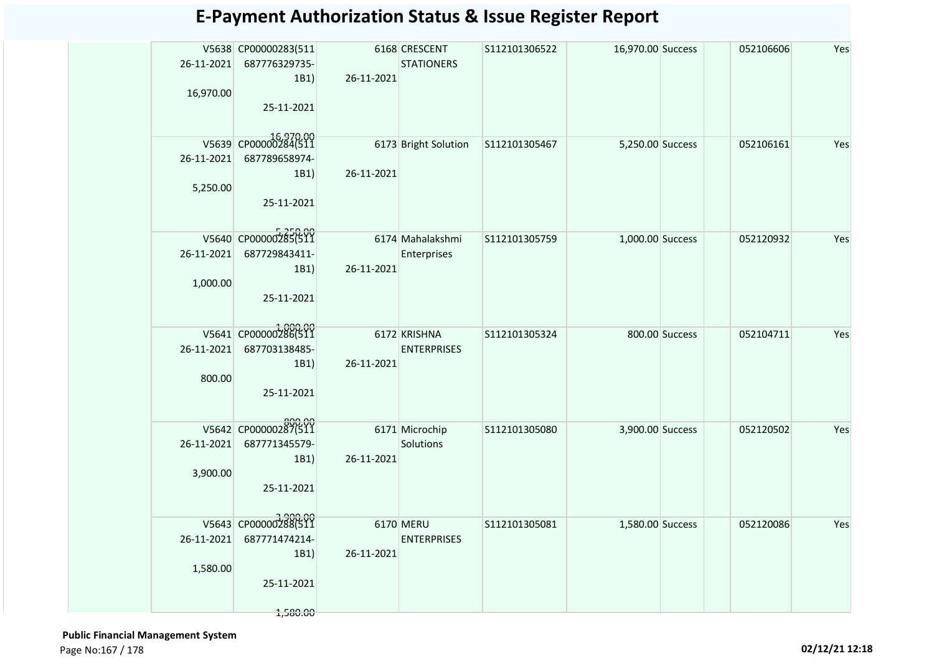|            | V5638 CP00000283(511 |            | 6168 CRESCENT        | S112101306522 | 16,970.00 Success |                | 052106606 | Yes |
|------------|----------------------|------------|----------------------|---------------|-------------------|----------------|-----------|-----|
| 26-11-2021 | 687776329735-        |            | <b>STATIONERS</b>    |               |                   |                |           |     |
|            | 1B1)                 | 26-11-2021 |                      |               |                   |                |           |     |
| 16,970.00  |                      |            |                      |               |                   |                |           |     |
|            | 25-11-2021           |            |                      |               |                   |                |           |     |
|            |                      |            |                      |               |                   |                |           |     |
|            | V5639 CP00000284(511 |            | 6173 Bright Solution | S112101305467 | 5,250.00 Success  |                | 052106161 | Yes |
| 26-11-2021 | 687789658974-        |            |                      |               |                   |                |           |     |
|            | 1B1)                 | 26-11-2021 |                      |               |                   |                |           |     |
| 5,250.00   |                      |            |                      |               |                   |                |           |     |
|            | 25-11-2021           |            |                      |               |                   |                |           |     |
|            |                      |            |                      |               |                   |                |           |     |
|            |                      |            |                      |               |                   |                |           |     |
|            | V5640 CP00000285(511 |            | 6174 Mahalakshmi     | S112101305759 | 1,000.00 Success  |                | 052120932 | Yes |
| 26-11-2021 | 687729843411-        |            | Enterprises          |               |                   |                |           |     |
|            | 1B1)                 | 26-11-2021 |                      |               |                   |                |           |     |
| 1,000.00   |                      |            |                      |               |                   |                |           |     |
|            | 25-11-2021           |            |                      |               |                   |                |           |     |
|            |                      |            |                      |               |                   |                |           |     |
|            | V5641 CP00000286(511 |            | 6172 KRISHNA         | S112101305324 |                   | 800.00 Success | 052104711 | Yes |
| 26-11-2021 | 687703138485-        |            | <b>ENTERPRISES</b>   |               |                   |                |           |     |
|            | 1B1)                 | 26-11-2021 |                      |               |                   |                |           |     |
| 800.00     |                      |            |                      |               |                   |                |           |     |
|            | 25-11-2021           |            |                      |               |                   |                |           |     |
|            |                      |            |                      |               |                   |                |           |     |
|            | V5642 CP00000287(511 |            | 6171 Microchip       |               |                   |                | 052120502 | Yes |
| 26-11-2021 | 687771345579-        |            | Solutions            | S112101305080 | 3,900.00 Success  |                |           |     |
|            | 1B1)                 | 26-11-2021 |                      |               |                   |                |           |     |
| 3,900.00   |                      |            |                      |               |                   |                |           |     |
|            | 25-11-2021           |            |                      |               |                   |                |           |     |
|            |                      |            |                      |               |                   |                |           |     |
|            |                      |            |                      |               |                   |                |           |     |
|            | V5643 CP00000288(511 |            | 6170 MERU            | S112101305081 | 1,580.00 Success  |                | 052120086 | Yes |
| 26-11-2021 | 687771474214-        |            | <b>ENTERPRISES</b>   |               |                   |                |           |     |
|            | 1B1)                 | 26-11-2021 |                      |               |                   |                |           |     |
| 1,580.00   |                      |            |                      |               |                   |                |           |     |
|            | 25-11-2021           |            |                      |               |                   |                |           |     |
|            |                      |            |                      |               |                   |                |           |     |

 **Public Financial Management System**  Page No:167 / 178 **02/12/21 12:18**

1,580.00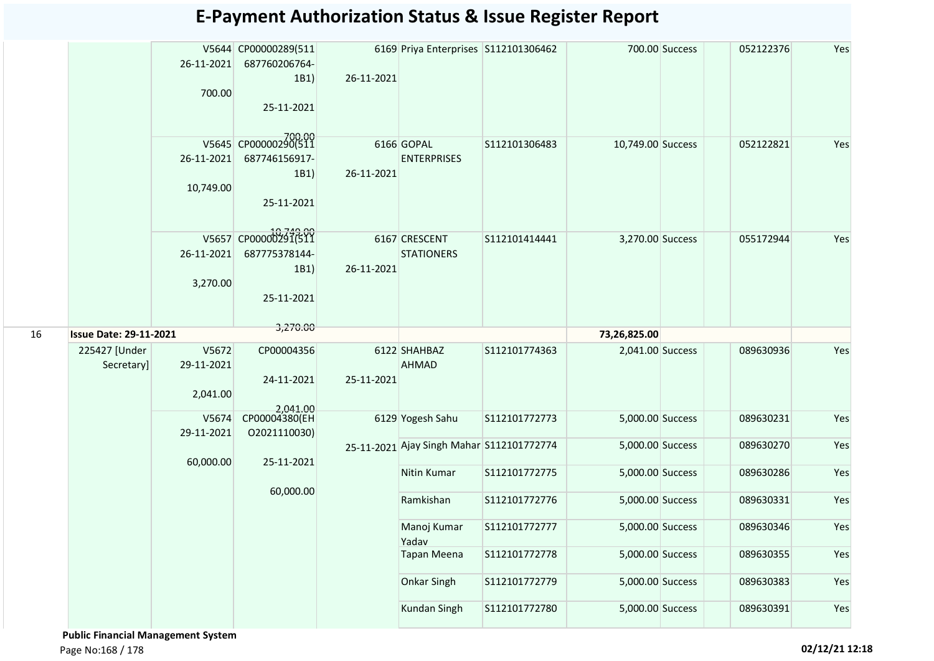|    |                               | 26-11-2021<br>700.00            | V5644 CP00000289(511<br>687760206764-<br>1B1)<br>25-11-2021 | 26-11-2021 | 6169 Priya Enterprises S112101306462      |                                |                                      | 700.00 Success | 052122376              | Yes        |
|----|-------------------------------|---------------------------------|-------------------------------------------------------------|------------|-------------------------------------------|--------------------------------|--------------------------------------|----------------|------------------------|------------|
|    |                               | 26-11-2021<br>10,749.00         | V5645 CP00000290(511<br>687746156917-<br>1B1)<br>25-11-2021 | 26-11-2021 | 6166 GOPAL<br><b>ENTERPRISES</b>          | S112101306483                  | 10,749.00 Success                    |                | 052122821              | Yes        |
|    |                               | 26-11-2021<br>3,270.00          | V5657 CP00000291(511<br>687775378144-<br>1B1)<br>25-11-2021 | 26-11-2021 | 6167 CRESCENT<br><b>STATIONERS</b>        | S112101414441                  | 3,270.00 Success                     |                | 055172944              | Yes        |
| 16 | <b>Issue Date: 29-11-2021</b> |                                 | 3,270.00                                                    |            |                                           |                                | 73,26,825.00                         |                |                        |            |
|    | 225427 [Under<br>Secretary]   | V5672<br>29-11-2021<br>2,041.00 | CP00004356<br>24-11-2021<br>2.041.00                        | 25-11-2021 | 6122 SHAHBAZ<br><b>AHMAD</b>              | S112101774363                  | 2,041.00 Success                     |                | 089630936              | Yes        |
|    |                               | V5674<br>29-11-2021             | CP00004380(EH<br>02021110030)                               |            | 6129 Yogesh Sahu                          | S112101772773                  | 5,000.00 Success                     |                | 089630231              | Yes        |
|    |                               | 60,000.00                       | 25-11-2021                                                  |            | 25-11-2021 Ajay Singh Mahar S112101772774 |                                | 5,000.00 Success                     |                | 089630270              | Yes        |
|    |                               |                                 | 60,000.00                                                   |            | Nitin Kumar<br>Ramkishan                  | S112101772775<br>S112101772776 | 5,000.00 Success<br>5,000.00 Success |                | 089630286<br>089630331 | Yes<br>Yes |
|    |                               |                                 |                                                             |            | Manoj Kumar                               | S112101772777                  | 5,000.00 Success                     |                | 089630346              | Yes        |
|    |                               |                                 |                                                             |            | Yadav<br><b>Tapan Meena</b>               | S112101772778                  | 5,000.00 Success                     |                | 089630355              | Yes        |
|    |                               |                                 |                                                             |            |                                           |                                |                                      |                |                        |            |
|    |                               |                                 |                                                             |            | <b>Onkar Singh</b>                        | S112101772779                  | 5,000.00 Success                     |                | 089630383              | Yes        |
|    |                               |                                 |                                                             |            |                                           |                                |                                      |                |                        |            |

 **Public Financial Management System**  Page No:168 / 178 **02/12/21 12:18**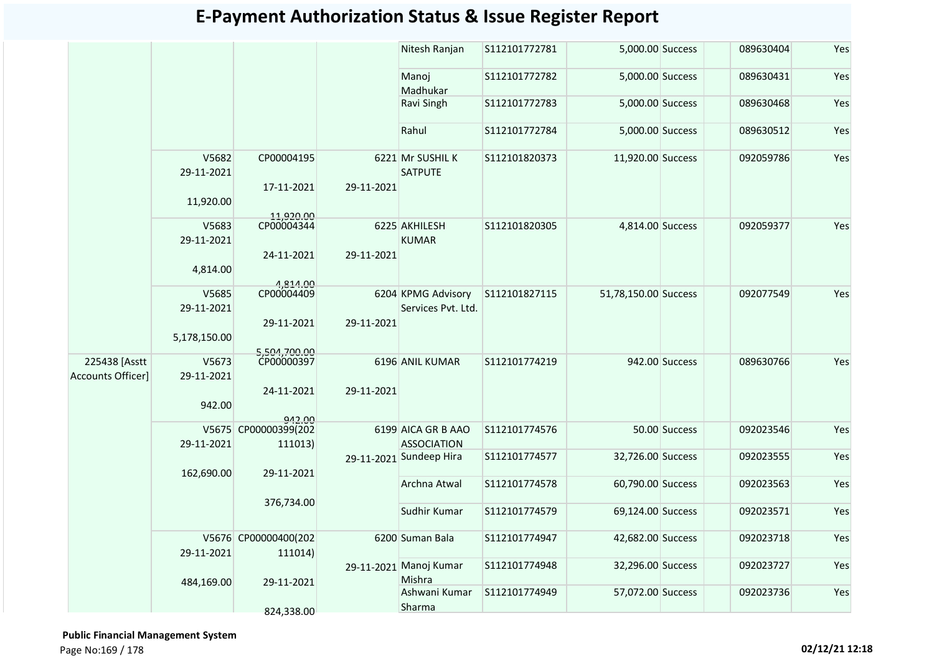|                                           |                     |                                 |            | Nitesh Ranjan                            | S112101772781 | 5,000.00 Success     |                | 089630404 | Yes |
|-------------------------------------------|---------------------|---------------------------------|------------|------------------------------------------|---------------|----------------------|----------------|-----------|-----|
|                                           |                     |                                 |            | Manoj<br>Madhukar                        | S112101772782 | 5,000.00 Success     |                | 089630431 | Yes |
|                                           |                     |                                 |            | Ravi Singh                               | S112101772783 | 5,000.00 Success     |                | 089630468 | Yes |
|                                           |                     |                                 |            | Rahul                                    | S112101772784 | 5,000.00 Success     |                | 089630512 | Yes |
|                                           | V5682<br>29-11-2021 | CP00004195<br>17-11-2021        | 29-11-2021 | 6221 Mr SUSHIL K<br><b>SATPUTE</b>       | S112101820373 | 11,920.00 Success    |                | 092059786 | Yes |
|                                           | 11,920.00           |                                 |            |                                          |               |                      |                |           |     |
|                                           | V5683<br>29-11-2021 | 11,920.00<br>CP00004344         |            | 6225 AKHILESH<br><b>KUMAR</b>            | S112101820305 | 4,814.00 Success     |                | 092059377 | Yes |
|                                           | 4,814.00            | 24-11-2021<br>4,814.00          | 29-11-2021 |                                          |               |                      |                |           |     |
|                                           | V5685<br>29-11-2021 | CP00004409                      |            | 6204 KPMG Advisory<br>Services Pvt. Ltd. | S112101827115 | 51,78,150.00 Success |                | 092077549 | Yes |
|                                           | 5,178,150.00        | 29-11-2021<br>5,504,700.00      | 29-11-2021 |                                          |               |                      |                |           |     |
| 225438 [Asstt<br><b>Accounts Officer]</b> | V5673<br>29-11-2021 | CP00000397                      |            | 6196 ANIL KUMAR                          | S112101774219 |                      | 942.00 Success | 089630766 | Yes |
|                                           | 942.00              | 24-11-2021<br>942.00            | 29-11-2021 |                                          |               |                      |                |           |     |
|                                           | 29-11-2021          | V5675 CP00000399(202<br>111013) |            | 6199 AICA GR B AAO<br><b>ASSOCIATION</b> | S112101774576 |                      | 50.00 Success  | 092023546 | Yes |
|                                           | 162,690.00          | 29-11-2021                      |            | 29-11-2021 Sundeep Hira                  | S112101774577 | 32,726.00 Success    |                | 092023555 | Yes |
|                                           |                     |                                 |            | Archna Atwal                             | S112101774578 | 60,790.00 Success    |                | 092023563 | Yes |
|                                           |                     | 376,734.00                      |            | Sudhir Kumar                             | S112101774579 | 69,124.00 Success    |                | 092023571 | Yes |
|                                           | 29-11-2021          | V5676 CP00000400(202<br>111014) |            | 6200 Suman Bala                          | S112101774947 | 42,682.00 Success    |                | 092023718 | Yes |
|                                           | 484,169.00          | 29-11-2021                      |            | 29-11-2021 Manoj Kumar<br>Mishra         | S112101774948 | 32,296.00 Success    |                | 092023727 | Yes |
|                                           |                     |                                 |            | Ashwani Kumar<br>Sharma                  | S112101774949 | 57,072.00 Success    |                | 092023736 | Yes |
|                                           |                     | 824,338.00                      |            |                                          |               |                      |                |           |     |

 **Public Financial Management System**  Page No:169 / 178 **02/12/21 12:18**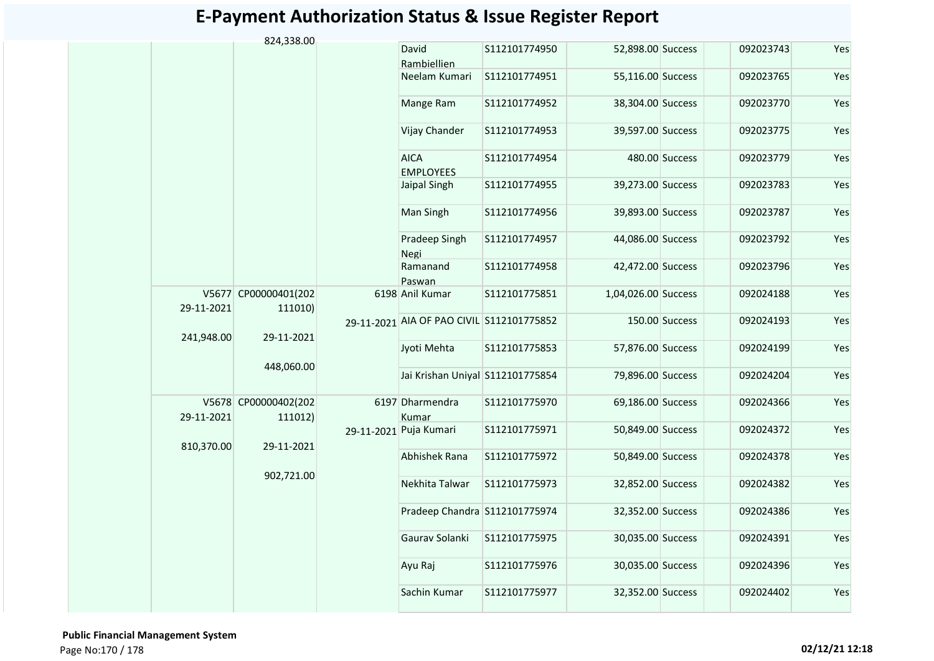|            | 824,338.00                      |                                           |               |                     |                |           |     |
|------------|---------------------------------|-------------------------------------------|---------------|---------------------|----------------|-----------|-----|
|            |                                 | David<br>Rambiellien                      | S112101774950 | 52,898.00 Success   |                | 092023743 | Yes |
|            |                                 | Neelam Kumari                             | S112101774951 | 55,116.00 Success   |                | 092023765 | Yes |
|            |                                 | Mange Ram                                 | S112101774952 | 38,304.00 Success   |                | 092023770 | Yes |
|            |                                 | Vijay Chander                             | S112101774953 | 39,597.00 Success   |                | 092023775 | Yes |
|            |                                 | <b>AICA</b><br><b>EMPLOYEES</b>           | S112101774954 |                     | 480.00 Success | 092023779 | Yes |
|            |                                 | Jaipal Singh                              | S112101774955 | 39,273.00 Success   |                | 092023783 | Yes |
|            |                                 | Man Singh                                 | S112101774956 | 39,893.00 Success   |                | 092023787 | Yes |
|            |                                 | Pradeep Singh<br>Negi                     | S112101774957 | 44,086.00 Success   |                | 092023792 | Yes |
|            |                                 | Ramanand<br>Paswan                        | S112101774958 | 42,472.00 Success   |                | 092023796 | Yes |
| 29-11-2021 | V5677 CP00000401(202<br>111010) | 6198 Anil Kumar                           | S112101775851 | 1,04,026.00 Success |                | 092024188 | Yes |
| 241,948.00 | 29-11-2021                      | 29-11-2021 AIA OF PAO CIVIL S112101775852 |               |                     | 150.00 Success | 092024193 | Yes |
|            | 448,060.00                      | Jyoti Mehta                               | S112101775853 | 57,876.00 Success   |                | 092024199 | Yes |
|            |                                 | Jai Krishan Uniyal S112101775854          |               | 79,896.00 Success   |                | 092024204 | Yes |
| 29-11-2021 | V5678 CP00000402(202<br>111012) | 6197 Dharmendra<br>Kumar                  | S112101775970 | 69,186.00 Success   |                | 092024366 | Yes |
| 810,370.00 | 29-11-2021                      | 29-11-2021 Puja Kumari                    | S112101775971 | 50,849.00 Success   |                | 092024372 | Yes |
|            | 902,721.00                      | Abhishek Rana                             | S112101775972 | 50,849.00 Success   |                | 092024378 | Yes |
|            |                                 | Nekhita Talwar                            | S112101775973 | 32,852.00 Success   |                | 092024382 | Yes |
|            |                                 | Pradeep Chandra S112101775974             |               | 32,352.00 Success   |                | 092024386 | Yes |
|            |                                 | Gaurav Solanki                            | S112101775975 | 30,035.00 Success   |                | 092024391 | Yes |
|            |                                 | Ayu Raj                                   | S112101775976 | 30,035.00 Success   |                | 092024396 | Yes |
|            |                                 | Sachin Kumar                              | S112101775977 | 32,352.00 Success   |                | 092024402 | Yes |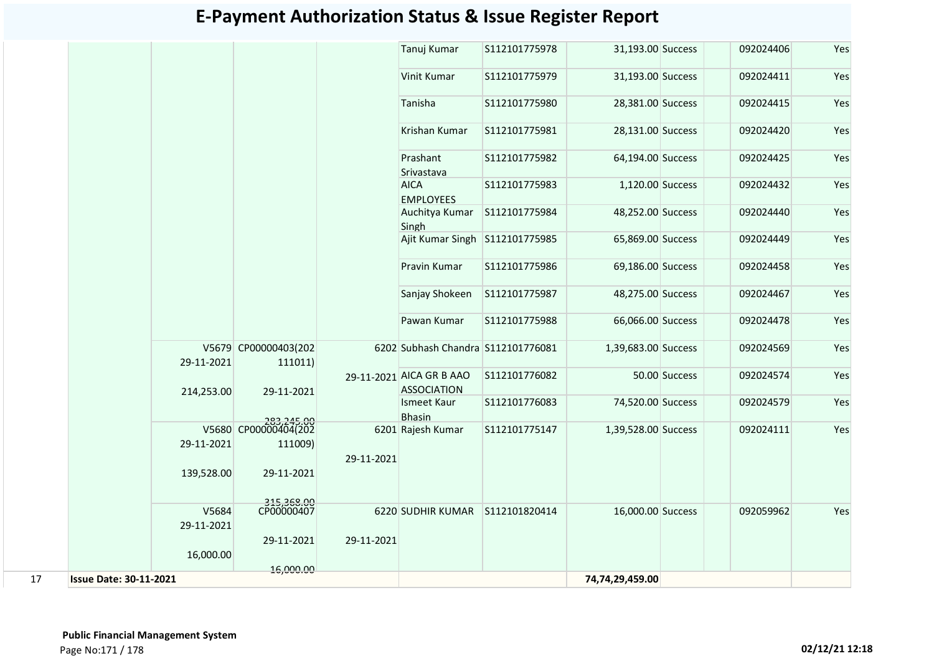|    |                               |                                 |            | Tanuj Kumar                                    | S112101775978 | 31,193.00 Success   |               | 092024406 | Yes |
|----|-------------------------------|---------------------------------|------------|------------------------------------------------|---------------|---------------------|---------------|-----------|-----|
|    |                               |                                 |            | Vinit Kumar                                    | S112101775979 | 31,193.00 Success   |               | 092024411 | Yes |
|    |                               |                                 |            | Tanisha                                        | S112101775980 | 28,381.00 Success   |               | 092024415 | Yes |
|    |                               |                                 |            | Krishan Kumar                                  | S112101775981 | 28,131.00 Success   |               | 092024420 | Yes |
|    |                               |                                 |            | Prashant<br>Srivastava                         | S112101775982 | 64,194.00 Success   |               | 092024425 | Yes |
|    |                               |                                 |            | <b>AICA</b><br><b>EMPLOYEES</b>                | S112101775983 | 1,120.00 Success    |               | 092024432 | Yes |
|    |                               |                                 |            | Auchitya Kumar<br>Singh                        | S112101775984 | 48,252.00 Success   |               | 092024440 | Yes |
|    |                               |                                 |            | Ajit Kumar Singh S112101775985                 |               | 65,869.00 Success   |               | 092024449 | Yes |
|    |                               |                                 |            | Pravin Kumar                                   | S112101775986 | 69,186.00 Success   |               | 092024458 | Yes |
|    |                               |                                 |            | Sanjay Shokeen                                 | S112101775987 | 48,275.00 Success   |               | 092024467 | Yes |
|    |                               |                                 |            | Pawan Kumar                                    | S112101775988 | 66,066.00 Success   |               | 092024478 | Yes |
|    | 29-11-2021                    | V5679 CP00000403(202<br>111011) |            | 6202 Subhash Chandra S112101776081             |               | 1,39,683.00 Success |               | 092024569 | Yes |
|    | 214,253.00                    | 29-11-2021                      |            | 29-11-2021 AICA GR B AAO<br><b>ASSOCIATION</b> | S112101776082 |                     | 50.00 Success | 092024574 | Yes |
|    |                               |                                 |            | Ismeet Kaur<br><b>Bhasin</b>                   | S112101776083 | 74,520.00 Success   |               | 092024579 | Yes |
|    |                               | 283,245.00                      |            | 6201 Rajesh Kumar                              | S112101775147 | 1,39,528.00 Success |               | 092024111 | Yes |
|    | 29-11-2021                    | 111009)                         |            |                                                |               |                     |               |           |     |
|    | 139,528.00                    | 29-11-2021                      | 29-11-2021 |                                                |               |                     |               |           |     |
|    |                               |                                 |            |                                                |               |                     |               |           |     |
|    | V5684                         | 315,368.00<br>CP00000407        |            | 6220 SUDHIR KUMAR S112101820414                |               | 16,000.00 Success   |               | 092059962 | Yes |
|    | 29-11-2021                    |                                 |            |                                                |               |                     |               |           |     |
|    |                               | 29-11-2021                      | 29-11-2021 |                                                |               |                     |               |           |     |
|    | 16,000.00                     |                                 |            |                                                |               |                     |               |           |     |
|    |                               | 16,000.00                       |            |                                                |               |                     |               |           |     |
| 17 | <b>Issue Date: 30-11-2021</b> |                                 |            |                                                |               | 74,74,29,459.00     |               |           |     |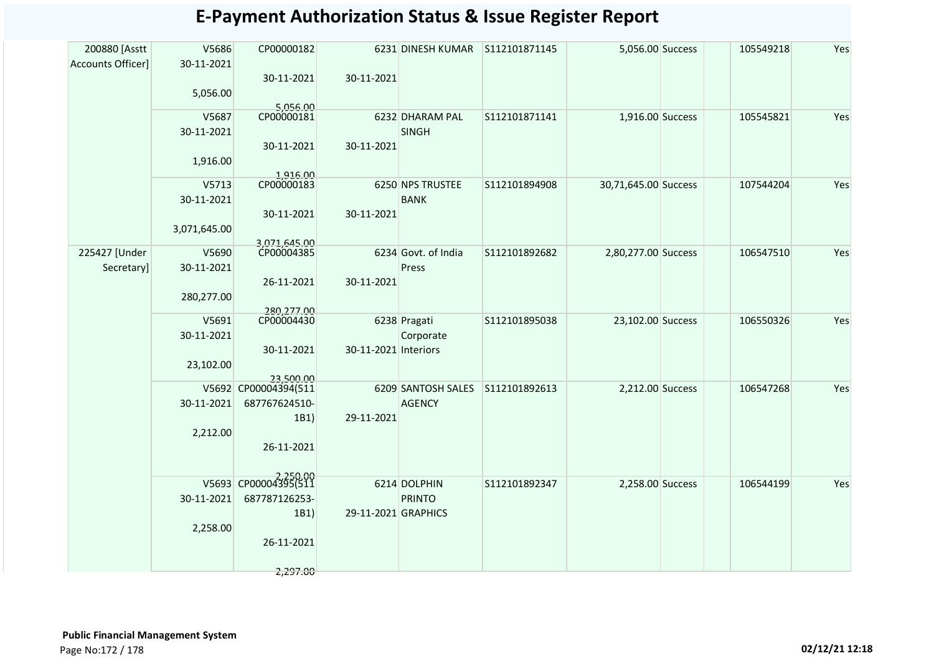| <b>Accounts Officer]</b><br>30-11-2021               |                      |                                 |               |                      | 5,056.00 Success | 105549218 | Yes |
|------------------------------------------------------|----------------------|---------------------------------|---------------|----------------------|------------------|-----------|-----|
| 30-11-2021<br>5,056.00                               | 30-11-2021           |                                 |               |                      |                  |           |     |
| 5,056.00<br>CP00000181                               |                      |                                 |               |                      |                  |           |     |
| V5687<br>30-11-2021                                  |                      | 6232 DHARAM PAL<br><b>SINGH</b> | S112101871141 | 1,916.00 Success     |                  | 105545821 | Yes |
| 30-11-2021                                           | 30-11-2021           |                                 |               |                      |                  |           |     |
| 1,916.00                                             |                      |                                 |               |                      |                  |           |     |
| 1,916.00<br>CP00000183<br>V5713                      |                      | 6250 NPS TRUSTEE                | S112101894908 | 30,71,645.00 Success |                  | 107544204 | Yes |
| 30-11-2021                                           |                      | <b>BANK</b>                     |               |                      |                  |           |     |
| 30-11-2021                                           | 30-11-2021           |                                 |               |                      |                  |           |     |
| 3,071,645.00                                         |                      |                                 |               |                      |                  |           |     |
|                                                      |                      |                                 |               |                      |                  |           |     |
| 3,071,645.00<br>CP00004385<br>225427 [Under<br>V5690 |                      | 6234 Govt. of India             | S112101892682 | 2,80,277.00 Success  |                  | 106547510 | Yes |
| Secretary]<br>30-11-2021                             |                      | Press                           |               |                      |                  |           |     |
| 26-11-2021                                           | 30-11-2021           |                                 |               |                      |                  |           |     |
| 280,277.00                                           |                      |                                 |               |                      |                  |           |     |
| 280,277.00                                           |                      |                                 |               |                      |                  |           |     |
| CP00004430<br>V5691<br>30-11-2021                    |                      | 6238 Pragati                    | S112101895038 | 23,102.00 Success    |                  | 106550326 | Yes |
|                                                      | 30-11-2021 Interiors | Corporate                       |               |                      |                  |           |     |
| 30-11-2021                                           |                      |                                 |               |                      |                  |           |     |
| 23,102.00<br>23,500,00                               |                      |                                 |               |                      |                  |           |     |
| V5692 CP00004394(511                                 |                      | 6209 SANTOSH SALES              | S112101892613 | 2,212.00 Success     |                  | 106547268 | Yes |
| 30-11-2021<br>687767624510-                          |                      | <b>AGENCY</b>                   |               |                      |                  |           |     |
|                                                      | 29-11-2021<br>1B1)   |                                 |               |                      |                  |           |     |
| 2,212.00                                             |                      |                                 |               |                      |                  |           |     |
| 26-11-2021                                           |                      |                                 |               |                      |                  |           |     |
|                                                      |                      |                                 |               |                      |                  |           |     |
| V5693 CP00004395(511                                 |                      | 6214 DOLPHIN                    |               |                      |                  |           |     |
| 687787126253-<br>30-11-2021                          |                      |                                 | S112101892347 | 2,258.00 Success     |                  | 106544199 | Yes |
|                                                      | 29-11-2021 GRAPHICS  | <b>PRINTO</b>                   |               |                      |                  |           |     |
| 2,258.00                                             | 1B1)                 |                                 |               |                      |                  |           |     |
| 26-11-2021                                           |                      |                                 |               |                      |                  |           |     |
|                                                      |                      |                                 |               |                      |                  |           |     |
|                                                      | 2,297.00             |                                 |               |                      |                  |           |     |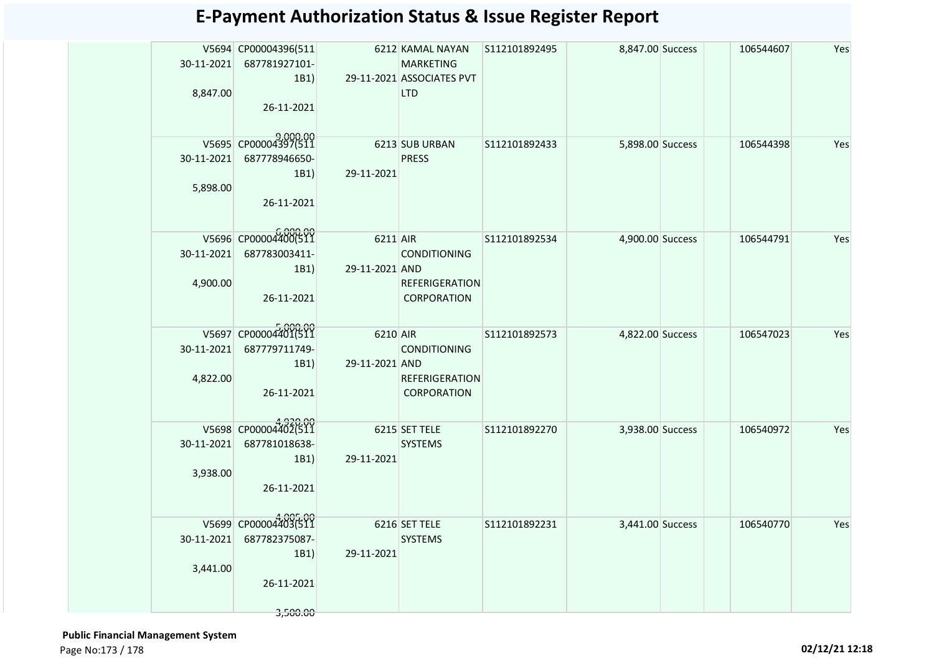| 30-11-2021<br>8,847.00 | V5694 CP00004396(511<br>687781927101-<br>1B1<br>26-11-2021              |                             | 6212 KAMAL NAYAN S112101892495<br><b>MARKETING</b><br>29-11-2021 ASSOCIATES PVT<br><b>LTD</b> |               | 8,847.00 Success | 106544607 | Yes |
|------------------------|-------------------------------------------------------------------------|-----------------------------|-----------------------------------------------------------------------------------------------|---------------|------------------|-----------|-----|
| 30-11-2021<br>5,898.00 | V5695 CP00004397(511<br>687778946650-<br>1B1)<br>26-11-2021             | 29-11-2021                  | 6213 SUB URBAN<br><b>PRESS</b>                                                                | S112101892433 | 5,898.00 Success | 106544398 | Yes |
| 30-11-2021<br>4,900.00 | V5696 CP00004400(511<br>687783003411-<br>1B1)<br>26-11-2021             | 6211 AIR<br>29-11-2021 AND  | <b>CONDITIONING</b><br><b>REFERIGERATION</b><br><b>CORPORATION</b>                            | S112101892534 | 4,900.00 Success | 106544791 | Yes |
| 30-11-2021<br>4,822.00 | V5697 CP00004401(511<br>687779711749-<br>1B1)<br>26-11-2021             | 6210 AIR<br>29-11-2021 AND  | <b>CONDITIONING</b><br><b>REFERIGERATION</b><br><b>CORPORATION</b>                            | S112101892573 | 4,822.00 Success | 106547023 | Yes |
| 30-11-2021<br>3,938.00 | V5698 CP00004402(511<br>687781018638-<br>1B1)<br>26-11-2021             | 29-11-2021                  | 6215 SET TELE<br><b>SYSTEMS</b>                                                               | S112101892270 | 3,938.00 Success | 106540972 | Yes |
| 30-11-2021<br>3,441.00 | V5699 CP00004403(511<br>687782375087-<br>1B1)<br>26-11-2021<br>3,500.00 | 6216 SET TELE<br>29-11-2021 | <b>SYSTEMS</b>                                                                                | S112101892231 | 3,441.00 Success | 106540770 | Yes |

 **Public Financial Management System**  Page No:173 / 178 **02/12/21 12:18**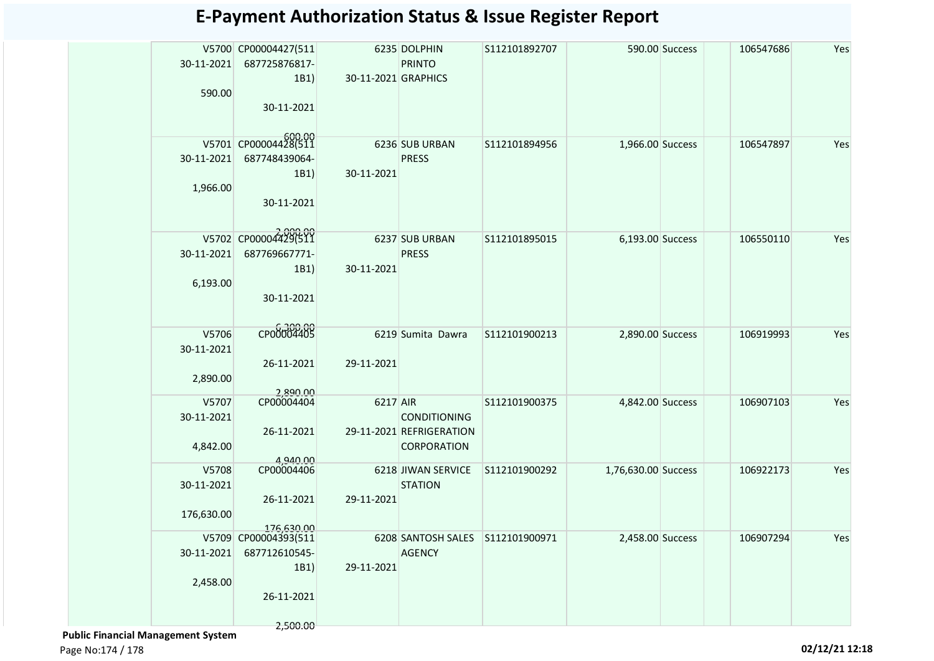| 30-11-2021<br>590.00              | V5700 CP00004427(511<br>687725876817-<br>1B1)<br>30-11-2021             | 30-11-2021 GRAPHICS | 6235 DOLPHIN<br><b>PRINTO</b>                           | S112101892707 |                     | 590.00 Success | 106547686 | Yes |
|-----------------------------------|-------------------------------------------------------------------------|---------------------|---------------------------------------------------------|---------------|---------------------|----------------|-----------|-----|
| 30-11-2021<br>1,966.00            | V5701 CP00004428(511<br>687748439064-<br>1B1)<br>30-11-2021             | 30-11-2021          | 6236 SUB URBAN<br><b>PRESS</b>                          | S112101894956 | 1,966.00 Success    |                | 106547897 | Yes |
| 30-11-2021<br>6,193.00            | V5702 CP00004429(511<br>687769667771-<br>1B1)<br>30-11-2021             | 30-11-2021          | 6237 SUB URBAN<br><b>PRESS</b>                          | S112101895015 | 6,193.00 Success    |                | 106550110 | Yes |
| V5706<br>30-11-2021<br>2,890.00   | CP00004405<br>26-11-2021<br>2,890.00                                    | 29-11-2021          | 6219 Sumita Dawra                                       | S112101900213 | 2,890.00 Success    |                | 106919993 | Yes |
| V5707<br>30-11-2021<br>4,842.00   | CP00004404<br>26-11-2021<br>4,940.00                                    | 6217 AIR            | CONDITIONING<br>29-11-2021 REFRIGERATION<br>CORPORATION | S112101900375 | 4,842.00 Success    |                | 106907103 | Yes |
| V5708<br>30-11-2021<br>176,630.00 | CP00004406<br>26-11-2021<br>176,630.00                                  | 29-11-2021          | 6218 JIWAN SERVICE<br><b>STATION</b>                    | S112101900292 | 1,76,630.00 Success |                | 106922173 | Yes |
| 30-11-2021<br>2,458.00            | V5709 CP00004393(511<br>687712610545-<br>1B1)<br>26-11-2021<br>2,500.00 | 29-11-2021          | 6208 SANTOSH SALES<br><b>AGENCY</b>                     | S112101900971 | 2,458.00 Success    |                | 106907294 | Yes |

 **Public Financial Management System** 

Page No:174 / 178 **02/12/21 12:18**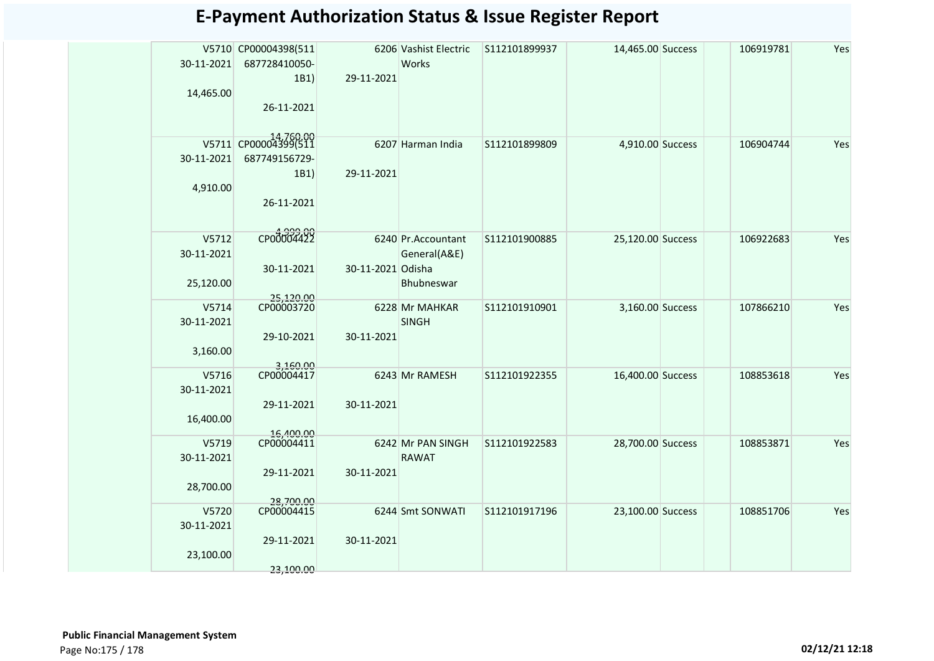| 30-11-2021<br>14,465.00          | V5710 CP00004398(511<br>687728410050-<br>1B1)<br>26-11-2021 | 29-11-2021        | 6206 Vashist Electric<br>Works                    | S112101899937 | 14,465.00 Success | 106919781 | Yes |
|----------------------------------|-------------------------------------------------------------|-------------------|---------------------------------------------------|---------------|-------------------|-----------|-----|
| 30-11-2021<br>4,910.00           | V5711 CP00004399(511<br>687749156729-<br>1B1)<br>26-11-2021 | 29-11-2021        | 6207 Harman India                                 | S112101899809 | 4,910.00 Success  | 106904744 | Yes |
| V5712<br>30-11-2021<br>25,120.00 | CP00004422<br>30-11-2021                                    | 30-11-2021 Odisha | 6240 Pr. Accountant<br>General(A&E)<br>Bhubneswar | S112101900885 | 25,120.00 Success | 106922683 | Yes |
| V5714<br>30-11-2021<br>3,160.00  | 25,120.00<br>CP00003720<br>29-10-2021<br>3.160.00           | 30-11-2021        | 6228 Mr MAHKAR<br><b>SINGH</b>                    | S112101910901 | 3,160.00 Success  | 107866210 | Yes |
| V5716<br>30-11-2021<br>16,400.00 | CP00004417<br>29-11-2021<br>16,400.00                       | 30-11-2021        | 6243 Mr RAMESH                                    | S112101922355 | 16,400.00 Success | 108853618 | Yes |
| V5719<br>30-11-2021<br>28,700.00 | CP00004411<br>29-11-2021<br>28,700.00                       | 30-11-2021        | 6242 Mr PAN SINGH<br><b>RAWAT</b>                 | S112101922583 | 28,700.00 Success | 108853871 | Yes |
| V5720<br>30-11-2021<br>23,100.00 | CP00004415<br>29-11-2021<br>23,100.00                       | 30-11-2021        | 6244 Smt SONWATI                                  | S112101917196 | 23,100.00 Success | 108851706 | Yes |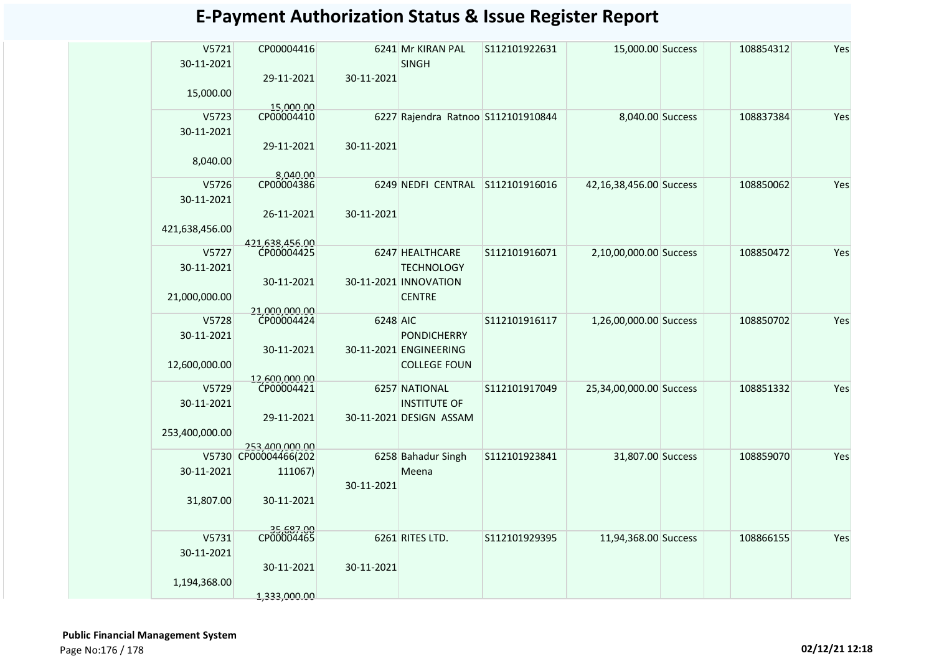| V5721<br>30-11-2021 | CP00004416                             |            | 6241 Mr KIRAN PAL<br><b>SINGH</b>  | S112101922631 | 15,000.00 Success       | 108854312 | Yes |
|---------------------|----------------------------------------|------------|------------------------------------|---------------|-------------------------|-----------|-----|
| 15,000.00           | 29-11-2021<br>15,000.00                | 30-11-2021 |                                    |               |                         |           |     |
| V5723               | CP00004410                             |            | 6227 Rajendra Ratnoo S112101910844 |               | 8,040.00 Success        | 108837384 | Yes |
| 30-11-2021          |                                        |            |                                    |               |                         |           |     |
|                     |                                        |            |                                    |               |                         |           |     |
|                     | 29-11-2021                             | 30-11-2021 |                                    |               |                         |           |     |
| 8,040.00            |                                        |            |                                    |               |                         |           |     |
|                     | 8.040.00                               |            |                                    |               |                         |           |     |
| V5726               | CP00004386                             |            | 6249 NEDFI CENTRAL S112101916016   |               | 42,16,38,456.00 Success | 108850062 | Yes |
| 30-11-2021          |                                        |            |                                    |               |                         |           |     |
|                     | 26-11-2021                             | 30-11-2021 |                                    |               |                         |           |     |
| 421,638,456.00      |                                        |            |                                    |               |                         |           |     |
|                     | 421.638.456.00                         |            |                                    |               |                         |           |     |
| V5727               | CP00004425                             |            | 6247 HEALTHCARE                    | S112101916071 | 2,10,00,000.00 Success  | 108850472 | Yes |
| 30-11-2021          |                                        |            | <b>TECHNOLOGY</b>                  |               |                         |           |     |
|                     |                                        |            |                                    |               |                         |           |     |
|                     | 30-11-2021                             |            | 30-11-2021 INNOVATION              |               |                         |           |     |
| 21,000,000.00       |                                        |            | <b>CENTRE</b>                      |               |                         |           |     |
|                     | 21,000,000,00                          |            |                                    |               |                         |           |     |
| V5728               | CP00004424                             | 6248 AIC   |                                    | S112101916117 | 1,26,00,000.00 Success  | 108850702 | Yes |
| 30-11-2021          |                                        |            | <b>PONDICHERRY</b>                 |               |                         |           |     |
|                     | 30-11-2021                             |            | 30-11-2021 ENGINEERING             |               |                         |           |     |
| 12,600,000.00       |                                        |            | <b>COLLEGE FOUN</b>                |               |                         |           |     |
|                     | 12,600,000.00                          |            |                                    |               |                         |           |     |
| V5729               | CP00004421                             |            | 6257 NATIONAL                      | S112101917049 | 25,34,00,000.00 Success | 108851332 | Yes |
| 30-11-2021          |                                        |            | <b>INSTITUTE OF</b>                |               |                         |           |     |
|                     | 29-11-2021                             |            | 30-11-2021 DESIGN ASSAM            |               |                         |           |     |
|                     |                                        |            |                                    |               |                         |           |     |
| 253,400,000.00      |                                        |            |                                    |               |                         |           |     |
|                     | 253.400.000.00<br>V5730 CP00004466(202 |            | 6258 Bahadur Singh                 | S112101923841 | 31,807.00 Success       | 108859070 | Yes |
|                     |                                        |            |                                    |               |                         |           |     |
| 30-11-2021          | 111067)                                |            | Meena                              |               |                         |           |     |
|                     |                                        | 30-11-2021 |                                    |               |                         |           |     |
| 31,807.00           | 30-11-2021                             |            |                                    |               |                         |           |     |
|                     |                                        |            |                                    |               |                         |           |     |
|                     |                                        |            |                                    |               |                         |           |     |
| V5731               | 35,687.00<br>CP00004465                |            | 6261 RITES LTD.                    | S112101929395 | 11,94,368.00 Success    | 108866155 | Yes |
| 30-11-2021          |                                        |            |                                    |               |                         |           |     |
|                     | 30-11-2021                             | 30-11-2021 |                                    |               |                         |           |     |
| 1,194,368.00        |                                        |            |                                    |               |                         |           |     |
|                     |                                        |            |                                    |               |                         |           |     |
|                     | 1,333,000.00                           |            |                                    |               |                         |           |     |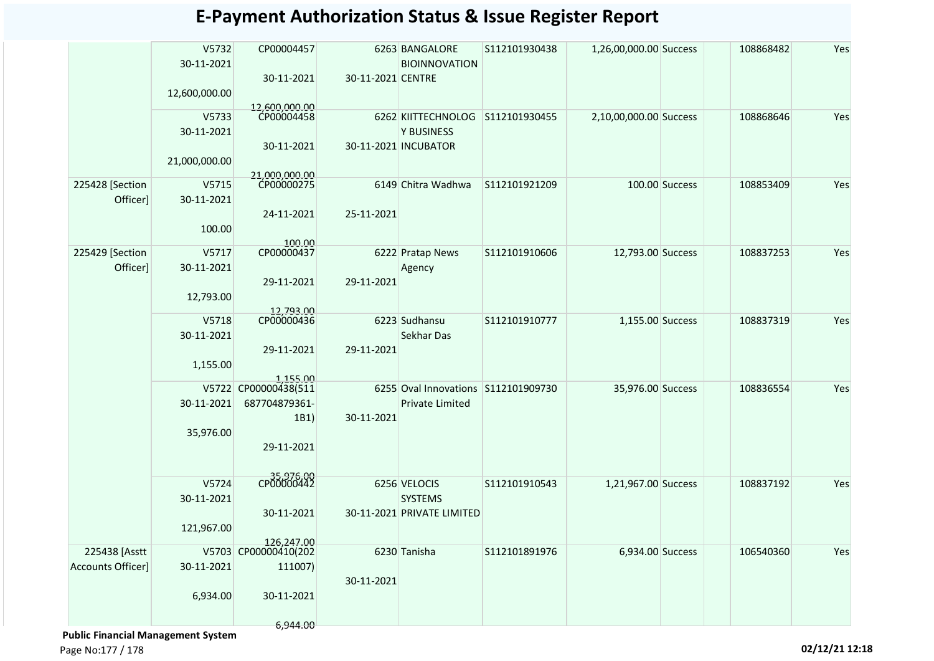|                          | V5732<br>30-11-2021 | CP00004457                         |                   | 6263 BANGALORE<br><b>BIOINNOVATION</b> | S112101930438 | 1,26,00,000.00 Success |                | 108868482 | Yes |
|--------------------------|---------------------|------------------------------------|-------------------|----------------------------------------|---------------|------------------------|----------------|-----------|-----|
|                          | 12,600,000.00       | 30-11-2021                         | 30-11-2021 CENTRE |                                        |               |                        |                |           |     |
|                          | V5733               | 12,600,000.00<br>CP00004458        |                   | 6262 KIITTECHNOLOG S112101930455       |               | 2,10,00,000.00 Success |                | 108868646 | Yes |
|                          | 30-11-2021          |                                    |                   | <b>Y BUSINESS</b>                      |               |                        |                |           |     |
|                          | 21,000,000.00       | 30-11-2021                         |                   | 30-11-2021 INCUBATOR                   |               |                        |                |           |     |
| 225428 [Section          | V5715               | 21.000.000.00<br>CP00000275        |                   | 6149 Chitra Wadhwa                     | S112101921209 |                        | 100.00 Success | 108853409 | Yes |
| Officer]                 | 30-11-2021          |                                    |                   |                                        |               |                        |                |           |     |
|                          |                     | 24-11-2021                         | 25-11-2021        |                                        |               |                        |                |           |     |
|                          | 100.00              | 100.00                             |                   |                                        |               |                        |                |           |     |
| 225429 [Section          | V5717               | CP00000437                         |                   | 6222 Pratap News                       | S112101910606 | 12,793.00 Success      |                | 108837253 | Yes |
| Officer]                 | 30-11-2021          |                                    |                   | Agency                                 |               |                        |                |           |     |
|                          |                     | 29-11-2021                         | 29-11-2021        |                                        |               |                        |                |           |     |
|                          | 12,793.00           |                                    |                   |                                        |               |                        |                |           |     |
|                          | V5718               | 12,793.00<br>CP00000436            |                   | 6223 Sudhansu                          | S112101910777 | 1,155.00 Success       |                | 108837319 | Yes |
|                          | 30-11-2021          |                                    |                   | Sekhar Das                             |               |                        |                |           |     |
|                          |                     | 29-11-2021                         | 29-11-2021        |                                        |               |                        |                |           |     |
|                          | 1,155.00            |                                    |                   |                                        |               |                        |                |           |     |
|                          |                     | 1,155.00<br>V5722 CP00000438(511   |                   | 6255 Oval Innovations S112101909730    |               | 35,976.00 Success      |                | 108836554 | Yes |
|                          | 30-11-2021          | 687704879361-                      |                   | Private Limited                        |               |                        |                |           |     |
|                          |                     | 1B1)                               | 30-11-2021        |                                        |               |                        |                |           |     |
|                          | 35,976.00           |                                    |                   |                                        |               |                        |                |           |     |
|                          |                     | 29-11-2021                         |                   |                                        |               |                        |                |           |     |
|                          |                     |                                    |                   |                                        |               |                        |                |           |     |
|                          | V5724               | CP00000442                         |                   | 6256 VELOCIS                           | S112101910543 | 1,21,967.00 Success    |                | 108837192 | Yes |
|                          | 30-11-2021          |                                    |                   | <b>SYSTEMS</b>                         |               |                        |                |           |     |
|                          |                     | 30-11-2021                         |                   | 30-11-2021 PRIVATE LIMITED             |               |                        |                |           |     |
|                          | 121,967.00          |                                    |                   |                                        |               |                        |                |           |     |
| 225438 [Asstt            |                     | 126,247.00<br>V5703 CP00000410(202 |                   | 6230 Tanisha                           | S112101891976 | 6,934.00 Success       |                | 106540360 | Yes |
| <b>Accounts Officer]</b> | 30-11-2021          | 111007)                            |                   |                                        |               |                        |                |           |     |
|                          |                     |                                    | 30-11-2021        |                                        |               |                        |                |           |     |
|                          | 6,934.00            | 30-11-2021                         |                   |                                        |               |                        |                |           |     |
|                          |                     |                                    |                   |                                        |               |                        |                |           |     |
|                          |                     | 6,944.00                           |                   |                                        |               |                        |                |           |     |

 **Public Financial Management System**